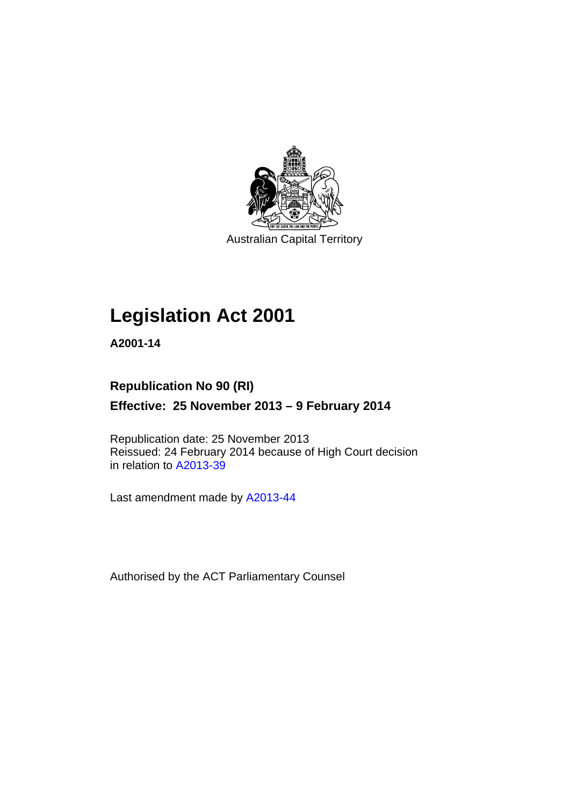

Australian Capital Territory

# **Legislation Act 2001**

**A2001-14** 

# **Republication No 90 (RI) Effective: 25 November 2013 – 9 February 2014**

Republication date: 25 November 2013 Reissued: 24 February 2014 because of High Court decision in relation to [A2013-39](http://www.legislation.act.gov.au/a/2013-39)

Last amendment made by [A2013-44](http://www.legislation.act.gov.au/a/2013-44)

Authorised by the ACT Parliamentary Counsel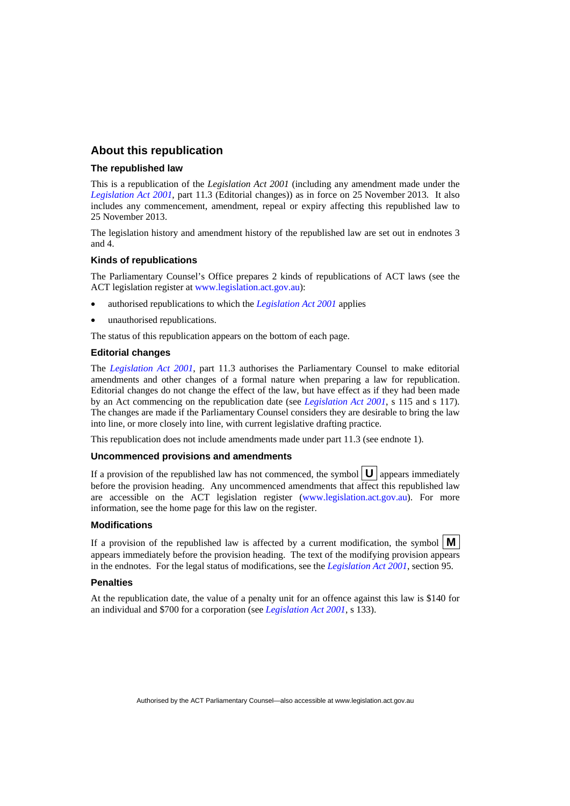### **About this republication**

#### **The republished law**

This is a republication of the *Legislation Act 2001* (including any amendment made under the *[Legislation Act 2001](http://www.legislation.act.gov.au/a/2001-14)*, part 11.3 (Editorial changes)) as in force on 25 November 2013*.* It also includes any commencement, amendment, repeal or expiry affecting this republished law to 25 November 2013.

The legislation history and amendment history of the republished law are set out in endnotes 3 and 4.

#### **Kinds of republications**

The Parliamentary Counsel's Office prepares 2 kinds of republications of ACT laws (see the ACT legislation register at [www.legislation.act.gov.au](http://www.legislation.act.gov.au/)):

- authorised republications to which the *[Legislation Act 2001](http://www.legislation.act.gov.au/a/2001-14)* applies
- unauthorised republications.

The status of this republication appears on the bottom of each page.

#### **Editorial changes**

The *[Legislation Act 2001](http://www.legislation.act.gov.au/a/2001-14)*, part 11.3 authorises the Parliamentary Counsel to make editorial amendments and other changes of a formal nature when preparing a law for republication. Editorial changes do not change the effect of the law, but have effect as if they had been made by an Act commencing on the republication date (see *[Legislation Act 2001](http://www.legislation.act.gov.au/a/2001-14)*, s 115 and s 117). The changes are made if the Parliamentary Counsel considers they are desirable to bring the law into line, or more closely into line, with current legislative drafting practice.

This republication does not include amendments made under part 11.3 (see endnote 1).

#### **Uncommenced provisions and amendments**

If a provision of the republished law has not commenced, the symbol  $\mathbf{U}$  appears immediately before the provision heading. Any uncommenced amendments that affect this republished law are accessible on the ACT legislation register [\(www.legislation.act.gov.au](http://www.legislation.act.gov.au/)). For more information, see the home page for this law on the register.

#### **Modifications**

If a provision of the republished law is affected by a current modification, the symbol  $\mathbf{M}$ appears immediately before the provision heading. The text of the modifying provision appears in the endnotes. For the legal status of modifications, see the *[Legislation Act 2001](http://www.legislation.act.gov.au/a/2001-14)*, section 95.

#### **Penalties**

At the republication date, the value of a penalty unit for an offence against this law is \$140 for an individual and \$700 for a corporation (see *[Legislation Act 2001](http://www.legislation.act.gov.au/a/2001-14)*, s 133).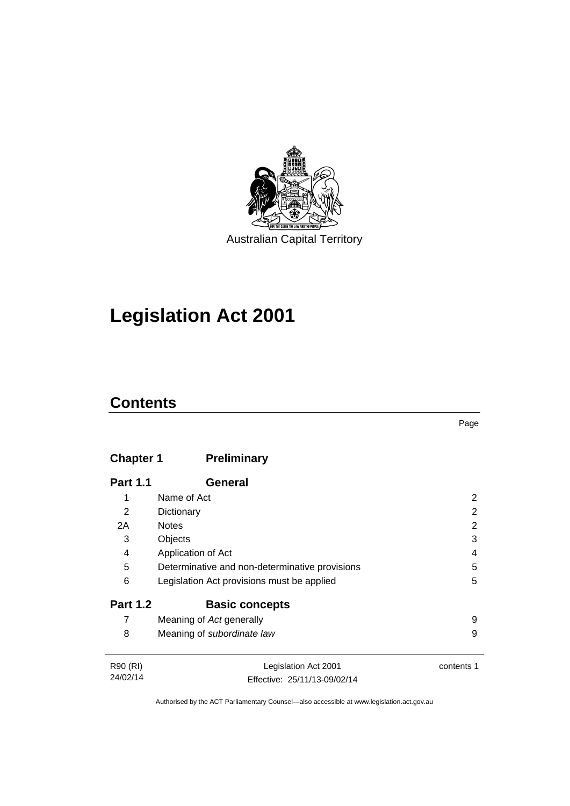

# **Legislation Act 2001**

# **Contents**

# **Chapter 1 [Preliminary](#page-17-0)**

| <b>Part 1.1</b> | General                                        |            |
|-----------------|------------------------------------------------|------------|
|                 | Name of Act                                    | 2          |
| 2               | Dictionary                                     | 2          |
| 2A              | <b>Notes</b>                                   | 2          |
| 3               | Objects                                        | 3          |
| 4               | Application of Act                             | 4          |
| 5               | Determinative and non-determinative provisions | 5          |
| 6               | Legislation Act provisions must be applied     | 5          |
| <b>Part 1.2</b> | <b>Basic concepts</b>                          |            |
| 7               | Meaning of Act generally                       | 9          |
| 8               | Meaning of subordinate law                     | 9          |
| R90 (RI)        | Legislation Act 2001                           | contents 1 |

| R90 (RI) | Legislation Act 2001         | content |
|----------|------------------------------|---------|
| 24/02/14 | Effective: 25/11/13-09/02/14 |         |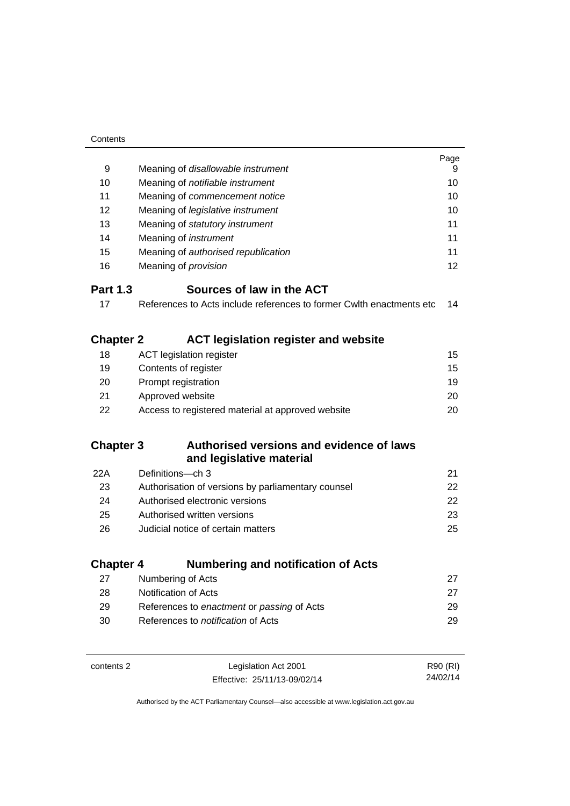| Contents         |                                                                                      |          |
|------------------|--------------------------------------------------------------------------------------|----------|
|                  |                                                                                      | Page     |
| 9                | Meaning of disallowable instrument                                                   | 9        |
| 10               | Meaning of notifiable instrument                                                     | 10       |
| 11               | Meaning of commencement notice                                                       |          |
| 12               | Meaning of legislative instrument                                                    | 10       |
| 13               | Meaning of statutory instrument                                                      | 11       |
| 14               | Meaning of <i>instrument</i>                                                         | 11       |
| 15               | Meaning of authorised republication                                                  | 11       |
| 16               | Meaning of <i>provision</i>                                                          | 12       |
| <b>Part 1.3</b>  | Sources of law in the ACT                                                            |          |
| 17               | References to Acts include references to former Cwith enactments etc                 | 14       |
|                  |                                                                                      |          |
| <b>Chapter 2</b> | <b>ACT legislation register and website</b>                                          |          |
| 18               | <b>ACT</b> legislation register                                                      | 15       |
| 19               | Contents of register                                                                 | 15       |
| 20               | Prompt registration                                                                  | 19       |
| 21               | Approved website                                                                     | 20       |
| 22               | Access to registered material at approved website                                    | 20       |
|                  |                                                                                      |          |
| <b>Chapter 3</b> | Authorised versions and evidence of laws<br>and legislative material                 |          |
|                  | Definitions-ch 3                                                                     | 21       |
| 22A<br>23        |                                                                                      | 22       |
| 24               | Authorisation of versions by parliamentary counsel<br>Authorised electronic versions | 22       |
| 25               | Authorised written versions                                                          | 23       |
| 26               | Judicial notice of certain matters                                                   | 25       |
|                  |                                                                                      |          |
| <b>Chapter 4</b> | <b>Numbering and notification of Acts</b>                                            |          |
| 27               | Numbering of Acts                                                                    | 27       |
| 28               | Notification of Acts                                                                 | 27       |
| 29               | References to enactment or passing of Acts                                           | 29       |
| 30               | References to notification of Acts                                                   | 29       |
|                  |                                                                                      |          |
| contents 2       | Legislation Act 2001                                                                 | R90 (RI) |
|                  | Effective: 25/11/13-09/02/14                                                         | 24/02/14 |

Effective: 25/11/13-09/02/14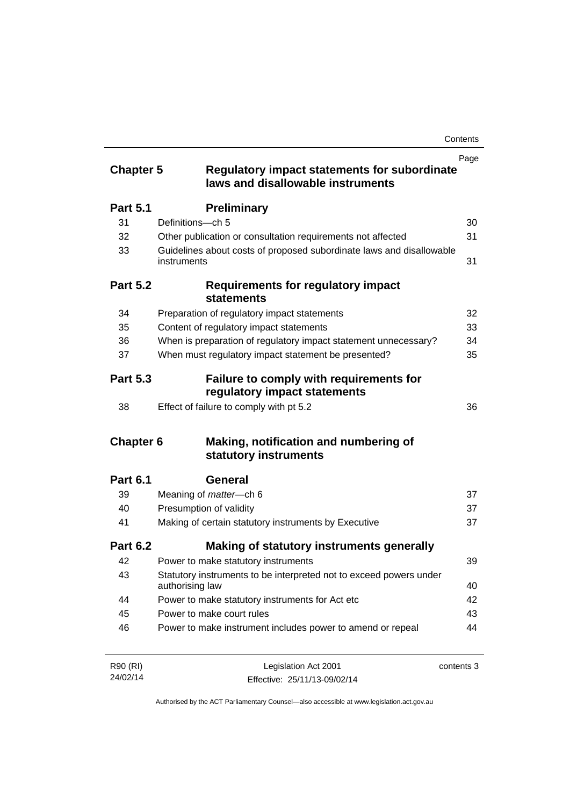| <b>Chapter 5</b> | <b>Regulatory impact statements for subordinate</b><br>laws and disallowable instruments | Page       |
|------------------|------------------------------------------------------------------------------------------|------------|
| <b>Part 5.1</b>  | <b>Preliminary</b>                                                                       |            |
| 31               | Definitions-ch 5                                                                         | 30         |
| 32               | Other publication or consultation requirements not affected                              | 31         |
| 33               | Guidelines about costs of proposed subordinate laws and disallowable<br>instruments      | 31         |
| <b>Part 5.2</b>  | <b>Requirements for regulatory impact</b><br><b>statements</b>                           |            |
| 34               | Preparation of regulatory impact statements                                              | 32         |
| 35               | Content of regulatory impact statements                                                  | 33         |
| 36               | When is preparation of regulatory impact statement unnecessary?                          | 34         |
| 37               | When must regulatory impact statement be presented?                                      | 35         |
| <b>Part 5.3</b>  | Failure to comply with requirements for<br>regulatory impact statements                  |            |
| 38               | Effect of failure to comply with pt 5.2                                                  | 36         |
| <b>Chapter 6</b> | Making, notification and numbering of<br>statutory instruments                           |            |
| <b>Part 6.1</b>  | General                                                                                  |            |
| 39               | Meaning of <i>matter</i> -ch 6                                                           | 37         |
| 40               | Presumption of validity                                                                  | 37         |
| 41               | Making of certain statutory instruments by Executive                                     | 37         |
| <b>Part 6.2</b>  | Making of statutory instruments generally                                                |            |
| 42               | Power to make statutory instruments                                                      | 39         |
| 43               | Statutory instruments to be interpreted not to exceed powers under<br>authorising law    | 40         |
| 44               | Power to make statutory instruments for Act etc                                          | 42         |
| 45               | Power to make court rules                                                                | 43         |
| 46               | Power to make instrument includes power to amend or repeal                               | 44         |
| R90 (RI)         | Legislation Act 2001                                                                     | contents 3 |

24/02/14 Legislation Act 2001 Effective: 25/11/13-09/02/14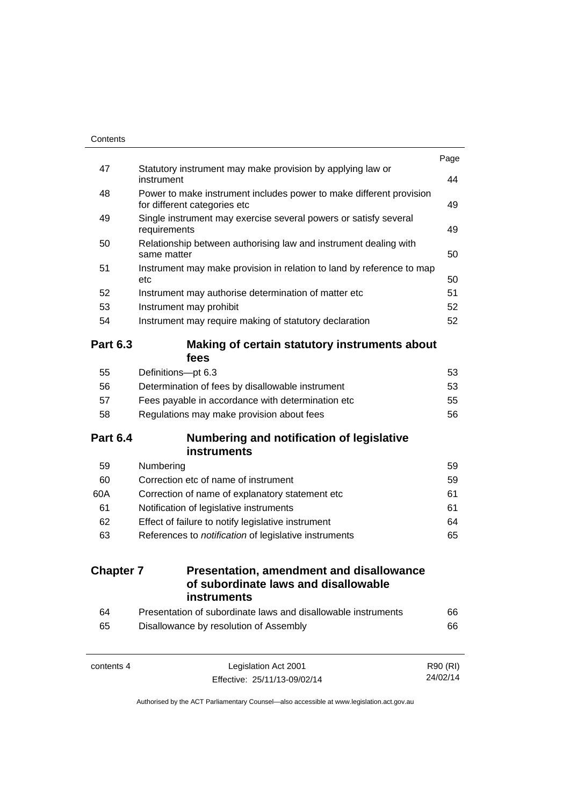|                  |                                                                                                     | Page |
|------------------|-----------------------------------------------------------------------------------------------------|------|
| 47               | Statutory instrument may make provision by applying law or<br>instrument                            | 44   |
| 48               | Power to make instrument includes power to make different provision<br>for different categories etc | 49   |
| 49               | Single instrument may exercise several powers or satisfy several<br>requirements                    | 49   |
| 50               | Relationship between authorising law and instrument dealing with<br>same matter                     | 50   |
| 51               | Instrument may make provision in relation to land by reference to map<br>etc                        | 50   |
| 52               | Instrument may authorise determination of matter etc                                                | 51   |
| 53               | Instrument may prohibit                                                                             | 52   |
| 54               | Instrument may require making of statutory declaration                                              | 52   |
| <b>Part 6.3</b>  | Making of certain statutory instruments about<br>fees                                               |      |
| 55               | Definitions-pt 6.3                                                                                  | 53   |
| 56               | Determination of fees by disallowable instrument                                                    | 53   |
| 57               | Fees payable in accordance with determination etc                                                   | 55   |
| 58               | Regulations may make provision about fees                                                           | 56   |
| <b>Part 6.4</b>  | Numbering and notification of legislative<br><b>instruments</b>                                     |      |
| 59               | Numbering                                                                                           | 59   |
| 60               | Correction etc of name of instrument                                                                | 59   |
| 60A              | Correction of name of explanatory statement etc                                                     | 61   |
| 61               | Notification of legislative instruments                                                             | 61   |
| 62               | Effect of failure to notify legislative instrument                                                  | 64   |
| 63               | References to notification of legislative instruments                                               | 65   |
| <b>Chapter 7</b> | <b>Presentation, amendment and disallowance</b><br>of subordinate laws and disallowable             |      |
|                  | instruments                                                                                         |      |
| 64               | Presentation of subordinate laws and disallowable instruments                                       | 66   |
| 65               | Disallowance by resolution of Assembly                                                              | 66   |
|                  | Legislation Act 2001                                                                                |      |

24/02/14

Effective: 25/11/13-09/02/14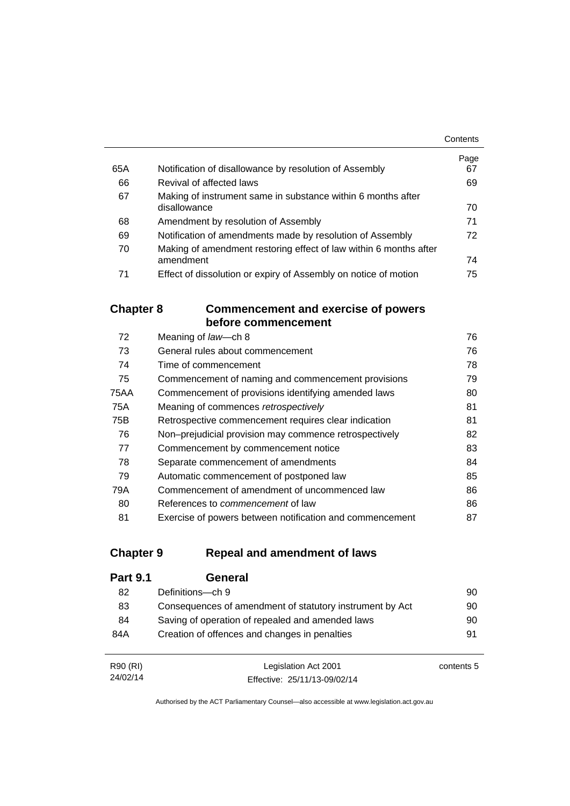|     |                                                                   | Contents |
|-----|-------------------------------------------------------------------|----------|
|     |                                                                   | Page     |
| 65A | Notification of disallowance by resolution of Assembly            | 67       |
| 66  | Revival of affected laws                                          | 69       |
| 67  | Making of instrument same in substance within 6 months after      |          |
|     | disallowance                                                      | 70       |
| 68  | Amendment by resolution of Assembly                               | 71       |
| 69  | Notification of amendments made by resolution of Assembly         | 72       |
| 70  | Making of amendment restoring effect of law within 6 months after |          |
|     | amendment                                                         | 74       |
| 71  | Effect of dissolution or expiry of Assembly on notice of motion   | 75       |

### **Chapter 8 [Commencement and exercise of powers](#page-91-0)  [before commencement](#page-91-0)**

| 72   | Meaning of law-ch 8                                      | 76 |
|------|----------------------------------------------------------|----|
| 73   | General rules about commencement                         | 76 |
| 74   | Time of commencement                                     | 78 |
| 75   | Commencement of naming and commencement provisions       | 79 |
| 75AA | Commencement of provisions identifying amended laws      | 80 |
| 75A  | Meaning of commences retrospectively                     | 81 |
| 75B  | Retrospective commencement requires clear indication     | 81 |
| 76   | Non-prejudicial provision may commence retrospectively   | 82 |
| 77   | Commencement by commencement notice                      | 83 |
| 78   | Separate commencement of amendments                      | 84 |
| 79   | Automatic commencement of postponed law                  | 85 |
| 79A  | Commencement of amendment of uncommenced law             | 86 |
| 80   | References to <i>commencement</i> of law                 | 86 |
| 81   | Exercise of powers between notification and commencement | 87 |

## **Chapter 9 [Repeal and amendment of laws](#page-105-0)**

| <b>Part 9.1</b> | General                                                  |    |
|-----------------|----------------------------------------------------------|----|
| 82              | Definitions-ch 9                                         | 90 |
| 83              | Consequences of amendment of statutory instrument by Act | 90 |
| 84              | Saving of operation of repealed and amended laws         | 90 |
| 84A             | Creation of offences and changes in penalties            | 91 |
|                 |                                                          |    |

| R90 (RI) | Legislation Act 2001         | contents 5 |
|----------|------------------------------|------------|
| 24/02/14 | Effective: 25/11/13-09/02/14 |            |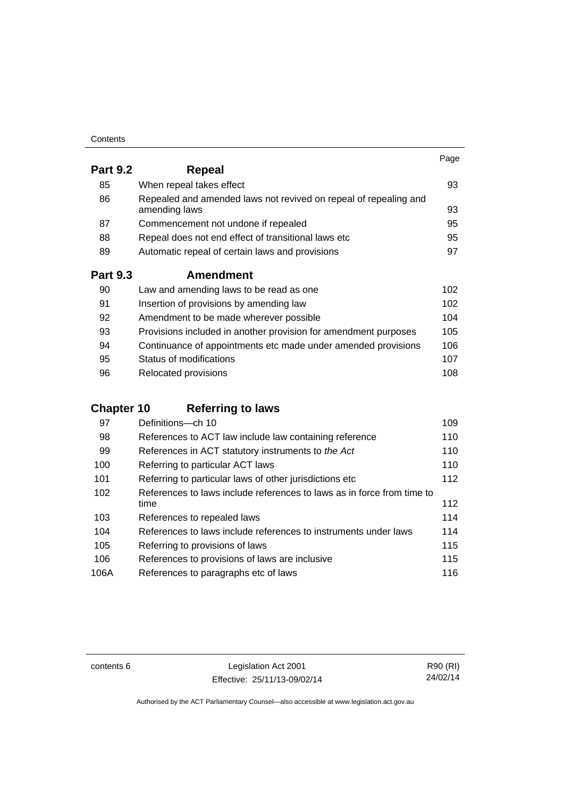| Contents |
|----------|
|----------|

|                 |                                                                                   | Page |
|-----------------|-----------------------------------------------------------------------------------|------|
| <b>Part 9.2</b> | Repeal                                                                            |      |
| 85              | When repeal takes effect                                                          | 93   |
| 86              | Repealed and amended laws not revived on repeal of repealing and<br>amending laws | 93   |
| 87              | Commencement not undone if repealed                                               | 95   |
| 88              | Repeal does not end effect of transitional laws etc                               | 95   |
| 89              | Automatic repeal of certain laws and provisions                                   | 97   |
| <b>Part 9.3</b> | <b>Amendment</b>                                                                  |      |
| 90              | Law and amending laws to be read as one                                           | 102  |
| 91              | Insertion of provisions by amending law                                           | 102  |
| 92              | Amendment to be made wherever possible                                            | 104  |
| 93              | Provisions included in another provision for amendment purposes                   | 105  |
| 94              | Continuance of appointments etc made under amended provisions                     | 106  |
| 95              | Status of modifications                                                           | 107  |

| -96 | Relocated provisions | 108 |
|-----|----------------------|-----|

# **Chapter 10 [Referring to laws](#page-124-0)**

| 97   | Definitions-ch 10                                                      | 109 |
|------|------------------------------------------------------------------------|-----|
| 98   | References to ACT law include law containing reference                 | 110 |
| 99   | References in ACT statutory instruments to the Act                     | 110 |
| 100  | Referring to particular ACT laws                                       | 110 |
| 101  | Referring to particular laws of other jurisdictions etc                | 112 |
| 102  | References to laws include references to laws as in force from time to |     |
|      | time                                                                   | 112 |
| 103  | References to repealed laws                                            | 114 |
| 104  | References to laws include references to instruments under laws        | 114 |
| 105  | Referring to provisions of laws                                        | 115 |
| 106  | References to provisions of laws are inclusive                         | 115 |
| 106A | References to paragraphs etc of laws                                   | 116 |

contents 6 Legislation Act 2001 Effective: 25/11/13-09/02/14

R90 (RI) 24/02/14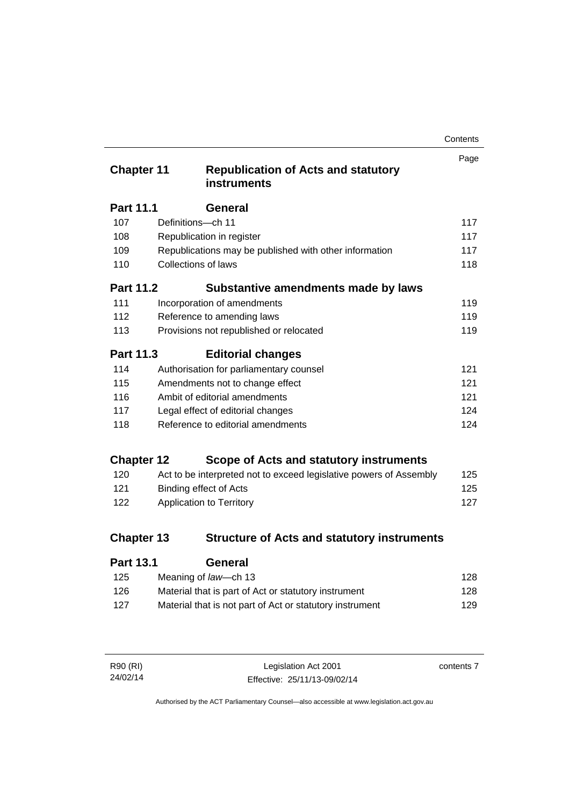| Contents |
|----------|
|----------|

| <b>Chapter 11</b> |                            | <b>Republication of Acts and statutory</b><br><b>instruments</b>   | Page |
|-------------------|----------------------------|--------------------------------------------------------------------|------|
| <b>Part 11.1</b>  |                            | General                                                            |      |
| 107               | Definitions-ch 11          |                                                                    | 117  |
| 108               |                            | Republication in register                                          | 117  |
| 109               |                            | Republications may be published with other information             | 117  |
| 110               | <b>Collections of laws</b> |                                                                    | 118  |
| <b>Part 11.2</b>  |                            | Substantive amendments made by laws                                |      |
| 111               |                            | Incorporation of amendments                                        | 119  |
| 112               |                            | Reference to amending laws                                         | 119  |
| 113               |                            | Provisions not republished or relocated                            | 119  |
| Part 11.3         |                            | <b>Editorial changes</b>                                           |      |
| 114               |                            | Authorisation for parliamentary counsel                            | 121  |
| 115               |                            | Amendments not to change effect                                    | 121  |
| 116               |                            | Ambit of editorial amendments                                      | 121  |
| 117               |                            | Legal effect of editorial changes                                  | 124  |
| 118               |                            | Reference to editorial amendments                                  | 124  |
| <b>Chapter 12</b> |                            | Scope of Acts and statutory instruments                            |      |
| 120               |                            | Act to be interpreted not to exceed legislative powers of Assembly | 125  |
| 121               |                            | <b>Binding effect of Acts</b>                                      | 125  |
| 122               |                            | Application to Territory                                           | 127  |
| <b>Chapter 13</b> |                            | <b>Structure of Acts and statutory instruments</b>                 |      |
| Part 13 1         |                            | General                                                            |      |

| . a.l. v. l | ovnom                                                    |     |
|-------------|----------------------------------------------------------|-----|
| 125         | Meaning of law—ch 13                                     | 128 |
| 126         | Material that is part of Act or statutory instrument     | 128 |
| 127         | Material that is not part of Act or statutory instrument | 129 |
|             |                                                          |     |

| R90 (RI) | Legislation Act 2001         | contents 7 |
|----------|------------------------------|------------|
| 24/02/14 | Effective: 25/11/13-09/02/14 |            |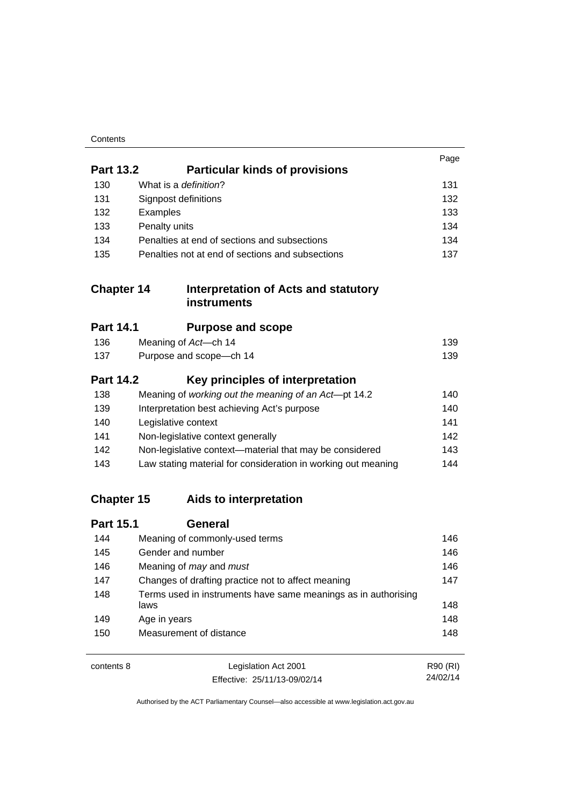| Contents |
|----------|
|----------|

|                   |                                                                        | Page     |
|-------------------|------------------------------------------------------------------------|----------|
| <b>Part 13.2</b>  | <b>Particular kinds of provisions</b>                                  |          |
| 130               | What is a definition?                                                  | 131      |
| 131               | Signpost definitions                                                   | 132      |
| 132               | Examples                                                               | 133      |
| 133               | Penalty units                                                          | 134      |
| 134               | Penalties at end of sections and subsections                           | 134      |
| 135               | Penalties not at end of sections and subsections                       | 137      |
| <b>Chapter 14</b> | Interpretation of Acts and statutory<br><b>instruments</b>             |          |
| <b>Part 14.1</b>  | <b>Purpose and scope</b>                                               |          |
| 136               | Meaning of Act-ch 14                                                   | 139      |
| 137               | Purpose and scope-ch 14                                                | 139      |
| <b>Part 14.2</b>  | Key principles of interpretation                                       |          |
| 138               | Meaning of working out the meaning of an Act-pt 14.2                   | 140      |
| 139               | Interpretation best achieving Act's purpose                            | 140      |
| 140               | Legislative context                                                    | 141      |
| 141               | Non-legislative context generally                                      | 142      |
| 142               | Non-legislative context-material that may be considered                | 143      |
| 143               | Law stating material for consideration in working out meaning          | 144      |
| <b>Chapter 15</b> | Aids to interpretation                                                 |          |
| <b>Part 15.1</b>  | <b>General</b>                                                         |          |
| 144               | Meaning of commonly-used terms                                         | 146      |
| 145               | Gender and number                                                      | 146      |
| 146               | Meaning of may and must                                                | 146      |
| 147               | Changes of drafting practice not to affect meaning                     | 147      |
| 148               | Terms used in instruments have same meanings as in authorising<br>laws | 148      |
| 149               | Age in years                                                           | 148      |
| 150               | Measurement of distance                                                | 148      |
| contents 8        | Legislation Act 2001                                                   | R90 (RI) |

24/02/14

Effective: 25/11/13-09/02/14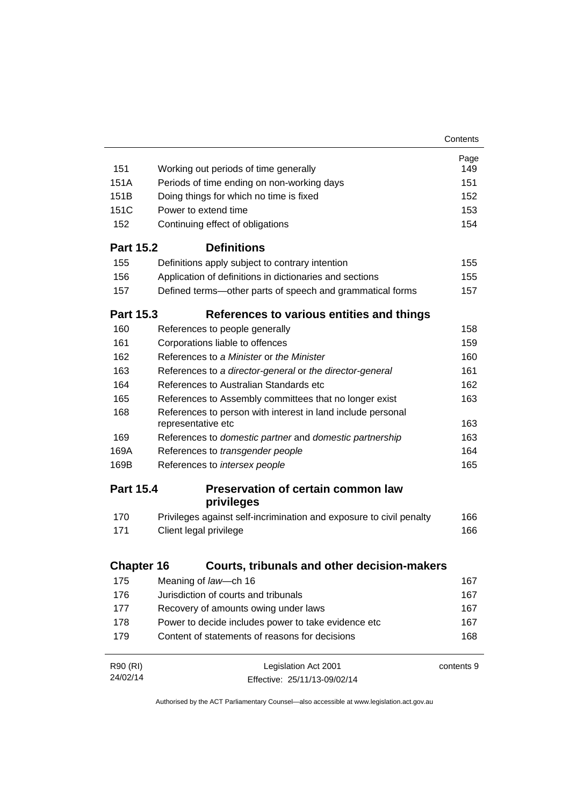|                   |                                                                                   | Contents   |
|-------------------|-----------------------------------------------------------------------------------|------------|
|                   |                                                                                   | Page       |
| 151               | Working out periods of time generally                                             | 149        |
| 151A              | Periods of time ending on non-working days                                        | 151        |
| 151B              | Doing things for which no time is fixed                                           | 152        |
| 151C              | Power to extend time                                                              | 153        |
| 152               | Continuing effect of obligations                                                  | 154        |
| <b>Part 15.2</b>  | <b>Definitions</b>                                                                |            |
| 155               | Definitions apply subject to contrary intention                                   | 155        |
| 156               | Application of definitions in dictionaries and sections                           | 155        |
| 157               | Defined terms-other parts of speech and grammatical forms                         | 157        |
| <b>Part 15.3</b>  | References to various entities and things                                         |            |
| 160               | References to people generally                                                    | 158        |
| 161               | Corporations liable to offences                                                   | 159        |
| 162               | References to a Minister or the Minister                                          | 160        |
| 163               | References to a director-general or the director-general                          | 161        |
| 164               | References to Australian Standards etc.                                           | 162        |
| 165               | References to Assembly committees that no longer exist                            | 163        |
| 168               | References to person with interest in land include personal<br>representative etc | 163        |
| 169               | References to domestic partner and domestic partnership                           | 163        |
| 169A              | References to transgender people                                                  | 164        |
| 169B              | References to intersex people                                                     | 165        |
| <b>Part 15.4</b>  | <b>Preservation of certain common law</b><br>privileges                           |            |
| 170               | Privileges against self-incrimination and exposure to civil penalty               | 166        |
| 171               | Client legal privilege                                                            | 166        |
| <b>Chapter 16</b> | <b>Courts, tribunals and other decision-makers</b>                                |            |
|                   |                                                                                   |            |
| 175               | Meaning of law-ch 16<br>Jurisdiction of courts and tribunals                      | 167        |
| 176               |                                                                                   | 167        |
| 177               | Recovery of amounts owing under laws                                              | 167        |
| 178               | Power to decide includes power to take evidence etc                               | 167        |
| 179               | Content of statements of reasons for decisions                                    | 168        |
| R90 (RI)          | Legislation Act 2001                                                              | contents 9 |
| 24/02/14          | Effective: 25/11/13-09/02/14                                                      |            |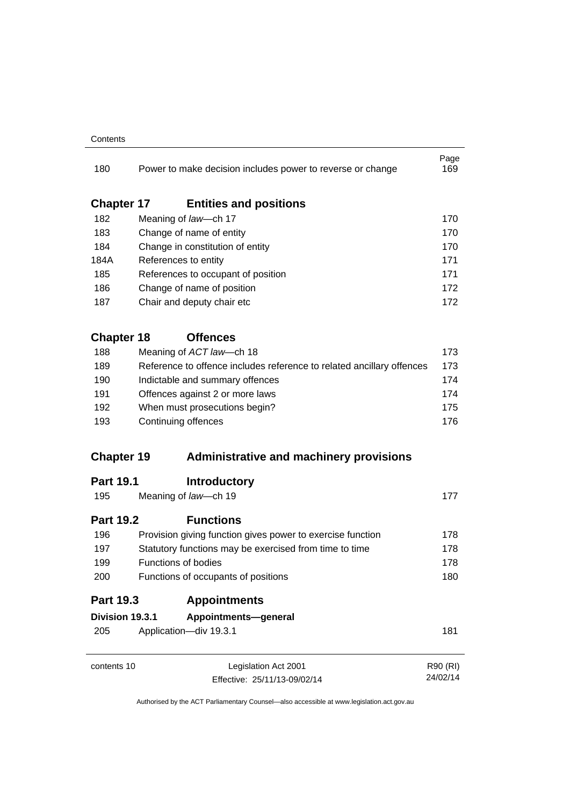#### **Contents**

| 180               | Power to make decision includes power to reverse or change            | Page<br>169 |
|-------------------|-----------------------------------------------------------------------|-------------|
| <b>Chapter 17</b> | <b>Entities and positions</b>                                         |             |
| 182               | Meaning of law-ch 17                                                  | 170         |
| 183               | Change of name of entity                                              | 170         |
| 184               | Change in constitution of entity                                      | 170         |
| 184A              | References to entity                                                  | 171         |
| 185               | References to occupant of position                                    | 171         |
| 186               | Change of name of position                                            | 172         |
| 187               | Chair and deputy chair etc                                            | 172         |
| <b>Chapter 18</b> | <b>Offences</b>                                                       |             |
| 188               | Meaning of ACT law-ch 18                                              | 173         |
| 189               | Reference to offence includes reference to related ancillary offences | 173         |
| 190               | Indictable and summary offences                                       | 174         |
| 191               | Offences against 2 or more laws                                       | 174         |
| 192               | When must prosecutions begin?                                         | 175         |
| 193               | Continuing offences                                                   | 176         |
| <b>Chapter 19</b> | <b>Administrative and machinery provisions</b>                        |             |
| <b>Part 19.1</b>  | <b>Introductory</b>                                                   |             |
| 195               | Meaning of law-ch 19                                                  | 177         |
| <b>Part 19.2</b>  | <b>Functions</b>                                                      |             |
| 196               | Provision giving function gives power to exercise function            | 178         |
| 197               | Statutory functions may be exercised from time to time                | 178         |
| 199               | <b>Functions of bodies</b>                                            | 178         |
| 200               | Functions of occupants of positions                                   |             |
| <b>Part 19.3</b>  | <b>Appointments</b>                                                   |             |
| Division 19.3.1   | Appointments-general                                                  |             |
| 205               | Application-div 19.3.1                                                | 181         |
| contents 10       | Legislation Act 2001                                                  | R90 (RI)    |
|                   | Effective: 25/11/13-09/02/14                                          | 24/02/14    |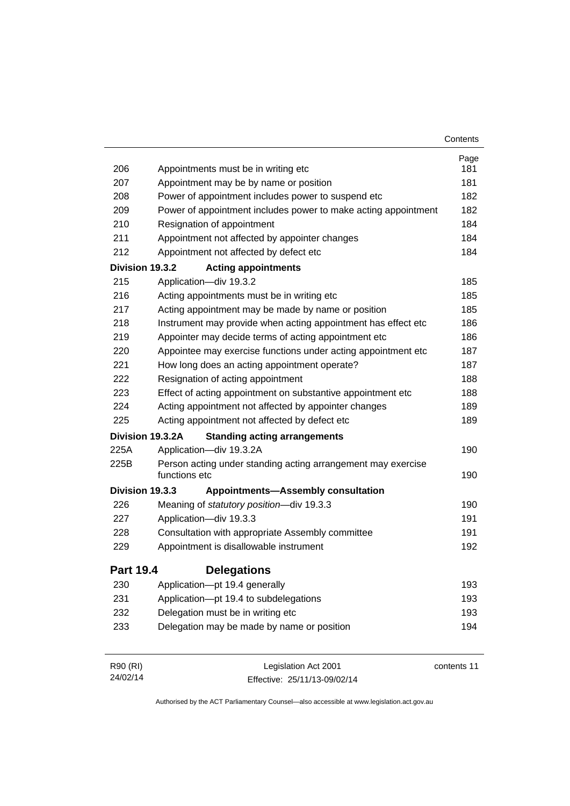|                  |                                                                               | Contents    |
|------------------|-------------------------------------------------------------------------------|-------------|
|                  |                                                                               | Page        |
| 206              | Appointments must be in writing etc                                           | 181         |
| 207              | Appointment may be by name or position                                        | 181         |
| 208              | Power of appointment includes power to suspend etc                            | 182         |
| 209              | Power of appointment includes power to make acting appointment                | 182         |
| 210              | Resignation of appointment                                                    | 184         |
| 211              | Appointment not affected by appointer changes                                 | 184         |
| 212              | Appointment not affected by defect etc                                        | 184         |
| Division 19.3.2  | <b>Acting appointments</b>                                                    |             |
| 215              | Application-div 19.3.2                                                        | 185         |
| 216              | Acting appointments must be in writing etc                                    | 185         |
| 217              | Acting appointment may be made by name or position                            | 185         |
| 218              | Instrument may provide when acting appointment has effect etc                 | 186         |
| 219              | Appointer may decide terms of acting appointment etc                          | 186         |
| 220              | Appointee may exercise functions under acting appointment etc                 | 187         |
| 221              | How long does an acting appointment operate?                                  | 187         |
| 222              | Resignation of acting appointment                                             | 188         |
| 223              | Effect of acting appointment on substantive appointment etc                   | 188         |
| 224              | Acting appointment not affected by appointer changes                          | 189         |
| 225              | Acting appointment not affected by defect etc                                 | 189         |
| Division 19.3.2A | <b>Standing acting arrangements</b>                                           |             |
| 225A             | Application-div 19.3.2A                                                       | 190         |
| 225B             | Person acting under standing acting arrangement may exercise<br>functions etc | 190         |
| Division 19.3.3  | <b>Appointments-Assembly consultation</b>                                     |             |
| 226              | Meaning of statutory position-div 19.3.3                                      | 190         |
| 227              | Application-div 19.3.3                                                        | 191         |
| 228              | Consultation with appropriate Assembly committee                              | 191         |
| 229              | Appointment is disallowable instrument                                        | 192         |
| <b>Part 19.4</b> | <b>Delegations</b>                                                            |             |
| 230              | Application-pt 19.4 generally                                                 | 193         |
| 231              | Application-pt 19.4 to subdelegations                                         | 193         |
| 232              | Delegation must be in writing etc                                             | 193         |
| 233              | Delegation may be made by name or position                                    | 194         |
| R90 (RI)         | Legislation Act 2001                                                          | contents 11 |

Effective: 25/11/13-09/02/14

24/02/14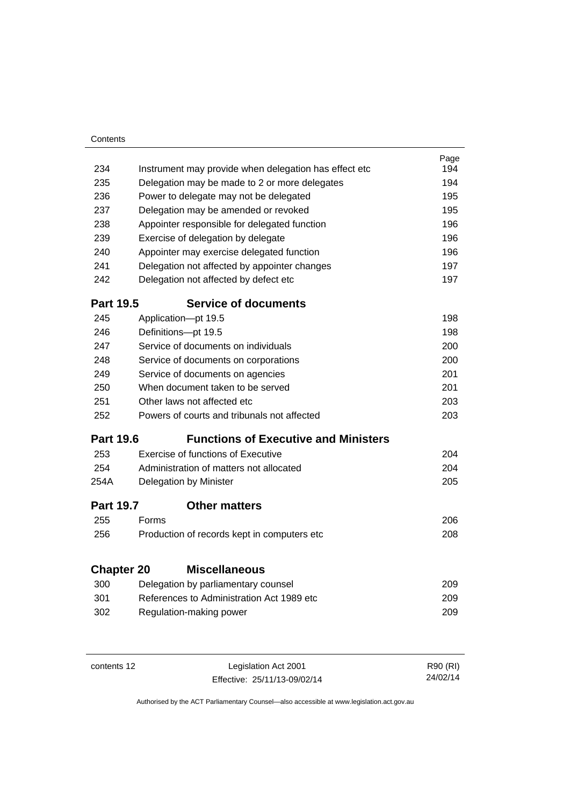| Contents          |       |                                                                                  |            |
|-------------------|-------|----------------------------------------------------------------------------------|------------|
|                   |       |                                                                                  | Page       |
| 234               |       | Instrument may provide when delegation has effect etc                            | 194        |
| 235               |       | Delegation may be made to 2 or more delegates                                    | 194        |
| 236               |       | Power to delegate may not be delegated                                           | 195        |
| 237               |       | Delegation may be amended or revoked                                             | 195        |
| 238               |       | Appointer responsible for delegated function                                     | 196        |
| 239               |       | Exercise of delegation by delegate                                               | 196        |
| 240               |       | Appointer may exercise delegated function                                        | 196        |
| 241               |       | Delegation not affected by appointer changes                                     | 197        |
| 242               |       | Delegation not affected by defect etc                                            | 197        |
| <b>Part 19.5</b>  |       | <b>Service of documents</b>                                                      |            |
| 245               |       | Application-pt 19.5                                                              | 198        |
| 246               |       | Definitions-pt 19.5                                                              | 198        |
| 247               |       | Service of documents on individuals                                              | 200        |
| 248               |       | Service of documents on corporations                                             | 200        |
| 249               |       | Service of documents on agencies                                                 | 201        |
| 250               |       | When document taken to be served                                                 | 201        |
| 251               |       | Other laws not affected etc                                                      | 203        |
| 252               |       | Powers of courts and tribunals not affected                                      | 203        |
| <b>Part 19.6</b>  |       | <b>Functions of Executive and Ministers</b>                                      |            |
| 253               |       | Exercise of functions of Executive                                               | 204        |
| 254               |       | Administration of matters not allocated                                          | 204        |
| 254A              |       | Delegation by Minister                                                           | 205        |
| <b>Part 19.7</b>  |       | <b>Other matters</b>                                                             |            |
| 255               | Forms |                                                                                  | 206        |
| 256               |       | Production of records kept in computers etc                                      | 208        |
| <b>Chapter 20</b> |       | <b>Miscellaneous</b>                                                             |            |
|                   |       |                                                                                  |            |
| 300<br>301        |       | Delegation by parliamentary counsel<br>References to Administration Act 1989 etc | 209<br>209 |
|                   |       |                                                                                  |            |
| 302               |       | Regulation-making power                                                          | 209        |
|                   |       |                                                                                  |            |
|                   |       |                                                                                  |            |

J.

| contents 12 | Legislation Act 2001         | R90 (RI) |
|-------------|------------------------------|----------|
|             | Effective: 25/11/13-09/02/14 | 24/02/14 |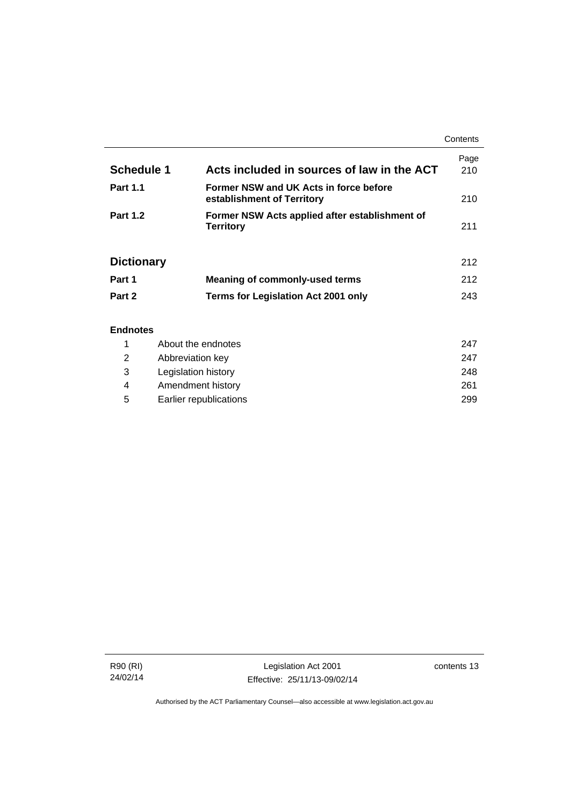|                   |                                                                      | Contents    |
|-------------------|----------------------------------------------------------------------|-------------|
| Schedule 1        | Acts included in sources of law in the ACT                           | Page<br>210 |
| <b>Part 1.1</b>   | Former NSW and UK Acts in force before<br>establishment of Territory | 210         |
| <b>Part 1.2</b>   | Former NSW Acts applied after establishment of<br><b>Territory</b>   | 211         |
| <b>Dictionary</b> |                                                                      | 212         |
| Part 1            | <b>Meaning of commonly-used terms</b>                                | 212         |
| Part 2            | <b>Terms for Legislation Act 2001 only</b>                           | 243         |
| <b>Endnotes</b>   |                                                                      |             |

### 1 [About the endnotes 247](#page-262-1) 2 [Abbreviation key 247](#page-262-2) 3 [Legislation history 248](#page-263-0) 4 [Amendment history 261](#page-276-0) 5 [Earlier republications 299](#page-314-0)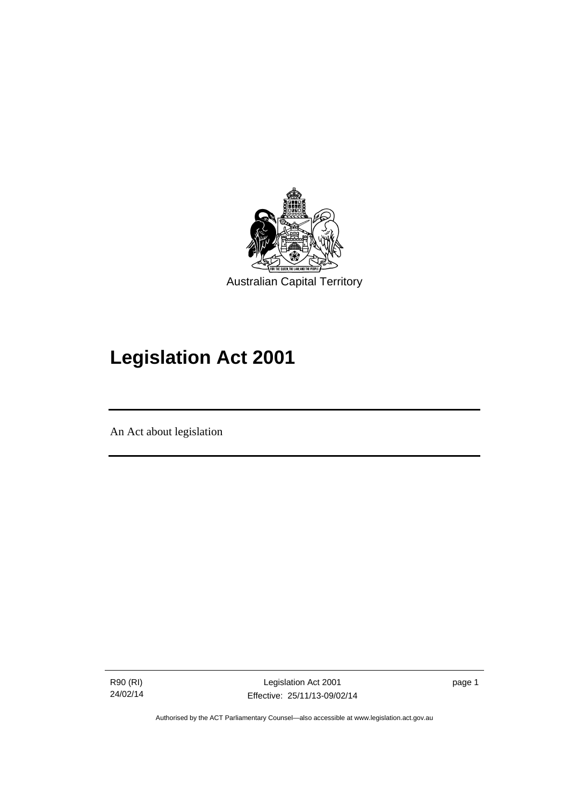

# **Legislation Act 2001**

An Act about legislation

l

R90 (RI) 24/02/14

Legislation Act 2001 Effective: 25/11/13-09/02/14 page 1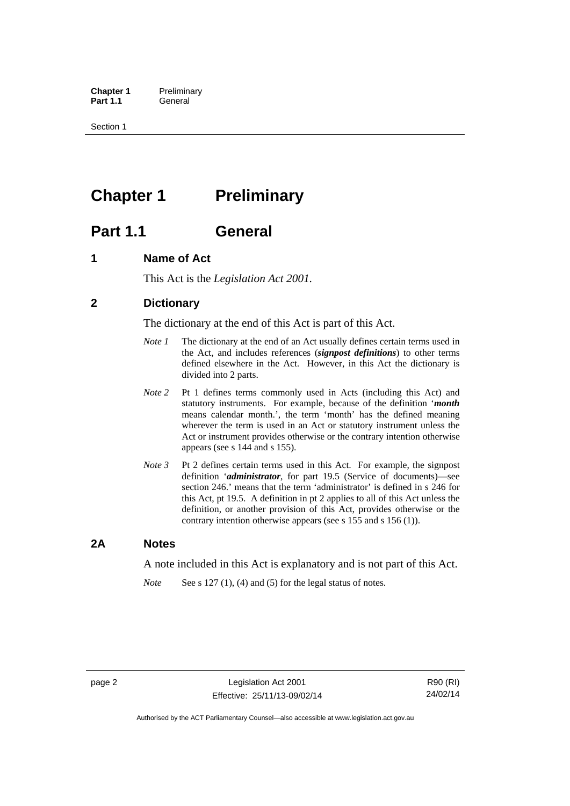**Chapter 1** Preliminary<br>**Part 1.1** General General

Section 1

# <span id="page-17-0"></span>**Chapter 1** Preliminary

## <span id="page-17-1"></span>**Part 1.1 General**

### <span id="page-17-2"></span>**1 Name of Act**

This Act is the *Legislation Act 2001.* 

### <span id="page-17-3"></span>**2 Dictionary**

The dictionary at the end of this Act is part of this Act.

- *Note 1* The dictionary at the end of an Act usually defines certain terms used in the Act, and includes references (*signpost definitions*) to other terms defined elsewhere in the Act. However, in this Act the dictionary is divided into 2 parts.
- *Note 2* Pt 1 defines terms commonly used in Acts (including this Act) and statutory instruments. For example, because of the definition '*month* means calendar month.', the term 'month' has the defined meaning wherever the term is used in an Act or statutory instrument unless the Act or instrument provides otherwise or the contrary intention otherwise appears (see s 144 and s 155).
- *Note 3* Pt 2 defines certain terms used in this Act. For example, the signpost definition '*administrator*, for part 19.5 (Service of documents)—see section 246.' means that the term 'administrator' is defined in s 246 for this Act, pt 19.5. A definition in pt 2 applies to all of this Act unless the definition, or another provision of this Act, provides otherwise or the contrary intention otherwise appears (see s 155 and s 156 (1)).

### <span id="page-17-4"></span>**2A Notes**

A note included in this Act is explanatory and is not part of this Act.

*Note* See s 127 (1), (4) and (5) for the legal status of notes.

page 2 Legislation Act 2001 Effective: 25/11/13-09/02/14

R90 (RI) 24/02/14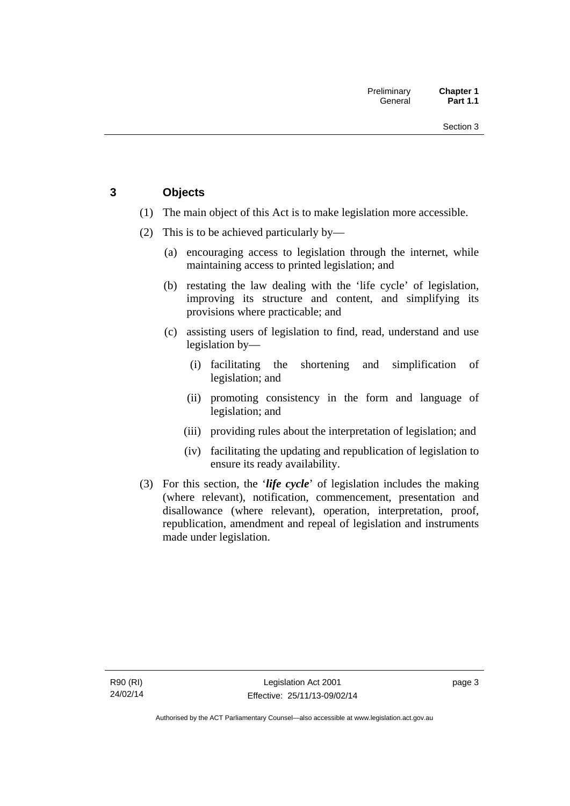### <span id="page-18-0"></span>**3 Objects**

- (1) The main object of this Act is to make legislation more accessible.
- (2) This is to be achieved particularly by—
	- (a) encouraging access to legislation through the internet, while maintaining access to printed legislation; and
	- (b) restating the law dealing with the 'life cycle' of legislation, improving its structure and content, and simplifying its provisions where practicable; and
	- (c) assisting users of legislation to find, read, understand and use legislation by—
		- (i) facilitating the shortening and simplification of legislation; and
		- (ii) promoting consistency in the form and language of legislation; and
		- (iii) providing rules about the interpretation of legislation; and
		- (iv) facilitating the updating and republication of legislation to ensure its ready availability.
- (3) For this section, the '*life cycle*' of legislation includes the making (where relevant), notification, commencement, presentation and disallowance (where relevant), operation, interpretation, proof, republication, amendment and repeal of legislation and instruments made under legislation.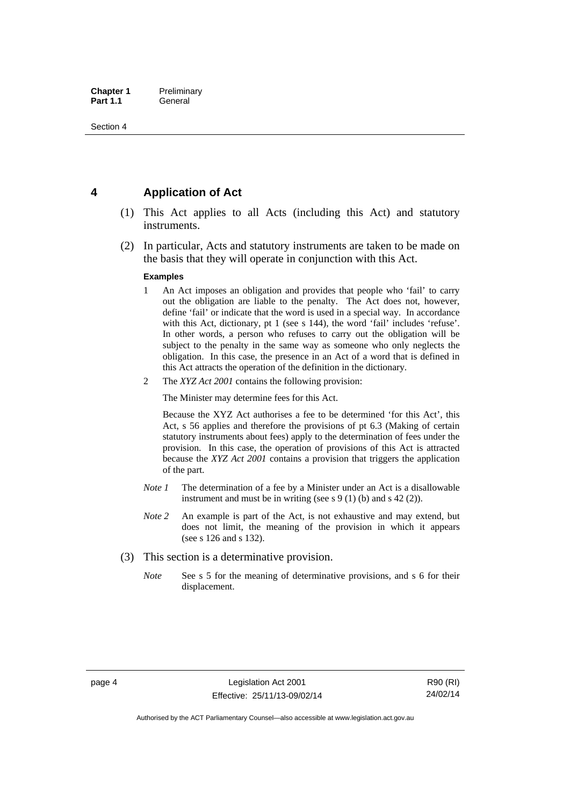### <span id="page-19-0"></span>**4 Application of Act**

- (1) This Act applies to all Acts (including this Act) and statutory instruments.
- (2) In particular, Acts and statutory instruments are taken to be made on the basis that they will operate in conjunction with this Act.

#### **Examples**

- 1 An Act imposes an obligation and provides that people who 'fail' to carry out the obligation are liable to the penalty. The Act does not, however, define 'fail' or indicate that the word is used in a special way. In accordance with this Act, dictionary, pt 1 (see s 144), the word 'fail' includes 'refuse'. In other words, a person who refuses to carry out the obligation will be subject to the penalty in the same way as someone who only neglects the obligation. In this case, the presence in an Act of a word that is defined in this Act attracts the operation of the definition in the dictionary.
- 2 The *XYZ Act 2001* contains the following provision:

The Minister may determine fees for this Act.

Because the XYZ Act authorises a fee to be determined 'for this Act', this Act, s 56 applies and therefore the provisions of pt 6.3 (Making of certain statutory instruments about fees) apply to the determination of fees under the provision. In this case, the operation of provisions of this Act is attracted because the *XYZ Act 2001* contains a provision that triggers the application of the part.

- *Note 1* The determination of a fee by a Minister under an Act is a disallowable instrument and must be in writing (see s 9 (1) (b) and s 42 (2)).
- *Note 2* An example is part of the Act, is not exhaustive and may extend, but does not limit, the meaning of the provision in which it appears (see s 126 and s 132).
- (3) This section is a determinative provision.
	- *Note* See s 5 for the meaning of determinative provisions, and s 6 for their displacement.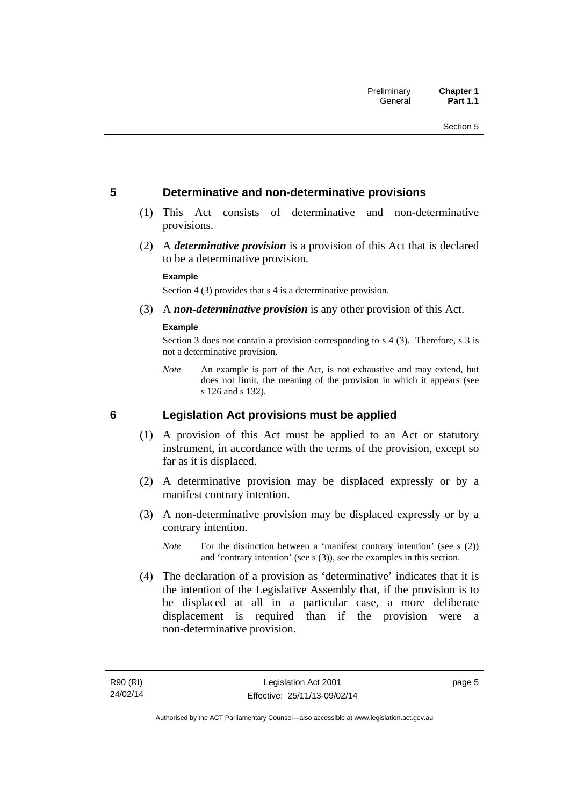### <span id="page-20-0"></span>**5 Determinative and non-determinative provisions**

- (1) This Act consists of determinative and non-determinative provisions.
- (2) A *determinative provision* is a provision of this Act that is declared to be a determinative provision.

#### **Example**

Section 4 (3) provides that s 4 is a determinative provision.

(3) A *non-determinative provision* is any other provision of this Act.

#### **Example**

Section 3 does not contain a provision corresponding to s 4 (3). Therefore, s 3 is not a determinative provision.

*Note* An example is part of the Act, is not exhaustive and may extend, but does not limit, the meaning of the provision in which it appears (see s 126 and s 132).

### <span id="page-20-1"></span>**6 Legislation Act provisions must be applied**

- (1) A provision of this Act must be applied to an Act or statutory instrument, in accordance with the terms of the provision, except so far as it is displaced.
- (2) A determinative provision may be displaced expressly or by a manifest contrary intention.
- (3) A non-determinative provision may be displaced expressly or by a contrary intention.
	- *Note* For the distinction between a 'manifest contrary intention' (see s (2)) and 'contrary intention' (see s (3)), see the examples in this section.
- (4) The declaration of a provision as 'determinative' indicates that it is the intention of the Legislative Assembly that, if the provision is to be displaced at all in a particular case, a more deliberate displacement is required than if the provision were a non-determinative provision.

page 5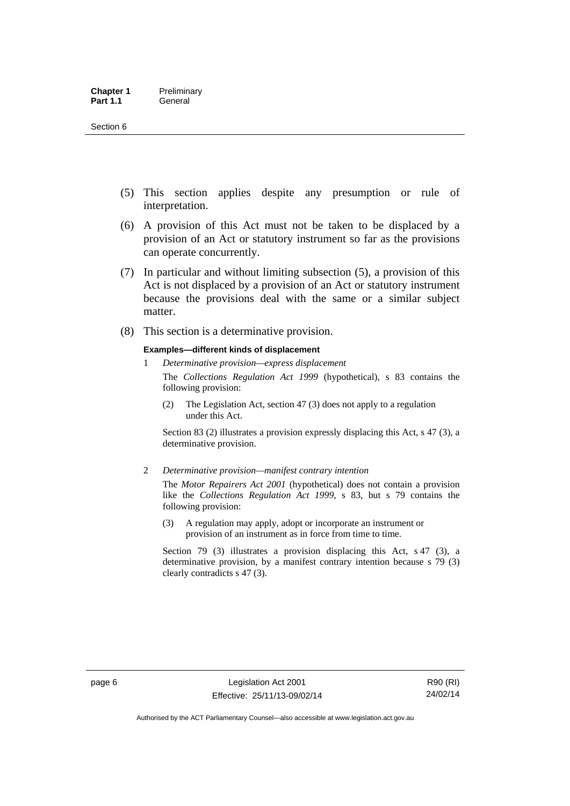- (5) This section applies despite any presumption or rule of interpretation.
- (6) A provision of this Act must not be taken to be displaced by a provision of an Act or statutory instrument so far as the provisions can operate concurrently.
- (7) In particular and without limiting subsection (5), a provision of this Act is not displaced by a provision of an Act or statutory instrument because the provisions deal with the same or a similar subject matter.
- (8) This section is a determinative provision.

#### **Examples—different kinds of displacement**

1 *Determinative provision—express displacement*

The *Collections Regulation Act 1999* (hypothetical), s 83 contains the following provision:

(2) The Legislation Act, section 47 (3) does not apply to a regulation under this Act.

Section 83 (2) illustrates a provision expressly displacing this Act, s 47 (3), a determinative provision.

2 *Determinative provision—manifest contrary intention*

The *Motor Repairers Act 2001* (hypothetical) does not contain a provision like the *Collections Regulation Act 1999*, s 83, but s 79 contains the following provision:

(3) A regulation may apply, adopt or incorporate an instrument or provision of an instrument as in force from time to time.

Section 79 (3) illustrates a provision displacing this Act, s 47 (3), a determinative provision, by a manifest contrary intention because s 79 (3) clearly contradicts s 47 (3).

R90 (RI) 24/02/14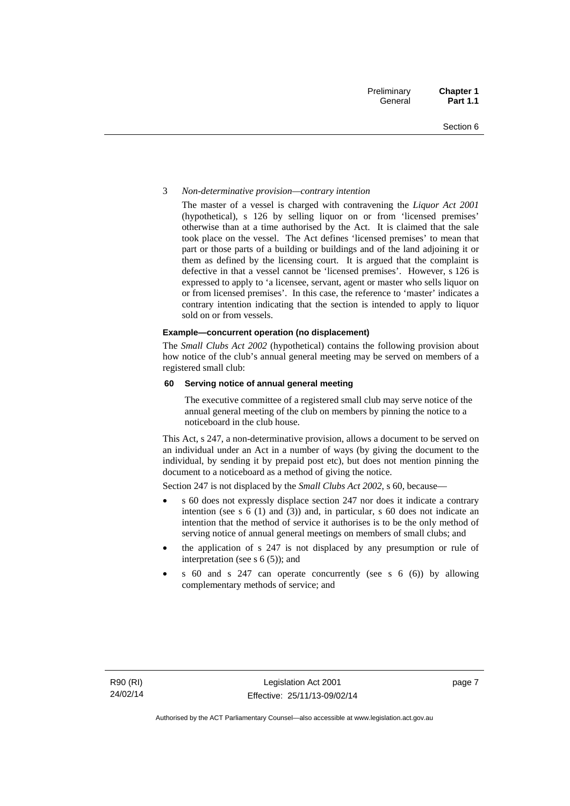#### 3 *Non-determinative provision—contrary intention*

The master of a vessel is charged with contravening the *Liquor Act 2001* (hypothetical), s 126 by selling liquor on or from 'licensed premises' otherwise than at a time authorised by the Act. It is claimed that the sale took place on the vessel. The Act defines 'licensed premises' to mean that part or those parts of a building or buildings and of the land adjoining it or them as defined by the licensing court. It is argued that the complaint is defective in that a vessel cannot be 'licensed premises'. However, s 126 is expressed to apply to 'a licensee, servant, agent or master who sells liquor on or from licensed premises'. In this case, the reference to 'master' indicates a contrary intention indicating that the section is intended to apply to liquor sold on or from vessels.

#### **Example—concurrent operation (no displacement)**

The *Small Clubs Act 2002* (hypothetical) contains the following provision about how notice of the club's annual general meeting may be served on members of a registered small club:

#### **60 Serving notice of annual general meeting**

The executive committee of a registered small club may serve notice of the annual general meeting of the club on members by pinning the notice to a noticeboard in the club house.

This Act, s 247, a non-determinative provision, allows a document to be served on an individual under an Act in a number of ways (by giving the document to the individual, by sending it by prepaid post etc), but does not mention pinning the document to a noticeboard as a method of giving the notice.

Section 247 is not displaced by the *Small Clubs Act 2002*, s 60, because—

- s 60 does not expressly displace section 247 nor does it indicate a contrary intention (see s 6 (1) and (3)) and, in particular, s 60 does not indicate an intention that the method of service it authorises is to be the only method of serving notice of annual general meetings on members of small clubs; and
- the application of s 247 is not displaced by any presumption or rule of interpretation (see s  $6(5)$ ); and
- s 60 and s 247 can operate concurrently (see s 6 (6)) by allowing complementary methods of service; and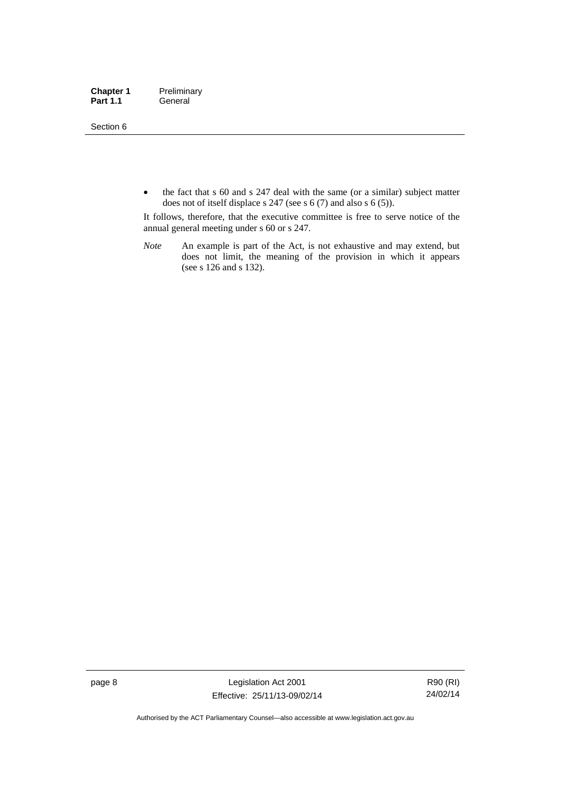Section 6

• the fact that s 60 and s 247 deal with the same (or a similar) subject matter does not of itself displace s 247 (see s 6 (7) and also s 6 (5)).

It follows, therefore, that the executive committee is free to serve notice of the annual general meeting under s 60 or s 247.

*Note* An example is part of the Act, is not exhaustive and may extend, but does not limit, the meaning of the provision in which it appears (see s 126 and s 132).

page 8 Legislation Act 2001 Effective: 25/11/13-09/02/14

R90 (RI) 24/02/14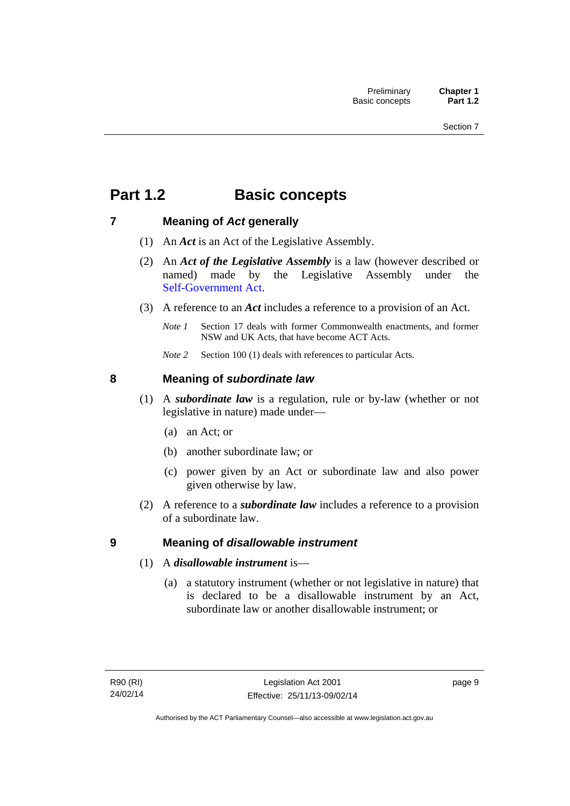# <span id="page-24-0"></span>**Part 1.2 Basic concepts**

### <span id="page-24-1"></span>**7 Meaning of** *Act* **generally**

- (1) An *Act* is an Act of the Legislative Assembly.
- (2) An *Act of the Legislative Assembly* is a law (however described or named) made by the Legislative Assembly under the [Self-Government Act.](http://www.comlaw.gov.au/Series/C2004A03699)
- (3) A reference to an *Act* includes a reference to a provision of an Act.
	- *Note 1* Section 17 deals with former Commonwealth enactments, and former NSW and UK Acts, that have become ACT Acts.
	- *Note 2* Section 100 (1) deals with references to particular Acts.

### <span id="page-24-2"></span>**8 Meaning of** *subordinate law*

- (1) A *subordinate law* is a regulation, rule or by-law (whether or not legislative in nature) made under—
	- (a) an Act; or
	- (b) another subordinate law; or
	- (c) power given by an Act or subordinate law and also power given otherwise by law.
- (2) A reference to a *subordinate law* includes a reference to a provision of a subordinate law.

### <span id="page-24-3"></span>**9 Meaning of** *disallowable instrument*

- (1) A *disallowable instrument* is—
	- (a) a statutory instrument (whether or not legislative in nature) that is declared to be a disallowable instrument by an Act, subordinate law or another disallowable instrument; or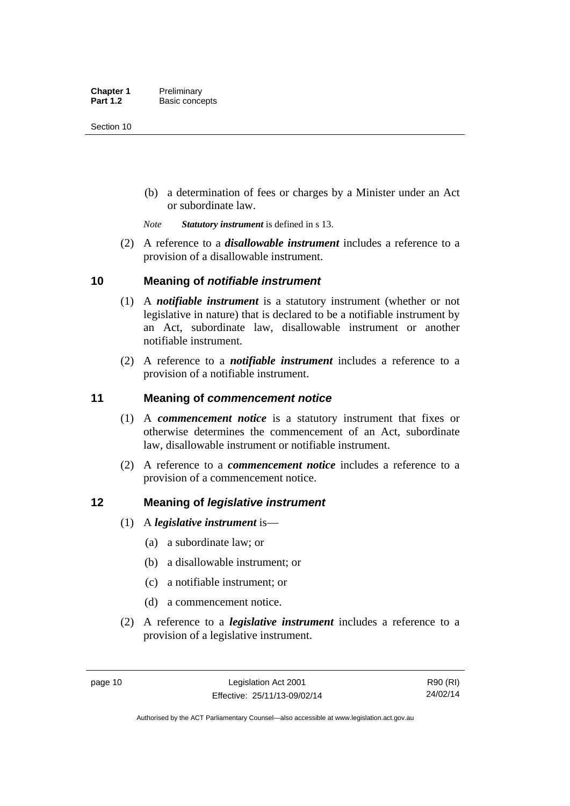(b) a determination of fees or charges by a Minister under an Act or subordinate law.

*Note Statutory instrument* is defined in s 13.

 (2) A reference to a *disallowable instrument* includes a reference to a provision of a disallowable instrument.

### <span id="page-25-0"></span>**10 Meaning of** *notifiable instrument*

- (1) A *notifiable instrument* is a statutory instrument (whether or not legislative in nature) that is declared to be a notifiable instrument by an Act, subordinate law, disallowable instrument or another notifiable instrument.
- (2) A reference to a *notifiable instrument* includes a reference to a provision of a notifiable instrument.

### <span id="page-25-1"></span>**11 Meaning of** *commencement notice*

- (1) A *commencement notice* is a statutory instrument that fixes or otherwise determines the commencement of an Act, subordinate law, disallowable instrument or notifiable instrument.
- (2) A reference to a *commencement notice* includes a reference to a provision of a commencement notice.

### <span id="page-25-2"></span>**12 Meaning of** *legislative instrument*

- (1) A *legislative instrument* is—
	- (a) a subordinate law; or
	- (b) a disallowable instrument; or
	- (c) a notifiable instrument; or
	- (d) a commencement notice.
- (2) A reference to a *legislative instrument* includes a reference to a provision of a legislative instrument.

R90 (RI) 24/02/14

Authorised by the ACT Parliamentary Counsel—also accessible at www.legislation.act.gov.au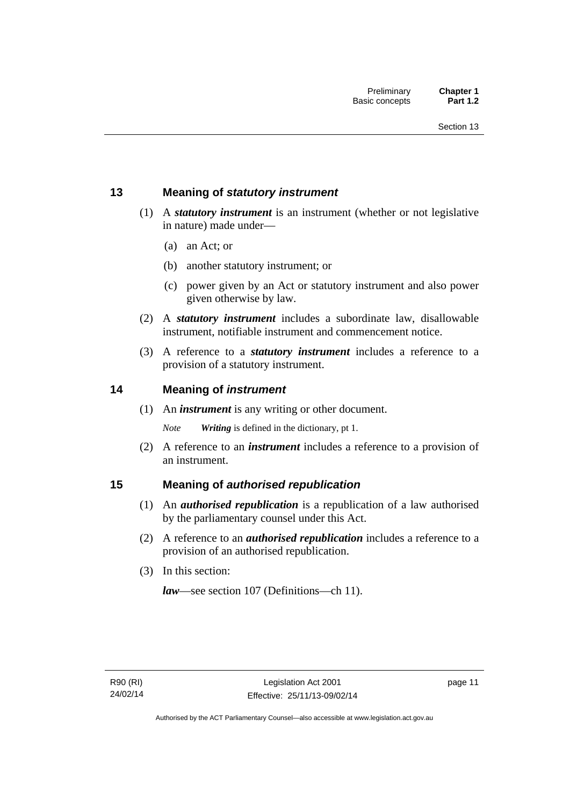### <span id="page-26-0"></span>**13 Meaning of** *statutory instrument*

- (1) A *statutory instrument* is an instrument (whether or not legislative in nature) made under—
	- (a) an Act; or
	- (b) another statutory instrument; or
	- (c) power given by an Act or statutory instrument and also power given otherwise by law.
- (2) A *statutory instrument* includes a subordinate law, disallowable instrument, notifiable instrument and commencement notice.
- (3) A reference to a *statutory instrument* includes a reference to a provision of a statutory instrument.

### <span id="page-26-1"></span>**14 Meaning of** *instrument*

(1) An *instrument* is any writing or other document.

*Note Writing* is defined in the dictionary, pt 1.

 (2) A reference to an *instrument* includes a reference to a provision of an instrument.

### <span id="page-26-2"></span>**15 Meaning of** *authorised republication*

- (1) An *authorised republication* is a republication of a law authorised by the parliamentary counsel under this Act.
- (2) A reference to an *authorised republication* includes a reference to a provision of an authorised republication.
- (3) In this section:

*law*—see section 107 (Definitions—ch 11).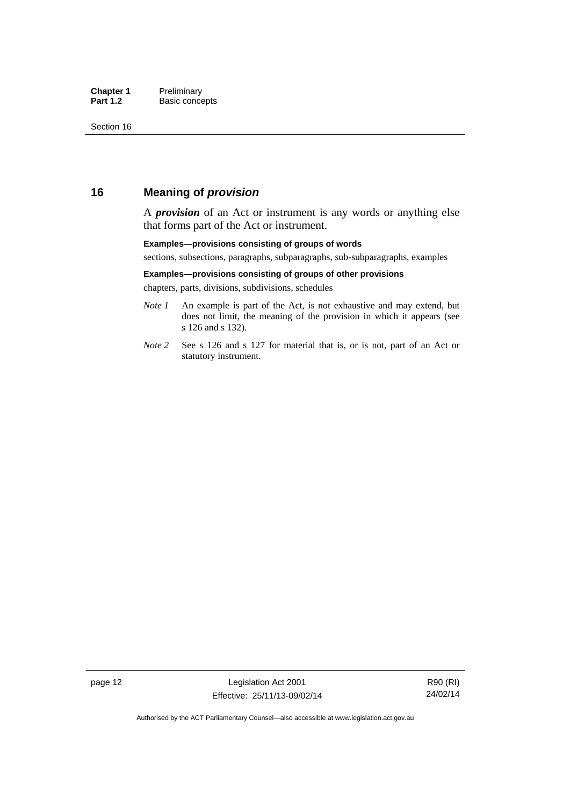### <span id="page-27-0"></span>**16 Meaning of** *provision*

A *provision* of an Act or instrument is any words or anything else that forms part of the Act or instrument.

#### **Examples—provisions consisting of groups of words**

sections, subsections, paragraphs, subparagraphs, sub-subparagraphs, examples

#### **Examples—provisions consisting of groups of other provisions**

chapters, parts, divisions, subdivisions, schedules

- *Note 1* An example is part of the Act, is not exhaustive and may extend, but does not limit, the meaning of the provision in which it appears (see s 126 and s 132).
- *Note 2* See s 126 and s 127 for material that is, or is not, part of an Act or statutory instrument.

page 12 Legislation Act 2001 Effective: 25/11/13-09/02/14

R90 (RI) 24/02/14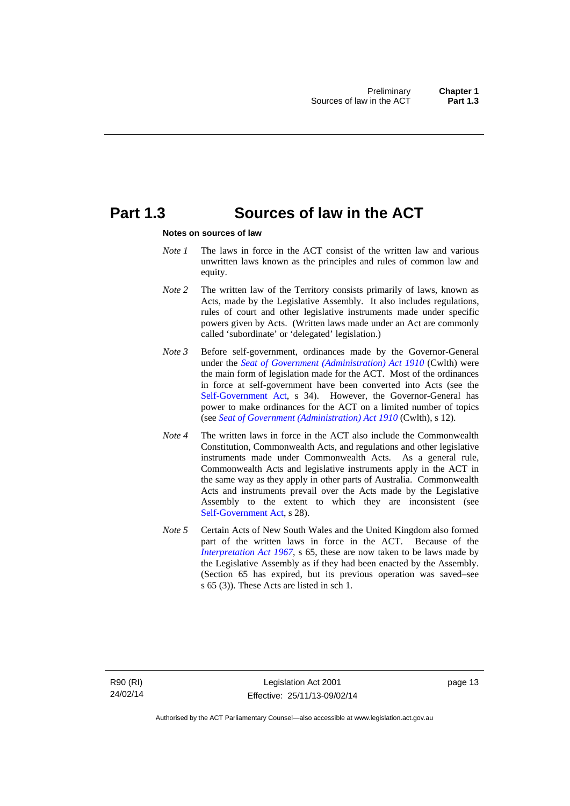## <span id="page-28-0"></span>**Part 1.3 Sources of law in the ACT**

#### **Notes on sources of law**

- *Note 1* The laws in force in the ACT consist of the written law and various unwritten laws known as the principles and rules of common law and equity.
- *Note* 2 The written law of the Territory consists primarily of laws, known as Acts, made by the Legislative Assembly. It also includes regulations, rules of court and other legislative instruments made under specific powers given by Acts. (Written laws made under an Act are commonly called 'subordinate' or 'delegated' legislation.)
- *Note 3* Before self-government, ordinances made by the Governor-General under the *[Seat of Government \(Administration\) Act 1910](http://www.comlaw.gov.au/Series/C2004A07446)* (Cwlth) were the main form of legislation made for the ACT. Most of the ordinances in force at self-government have been converted into Acts (see the [Self-Government Act,](http://www.comlaw.gov.au/Series/C2004A03699) s 34). However, the Governor-General has power to make ordinances for the ACT on a limited number of topics (see *[Seat of Government \(Administration\) Act 1910](http://www.comlaw.gov.au/Series/C2004A07446)* (Cwlth), s 12).
- *Note 4* The written laws in force in the ACT also include the Commonwealth Constitution, Commonwealth Acts, and regulations and other legislative instruments made under Commonwealth Acts. As a general rule, Commonwealth Acts and legislative instruments apply in the ACT in the same way as they apply in other parts of Australia. Commonwealth Acts and instruments prevail over the Acts made by the Legislative Assembly to the extent to which they are inconsistent (see [Self-Government Act](http://www.comlaw.gov.au/Series/C2004A03699), s 28).
- *Note 5* Certain Acts of New South Wales and the United Kingdom also formed part of the written laws in force in the ACT. Because of the *[Interpretation Act 1967](http://www.legislation.act.gov.au/a/1967-48)*, s 65, these are now taken to be laws made by the Legislative Assembly as if they had been enacted by the Assembly. (Section 65 has expired, but its previous operation was saved–see s 65 (3)). These Acts are listed in sch 1.

page 13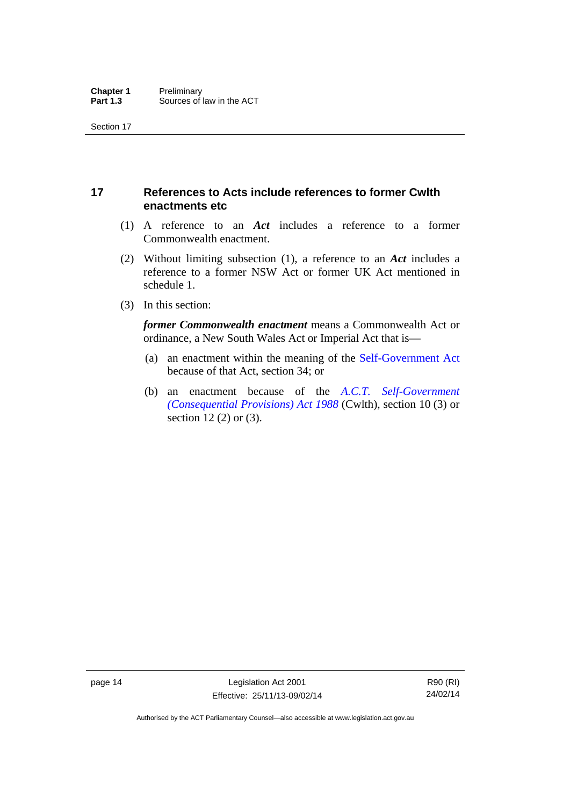### <span id="page-29-0"></span>**17 References to Acts include references to former Cwlth enactments etc**

- (1) A reference to an *Act* includes a reference to a former Commonwealth enactment.
- (2) Without limiting subsection (1), a reference to an *Act* includes a reference to a former NSW Act or former UK Act mentioned in schedule 1.
- (3) In this section:

*former Commonwealth enactment* means a Commonwealth Act or ordinance, a New South Wales Act or Imperial Act that is—

- (a) an enactment within the meaning of the [Self-Government Act](http://www.comlaw.gov.au/Series/C2004A03699) because of that Act, section 34; or
- (b) an enactment because of the *[A.C.T. Self-Government](http://www.comlaw.gov.au/Series/C2004A03702)  [\(Consequential Provisions\) Act 1988](http://www.comlaw.gov.au/Series/C2004A03702)* (Cwlth), section 10 (3) or section 12 (2) or (3).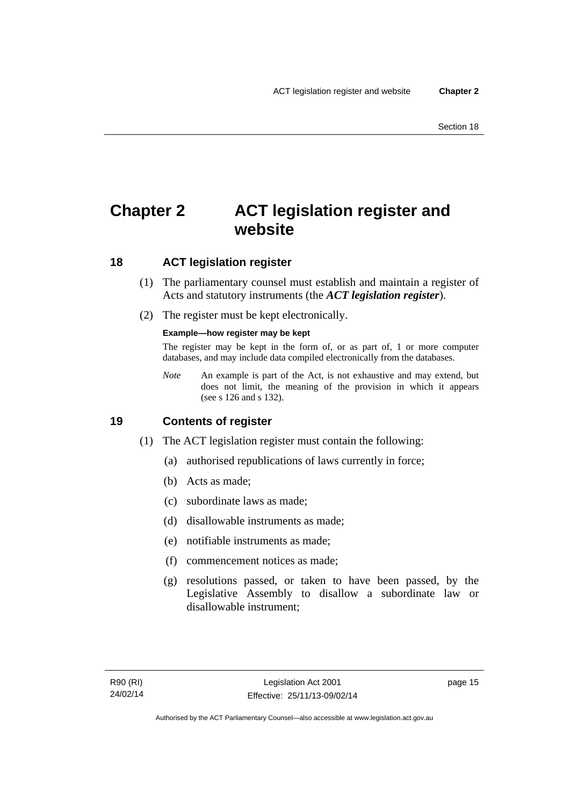# <span id="page-30-0"></span>**Chapter 2 ACT legislation register and website**

### <span id="page-30-1"></span>**18 ACT legislation register**

- (1) The parliamentary counsel must establish and maintain a register of Acts and statutory instruments (the *ACT legislation register*).
- (2) The register must be kept electronically.

### **Example—how register may be kept**

The register may be kept in the form of, or as part of, 1 or more computer databases, and may include data compiled electronically from the databases.

*Note* An example is part of the Act, is not exhaustive and may extend, but does not limit, the meaning of the provision in which it appears (see s 126 and s 132).

### <span id="page-30-2"></span>**19 Contents of register**

- (1) The ACT legislation register must contain the following:
	- (a) authorised republications of laws currently in force;
	- (b) Acts as made;
	- (c) subordinate laws as made;
	- (d) disallowable instruments as made;
	- (e) notifiable instruments as made;
	- (f) commencement notices as made;
	- (g) resolutions passed, or taken to have been passed, by the Legislative Assembly to disallow a subordinate law or disallowable instrument;

page 15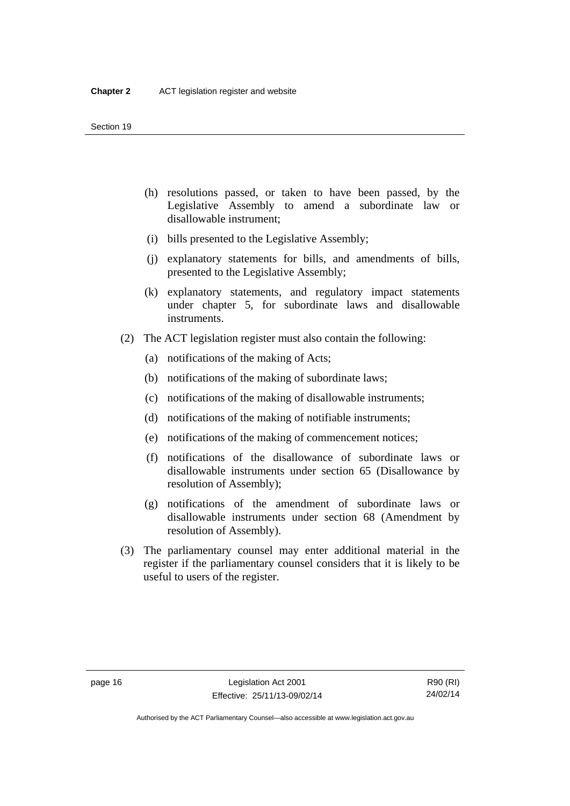- (h) resolutions passed, or taken to have been passed, by the Legislative Assembly to amend a subordinate law or disallowable instrument;
- (i) bills presented to the Legislative Assembly;
- (j) explanatory statements for bills, and amendments of bills, presented to the Legislative Assembly;
- (k) explanatory statements, and regulatory impact statements under chapter 5, for subordinate laws and disallowable instruments.
- (2) The ACT legislation register must also contain the following:
	- (a) notifications of the making of Acts;
	- (b) notifications of the making of subordinate laws;
	- (c) notifications of the making of disallowable instruments;
	- (d) notifications of the making of notifiable instruments;
	- (e) notifications of the making of commencement notices;
	- (f) notifications of the disallowance of subordinate laws or disallowable instruments under section 65 (Disallowance by resolution of Assembly);
	- (g) notifications of the amendment of subordinate laws or disallowable instruments under section 68 (Amendment by resolution of Assembly).
- (3) The parliamentary counsel may enter additional material in the register if the parliamentary counsel considers that it is likely to be useful to users of the register.

Authorised by the ACT Parliamentary Counsel—also accessible at www.legislation.act.gov.au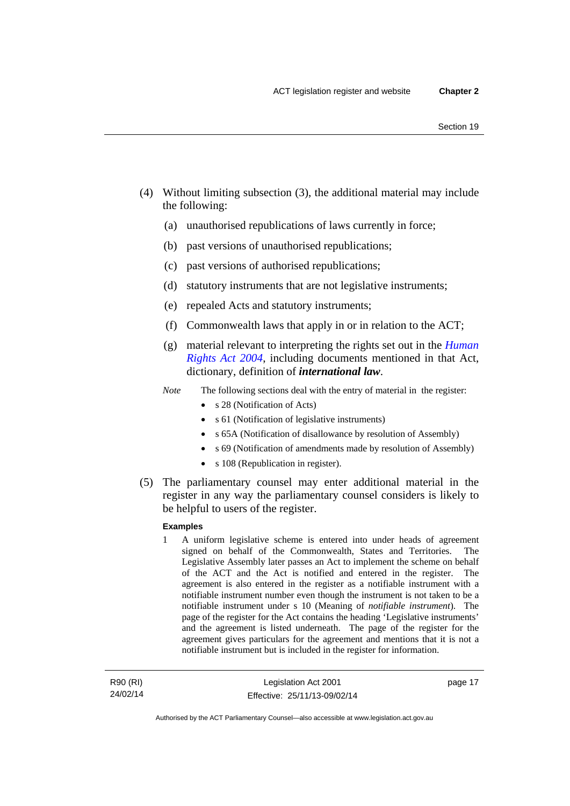- (4) Without limiting subsection (3), the additional material may include the following:
	- (a) unauthorised republications of laws currently in force;
	- (b) past versions of unauthorised republications;
	- (c) past versions of authorised republications;
	- (d) statutory instruments that are not legislative instruments;
	- (e) repealed Acts and statutory instruments;
	- (f) Commonwealth laws that apply in or in relation to the ACT;
	- (g) material relevant to interpreting the rights set out in the *[Human](http://www.legislation.act.gov.au/a/2004-5)  [Rights Act 2004](http://www.legislation.act.gov.au/a/2004-5)*, including documents mentioned in that Act, dictionary, definition of *international law*.
	- *Note* The following sections deal with the entry of material in the register:
		- s 28 (Notification of Acts)
		- s 61 (Notification of legislative instruments)
		- s 65A (Notification of disallowance by resolution of Assembly)
		- s 69 (Notification of amendments made by resolution of Assembly)
		- s 108 (Republication in register).
- (5) The parliamentary counsel may enter additional material in the register in any way the parliamentary counsel considers is likely to be helpful to users of the register.

#### **Examples**

1 A uniform legislative scheme is entered into under heads of agreement signed on behalf of the Commonwealth, States and Territories. The Legislative Assembly later passes an Act to implement the scheme on behalf of the ACT and the Act is notified and entered in the register. The agreement is also entered in the register as a notifiable instrument with a notifiable instrument number even though the instrument is not taken to be a notifiable instrument under s 10 (Meaning of *notifiable instrument*). The page of the register for the Act contains the heading 'Legislative instruments' and the agreement is listed underneath. The page of the register for the agreement gives particulars for the agreement and mentions that it is not a notifiable instrument but is included in the register for information.

R90 (RI) 24/02/14 page 17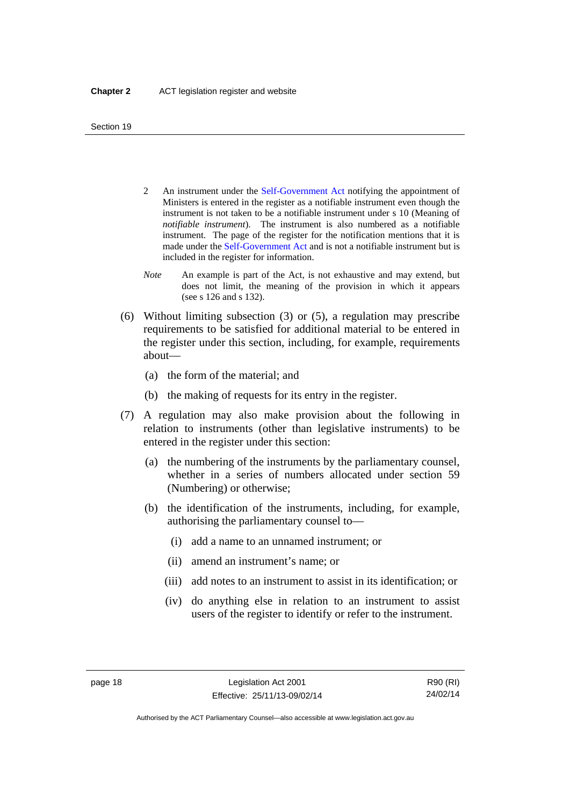- 2 An instrument under the [Self-Government Act](http://www.comlaw.gov.au/Series/C2004A03699) notifying the appointment of Ministers is entered in the register as a notifiable instrument even though the instrument is not taken to be a notifiable instrument under s 10 (Meaning of *notifiable instrument*). The instrument is also numbered as a notifiable instrument. The page of the register for the notification mentions that it is made under the [Self-Government Act](http://www.comlaw.gov.au/Series/C2004A03699) and is not a notifiable instrument but is included in the register for information.
- *Note* An example is part of the Act, is not exhaustive and may extend, but does not limit, the meaning of the provision in which it appears (see s 126 and s 132).
- (6) Without limiting subsection (3) or (5), a regulation may prescribe requirements to be satisfied for additional material to be entered in the register under this section, including, for example, requirements about—
	- (a) the form of the material; and
	- (b) the making of requests for its entry in the register.
- (7) A regulation may also make provision about the following in relation to instruments (other than legislative instruments) to be entered in the register under this section:
	- (a) the numbering of the instruments by the parliamentary counsel, whether in a series of numbers allocated under section 59 (Numbering) or otherwise;
	- (b) the identification of the instruments, including, for example, authorising the parliamentary counsel to—
		- (i) add a name to an unnamed instrument; or
		- (ii) amend an instrument's name; or
		- (iii) add notes to an instrument to assist in its identification; or
		- (iv) do anything else in relation to an instrument to assist users of the register to identify or refer to the instrument.

R90 (RI) 24/02/14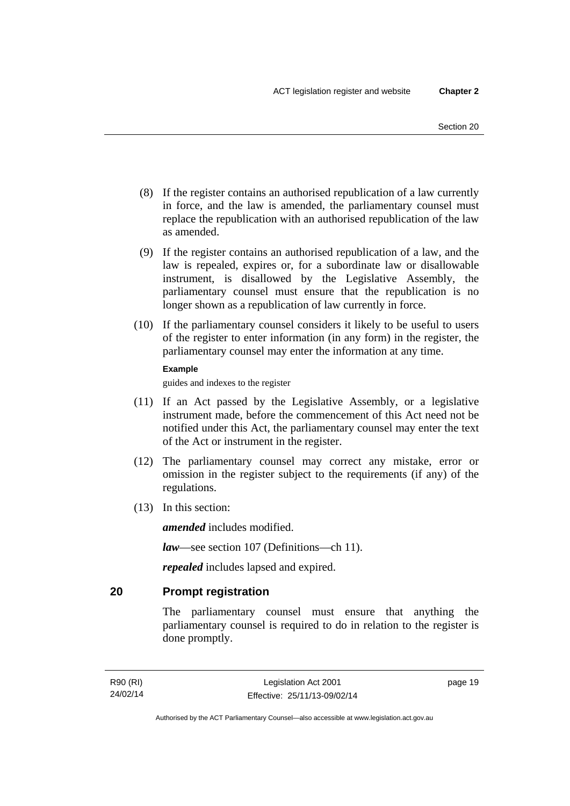- (8) If the register contains an authorised republication of a law currently in force, and the law is amended, the parliamentary counsel must replace the republication with an authorised republication of the law as amended.
- (9) If the register contains an authorised republication of a law, and the law is repealed, expires or, for a subordinate law or disallowable instrument, is disallowed by the Legislative Assembly, the parliamentary counsel must ensure that the republication is no longer shown as a republication of law currently in force.
- (10) If the parliamentary counsel considers it likely to be useful to users of the register to enter information (in any form) in the register, the parliamentary counsel may enter the information at any time.

#### **Example**

guides and indexes to the register

- (11) If an Act passed by the Legislative Assembly, or a legislative instrument made, before the commencement of this Act need not be notified under this Act, the parliamentary counsel may enter the text of the Act or instrument in the register.
- (12) The parliamentary counsel may correct any mistake, error or omission in the register subject to the requirements (if any) of the regulations.
- (13) In this section:

*amended* includes modified.

*law*—see section 107 (Definitions—ch 11).

*repealed* includes lapsed and expired.

### <span id="page-34-0"></span>**20 Prompt registration**

The parliamentary counsel must ensure that anything the parliamentary counsel is required to do in relation to the register is done promptly.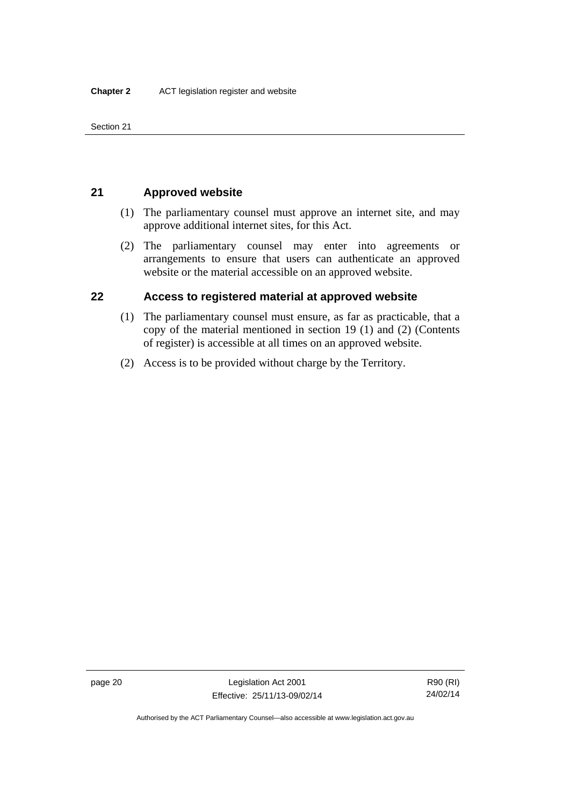Section 21

### <span id="page-35-0"></span>**21 Approved website**

- (1) The parliamentary counsel must approve an internet site, and may approve additional internet sites, for this Act.
- (2) The parliamentary counsel may enter into agreements or arrangements to ensure that users can authenticate an approved website or the material accessible on an approved website.

### <span id="page-35-1"></span>**22 Access to registered material at approved website**

- (1) The parliamentary counsel must ensure, as far as practicable, that a copy of the material mentioned in section 19 (1) and (2) (Contents of register) is accessible at all times on an approved website.
- (2) Access is to be provided without charge by the Territory.

page 20 Legislation Act 2001 Effective: 25/11/13-09/02/14

R90 (RI) 24/02/14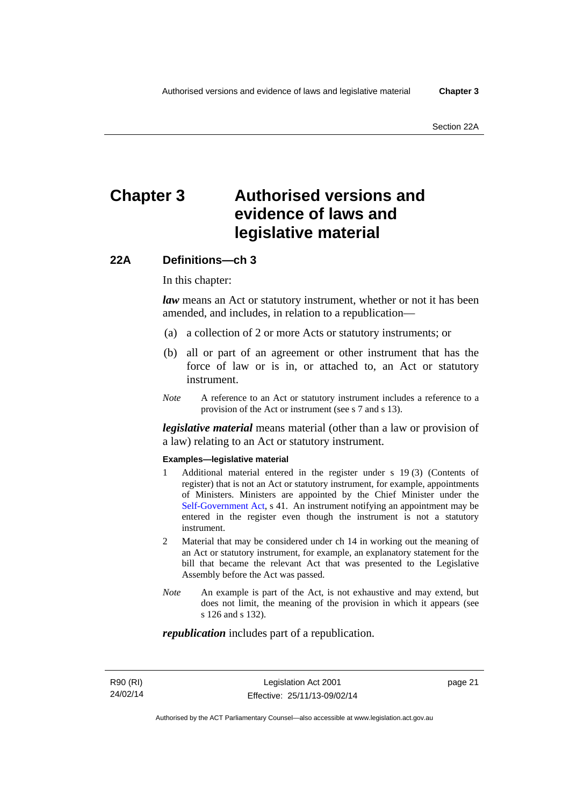# **Chapter 3 Authorised versions and evidence of laws and legislative material**

### **22A Definitions—ch 3**

In this chapter:

*law* means an Act or statutory instrument, whether or not it has been amended, and includes, in relation to a republication—

- (a) a collection of 2 or more Acts or statutory instruments; or
- (b) all or part of an agreement or other instrument that has the force of law or is in, or attached to, an Act or statutory instrument.
- *Note* A reference to an Act or statutory instrument includes a reference to a provision of the Act or instrument (see s 7 and s 13).

*legislative material* means material (other than a law or provision of a law) relating to an Act or statutory instrument.

#### **Examples—legislative material**

- 1 Additional material entered in the register under s 19 (3) (Contents of register) that is not an Act or statutory instrument, for example, appointments of Ministers. Ministers are appointed by the Chief Minister under the [Self-Government Act,](http://www.comlaw.gov.au/Series/C2004A03699) s 41. An instrument notifying an appointment may be entered in the register even though the instrument is not a statutory instrument.
- 2 Material that may be considered under ch 14 in working out the meaning of an Act or statutory instrument, for example, an explanatory statement for the bill that became the relevant Act that was presented to the Legislative Assembly before the Act was passed.
- *Note* An example is part of the Act, is not exhaustive and may extend, but does not limit, the meaning of the provision in which it appears (see s 126 and s 132).

#### *republication* includes part of a republication.

page 21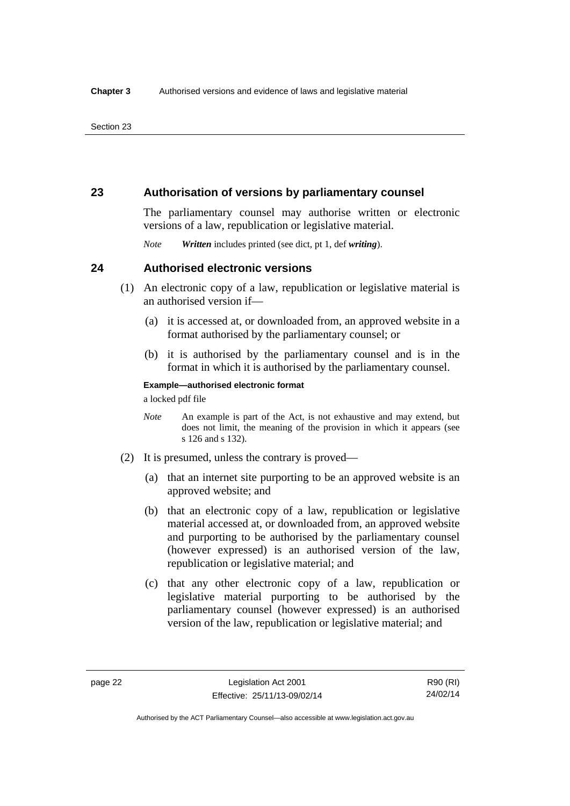### **23 Authorisation of versions by parliamentary counsel**

The parliamentary counsel may authorise written or electronic versions of a law, republication or legislative material.

*Note Written* includes printed (see dict, pt 1, def *writing*).

### **24 Authorised electronic versions**

- (1) An electronic copy of a law, republication or legislative material is an authorised version if—
	- (a) it is accessed at, or downloaded from, an approved website in a format authorised by the parliamentary counsel; or
	- (b) it is authorised by the parliamentary counsel and is in the format in which it is authorised by the parliamentary counsel.

**Example—authorised electronic format** 

a locked pdf file

- *Note* An example is part of the Act, is not exhaustive and may extend, but does not limit, the meaning of the provision in which it appears (see s 126 and s 132).
- (2) It is presumed, unless the contrary is proved—
	- (a) that an internet site purporting to be an approved website is an approved website; and
	- (b) that an electronic copy of a law, republication or legislative material accessed at, or downloaded from, an approved website and purporting to be authorised by the parliamentary counsel (however expressed) is an authorised version of the law, republication or legislative material; and
	- (c) that any other electronic copy of a law, republication or legislative material purporting to be authorised by the parliamentary counsel (however expressed) is an authorised version of the law, republication or legislative material; and

Authorised by the ACT Parliamentary Counsel—also accessible at www.legislation.act.gov.au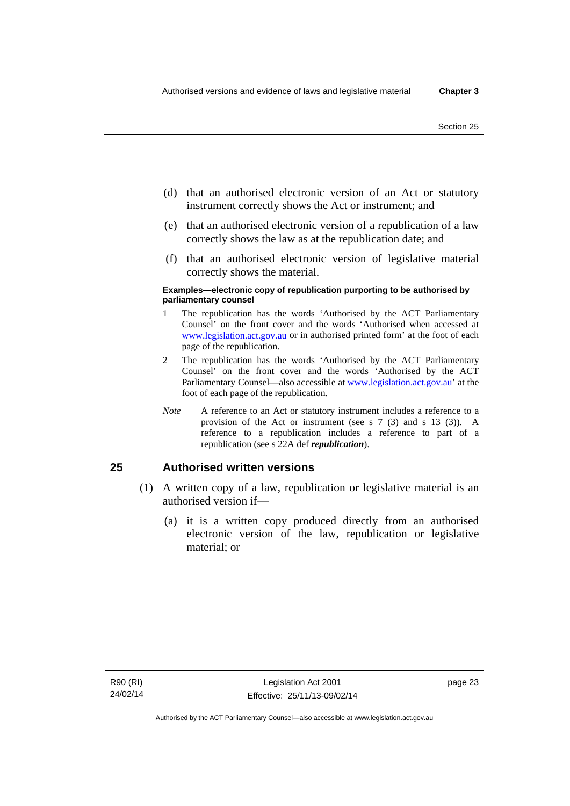- (d) that an authorised electronic version of an Act or statutory instrument correctly shows the Act or instrument; and
- (e) that an authorised electronic version of a republication of a law correctly shows the law as at the republication date; and
- (f) that an authorised electronic version of legislative material correctly shows the material.

#### **Examples—electronic copy of republication purporting to be authorised by parliamentary counsel**

- 1 The republication has the words 'Authorised by the ACT Parliamentary Counsel' on the front cover and the words 'Authorised when accessed at [www.legislation.act.gov.au](http://www.legislation.act.gov.au/) or in authorised printed form' at the foot of each page of the republication.
- 2 The republication has the words 'Authorised by the ACT Parliamentary Counsel' on the front cover and the words 'Authorised by the ACT Parliamentary Counsel—also accessible at [www.legislation.act.gov.au](http://www.legislation.act.gov.au/)' at the foot of each page of the republication.
- *Note* A reference to an Act or statutory instrument includes a reference to a provision of the Act or instrument (see s 7 (3) and s 13 (3)). A reference to a republication includes a reference to part of a republication (see s 22A def *republication*).

### **25 Authorised written versions**

- (1) A written copy of a law, republication or legislative material is an authorised version if—
	- (a) it is a written copy produced directly from an authorised electronic version of the law, republication or legislative material; or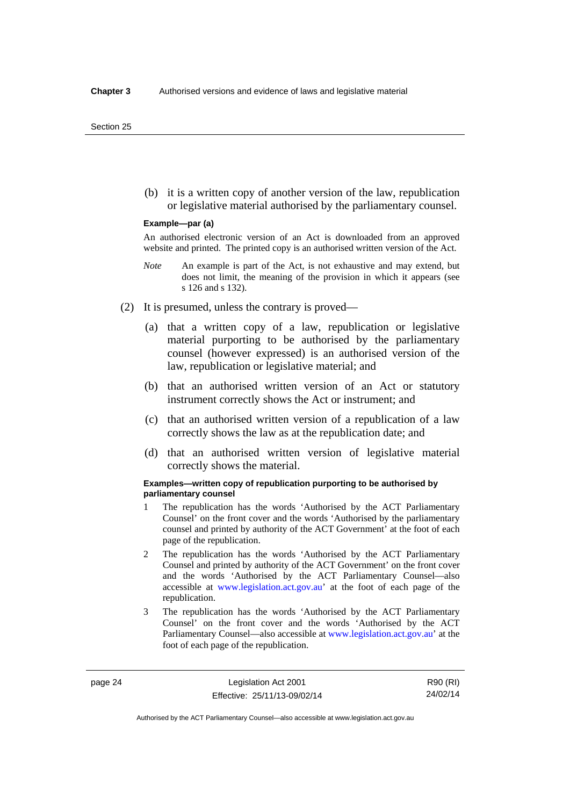(b) it is a written copy of another version of the law, republication or legislative material authorised by the parliamentary counsel.

#### **Example—par (a)**

An authorised electronic version of an Act is downloaded from an approved website and printed. The printed copy is an authorised written version of the Act.

- *Note* An example is part of the Act, is not exhaustive and may extend, but does not limit, the meaning of the provision in which it appears (see s 126 and s 132).
- (2) It is presumed, unless the contrary is proved—
	- (a) that a written copy of a law, republication or legislative material purporting to be authorised by the parliamentary counsel (however expressed) is an authorised version of the law, republication or legislative material; and
	- (b) that an authorised written version of an Act or statutory instrument correctly shows the Act or instrument; and
	- (c) that an authorised written version of a republication of a law correctly shows the law as at the republication date; and
	- (d) that an authorised written version of legislative material correctly shows the material.

#### **Examples—written copy of republication purporting to be authorised by parliamentary counsel**

- 1 The republication has the words 'Authorised by the ACT Parliamentary Counsel' on the front cover and the words 'Authorised by the parliamentary counsel and printed by authority of the ACT Government' at the foot of each page of the republication.
- 2 The republication has the words 'Authorised by the ACT Parliamentary Counsel and printed by authority of the ACT Government' on the front cover and the words 'Authorised by the ACT Parliamentary Counsel—also accessible at [www.legislation.act.gov.au'](http://www.legislation.act.gov.au/) at the foot of each page of the republication.
- 3 The republication has the words 'Authorised by the ACT Parliamentary Counsel' on the front cover and the words 'Authorised by the ACT Parliamentary Counsel—also accessible at [www.legislation.act.gov.au](http://www.legislation.act.gov.au/)' at the foot of each page of the republication.

page 24 Legislation Act 2001 Effective: 25/11/13-09/02/14

Authorised by the ACT Parliamentary Counsel—also accessible at www.legislation.act.gov.au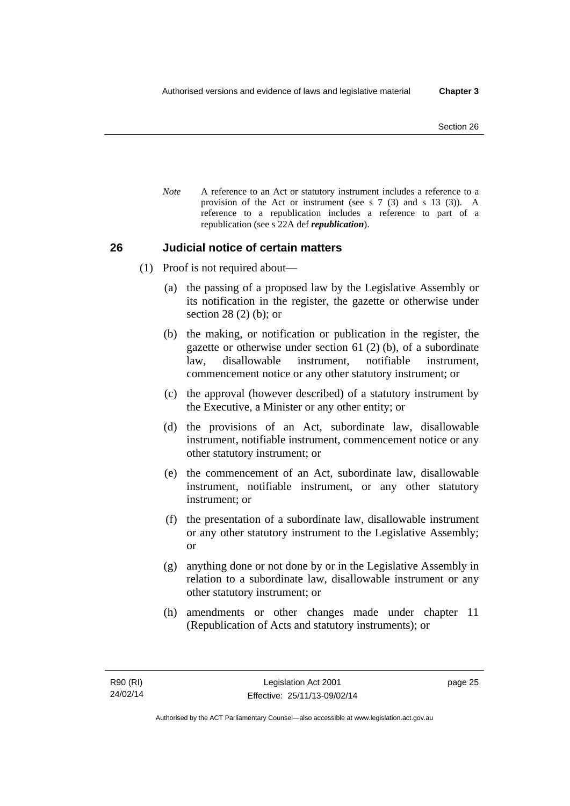*Note* A reference to an Act or statutory instrument includes a reference to a provision of the Act or instrument (see s 7 (3) and s 13 (3)). A reference to a republication includes a reference to part of a republication (see s 22A def *republication*).

### **26 Judicial notice of certain matters**

- (1) Proof is not required about—
	- (a) the passing of a proposed law by the Legislative Assembly or its notification in the register, the gazette or otherwise under section 28 (2) (b); or
	- (b) the making, or notification or publication in the register, the gazette or otherwise under section 61 (2) (b), of a subordinate law, disallowable instrument, notifiable instrument, commencement notice or any other statutory instrument; or
	- (c) the approval (however described) of a statutory instrument by the Executive, a Minister or any other entity; or
	- (d) the provisions of an Act, subordinate law, disallowable instrument, notifiable instrument, commencement notice or any other statutory instrument; or
	- (e) the commencement of an Act, subordinate law, disallowable instrument, notifiable instrument, or any other statutory instrument; or
	- (f) the presentation of a subordinate law, disallowable instrument or any other statutory instrument to the Legislative Assembly; or
	- (g) anything done or not done by or in the Legislative Assembly in relation to a subordinate law, disallowable instrument or any other statutory instrument; or
	- (h) amendments or other changes made under chapter 11 (Republication of Acts and statutory instruments); or

page 25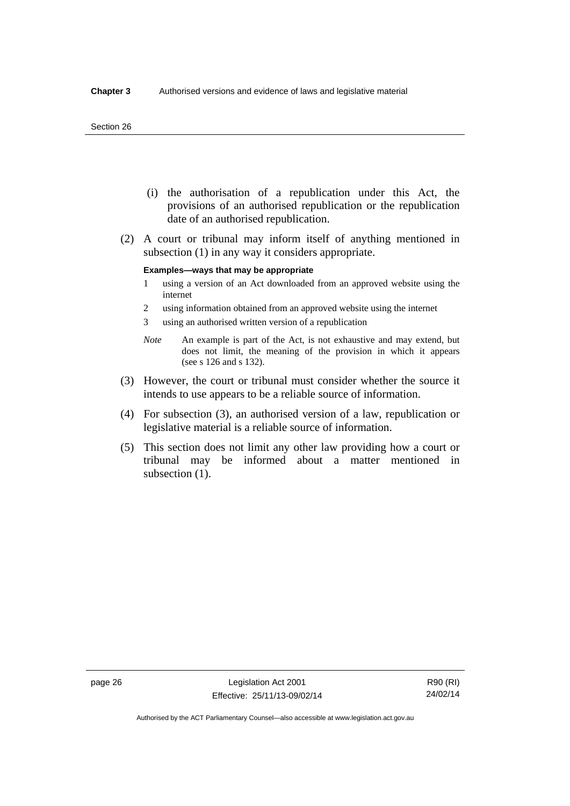#### Section 26

- (i) the authorisation of a republication under this Act, the provisions of an authorised republication or the republication date of an authorised republication.
- (2) A court or tribunal may inform itself of anything mentioned in subsection (1) in any way it considers appropriate.

#### **Examples—ways that may be appropriate**

- 1 using a version of an Act downloaded from an approved website using the internet
- 2 using information obtained from an approved website using the internet
- 3 using an authorised written version of a republication
- *Note* An example is part of the Act, is not exhaustive and may extend, but does not limit, the meaning of the provision in which it appears (see s 126 and s 132).
- (3) However, the court or tribunal must consider whether the source it intends to use appears to be a reliable source of information.
- (4) For subsection (3), an authorised version of a law, republication or legislative material is a reliable source of information.
- (5) This section does not limit any other law providing how a court or tribunal may be informed about a matter mentioned in subsection  $(1)$ .

R90 (RI) 24/02/14

Authorised by the ACT Parliamentary Counsel—also accessible at www.legislation.act.gov.au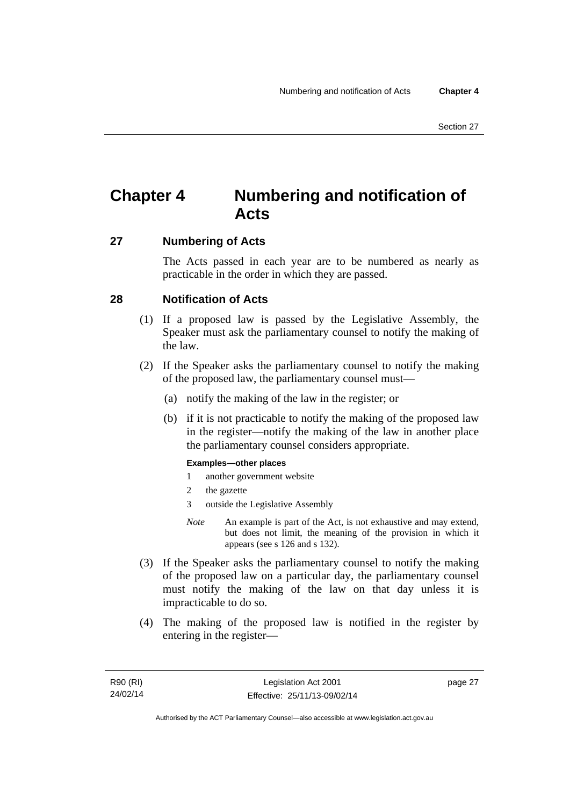# **Chapter 4 Numbering and notification of Acts**

### **27 Numbering of Acts**

The Acts passed in each year are to be numbered as nearly as practicable in the order in which they are passed.

### **28 Notification of Acts**

- (1) If a proposed law is passed by the Legislative Assembly, the Speaker must ask the parliamentary counsel to notify the making of the law.
- (2) If the Speaker asks the parliamentary counsel to notify the making of the proposed law, the parliamentary counsel must—
	- (a) notify the making of the law in the register; or
	- (b) if it is not practicable to notify the making of the proposed law in the register—notify the making of the law in another place the parliamentary counsel considers appropriate.

### **Examples—other places**

- 1 another government website
- 2 the gazette
- 3 outside the Legislative Assembly
- *Note* An example is part of the Act, is not exhaustive and may extend, but does not limit, the meaning of the provision in which it appears (see s 126 and s 132).
- (3) If the Speaker asks the parliamentary counsel to notify the making of the proposed law on a particular day, the parliamentary counsel must notify the making of the law on that day unless it is impracticable to do so.
- (4) The making of the proposed law is notified in the register by entering in the register—

page 27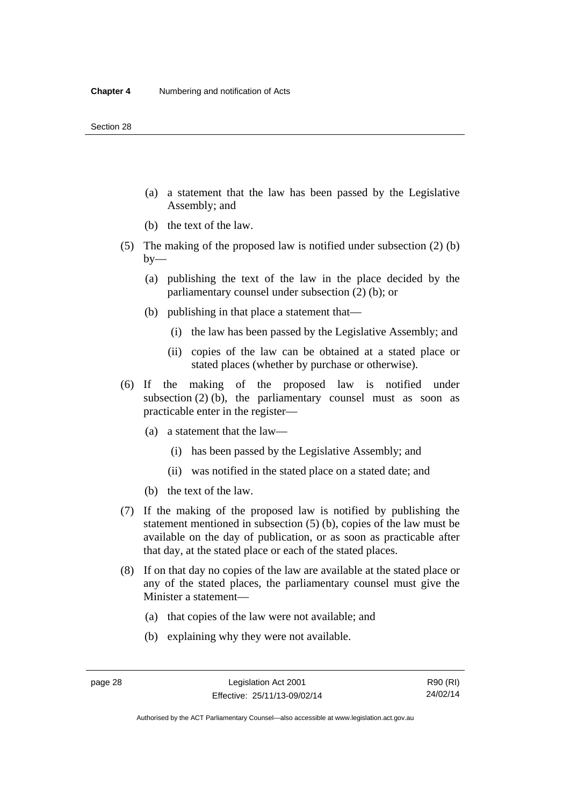- (a) a statement that the law has been passed by the Legislative Assembly; and
- (b) the text of the law.
- (5) The making of the proposed law is notified under subsection (2) (b)  $by-$ 
	- (a) publishing the text of the law in the place decided by the parliamentary counsel under subsection (2) (b); or
	- (b) publishing in that place a statement that—
		- (i) the law has been passed by the Legislative Assembly; and
		- (ii) copies of the law can be obtained at a stated place or stated places (whether by purchase or otherwise).
- (6) If the making of the proposed law is notified under subsection  $(2)$  (b), the parliamentary counsel must as soon as practicable enter in the register—
	- (a) a statement that the law—
		- (i) has been passed by the Legislative Assembly; and
		- (ii) was notified in the stated place on a stated date; and
	- (b) the text of the law.
- (7) If the making of the proposed law is notified by publishing the statement mentioned in subsection (5) (b), copies of the law must be available on the day of publication, or as soon as practicable after that day, at the stated place or each of the stated places.
- (8) If on that day no copies of the law are available at the stated place or any of the stated places, the parliamentary counsel must give the Minister a statement—
	- (a) that copies of the law were not available; and
	- (b) explaining why they were not available.

Authorised by the ACT Parliamentary Counsel—also accessible at www.legislation.act.gov.au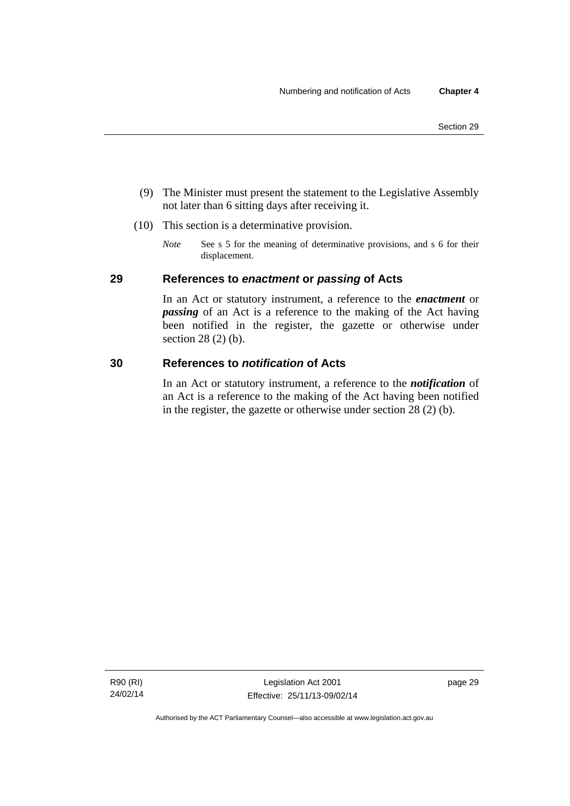- (9) The Minister must present the statement to the Legislative Assembly not later than 6 sitting days after receiving it.
- (10) This section is a determinative provision.
	- *Note* See s 5 for the meaning of determinative provisions, and s 6 for their displacement.

### **29 References to** *enactment* **or** *passing* **of Acts**

In an Act or statutory instrument, a reference to the *enactment* or *passing* of an Act is a reference to the making of the Act having been notified in the register, the gazette or otherwise under section 28 (2) (b).

### **30 References to** *notification* **of Acts**

In an Act or statutory instrument, a reference to the *notification* of an Act is a reference to the making of the Act having been notified in the register, the gazette or otherwise under section 28 (2) (b).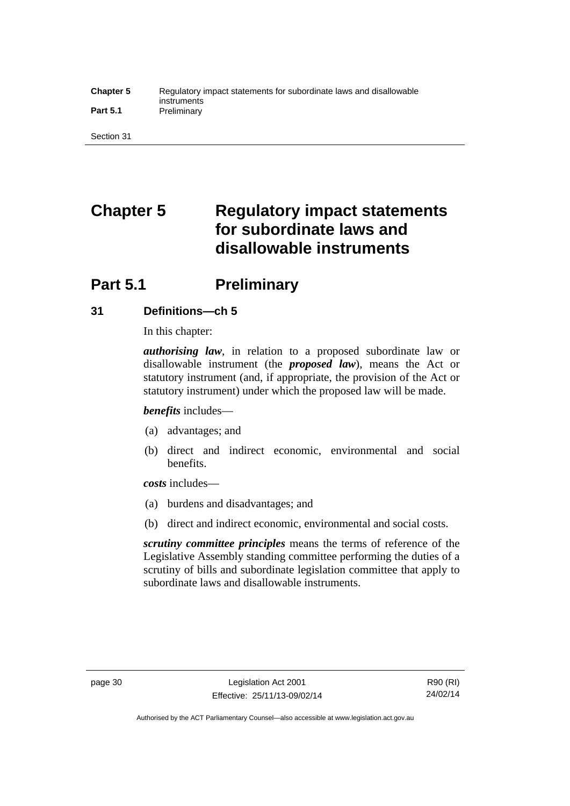#### **Chapter 5** Regulatory impact statements for subordinate laws and disallowable instruments Part 5.1 **Preliminary**

Section 31

# **Chapter 5 Regulatory impact statements for subordinate laws and disallowable instruments**

# **Part 5.1** Preliminary

### **31 Definitions—ch 5**

In this chapter:

*authorising law*, in relation to a proposed subordinate law or disallowable instrument (the *proposed law*), means the Act or statutory instrument (and, if appropriate, the provision of the Act or statutory instrument) under which the proposed law will be made.

*benefits* includes—

- (a) advantages; and
- (b) direct and indirect economic, environmental and social benefits.

*costs* includes—

- (a) burdens and disadvantages; and
- (b) direct and indirect economic, environmental and social costs.

*scrutiny committee principles* means the terms of reference of the Legislative Assembly standing committee performing the duties of a scrutiny of bills and subordinate legislation committee that apply to subordinate laws and disallowable instruments.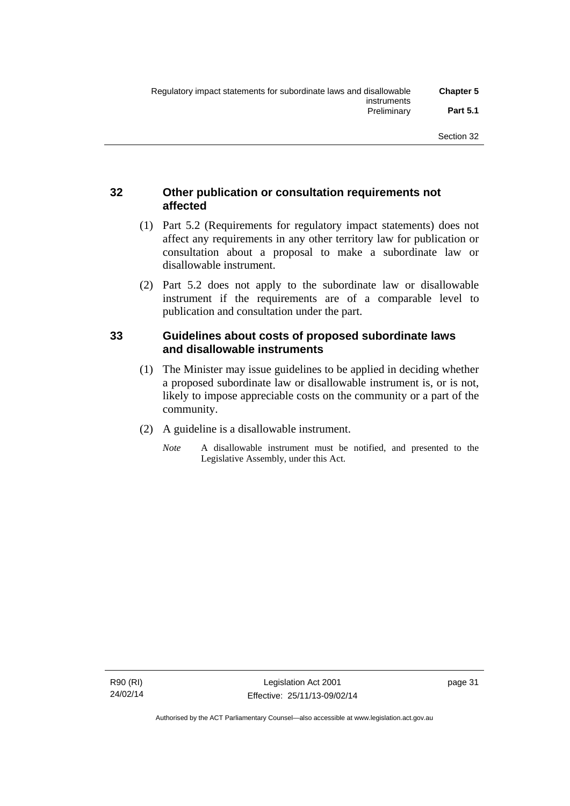### **32 Other publication or consultation requirements not affected**

- (1) Part 5.2 (Requirements for regulatory impact statements) does not affect any requirements in any other territory law for publication or consultation about a proposal to make a subordinate law or disallowable instrument.
- (2) Part 5.2 does not apply to the subordinate law or disallowable instrument if the requirements are of a comparable level to publication and consultation under the part.

### **33 Guidelines about costs of proposed subordinate laws and disallowable instruments**

- (1) The Minister may issue guidelines to be applied in deciding whether a proposed subordinate law or disallowable instrument is, or is not, likely to impose appreciable costs on the community or a part of the community.
- (2) A guideline is a disallowable instrument.
	- *Note* A disallowable instrument must be notified, and presented to the Legislative Assembly, under this Act.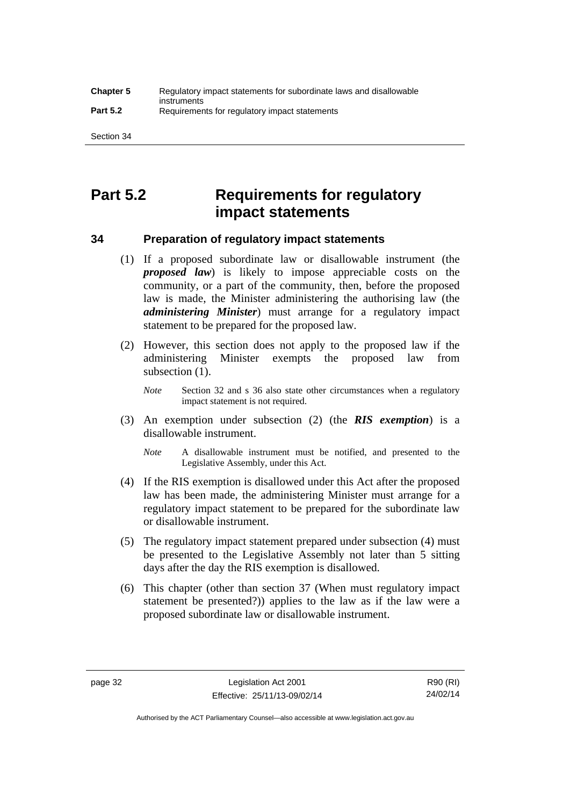# **Part 5.2 Requirements for regulatory impact statements**

### **34 Preparation of regulatory impact statements**

- (1) If a proposed subordinate law or disallowable instrument (the *proposed law*) is likely to impose appreciable costs on the community, or a part of the community, then, before the proposed law is made, the Minister administering the authorising law (the *administering Minister*) must arrange for a regulatory impact statement to be prepared for the proposed law.
- (2) However, this section does not apply to the proposed law if the administering Minister exempts the proposed law from subsection  $(1)$ .

*Note* Section 32 and s 36 also state other circumstances when a regulatory impact statement is not required.

- (3) An exemption under subsection (2) (the *RIS exemption*) is a disallowable instrument.
	- *Note* A disallowable instrument must be notified, and presented to the Legislative Assembly, under this Act.
- (4) If the RIS exemption is disallowed under this Act after the proposed law has been made, the administering Minister must arrange for a regulatory impact statement to be prepared for the subordinate law or disallowable instrument.
- (5) The regulatory impact statement prepared under subsection (4) must be presented to the Legislative Assembly not later than 5 sitting days after the day the RIS exemption is disallowed.
- (6) This chapter (other than section 37 (When must regulatory impact statement be presented?)) applies to the law as if the law were a proposed subordinate law or disallowable instrument.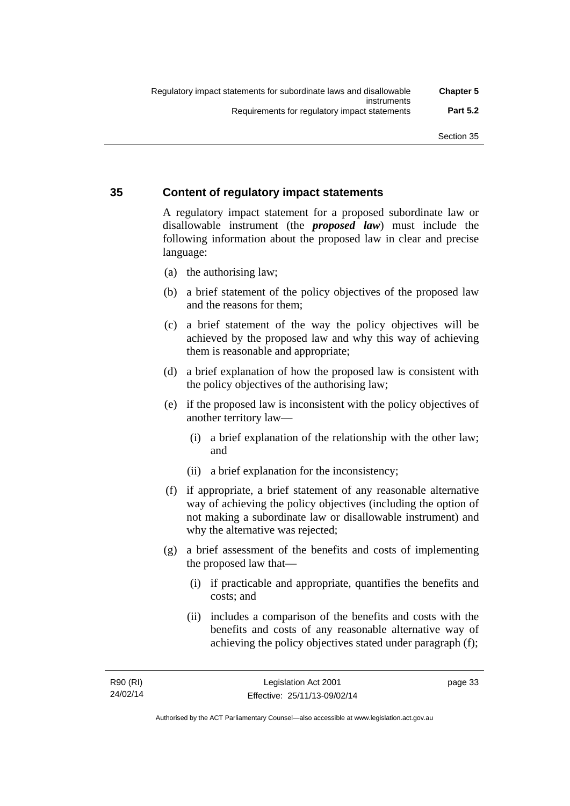### **35 Content of regulatory impact statements**

A regulatory impact statement for a proposed subordinate law or disallowable instrument (the *proposed law*) must include the following information about the proposed law in clear and precise language:

- (a) the authorising law;
- (b) a brief statement of the policy objectives of the proposed law and the reasons for them;
- (c) a brief statement of the way the policy objectives will be achieved by the proposed law and why this way of achieving them is reasonable and appropriate;
- (d) a brief explanation of how the proposed law is consistent with the policy objectives of the authorising law;
- (e) if the proposed law is inconsistent with the policy objectives of another territory law—
	- (i) a brief explanation of the relationship with the other law; and
	- (ii) a brief explanation for the inconsistency;
- (f) if appropriate, a brief statement of any reasonable alternative way of achieving the policy objectives (including the option of not making a subordinate law or disallowable instrument) and why the alternative was rejected;
- (g) a brief assessment of the benefits and costs of implementing the proposed law that—
	- (i) if practicable and appropriate, quantifies the benefits and costs; and
	- (ii) includes a comparison of the benefits and costs with the benefits and costs of any reasonable alternative way of achieving the policy objectives stated under paragraph (f);

page 33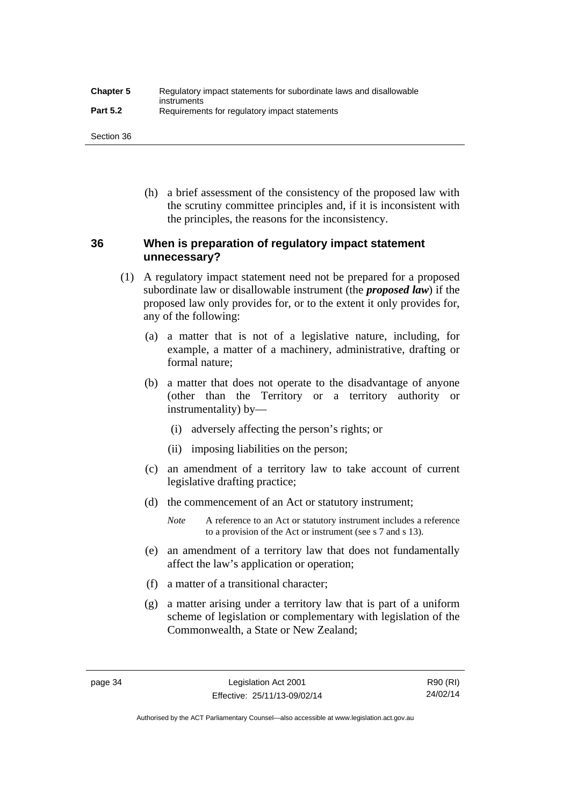| <b>Chapter 5</b> | Regulatory impact statements for subordinate laws and disallowable |
|------------------|--------------------------------------------------------------------|
| <b>Part 5.2</b>  | instruments<br>Requirements for regulatory impact statements       |

Section 36

 (h) a brief assessment of the consistency of the proposed law with the scrutiny committee principles and, if it is inconsistent with the principles, the reasons for the inconsistency.

### **36 When is preparation of regulatory impact statement unnecessary?**

- (1) A regulatory impact statement need not be prepared for a proposed subordinate law or disallowable instrument (the *proposed law*) if the proposed law only provides for, or to the extent it only provides for, any of the following:
	- (a) a matter that is not of a legislative nature, including, for example, a matter of a machinery, administrative, drafting or formal nature;
	- (b) a matter that does not operate to the disadvantage of anyone (other than the Territory or a territory authority or instrumentality) by—
		- (i) adversely affecting the person's rights; or
		- (ii) imposing liabilities on the person;
	- (c) an amendment of a territory law to take account of current legislative drafting practice;
	- (d) the commencement of an Act or statutory instrument;
		- *Note* A reference to an Act or statutory instrument includes a reference to a provision of the Act or instrument (see s 7 and s 13).
	- (e) an amendment of a territory law that does not fundamentally affect the law's application or operation;
	- (f) a matter of a transitional character;
	- (g) a matter arising under a territory law that is part of a uniform scheme of legislation or complementary with legislation of the Commonwealth, a State or New Zealand;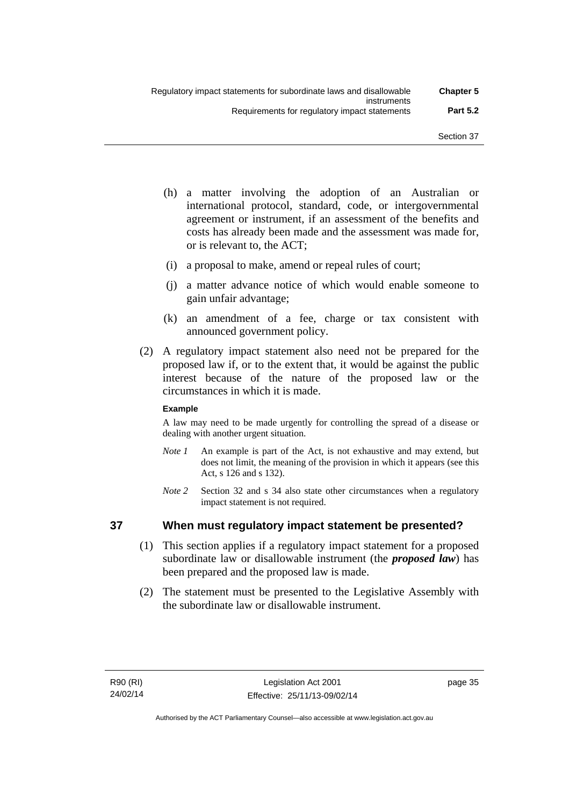- (h) a matter involving the adoption of an Australian or international protocol, standard, code, or intergovernmental agreement or instrument, if an assessment of the benefits and costs has already been made and the assessment was made for, or is relevant to, the ACT;
- (i) a proposal to make, amend or repeal rules of court;
- (j) a matter advance notice of which would enable someone to gain unfair advantage;
- (k) an amendment of a fee, charge or tax consistent with announced government policy.
- (2) A regulatory impact statement also need not be prepared for the proposed law if, or to the extent that, it would be against the public interest because of the nature of the proposed law or the circumstances in which it is made.

### **Example**

A law may need to be made urgently for controlling the spread of a disease or dealing with another urgent situation.

- *Note 1* An example is part of the Act, is not exhaustive and may extend, but does not limit, the meaning of the provision in which it appears (see this Act, s 126 and s 132).
- *Note* 2 Section 32 and s 34 also state other circumstances when a regulatory impact statement is not required.

### **37 When must regulatory impact statement be presented?**

- (1) This section applies if a regulatory impact statement for a proposed subordinate law or disallowable instrument (the *proposed law*) has been prepared and the proposed law is made.
- (2) The statement must be presented to the Legislative Assembly with the subordinate law or disallowable instrument.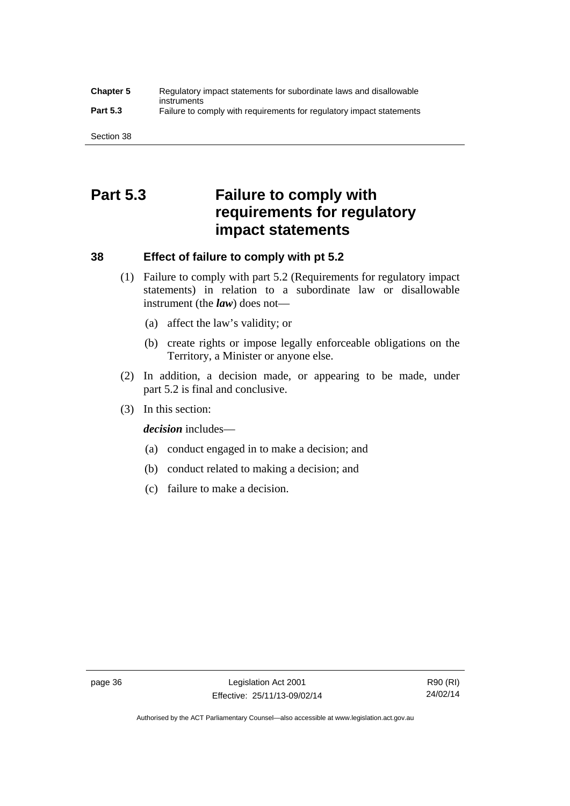### **Chapter 5** Regulatory impact statements for subordinate laws and disallowable instruments **Part 5.3** Failure to comply with requirements for regulatory impact statements

Section 38

# **Part 5.3 Failure to comply with requirements for regulatory impact statements**

### **38 Effect of failure to comply with pt 5.2**

- (1) Failure to comply with part 5.2 (Requirements for regulatory impact statements) in relation to a subordinate law or disallowable instrument (the *law*) does not—
	- (a) affect the law's validity; or
	- (b) create rights or impose legally enforceable obligations on the Territory, a Minister or anyone else.
- (2) In addition, a decision made, or appearing to be made, under part 5.2 is final and conclusive.
- (3) In this section:

*decision* includes—

- (a) conduct engaged in to make a decision; and
- (b) conduct related to making a decision; and
- (c) failure to make a decision.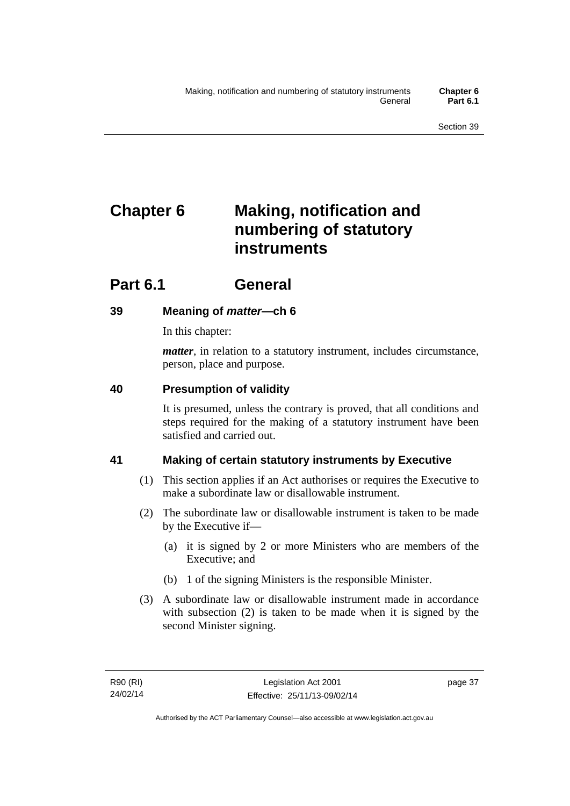# **Chapter 6 Making, notification and numbering of statutory instruments**

# **Part 6.1 General**

## **39 Meaning of** *matter***—ch 6**

In this chapter:

*matter*, in relation to a statutory instrument, includes circumstance, person, place and purpose.

## **40 Presumption of validity**

It is presumed, unless the contrary is proved, that all conditions and steps required for the making of a statutory instrument have been satisfied and carried out.

## **41 Making of certain statutory instruments by Executive**

- (1) This section applies if an Act authorises or requires the Executive to make a subordinate law or disallowable instrument.
- (2) The subordinate law or disallowable instrument is taken to be made by the Executive if—
	- (a) it is signed by 2 or more Ministers who are members of the Executive; and
	- (b) 1 of the signing Ministers is the responsible Minister.
- (3) A subordinate law or disallowable instrument made in accordance with subsection (2) is taken to be made when it is signed by the second Minister signing.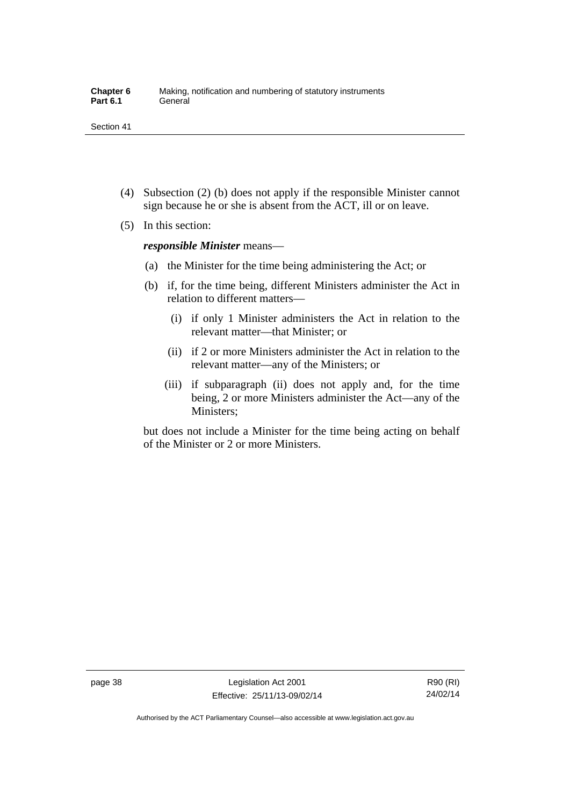- (4) Subsection (2) (b) does not apply if the responsible Minister cannot sign because he or she is absent from the ACT, ill or on leave.
- (5) In this section:

*responsible Minister* means—

- (a) the Minister for the time being administering the Act; or
- (b) if, for the time being, different Ministers administer the Act in relation to different matters—
	- (i) if only 1 Minister administers the Act in relation to the relevant matter—that Minister; or
	- (ii) if 2 or more Ministers administer the Act in relation to the relevant matter—any of the Ministers; or
	- (iii) if subparagraph (ii) does not apply and, for the time being, 2 or more Ministers administer the Act—any of the Ministers;

but does not include a Minister for the time being acting on behalf of the Minister or 2 or more Ministers.

R90 (RI) 24/02/14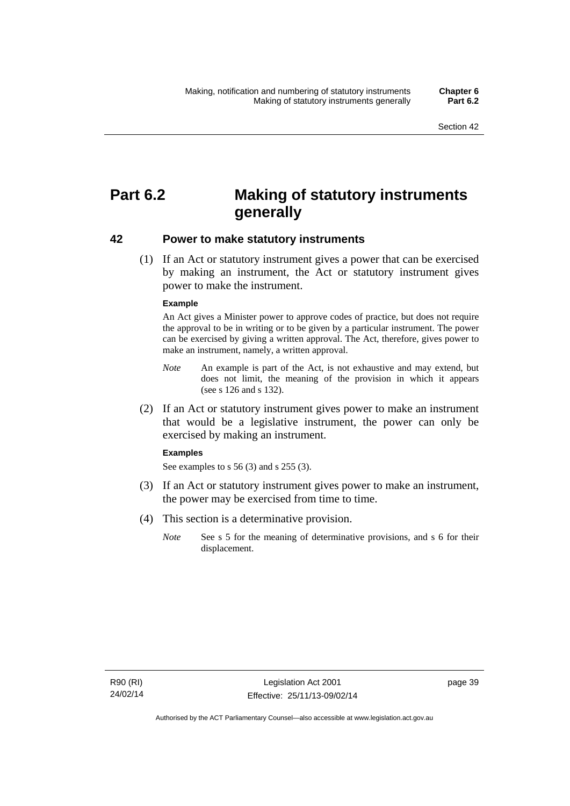# **Part 6.2 Making of statutory instruments generally**

### **42 Power to make statutory instruments**

 (1) If an Act or statutory instrument gives a power that can be exercised by making an instrument, the Act or statutory instrument gives power to make the instrument.

#### **Example**

An Act gives a Minister power to approve codes of practice, but does not require the approval to be in writing or to be given by a particular instrument. The power can be exercised by giving a written approval. The Act, therefore, gives power to make an instrument, namely, a written approval.

- *Note* An example is part of the Act, is not exhaustive and may extend, but does not limit, the meaning of the provision in which it appears (see s 126 and s 132).
- (2) If an Act or statutory instrument gives power to make an instrument that would be a legislative instrument, the power can only be exercised by making an instrument.

#### **Examples**

See examples to s 56 (3) and s 255 (3).

- (3) If an Act or statutory instrument gives power to make an instrument, the power may be exercised from time to time.
- (4) This section is a determinative provision.
	- *Note* See s 5 for the meaning of determinative provisions, and s 6 for their displacement.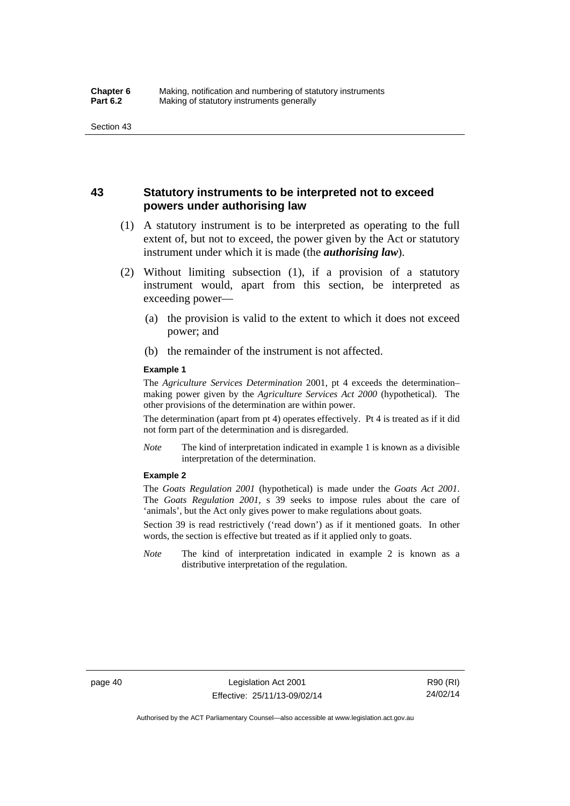### **43 Statutory instruments to be interpreted not to exceed powers under authorising law**

- (1) A statutory instrument is to be interpreted as operating to the full extent of, but not to exceed, the power given by the Act or statutory instrument under which it is made (the *authorising law*).
- (2) Without limiting subsection (1), if a provision of a statutory instrument would, apart from this section, be interpreted as exceeding power—
	- (a) the provision is valid to the extent to which it does not exceed power; and
	- (b) the remainder of the instrument is not affected.

#### **Example 1**

The *Agriculture Services Determination* 2001, pt 4 exceeds the determination– making power given by the *Agriculture Services Act 2000* (hypothetical). The other provisions of the determination are within power.

The determination (apart from pt 4) operates effectively. Pt 4 is treated as if it did not form part of the determination and is disregarded.

*Note* The kind of interpretation indicated in example 1 is known as a divisible interpretation of the determination.

#### **Example 2**

The *Goats Regulation 2001* (hypothetical) is made under the *Goats Act 2001*. The *Goats Regulation 2001*, s 39 seeks to impose rules about the care of 'animals', but the Act only gives power to make regulations about goats.

Section 39 is read restrictively ('read down') as if it mentioned goats. In other words, the section is effective but treated as if it applied only to goats.

*Note* The kind of interpretation indicated in example 2 is known as a distributive interpretation of the regulation.

R90 (RI) 24/02/14

Authorised by the ACT Parliamentary Counsel—also accessible at www.legislation.act.gov.au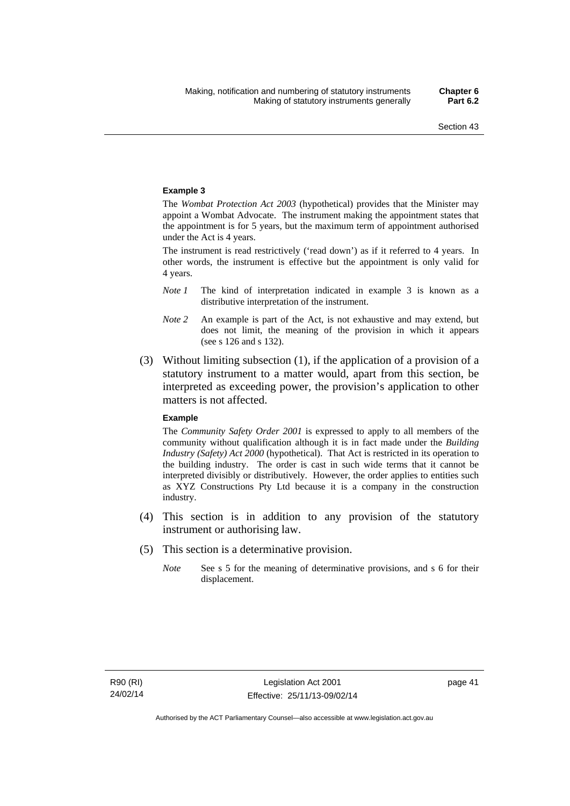#### **Example 3**

The *Wombat Protection Act 2003* (hypothetical) provides that the Minister may appoint a Wombat Advocate. The instrument making the appointment states that the appointment is for 5 years, but the maximum term of appointment authorised under the Act is 4 years.

The instrument is read restrictively ('read down') as if it referred to 4 years. In other words, the instrument is effective but the appointment is only valid for 4 years.

- *Note 1* The kind of interpretation indicated in example 3 is known as a distributive interpretation of the instrument.
- *Note 2* An example is part of the Act, is not exhaustive and may extend, but does not limit, the meaning of the provision in which it appears (see s 126 and s 132).
- (3) Without limiting subsection (1), if the application of a provision of a statutory instrument to a matter would, apart from this section, be interpreted as exceeding power, the provision's application to other matters is not affected.

#### **Example**

The *Community Safety Order 2001* is expressed to apply to all members of the community without qualification although it is in fact made under the *Building Industry (Safety) Act 2000* (hypothetical). That Act is restricted in its operation to the building industry. The order is cast in such wide terms that it cannot be interpreted divisibly or distributively. However, the order applies to entities such as XYZ Constructions Pty Ltd because it is a company in the construction industry.

- (4) This section is in addition to any provision of the statutory instrument or authorising law.
- (5) This section is a determinative provision.
	- *Note* See s 5 for the meaning of determinative provisions, and s 6 for their displacement.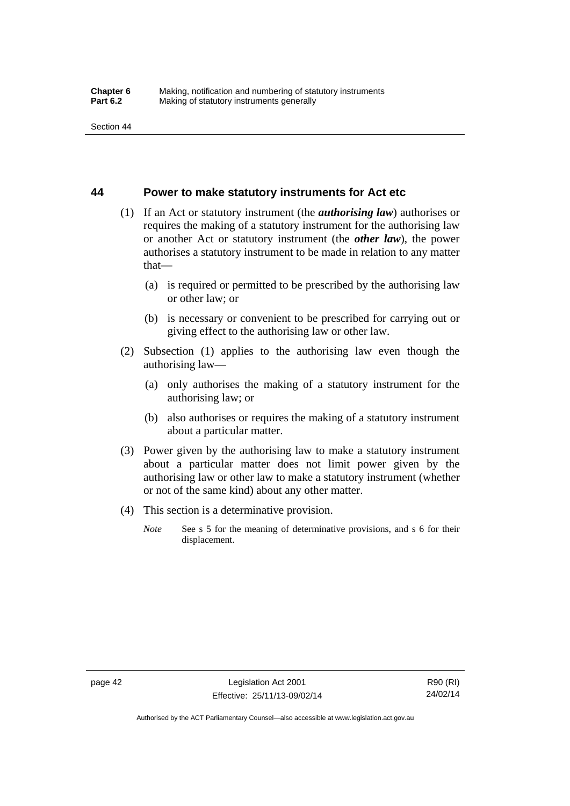### **44 Power to make statutory instruments for Act etc**

- (1) If an Act or statutory instrument (the *authorising law*) authorises or requires the making of a statutory instrument for the authorising law or another Act or statutory instrument (the *other law*), the power authorises a statutory instrument to be made in relation to any matter that—
	- (a) is required or permitted to be prescribed by the authorising law or other law; or
	- (b) is necessary or convenient to be prescribed for carrying out or giving effect to the authorising law or other law.
- (2) Subsection (1) applies to the authorising law even though the authorising law—
	- (a) only authorises the making of a statutory instrument for the authorising law; or
	- (b) also authorises or requires the making of a statutory instrument about a particular matter.
- (3) Power given by the authorising law to make a statutory instrument about a particular matter does not limit power given by the authorising law or other law to make a statutory instrument (whether or not of the same kind) about any other matter.
- (4) This section is a determinative provision.
	- *Note* See s 5 for the meaning of determinative provisions, and s 6 for their displacement.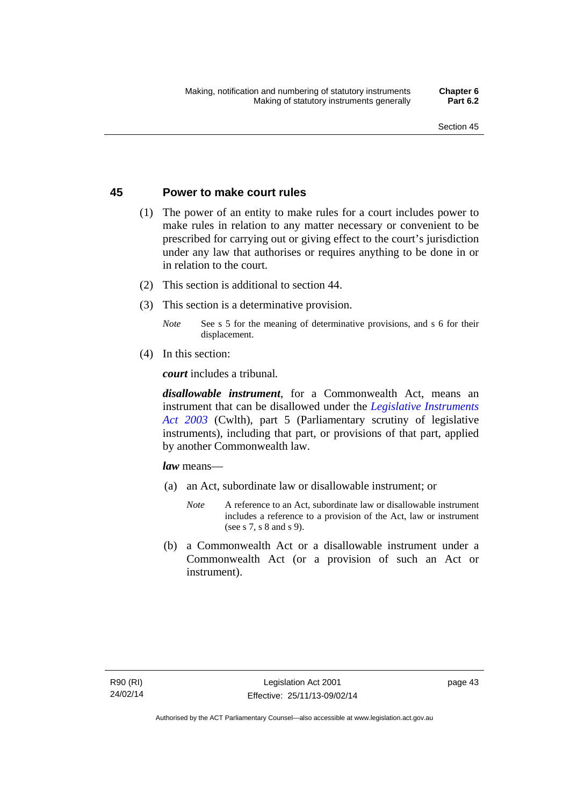### **45 Power to make court rules**

- (1) The power of an entity to make rules for a court includes power to make rules in relation to any matter necessary or convenient to be prescribed for carrying out or giving effect to the court's jurisdiction under any law that authorises or requires anything to be done in or in relation to the court.
- (2) This section is additional to section 44.
- (3) This section is a determinative provision.
	- *Note* See s 5 for the meaning of determinative provisions, and s 6 for their displacement.
- (4) In this section:

*court* includes a tribunal*.*

*disallowable instrument*, for a Commonwealth Act, means an instrument that can be disallowed under the *[Legislative Instruments](http://www.comlaw.gov.au/Series/C2004A01224)  [Act 2003](http://www.comlaw.gov.au/Series/C2004A01224)* (Cwlth), part 5 (Parliamentary scrutiny of legislative instruments), including that part, or provisions of that part, applied by another Commonwealth law.

*law* means—

- (a) an Act, subordinate law or disallowable instrument; or
	- *Note* A reference to an Act, subordinate law or disallowable instrument includes a reference to a provision of the Act, law or instrument (see s 7, s 8 and s 9).
- (b) a Commonwealth Act or a disallowable instrument under a Commonwealth Act (or a provision of such an Act or instrument).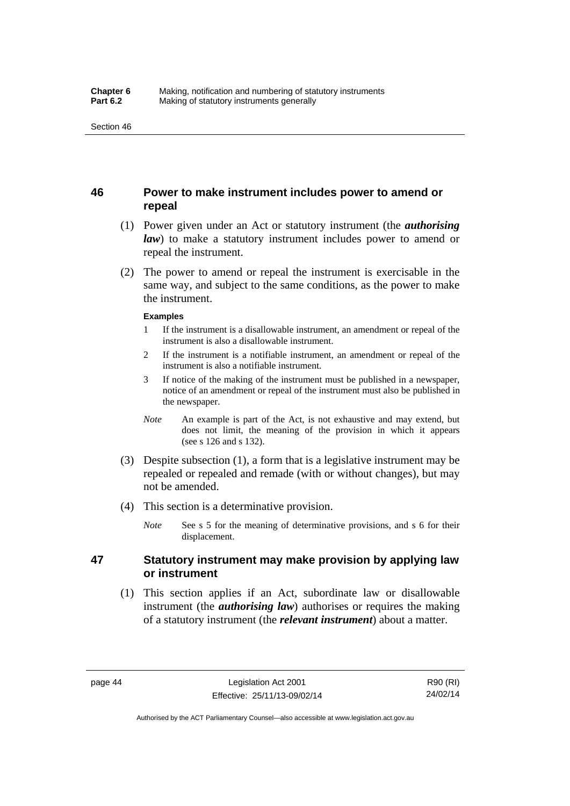### **46 Power to make instrument includes power to amend or repeal**

- (1) Power given under an Act or statutory instrument (the *authorising law*) to make a statutory instrument includes power to amend or repeal the instrument.
- (2) The power to amend or repeal the instrument is exercisable in the same way, and subject to the same conditions, as the power to make the instrument.

#### **Examples**

- 1 If the instrument is a disallowable instrument, an amendment or repeal of the instrument is also a disallowable instrument.
- 2 If the instrument is a notifiable instrument, an amendment or repeal of the instrument is also a notifiable instrument.
- 3 If notice of the making of the instrument must be published in a newspaper, notice of an amendment or repeal of the instrument must also be published in the newspaper.
- *Note* An example is part of the Act, is not exhaustive and may extend, but does not limit, the meaning of the provision in which it appears (see s 126 and s 132).
- (3) Despite subsection (1), a form that is a legislative instrument may be repealed or repealed and remade (with or without changes), but may not be amended.
- (4) This section is a determinative provision.
	- *Note* See s 5 for the meaning of determinative provisions, and s 6 for their displacement.

### **47 Statutory instrument may make provision by applying law or instrument**

 (1) This section applies if an Act, subordinate law or disallowable instrument (the *authorising law*) authorises or requires the making of a statutory instrument (the *relevant instrument*) about a matter.

Authorised by the ACT Parliamentary Counsel—also accessible at www.legislation.act.gov.au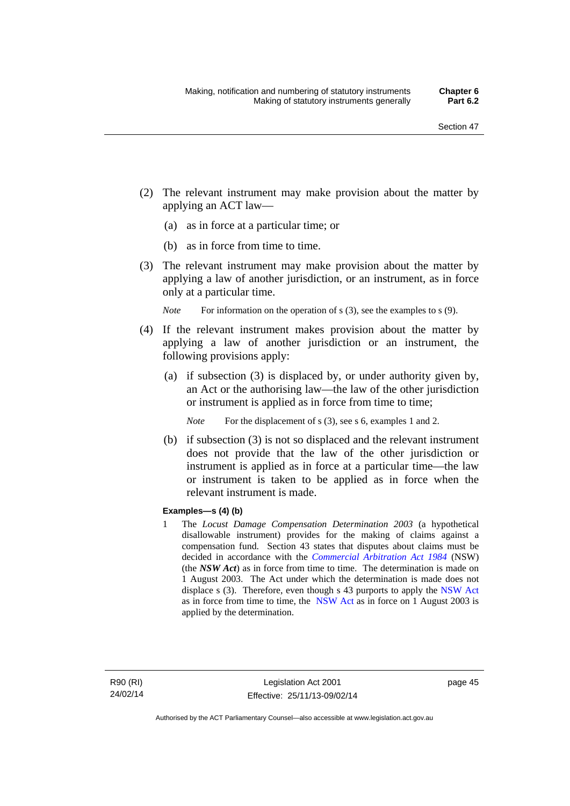- (2) The relevant instrument may make provision about the matter by applying an ACT law—
	- (a) as in force at a particular time; or
	- (b) as in force from time to time.
- (3) The relevant instrument may make provision about the matter by applying a law of another jurisdiction, or an instrument, as in force only at a particular time.

*Note* For information on the operation of s (3), see the examples to s (9).

- (4) If the relevant instrument makes provision about the matter by applying a law of another jurisdiction or an instrument, the following provisions apply:
	- (a) if subsection (3) is displaced by, or under authority given by, an Act or the authorising law—the law of the other jurisdiction or instrument is applied as in force from time to time;
		- *Note* For the displacement of s (3), see s 6, examples 1 and 2.
	- (b) if subsection (3) is not so displaced and the relevant instrument does not provide that the law of the other jurisdiction or instrument is applied as in force at a particular time—the law or instrument is taken to be applied as in force when the relevant instrument is made.

### **Examples—s (4) (b)**

1 The *Locust Damage Compensation Determination 2003* (a hypothetical disallowable instrument) provides for the making of claims against a compensation fund. Section 43 states that disputes about claims must be decided in accordance with the *[Commercial Arbitration Act 1984](http://www.legislation.nsw.gov.au/maintop/view/repealed/act+160+1984+cd+0+Y)* (NSW) (the *NSW Act*) as in force from time to time. The determination is made on 1 August 2003. The Act under which the determination is made does not displace s (3). Therefore, even though s 43 purports to apply the [NSW Act](http://www.legislation.nsw.gov.au/maintop/view/repealed/act+160+1984+cd+0+Y) as in force from time to time, the [NSW Act](http://www.legislation.nsw.gov.au/maintop/view/repealed/act+160+1984+cd+0+Y) as in force on 1 August 2003 is applied by the determination.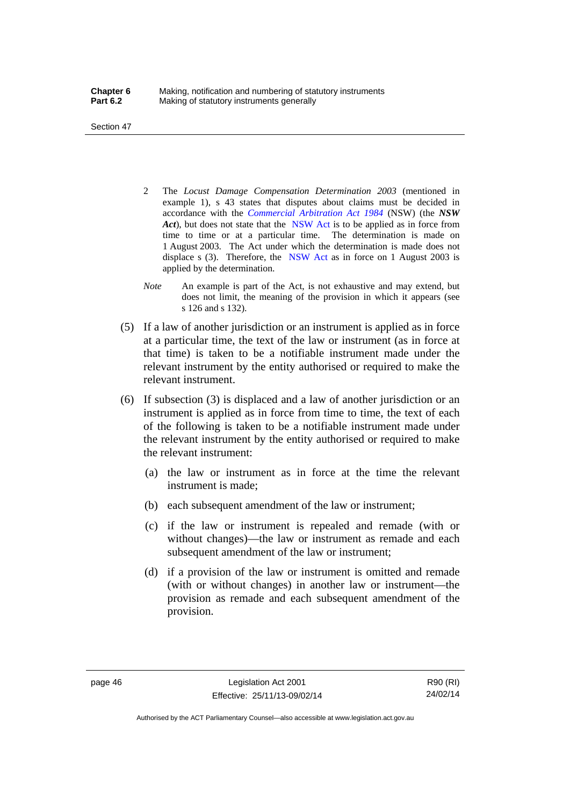Section 47

- 2 The *Locust Damage Compensation Determination 2003* (mentioned in example 1), s 43 states that disputes about claims must be decided in accordance with the *[Commercial Arbitration Act 1984](http://www.legislation.nsw.gov.au/maintop/view/repealed/act+160+1984+cd+0+Y)* (NSW) (the *NSW Act*), but does not state that the [NSW Act](http://www.legislation.nsw.gov.au/maintop/view/repealed/act+160+1984+cd+0+Y) is to be applied as in force from time to time or at a particular time. The determination is made on 1 August 2003. The Act under which the determination is made does not displace s (3). Therefore, the [NSW Act](http://www.legislation.nsw.gov.au/maintop/view/repealed/act+160+1984+cd+0+Y) as in force on 1 August 2003 is applied by the determination.
- *Note* An example is part of the Act, is not exhaustive and may extend, but does not limit, the meaning of the provision in which it appears (see s 126 and s 132).
- (5) If a law of another jurisdiction or an instrument is applied as in force at a particular time, the text of the law or instrument (as in force at that time) is taken to be a notifiable instrument made under the relevant instrument by the entity authorised or required to make the relevant instrument.
- (6) If subsection (3) is displaced and a law of another jurisdiction or an instrument is applied as in force from time to time, the text of each of the following is taken to be a notifiable instrument made under the relevant instrument by the entity authorised or required to make the relevant instrument:
	- (a) the law or instrument as in force at the time the relevant instrument is made;
	- (b) each subsequent amendment of the law or instrument;
	- (c) if the law or instrument is repealed and remade (with or without changes)—the law or instrument as remade and each subsequent amendment of the law or instrument;
	- (d) if a provision of the law or instrument is omitted and remade (with or without changes) in another law or instrument—the provision as remade and each subsequent amendment of the provision.

page 46 Legislation Act 2001 Effective: 25/11/13-09/02/14

R90 (RI) 24/02/14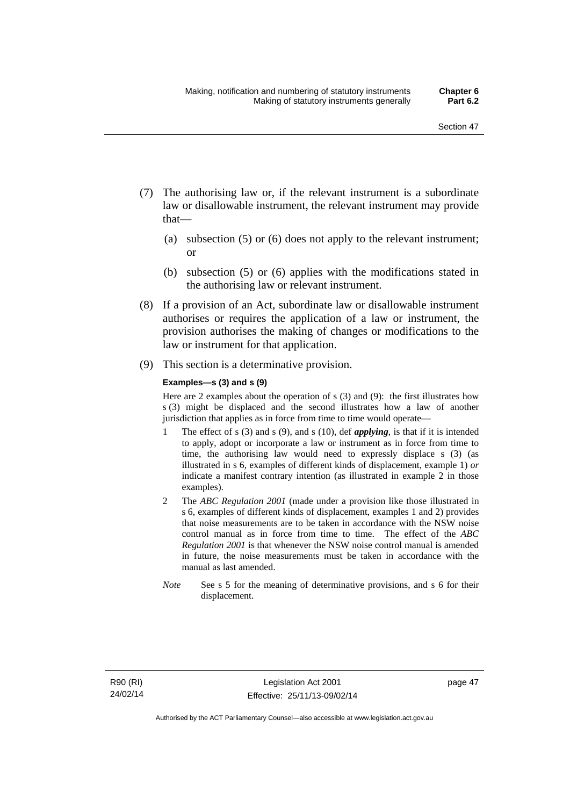- (7) The authorising law or, if the relevant instrument is a subordinate law or disallowable instrument, the relevant instrument may provide that—
	- (a) subsection (5) or (6) does not apply to the relevant instrument; or
	- (b) subsection (5) or (6) applies with the modifications stated in the authorising law or relevant instrument.
- (8) If a provision of an Act, subordinate law or disallowable instrument authorises or requires the application of a law or instrument, the provision authorises the making of changes or modifications to the law or instrument for that application.
- (9) This section is a determinative provision.

#### **Examples—s (3) and s (9)**

Here are 2 examples about the operation of s (3) and (9): the first illustrates how s (3) might be displaced and the second illustrates how a law of another jurisdiction that applies as in force from time to time would operate—

- 1 The effect of s (3) and s (9), and s (10), def *applying*, is that if it is intended to apply, adopt or incorporate a law or instrument as in force from time to time, the authorising law would need to expressly displace s (3) (as illustrated in s 6, examples of different kinds of displacement, example 1) *or* indicate a manifest contrary intention (as illustrated in example 2 in those examples).
- 2 The *ABC Regulation 2001* (made under a provision like those illustrated in s 6, examples of different kinds of displacement, examples 1 and 2) provides that noise measurements are to be taken in accordance with the NSW noise control manual as in force from time to time. The effect of the *ABC Regulation 2001* is that whenever the NSW noise control manual is amended in future, the noise measurements must be taken in accordance with the manual as last amended.
- *Note* See s 5 for the meaning of determinative provisions, and s 6 for their displacement.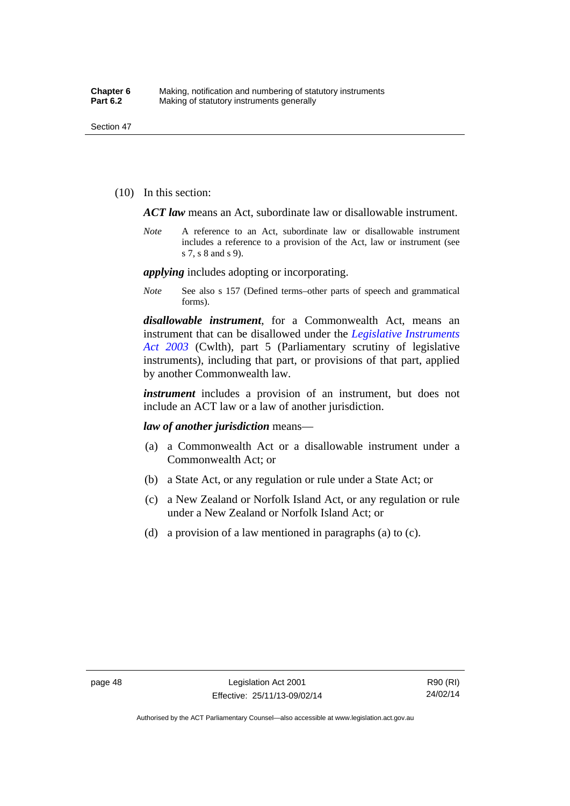(10) In this section:

*ACT law* means an Act, subordinate law or disallowable instrument.

*Note* A reference to an Act, subordinate law or disallowable instrument includes a reference to a provision of the Act, law or instrument (see s 7, s 8 and s 9).

*applying* includes adopting or incorporating.

*Note* See also s 157 (Defined terms–other parts of speech and grammatical forms).

*disallowable instrument*, for a Commonwealth Act, means an instrument that can be disallowed under the *[Legislative Instruments](http://www.comlaw.gov.au/Series/C2004A01224)  [Act 2003](http://www.comlaw.gov.au/Series/C2004A01224)* (Cwlth), part 5 (Parliamentary scrutiny of legislative instruments), including that part, or provisions of that part, applied by another Commonwealth law.

*instrument* includes a provision of an instrument, but does not include an ACT law or a law of another jurisdiction.

*law of another jurisdiction* means—

- (a) a Commonwealth Act or a disallowable instrument under a Commonwealth Act; or
- (b) a State Act, or any regulation or rule under a State Act; or
- (c) a New Zealand or Norfolk Island Act, or any regulation or rule under a New Zealand or Norfolk Island Act; or
- (d) a provision of a law mentioned in paragraphs (a) to (c).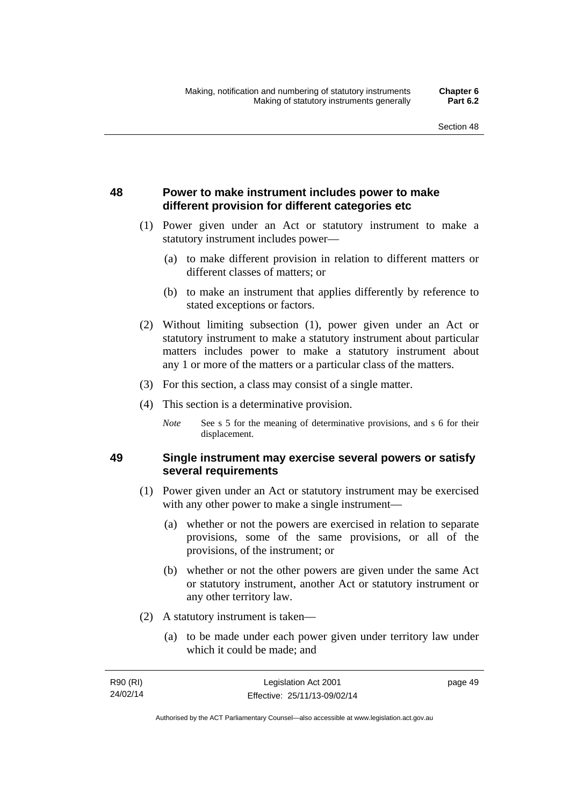## **48 Power to make instrument includes power to make different provision for different categories etc**

- (1) Power given under an Act or statutory instrument to make a statutory instrument includes power—
	- (a) to make different provision in relation to different matters or different classes of matters; or
	- (b) to make an instrument that applies differently by reference to stated exceptions or factors.
- (2) Without limiting subsection (1), power given under an Act or statutory instrument to make a statutory instrument about particular matters includes power to make a statutory instrument about any 1 or more of the matters or a particular class of the matters.
- (3) For this section, a class may consist of a single matter.
- (4) This section is a determinative provision.
	- *Note* See s 5 for the meaning of determinative provisions, and s 6 for their displacement.

### **49 Single instrument may exercise several powers or satisfy several requirements**

- (1) Power given under an Act or statutory instrument may be exercised with any other power to make a single instrument—
	- (a) whether or not the powers are exercised in relation to separate provisions, some of the same provisions, or all of the provisions, of the instrument; or
	- (b) whether or not the other powers are given under the same Act or statutory instrument, another Act or statutory instrument or any other territory law.
- (2) A statutory instrument is taken—
	- (a) to be made under each power given under territory law under which it could be made; and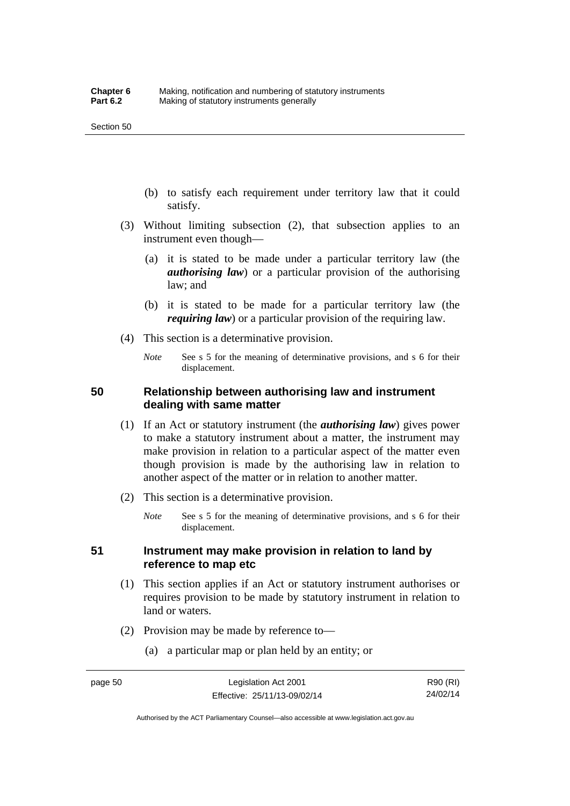- (b) to satisfy each requirement under territory law that it could satisfy.
- (3) Without limiting subsection (2), that subsection applies to an instrument even though—
	- (a) it is stated to be made under a particular territory law (the *authorising law*) or a particular provision of the authorising law; and
	- (b) it is stated to be made for a particular territory law (the *requiring law*) or a particular provision of the requiring law.
- (4) This section is a determinative provision.
	- *Note* See s 5 for the meaning of determinative provisions, and s 6 for their displacement.

### **50 Relationship between authorising law and instrument dealing with same matter**

- (1) If an Act or statutory instrument (the *authorising law*) gives power to make a statutory instrument about a matter, the instrument may make provision in relation to a particular aspect of the matter even though provision is made by the authorising law in relation to another aspect of the matter or in relation to another matter.
- (2) This section is a determinative provision.
	- *Note* See s 5 for the meaning of determinative provisions, and s 6 for their displacement.

### **51 Instrument may make provision in relation to land by reference to map etc**

- (1) This section applies if an Act or statutory instrument authorises or requires provision to be made by statutory instrument in relation to land or waters.
- (2) Provision may be made by reference to—
	- (a) a particular map or plan held by an entity; or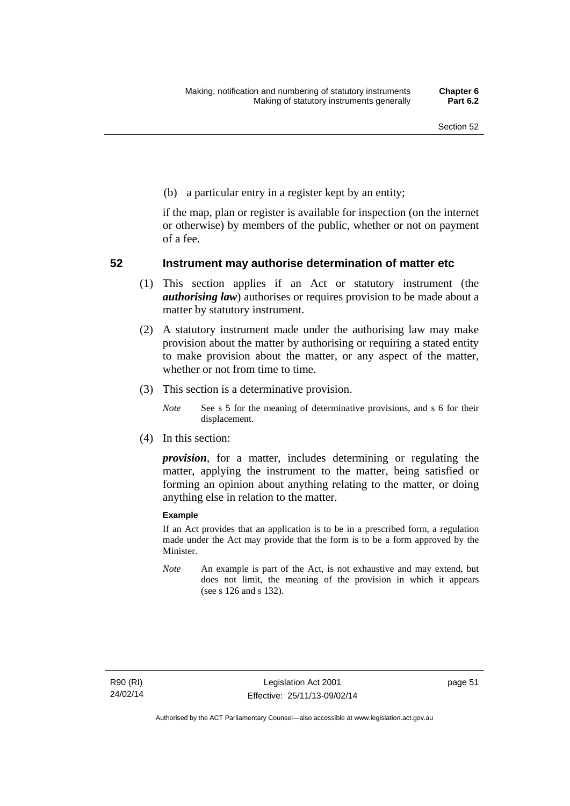(b) a particular entry in a register kept by an entity;

if the map, plan or register is available for inspection (on the internet or otherwise) by members of the public, whether or not on payment of a fee.

### **52 Instrument may authorise determination of matter etc**

- (1) This section applies if an Act or statutory instrument (the *authorising law*) authorises or requires provision to be made about a matter by statutory instrument.
- (2) A statutory instrument made under the authorising law may make provision about the matter by authorising or requiring a stated entity to make provision about the matter, or any aspect of the matter, whether or not from time to time.
- (3) This section is a determinative provision.
	- *Note* See s 5 for the meaning of determinative provisions, and s 6 for their displacement.
- (4) In this section:

*provision*, for a matter, includes determining or regulating the matter, applying the instrument to the matter, being satisfied or forming an opinion about anything relating to the matter, or doing anything else in relation to the matter.

#### **Example**

If an Act provides that an application is to be in a prescribed form, a regulation made under the Act may provide that the form is to be a form approved by the Minister.

*Note* An example is part of the Act, is not exhaustive and may extend, but does not limit, the meaning of the provision in which it appears (see s 126 and s 132).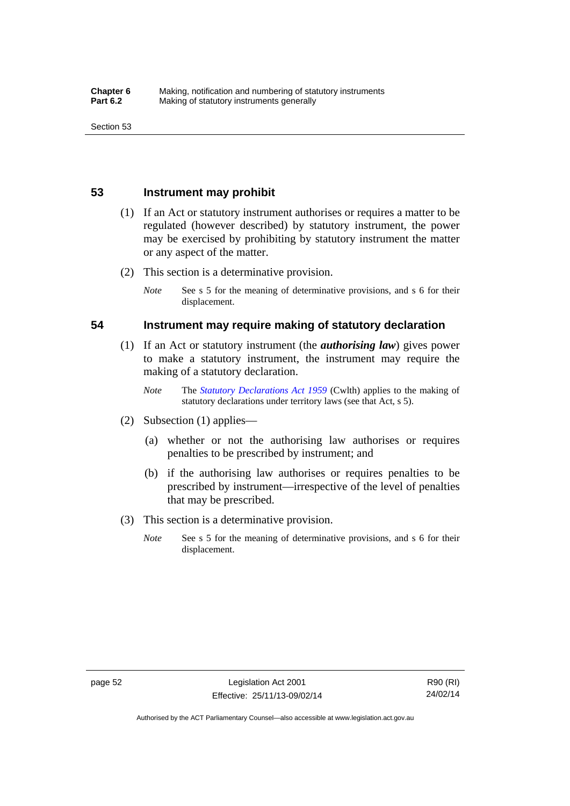### **53 Instrument may prohibit**

- (1) If an Act or statutory instrument authorises or requires a matter to be regulated (however described) by statutory instrument, the power may be exercised by prohibiting by statutory instrument the matter or any aspect of the matter.
- (2) This section is a determinative provision.
	- *Note* See s 5 for the meaning of determinative provisions, and s 6 for their displacement.

### **54 Instrument may require making of statutory declaration**

- (1) If an Act or statutory instrument (the *authorising law*) gives power to make a statutory instrument, the instrument may require the making of a statutory declaration.
	- *Note* The *[Statutory Declarations Act 1959](http://www.comlaw.gov.au/Series/C2004A07365)* (Cwlth) applies to the making of statutory declarations under territory laws (see that Act, s 5).
- (2) Subsection (1) applies—
	- (a) whether or not the authorising law authorises or requires penalties to be prescribed by instrument; and
	- (b) if the authorising law authorises or requires penalties to be prescribed by instrument—irrespective of the level of penalties that may be prescribed.
- (3) This section is a determinative provision.
	- *Note* See s 5 for the meaning of determinative provisions, and s 6 for their displacement.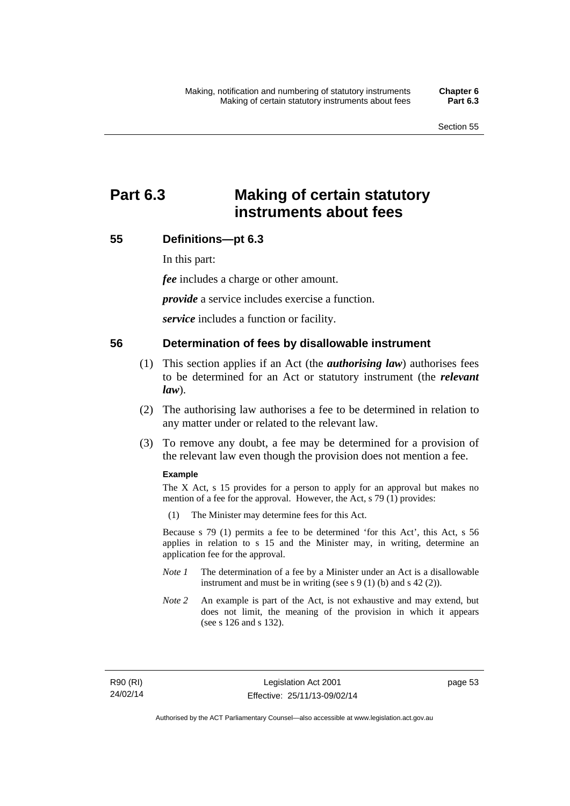# **Part 6.3 Making of certain statutory instruments about fees**

### **55 Definitions—pt 6.3**

In this part:

*fee* includes a charge or other amount.

*provide* a service includes exercise a function.

*service* includes a function or facility.

### **56 Determination of fees by disallowable instrument**

- (1) This section applies if an Act (the *authorising law*) authorises fees to be determined for an Act or statutory instrument (the *relevant law*).
- (2) The authorising law authorises a fee to be determined in relation to any matter under or related to the relevant law.
- (3) To remove any doubt, a fee may be determined for a provision of the relevant law even though the provision does not mention a fee.

#### **Example**

The X Act, s 15 provides for a person to apply for an approval but makes no mention of a fee for the approval. However, the Act, s 79 (1) provides:

(1) The Minister may determine fees for this Act.

Because s 79 (1) permits a fee to be determined 'for this Act', this Act, s 56 applies in relation to s 15 and the Minister may, in writing, determine an application fee for the approval.

- *Note 1* The determination of a fee by a Minister under an Act is a disallowable instrument and must be in writing (see s 9 (1) (b) and s 42 (2)).
- *Note 2* An example is part of the Act, is not exhaustive and may extend, but does not limit, the meaning of the provision in which it appears (see s 126 and s 132).

R90 (RI) 24/02/14 page 53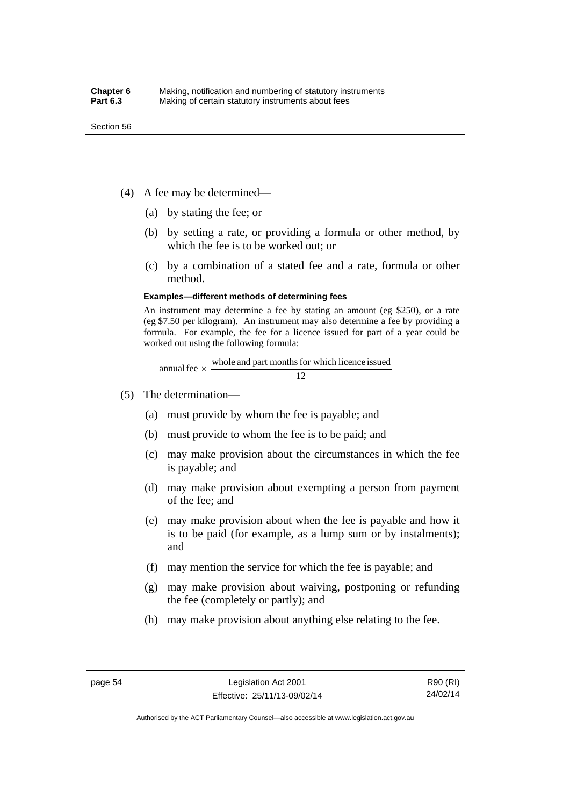- (4) A fee may be determined—
	- (a) by stating the fee; or
	- (b) by setting a rate, or providing a formula or other method, by which the fee is to be worked out; or
	- (c) by a combination of a stated fee and a rate, formula or other method.

#### **Examples—different methods of determining fees**

An instrument may determine a fee by stating an amount (eg \$250), or a rate (eg \$7.50 per kilogram). An instrument may also determine a fee by providing a formula. For example, the fee for a licence issued for part of a year could be worked out using the following formula:

annual fee  $\times$  whole and part months for which licence issued  $\frac{12}{\sqrt{12}}$ 

- (5) The determination—
	- (a) must provide by whom the fee is payable; and
	- (b) must provide to whom the fee is to be paid; and
	- (c) may make provision about the circumstances in which the fee is payable; and
	- (d) may make provision about exempting a person from payment of the fee; and
	- (e) may make provision about when the fee is payable and how it is to be paid (for example, as a lump sum or by instalments); and
	- (f) may mention the service for which the fee is payable; and
	- (g) may make provision about waiving, postponing or refunding the fee (completely or partly); and
	- (h) may make provision about anything else relating to the fee.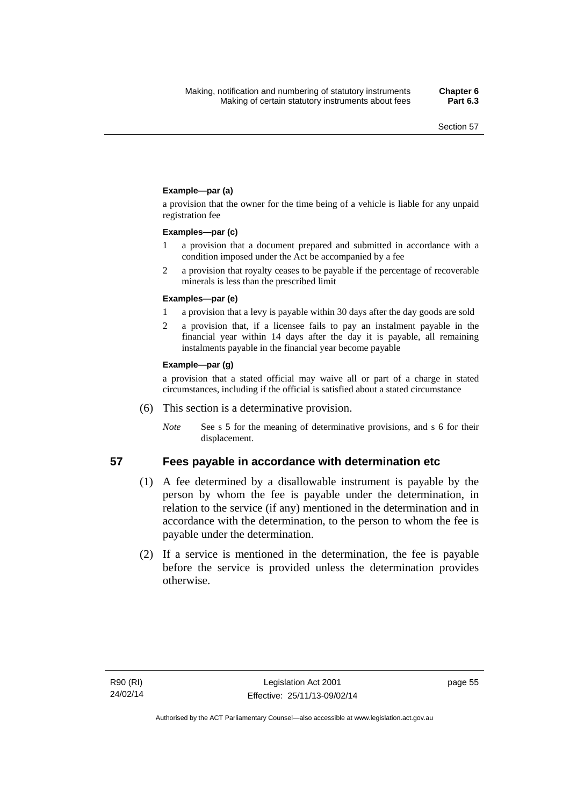### **Example—par (a)**

a provision that the owner for the time being of a vehicle is liable for any unpaid registration fee

#### **Examples—par (c)**

- 1 a provision that a document prepared and submitted in accordance with a condition imposed under the Act be accompanied by a fee
- 2 a provision that royalty ceases to be payable if the percentage of recoverable minerals is less than the prescribed limit

#### **Examples—par (e)**

- 1 a provision that a levy is payable within 30 days after the day goods are sold
- 2 a provision that, if a licensee fails to pay an instalment payable in the financial year within 14 days after the day it is payable, all remaining instalments payable in the financial year become payable

#### **Example—par (g)**

a provision that a stated official may waive all or part of a charge in stated circumstances, including if the official is satisfied about a stated circumstance

- (6) This section is a determinative provision.
	- *Note* See s 5 for the meaning of determinative provisions, and s 6 for their displacement.

- **57 Fees payable in accordance with determination etc**  (1) A fee determined by a disallowable instrument is payable by the
	- person by whom the fee is payable under the determination, in relation to the service (if any) mentioned in the determination and in accordance with the determination, to the person to whom the fee is payable under the determination.
	- (2) If a service is mentioned in the determination, the fee is payable before the service is provided unless the determination provides otherwise.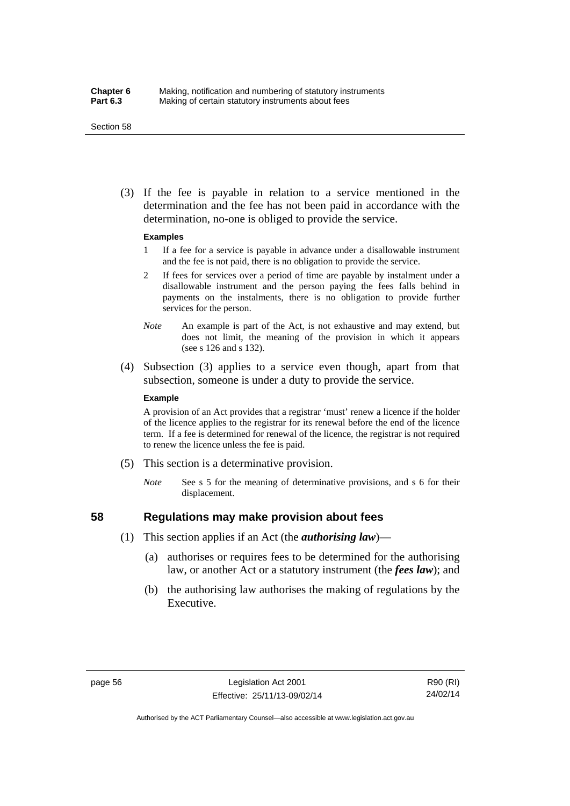#### Section 58

 (3) If the fee is payable in relation to a service mentioned in the determination and the fee has not been paid in accordance with the determination, no-one is obliged to provide the service.

#### **Examples**

- 1 If a fee for a service is payable in advance under a disallowable instrument and the fee is not paid, there is no obligation to provide the service.
- 2 If fees for services over a period of time are payable by instalment under a disallowable instrument and the person paying the fees falls behind in payments on the instalments, there is no obligation to provide further services for the person.
- *Note* An example is part of the Act, is not exhaustive and may extend, but does not limit, the meaning of the provision in which it appears (see s 126 and s 132).
- (4) Subsection (3) applies to a service even though, apart from that subsection, someone is under a duty to provide the service.

#### **Example**

A provision of an Act provides that a registrar 'must' renew a licence if the holder of the licence applies to the registrar for its renewal before the end of the licence term. If a fee is determined for renewal of the licence, the registrar is not required to renew the licence unless the fee is paid.

- (5) This section is a determinative provision.
	- *Note* See s 5 for the meaning of determinative provisions, and s 6 for their displacement.

## **58 Regulations may make provision about fees**

- (1) This section applies if an Act (the *authorising law*)—
	- (a) authorises or requires fees to be determined for the authorising law, or another Act or a statutory instrument (the *fees law*); and
	- (b) the authorising law authorises the making of regulations by the Executive.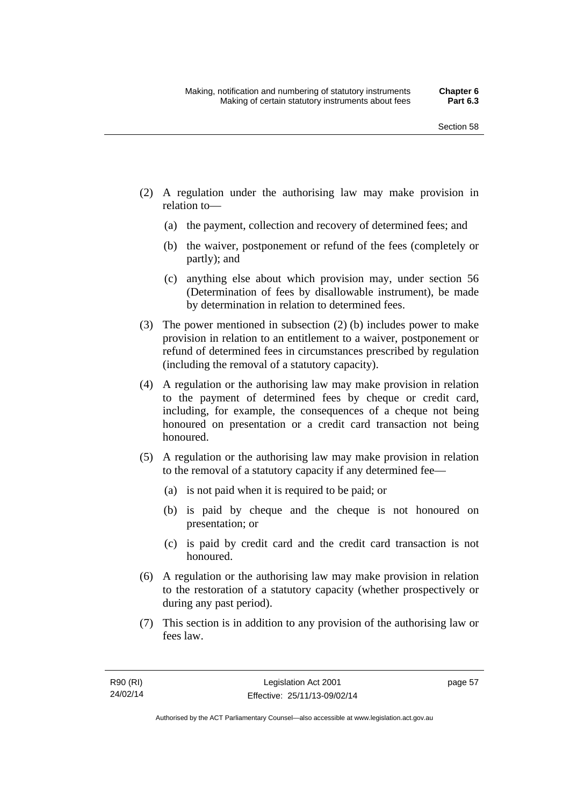- (2) A regulation under the authorising law may make provision in relation to—
	- (a) the payment, collection and recovery of determined fees; and
	- (b) the waiver, postponement or refund of the fees (completely or partly); and
	- (c) anything else about which provision may, under section 56 (Determination of fees by disallowable instrument), be made by determination in relation to determined fees.
- (3) The power mentioned in subsection (2) (b) includes power to make provision in relation to an entitlement to a waiver, postponement or refund of determined fees in circumstances prescribed by regulation (including the removal of a statutory capacity).
- (4) A regulation or the authorising law may make provision in relation to the payment of determined fees by cheque or credit card, including, for example, the consequences of a cheque not being honoured on presentation or a credit card transaction not being honoured.
- (5) A regulation or the authorising law may make provision in relation to the removal of a statutory capacity if any determined fee—
	- (a) is not paid when it is required to be paid; or
	- (b) is paid by cheque and the cheque is not honoured on presentation; or
	- (c) is paid by credit card and the credit card transaction is not honoured.
- (6) A regulation or the authorising law may make provision in relation to the restoration of a statutory capacity (whether prospectively or during any past period).
- (7) This section is in addition to any provision of the authorising law or fees law.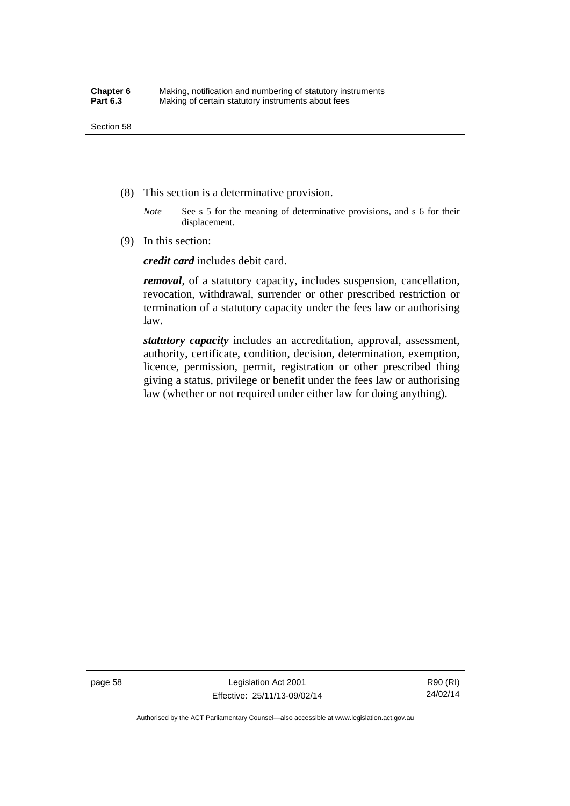- (8) This section is a determinative provision.
	- *Note* See s 5 for the meaning of determinative provisions, and s 6 for their displacement.
- (9) In this section:

*credit card* includes debit card.

*removal*, of a statutory capacity, includes suspension, cancellation, revocation, withdrawal, surrender or other prescribed restriction or termination of a statutory capacity under the fees law or authorising law.

*statutory capacity* includes an accreditation, approval, assessment, authority, certificate, condition, decision, determination, exemption, licence, permission, permit, registration or other prescribed thing giving a status, privilege or benefit under the fees law or authorising law (whether or not required under either law for doing anything).

page 58 Legislation Act 2001 Effective: 25/11/13-09/02/14

R90 (RI) 24/02/14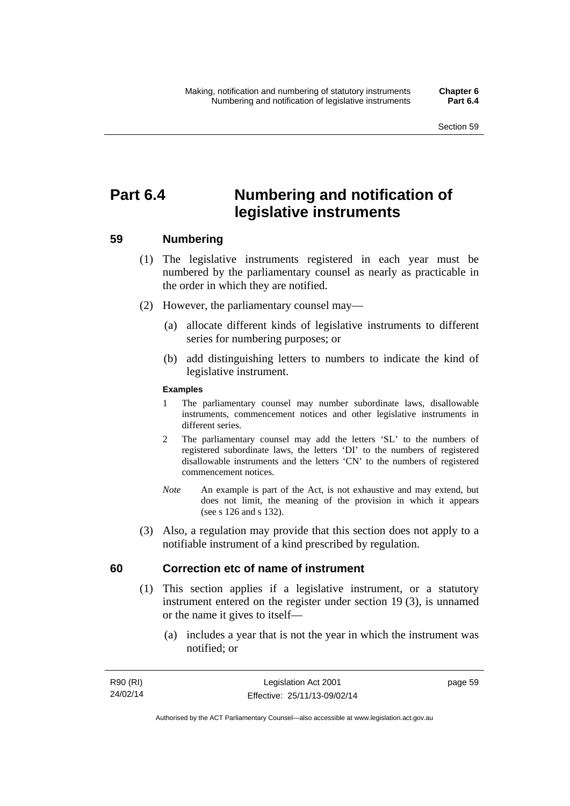# **Part 6.4 Numbering and notification of legislative instruments**

## **59 Numbering**

- (1) The legislative instruments registered in each year must be numbered by the parliamentary counsel as nearly as practicable in the order in which they are notified.
- (2) However, the parliamentary counsel may—
	- (a) allocate different kinds of legislative instruments to different series for numbering purposes; or
	- (b) add distinguishing letters to numbers to indicate the kind of legislative instrument.

### **Examples**

- 1 The parliamentary counsel may number subordinate laws, disallowable instruments, commencement notices and other legislative instruments in different series.
- 2 The parliamentary counsel may add the letters 'SL' to the numbers of registered subordinate laws, the letters 'DI' to the numbers of registered disallowable instruments and the letters 'CN' to the numbers of registered commencement notices.
- *Note* An example is part of the Act, is not exhaustive and may extend, but does not limit, the meaning of the provision in which it appears (see s 126 and s 132).
- (3) Also, a regulation may provide that this section does not apply to a notifiable instrument of a kind prescribed by regulation.

## **60 Correction etc of name of instrument**

- (1) This section applies if a legislative instrument, or a statutory instrument entered on the register under section 19 (3), is unnamed or the name it gives to itself—
	- (a) includes a year that is not the year in which the instrument was notified; or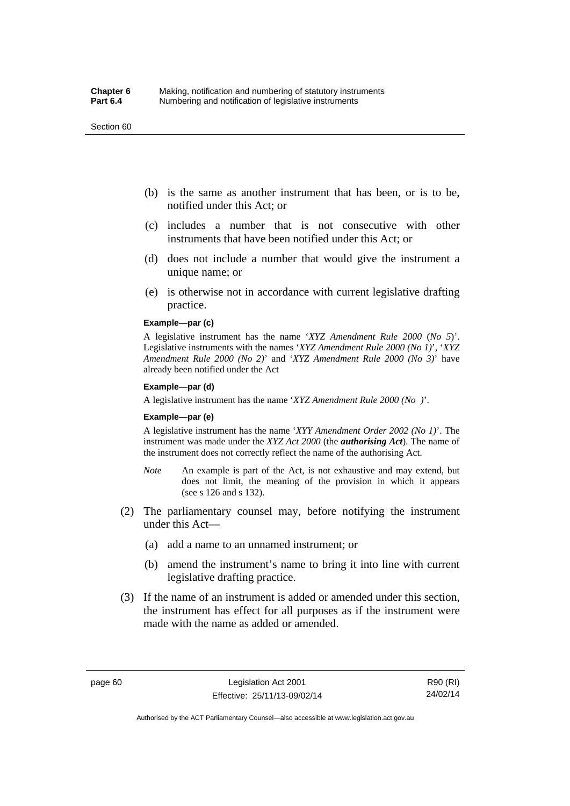#### Section 60

- (b) is the same as another instrument that has been, or is to be, notified under this Act; or
- (c) includes a number that is not consecutive with other instruments that have been notified under this Act; or
- (d) does not include a number that would give the instrument a unique name; or
- (e) is otherwise not in accordance with current legislative drafting practice.

### **Example—par (c)**

A legislative instrument has the name '*XYZ Amendment Rule 2000* (*No 5*)'. Legislative instruments with the names '*XYZ Amendment Rule 2000 (No 1)*', '*XYZ Amendment Rule 2000 (No 2)*' and '*XYZ Amendment Rule 2000 (No 3)*' have already been notified under the Act

#### **Example—par (d)**

A legislative instrument has the name '*XYZ Amendment Rule 2000 (No )*'.

#### **Example—par (e)**

A legislative instrument has the name '*XYY Amendment Order 2002 (No 1)*'. The instrument was made under the *XYZ Act 2000* (the *authorising Act*). The name of the instrument does not correctly reflect the name of the authorising Act.

- *Note* An example is part of the Act, is not exhaustive and may extend, but does not limit, the meaning of the provision in which it appears (see s 126 and s 132).
- (2) The parliamentary counsel may, before notifying the instrument under this Act—
	- (a) add a name to an unnamed instrument; or
	- (b) amend the instrument's name to bring it into line with current legislative drafting practice.
- (3) If the name of an instrument is added or amended under this section, the instrument has effect for all purposes as if the instrument were made with the name as added or amended.

page 60 Legislation Act 2001 Effective: 25/11/13-09/02/14

R90 (RI) 24/02/14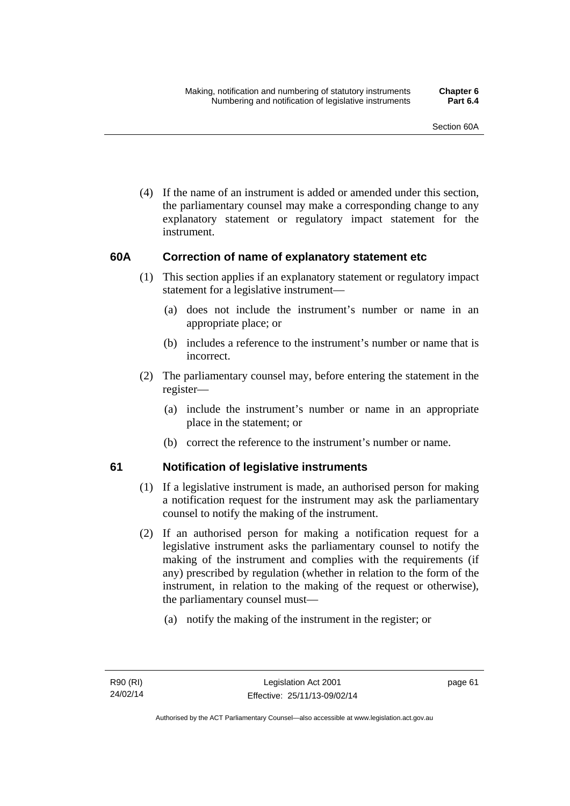(4) If the name of an instrument is added or amended under this section, the parliamentary counsel may make a corresponding change to any explanatory statement or regulatory impact statement for the instrument.

## **60A Correction of name of explanatory statement etc**

- (1) This section applies if an explanatory statement or regulatory impact statement for a legislative instrument—
	- (a) does not include the instrument's number or name in an appropriate place; or
	- (b) includes a reference to the instrument's number or name that is incorrect.
- (2) The parliamentary counsel may, before entering the statement in the register—
	- (a) include the instrument's number or name in an appropriate place in the statement; or
	- (b) correct the reference to the instrument's number or name.

## **61 Notification of legislative instruments**

- (1) If a legislative instrument is made, an authorised person for making a notification request for the instrument may ask the parliamentary counsel to notify the making of the instrument.
- (2) If an authorised person for making a notification request for a legislative instrument asks the parliamentary counsel to notify the making of the instrument and complies with the requirements (if any) prescribed by regulation (whether in relation to the form of the instrument, in relation to the making of the request or otherwise), the parliamentary counsel must—
	- (a) notify the making of the instrument in the register; or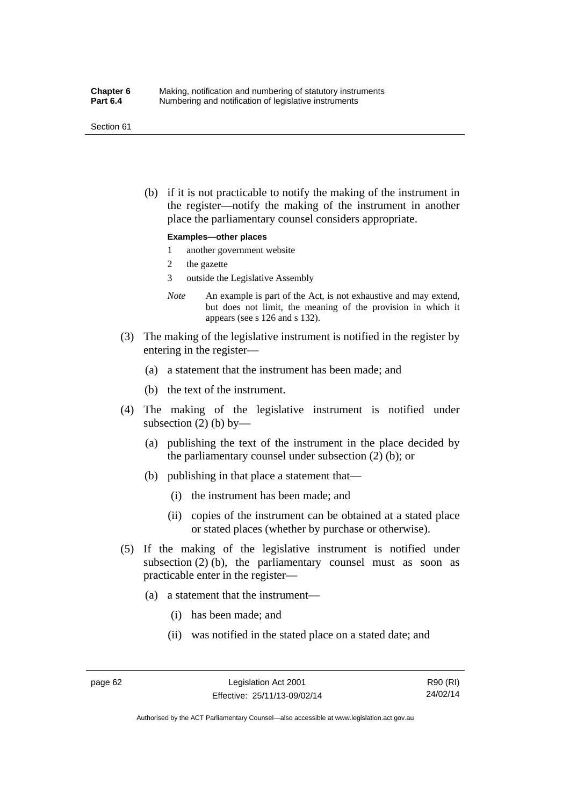#### Section 61

 (b) if it is not practicable to notify the making of the instrument in the register—notify the making of the instrument in another place the parliamentary counsel considers appropriate.

#### **Examples—other places**

- 1 another government website
- 2 the gazette
- 3 outside the Legislative Assembly
- *Note* An example is part of the Act, is not exhaustive and may extend, but does not limit, the meaning of the provision in which it appears (see s 126 and s 132).
- (3) The making of the legislative instrument is notified in the register by entering in the register—
	- (a) a statement that the instrument has been made; and
	- (b) the text of the instrument.
- (4) The making of the legislative instrument is notified under subsection  $(2)$  (b) by—
	- (a) publishing the text of the instrument in the place decided by the parliamentary counsel under subsection (2) (b); or
	- (b) publishing in that place a statement that—
		- (i) the instrument has been made; and
		- (ii) copies of the instrument can be obtained at a stated place or stated places (whether by purchase or otherwise).
- (5) If the making of the legislative instrument is notified under subsection  $(2)$  (b), the parliamentary counsel must as soon as practicable enter in the register—
	- (a) a statement that the instrument—
		- (i) has been made; and
		- (ii) was notified in the stated place on a stated date; and

R90 (RI) 24/02/14

Authorised by the ACT Parliamentary Counsel—also accessible at www.legislation.act.gov.au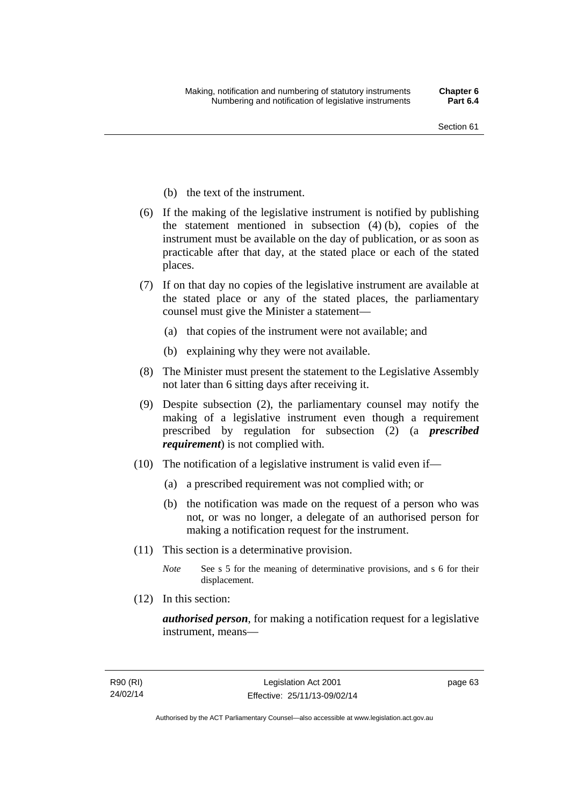- (b) the text of the instrument.
- (6) If the making of the legislative instrument is notified by publishing the statement mentioned in subsection (4) (b), copies of the instrument must be available on the day of publication, or as soon as practicable after that day, at the stated place or each of the stated places.
- (7) If on that day no copies of the legislative instrument are available at the stated place or any of the stated places, the parliamentary counsel must give the Minister a statement—
	- (a) that copies of the instrument were not available; and
	- (b) explaining why they were not available.
- (8) The Minister must present the statement to the Legislative Assembly not later than 6 sitting days after receiving it.
- (9) Despite subsection (2), the parliamentary counsel may notify the making of a legislative instrument even though a requirement prescribed by regulation for subsection (2) (a *prescribed requirement*) is not complied with.
- (10) The notification of a legislative instrument is valid even if—
	- (a) a prescribed requirement was not complied with; or
	- (b) the notification was made on the request of a person who was not, or was no longer, a delegate of an authorised person for making a notification request for the instrument.
- (11) This section is a determinative provision.
	- *Note* See s 5 for the meaning of determinative provisions, and s 6 for their displacement.
- (12) In this section:

*authorised person*, for making a notification request for a legislative instrument, means—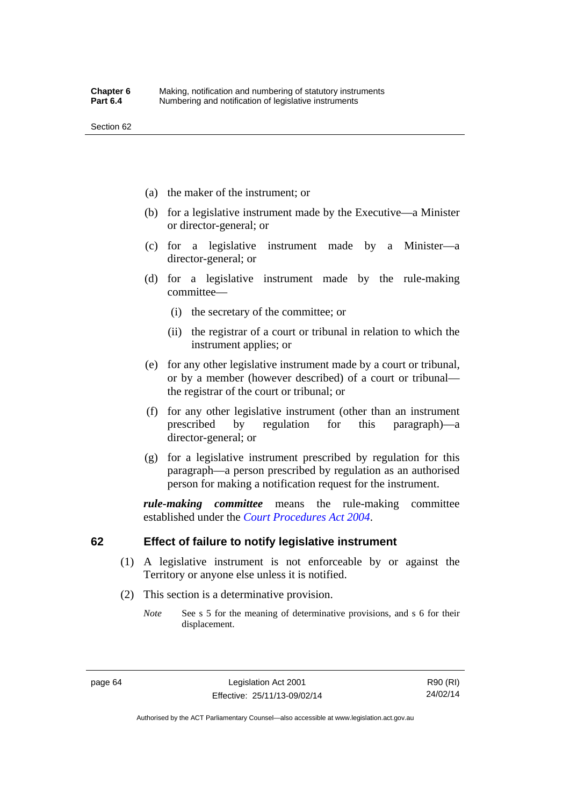- (a) the maker of the instrument; or
- (b) for a legislative instrument made by the Executive—a Minister or director-general; or
- (c) for a legislative instrument made by a Minister—a director-general; or
- (d) for a legislative instrument made by the rule-making committee—
	- (i) the secretary of the committee; or
	- (ii) the registrar of a court or tribunal in relation to which the instrument applies; or
- (e) for any other legislative instrument made by a court or tribunal, or by a member (however described) of a court or tribunal the registrar of the court or tribunal; or
- (f) for any other legislative instrument (other than an instrument prescribed by regulation for this paragraph)—a director-general; or
- (g) for a legislative instrument prescribed by regulation for this paragraph—a person prescribed by regulation as an authorised person for making a notification request for the instrument.

*rule-making committee* means the rule-making committee established under the *[Court Procedures Act 2004](http://www.legislation.act.gov.au/a/2004-59)*.

## **62 Effect of failure to notify legislative instrument**

- (1) A legislative instrument is not enforceable by or against the Territory or anyone else unless it is notified.
- (2) This section is a determinative provision.
	- *Note* See s 5 for the meaning of determinative provisions, and s 6 for their displacement.

page 64 Legislation Act 2001 Effective: 25/11/13-09/02/14

R90 (RI) 24/02/14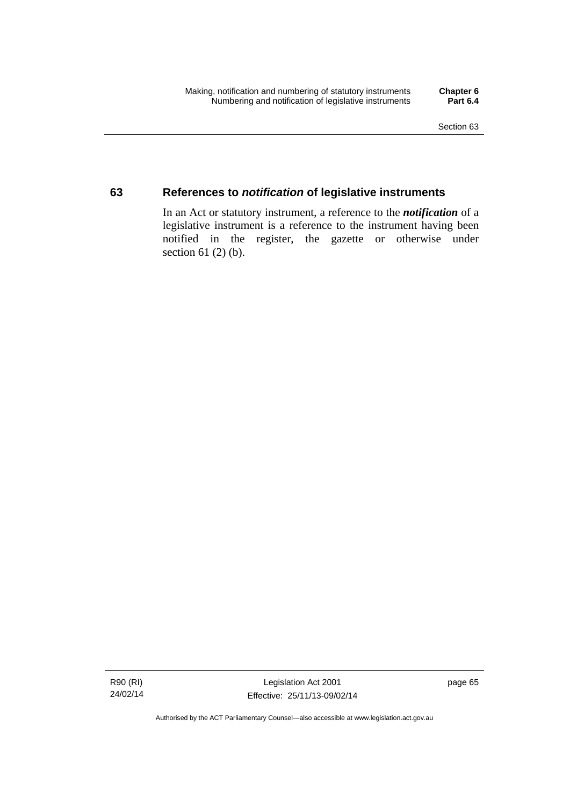## **63 References to** *notification* **of legislative instruments**

In an Act or statutory instrument, a reference to the *notification* of a legislative instrument is a reference to the instrument having been notified in the register, the gazette or otherwise under section  $61$  (2) (b).

R90 (RI) 24/02/14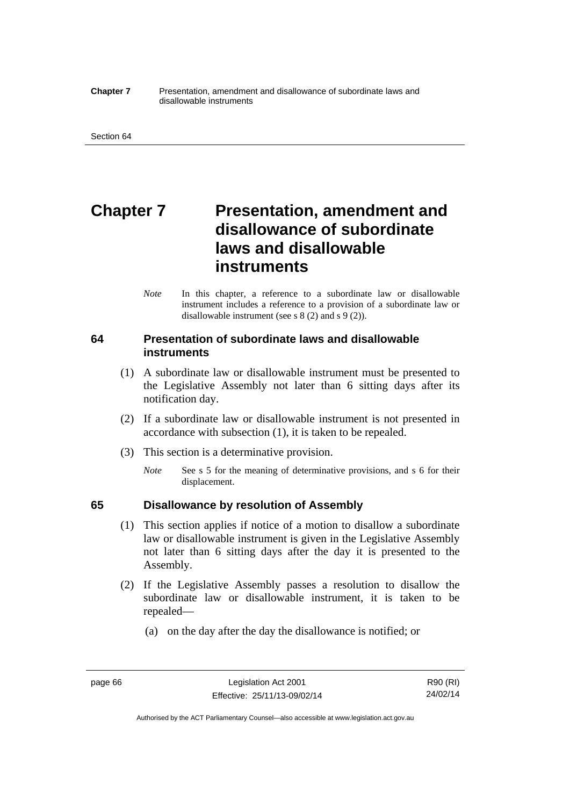#### **Chapter 7** Presentation, amendment and disallowance of subordinate laws and disallowable instruments

# **Chapter 7** Presentation, amendment and **disallowance of subordinate laws and disallowable instruments**

*Note* In this chapter, a reference to a subordinate law or disallowable instrument includes a reference to a provision of a subordinate law or disallowable instrument (see s 8 (2) and s 9 (2)).

## **64 Presentation of subordinate laws and disallowable instruments**

- (1) A subordinate law or disallowable instrument must be presented to the Legislative Assembly not later than 6 sitting days after its notification day.
- (2) If a subordinate law or disallowable instrument is not presented in accordance with subsection (1), it is taken to be repealed.
- (3) This section is a determinative provision.
	- *Note* See s 5 for the meaning of determinative provisions, and s 6 for their displacement.

## **65 Disallowance by resolution of Assembly**

- (1) This section applies if notice of a motion to disallow a subordinate law or disallowable instrument is given in the Legislative Assembly not later than 6 sitting days after the day it is presented to the Assembly.
- (2) If the Legislative Assembly passes a resolution to disallow the subordinate law or disallowable instrument, it is taken to be repealed—
	- (a) on the day after the day the disallowance is notified; or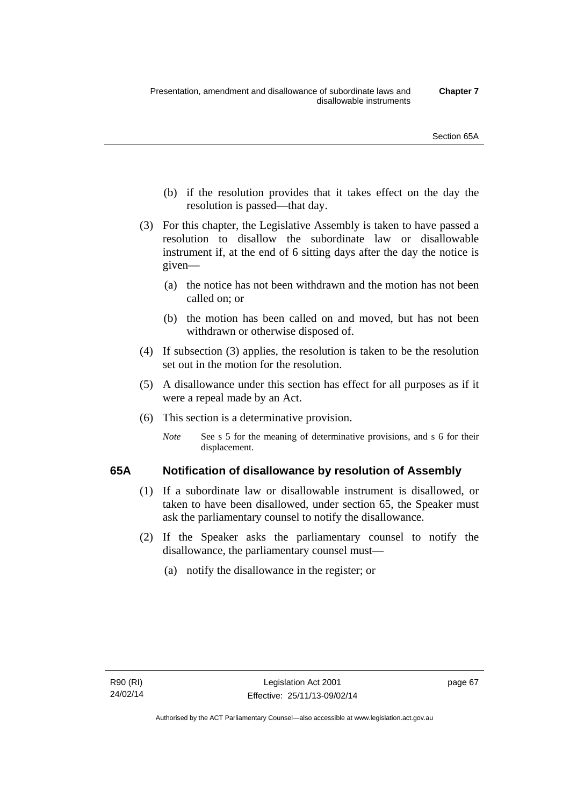- (b) if the resolution provides that it takes effect on the day the resolution is passed—that day.
- (3) For this chapter, the Legislative Assembly is taken to have passed a resolution to disallow the subordinate law or disallowable instrument if, at the end of 6 sitting days after the day the notice is given—
	- (a) the notice has not been withdrawn and the motion has not been called on; or
	- (b) the motion has been called on and moved, but has not been withdrawn or otherwise disposed of.
- (4) If subsection (3) applies, the resolution is taken to be the resolution set out in the motion for the resolution.
- (5) A disallowance under this section has effect for all purposes as if it were a repeal made by an Act.
- (6) This section is a determinative provision.
	- *Note* See s 5 for the meaning of determinative provisions, and s 6 for their displacement.

## **65A Notification of disallowance by resolution of Assembly**

- (1) If a subordinate law or disallowable instrument is disallowed, or taken to have been disallowed, under section 65, the Speaker must ask the parliamentary counsel to notify the disallowance.
- (2) If the Speaker asks the parliamentary counsel to notify the disallowance, the parliamentary counsel must—
	- (a) notify the disallowance in the register; or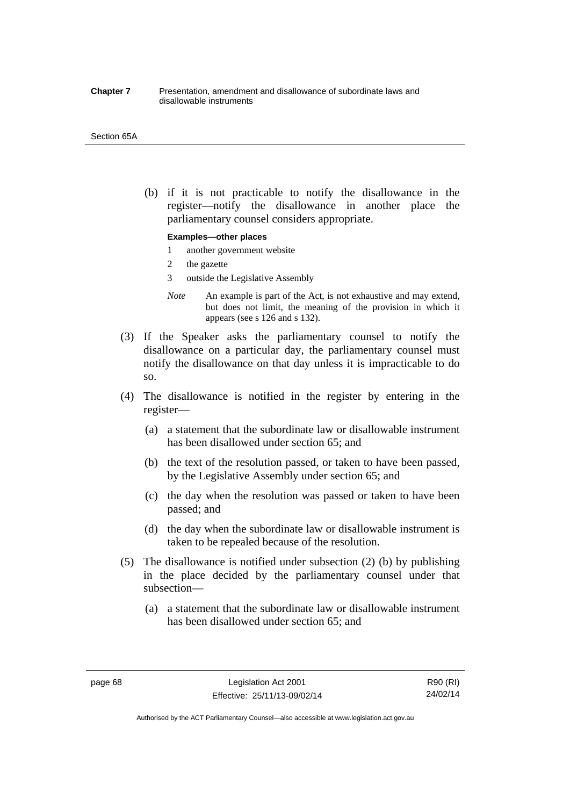#### **Chapter 7** Presentation, amendment and disallowance of subordinate laws and disallowable instruments

#### Section 65A

 (b) if it is not practicable to notify the disallowance in the register—notify the disallowance in another place the parliamentary counsel considers appropriate.

#### **Examples—other places**

- 1 another government website
- 2 the gazette
- 3 outside the Legislative Assembly
- *Note* An example is part of the Act, is not exhaustive and may extend, but does not limit, the meaning of the provision in which it appears (see s 126 and s 132).
- (3) If the Speaker asks the parliamentary counsel to notify the disallowance on a particular day, the parliamentary counsel must notify the disallowance on that day unless it is impracticable to do so.
- (4) The disallowance is notified in the register by entering in the register—
	- (a) a statement that the subordinate law or disallowable instrument has been disallowed under section 65; and
	- (b) the text of the resolution passed, or taken to have been passed, by the Legislative Assembly under section 65; and
	- (c) the day when the resolution was passed or taken to have been passed; and
	- (d) the day when the subordinate law or disallowable instrument is taken to be repealed because of the resolution.
- (5) The disallowance is notified under subsection (2) (b) by publishing in the place decided by the parliamentary counsel under that subsection—
	- (a) a statement that the subordinate law or disallowable instrument has been disallowed under section 65; and

page 68 Legislation Act 2001 Effective: 25/11/13-09/02/14

R90 (RI) 24/02/14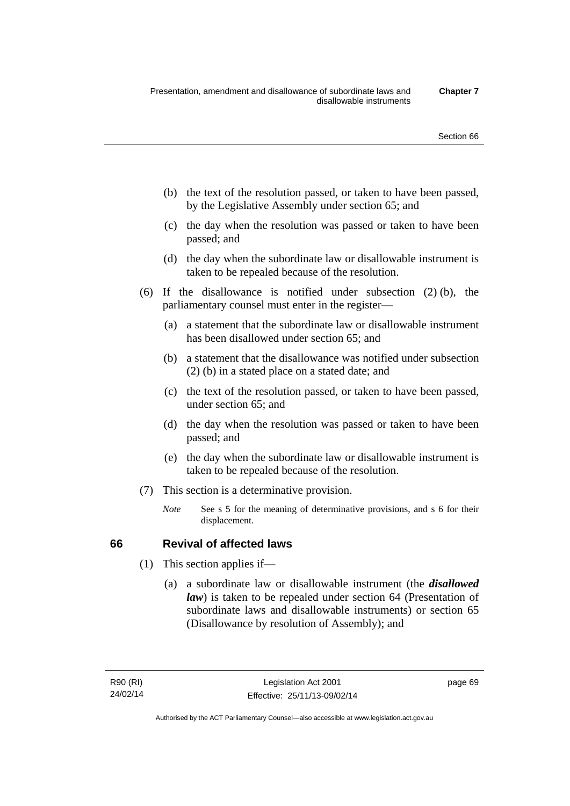- (b) the text of the resolution passed, or taken to have been passed, by the Legislative Assembly under section 65; and
- (c) the day when the resolution was passed or taken to have been passed; and
- (d) the day when the subordinate law or disallowable instrument is taken to be repealed because of the resolution.
- (6) If the disallowance is notified under subsection (2) (b), the parliamentary counsel must enter in the register—
	- (a) a statement that the subordinate law or disallowable instrument has been disallowed under section 65; and
	- (b) a statement that the disallowance was notified under subsection (2) (b) in a stated place on a stated date; and
	- (c) the text of the resolution passed, or taken to have been passed, under section 65; and
	- (d) the day when the resolution was passed or taken to have been passed; and
	- (e) the day when the subordinate law or disallowable instrument is taken to be repealed because of the resolution.
- (7) This section is a determinative provision.
	- *Note* See s 5 for the meaning of determinative provisions, and s 6 for their displacement.

## **66 Revival of affected laws**

- (1) This section applies if—
	- (a) a subordinate law or disallowable instrument (the *disallowed law*) is taken to be repealed under section 64 (Presentation of subordinate laws and disallowable instruments) or section 65 (Disallowance by resolution of Assembly); and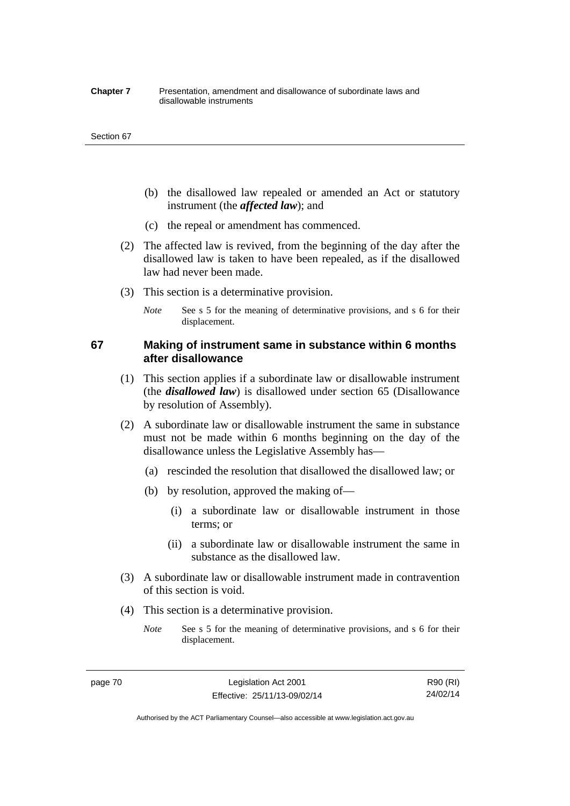#### **Chapter 7** Presentation, amendment and disallowance of subordinate laws and disallowable instruments

#### Section 67

- (b) the disallowed law repealed or amended an Act or statutory instrument (the *affected law*); and
- (c) the repeal or amendment has commenced.
- (2) The affected law is revived, from the beginning of the day after the disallowed law is taken to have been repealed, as if the disallowed law had never been made.
- (3) This section is a determinative provision.
	- *Note* See s 5 for the meaning of determinative provisions, and s 6 for their displacement.

## **67 Making of instrument same in substance within 6 months after disallowance**

- (1) This section applies if a subordinate law or disallowable instrument (the *disallowed law*) is disallowed under section 65 (Disallowance by resolution of Assembly).
- (2) A subordinate law or disallowable instrument the same in substance must not be made within 6 months beginning on the day of the disallowance unless the Legislative Assembly has—
	- (a) rescinded the resolution that disallowed the disallowed law; or
	- (b) by resolution, approved the making of—
		- (i) a subordinate law or disallowable instrument in those terms; or
		- (ii) a subordinate law or disallowable instrument the same in substance as the disallowed law.
- (3) A subordinate law or disallowable instrument made in contravention of this section is void.
- (4) This section is a determinative provision.
	- *Note* See s 5 for the meaning of determinative provisions, and s 6 for their displacement.

page 70 Legislation Act 2001 Effective: 25/11/13-09/02/14

R90 (RI) 24/02/14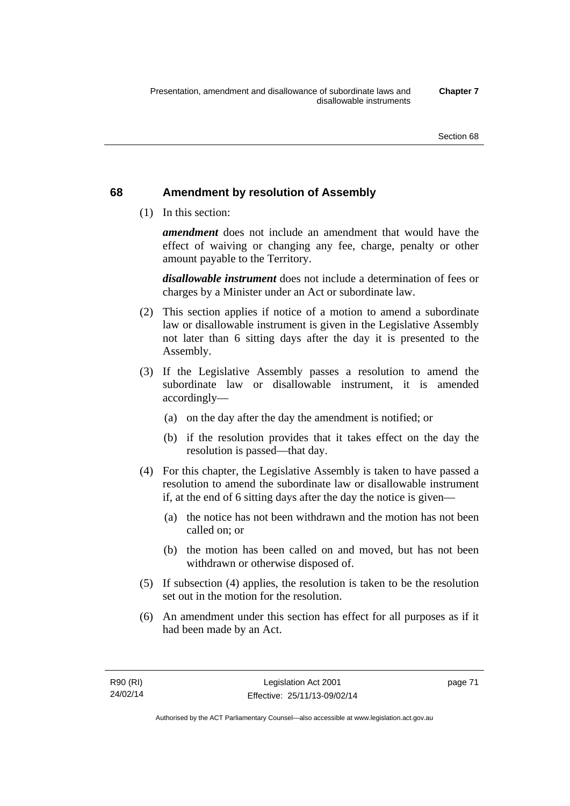## **68 Amendment by resolution of Assembly**

(1) In this section:

*amendment* does not include an amendment that would have the effect of waiving or changing any fee, charge, penalty or other amount payable to the Territory.

*disallowable instrument* does not include a determination of fees or charges by a Minister under an Act or subordinate law.

- (2) This section applies if notice of a motion to amend a subordinate law or disallowable instrument is given in the Legislative Assembly not later than 6 sitting days after the day it is presented to the Assembly.
- (3) If the Legislative Assembly passes a resolution to amend the subordinate law or disallowable instrument, it is amended accordingly—
	- (a) on the day after the day the amendment is notified; or
	- (b) if the resolution provides that it takes effect on the day the resolution is passed—that day.
- (4) For this chapter, the Legislative Assembly is taken to have passed a resolution to amend the subordinate law or disallowable instrument if, at the end of 6 sitting days after the day the notice is given—
	- (a) the notice has not been withdrawn and the motion has not been called on; or
	- (b) the motion has been called on and moved, but has not been withdrawn or otherwise disposed of.
- (5) If subsection (4) applies, the resolution is taken to be the resolution set out in the motion for the resolution.
- (6) An amendment under this section has effect for all purposes as if it had been made by an Act.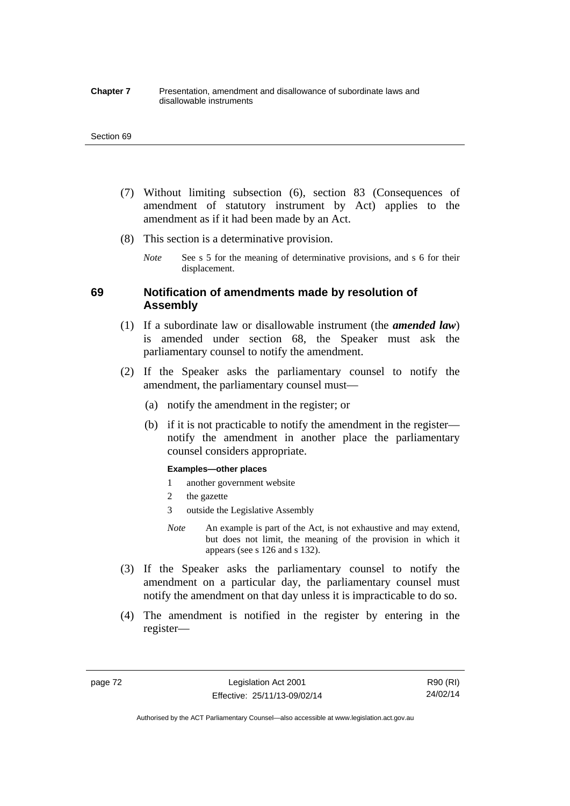#### **Chapter 7** Presentation, amendment and disallowance of subordinate laws and disallowable instruments

#### Section 69

- (7) Without limiting subsection (6), section 83 (Consequences of amendment of statutory instrument by Act) applies to the amendment as if it had been made by an Act.
- (8) This section is a determinative provision.
	- *Note* See s 5 for the meaning of determinative provisions, and s 6 for their displacement.

## **69 Notification of amendments made by resolution of Assembly**

- (1) If a subordinate law or disallowable instrument (the *amended law*) is amended under section 68, the Speaker must ask the parliamentary counsel to notify the amendment.
- (2) If the Speaker asks the parliamentary counsel to notify the amendment, the parliamentary counsel must—
	- (a) notify the amendment in the register; or
	- (b) if it is not practicable to notify the amendment in the register notify the amendment in another place the parliamentary counsel considers appropriate.

#### **Examples—other places**

- 1 another government website
- 2 the gazette
- 3 outside the Legislative Assembly
- *Note* An example is part of the Act, is not exhaustive and may extend, but does not limit, the meaning of the provision in which it appears (see s 126 and s 132).
- (3) If the Speaker asks the parliamentary counsel to notify the amendment on a particular day, the parliamentary counsel must notify the amendment on that day unless it is impracticable to do so.
- (4) The amendment is notified in the register by entering in the register—

page 72 Legislation Act 2001 Effective: 25/11/13-09/02/14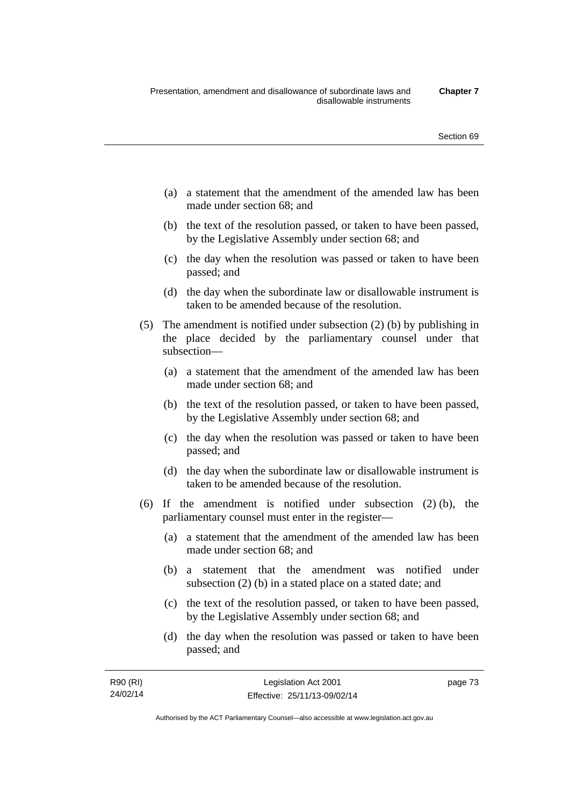- (a) a statement that the amendment of the amended law has been made under section 68; and
- (b) the text of the resolution passed, or taken to have been passed, by the Legislative Assembly under section 68; and
- (c) the day when the resolution was passed or taken to have been passed; and
- (d) the day when the subordinate law or disallowable instrument is taken to be amended because of the resolution.
- (5) The amendment is notified under subsection (2) (b) by publishing in the place decided by the parliamentary counsel under that subsection—
	- (a) a statement that the amendment of the amended law has been made under section 68; and
	- (b) the text of the resolution passed, or taken to have been passed, by the Legislative Assembly under section 68; and
	- (c) the day when the resolution was passed or taken to have been passed; and
	- (d) the day when the subordinate law or disallowable instrument is taken to be amended because of the resolution.
- (6) If the amendment is notified under subsection (2) (b), the parliamentary counsel must enter in the register—
	- (a) a statement that the amendment of the amended law has been made under section 68; and
	- (b) a statement that the amendment was notified under subsection (2) (b) in a stated place on a stated date; and
	- (c) the text of the resolution passed, or taken to have been passed, by the Legislative Assembly under section 68; and
	- (d) the day when the resolution was passed or taken to have been passed; and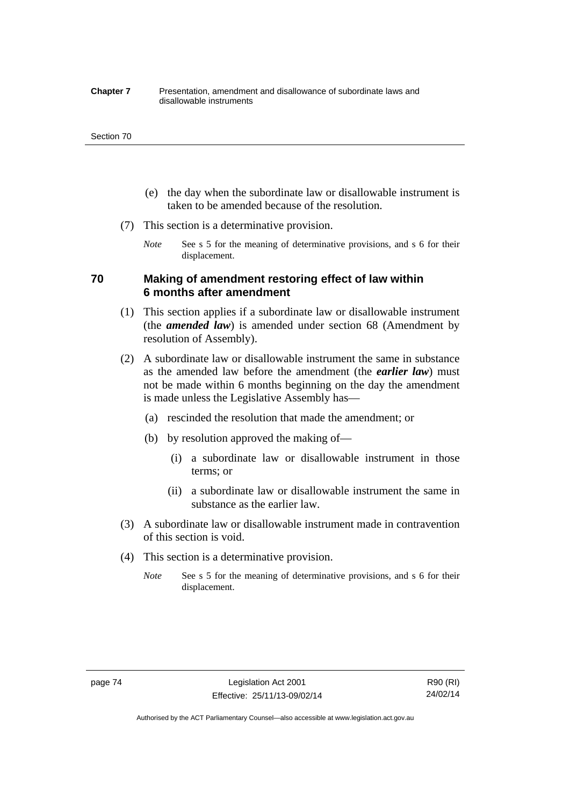#### **Chapter 7** Presentation, amendment and disallowance of subordinate laws and disallowable instruments

#### Section 70

- (e) the day when the subordinate law or disallowable instrument is taken to be amended because of the resolution.
- (7) This section is a determinative provision.
	- *Note* See s 5 for the meaning of determinative provisions, and s 6 for their displacement.

## **70 Making of amendment restoring effect of law within 6 months after amendment**

- (1) This section applies if a subordinate law or disallowable instrument (the *amended law*) is amended under section 68 (Amendment by resolution of Assembly).
- (2) A subordinate law or disallowable instrument the same in substance as the amended law before the amendment (the *earlier law*) must not be made within 6 months beginning on the day the amendment is made unless the Legislative Assembly has—
	- (a) rescinded the resolution that made the amendment; or
	- (b) by resolution approved the making of—
		- (i) a subordinate law or disallowable instrument in those terms; or
		- (ii) a subordinate law or disallowable instrument the same in substance as the earlier law.
- (3) A subordinate law or disallowable instrument made in contravention of this section is void.
- (4) This section is a determinative provision.
	- *Note* See s 5 for the meaning of determinative provisions, and s 6 for their displacement.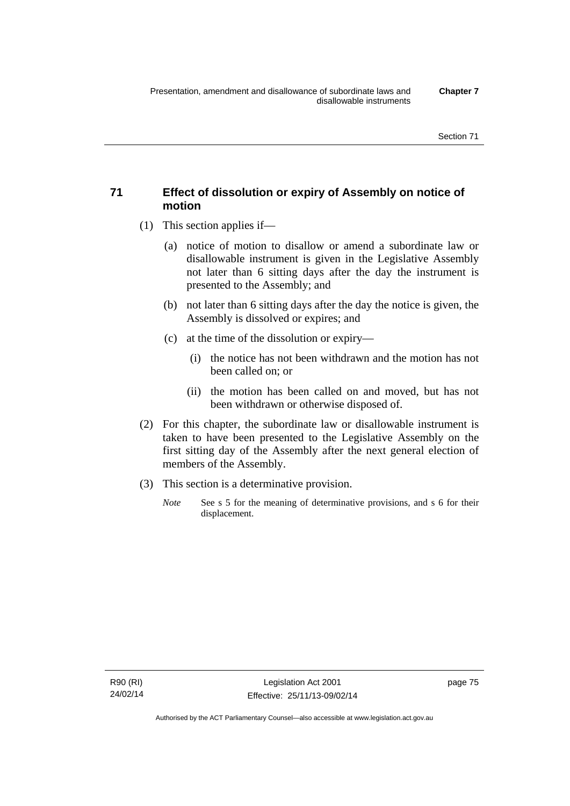## **71 Effect of dissolution or expiry of Assembly on notice of motion**

- (1) This section applies if—
	- (a) notice of motion to disallow or amend a subordinate law or disallowable instrument is given in the Legislative Assembly not later than 6 sitting days after the day the instrument is presented to the Assembly; and
	- (b) not later than 6 sitting days after the day the notice is given, the Assembly is dissolved or expires; and
	- (c) at the time of the dissolution or expiry—
		- (i) the notice has not been withdrawn and the motion has not been called on; or
		- (ii) the motion has been called on and moved, but has not been withdrawn or otherwise disposed of.
- (2) For this chapter, the subordinate law or disallowable instrument is taken to have been presented to the Legislative Assembly on the first sitting day of the Assembly after the next general election of members of the Assembly.
- (3) This section is a determinative provision.
	- *Note* See s 5 for the meaning of determinative provisions, and s 6 for their displacement.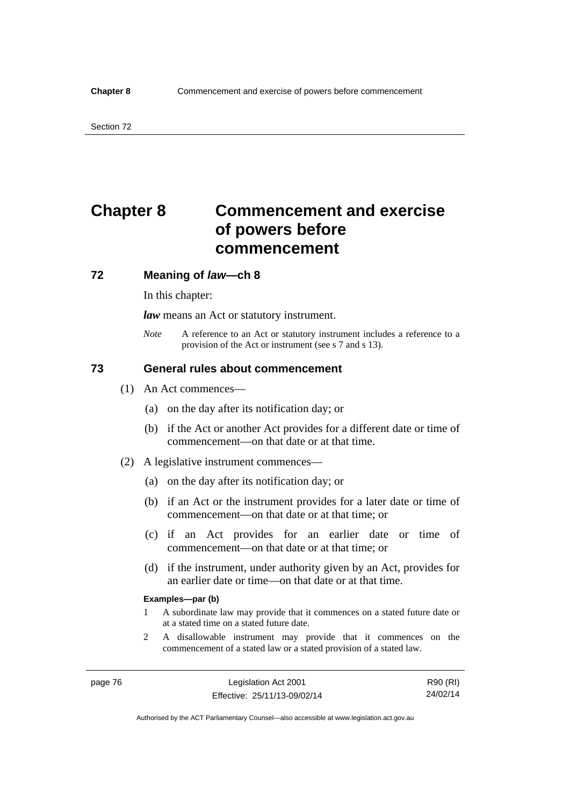# **Chapter 8 Commencement and exercise of powers before commencement**

## **72 Meaning of** *law***—ch 8**

In this chapter:

*law* means an Act or statutory instrument.

*Note* A reference to an Act or statutory instrument includes a reference to a provision of the Act or instrument (see s 7 and s 13).

## **73 General rules about commencement**

- (1) An Act commences—
	- (a) on the day after its notification day; or
	- (b) if the Act or another Act provides for a different date or time of commencement—on that date or at that time.
- (2) A legislative instrument commences—
	- (a) on the day after its notification day; or
	- (b) if an Act or the instrument provides for a later date or time of commencement—on that date or at that time; or
	- (c) if an Act provides for an earlier date or time of commencement—on that date or at that time; or
	- (d) if the instrument, under authority given by an Act, provides for an earlier date or time—on that date or at that time.

#### **Examples—par (b)**

- 1 A subordinate law may provide that it commences on a stated future date or at a stated time on a stated future date.
- 2 A disallowable instrument may provide that it commences on the commencement of a stated law or a stated provision of a stated law.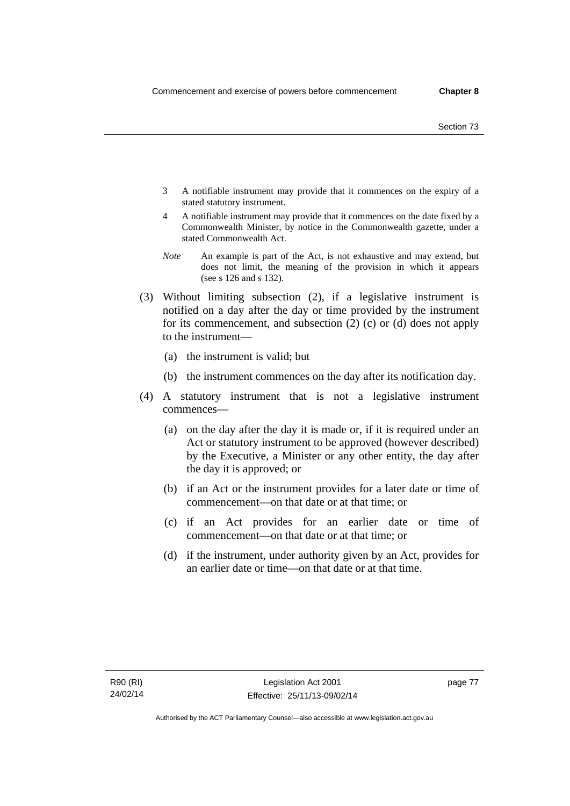- 3 A notifiable instrument may provide that it commences on the expiry of a stated statutory instrument.
- 4 A notifiable instrument may provide that it commences on the date fixed by a Commonwealth Minister, by notice in the Commonwealth gazette, under a stated Commonwealth Act.
- *Note* An example is part of the Act, is not exhaustive and may extend, but does not limit, the meaning of the provision in which it appears (see s 126 and s 132).
- (3) Without limiting subsection (2), if a legislative instrument is notified on a day after the day or time provided by the instrument for its commencement, and subsection (2) (c) or (d) does not apply to the instrument—
	- (a) the instrument is valid; but
	- (b) the instrument commences on the day after its notification day.
- (4) A statutory instrument that is not a legislative instrument commences—
	- (a) on the day after the day it is made or, if it is required under an Act or statutory instrument to be approved (however described) by the Executive, a Minister or any other entity, the day after the day it is approved; or
	- (b) if an Act or the instrument provides for a later date or time of commencement—on that date or at that time; or
	- (c) if an Act provides for an earlier date or time of commencement—on that date or at that time; or
	- (d) if the instrument, under authority given by an Act, provides for an earlier date or time—on that date or at that time.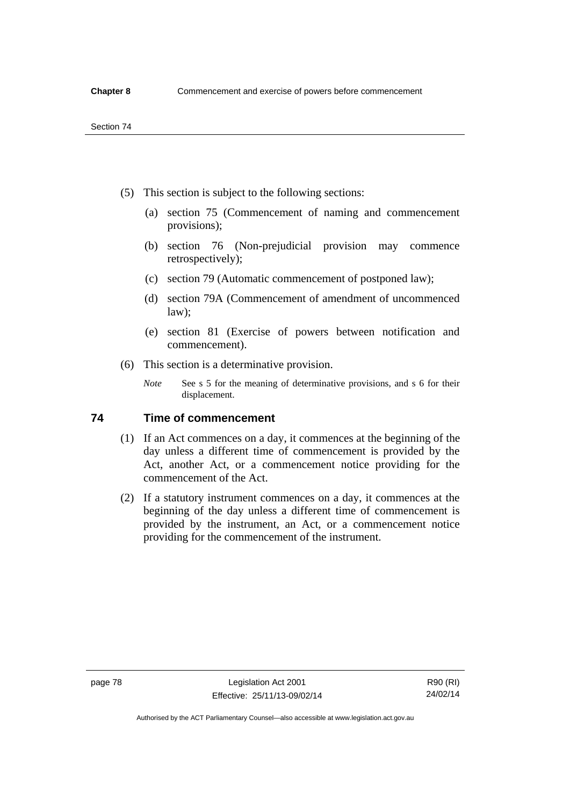- (5) This section is subject to the following sections:
	- (a) section 75 (Commencement of naming and commencement provisions);
	- (b) section 76 (Non-prejudicial provision may commence retrospectively);
	- (c) section 79 (Automatic commencement of postponed law);
	- (d) section 79A (Commencement of amendment of uncommenced law);
	- (e) section 81 (Exercise of powers between notification and commencement).
- (6) This section is a determinative provision.
	- *Note* See s 5 for the meaning of determinative provisions, and s 6 for their displacement.

## **74 Time of commencement**

- (1) If an Act commences on a day, it commences at the beginning of the day unless a different time of commencement is provided by the Act, another Act, or a commencement notice providing for the commencement of the Act.
- (2) If a statutory instrument commences on a day, it commences at the beginning of the day unless a different time of commencement is provided by the instrument, an Act, or a commencement notice providing for the commencement of the instrument.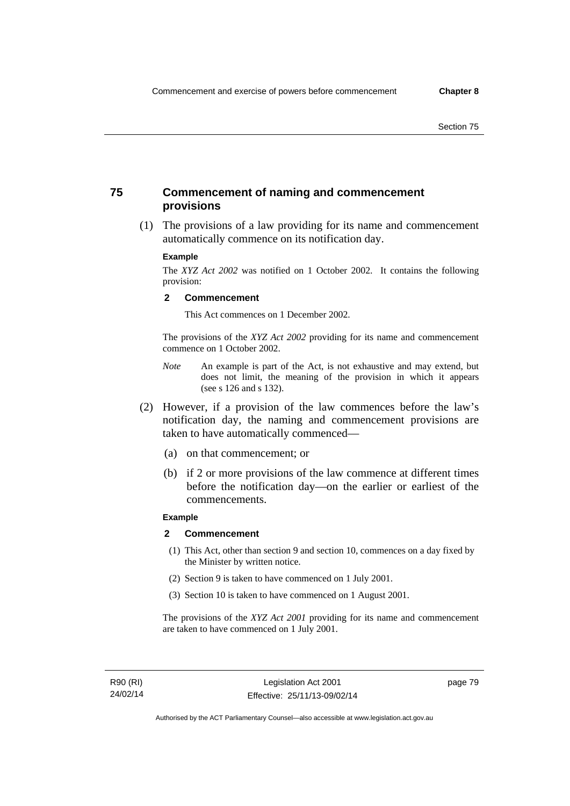## **75 Commencement of naming and commencement provisions**

 (1) The provisions of a law providing for its name and commencement automatically commence on its notification day.

#### **Example**

The *XYZ Act 2002* was notified on 1 October 2002. It contains the following provision:

#### **2 Commencement**

This Act commences on 1 December 2002.

The provisions of the *XYZ Act 2002* providing for its name and commencement commence on 1 October 2002.

- *Note* An example is part of the Act, is not exhaustive and may extend, but does not limit, the meaning of the provision in which it appears (see s 126 and s 132).
- (2) However, if a provision of the law commences before the law's notification day, the naming and commencement provisions are taken to have automatically commenced—
	- (a) on that commencement; or
	- (b) if 2 or more provisions of the law commence at different times before the notification day—on the earlier or earliest of the commencements.

### **Example**

#### **2 Commencement**

- (1) This Act, other than section 9 and section 10, commences on a day fixed by the Minister by written notice.
- (2) Section 9 is taken to have commenced on 1 July 2001.
- (3) Section 10 is taken to have commenced on 1 August 2001.

The provisions of the *XYZ Act 2001* providing for its name and commencement are taken to have commenced on 1 July 2001.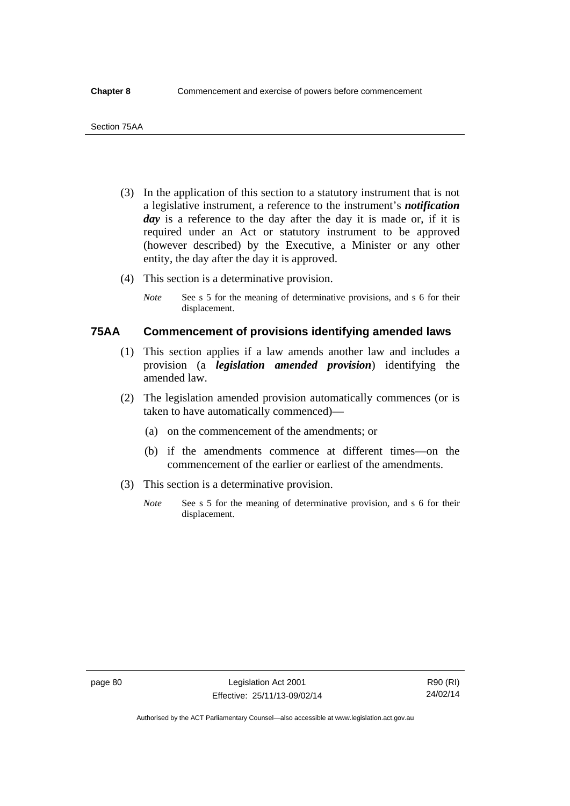- (3) In the application of this section to a statutory instrument that is not a legislative instrument, a reference to the instrument's *notification*  day is a reference to the day after the day it is made or, if it is required under an Act or statutory instrument to be approved (however described) by the Executive, a Minister or any other entity, the day after the day it is approved.
- (4) This section is a determinative provision.
	- *Note* See s 5 for the meaning of determinative provisions, and s 6 for their displacement.

## **75AA Commencement of provisions identifying amended laws**

- (1) This section applies if a law amends another law and includes a provision (a *legislation amended provision*) identifying the amended law.
- (2) The legislation amended provision automatically commences (or is taken to have automatically commenced)—
	- (a) on the commencement of the amendments; or
	- (b) if the amendments commence at different times—on the commencement of the earlier or earliest of the amendments.
- (3) This section is a determinative provision.
	- *Note* See s 5 for the meaning of determinative provision, and s 6 for their displacement.

R90 (RI) 24/02/14

Authorised by the ACT Parliamentary Counsel—also accessible at www.legislation.act.gov.au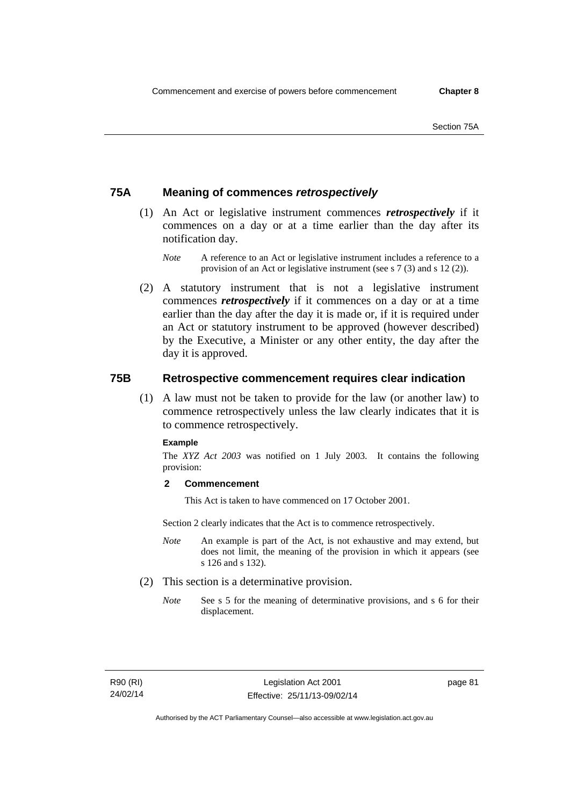## **75A Meaning of commences** *retrospectively*

- (1) An Act or legislative instrument commences *retrospectively* if it commences on a day or at a time earlier than the day after its notification day.
	- *Note* A reference to an Act or legislative instrument includes a reference to a provision of an Act or legislative instrument (see s 7 (3) and s 12 (2)).
- (2) A statutory instrument that is not a legislative instrument commences *retrospectively* if it commences on a day or at a time earlier than the day after the day it is made or, if it is required under an Act or statutory instrument to be approved (however described) by the Executive, a Minister or any other entity, the day after the day it is approved.

## **75B Retrospective commencement requires clear indication**

(1) A law must not be taken to provide for the law (or another law) to commence retrospectively unless the law clearly indicates that it is to commence retrospectively.

#### **Example**

The *XYZ Act 2003* was notified on 1 July 2003. It contains the following provision:

### **2 Commencement**

This Act is taken to have commenced on 17 October 2001.

Section 2 clearly indicates that the Act is to commence retrospectively.

- *Note* An example is part of the Act, is not exhaustive and may extend, but does not limit, the meaning of the provision in which it appears (see s 126 and s 132).
- (2) This section is a determinative provision.
	- *Note* See s 5 for the meaning of determinative provisions, and s 6 for their displacement.

R90 (RI) 24/02/14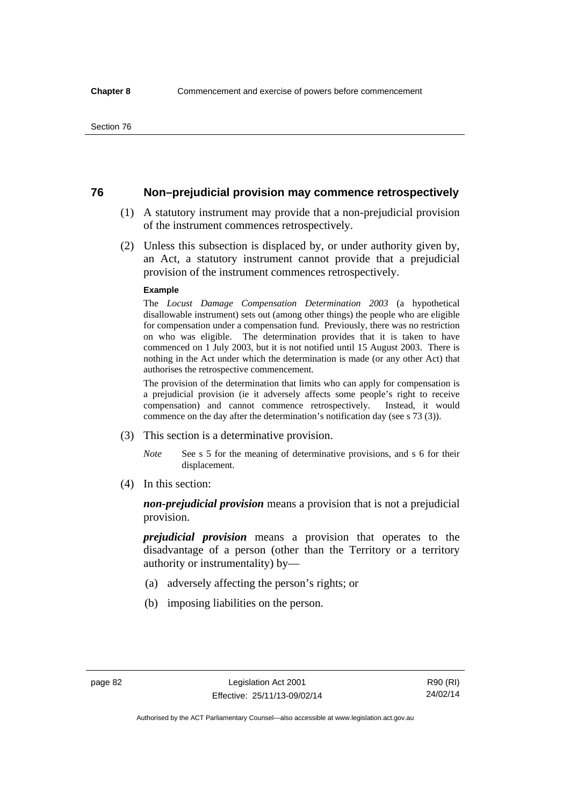## **76 Non–prejudicial provision may commence retrospectively**

- (1) A statutory instrument may provide that a non-prejudicial provision of the instrument commences retrospectively.
- (2) Unless this subsection is displaced by, or under authority given by, an Act, a statutory instrument cannot provide that a prejudicial provision of the instrument commences retrospectively.

#### **Example**

The *Locust Damage Compensation Determination 2003* (a hypothetical disallowable instrument) sets out (among other things) the people who are eligible for compensation under a compensation fund. Previously, there was no restriction on who was eligible. The determination provides that it is taken to have commenced on 1 July 2003, but it is not notified until 15 August 2003. There is nothing in the Act under which the determination is made (or any other Act) that authorises the retrospective commencement.

The provision of the determination that limits who can apply for compensation is a prejudicial provision (ie it adversely affects some people's right to receive compensation) and cannot commence retrospectively. Instead, it would commence on the day after the determination's notification day (see s 73 (3)).

- (3) This section is a determinative provision.
	- *Note* See s 5 for the meaning of determinative provisions, and s 6 for their displacement.
- (4) In this section:

*non-prejudicial provision* means a provision that is not a prejudicial provision.

*prejudicial provision* means a provision that operates to the disadvantage of a person (other than the Territory or a territory authority or instrumentality) by—

- (a) adversely affecting the person's rights; or
- (b) imposing liabilities on the person.

R90 (RI) 24/02/14

Authorised by the ACT Parliamentary Counsel—also accessible at www.legislation.act.gov.au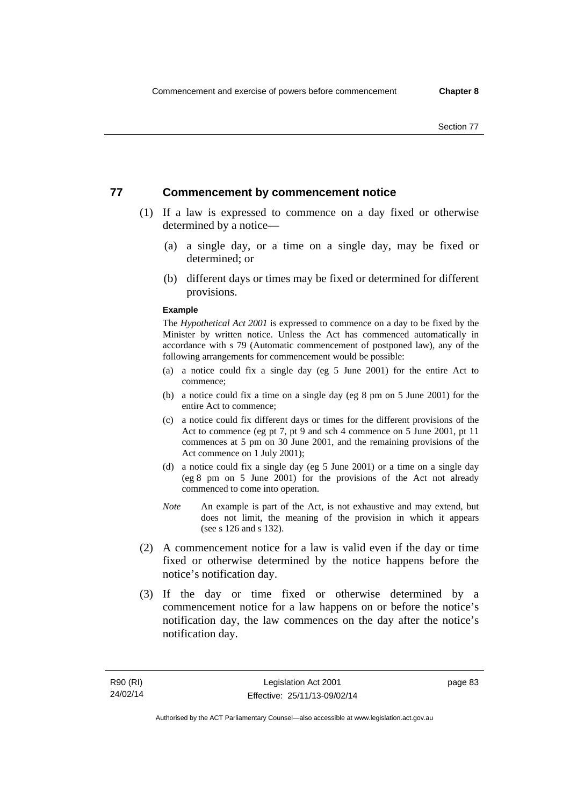## **77 Commencement by commencement notice**

- (1) If a law is expressed to commence on a day fixed or otherwise determined by a notice—
	- (a) a single day, or a time on a single day, may be fixed or determined; or
	- (b) different days or times may be fixed or determined for different provisions.

#### **Example**

The *Hypothetical Act 2001* is expressed to commence on a day to be fixed by the Minister by written notice. Unless the Act has commenced automatically in accordance with s 79 (Automatic commencement of postponed law), any of the following arrangements for commencement would be possible:

- (a) a notice could fix a single day (eg 5 June 2001) for the entire Act to commence;
- (b) a notice could fix a time on a single day (eg 8 pm on 5 June 2001) for the entire Act to commence;
- (c) a notice could fix different days or times for the different provisions of the Act to commence (eg pt 7, pt 9 and sch 4 commence on 5 June 2001, pt 11 commences at 5 pm on 30 June 2001, and the remaining provisions of the Act commence on 1 July 2001);
- (d) a notice could fix a single day (eg 5 June 2001) or a time on a single day (eg 8 pm on 5 June 2001) for the provisions of the Act not already commenced to come into operation.
- *Note* An example is part of the Act, is not exhaustive and may extend, but does not limit, the meaning of the provision in which it appears (see s 126 and s 132).
- (2) A commencement notice for a law is valid even if the day or time fixed or otherwise determined by the notice happens before the notice's notification day.
- (3) If the day or time fixed or otherwise determined by a commencement notice for a law happens on or before the notice's notification day, the law commences on the day after the notice's notification day.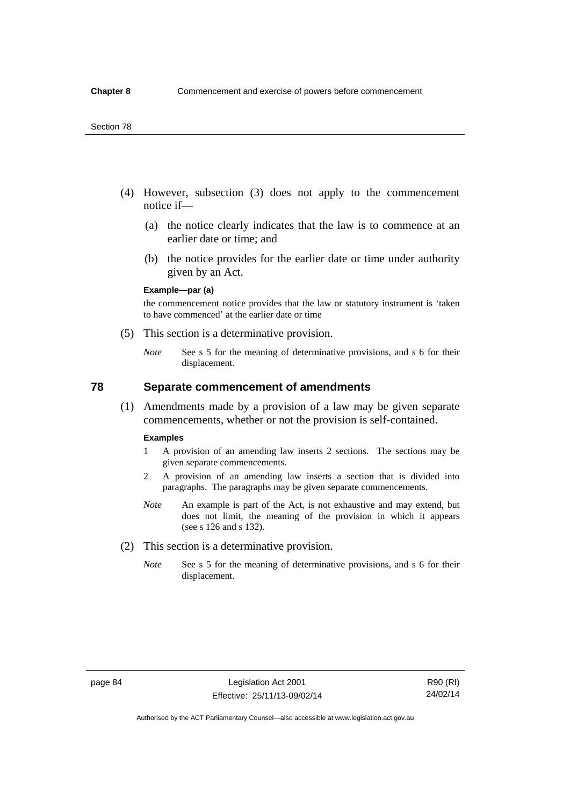#### Section 78

- (4) However, subsection (3) does not apply to the commencement notice if—
	- (a) the notice clearly indicates that the law is to commence at an earlier date or time; and
	- (b) the notice provides for the earlier date or time under authority given by an Act.

### **Example—par (a)**

the commencement notice provides that the law or statutory instrument is 'taken to have commenced' at the earlier date or time

- (5) This section is a determinative provision.
	- *Note* See s 5 for the meaning of determinative provisions, and s 6 for their displacement.

## **78 Separate commencement of amendments**

 (1) Amendments made by a provision of a law may be given separate commencements, whether or not the provision is self-contained.

#### **Examples**

- 1 A provision of an amending law inserts 2 sections. The sections may be given separate commencements.
- 2 A provision of an amending law inserts a section that is divided into paragraphs. The paragraphs may be given separate commencements.
- *Note* An example is part of the Act, is not exhaustive and may extend, but does not limit, the meaning of the provision in which it appears (see s 126 and s 132).
- (2) This section is a determinative provision.
	- *Note* See s 5 for the meaning of determinative provisions, and s 6 for their displacement.

R90 (RI) 24/02/14

Authorised by the ACT Parliamentary Counsel—also accessible at www.legislation.act.gov.au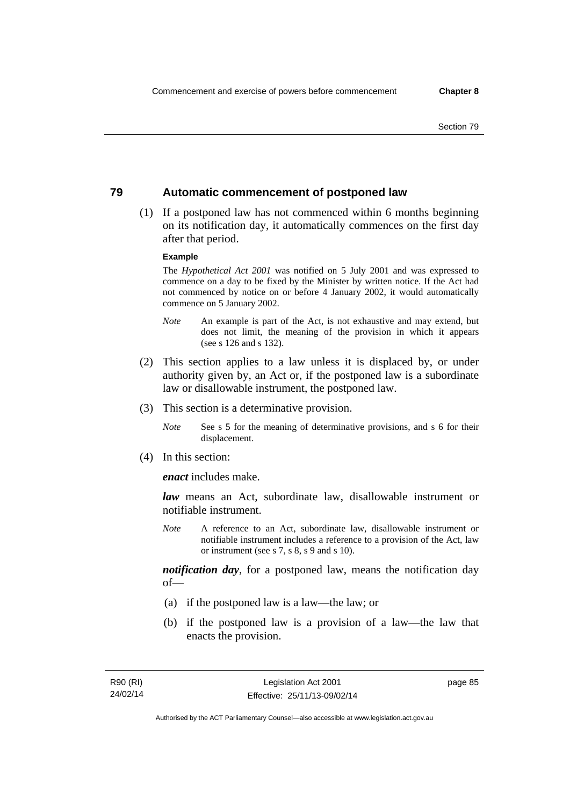## **79 Automatic commencement of postponed law**

 (1) If a postponed law has not commenced within 6 months beginning on its notification day, it automatically commences on the first day after that period.

### **Example**

The *Hypothetical Act 2001* was notified on 5 July 2001 and was expressed to commence on a day to be fixed by the Minister by written notice. If the Act had not commenced by notice on or before 4 January 2002, it would automatically commence on 5 January 2002.

- *Note* An example is part of the Act, is not exhaustive and may extend, but does not limit, the meaning of the provision in which it appears (see s 126 and s 132).
- (2) This section applies to a law unless it is displaced by, or under authority given by, an Act or, if the postponed law is a subordinate law or disallowable instrument, the postponed law.
- (3) This section is a determinative provision.
	- *Note* See s 5 for the meaning of determinative provisions, and s 6 for their displacement.
- (4) In this section:

*enact* includes make.

*law* means an Act, subordinate law, disallowable instrument or notifiable instrument.

*Note* A reference to an Act, subordinate law, disallowable instrument or notifiable instrument includes a reference to a provision of the Act, law or instrument (see s 7, s 8, s 9 and s 10).

*notification day*, for a postponed law, means the notification day of—

- (a) if the postponed law is a law—the law; or
- (b) if the postponed law is a provision of a law—the law that enacts the provision.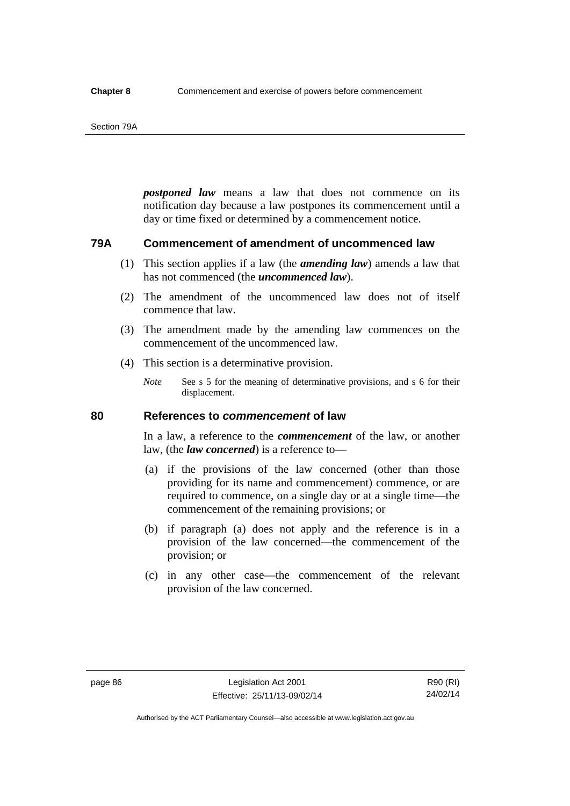#### Section 79A

*postponed law* means a law that does not commence on its notification day because a law postpones its commencement until a day or time fixed or determined by a commencement notice.

## **79A Commencement of amendment of uncommenced law**

- (1) This section applies if a law (the *amending law*) amends a law that has not commenced (the *uncommenced law*).
- (2) The amendment of the uncommenced law does not of itself commence that law.
- (3) The amendment made by the amending law commences on the commencement of the uncommenced law.
- (4) This section is a determinative provision.
	- *Note* See s 5 for the meaning of determinative provisions, and s 6 for their displacement.

## **80 References to** *commencement* **of law**

In a law, a reference to the *commencement* of the law, or another law, (the *law concerned*) is a reference to—

- (a) if the provisions of the law concerned (other than those providing for its name and commencement) commence, or are required to commence, on a single day or at a single time—the commencement of the remaining provisions; or
- (b) if paragraph (a) does not apply and the reference is in a provision of the law concerned—the commencement of the provision; or
- (c) in any other case—the commencement of the relevant provision of the law concerned.

Authorised by the ACT Parliamentary Counsel—also accessible at www.legislation.act.gov.au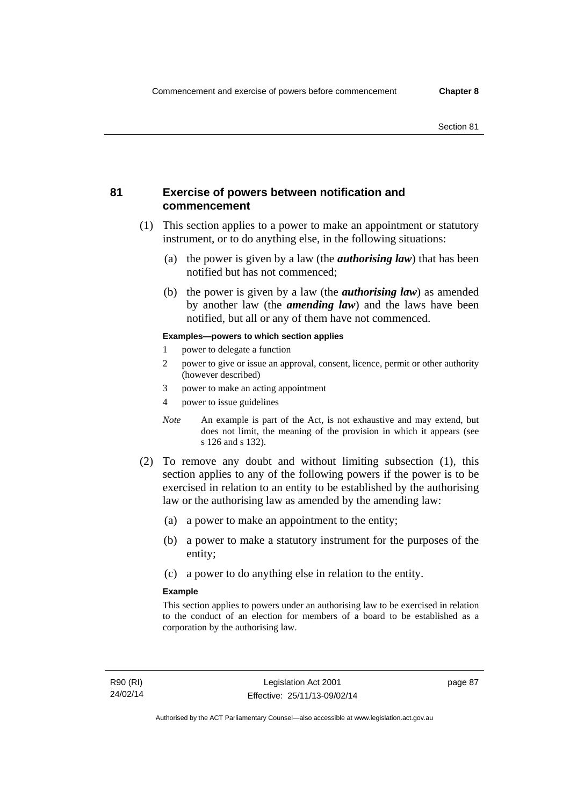## **81 Exercise of powers between notification and commencement**

- (1) This section applies to a power to make an appointment or statutory instrument, or to do anything else, in the following situations:
	- (a) the power is given by a law (the *authorising law*) that has been notified but has not commenced;
	- (b) the power is given by a law (the *authorising law*) as amended by another law (the *amending law*) and the laws have been notified, but all or any of them have not commenced.

### **Examples—powers to which section applies**

- 1 power to delegate a function
- 2 power to give or issue an approval, consent, licence, permit or other authority (however described)
- 3 power to make an acting appointment
- 4 power to issue guidelines
- *Note* An example is part of the Act, is not exhaustive and may extend, but does not limit, the meaning of the provision in which it appears (see s 126 and s 132).
- (2) To remove any doubt and without limiting subsection (1), this section applies to any of the following powers if the power is to be exercised in relation to an entity to be established by the authorising law or the authorising law as amended by the amending law:
	- (a) a power to make an appointment to the entity;
	- (b) a power to make a statutory instrument for the purposes of the entity;
	- (c) a power to do anything else in relation to the entity.

#### **Example**

This section applies to powers under an authorising law to be exercised in relation to the conduct of an election for members of a board to be established as a corporation by the authorising law.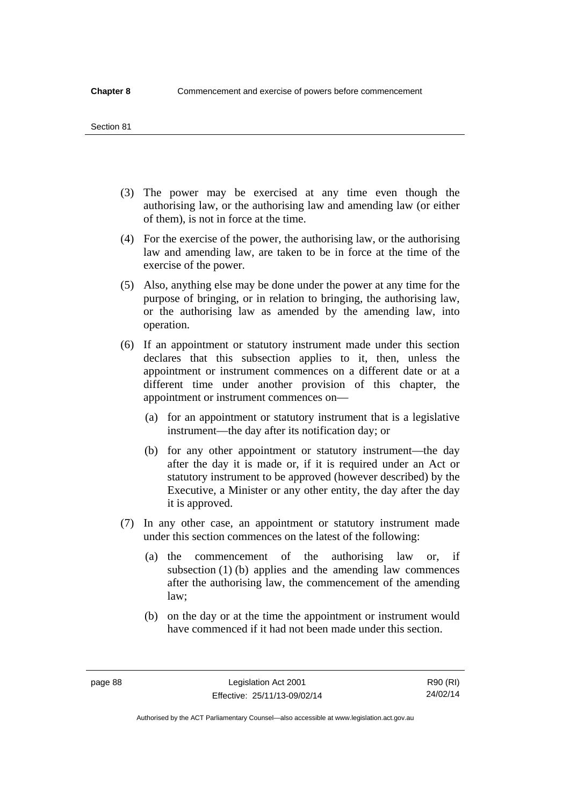#### Section 81

- (3) The power may be exercised at any time even though the authorising law, or the authorising law and amending law (or either of them), is not in force at the time.
- (4) For the exercise of the power, the authorising law, or the authorising law and amending law, are taken to be in force at the time of the exercise of the power.
- (5) Also, anything else may be done under the power at any time for the purpose of bringing, or in relation to bringing, the authorising law, or the authorising law as amended by the amending law, into operation.
- (6) If an appointment or statutory instrument made under this section declares that this subsection applies to it, then, unless the appointment or instrument commences on a different date or at a different time under another provision of this chapter, the appointment or instrument commences on—
	- (a) for an appointment or statutory instrument that is a legislative instrument—the day after its notification day; or
	- (b) for any other appointment or statutory instrument—the day after the day it is made or, if it is required under an Act or statutory instrument to be approved (however described) by the Executive, a Minister or any other entity, the day after the day it is approved.
- (7) In any other case, an appointment or statutory instrument made under this section commences on the latest of the following:
	- (a) the commencement of the authorising law or, if subsection (1) (b) applies and the amending law commences after the authorising law, the commencement of the amending law;
	- (b) on the day or at the time the appointment or instrument would have commenced if it had not been made under this section.

page 88 Legislation Act 2001 Effective: 25/11/13-09/02/14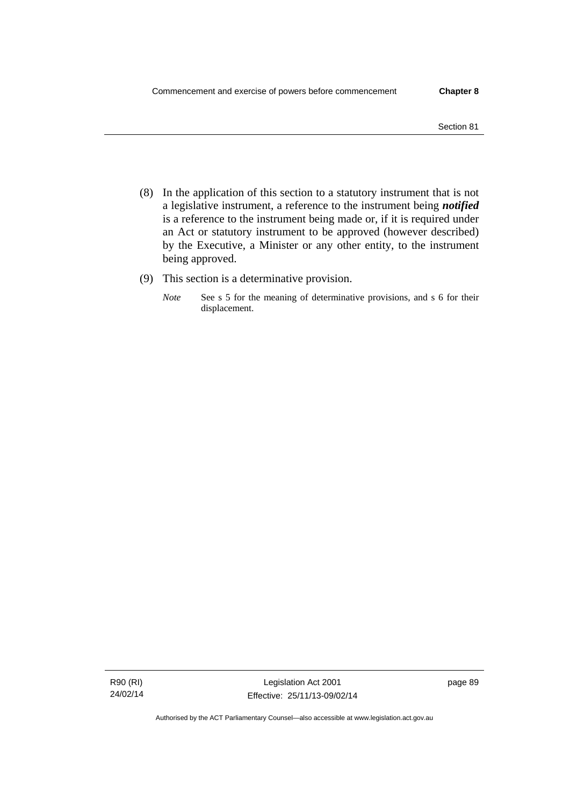- (8) In the application of this section to a statutory instrument that is not a legislative instrument, a reference to the instrument being *notified*  is a reference to the instrument being made or, if it is required under an Act or statutory instrument to be approved (however described) by the Executive, a Minister or any other entity, to the instrument being approved.
- (9) This section is a determinative provision.
	- *Note* See s 5 for the meaning of determinative provisions, and s 6 for their displacement.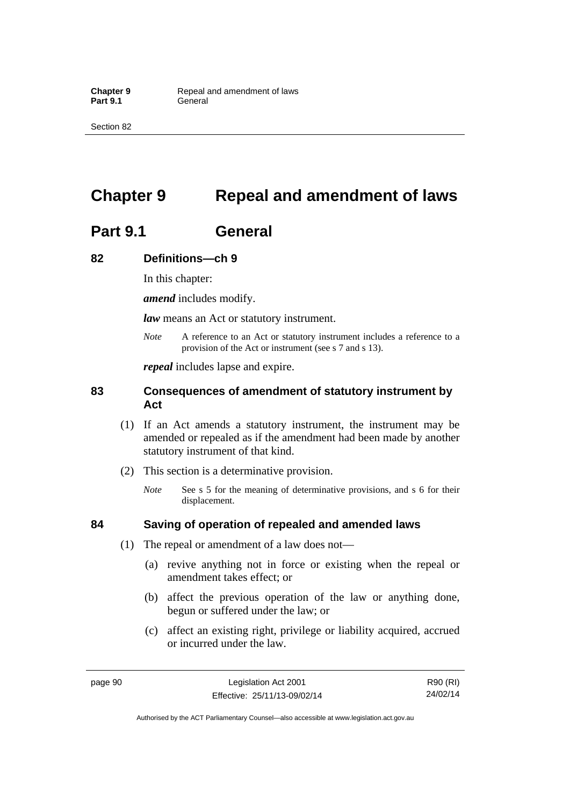Section 82

# **Chapter 9 Repeal and amendment of laws**

# **Part 9.1 General**

## **82 Definitions—ch 9**

In this chapter:

*amend* includes modify.

*law* means an Act or statutory instrument.

*Note* A reference to an Act or statutory instrument includes a reference to a provision of the Act or instrument (see s 7 and s 13).

*repeal* includes lapse and expire.

## **83 Consequences of amendment of statutory instrument by Act**

- (1) If an Act amends a statutory instrument, the instrument may be amended or repealed as if the amendment had been made by another statutory instrument of that kind.
- (2) This section is a determinative provision.
	- *Note* See s 5 for the meaning of determinative provisions, and s 6 for their displacement.

## **84 Saving of operation of repealed and amended laws**

- (1) The repeal or amendment of a law does not—
	- (a) revive anything not in force or existing when the repeal or amendment takes effect; or
	- (b) affect the previous operation of the law or anything done, begun or suffered under the law; or
	- (c) affect an existing right, privilege or liability acquired, accrued or incurred under the law.

page 90 Legislation Act 2001 Effective: 25/11/13-09/02/14

R90 (RI) 24/02/14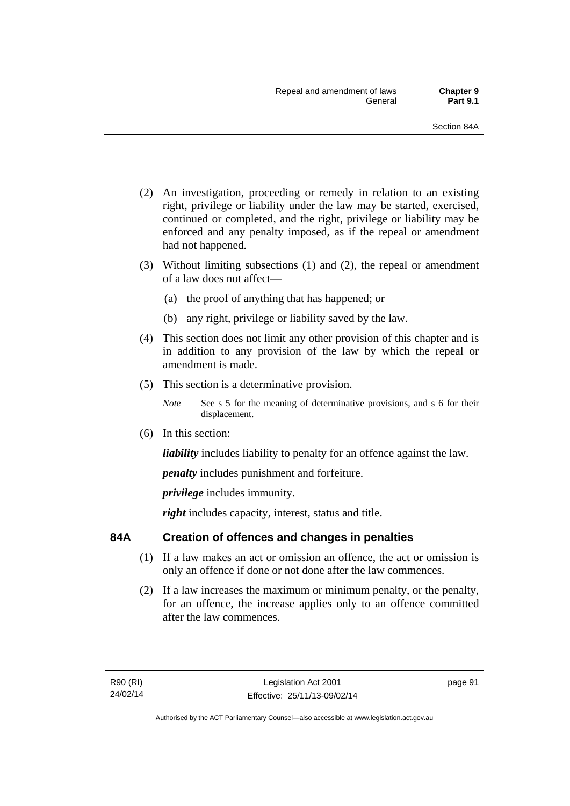- (2) An investigation, proceeding or remedy in relation to an existing right, privilege or liability under the law may be started, exercised, continued or completed, and the right, privilege or liability may be enforced and any penalty imposed, as if the repeal or amendment had not happened.
- (3) Without limiting subsections (1) and (2), the repeal or amendment of a law does not affect—
	- (a) the proof of anything that has happened; or
	- (b) any right, privilege or liability saved by the law.
- (4) This section does not limit any other provision of this chapter and is in addition to any provision of the law by which the repeal or amendment is made.
- (5) This section is a determinative provision.
	- *Note* See s 5 for the meaning of determinative provisions, and s 6 for their displacement.
- (6) In this section:

*liability* includes liability to penalty for an offence against the law.

*penalty* includes punishment and forfeiture.

*privilege* includes immunity.

right includes capacity, interest, status and title.

## **84A Creation of offences and changes in penalties**

- (1) If a law makes an act or omission an offence, the act or omission is only an offence if done or not done after the law commences.
- (2) If a law increases the maximum or minimum penalty, or the penalty, for an offence, the increase applies only to an offence committed after the law commences.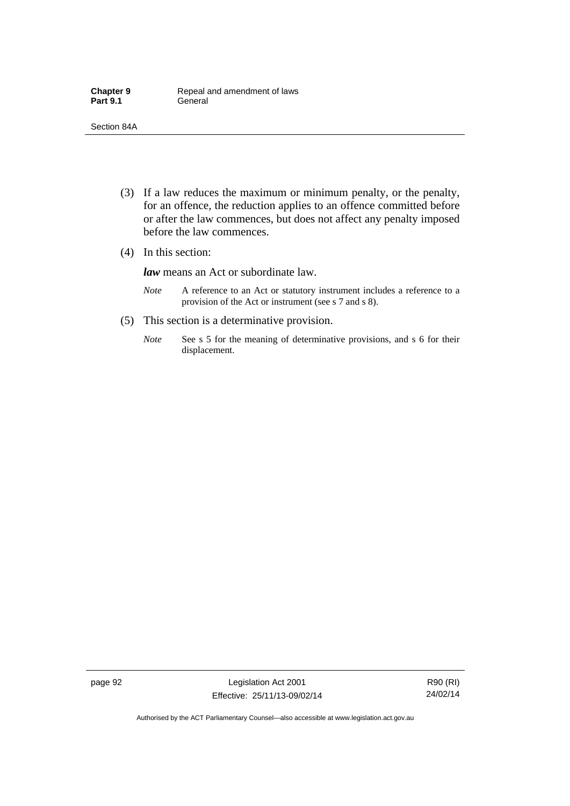- (3) If a law reduces the maximum or minimum penalty, or the penalty, for an offence, the reduction applies to an offence committed before or after the law commences, but does not affect any penalty imposed before the law commences.
- (4) In this section:

*law* means an Act or subordinate law.

- *Note* A reference to an Act or statutory instrument includes a reference to a provision of the Act or instrument (see s 7 and s 8).
- (5) This section is a determinative provision.
	- *Note* See s 5 for the meaning of determinative provisions, and s 6 for their displacement.

page 92 Legislation Act 2001 Effective: 25/11/13-09/02/14

R90 (RI) 24/02/14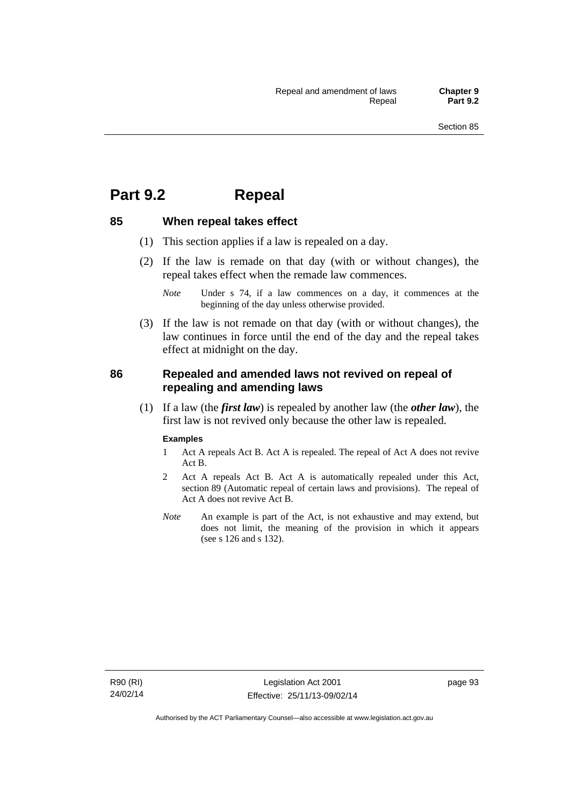## **Part 9.2 Repeal**

## **85 When repeal takes effect**

- (1) This section applies if a law is repealed on a day.
- (2) If the law is remade on that day (with or without changes), the repeal takes effect when the remade law commences.

 (3) If the law is not remade on that day (with or without changes), the law continues in force until the end of the day and the repeal takes effect at midnight on the day.

## **86 Repealed and amended laws not revived on repeal of repealing and amending laws**

 (1) If a law (the *first law*) is repealed by another law (the *other law*), the first law is not revived only because the other law is repealed.

#### **Examples**

- 1 Act A repeals Act B. Act A is repealed. The repeal of Act A does not revive Act B.
- 2 Act A repeals Act B. Act A is automatically repealed under this Act, section 89 (Automatic repeal of certain laws and provisions). The repeal of Act A does not revive Act B.
- *Note* An example is part of the Act, is not exhaustive and may extend, but does not limit, the meaning of the provision in which it appears (see s 126 and s 132).

*Note* Under s 74, if a law commences on a day, it commences at the beginning of the day unless otherwise provided.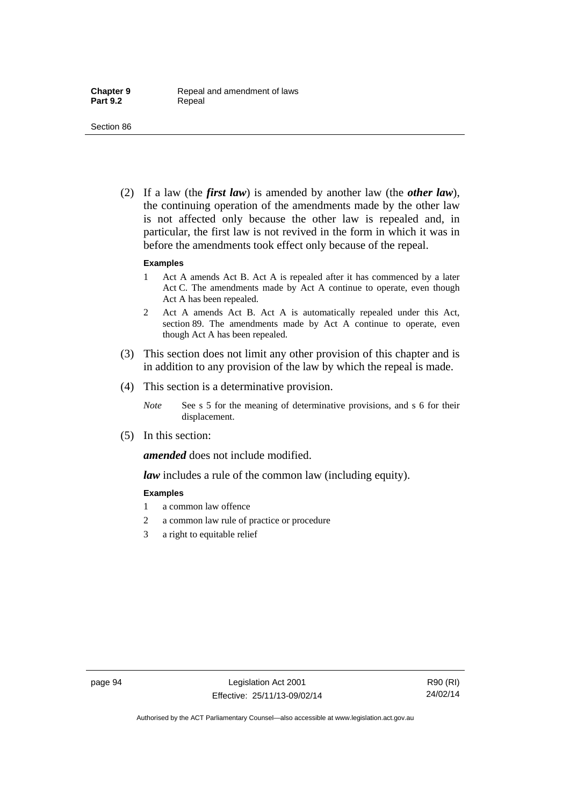(2) If a law (the *first law*) is amended by another law (the *other law*), the continuing operation of the amendments made by the other law is not affected only because the other law is repealed and, in particular, the first law is not revived in the form in which it was in before the amendments took effect only because of the repeal.

#### **Examples**

- 1 Act A amends Act B. Act A is repealed after it has commenced by a later Act C. The amendments made by Act A continue to operate, even though Act A has been repealed.
- 2 Act A amends Act B. Act A is automatically repealed under this Act, section 89. The amendments made by Act A continue to operate, even though Act A has been repealed.
- (3) This section does not limit any other provision of this chapter and is in addition to any provision of the law by which the repeal is made.
- (4) This section is a determinative provision.
	- *Note* See s 5 for the meaning of determinative provisions, and s 6 for their displacement.
- (5) In this section:

*amended* does not include modified.

*law* includes a rule of the common law (including equity).

#### **Examples**

- 1 a common law offence
- 2 a common law rule of practice or procedure
- 3 a right to equitable relief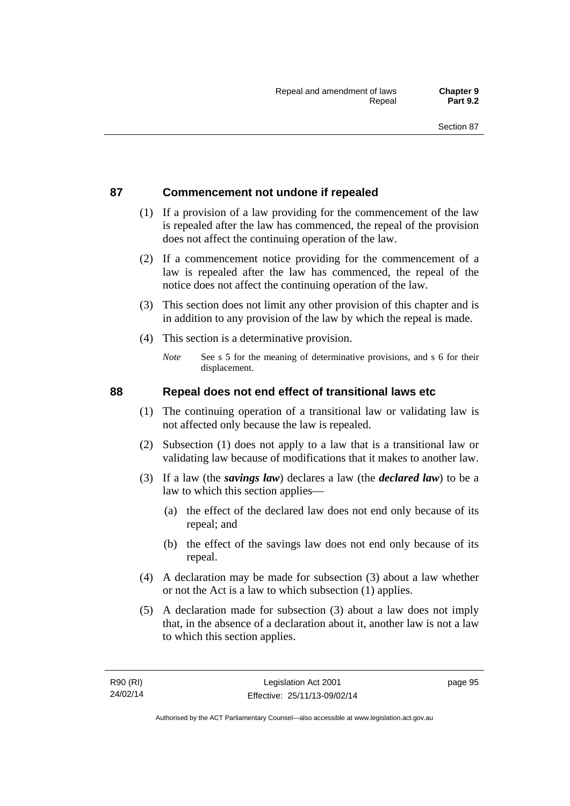## **87 Commencement not undone if repealed**

- (1) If a provision of a law providing for the commencement of the law is repealed after the law has commenced, the repeal of the provision does not affect the continuing operation of the law.
- (2) If a commencement notice providing for the commencement of a law is repealed after the law has commenced, the repeal of the notice does not affect the continuing operation of the law.
- (3) This section does not limit any other provision of this chapter and is in addition to any provision of the law by which the repeal is made.
- (4) This section is a determinative provision.
	- *Note* See s 5 for the meaning of determinative provisions, and s 6 for their displacement.

## **88 Repeal does not end effect of transitional laws etc**

- (1) The continuing operation of a transitional law or validating law is not affected only because the law is repealed.
- (2) Subsection (1) does not apply to a law that is a transitional law or validating law because of modifications that it makes to another law.
- (3) If a law (the *savings law*) declares a law (the *declared law*) to be a law to which this section applies—
	- (a) the effect of the declared law does not end only because of its repeal; and
	- (b) the effect of the savings law does not end only because of its repeal.
- (4) A declaration may be made for subsection (3) about a law whether or not the Act is a law to which subsection (1) applies.
- (5) A declaration made for subsection (3) about a law does not imply that, in the absence of a declaration about it, another law is not a law to which this section applies.

page 95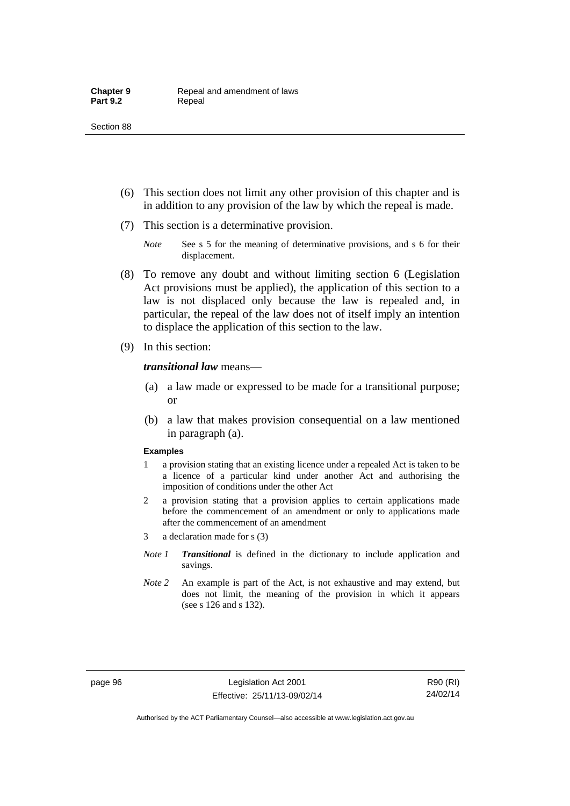- (6) This section does not limit any other provision of this chapter and is in addition to any provision of the law by which the repeal is made.
- (7) This section is a determinative provision.
	- *Note* See s 5 for the meaning of determinative provisions, and s 6 for their displacement.
- (8) To remove any doubt and without limiting section 6 (Legislation Act provisions must be applied), the application of this section to a law is not displaced only because the law is repealed and, in particular, the repeal of the law does not of itself imply an intention to displace the application of this section to the law.
- (9) In this section:

*transitional law* means—

- (a) a law made or expressed to be made for a transitional purpose; or
- (b) a law that makes provision consequential on a law mentioned in paragraph (a).

#### **Examples**

- 1 a provision stating that an existing licence under a repealed Act is taken to be a licence of a particular kind under another Act and authorising the imposition of conditions under the other Act
- 2 a provision stating that a provision applies to certain applications made before the commencement of an amendment or only to applications made after the commencement of an amendment
- 3 a declaration made for s (3)
- *Note 1 Transitional* is defined in the dictionary to include application and savings.
- *Note 2* An example is part of the Act, is not exhaustive and may extend, but does not limit, the meaning of the provision in which it appears (see s 126 and s 132).

page 96 Legislation Act 2001 Effective: 25/11/13-09/02/14

R90 (RI) 24/02/14

Authorised by the ACT Parliamentary Counsel—also accessible at www.legislation.act.gov.au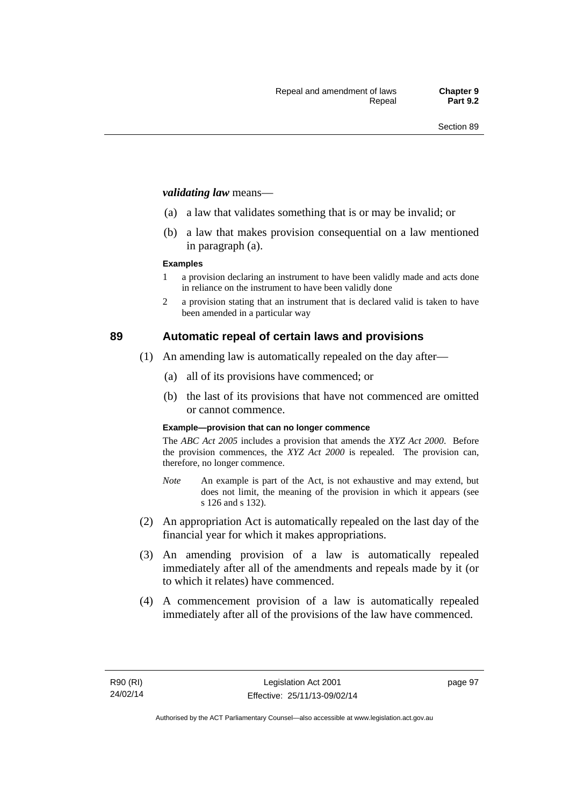#### *validating law* means—

- (a) a law that validates something that is or may be invalid; or
- (b) a law that makes provision consequential on a law mentioned in paragraph (a).

#### **Examples**

- 1 a provision declaring an instrument to have been validly made and acts done in reliance on the instrument to have been validly done
- 2 a provision stating that an instrument that is declared valid is taken to have been amended in a particular way

## **89 Automatic repeal of certain laws and provisions**

- (1) An amending law is automatically repealed on the day after—
	- (a) all of its provisions have commenced; or
	- (b) the last of its provisions that have not commenced are omitted or cannot commence.

#### **Example—provision that can no longer commence**

The *ABC Act 2005* includes a provision that amends the *XYZ Act 2000*. Before the provision commences, the *XYZ Act 2000* is repealed. The provision can, therefore, no longer commence.

- *Note* An example is part of the Act, is not exhaustive and may extend, but does not limit, the meaning of the provision in which it appears (see s 126 and s 132).
- (2) An appropriation Act is automatically repealed on the last day of the financial year for which it makes appropriations.
- (3) An amending provision of a law is automatically repealed immediately after all of the amendments and repeals made by it (or to which it relates) have commenced.
- (4) A commencement provision of a law is automatically repealed immediately after all of the provisions of the law have commenced.

page 97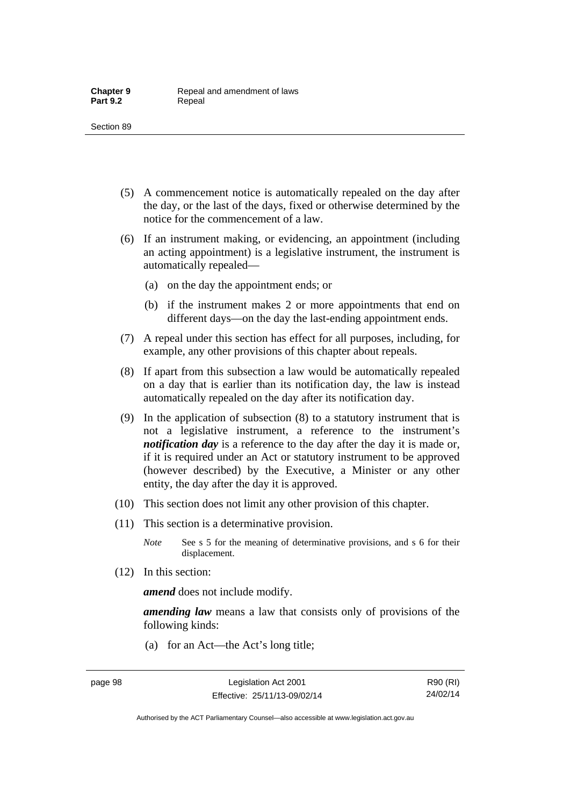- (5) A commencement notice is automatically repealed on the day after the day, or the last of the days, fixed or otherwise determined by the notice for the commencement of a law.
- (6) If an instrument making, or evidencing, an appointment (including an acting appointment) is a legislative instrument, the instrument is automatically repealed—
	- (a) on the day the appointment ends; or
	- (b) if the instrument makes 2 or more appointments that end on different days—on the day the last-ending appointment ends.
- (7) A repeal under this section has effect for all purposes, including, for example, any other provisions of this chapter about repeals.
- (8) If apart from this subsection a law would be automatically repealed on a day that is earlier than its notification day, the law is instead automatically repealed on the day after its notification day.
- (9) In the application of subsection (8) to a statutory instrument that is not a legislative instrument, a reference to the instrument's *notification day* is a reference to the day after the day it is made or, if it is required under an Act or statutory instrument to be approved (however described) by the Executive, a Minister or any other entity, the day after the day it is approved.
- (10) This section does not limit any other provision of this chapter.
- (11) This section is a determinative provision.
	- *Note* See s 5 for the meaning of determinative provisions, and s 6 for their displacement.
- (12) In this section:

*amend* does not include modify.

*amending law* means a law that consists only of provisions of the following kinds:

(a) for an Act—the Act's long title;

Authorised by the ACT Parliamentary Counsel—also accessible at www.legislation.act.gov.au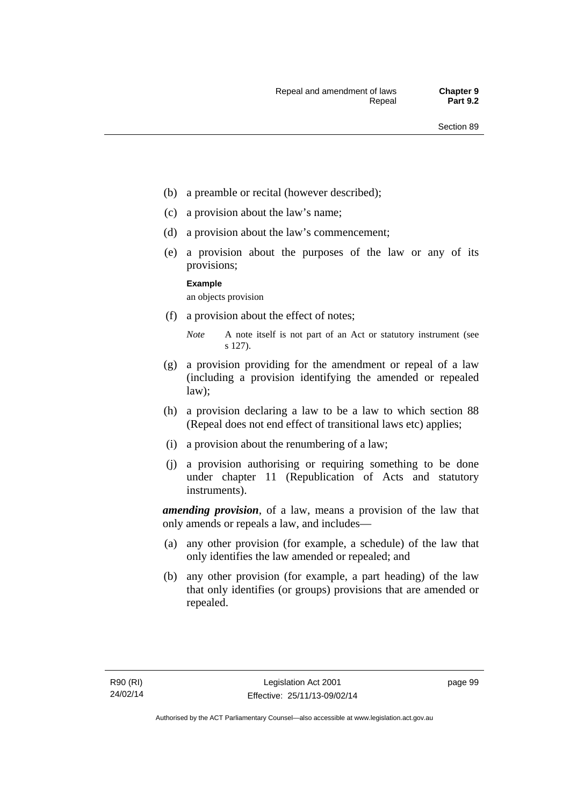- (b) a preamble or recital (however described);
- (c) a provision about the law's name;
- (d) a provision about the law's commencement;
- (e) a provision about the purposes of the law or any of its provisions;

#### **Example**

an objects provision

(f) a provision about the effect of notes;

- (g) a provision providing for the amendment or repeal of a law (including a provision identifying the amended or repealed law);
- (h) a provision declaring a law to be a law to which section 88 (Repeal does not end effect of transitional laws etc) applies;
- (i) a provision about the renumbering of a law;
- (j) a provision authorising or requiring something to be done under chapter 11 (Republication of Acts and statutory instruments).

*amending provision*, of a law, means a provision of the law that only amends or repeals a law, and includes—

- (a) any other provision (for example, a schedule) of the law that only identifies the law amended or repealed; and
- (b) any other provision (for example, a part heading) of the law that only identifies (or groups) provisions that are amended or repealed.

*Note* A note itself is not part of an Act or statutory instrument (see s 127).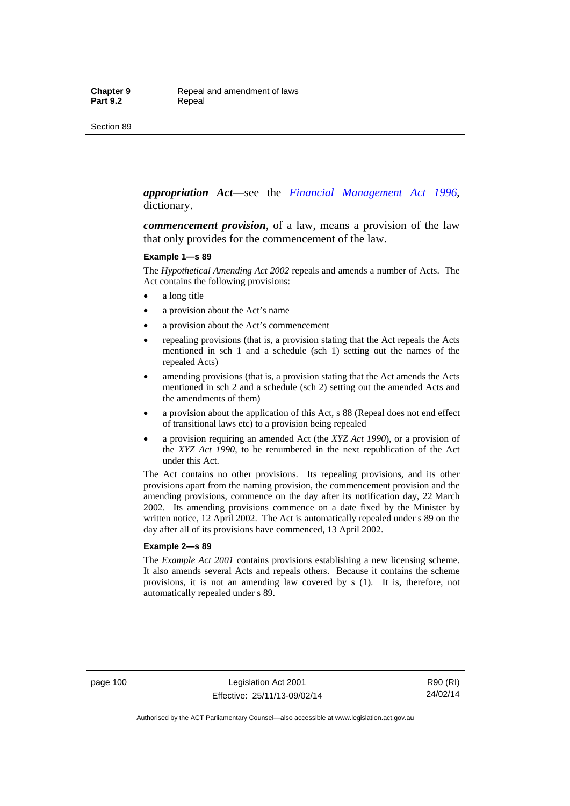#### *appropriation Act*—see the *[Financial Management Act 1996](http://www.legislation.act.gov.au/a/1996-22)*, dictionary.

*commencement provision*, of a law, means a provision of the law that only provides for the commencement of the law.

#### **Example 1—s 89**

The *Hypothetical Amending Act 2002* repeals and amends a number of Acts. The Act contains the following provisions:

- a long title
- a provision about the Act's name
- a provision about the Act's commencement
- repealing provisions (that is, a provision stating that the Act repeals the Acts mentioned in sch 1 and a schedule (sch 1) setting out the names of the repealed Acts)
- amending provisions (that is, a provision stating that the Act amends the Acts mentioned in sch 2 and a schedule (sch 2) setting out the amended Acts and the amendments of them)
- a provision about the application of this Act, s 88 (Repeal does not end effect of transitional laws etc) to a provision being repealed
- a provision requiring an amended Act (the *XYZ Act 1990*), or a provision of the *XYZ Act 1990*, to be renumbered in the next republication of the Act under this Act.

The Act contains no other provisions. Its repealing provisions, and its other provisions apart from the naming provision, the commencement provision and the amending provisions, commence on the day after its notification day, 22 March 2002. Its amending provisions commence on a date fixed by the Minister by written notice, 12 April 2002. The Act is automatically repealed under s 89 on the day after all of its provisions have commenced, 13 April 2002.

#### **Example 2—s 89**

The *Example Act 2001* contains provisions establishing a new licensing scheme. It also amends several Acts and repeals others. Because it contains the scheme provisions, it is not an amending law covered by s (1). It is, therefore, not automatically repealed under s 89.

page 100 Legislation Act 2001 Effective: 25/11/13-09/02/14

R90 (RI) 24/02/14

Authorised by the ACT Parliamentary Counsel—also accessible at www.legislation.act.gov.au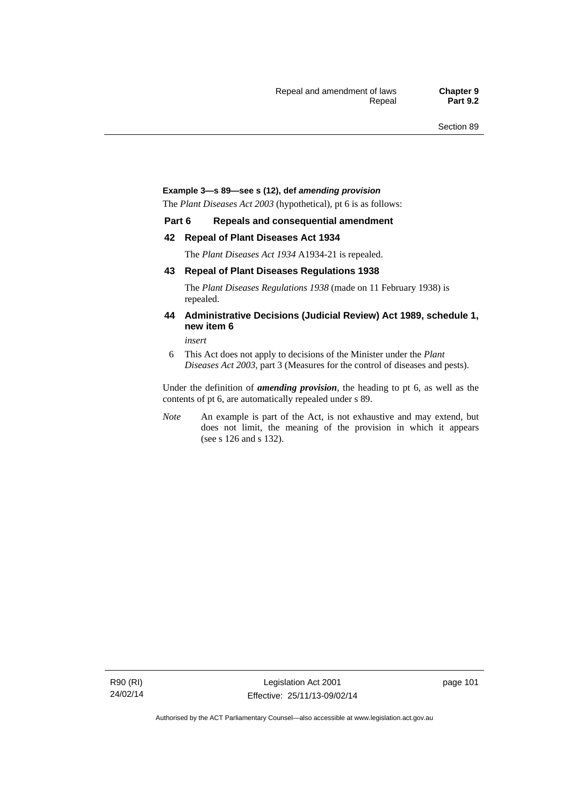#### **Example 3—s 89—see s (12), def** *amending provision*

The *Plant Diseases Act 2003* (hypothetical), pt 6 is as follows:

#### **Part 6 Repeals and consequential amendment**

#### **42 Repeal of Plant Diseases Act 1934**

The *Plant Diseases Act 1934* A1934-21 is repealed.

#### **43 Repeal of Plant Diseases Regulations 1938**

The *Plant Diseases Regulations 1938* (made on 11 February 1938) is repealed.

#### **44 Administrative Decisions (Judicial Review) Act 1989, schedule 1, new item 6**

*insert* 

6 This Act does not apply to decisions of the Minister under the *Plant Diseases Act 2003*, part 3 (Measures for the control of diseases and pests).

Under the definition of *amending provision*, the heading to pt 6, as well as the contents of pt 6, are automatically repealed under s 89.

*Note* An example is part of the Act, is not exhaustive and may extend, but does not limit, the meaning of the provision in which it appears (see s 126 and s 132).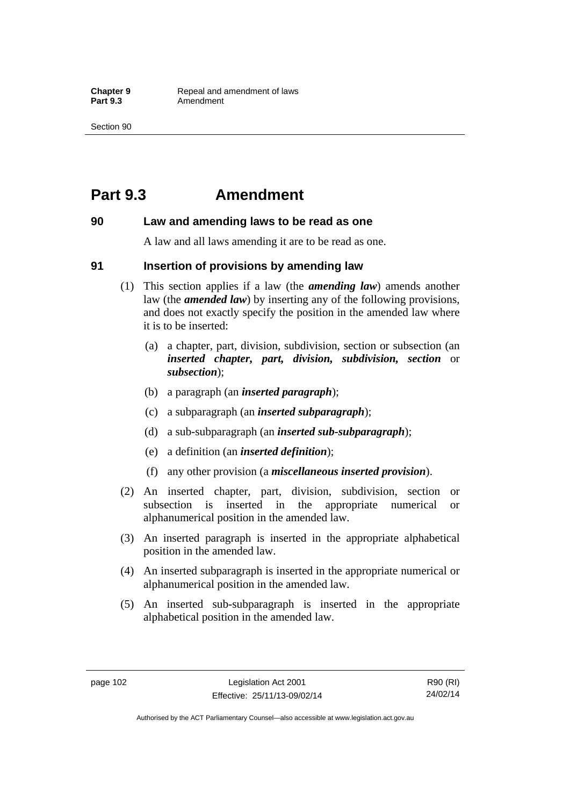## **Part 9.3 Amendment**

### **90 Law and amending laws to be read as one**

A law and all laws amending it are to be read as one.

### **91 Insertion of provisions by amending law**

- (1) This section applies if a law (the *amending law*) amends another law (the *amended law*) by inserting any of the following provisions, and does not exactly specify the position in the amended law where it is to be inserted:
	- (a) a chapter, part, division, subdivision, section or subsection (an *inserted chapter, part, division, subdivision, section* or *subsection*);
	- (b) a paragraph (an *inserted paragraph*);
	- (c) a subparagraph (an *inserted subparagraph*);
	- (d) a sub-subparagraph (an *inserted sub-subparagraph*);
	- (e) a definition (an *inserted definition*);
	- (f) any other provision (a *miscellaneous inserted provision*).
- (2) An inserted chapter, part, division, subdivision, section or subsection is inserted in the appropriate numerical or alphanumerical position in the amended law.
- (3) An inserted paragraph is inserted in the appropriate alphabetical position in the amended law.
- (4) An inserted subparagraph is inserted in the appropriate numerical or alphanumerical position in the amended law.
- (5) An inserted sub-subparagraph is inserted in the appropriate alphabetical position in the amended law.

R90 (RI) 24/02/14

Authorised by the ACT Parliamentary Counsel—also accessible at www.legislation.act.gov.au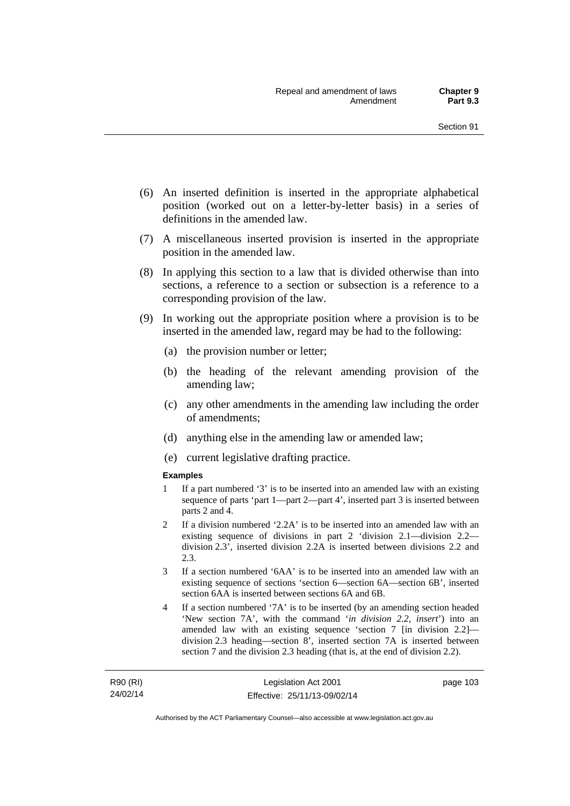- (6) An inserted definition is inserted in the appropriate alphabetical position (worked out on a letter-by-letter basis) in a series of definitions in the amended law.
- (7) A miscellaneous inserted provision is inserted in the appropriate position in the amended law.
- (8) In applying this section to a law that is divided otherwise than into sections, a reference to a section or subsection is a reference to a corresponding provision of the law.
- (9) In working out the appropriate position where a provision is to be inserted in the amended law, regard may be had to the following:
	- (a) the provision number or letter;
	- (b) the heading of the relevant amending provision of the amending law;
	- (c) any other amendments in the amending law including the order of amendments;
	- (d) anything else in the amending law or amended law;
	- (e) current legislative drafting practice.

#### **Examples**

- 1 If a part numbered '3' is to be inserted into an amended law with an existing sequence of parts 'part 1—part 2—part 4', inserted part 3 is inserted between parts 2 and 4.
- 2 If a division numbered '2.2A' is to be inserted into an amended law with an existing sequence of divisions in part 2 'division 2.1—division 2.2 division 2.3', inserted division 2.2A is inserted between divisions 2.2 and 2.3.
- 3 If a section numbered '6AA' is to be inserted into an amended law with an existing sequence of sections 'section 6—section 6A—section 6B', inserted section 6AA is inserted between sections 6A and 6B.
- 4 If a section numbered '7A' is to be inserted (by an amending section headed 'New section 7A', with the command '*in division 2.2, insert*') into an amended law with an existing sequence 'section 7 [in division 2.2] division 2.3 heading—section 8', inserted section 7A is inserted between section 7 and the division 2.3 heading (that is, at the end of division 2.2).

R90 (RI) 24/02/14 page 103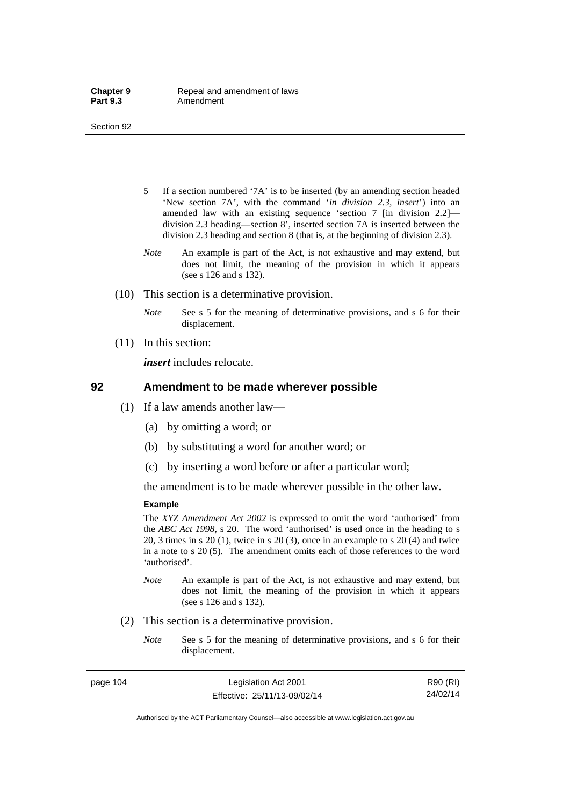- 5 If a section numbered '7A' is to be inserted (by an amending section headed 'New section 7A', with the command '*in division 2.3, insert*') into an amended law with an existing sequence 'section 7 [in division 2.2] division 2.3 heading—section 8', inserted section 7A is inserted between the division 2.3 heading and section 8 (that is, at the beginning of division 2.3).
- *Note* An example is part of the Act, is not exhaustive and may extend, but does not limit, the meaning of the provision in which it appears (see s 126 and s 132).
- (10) This section is a determinative provision.
	- *Note* See s 5 for the meaning of determinative provisions, and s 6 for their displacement.
- (11) In this section:

*insert* includes relocate.

#### **92 Amendment to be made wherever possible**

- (1) If a law amends another law—
	- (a) by omitting a word; or
	- (b) by substituting a word for another word; or
	- (c) by inserting a word before or after a particular word;

the amendment is to be made wherever possible in the other law.

#### **Example**

The *XYZ Amendment Act 2002* is expressed to omit the word 'authorised' from the *ABC Act 1998*, s 20. The word 'authorised' is used once in the heading to s 20, 3 times in s 20 (1), twice in s 20 (3), once in an example to s 20 (4) and twice in a note to s 20 (5). The amendment omits each of those references to the word 'authorised'.

- *Note* An example is part of the Act, is not exhaustive and may extend, but does not limit, the meaning of the provision in which it appears (see s 126 and s 132).
- (2) This section is a determinative provision.
	- *Note* See s 5 for the meaning of determinative provisions, and s 6 for their displacement.

page 104 Legislation Act 2001 Effective: 25/11/13-09/02/14

R90 (RI) 24/02/14

Authorised by the ACT Parliamentary Counsel—also accessible at www.legislation.act.gov.au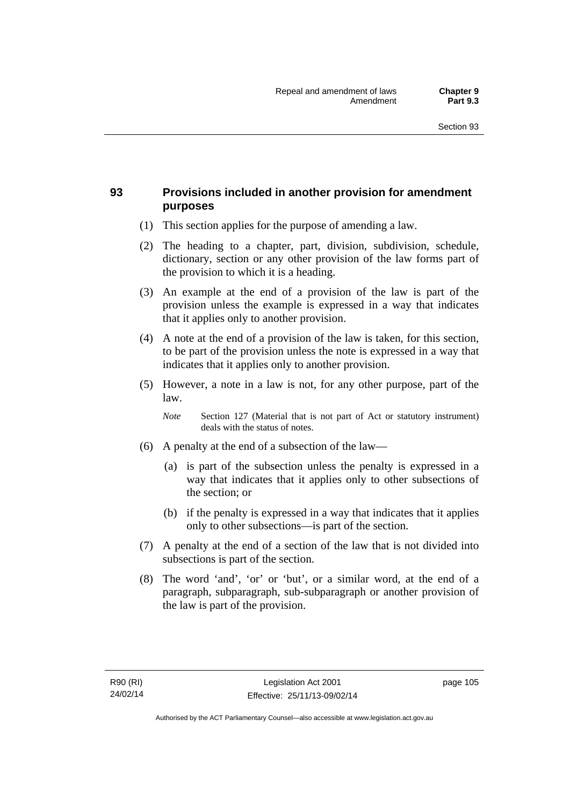## **93 Provisions included in another provision for amendment purposes**

- (1) This section applies for the purpose of amending a law.
- (2) The heading to a chapter, part, division, subdivision, schedule, dictionary, section or any other provision of the law forms part of the provision to which it is a heading.
- (3) An example at the end of a provision of the law is part of the provision unless the example is expressed in a way that indicates that it applies only to another provision.
- (4) A note at the end of a provision of the law is taken, for this section, to be part of the provision unless the note is expressed in a way that indicates that it applies only to another provision.
- (5) However, a note in a law is not, for any other purpose, part of the law.

*Note* Section 127 (Material that is not part of Act or statutory instrument) deals with the status of notes.

- (6) A penalty at the end of a subsection of the law—
	- (a) is part of the subsection unless the penalty is expressed in a way that indicates that it applies only to other subsections of the section; or
	- (b) if the penalty is expressed in a way that indicates that it applies only to other subsections—is part of the section.
- (7) A penalty at the end of a section of the law that is not divided into subsections is part of the section.
- (8) The word 'and', 'or' or 'but', or a similar word, at the end of a paragraph, subparagraph, sub-subparagraph or another provision of the law is part of the provision.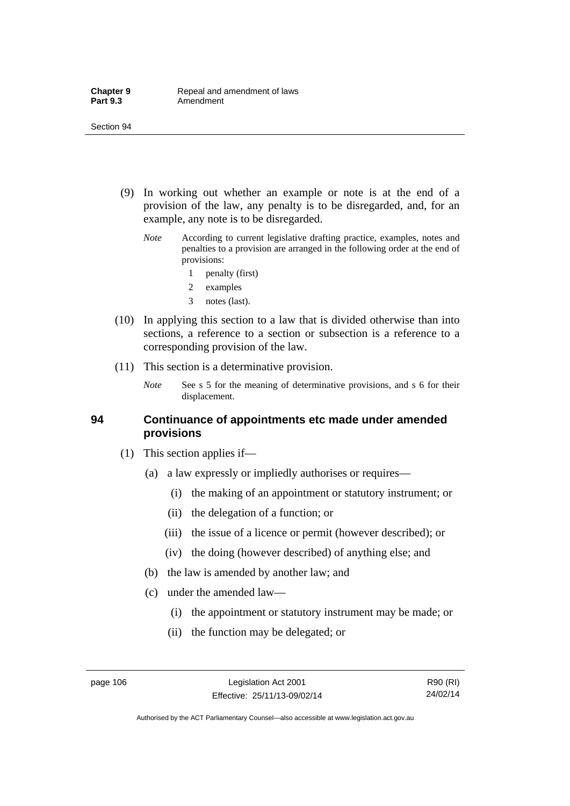- (9) In working out whether an example or note is at the end of a provision of the law, any penalty is to be disregarded, and, for an example, any note is to be disregarded.
	- *Note* According to current legislative drafting practice, examples, notes and penalties to a provision are arranged in the following order at the end of provisions:
		- 1 penalty (first)
		- 2 examples
		- 3 notes (last).
- (10) In applying this section to a law that is divided otherwise than into sections, a reference to a section or subsection is a reference to a corresponding provision of the law.
- (11) This section is a determinative provision.
	- *Note* See s 5 for the meaning of determinative provisions, and s 6 for their displacement.

### **94 Continuance of appointments etc made under amended provisions**

- (1) This section applies if—
	- (a) a law expressly or impliedly authorises or requires—
		- (i) the making of an appointment or statutory instrument; or
		- (ii) the delegation of a function; or
		- (iii) the issue of a licence or permit (however described); or
		- (iv) the doing (however described) of anything else; and
	- (b) the law is amended by another law; and
	- (c) under the amended law—
		- (i) the appointment or statutory instrument may be made; or
		- (ii) the function may be delegated; or

R90 (RI) 24/02/14

Authorised by the ACT Parliamentary Counsel—also accessible at www.legislation.act.gov.au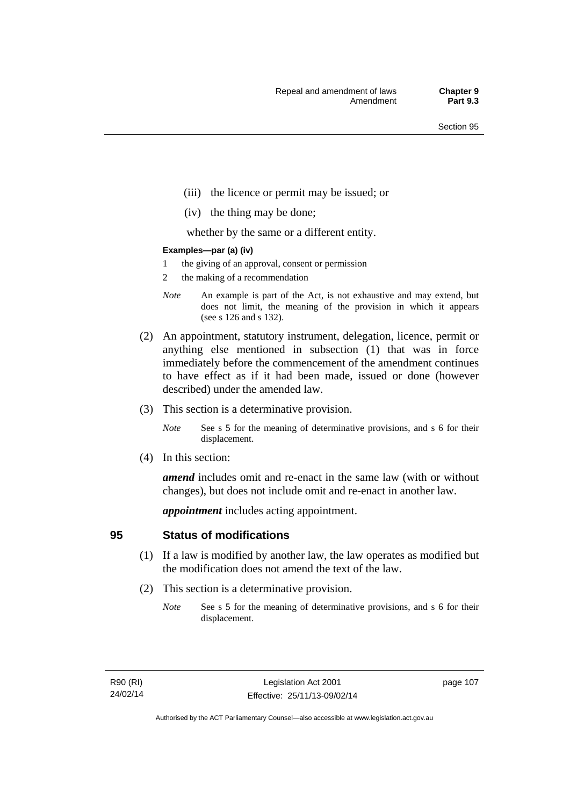- (iii) the licence or permit may be issued; or
- (iv) the thing may be done;

whether by the same or a different entity.

#### **Examples—par (a) (iv)**

- 1 the giving of an approval, consent or permission
- 2 the making of a recommendation
- *Note* An example is part of the Act, is not exhaustive and may extend, but does not limit, the meaning of the provision in which it appears (see s 126 and s 132).
- (2) An appointment, statutory instrument, delegation, licence, permit or anything else mentioned in subsection (1) that was in force immediately before the commencement of the amendment continues to have effect as if it had been made, issued or done (however described) under the amended law.
- (3) This section is a determinative provision.
	- *Note* See s 5 for the meaning of determinative provisions, and s 6 for their displacement.
- (4) In this section:

*amend* includes omit and re-enact in the same law (with or without changes), but does not include omit and re-enact in another law.

*appointment* includes acting appointment.

## **95 Status of modifications**

- (1) If a law is modified by another law, the law operates as modified but the modification does not amend the text of the law.
- (2) This section is a determinative provision.
	- *Note* See s 5 for the meaning of determinative provisions, and s 6 for their displacement.

page 107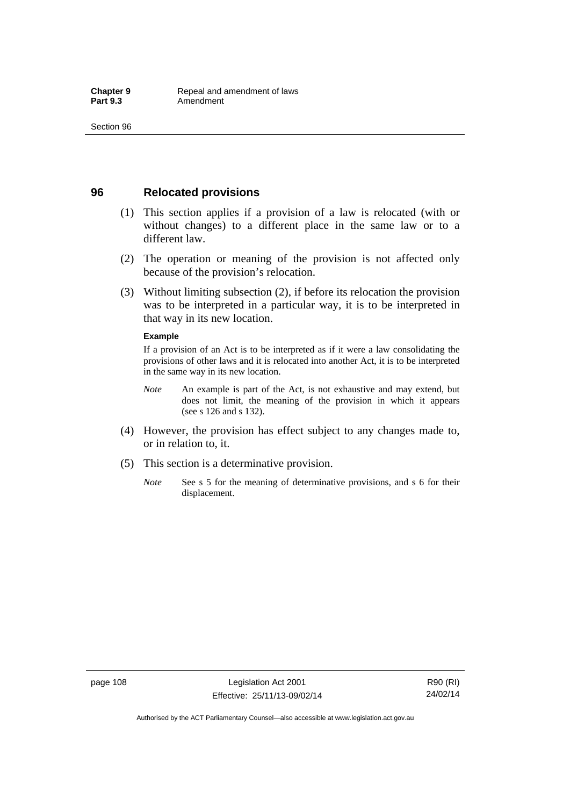## **96 Relocated provisions**

- (1) This section applies if a provision of a law is relocated (with or without changes) to a different place in the same law or to a different law.
- (2) The operation or meaning of the provision is not affected only because of the provision's relocation.
- (3) Without limiting subsection (2), if before its relocation the provision was to be interpreted in a particular way, it is to be interpreted in that way in its new location.

#### **Example**

If a provision of an Act is to be interpreted as if it were a law consolidating the provisions of other laws and it is relocated into another Act, it is to be interpreted in the same way in its new location.

- *Note* An example is part of the Act, is not exhaustive and may extend, but does not limit, the meaning of the provision in which it appears (see s 126 and s 132).
- (4) However, the provision has effect subject to any changes made to, or in relation to, it.
- (5) This section is a determinative provision.
	- *Note* See s 5 for the meaning of determinative provisions, and s 6 for their displacement.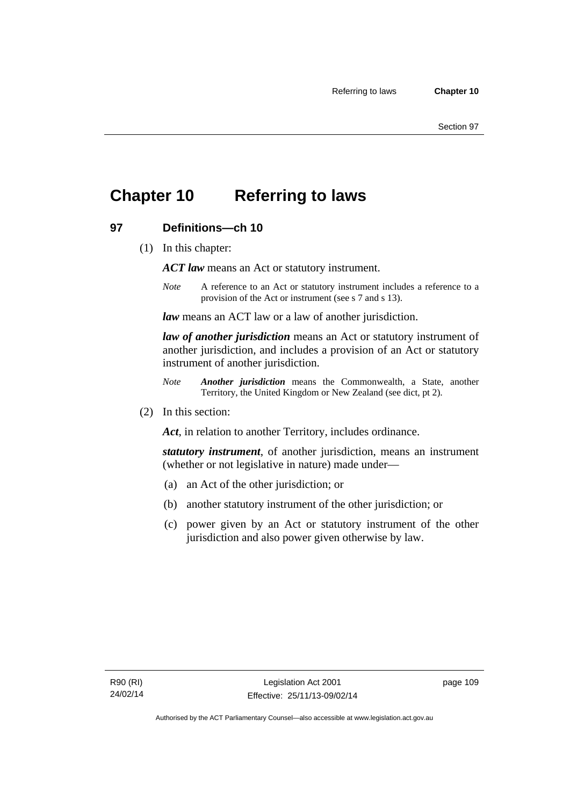## **Chapter 10 Referring to laws**

## **97 Definitions—ch 10**

(1) In this chapter:

*ACT law* means an Act or statutory instrument.

*Note* A reference to an Act or statutory instrument includes a reference to a provision of the Act or instrument (see s 7 and s 13).

*law* means an ACT law or a law of another jurisdiction.

*law of another jurisdiction* means an Act or statutory instrument of another jurisdiction, and includes a provision of an Act or statutory instrument of another jurisdiction.

- *Note Another jurisdiction* means the Commonwealth, a State, another Territory, the United Kingdom or New Zealand (see dict, pt 2).
- (2) In this section:

*Act*, in relation to another Territory, includes ordinance.

*statutory instrument*, of another jurisdiction, means an instrument (whether or not legislative in nature) made under—

- (a) an Act of the other jurisdiction; or
- (b) another statutory instrument of the other jurisdiction; or
- (c) power given by an Act or statutory instrument of the other jurisdiction and also power given otherwise by law.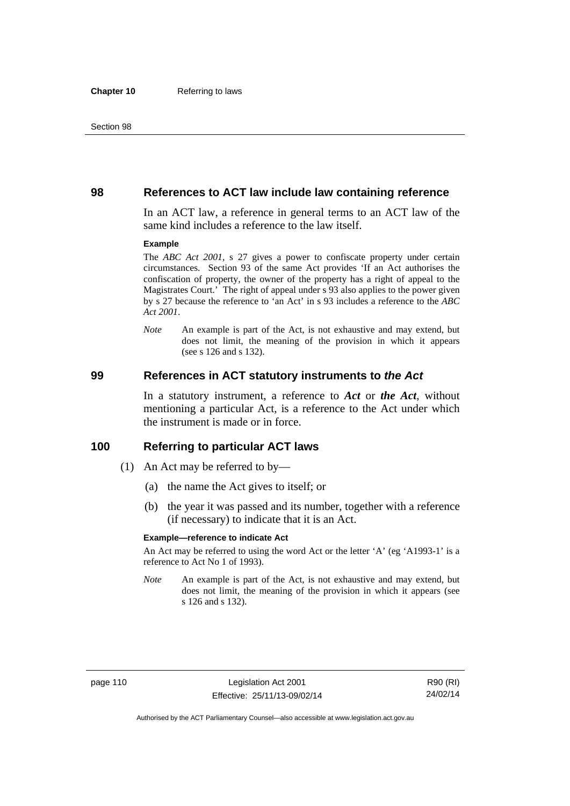### **98 References to ACT law include law containing reference**

In an ACT law, a reference in general terms to an ACT law of the same kind includes a reference to the law itself.

#### **Example**

The *ABC Act 2001*, s 27 gives a power to confiscate property under certain circumstances. Section 93 of the same Act provides 'If an Act authorises the confiscation of property, the owner of the property has a right of appeal to the Magistrates Court.' The right of appeal under s 93 also applies to the power given by s 27 because the reference to 'an Act' in s 93 includes a reference to the *ABC Act 2001*.

*Note* An example is part of the Act, is not exhaustive and may extend, but does not limit, the meaning of the provision in which it appears (see s 126 and s 132).

### **99 References in ACT statutory instruments to** *the Act*

In a statutory instrument, a reference to *Act* or *the Act*, without mentioning a particular Act, is a reference to the Act under which the instrument is made or in force.

### **100 Referring to particular ACT laws**

- (1) An Act may be referred to by—
	- (a) the name the Act gives to itself; or
	- (b) the year it was passed and its number, together with a reference (if necessary) to indicate that it is an Act.

#### **Example—reference to indicate Act**

An Act may be referred to using the word Act or the letter 'A' (eg 'A1993-1' is a reference to Act No 1 of 1993).

*Note* An example is part of the Act, is not exhaustive and may extend, but does not limit, the meaning of the provision in which it appears (see s 126 and s 132).

R90 (RI) 24/02/14

Authorised by the ACT Parliamentary Counsel—also accessible at www.legislation.act.gov.au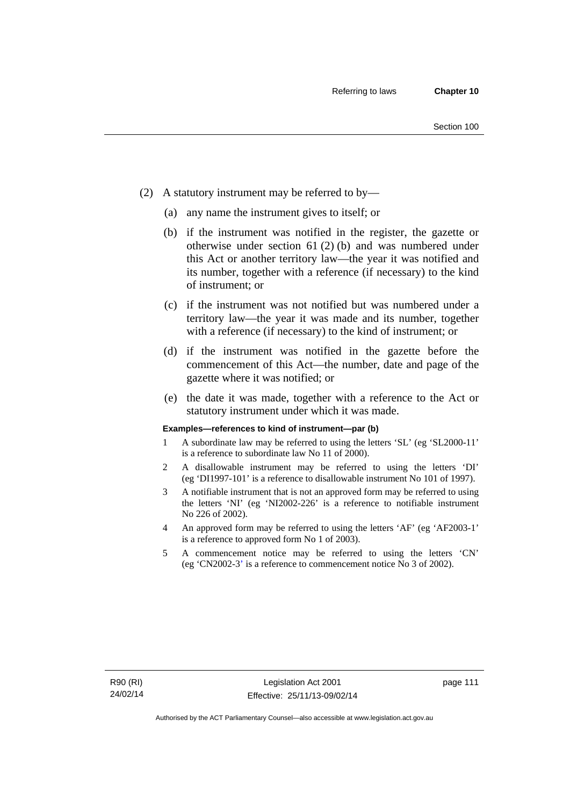- (2) A statutory instrument may be referred to by—
	- (a) any name the instrument gives to itself; or
	- (b) if the instrument was notified in the register, the gazette or otherwise under section 61 (2) (b) and was numbered under this Act or another territory law—the year it was notified and its number, together with a reference (if necessary) to the kind of instrument; or
	- (c) if the instrument was not notified but was numbered under a territory law—the year it was made and its number, together with a reference (if necessary) to the kind of instrument; or
	- (d) if the instrument was notified in the gazette before the commencement of this Act—the number, date and page of the gazette where it was notified; or
	- (e) the date it was made, together with a reference to the Act or statutory instrument under which it was made.

#### **Examples—references to kind of instrument—par (b)**

- 1 A subordinate law may be referred to using the letters 'SL' (eg 'SL2000-11' is a reference to subordinate law No 11 of 2000).
- 2 A disallowable instrument may be referred to using the letters 'DI' (eg 'DI1997-101' is a reference to disallowable instrument No 101 of 1997).
- 3 A notifiable instrument that is not an approved form may be referred to using the letters 'NI' (eg 'NI2002-226' is a reference to notifiable instrument No 226 of 2002).
- 4 An approved form may be referred to using the letters 'AF' (eg 'AF2003-1' is a reference to approved form No 1 of 2003).
- 5 A commencement notice may be referred to using the letters 'CN' (eg 'CN2002-3' is a reference to commencement notice No 3 of 2002).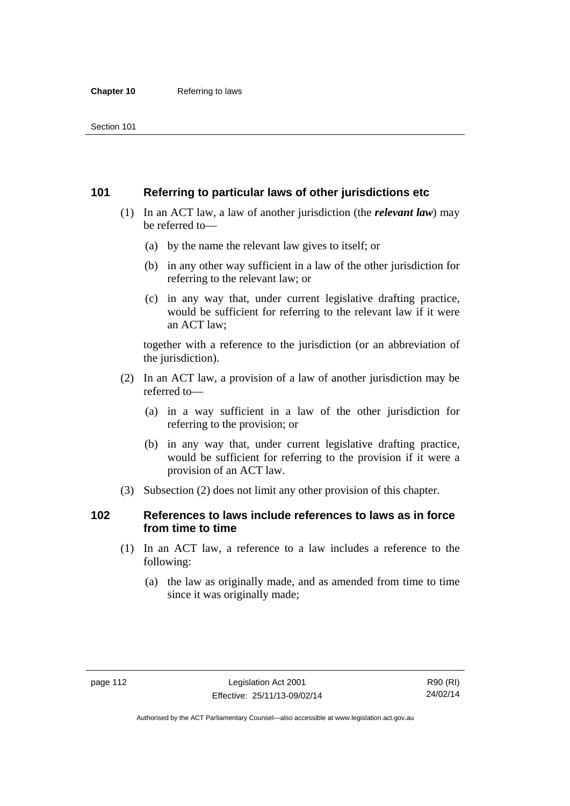## **101 Referring to particular laws of other jurisdictions etc**

- (1) In an ACT law, a law of another jurisdiction (the *relevant law*) may be referred to—
	- (a) by the name the relevant law gives to itself; or
	- (b) in any other way sufficient in a law of the other jurisdiction for referring to the relevant law; or
	- (c) in any way that, under current legislative drafting practice, would be sufficient for referring to the relevant law if it were an ACT law;

together with a reference to the jurisdiction (or an abbreviation of the jurisdiction).

- (2) In an ACT law, a provision of a law of another jurisdiction may be referred to—
	- (a) in a way sufficient in a law of the other jurisdiction for referring to the provision; or
	- (b) in any way that, under current legislative drafting practice, would be sufficient for referring to the provision if it were a provision of an ACT law.
- (3) Subsection (2) does not limit any other provision of this chapter.

## **102 References to laws include references to laws as in force from time to time**

- (1) In an ACT law, a reference to a law includes a reference to the following:
	- (a) the law as originally made, and as amended from time to time since it was originally made;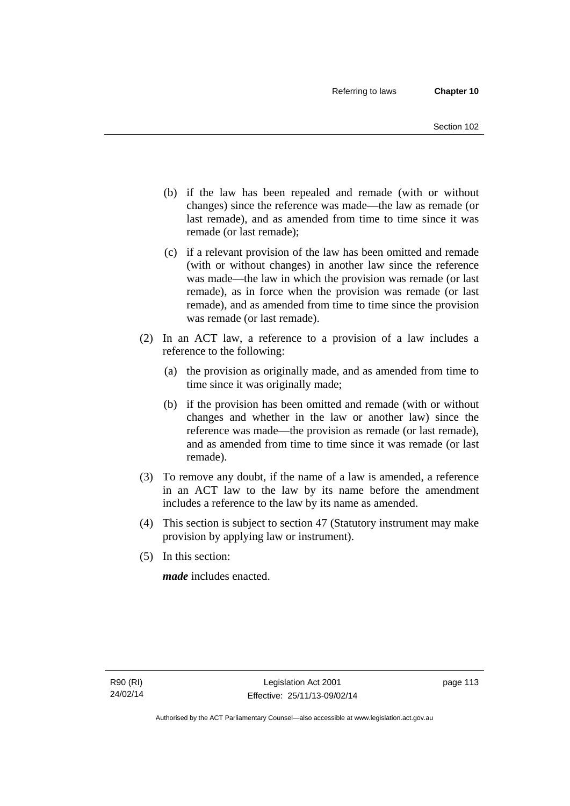- (b) if the law has been repealed and remade (with or without changes) since the reference was made—the law as remade (or last remade), and as amended from time to time since it was remade (or last remade);
- (c) if a relevant provision of the law has been omitted and remade (with or without changes) in another law since the reference was made—the law in which the provision was remade (or last remade), as in force when the provision was remade (or last remade), and as amended from time to time since the provision was remade (or last remade).
- (2) In an ACT law, a reference to a provision of a law includes a reference to the following:
	- (a) the provision as originally made, and as amended from time to time since it was originally made;
	- (b) if the provision has been omitted and remade (with or without changes and whether in the law or another law) since the reference was made—the provision as remade (or last remade), and as amended from time to time since it was remade (or last remade).
- (3) To remove any doubt, if the name of a law is amended, a reference in an ACT law to the law by its name before the amendment includes a reference to the law by its name as amended.
- (4) This section is subject to section 47 (Statutory instrument may make provision by applying law or instrument).
- (5) In this section:

*made* includes enacted.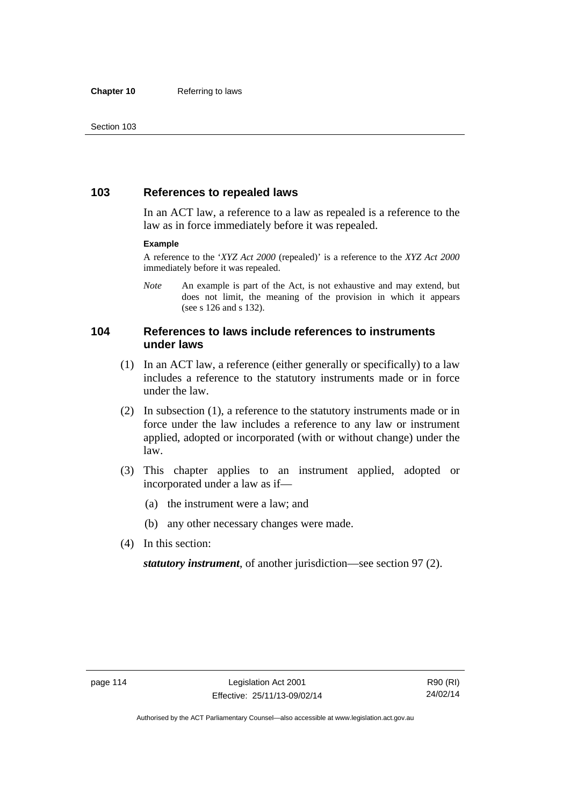## **103 References to repealed laws**

In an ACT law, a reference to a law as repealed is a reference to the law as in force immediately before it was repealed.

#### **Example**

A reference to the '*XYZ Act 2000* (repealed)' is a reference to the *XYZ Act 2000* immediately before it was repealed.

*Note* An example is part of the Act, is not exhaustive and may extend, but does not limit, the meaning of the provision in which it appears (see s 126 and s 132).

## **104 References to laws include references to instruments under laws**

- (1) In an ACT law, a reference (either generally or specifically) to a law includes a reference to the statutory instruments made or in force under the law.
- (2) In subsection (1), a reference to the statutory instruments made or in force under the law includes a reference to any law or instrument applied, adopted or incorporated (with or without change) under the law.
- (3) This chapter applies to an instrument applied, adopted or incorporated under a law as if—
	- (a) the instrument were a law; and
	- (b) any other necessary changes were made.
- (4) In this section:

*statutory instrument*, of another jurisdiction—see section 97 (2).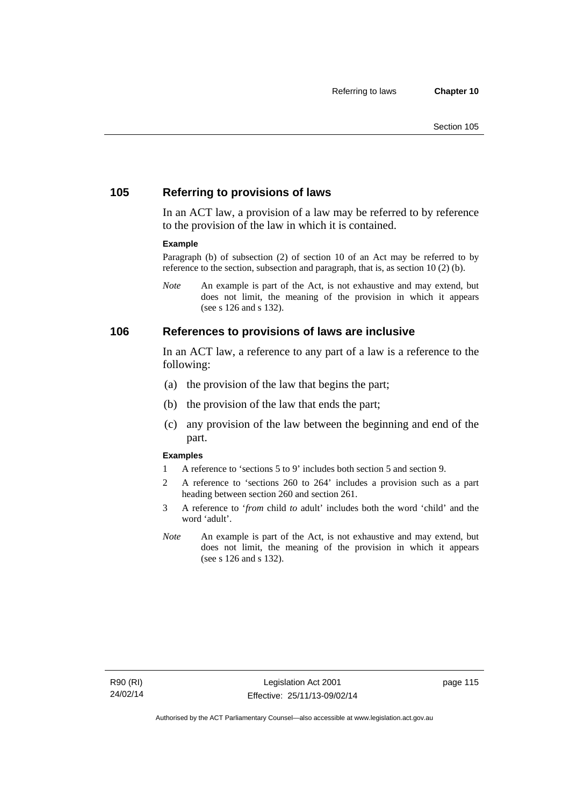## **105 Referring to provisions of laws**

In an ACT law, a provision of a law may be referred to by reference to the provision of the law in which it is contained.

#### **Example**

Paragraph (b) of subsection (2) of section 10 of an Act may be referred to by reference to the section, subsection and paragraph, that is, as section 10 (2) (b).

*Note* An example is part of the Act, is not exhaustive and may extend, but does not limit, the meaning of the provision in which it appears (see s 126 and s 132).

### **106 References to provisions of laws are inclusive**

In an ACT law, a reference to any part of a law is a reference to the following:

- (a) the provision of the law that begins the part;
- (b) the provision of the law that ends the part;
- (c) any provision of the law between the beginning and end of the part.

#### **Examples**

- 1 A reference to 'sections 5 to 9' includes both section 5 and section 9.
- 2 A reference to 'sections 260 to 264' includes a provision such as a part heading between section 260 and section 261.
- 3 A reference to '*from* child *to* adult' includes both the word 'child' and the word 'adult'.
- *Note* An example is part of the Act, is not exhaustive and may extend, but does not limit, the meaning of the provision in which it appears (see s 126 and s 132).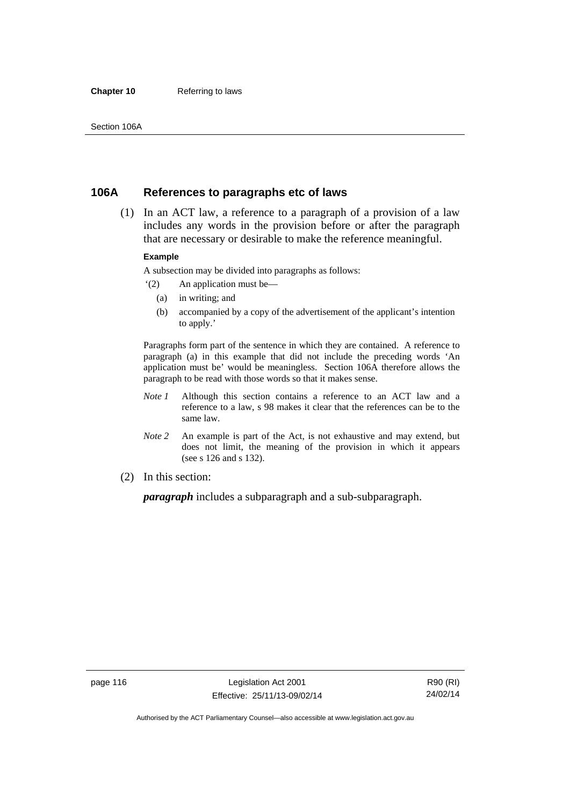#### **Chapter 10** Referring to laws

## **106A References to paragraphs etc of laws**

 (1) In an ACT law, a reference to a paragraph of a provision of a law includes any words in the provision before or after the paragraph that are necessary or desirable to make the reference meaningful.

#### **Example**

A subsection may be divided into paragraphs as follows:

- '(2) An application must be—
	- (a) in writing; and
	- (b) accompanied by a copy of the advertisement of the applicant's intention to apply.'

Paragraphs form part of the sentence in which they are contained. A reference to paragraph (a) in this example that did not include the preceding words 'An application must be' would be meaningless. Section 106A therefore allows the paragraph to be read with those words so that it makes sense.

- *Note 1* Although this section contains a reference to an ACT law and a reference to a law, s 98 makes it clear that the references can be to the same law.
- *Note 2* An example is part of the Act, is not exhaustive and may extend, but does not limit, the meaning of the provision in which it appears (see s 126 and s 132).
- (2) In this section:

*paragraph* includes a subparagraph and a sub-subparagraph.

R90 (RI) 24/02/14

Authorised by the ACT Parliamentary Counsel—also accessible at www.legislation.act.gov.au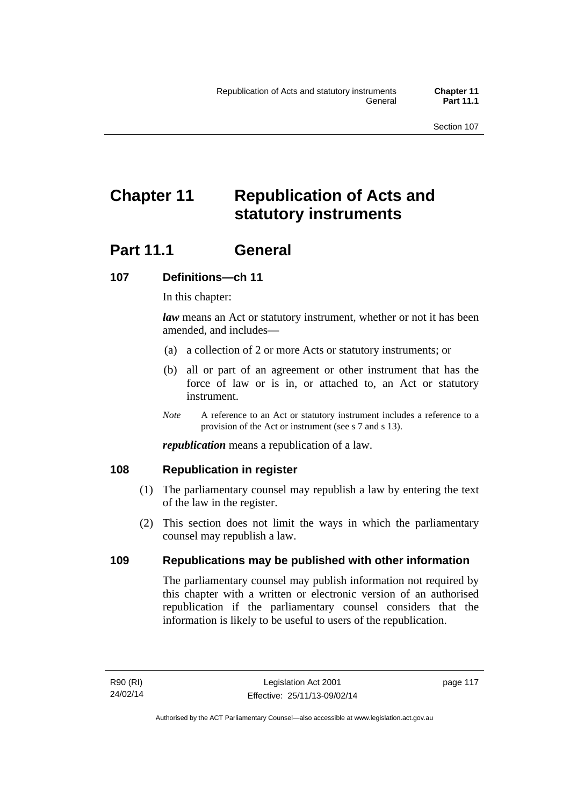# **Chapter 11 Republication of Acts and statutory instruments**

## Part 11.1 General

## **107 Definitions—ch 11**

In this chapter:

*law* means an Act or statutory instrument, whether or not it has been amended, and includes—

- (a) a collection of 2 or more Acts or statutory instruments; or
- (b) all or part of an agreement or other instrument that has the force of law or is in, or attached to, an Act or statutory instrument.
- *Note* A reference to an Act or statutory instrument includes a reference to a provision of the Act or instrument (see s 7 and s 13).

*republication* means a republication of a law.

## **108 Republication in register**

- (1) The parliamentary counsel may republish a law by entering the text of the law in the register.
- (2) This section does not limit the ways in which the parliamentary counsel may republish a law.

## **109 Republications may be published with other information**

The parliamentary counsel may publish information not required by this chapter with a written or electronic version of an authorised republication if the parliamentary counsel considers that the information is likely to be useful to users of the republication.

page 117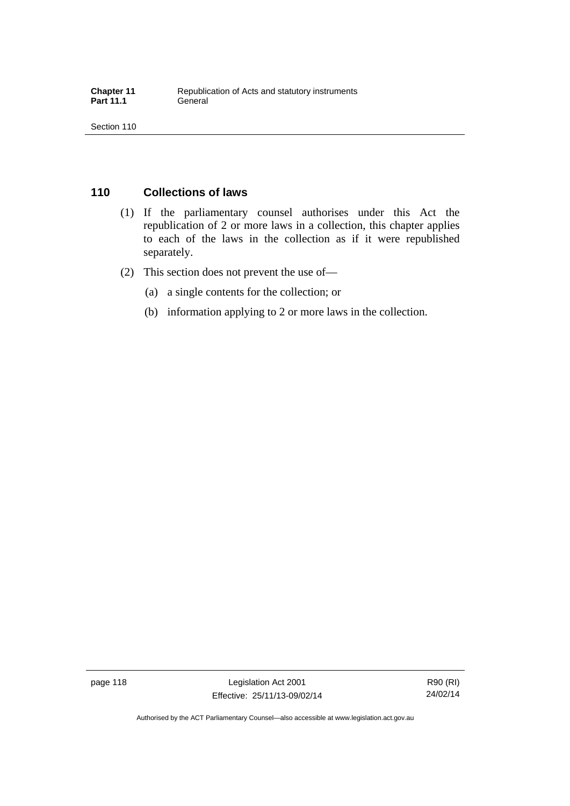## **110 Collections of laws**

- (1) If the parliamentary counsel authorises under this Act the republication of 2 or more laws in a collection, this chapter applies to each of the laws in the collection as if it were republished separately.
- (2) This section does not prevent the use of—
	- (a) a single contents for the collection; or
	- (b) information applying to 2 or more laws in the collection.

page 118 Legislation Act 2001 Effective: 25/11/13-09/02/14

R90 (RI) 24/02/14

Authorised by the ACT Parliamentary Counsel—also accessible at www.legislation.act.gov.au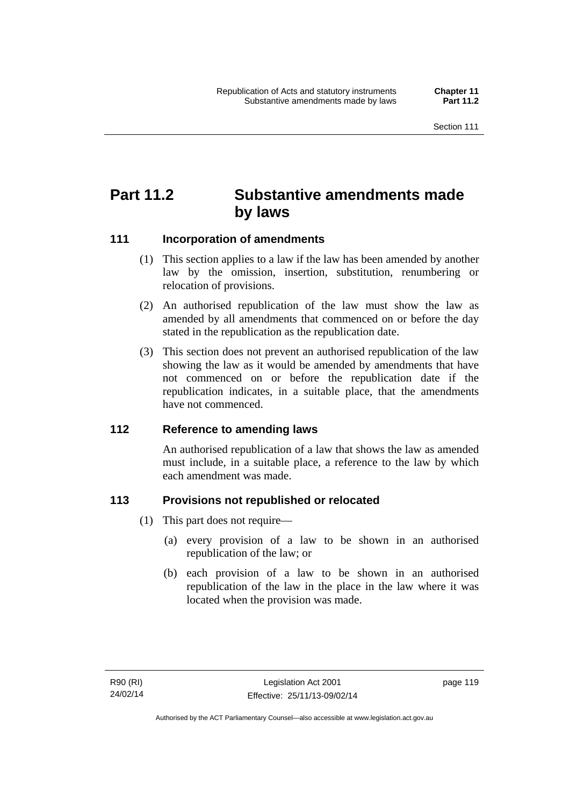## **Part 11.2 Substantive amendments made by laws**

## **111 Incorporation of amendments**

- (1) This section applies to a law if the law has been amended by another law by the omission, insertion, substitution, renumbering or relocation of provisions.
- (2) An authorised republication of the law must show the law as amended by all amendments that commenced on or before the day stated in the republication as the republication date.
- (3) This section does not prevent an authorised republication of the law showing the law as it would be amended by amendments that have not commenced on or before the republication date if the republication indicates, in a suitable place, that the amendments have not commenced.

## **112 Reference to amending laws**

An authorised republication of a law that shows the law as amended must include, in a suitable place, a reference to the law by which each amendment was made.

## **113 Provisions not republished or relocated**

- (1) This part does not require—
	- (a) every provision of a law to be shown in an authorised republication of the law; or
	- (b) each provision of a law to be shown in an authorised republication of the law in the place in the law where it was located when the provision was made.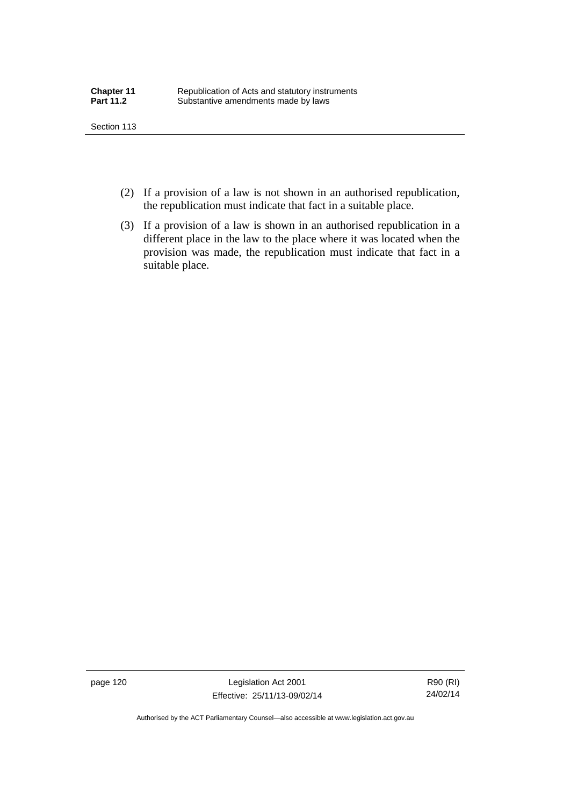- (2) If a provision of a law is not shown in an authorised republication, the republication must indicate that fact in a suitable place.
- (3) If a provision of a law is shown in an authorised republication in a different place in the law to the place where it was located when the provision was made, the republication must indicate that fact in a suitable place.

page 120 Legislation Act 2001 Effective: 25/11/13-09/02/14

R90 (RI) 24/02/14

Authorised by the ACT Parliamentary Counsel—also accessible at www.legislation.act.gov.au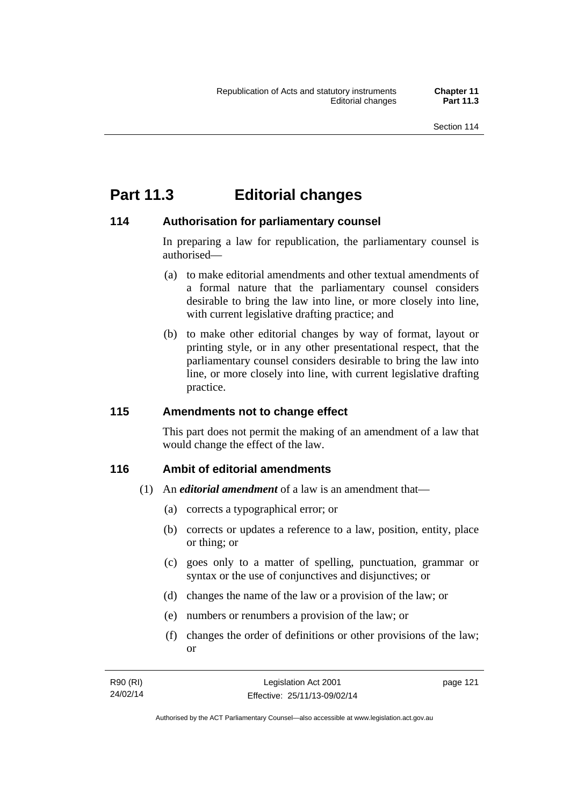## **Part 11.3 Editorial changes**

## **114 Authorisation for parliamentary counsel**

In preparing a law for republication, the parliamentary counsel is authorised—

- (a) to make editorial amendments and other textual amendments of a formal nature that the parliamentary counsel considers desirable to bring the law into line, or more closely into line, with current legislative drafting practice; and
- (b) to make other editorial changes by way of format, layout or printing style, or in any other presentational respect, that the parliamentary counsel considers desirable to bring the law into line, or more closely into line, with current legislative drafting practice.

## **115 Amendments not to change effect**

This part does not permit the making of an amendment of a law that would change the effect of the law.

## **116 Ambit of editorial amendments**

- (1) An *editorial amendment* of a law is an amendment that—
	- (a) corrects a typographical error; or
	- (b) corrects or updates a reference to a law, position, entity, place or thing; or
	- (c) goes only to a matter of spelling, punctuation, grammar or syntax or the use of conjunctives and disjunctives; or
	- (d) changes the name of the law or a provision of the law; or
	- (e) numbers or renumbers a provision of the law; or
	- (f) changes the order of definitions or other provisions of the law; or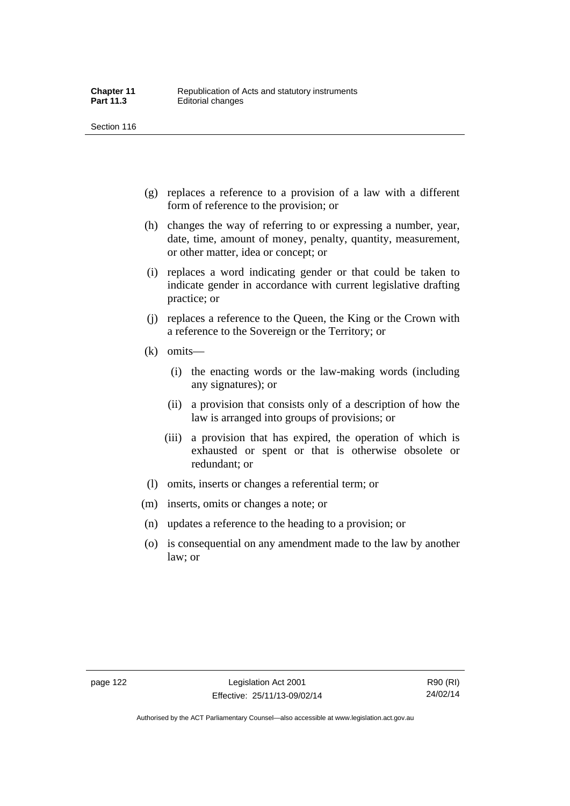- (g) replaces a reference to a provision of a law with a different form of reference to the provision; or
- (h) changes the way of referring to or expressing a number, year, date, time, amount of money, penalty, quantity, measurement, or other matter, idea or concept; or
- (i) replaces a word indicating gender or that could be taken to indicate gender in accordance with current legislative drafting practice; or
- (j) replaces a reference to the Queen, the King or the Crown with a reference to the Sovereign or the Territory; or
- (k) omits—
	- (i) the enacting words or the law-making words (including any signatures); or
	- (ii) a provision that consists only of a description of how the law is arranged into groups of provisions; or
	- (iii) a provision that has expired, the operation of which is exhausted or spent or that is otherwise obsolete or redundant; or
- (l) omits, inserts or changes a referential term; or
- (m) inserts, omits or changes a note; or
- (n) updates a reference to the heading to a provision; or
- (o) is consequential on any amendment made to the law by another law; or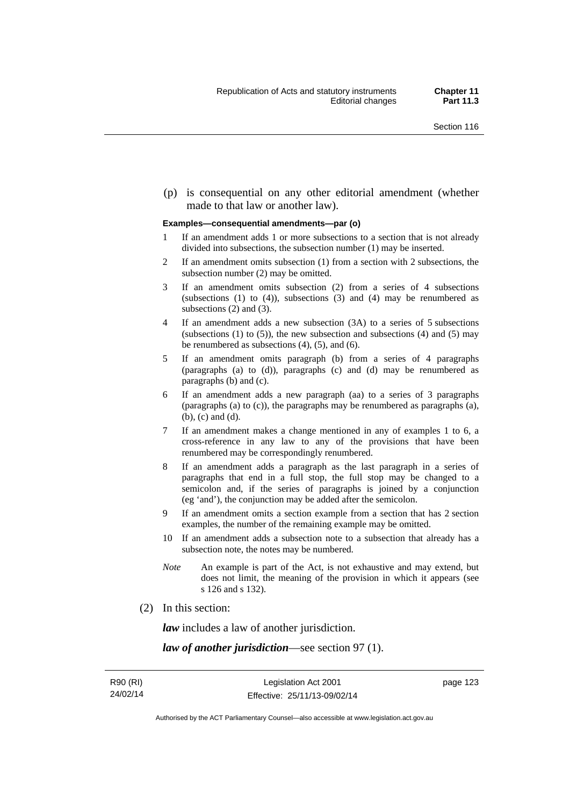(p) is consequential on any other editorial amendment (whether made to that law or another law).

#### **Examples—consequential amendments—par (o)**

- 1 If an amendment adds 1 or more subsections to a section that is not already divided into subsections, the subsection number (1) may be inserted.
- 2 If an amendment omits subsection (1) from a section with 2 subsections, the subsection number (2) may be omitted.
- 3 If an amendment omits subsection (2) from a series of 4 subsections (subsections  $(1)$  to  $(4)$ ), subsections  $(3)$  and  $(4)$  may be renumbered as subsections (2) and (3).
- 4 If an amendment adds a new subsection (3A) to a series of 5 subsections (subsections  $(1)$  to  $(5)$ ), the new subsection and subsections  $(4)$  and  $(5)$  may be renumbered as subsections (4), (5), and (6).
- 5 If an amendment omits paragraph (b) from a series of 4 paragraphs (paragraphs (a) to (d)), paragraphs (c) and (d) may be renumbered as paragraphs (b) and (c).
- 6 If an amendment adds a new paragraph (aa) to a series of 3 paragraphs (paragraphs (a) to (c)), the paragraphs may be renumbered as paragraphs (a), (b), (c) and (d).
- 7 If an amendment makes a change mentioned in any of examples 1 to 6, a cross-reference in any law to any of the provisions that have been renumbered may be correspondingly renumbered.
- 8 If an amendment adds a paragraph as the last paragraph in a series of paragraphs that end in a full stop, the full stop may be changed to a semicolon and, if the series of paragraphs is joined by a conjunction (eg 'and'), the conjunction may be added after the semicolon.
- 9 If an amendment omits a section example from a section that has 2 section examples, the number of the remaining example may be omitted.
- 10 If an amendment adds a subsection note to a subsection that already has a subsection note, the notes may be numbered.
- *Note* An example is part of the Act, is not exhaustive and may extend, but does not limit, the meaning of the provision in which it appears (see s 126 and s 132).
- (2) In this section:

*law* includes a law of another jurisdiction.

*law of another jurisdiction*—see section 97 (1).

page 123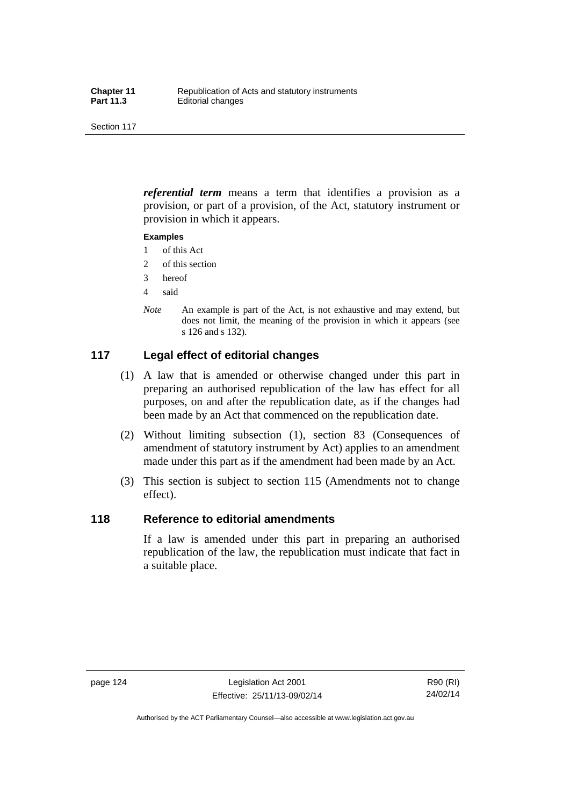*referential term* means a term that identifies a provision as a provision, or part of a provision, of the Act, statutory instrument or provision in which it appears.

#### **Examples**

- 1 of this Act
- 2 of this section
- 3 hereof
- 4 said
- *Note* An example is part of the Act, is not exhaustive and may extend, but does not limit, the meaning of the provision in which it appears (see s 126 and s 132).

## **117 Legal effect of editorial changes**

- (1) A law that is amended or otherwise changed under this part in preparing an authorised republication of the law has effect for all purposes, on and after the republication date, as if the changes had been made by an Act that commenced on the republication date.
- (2) Without limiting subsection (1), section 83 (Consequences of amendment of statutory instrument by Act) applies to an amendment made under this part as if the amendment had been made by an Act.
- (3) This section is subject to section 115 (Amendments not to change effect).

### **118 Reference to editorial amendments**

If a law is amended under this part in preparing an authorised republication of the law, the republication must indicate that fact in a suitable place.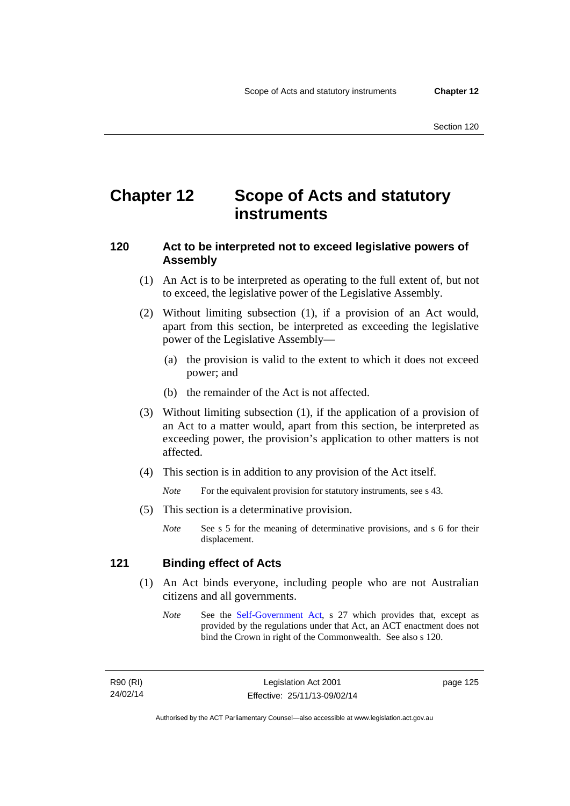## **Chapter 12 Scope of Acts and statutory instruments**

## **120 Act to be interpreted not to exceed legislative powers of Assembly**

- (1) An Act is to be interpreted as operating to the full extent of, but not to exceed, the legislative power of the Legislative Assembly.
- (2) Without limiting subsection (1), if a provision of an Act would, apart from this section, be interpreted as exceeding the legislative power of the Legislative Assembly—
	- (a) the provision is valid to the extent to which it does not exceed power; and
	- (b) the remainder of the Act is not affected.
- (3) Without limiting subsection (1), if the application of a provision of an Act to a matter would, apart from this section, be interpreted as exceeding power, the provision's application to other matters is not affected.
- (4) This section is in addition to any provision of the Act itself.

*Note* For the equivalent provision for statutory instruments, see s 43.

- (5) This section is a determinative provision.
	- *Note* See s 5 for the meaning of determinative provisions, and s 6 for their displacement.

## **121 Binding effect of Acts**

- (1) An Act binds everyone, including people who are not Australian citizens and all governments.
	- *Note* See the [Self-Government Act](http://www.comlaw.gov.au/Series/C2004A03699), s 27 which provides that, except as provided by the regulations under that Act, an ACT enactment does not bind the Crown in right of the Commonwealth. See also s 120.

R90 (RI) 24/02/14 page 125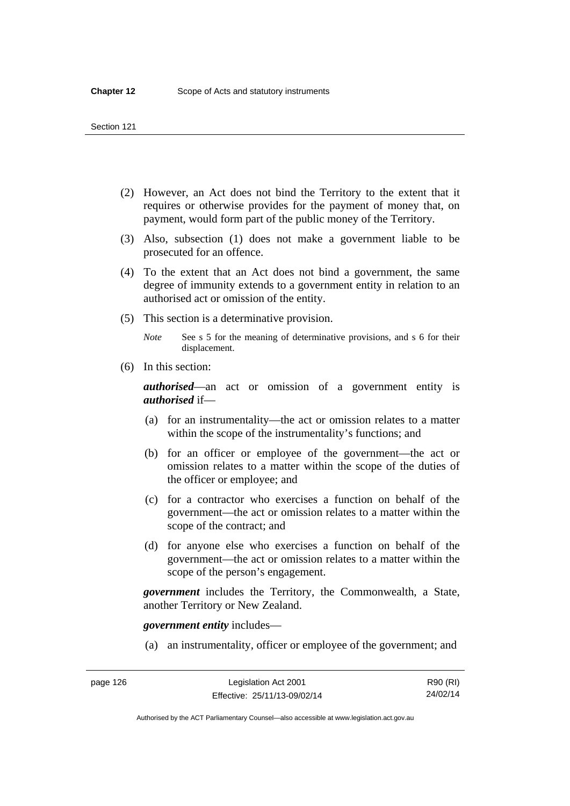- (2) However, an Act does not bind the Territory to the extent that it requires or otherwise provides for the payment of money that, on payment, would form part of the public money of the Territory.
- (3) Also, subsection (1) does not make a government liable to be prosecuted for an offence.
- (4) To the extent that an Act does not bind a government, the same degree of immunity extends to a government entity in relation to an authorised act or omission of the entity.
- (5) This section is a determinative provision.

*Note* See s 5 for the meaning of determinative provisions, and s 6 for their displacement.

(6) In this section:

*authorised*—an act or omission of a government entity is *authorised* if—

- (a) for an instrumentality—the act or omission relates to a matter within the scope of the instrumentality's functions; and
- (b) for an officer or employee of the government—the act or omission relates to a matter within the scope of the duties of the officer or employee; and
- (c) for a contractor who exercises a function on behalf of the government—the act or omission relates to a matter within the scope of the contract; and
- (d) for anyone else who exercises a function on behalf of the government—the act or omission relates to a matter within the scope of the person's engagement.

*government* includes the Territory, the Commonwealth, a State, another Territory or New Zealand.

*government entity* includes—

(a) an instrumentality, officer or employee of the government; and

Authorised by the ACT Parliamentary Counsel—also accessible at www.legislation.act.gov.au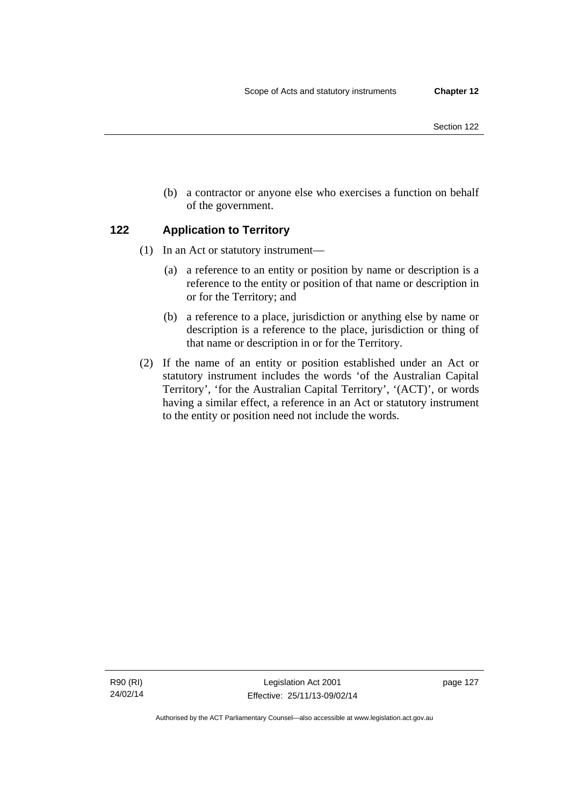(b) a contractor or anyone else who exercises a function on behalf of the government.

## **122 Application to Territory**

- (1) In an Act or statutory instrument—
	- (a) a reference to an entity or position by name or description is a reference to the entity or position of that name or description in or for the Territory; and
	- (b) a reference to a place, jurisdiction or anything else by name or description is a reference to the place, jurisdiction or thing of that name or description in or for the Territory.
- (2) If the name of an entity or position established under an Act or statutory instrument includes the words 'of the Australian Capital Territory', 'for the Australian Capital Territory', '(ACT)', or words having a similar effect, a reference in an Act or statutory instrument to the entity or position need not include the words.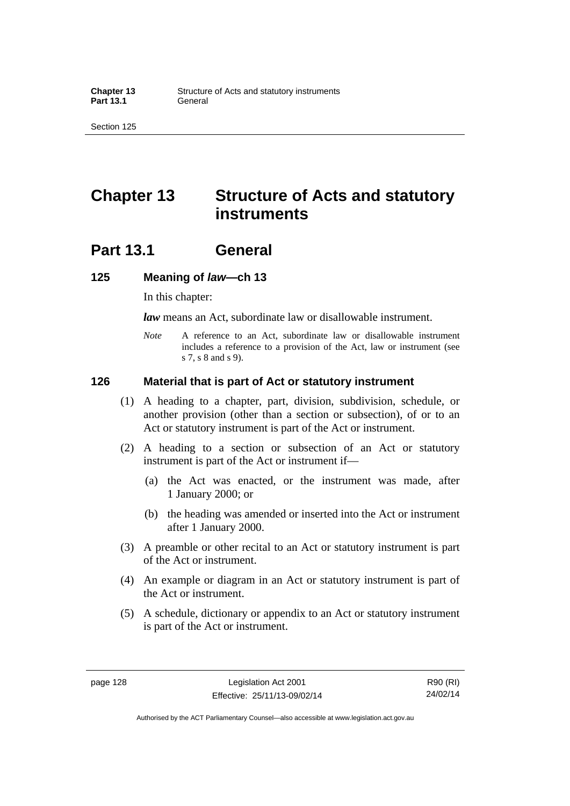## **Chapter 13 Structure of Acts and statutory instruments**

## **Part 13.1 General**

### **125 Meaning of** *law***—ch 13**

In this chapter:

*law* means an Act, subordinate law or disallowable instrument.

*Note* A reference to an Act, subordinate law or disallowable instrument includes a reference to a provision of the Act, law or instrument (see s 7, s 8 and s 9).

### **126 Material that is part of Act or statutory instrument**

- (1) A heading to a chapter, part, division, subdivision, schedule, or another provision (other than a section or subsection), of or to an Act or statutory instrument is part of the Act or instrument.
- (2) A heading to a section or subsection of an Act or statutory instrument is part of the Act or instrument if—
	- (a) the Act was enacted, or the instrument was made, after 1 January 2000; or
	- (b) the heading was amended or inserted into the Act or instrument after 1 January 2000.
- (3) A preamble or other recital to an Act or statutory instrument is part of the Act or instrument.
- (4) An example or diagram in an Act or statutory instrument is part of the Act or instrument.
- (5) A schedule, dictionary or appendix to an Act or statutory instrument is part of the Act or instrument.

page 128 Legislation Act 2001 Effective: 25/11/13-09/02/14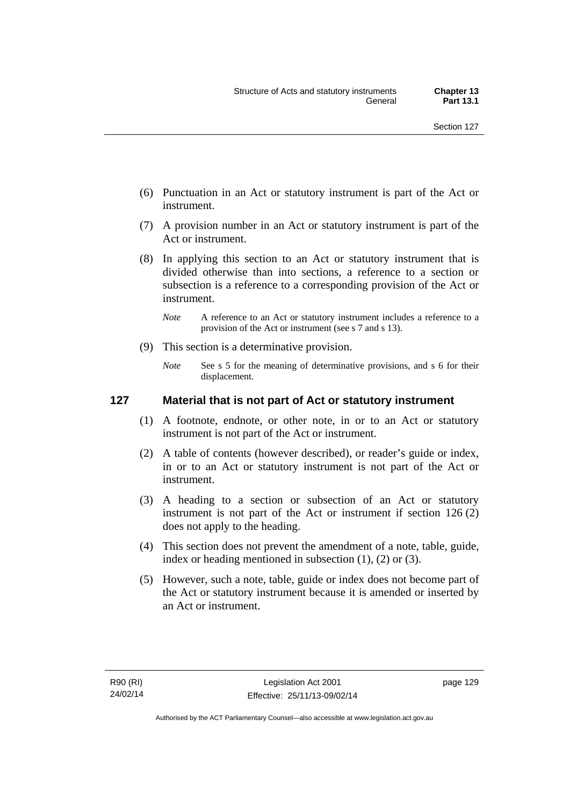- (6) Punctuation in an Act or statutory instrument is part of the Act or instrument.
- (7) A provision number in an Act or statutory instrument is part of the Act or instrument.
- (8) In applying this section to an Act or statutory instrument that is divided otherwise than into sections, a reference to a section or subsection is a reference to a corresponding provision of the Act or instrument.
	- *Note* A reference to an Act or statutory instrument includes a reference to a provision of the Act or instrument (see s 7 and s 13).
- (9) This section is a determinative provision.
	- *Note* See s 5 for the meaning of determinative provisions, and s 6 for their displacement.

# **127 Material that is not part of Act or statutory instrument**

- (1) A footnote, endnote, or other note, in or to an Act or statutory instrument is not part of the Act or instrument.
- (2) A table of contents (however described), or reader's guide or index, in or to an Act or statutory instrument is not part of the Act or instrument.
- (3) A heading to a section or subsection of an Act or statutory instrument is not part of the Act or instrument if section 126 (2) does not apply to the heading.
- (4) This section does not prevent the amendment of a note, table, guide, index or heading mentioned in subsection (1), (2) or (3).
- (5) However, such a note, table, guide or index does not become part of the Act or statutory instrument because it is amended or inserted by an Act or instrument.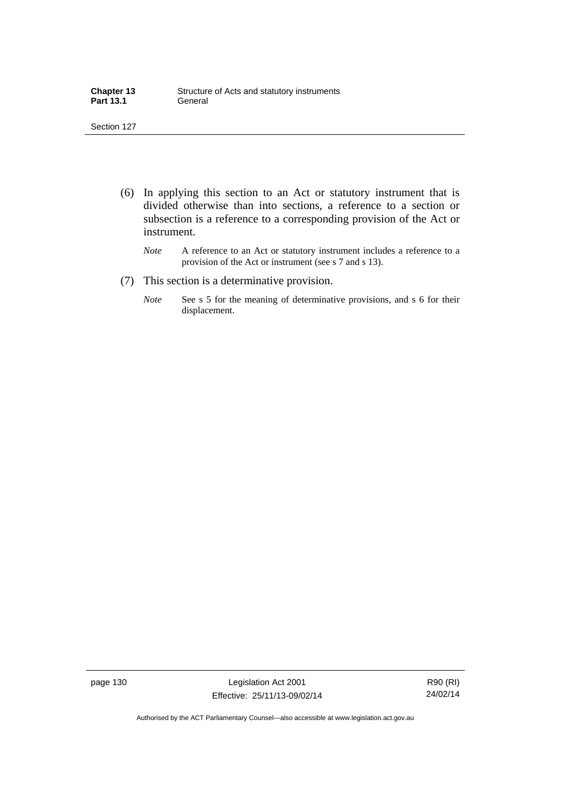| <b>Chapter 13</b> | Structure of Acts and statutory instruments |
|-------------------|---------------------------------------------|
| <b>Part 13.1</b>  | General                                     |

- (6) In applying this section to an Act or statutory instrument that is divided otherwise than into sections, a reference to a section or subsection is a reference to a corresponding provision of the Act or instrument.
	- *Note* A reference to an Act or statutory instrument includes a reference to a provision of the Act or instrument (see s 7 and s 13).
- (7) This section is a determinative provision.
	- *Note* See s 5 for the meaning of determinative provisions, and s 6 for their displacement.

page 130 Legislation Act 2001 Effective: 25/11/13-09/02/14

R90 (RI) 24/02/14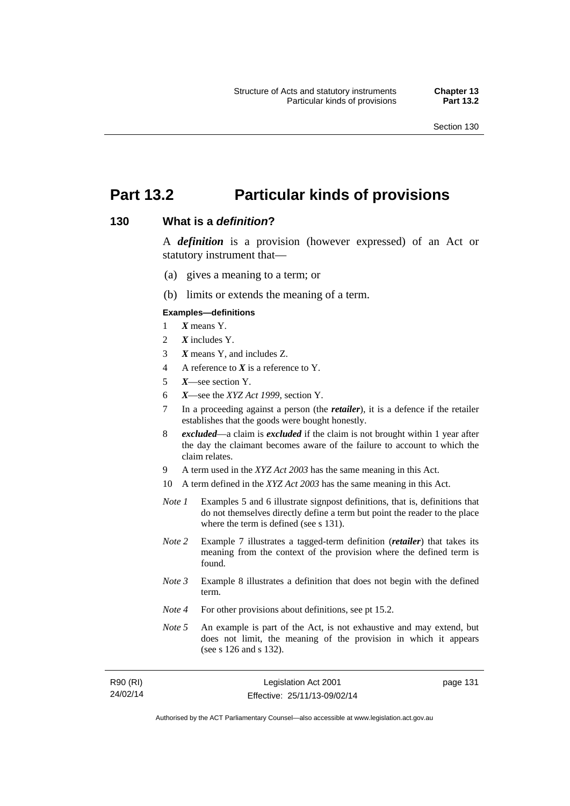# **Part 13.2 Particular kinds of provisions**

#### **130 What is a** *definition***?**

A *definition* is a provision (however expressed) of an Act or statutory instrument that—

- (a) gives a meaning to a term; or
- (b) limits or extends the meaning of a term.

#### **Examples—definitions**

- 1 *X* means Y.
- 2 *X* includes Y.
- 3 *X* means Y, and includes Z.
- 4 A reference to *X* is a reference to Y.
- 5 *X*—see section Y.
- 6 *X*—see the *XYZ Act 1999*, section Y.
- 7 In a proceeding against a person (the *retailer*), it is a defence if the retailer establishes that the goods were bought honestly.
- 8 *excluded*—a claim is *excluded* if the claim is not brought within 1 year after the day the claimant becomes aware of the failure to account to which the claim relates.
- 9 A term used in the *XYZ Act 2003* has the same meaning in this Act.
- 10 A term defined in the *XYZ Act 2003* has the same meaning in this Act.
- *Note 1* Examples 5 and 6 illustrate signpost definitions, that is, definitions that do not themselves directly define a term but point the reader to the place where the term is defined (see s 131).
- *Note 2* Example 7 illustrates a tagged-term definition (*retailer*) that takes its meaning from the context of the provision where the defined term is found.
- *Note 3* Example 8 illustrates a definition that does not begin with the defined term.
- *Note 4* For other provisions about definitions, see pt 15.2.
- *Note 5* An example is part of the Act, is not exhaustive and may extend, but does not limit, the meaning of the provision in which it appears (see s 126 and s 132).

| R90 (RI) | Legislation Act 2001         | page 131 |
|----------|------------------------------|----------|
| 24/02/14 | Effective: 25/11/13-09/02/14 |          |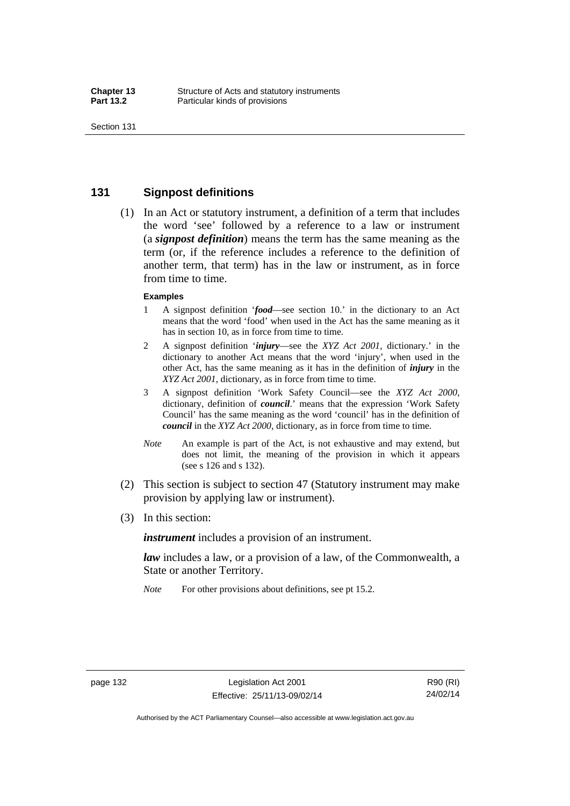### **131 Signpost definitions**

 (1) In an Act or statutory instrument, a definition of a term that includes the word 'see' followed by a reference to a law or instrument (a *signpost definition*) means the term has the same meaning as the term (or, if the reference includes a reference to the definition of another term, that term) has in the law or instrument, as in force from time to time.

#### **Examples**

- 1 A signpost definition '*food*—see section 10.' in the dictionary to an Act means that the word 'food' when used in the Act has the same meaning as it has in section 10, as in force from time to time.
- 2 A signpost definition '*injury*—see the *XYZ Act 2001*, dictionary.' in the dictionary to another Act means that the word 'injury', when used in the other Act, has the same meaning as it has in the definition of *injury* in the *XYZ Act 2001*, dictionary, as in force from time to time.
- 3 A signpost definition 'Work Safety Council—see the *XYZ Act 2000*, dictionary, definition of *council*.' means that the expression 'Work Safety Council' has the same meaning as the word 'council' has in the definition of *council* in the *XYZ Act 2000*, dictionary, as in force from time to time.
- *Note* An example is part of the Act, is not exhaustive and may extend, but does not limit, the meaning of the provision in which it appears (see s 126 and s 132).
- (2) This section is subject to section 47 (Statutory instrument may make provision by applying law or instrument).
- (3) In this section:

*instrument* includes a provision of an instrument.

*law* includes a law, or a provision of a law, of the Commonwealth, a State or another Territory.

*Note* For other provisions about definitions, see pt 15.2.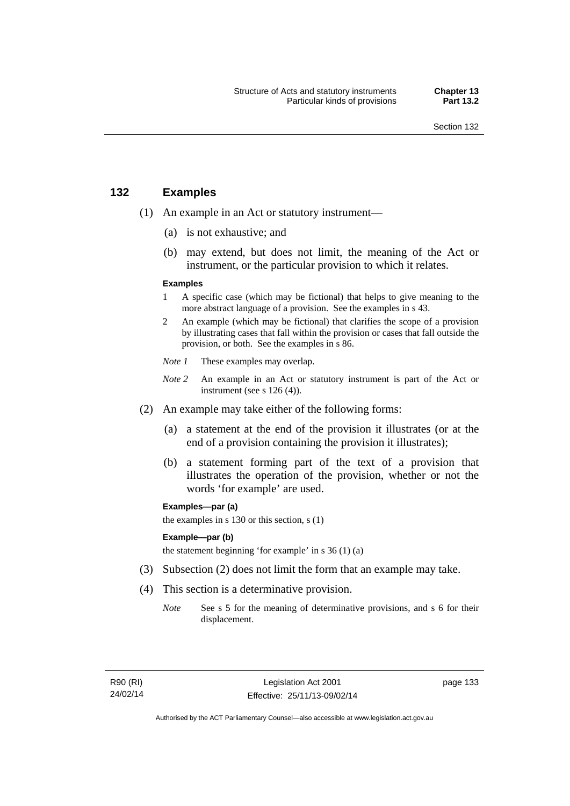# **132 Examples**

- (1) An example in an Act or statutory instrument—
	- (a) is not exhaustive; and
	- (b) may extend, but does not limit, the meaning of the Act or instrument, or the particular provision to which it relates.

#### **Examples**

- 1 A specific case (which may be fictional) that helps to give meaning to the more abstract language of a provision. See the examples in s 43.
- 2 An example (which may be fictional) that clarifies the scope of a provision by illustrating cases that fall within the provision or cases that fall outside the provision, or both. See the examples in s 86.
- *Note 1* These examples may overlap.
- *Note* 2 An example in an Act or statutory instrument is part of the Act or instrument (see s 126 (4)).
- (2) An example may take either of the following forms:
	- (a) a statement at the end of the provision it illustrates (or at the end of a provision containing the provision it illustrates);
	- (b) a statement forming part of the text of a provision that illustrates the operation of the provision, whether or not the words 'for example' are used.

**Examples—par (a)** 

the examples in s 130 or this section, s (1)

#### **Example—par (b)**

the statement beginning 'for example' in s 36 (1) (a)

- (3) Subsection (2) does not limit the form that an example may take.
- (4) This section is a determinative provision.
	- *Note* See s 5 for the meaning of determinative provisions, and s 6 for their displacement.

R90 (RI) 24/02/14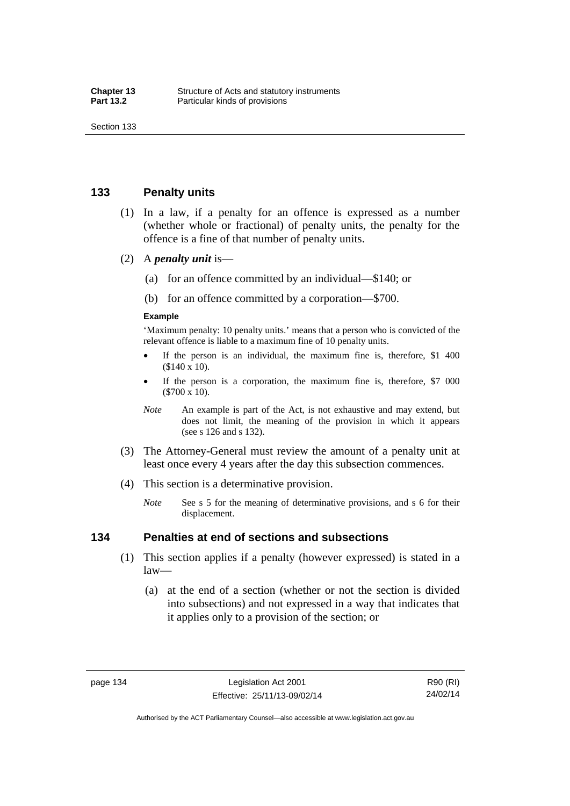### **133 Penalty units**

- (1) In a law, if a penalty for an offence is expressed as a number (whether whole or fractional) of penalty units, the penalty for the offence is a fine of that number of penalty units.
- (2) A *penalty unit* is—
	- (a) for an offence committed by an individual—\$140; or
	- (b) for an offence committed by a corporation—\$700.

#### **Example**

'Maximum penalty: 10 penalty units.' means that a person who is convicted of the relevant offence is liable to a maximum fine of 10 penalty units.

- If the person is an individual, the maximum fine is, therefore, \$1 400 (\$140 x 10).
- If the person is a corporation, the maximum fine is, therefore, \$7 000 (\$700 x 10).
- *Note* An example is part of the Act, is not exhaustive and may extend, but does not limit, the meaning of the provision in which it appears (see s 126 and s 132).
- (3) The Attorney-General must review the amount of a penalty unit at least once every 4 years after the day this subsection commences.
- (4) This section is a determinative provision.
	- *Note* See s 5 for the meaning of determinative provisions, and s 6 for their displacement.

#### **134 Penalties at end of sections and subsections**

- (1) This section applies if a penalty (however expressed) is stated in a law—
	- (a) at the end of a section (whether or not the section is divided into subsections) and not expressed in a way that indicates that it applies only to a provision of the section; or

R90 (RI) 24/02/14

Authorised by the ACT Parliamentary Counsel—also accessible at www.legislation.act.gov.au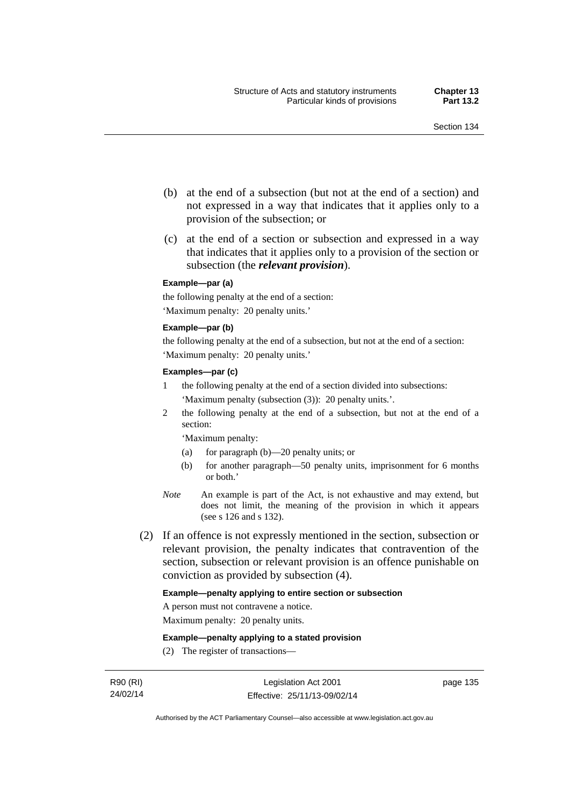- (b) at the end of a subsection (but not at the end of a section) and not expressed in a way that indicates that it applies only to a provision of the subsection; or
- (c) at the end of a section or subsection and expressed in a way that indicates that it applies only to a provision of the section or subsection (the *relevant provision*).

#### **Example—par (a)**

the following penalty at the end of a section: 'Maximum penalty: 20 penalty units.'

#### **Example—par (b)**

the following penalty at the end of a subsection, but not at the end of a section: 'Maximum penalty: 20 penalty units.'

#### **Examples—par (c)**

- 1 the following penalty at the end of a section divided into subsections: 'Maximum penalty (subsection (3)): 20 penalty units.'.
- 2 the following penalty at the end of a subsection, but not at the end of a section:

'Maximum penalty:

- (a) for paragraph (b)—20 penalty units; or
- (b) for another paragraph—50 penalty units, imprisonment for 6 months or both.'
- *Note* An example is part of the Act, is not exhaustive and may extend, but does not limit, the meaning of the provision in which it appears (see s 126 and s 132).
- (2) If an offence is not expressly mentioned in the section, subsection or relevant provision, the penalty indicates that contravention of the section, subsection or relevant provision is an offence punishable on conviction as provided by subsection (4).

#### **Example—penalty applying to entire section or subsection**

A person must not contravene a notice.

Maximum penalty: 20 penalty units.

**Example—penalty applying to a stated provision** 

(2) The register of transactions—

page 135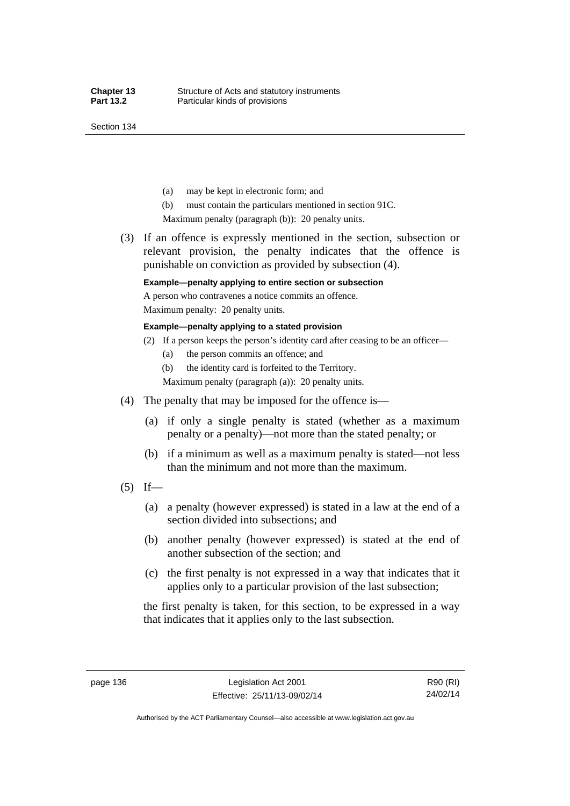Section 134

- (a) may be kept in electronic form; and
- (b) must contain the particulars mentioned in section 91C.

Maximum penalty (paragraph (b)): 20 penalty units.

 (3) If an offence is expressly mentioned in the section, subsection or relevant provision, the penalty indicates that the offence is punishable on conviction as provided by subsection (4).

### **Example—penalty applying to entire section or subsection**

A person who contravenes a notice commits an offence. Maximum penalty: 20 penalty units.

**Example—penalty applying to a stated provision** 

- (2) If a person keeps the person's identity card after ceasing to be an officer—
	- (a) the person commits an offence; and
	- (b) the identity card is forfeited to the Territory.

Maximum penalty (paragraph (a)): 20 penalty units.

- (4) The penalty that may be imposed for the offence is—
	- (a) if only a single penalty is stated (whether as a maximum penalty or a penalty)—not more than the stated penalty; or
	- (b) if a minimum as well as a maximum penalty is stated—not less than the minimum and not more than the maximum.
- $(5)$  If—
	- (a) a penalty (however expressed) is stated in a law at the end of a section divided into subsections; and
	- (b) another penalty (however expressed) is stated at the end of another subsection of the section; and
	- (c) the first penalty is not expressed in a way that indicates that it applies only to a particular provision of the last subsection;

the first penalty is taken, for this section, to be expressed in a way that indicates that it applies only to the last subsection.

page 136 Legislation Act 2001 Effective: 25/11/13-09/02/14

Authorised by the ACT Parliamentary Counsel—also accessible at www.legislation.act.gov.au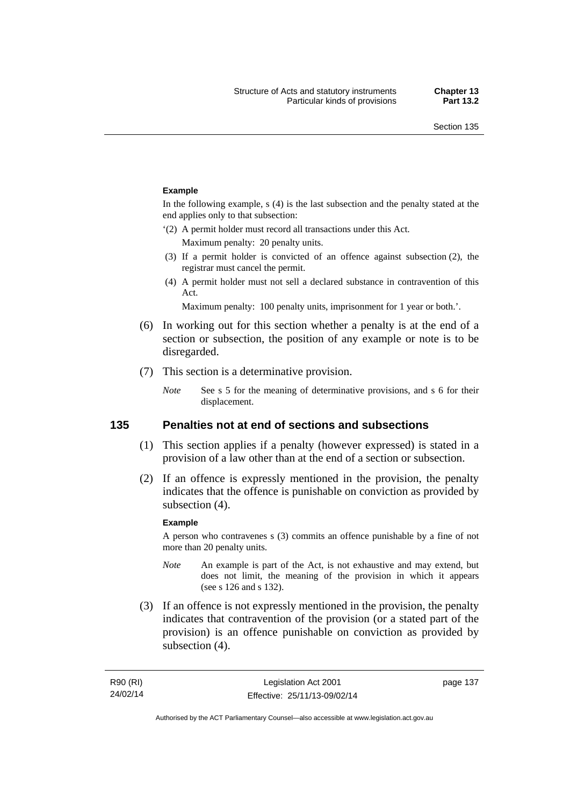#### **Example**

In the following example, s (4) is the last subsection and the penalty stated at the end applies only to that subsection:

'(2) A permit holder must record all transactions under this Act.

Maximum penalty: 20 penalty units.

- (3) If a permit holder is convicted of an offence against subsection (2), the registrar must cancel the permit.
- (4) A permit holder must not sell a declared substance in contravention of this Act.

Maximum penalty: 100 penalty units, imprisonment for 1 year or both.'.

- (6) In working out for this section whether a penalty is at the end of a section or subsection, the position of any example or note is to be disregarded.
- (7) This section is a determinative provision.
	- *Note* See s 5 for the meaning of determinative provisions, and s 6 for their displacement.

### **135 Penalties not at end of sections and subsections**

- (1) This section applies if a penalty (however expressed) is stated in a provision of a law other than at the end of a section or subsection.
- (2) If an offence is expressly mentioned in the provision, the penalty indicates that the offence is punishable on conviction as provided by subsection (4).

#### **Example**

A person who contravenes s (3) commits an offence punishable by a fine of not more than 20 penalty units.

- *Note* An example is part of the Act, is not exhaustive and may extend, but does not limit, the meaning of the provision in which it appears (see s 126 and s 132).
- (3) If an offence is not expressly mentioned in the provision, the penalty indicates that contravention of the provision (or a stated part of the provision) is an offence punishable on conviction as provided by subsection (4).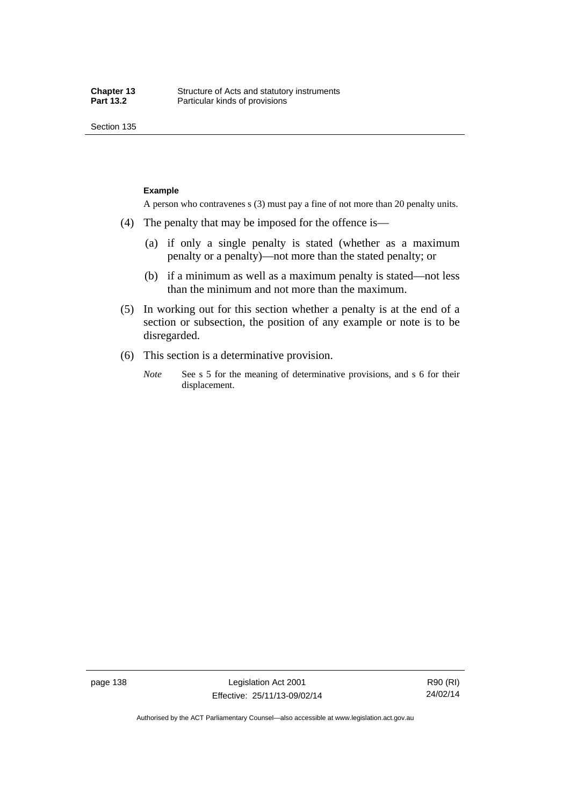Section 135

#### **Example**

A person who contravenes s (3) must pay a fine of not more than 20 penalty units.

- (4) The penalty that may be imposed for the offence is—
	- (a) if only a single penalty is stated (whether as a maximum penalty or a penalty)—not more than the stated penalty; or
	- (b) if a minimum as well as a maximum penalty is stated—not less than the minimum and not more than the maximum.
- (5) In working out for this section whether a penalty is at the end of a section or subsection, the position of any example or note is to be disregarded.
- (6) This section is a determinative provision.
	- *Note* See s 5 for the meaning of determinative provisions, and s 6 for their displacement.

page 138 Legislation Act 2001 Effective: 25/11/13-09/02/14

R90 (RI) 24/02/14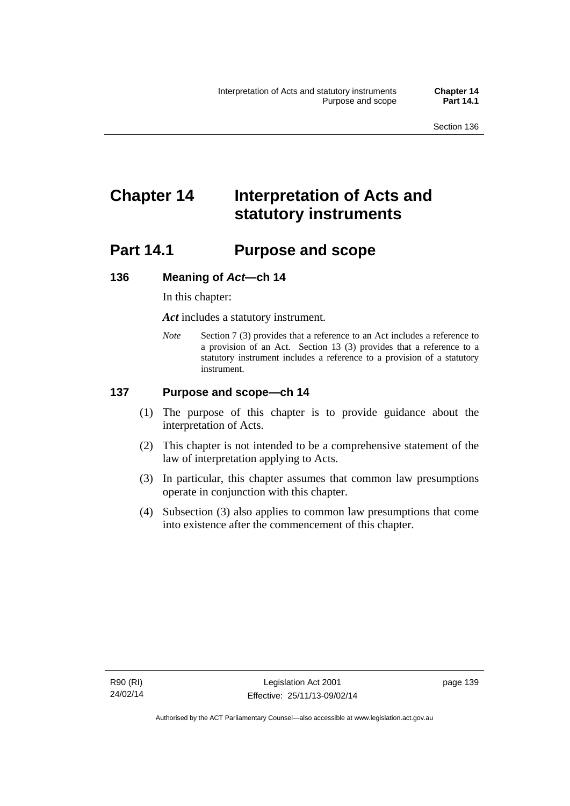# **Chapter 14 Interpretation of Acts and statutory instruments**

# **Part 14.1 Purpose and scope**

### **136 Meaning of** *Act***—ch 14**

In this chapter:

*Act* includes a statutory instrument.

*Note* Section 7 (3) provides that a reference to an Act includes a reference to a provision of an Act. Section 13 (3) provides that a reference to a statutory instrument includes a reference to a provision of a statutory instrument.

### **137 Purpose and scope—ch 14**

- (1) The purpose of this chapter is to provide guidance about the interpretation of Acts.
- (2) This chapter is not intended to be a comprehensive statement of the law of interpretation applying to Acts.
- (3) In particular, this chapter assumes that common law presumptions operate in conjunction with this chapter.
- (4) Subsection (3) also applies to common law presumptions that come into existence after the commencement of this chapter.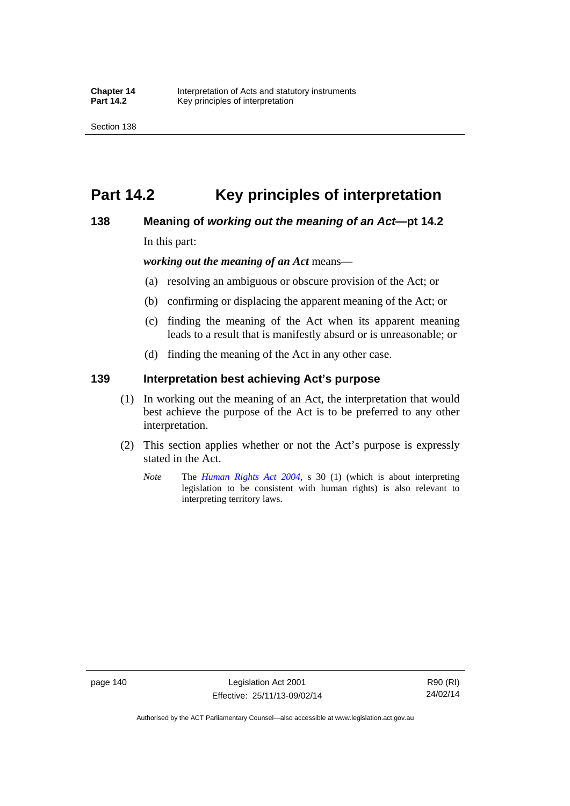# **Part 14.2 Key principles of interpretation**

### **138 Meaning of** *working out the meaning of an Act***—pt 14.2**

In this part:

*working out the meaning of an Act* means—

- (a) resolving an ambiguous or obscure provision of the Act; or
- (b) confirming or displacing the apparent meaning of the Act; or
- (c) finding the meaning of the Act when its apparent meaning leads to a result that is manifestly absurd or is unreasonable; or
- (d) finding the meaning of the Act in any other case.

### **139 Interpretation best achieving Act's purpose**

- (1) In working out the meaning of an Act, the interpretation that would best achieve the purpose of the Act is to be preferred to any other interpretation.
- (2) This section applies whether or not the Act's purpose is expressly stated in the Act.
	- *Note* The *[Human Rights Act 2004](http://www.legislation.act.gov.au/a/2004-5)*, s 30 (1) (which is about interpreting legislation to be consistent with human rights) is also relevant to interpreting territory laws.

page 140 Legislation Act 2001 Effective: 25/11/13-09/02/14

R90 (RI) 24/02/14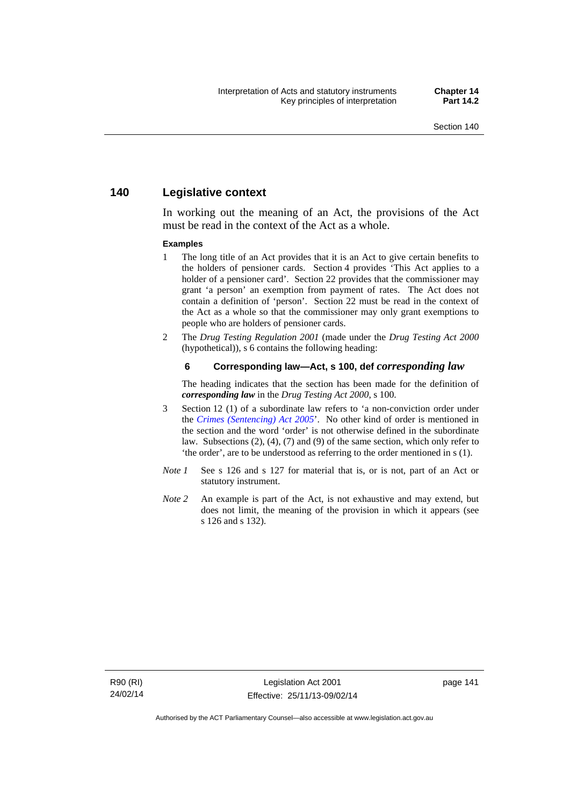# **140 Legislative context**

In working out the meaning of an Act, the provisions of the Act must be read in the context of the Act as a whole.

#### **Examples**

- 1 The long title of an Act provides that it is an Act to give certain benefits to the holders of pensioner cards. Section 4 provides 'This Act applies to a holder of a pensioner card'. Section 22 provides that the commissioner may grant 'a person' an exemption from payment of rates. The Act does not contain a definition of 'person'. Section 22 must be read in the context of the Act as a whole so that the commissioner may only grant exemptions to people who are holders of pensioner cards.
- 2 The *Drug Testing Regulation 2001* (made under the *Drug Testing Act 2000* (hypothetical)), s 6 contains the following heading:

#### **6 Corresponding law—Act, s 100, def** *corresponding law*

The heading indicates that the section has been made for the definition of *corresponding law* in the *Drug Testing Act 2000*, s 100.

- 3 Section 12 (1) of a subordinate law refers to 'a non-conviction order under the *[Crimes \(Sentencing\) Act 2005](http://www.legislation.act.gov.au/a/2005-58)*'. No other kind of order is mentioned in the section and the word 'order' is not otherwise defined in the subordinate law. Subsections (2), (4), (7) and (9) of the same section, which only refer to 'the order', are to be understood as referring to the order mentioned in s (1).
- *Note 1* See s 126 and s 127 for material that is, or is not, part of an Act or statutory instrument.
- *Note 2* An example is part of the Act, is not exhaustive and may extend, but does not limit, the meaning of the provision in which it appears (see s 126 and s 132).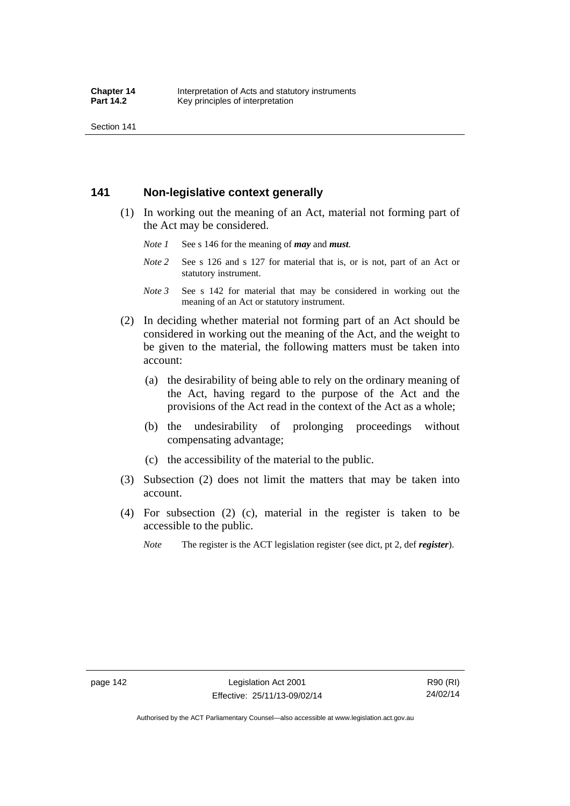Section 141

# **141 Non-legislative context generally**

- (1) In working out the meaning of an Act, material not forming part of the Act may be considered.
	- *Note 1* See s 146 for the meaning of *may* and *must*.
	- *Note* 2 See s 126 and s 127 for material that is, or is not, part of an Act or statutory instrument.
	- *Note 3* See s 142 for material that may be considered in working out the meaning of an Act or statutory instrument.
- (2) In deciding whether material not forming part of an Act should be considered in working out the meaning of the Act, and the weight to be given to the material, the following matters must be taken into account:
	- (a) the desirability of being able to rely on the ordinary meaning of the Act, having regard to the purpose of the Act and the provisions of the Act read in the context of the Act as a whole;
	- (b) the undesirability of prolonging proceedings without compensating advantage;
	- (c) the accessibility of the material to the public.
- (3) Subsection (2) does not limit the matters that may be taken into account.
- (4) For subsection (2) (c), material in the register is taken to be accessible to the public.
	- *Note* The register is the ACT legislation register (see dict, pt 2, def *register*).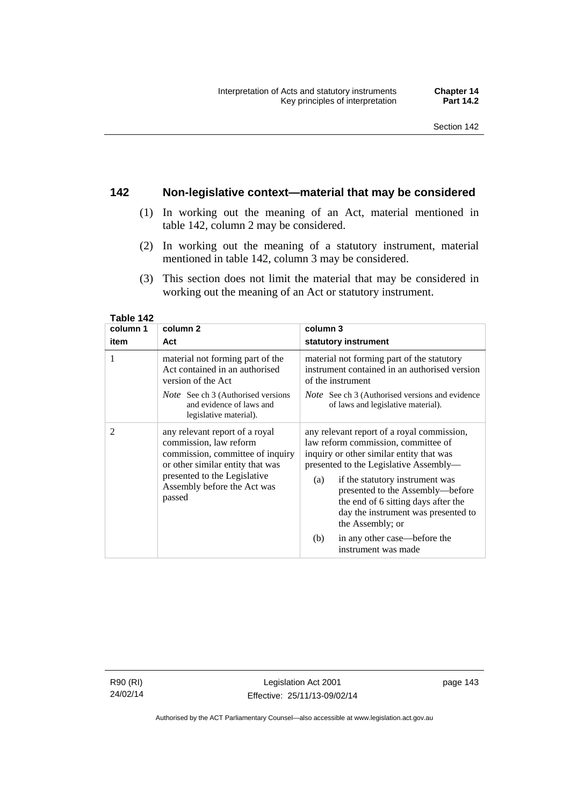# **142 Non-legislative context—material that may be considered**

- (1) In working out the meaning of an Act, material mentioned in table 142, column 2 may be considered.
- (2) In working out the meaning of a statutory instrument, material mentioned in table 142, column 3 may be considered.
- (3) This section does not limit the material that may be considered in working out the meaning of an Act or statutory instrument.

| column 1       | column <sub>2</sub>                                                                                                                                                                                       | column 3                                                                                                                                                                                                                                                                                                                                                |  |
|----------------|-----------------------------------------------------------------------------------------------------------------------------------------------------------------------------------------------------------|---------------------------------------------------------------------------------------------------------------------------------------------------------------------------------------------------------------------------------------------------------------------------------------------------------------------------------------------------------|--|
| item           | Act                                                                                                                                                                                                       | statutory instrument                                                                                                                                                                                                                                                                                                                                    |  |
| 1              | material not forming part of the<br>Act contained in an authorised<br>version of the Act<br><i>Note</i> See ch 3 (Authorised versions<br>and evidence of laws and<br>legislative material).               | material not forming part of the statutory<br>instrument contained in an authorised version<br>of the instrument<br><i>Note</i> See ch 3 (Authorised versions and evidence<br>of laws and legislative material).                                                                                                                                        |  |
| $\overline{2}$ | any relevant report of a royal<br>commission, law reform<br>commission, committee of inquiry<br>or other similar entity that was<br>presented to the Legislative<br>Assembly before the Act was<br>passed | any relevant report of a royal commission,<br>law reform commission, committee of<br>inquiry or other similar entity that was<br>presented to the Legislative Assembly—<br>if the statutory instrument was<br>(a)<br>presented to the Assembly-before<br>the end of 6 sitting days after the<br>day the instrument was presented to<br>the Assembly; or |  |
|                |                                                                                                                                                                                                           | in any other case—before the<br>(b)<br>instrument was made                                                                                                                                                                                                                                                                                              |  |

**Table 142** 

R90 (RI) 24/02/14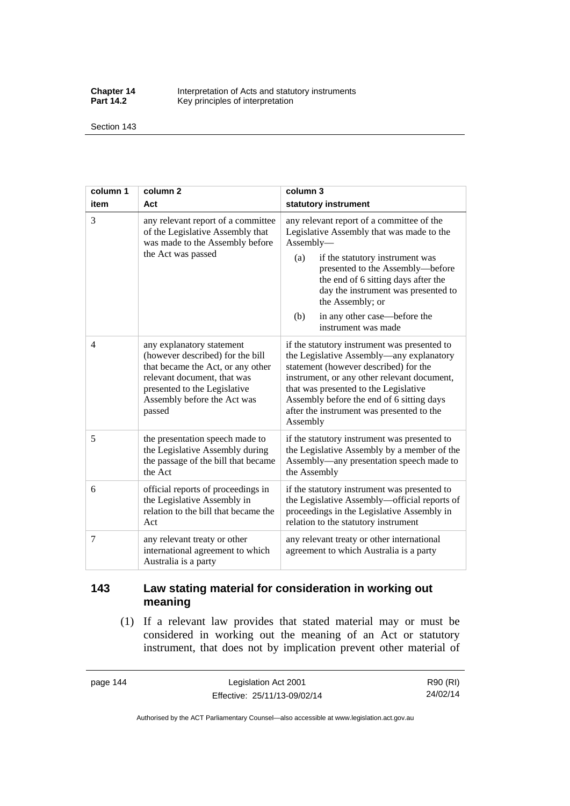**Chapter 14** Interpretation of Acts and statutory instruments<br>**Part 14.2** Key principles of interpretation Key principles of interpretation

Section 143

| column 1 | column <sub>2</sub>                                                                                                                                                                                        | column 3                                                                                                                                                                                                                                                                                                                                          |
|----------|------------------------------------------------------------------------------------------------------------------------------------------------------------------------------------------------------------|---------------------------------------------------------------------------------------------------------------------------------------------------------------------------------------------------------------------------------------------------------------------------------------------------------------------------------------------------|
| item     | Act                                                                                                                                                                                                        | statutory instrument                                                                                                                                                                                                                                                                                                                              |
| 3        | any relevant report of a committee<br>of the Legislative Assembly that<br>was made to the Assembly before<br>the Act was passed                                                                            | any relevant report of a committee of the<br>Legislative Assembly that was made to the<br>Assembly-<br>(a)<br>if the statutory instrument was<br>presented to the Assembly-before<br>the end of 6 sitting days after the<br>day the instrument was presented to<br>the Assembly; or<br>in any other case—before the<br>(b)<br>instrument was made |
| 4        | any explanatory statement<br>(however described) for the bill<br>that became the Act, or any other<br>relevant document, that was<br>presented to the Legislative<br>Assembly before the Act was<br>passed | if the statutory instrument was presented to<br>the Legislative Assembly-any explanatory<br>statement (however described) for the<br>instrument, or any other relevant document,<br>that was presented to the Legislative<br>Assembly before the end of 6 sitting days<br>after the instrument was presented to the<br>Assembly                   |
| 5        | the presentation speech made to<br>the Legislative Assembly during<br>the passage of the bill that became<br>the Act                                                                                       | if the statutory instrument was presented to<br>the Legislative Assembly by a member of the<br>Assembly—any presentation speech made to<br>the Assembly                                                                                                                                                                                           |
| 6        | official reports of proceedings in<br>the Legislative Assembly in<br>relation to the bill that became the<br>Act                                                                                           | if the statutory instrument was presented to<br>the Legislative Assembly—official reports of<br>proceedings in the Legislative Assembly in<br>relation to the statutory instrument                                                                                                                                                                |
| 7        | any relevant treaty or other<br>international agreement to which<br>Australia is a party                                                                                                                   | any relevant treaty or other international<br>agreement to which Australia is a party                                                                                                                                                                                                                                                             |

# **143 Law stating material for consideration in working out meaning**

 (1) If a relevant law provides that stated material may or must be considered in working out the meaning of an Act or statutory instrument, that does not by implication prevent other material of

page 144 Legislation Act 2001 Effective: 25/11/13-09/02/14

R90 (RI) 24/02/14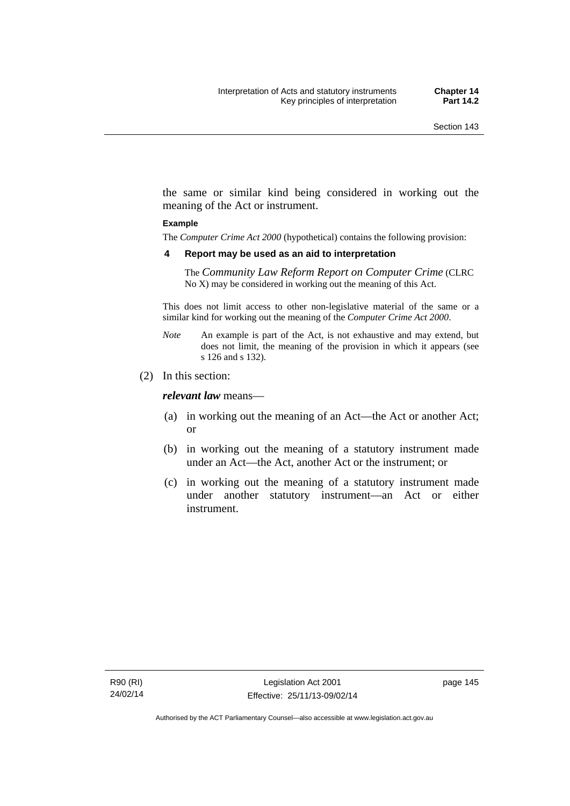the same or similar kind being considered in working out the meaning of the Act or instrument.

#### **Example**

The *Computer Crime Act 2000* (hypothetical) contains the following provision:

#### **4 Report may be used as an aid to interpretation**

The *Community Law Reform Report on Computer Crime* (CLRC No X) may be considered in working out the meaning of this Act.

This does not limit access to other non-legislative material of the same or a similar kind for working out the meaning of the *Computer Crime Act 2000*.

- *Note* An example is part of the Act, is not exhaustive and may extend, but does not limit, the meaning of the provision in which it appears (see s 126 and s 132).
- (2) In this section:

*relevant law* means—

- (a) in working out the meaning of an Act—the Act or another Act; or
- (b) in working out the meaning of a statutory instrument made under an Act—the Act, another Act or the instrument; or
- (c) in working out the meaning of a statutory instrument made under another statutory instrument—an Act or either instrument.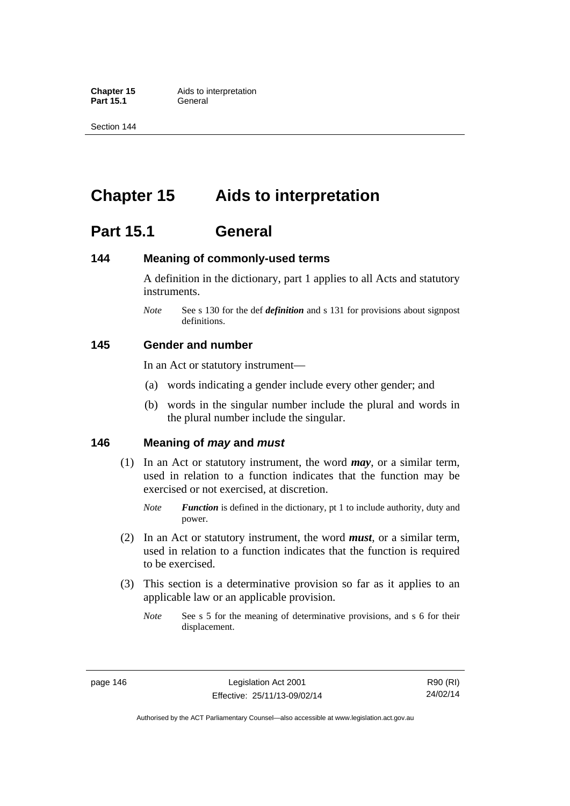**Part 15.1** 

Section 144

# **Chapter 15 Aids to interpretation**

# **Part 15.1 General**

# **144 Meaning of commonly-used terms**

A definition in the dictionary, part 1 applies to all Acts and statutory instruments.

*Note* See s 130 for the def *definition* and s 131 for provisions about signpost definitions.

# **145 Gender and number**

In an Act or statutory instrument—

- (a) words indicating a gender include every other gender; and
- (b) words in the singular number include the plural and words in the plural number include the singular.

# **146 Meaning of** *may* **and** *must*

- (1) In an Act or statutory instrument, the word *may*, or a similar term, used in relation to a function indicates that the function may be exercised or not exercised, at discretion.
	- *Note Function* is defined in the dictionary, pt 1 to include authority, duty and power.
- (2) In an Act or statutory instrument, the word *must*, or a similar term, used in relation to a function indicates that the function is required to be exercised.
- (3) This section is a determinative provision so far as it applies to an applicable law or an applicable provision.
	- *Note* See s 5 for the meaning of determinative provisions, and s 6 for their displacement.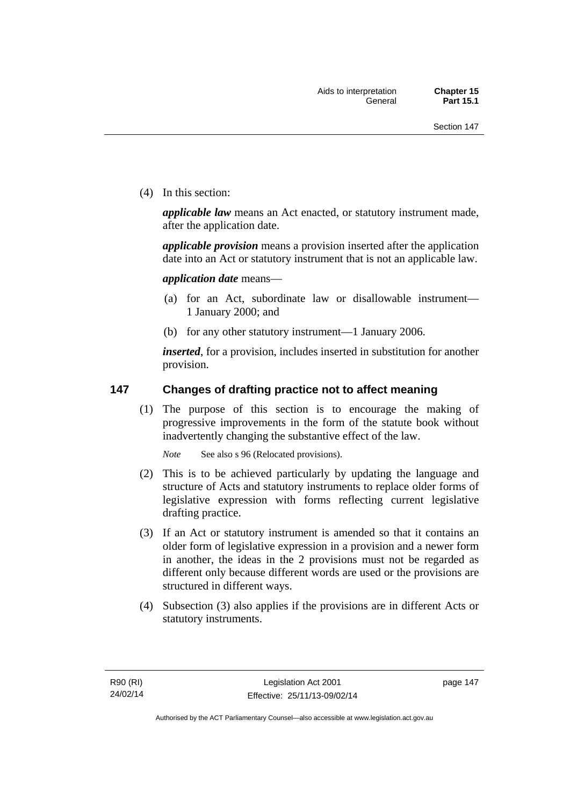(4) In this section:

*applicable law* means an Act enacted, or statutory instrument made, after the application date.

*applicable provision* means a provision inserted after the application date into an Act or statutory instrument that is not an applicable law.

*application date* means—

- (a) for an Act, subordinate law or disallowable instrument— 1 January 2000; and
- (b) for any other statutory instrument—1 January 2006.

*inserted*, for a provision, includes inserted in substitution for another provision.

# **147 Changes of drafting practice not to affect meaning**

(1) The purpose of this section is to encourage the making of progressive improvements in the form of the statute book without inadvertently changing the substantive effect of the law.

*Note* See also s 96 (Relocated provisions).

- (2) This is to be achieved particularly by updating the language and structure of Acts and statutory instruments to replace older forms of legislative expression with forms reflecting current legislative drafting practice.
- (3) If an Act or statutory instrument is amended so that it contains an older form of legislative expression in a provision and a newer form in another, the ideas in the 2 provisions must not be regarded as different only because different words are used or the provisions are structured in different ways.
- (4) Subsection (3) also applies if the provisions are in different Acts or statutory instruments.

page 147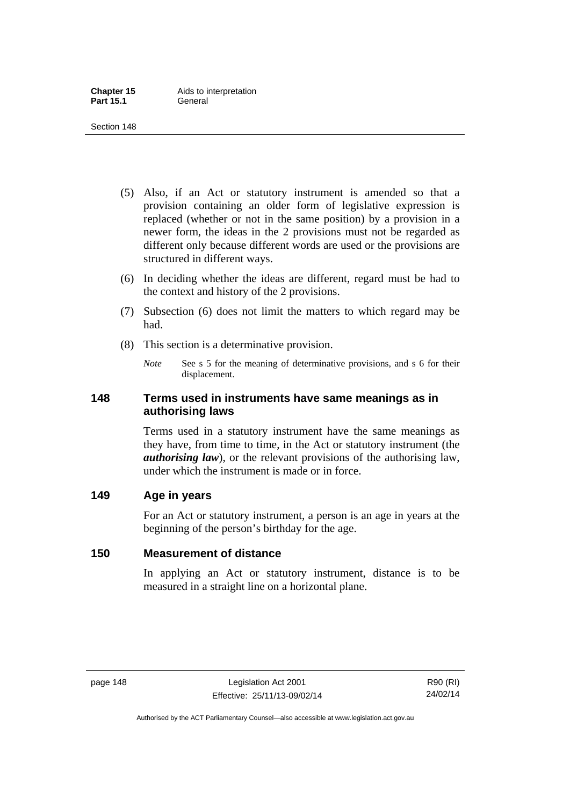- (5) Also, if an Act or statutory instrument is amended so that a provision containing an older form of legislative expression is replaced (whether or not in the same position) by a provision in a newer form, the ideas in the 2 provisions must not be regarded as different only because different words are used or the provisions are structured in different ways.
- (6) In deciding whether the ideas are different, regard must be had to the context and history of the 2 provisions.
- (7) Subsection (6) does not limit the matters to which regard may be had.
- (8) This section is a determinative provision.
	- *Note* See s 5 for the meaning of determinative provisions, and s 6 for their displacement.

# **148 Terms used in instruments have same meanings as in authorising laws**

Terms used in a statutory instrument have the same meanings as they have, from time to time, in the Act or statutory instrument (the *authorising law*), or the relevant provisions of the authorising law, under which the instrument is made or in force.

# **149 Age in years**

For an Act or statutory instrument, a person is an age in years at the beginning of the person's birthday for the age.

# **150 Measurement of distance**

In applying an Act or statutory instrument, distance is to be measured in a straight line on a horizontal plane.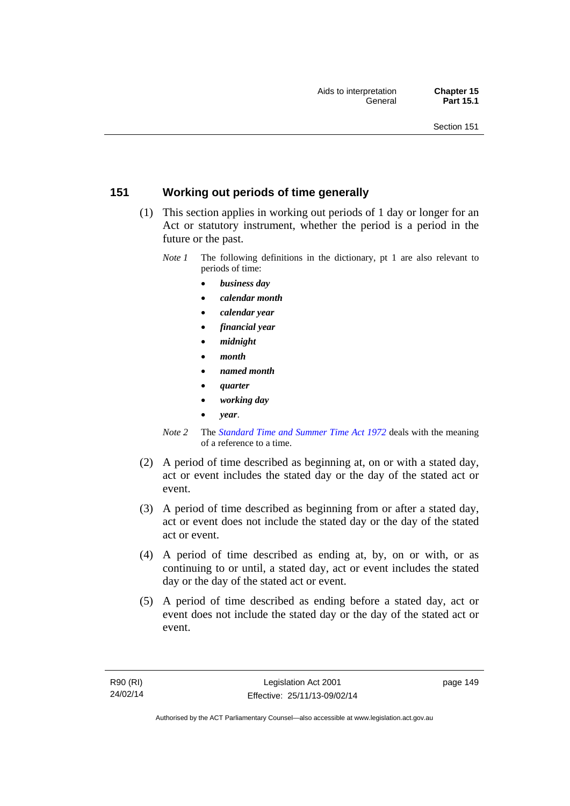# **151 Working out periods of time generally**

- (1) This section applies in working out periods of 1 day or longer for an Act or statutory instrument, whether the period is a period in the future or the past.
	- *Note 1* The following definitions in the dictionary, pt 1 are also relevant to periods of time:
		- *business day*
		- *calendar month*
		- *calendar year*
		- *financial year*
		- *midnight*
		- *month*
		- *named month*
		- *quarter*
		- *working day*
		- *year*.
	- *Note 2* The *[Standard Time and Summer Time Act 1972](http://www.legislation.act.gov.au/a/1972-34)* deals with the meaning of a reference to a time.
- (2) A period of time described as beginning at, on or with a stated day, act or event includes the stated day or the day of the stated act or event.
- (3) A period of time described as beginning from or after a stated day, act or event does not include the stated day or the day of the stated act or event.
- (4) A period of time described as ending at, by, on or with, or as continuing to or until, a stated day, act or event includes the stated day or the day of the stated act or event.
- (5) A period of time described as ending before a stated day, act or event does not include the stated day or the day of the stated act or event.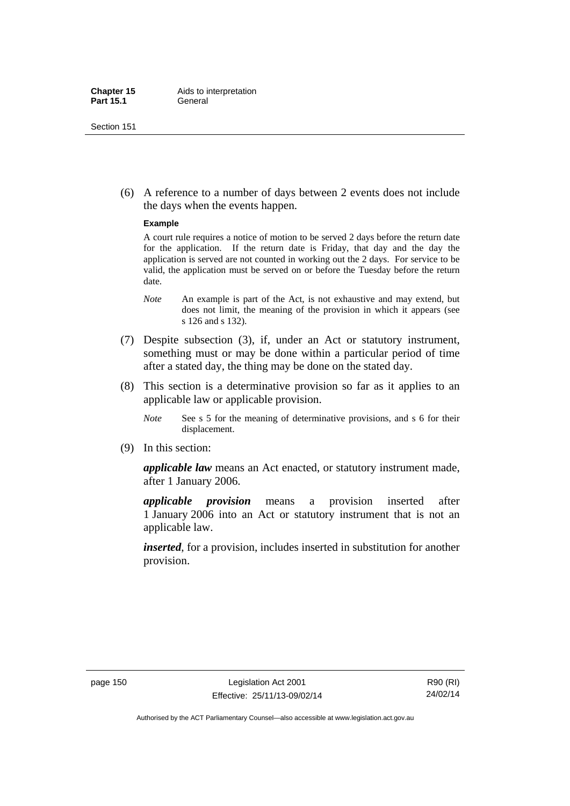(6) A reference to a number of days between 2 events does not include the days when the events happen.

#### **Example**

A court rule requires a notice of motion to be served 2 days before the return date for the application. If the return date is Friday, that day and the day the application is served are not counted in working out the 2 days. For service to be valid, the application must be served on or before the Tuesday before the return date.

- *Note* An example is part of the Act, is not exhaustive and may extend, but does not limit, the meaning of the provision in which it appears (see s 126 and s 132).
- (7) Despite subsection (3), if, under an Act or statutory instrument, something must or may be done within a particular period of time after a stated day, the thing may be done on the stated day.
- (8) This section is a determinative provision so far as it applies to an applicable law or applicable provision.
	- *Note* See s 5 for the meaning of determinative provisions, and s 6 for their displacement.
- (9) In this section:

*applicable law* means an Act enacted, or statutory instrument made, after 1 January 2006.

*applicable provision* means a provision inserted after 1 January 2006 into an Act or statutory instrument that is not an applicable law.

*inserted*, for a provision, includes inserted in substitution for another provision.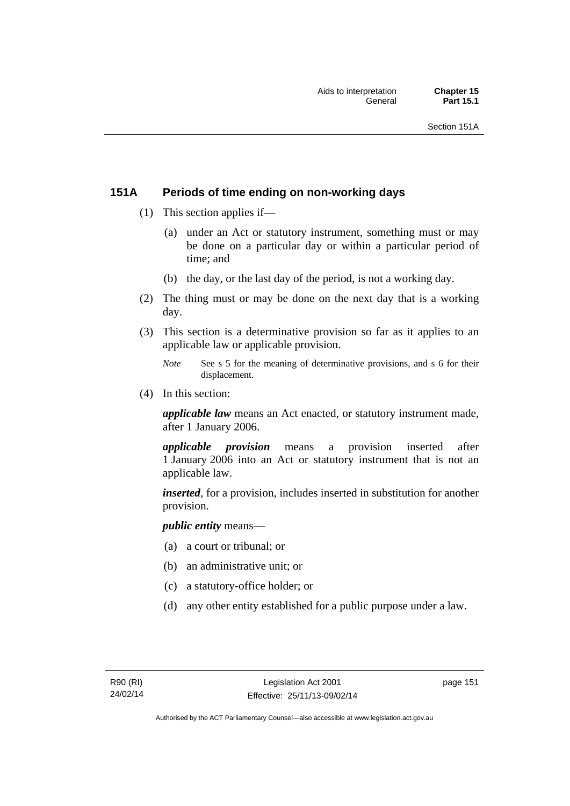# **151A Periods of time ending on non-working days**

- (1) This section applies if—
	- (a) under an Act or statutory instrument, something must or may be done on a particular day or within a particular period of time; and
	- (b) the day, or the last day of the period, is not a working day.
- (2) The thing must or may be done on the next day that is a working day.
- (3) This section is a determinative provision so far as it applies to an applicable law or applicable provision.
	- *Note* See s 5 for the meaning of determinative provisions, and s 6 for their displacement.
- (4) In this section:

*applicable law* means an Act enacted, or statutory instrument made, after 1 January 2006.

*applicable provision* means a provision inserted after 1 January 2006 into an Act or statutory instrument that is not an applicable law.

*inserted*, for a provision, includes inserted in substitution for another provision.

*public entity* means—

- (a) a court or tribunal; or
- (b) an administrative unit; or
- (c) a statutory-office holder; or
- (d) any other entity established for a public purpose under a law.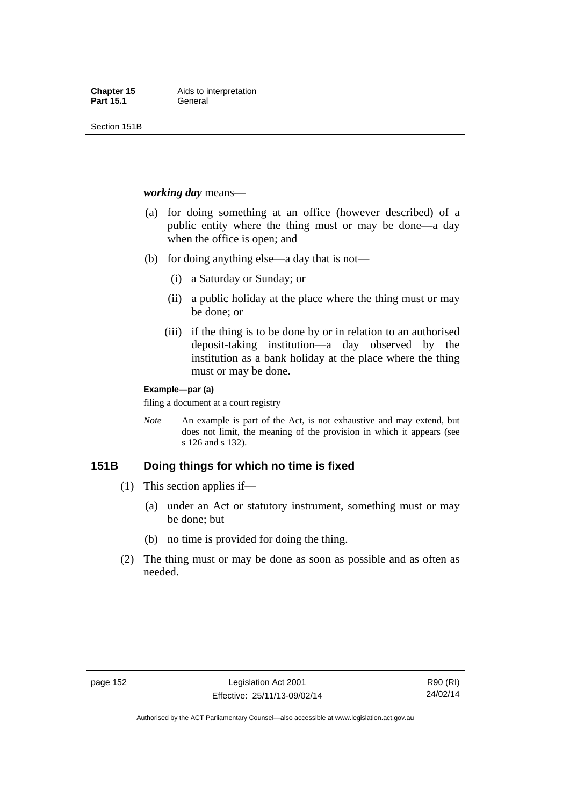Section 151B

#### *working day* means—

- (a) for doing something at an office (however described) of a public entity where the thing must or may be done—a day when the office is open; and
- (b) for doing anything else—a day that is not—
	- (i) a Saturday or Sunday; or
	- (ii) a public holiday at the place where the thing must or may be done; or
	- (iii) if the thing is to be done by or in relation to an authorised deposit-taking institution—a day observed by the institution as a bank holiday at the place where the thing must or may be done.

#### **Example—par (a)**

filing a document at a court registry

*Note* An example is part of the Act, is not exhaustive and may extend, but does not limit, the meaning of the provision in which it appears (see s 126 and s 132).

# **151B Doing things for which no time is fixed**

- (1) This section applies if—
	- (a) under an Act or statutory instrument, something must or may be done; but
	- (b) no time is provided for doing the thing.
- (2) The thing must or may be done as soon as possible and as often as needed.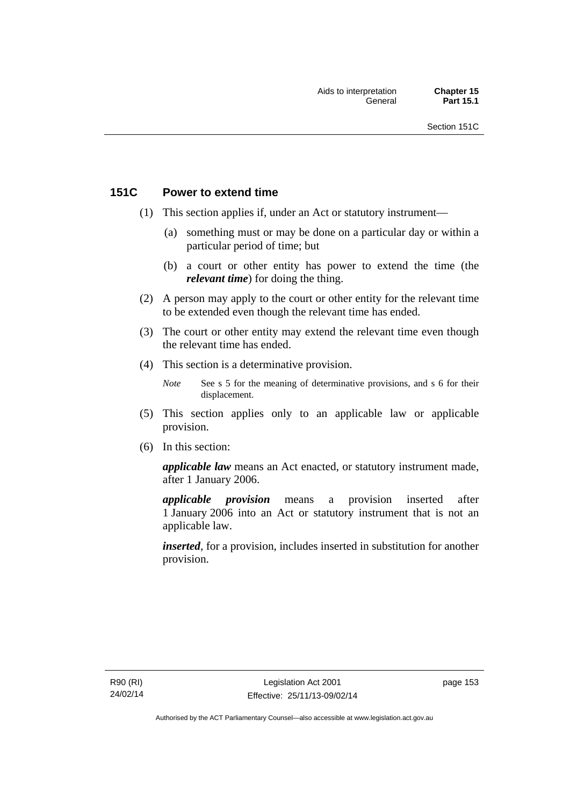# **151C Power to extend time**

- (1) This section applies if, under an Act or statutory instrument—
	- (a) something must or may be done on a particular day or within a particular period of time; but
	- (b) a court or other entity has power to extend the time (the *relevant time*) for doing the thing.
- (2) A person may apply to the court or other entity for the relevant time to be extended even though the relevant time has ended.
- (3) The court or other entity may extend the relevant time even though the relevant time has ended.
- (4) This section is a determinative provision.
	- *Note* See s 5 for the meaning of determinative provisions, and s 6 for their displacement.
- (5) This section applies only to an applicable law or applicable provision.
- (6) In this section:

*applicable law* means an Act enacted, or statutory instrument made, after 1 January 2006.

*applicable provision* means a provision inserted after 1 January 2006 into an Act or statutory instrument that is not an applicable law.

*inserted*, for a provision, includes inserted in substitution for another provision.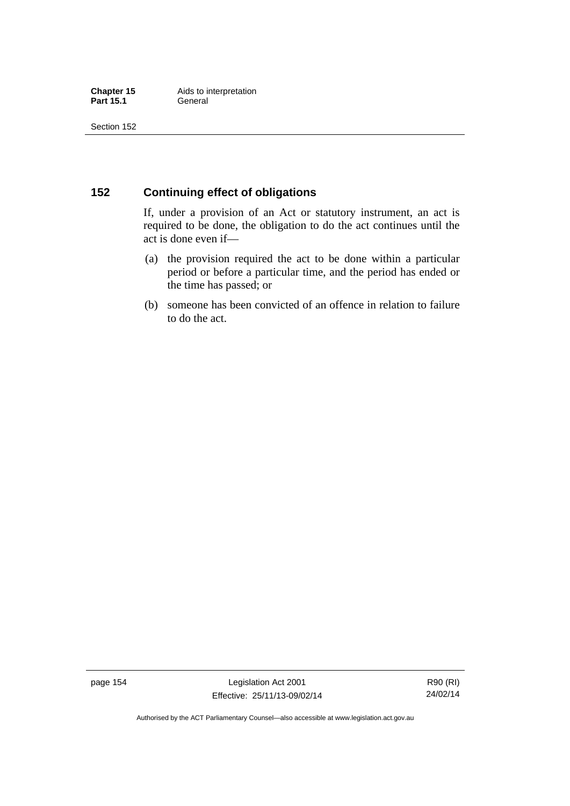# **152 Continuing effect of obligations**

If, under a provision of an Act or statutory instrument, an act is required to be done, the obligation to do the act continues until the act is done even if—

- (a) the provision required the act to be done within a particular period or before a particular time, and the period has ended or the time has passed; or
- (b) someone has been convicted of an offence in relation to failure to do the act.

page 154 Legislation Act 2001 Effective: 25/11/13-09/02/14

R90 (RI) 24/02/14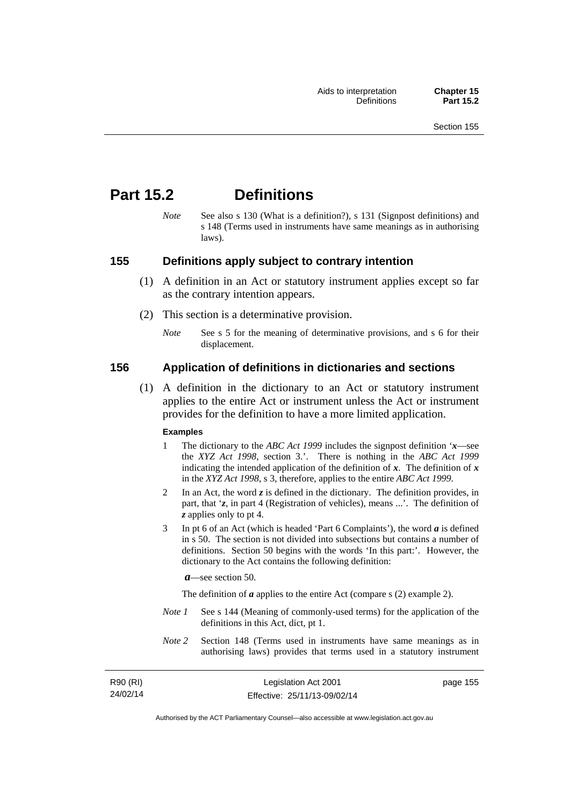# **Part 15.2 Definitions**

*Note* See also s 130 (What is a definition?), s 131 (Signpost definitions) and s 148 (Terms used in instruments have same meanings as in authorising laws).

### **155 Definitions apply subject to contrary intention**

- (1) A definition in an Act or statutory instrument applies except so far as the contrary intention appears.
- (2) This section is a determinative provision.
	- *Note* See s 5 for the meaning of determinative provisions, and s 6 for their displacement.

### **156 Application of definitions in dictionaries and sections**

 (1) A definition in the dictionary to an Act or statutory instrument applies to the entire Act or instrument unless the Act or instrument provides for the definition to have a more limited application.

#### **Examples**

- 1 The dictionary to the *ABC Act 1999* includes the signpost definition '*x*—see the *XYZ Act 1998*, section 3.'. There is nothing in the *ABC Act 1999* indicating the intended application of the definition of  $x$ . The definition of  $x$ in the *XYZ Act 1998*, s 3, therefore, applies to the entire *ABC Act 1999*.
- 2 In an Act, the word *z* is defined in the dictionary. The definition provides, in part, that '*z*, in part 4 (Registration of vehicles), means ...'. The definition of *z* applies only to pt 4.
- 3 In pt 6 of an Act (which is headed 'Part 6 Complaints'), the word *a* is defined in s 50. The section is not divided into subsections but contains a number of definitions. Section 50 begins with the words 'In this part:'. However, the dictionary to the Act contains the following definition:

*a*—see section 50.

The definition of *a* applies to the entire Act (compare s (2) example 2).

- *Note 1* See s 144 (Meaning of commonly-used terms) for the application of the definitions in this Act, dict, pt 1.
- *Note 2* Section 148 (Terms used in instruments have same meanings as in authorising laws) provides that terms used in a statutory instrument

| R90 (RI) | Legislation Act 2001         | page 155 |
|----------|------------------------------|----------|
| 24/02/14 | Effective: 25/11/13-09/02/14 |          |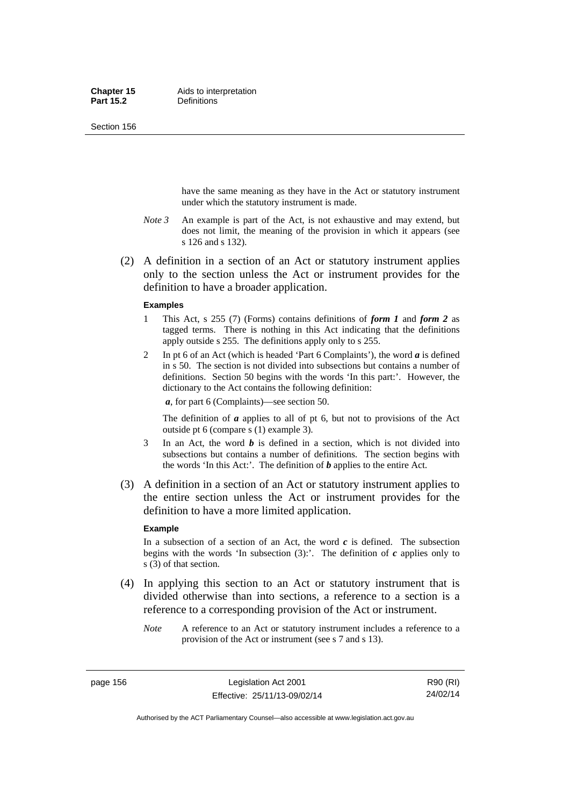Section 156

have the same meaning as they have in the Act or statutory instrument under which the statutory instrument is made.

- *Note 3* An example is part of the Act, is not exhaustive and may extend, but does not limit, the meaning of the provision in which it appears (see s 126 and s 132).
- (2) A definition in a section of an Act or statutory instrument applies only to the section unless the Act or instrument provides for the definition to have a broader application.

#### **Examples**

- 1 This Act, s 255 (7) (Forms) contains definitions of *form 1* and *form 2* as tagged terms. There is nothing in this Act indicating that the definitions apply outside s 255. The definitions apply only to s 255.
- 2 In pt 6 of an Act (which is headed 'Part 6 Complaints'), the word *a* is defined in s 50. The section is not divided into subsections but contains a number of definitions. Section 50 begins with the words 'In this part:'. However, the dictionary to the Act contains the following definition:

*a*, for part 6 (Complaints)—see section 50.

The definition of *a* applies to all of pt 6, but not to provisions of the Act outside pt 6 (compare s (1) example 3).

- 3 In an Act, the word *b* is defined in a section, which is not divided into subsections but contains a number of definitions. The section begins with the words 'In this Act:'. The definition of *b* applies to the entire Act.
- (3) A definition in a section of an Act or statutory instrument applies to the entire section unless the Act or instrument provides for the definition to have a more limited application.

#### **Example**

In a subsection of a section of an Act, the word  $c$  is defined. The subsection begins with the words 'In subsection  $(3)$ :'. The definition of  $c$  applies only to s (3) of that section.

- (4) In applying this section to an Act or statutory instrument that is divided otherwise than into sections, a reference to a section is a reference to a corresponding provision of the Act or instrument.
	- *Note* A reference to an Act or statutory instrument includes a reference to a provision of the Act or instrument (see s 7 and s 13).

page 156 Legislation Act 2001 Effective: 25/11/13-09/02/14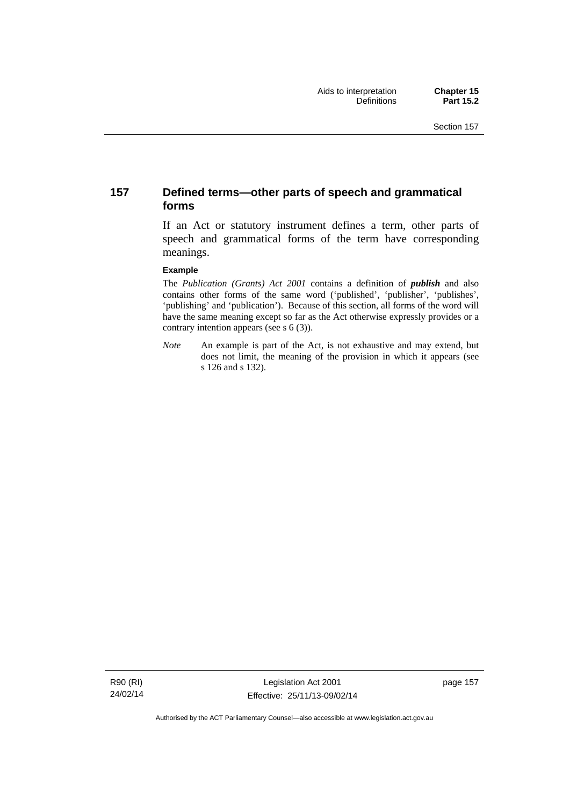# **157 Defined terms—other parts of speech and grammatical forms**

If an Act or statutory instrument defines a term, other parts of speech and grammatical forms of the term have corresponding meanings.

#### **Example**

The *Publication (Grants) Act 2001* contains a definition of *publish* and also contains other forms of the same word ('published', 'publisher', 'publishes', 'publishing' and 'publication'). Because of this section, all forms of the word will have the same meaning except so far as the Act otherwise expressly provides or a contrary intention appears (see s 6 (3)).

*Note* An example is part of the Act, is not exhaustive and may extend, but does not limit, the meaning of the provision in which it appears (see s 126 and s 132).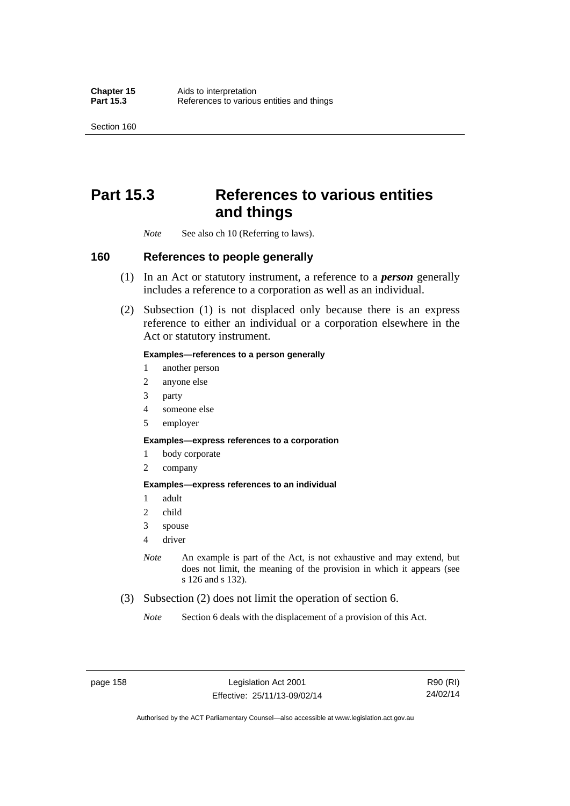Section 160

# **Part 15.3 References to various entities and things**

*Note* See also ch 10 (Referring to laws).

#### **160 References to people generally**

- (1) In an Act or statutory instrument, a reference to a *person* generally includes a reference to a corporation as well as an individual.
- (2) Subsection (1) is not displaced only because there is an express reference to either an individual or a corporation elsewhere in the Act or statutory instrument.

#### **Examples—references to a person generally**

- 1 another person
- 2 anyone else
- 3 party
- 4 someone else
- 5 employer

#### **Examples—express references to a corporation**

- 1 body corporate
- 2 company

#### **Examples—express references to an individual**

- 1 adult
- 2 child
- 3 spouse
- 4 driver
- *Note* An example is part of the Act, is not exhaustive and may extend, but does not limit, the meaning of the provision in which it appears (see s 126 and s 132).
- (3) Subsection (2) does not limit the operation of section 6.
	- *Note* Section 6 deals with the displacement of a provision of this Act.

page 158 Legislation Act 2001 Effective: 25/11/13-09/02/14

R90 (RI) 24/02/14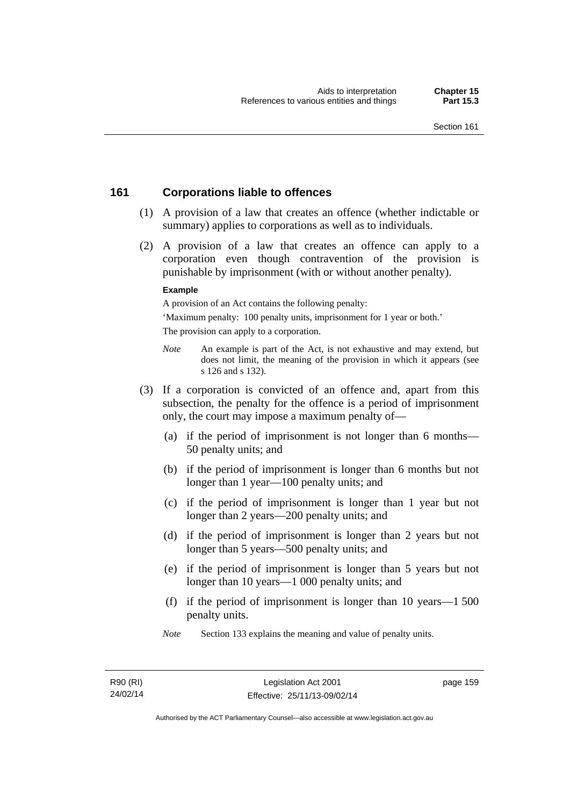# **161 Corporations liable to offences**

- (1) A provision of a law that creates an offence (whether indictable or summary) applies to corporations as well as to individuals.
- (2) A provision of a law that creates an offence can apply to a corporation even though contravention of the provision is punishable by imprisonment (with or without another penalty).

#### **Example**

A provision of an Act contains the following penalty:

'Maximum penalty: 100 penalty units, imprisonment for 1 year or both.' The provision can apply to a corporation.

- *Note* An example is part of the Act, is not exhaustive and may extend, but does not limit, the meaning of the provision in which it appears (see s 126 and s 132).
- (3) If a corporation is convicted of an offence and, apart from this subsection, the penalty for the offence is a period of imprisonment only, the court may impose a maximum penalty of—
	- (a) if the period of imprisonment is not longer than 6 months— 50 penalty units; and
	- (b) if the period of imprisonment is longer than 6 months but not longer than 1 year—100 penalty units; and
	- (c) if the period of imprisonment is longer than 1 year but not longer than 2 years—200 penalty units; and
	- (d) if the period of imprisonment is longer than 2 years but not longer than 5 years—500 penalty units; and
	- (e) if the period of imprisonment is longer than 5 years but not longer than 10 years—1 000 penalty units; and
	- (f) if the period of imprisonment is longer than 10 years—1 500 penalty units.
	- *Note* Section 133 explains the meaning and value of penalty units.

page 159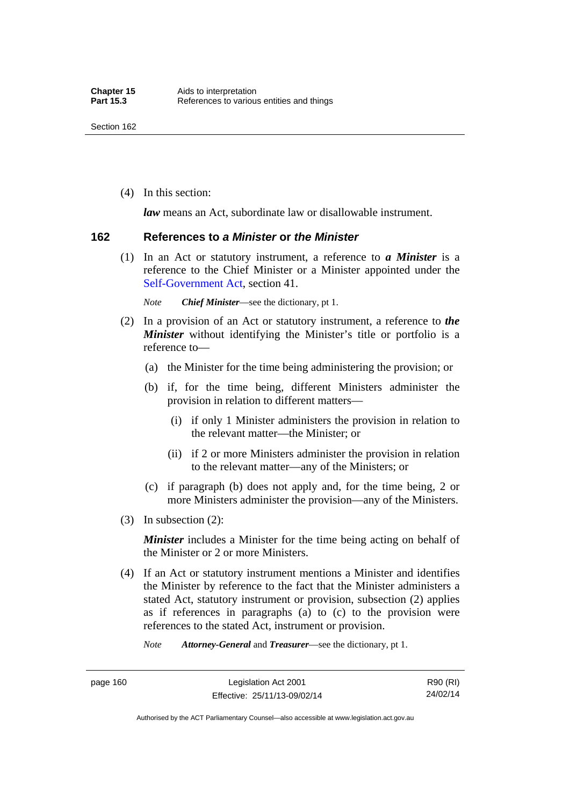(4) In this section:

*law* means an Act, subordinate law or disallowable instrument.

#### **162 References to** *a Minister* **or** *the Minister*

 (1) In an Act or statutory instrument, a reference to *a Minister* is a reference to the Chief Minister or a Minister appointed under the [Self-Government Act,](http://www.comlaw.gov.au/Series/C2004A03699) section 41.

*Note Chief Minister*—see the dictionary, pt 1.

- (2) In a provision of an Act or statutory instrument, a reference to *the Minister* without identifying the Minister's title or portfolio is a reference to—
	- (a) the Minister for the time being administering the provision; or
	- (b) if, for the time being, different Ministers administer the provision in relation to different matters—
		- (i) if only 1 Minister administers the provision in relation to the relevant matter—the Minister; or
		- (ii) if 2 or more Ministers administer the provision in relation to the relevant matter—any of the Ministers; or
	- (c) if paragraph (b) does not apply and, for the time being, 2 or more Ministers administer the provision—any of the Ministers.
- (3) In subsection (2):

*Minister* includes a Minister for the time being acting on behalf of the Minister or 2 or more Ministers.

 (4) If an Act or statutory instrument mentions a Minister and identifies the Minister by reference to the fact that the Minister administers a stated Act, statutory instrument or provision, subsection (2) applies as if references in paragraphs (a) to (c) to the provision were references to the stated Act, instrument or provision.

*Note Attorney-General* and *Treasurer*—see the dictionary, pt 1.

page 160 Legislation Act 2001 Effective: 25/11/13-09/02/14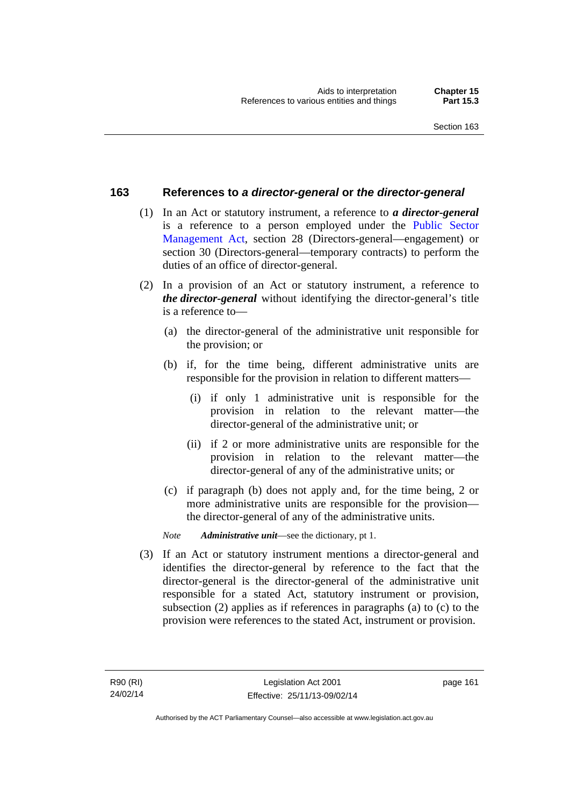### **163 References to** *a director-general* **or** *the director-general*

- (1) In an Act or statutory instrument, a reference to *a director-general* is a reference to a person employed under the [Public Sector](http://www.legislation.act.gov.au/a/1994-37)  [Management Act,](http://www.legislation.act.gov.au/a/1994-37) section 28 (Directors-general—engagement) or section 30 (Directors-general—temporary contracts) to perform the duties of an office of director-general.
- (2) In a provision of an Act or statutory instrument, a reference to *the director-general* without identifying the director-general's title is a reference to—
	- (a) the director-general of the administrative unit responsible for the provision; or
	- (b) if, for the time being, different administrative units are responsible for the provision in relation to different matters—
		- (i) if only 1 administrative unit is responsible for the provision in relation to the relevant matter—the director-general of the administrative unit; or
		- (ii) if 2 or more administrative units are responsible for the provision in relation to the relevant matter—the director-general of any of the administrative units; or
	- (c) if paragraph (b) does not apply and, for the time being, 2 or more administrative units are responsible for the provision the director-general of any of the administrative units.
	- *Note Administrative unit*—see the dictionary, pt 1.
- (3) If an Act or statutory instrument mentions a director-general and identifies the director-general by reference to the fact that the director-general is the director-general of the administrative unit responsible for a stated Act, statutory instrument or provision, subsection (2) applies as if references in paragraphs (a) to (c) to the provision were references to the stated Act, instrument or provision.

page 161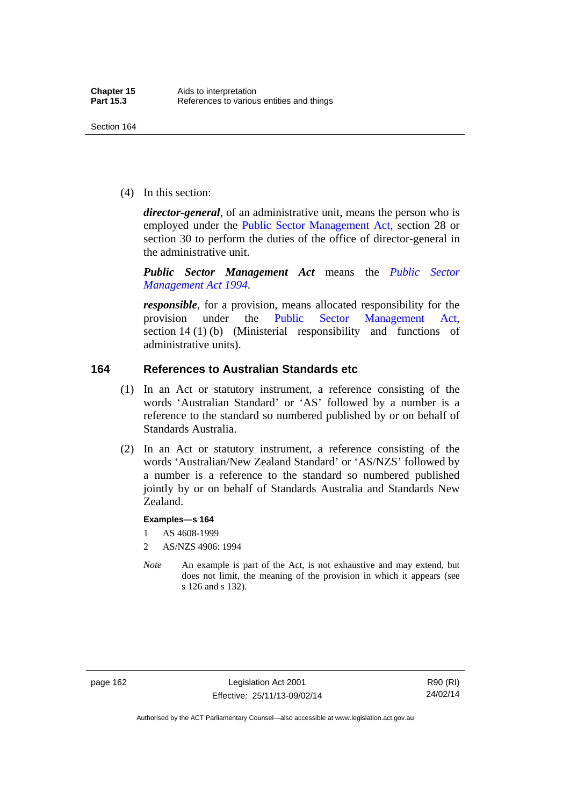(4) In this section:

*director-general*, of an administrative unit, means the person who is employed under the [Public Sector Management Act,](http://www.legislation.act.gov.au/a/1994-37) section 28 or section 30 to perform the duties of the office of director-general in the administrative unit.

*Public Sector Management Act* means the *[Public Sector](http://www.legislation.act.gov.au/a/1994-37)  [Management Act 1994](http://www.legislation.act.gov.au/a/1994-37)*.

*responsible*, for a provision, means allocated responsibility for the provision under the [Public Sector Management Act](http://www.legislation.act.gov.au/a/1994-37), section 14 (1) (b) (Ministerial responsibility and functions of administrative units).

# **164 References to Australian Standards etc**

- (1) In an Act or statutory instrument, a reference consisting of the words 'Australian Standard' or 'AS' followed by a number is a reference to the standard so numbered published by or on behalf of Standards Australia.
- (2) In an Act or statutory instrument, a reference consisting of the words 'Australian/New Zealand Standard' or 'AS/NZS' followed by a number is a reference to the standard so numbered published jointly by or on behalf of Standards Australia and Standards New Zealand.

#### **Examples—s 164**

- 1 AS 4608-1999
- 2 AS/NZS 4906: 1994
- *Note* An example is part of the Act, is not exhaustive and may extend, but does not limit, the meaning of the provision in which it appears (see s 126 and s 132).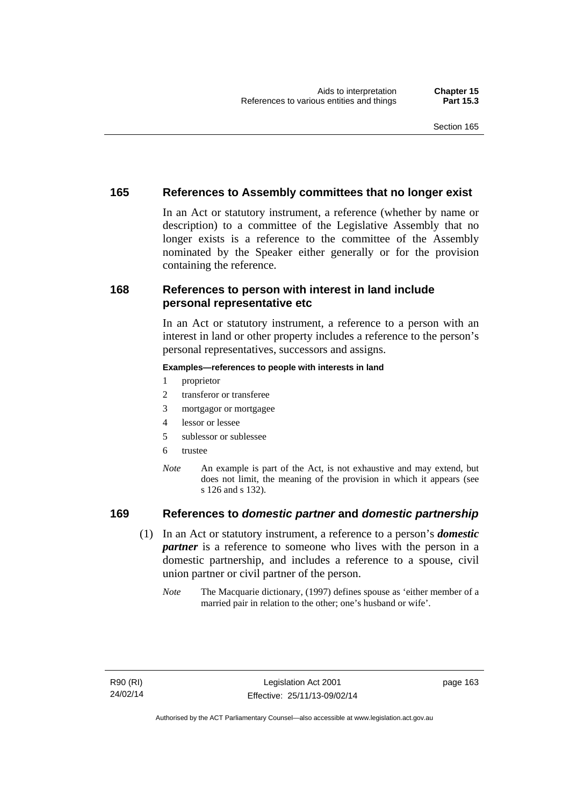# **165 References to Assembly committees that no longer exist**

In an Act or statutory instrument, a reference (whether by name or description) to a committee of the Legislative Assembly that no longer exists is a reference to the committee of the Assembly nominated by the Speaker either generally or for the provision containing the reference.

# **168 References to person with interest in land include personal representative etc**

In an Act or statutory instrument, a reference to a person with an interest in land or other property includes a reference to the person's personal representatives, successors and assigns.

#### **Examples—references to people with interests in land**

- 1 proprietor
- 2 transferor or transferee
- 3 mortgagor or mortgagee
- 4 lessor or lessee
- 5 sublessor or sublessee
- 6 trustee
- *Note* An example is part of the Act, is not exhaustive and may extend, but does not limit, the meaning of the provision in which it appears (see s 126 and s 132).

# **169 References to** *domestic partner* **and** *domestic partnership*

- (1) In an Act or statutory instrument, a reference to a person's *domestic partner* is a reference to someone who lives with the person in a domestic partnership, and includes a reference to a spouse, civil union partner or civil partner of the person.
	- *Note* The Macquarie dictionary, (1997) defines spouse as 'either member of a married pair in relation to the other; one's husband or wife'.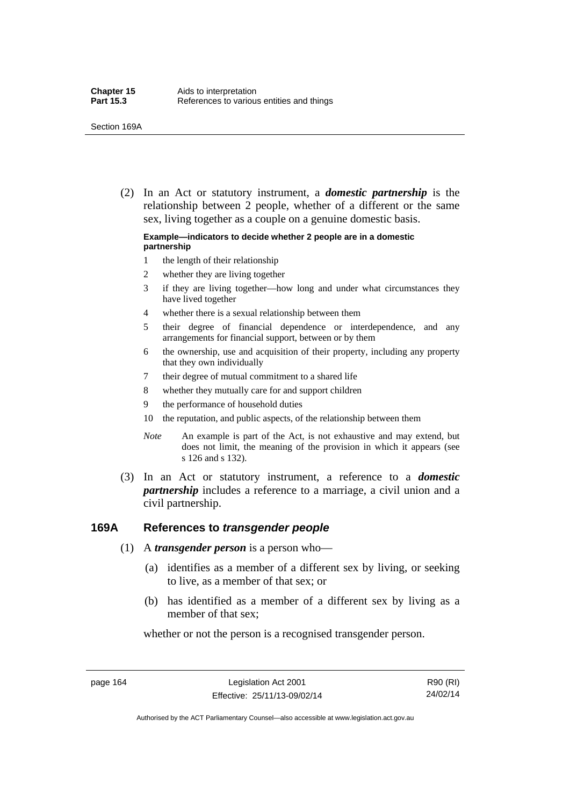(2) In an Act or statutory instrument, a *domestic partnership* is the relationship between 2 people, whether of a different or the same sex, living together as a couple on a genuine domestic basis.

#### **Example—indicators to decide whether 2 people are in a domestic partnership**

- 1 the length of their relationship
- 2 whether they are living together
- 3 if they are living together—how long and under what circumstances they have lived together
- 4 whether there is a sexual relationship between them
- 5 their degree of financial dependence or interdependence, and any arrangements for financial support, between or by them
- 6 the ownership, use and acquisition of their property, including any property that they own individually
- 7 their degree of mutual commitment to a shared life
- 8 whether they mutually care for and support children
- 9 the performance of household duties
- 10 the reputation, and public aspects, of the relationship between them
- *Note* An example is part of the Act, is not exhaustive and may extend, but does not limit, the meaning of the provision in which it appears (see s 126 and s 132).
- (3) In an Act or statutory instrument, a reference to a *domestic partnership* includes a reference to a marriage, a civil union and a civil partnership.

#### **169A References to** *transgender people*

- (1) A *transgender person* is a person who—
	- (a) identifies as a member of a different sex by living, or seeking to live, as a member of that sex; or
	- (b) has identified as a member of a different sex by living as a member of that sex;

whether or not the person is a recognised transgender person.

page 164 Legislation Act 2001 Effective: 25/11/13-09/02/14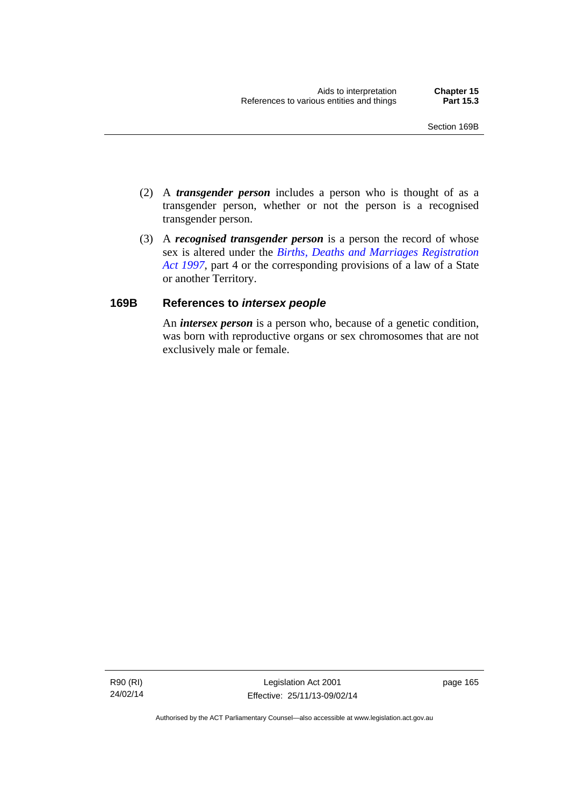- (2) A *transgender person* includes a person who is thought of as a transgender person, whether or not the person is a recognised transgender person.
- (3) A *recognised transgender person* is a person the record of whose sex is altered under the *[Births, Deaths and Marriages Registration](http://www.legislation.act.gov.au/a/1997-112)  [Act 1997](http://www.legislation.act.gov.au/a/1997-112)*, part 4 or the corresponding provisions of a law of a State or another Territory.

## **169B References to** *intersex people*

An *intersex person* is a person who, because of a genetic condition, was born with reproductive organs or sex chromosomes that are not exclusively male or female.

R90 (RI) 24/02/14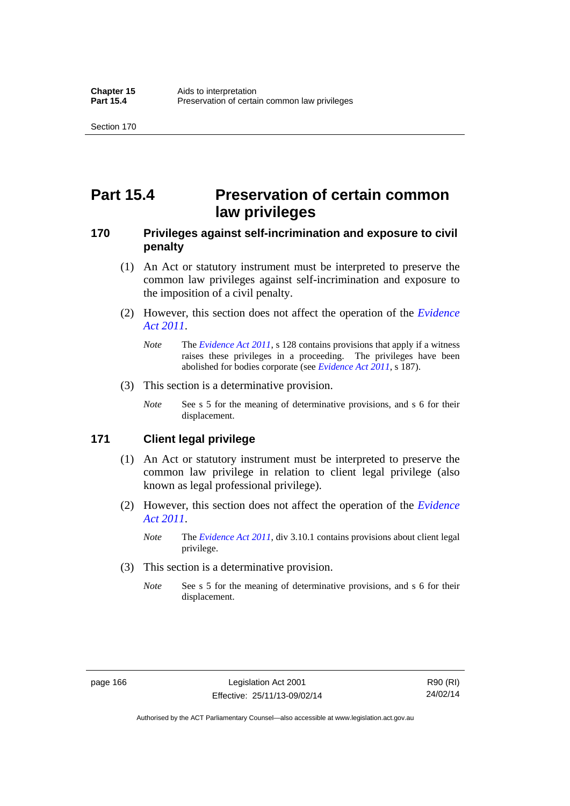# **Part 15.4 Preservation of certain common law privileges**

## **170 Privileges against self-incrimination and exposure to civil penalty**

- (1) An Act or statutory instrument must be interpreted to preserve the common law privileges against self-incrimination and exposure to the imposition of a civil penalty.
- (2) However, this section does not affect the operation of the *[Evidence](http://www.legislation.act.gov.au/a/2011-12)  [Act 2011](http://www.legislation.act.gov.au/a/2011-12)*.
	- *Note* The *[Evidence Act 2011](http://www.legislation.act.gov.au/a/2011-12)*, s 128 contains provisions that apply if a witness raises these privileges in a proceeding. The privileges have been abolished for bodies corporate (see *[Evidence Act 2011](http://www.legislation.act.gov.au/a/2011-12)*, s 187).
- (3) This section is a determinative provision.
	- *Note* See s 5 for the meaning of determinative provisions, and s 6 for their displacement.

## **171 Client legal privilege**

- (1) An Act or statutory instrument must be interpreted to preserve the common law privilege in relation to client legal privilege (also known as legal professional privilege).
- (2) However, this section does not affect the operation of the *[Evidence](http://www.legislation.act.gov.au/a/2011-12)  [Act 2011](http://www.legislation.act.gov.au/a/2011-12)*.
	- *Note* The *[Evidence Act 2011](http://www.legislation.act.gov.au/a/2011-12)*, div 3.10.1 contains provisions about client legal privilege.
- (3) This section is a determinative provision.
	- *Note* See s 5 for the meaning of determinative provisions, and s 6 for their displacement.

Authorised by the ACT Parliamentary Counsel—also accessible at www.legislation.act.gov.au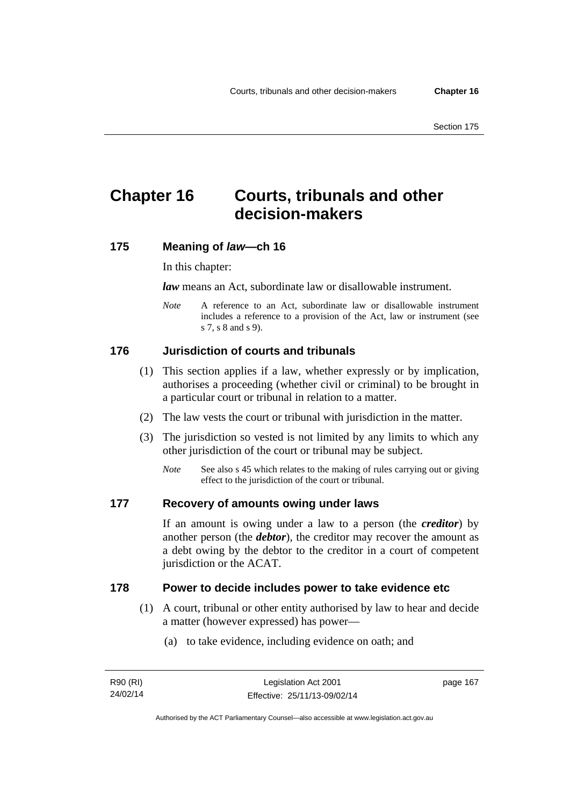# **Chapter 16 Courts, tribunals and other decision-makers**

## **175 Meaning of** *law***—ch 16**

In this chapter:

*law* means an Act, subordinate law or disallowable instrument.

*Note* A reference to an Act, subordinate law or disallowable instrument includes a reference to a provision of the Act, law or instrument (see s 7, s 8 and s 9).

## **176 Jurisdiction of courts and tribunals**

- (1) This section applies if a law, whether expressly or by implication, authorises a proceeding (whether civil or criminal) to be brought in a particular court or tribunal in relation to a matter.
- (2) The law vests the court or tribunal with jurisdiction in the matter.
- (3) The jurisdiction so vested is not limited by any limits to which any other jurisdiction of the court or tribunal may be subject.
	- *Note* See also s 45 which relates to the making of rules carrying out or giving effect to the jurisdiction of the court or tribunal.

#### **177 Recovery of amounts owing under laws**

If an amount is owing under a law to a person (the *creditor*) by another person (the *debtor*), the creditor may recover the amount as a debt owing by the debtor to the creditor in a court of competent jurisdiction or the ACAT.

### **178 Power to decide includes power to take evidence etc**

- (1) A court, tribunal or other entity authorised by law to hear and decide a matter (however expressed) has power—
	- (a) to take evidence, including evidence on oath; and

page 167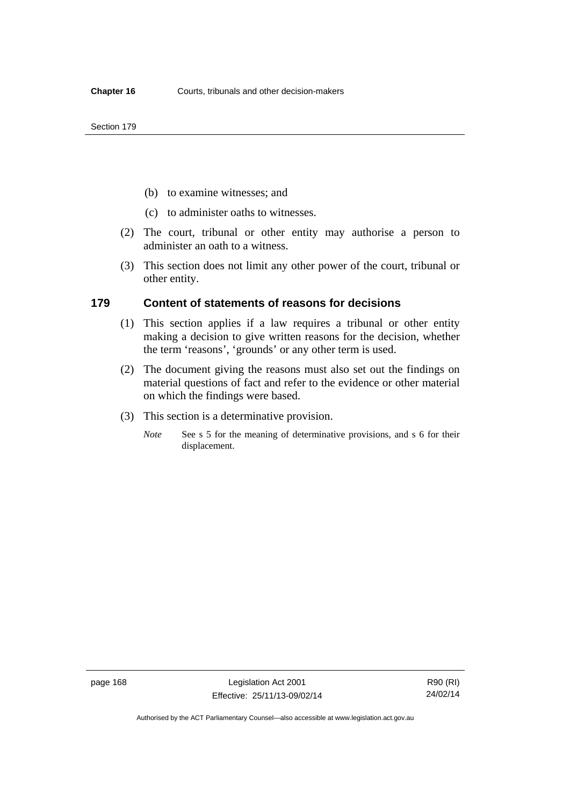- (b) to examine witnesses; and
- (c) to administer oaths to witnesses.
- (2) The court, tribunal or other entity may authorise a person to administer an oath to a witness.
- (3) This section does not limit any other power of the court, tribunal or other entity.

### **179 Content of statements of reasons for decisions**

- (1) This section applies if a law requires a tribunal or other entity making a decision to give written reasons for the decision, whether the term 'reasons', 'grounds' or any other term is used.
- (2) The document giving the reasons must also set out the findings on material questions of fact and refer to the evidence or other material on which the findings were based.
- (3) This section is a determinative provision.
	- *Note* See s 5 for the meaning of determinative provisions, and s 6 for their displacement.

page 168 Legislation Act 2001 Effective: 25/11/13-09/02/14

R90 (RI) 24/02/14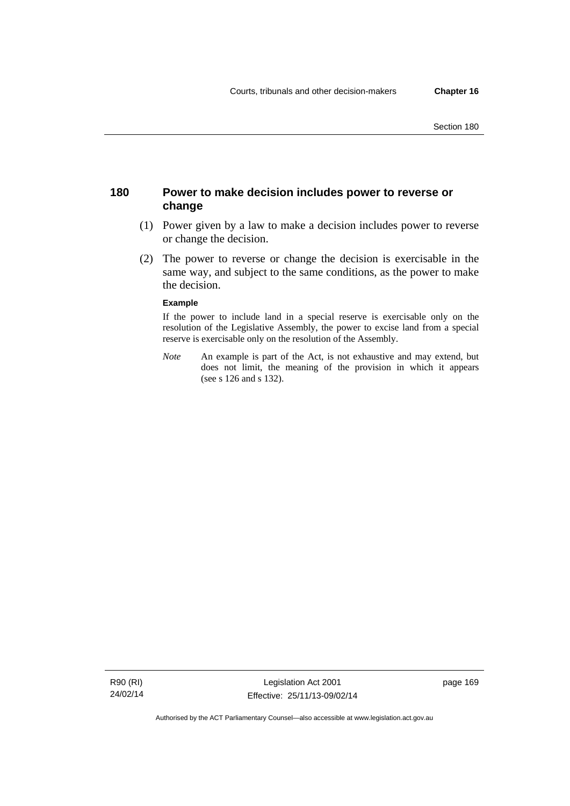## **180 Power to make decision includes power to reverse or change**

- (1) Power given by a law to make a decision includes power to reverse or change the decision.
- (2) The power to reverse or change the decision is exercisable in the same way, and subject to the same conditions, as the power to make the decision.

#### **Example**

If the power to include land in a special reserve is exercisable only on the resolution of the Legislative Assembly, the power to excise land from a special reserve is exercisable only on the resolution of the Assembly.

*Note* An example is part of the Act, is not exhaustive and may extend, but does not limit, the meaning of the provision in which it appears (see s 126 and s 132).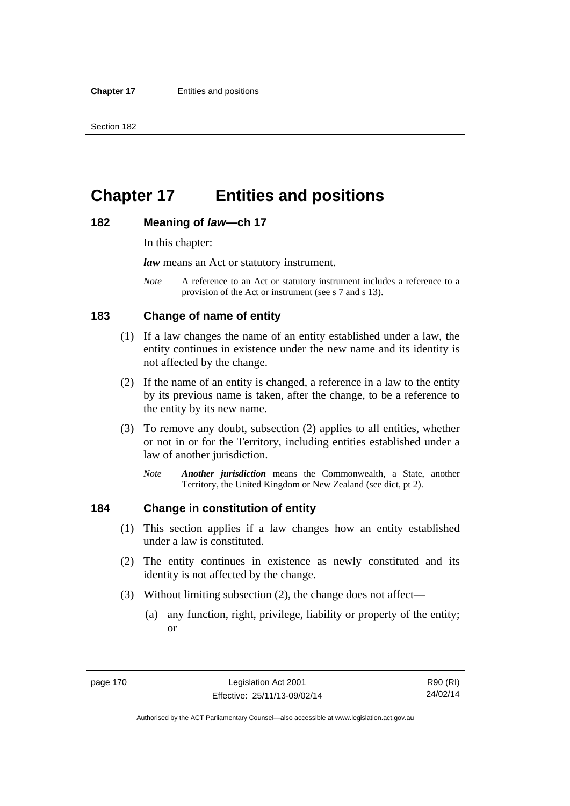# **Chapter 17 Entities and positions**

#### **182 Meaning of** *law***—ch 17**

In this chapter:

*law* means an Act or statutory instrument.

*Note* A reference to an Act or statutory instrument includes a reference to a provision of the Act or instrument (see s 7 and s 13).

## **183 Change of name of entity**

- (1) If a law changes the name of an entity established under a law, the entity continues in existence under the new name and its identity is not affected by the change.
- (2) If the name of an entity is changed, a reference in a law to the entity by its previous name is taken, after the change, to be a reference to the entity by its new name.
- (3) To remove any doubt, subsection (2) applies to all entities, whether or not in or for the Territory, including entities established under a law of another jurisdiction.
	- *Note Another jurisdiction* means the Commonwealth, a State, another Territory, the United Kingdom or New Zealand (see dict, pt 2).

## **184 Change in constitution of entity**

- (1) This section applies if a law changes how an entity established under a law is constituted.
- (2) The entity continues in existence as newly constituted and its identity is not affected by the change.
- (3) Without limiting subsection (2), the change does not affect—
	- (a) any function, right, privilege, liability or property of the entity; or

page 170 Legislation Act 2001 Effective: 25/11/13-09/02/14

Authorised by the ACT Parliamentary Counsel—also accessible at www.legislation.act.gov.au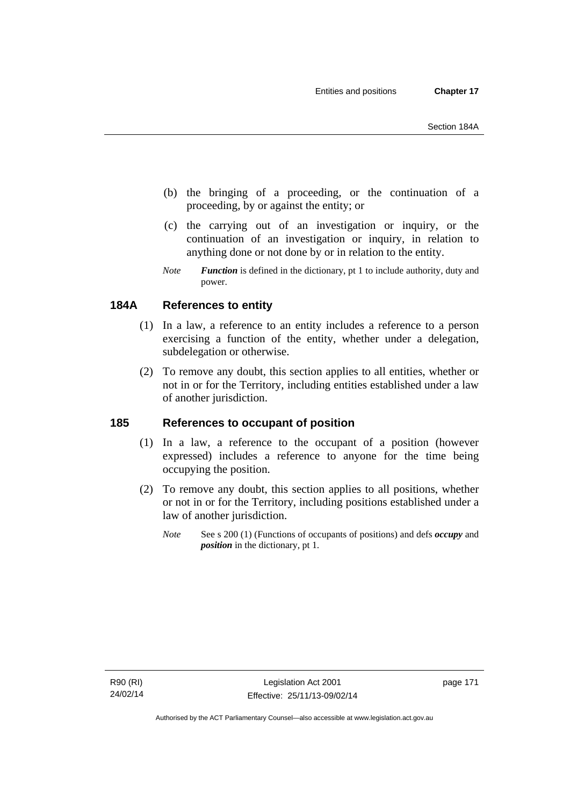- (b) the bringing of a proceeding, or the continuation of a proceeding, by or against the entity; or
- (c) the carrying out of an investigation or inquiry, or the continuation of an investigation or inquiry, in relation to anything done or not done by or in relation to the entity.
- *Note Function* is defined in the dictionary, pt 1 to include authority, duty and power.

# **184A References to entity**

- (1) In a law, a reference to an entity includes a reference to a person exercising a function of the entity, whether under a delegation, subdelegation or otherwise.
- (2) To remove any doubt, this section applies to all entities, whether or not in or for the Territory, including entities established under a law of another jurisdiction.

## **185 References to occupant of position**

- (1) In a law, a reference to the occupant of a position (however expressed) includes a reference to anyone for the time being occupying the position.
- (2) To remove any doubt, this section applies to all positions, whether or not in or for the Territory, including positions established under a law of another jurisdiction.
	- *Note* See s 200 (1) (Functions of occupants of positions) and defs *occupy* and *position* in the dictionary, pt 1.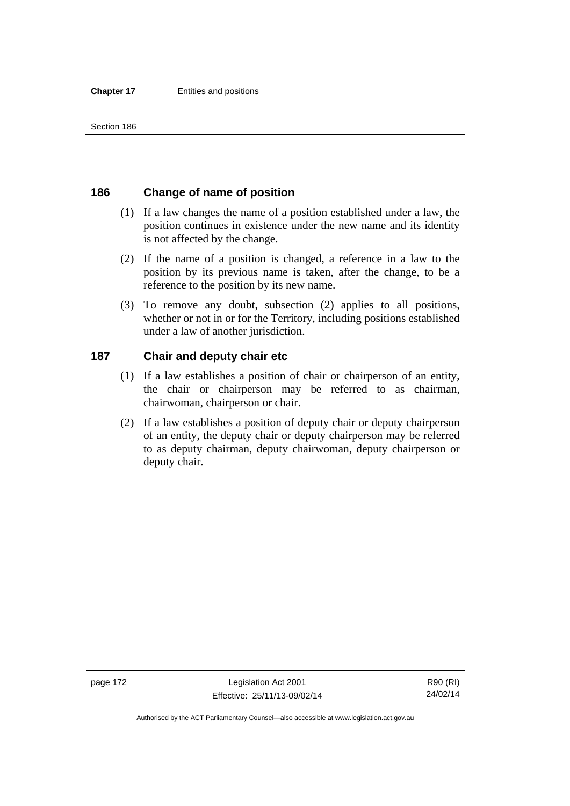## **186 Change of name of position**

- (1) If a law changes the name of a position established under a law, the position continues in existence under the new name and its identity is not affected by the change.
- (2) If the name of a position is changed, a reference in a law to the position by its previous name is taken, after the change, to be a reference to the position by its new name.
- (3) To remove any doubt, subsection (2) applies to all positions, whether or not in or for the Territory, including positions established under a law of another jurisdiction.

## **187 Chair and deputy chair etc**

- (1) If a law establishes a position of chair or chairperson of an entity, the chair or chairperson may be referred to as chairman, chairwoman, chairperson or chair.
- (2) If a law establishes a position of deputy chair or deputy chairperson of an entity, the deputy chair or deputy chairperson may be referred to as deputy chairman, deputy chairwoman, deputy chairperson or deputy chair.

page 172 Legislation Act 2001 Effective: 25/11/13-09/02/14

R90 (RI) 24/02/14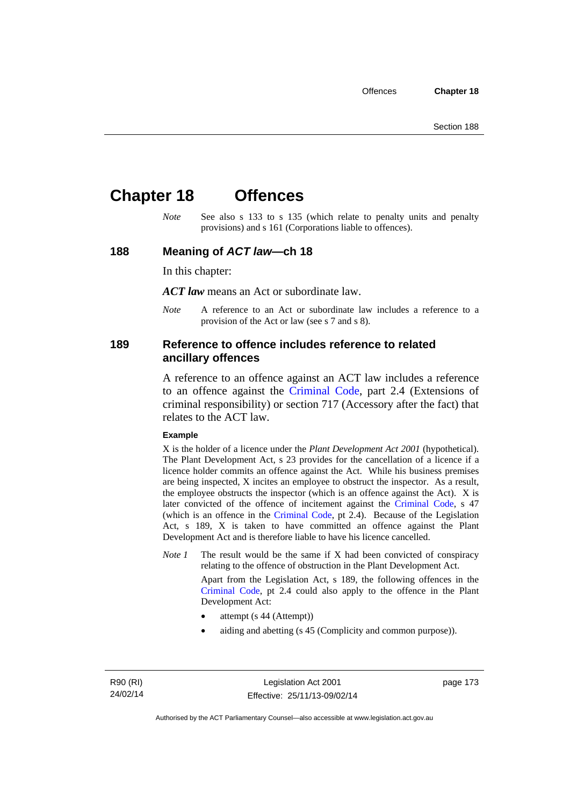# **Chapter 18 Offences**

*Note* See also s 133 to s 135 (which relate to penalty units and penalty provisions) and s 161 (Corporations liable to offences).

### **188 Meaning of** *ACT law***—ch 18**

In this chapter:

*ACT law* means an Act or subordinate law.

*Note* A reference to an Act or subordinate law includes a reference to a provision of the Act or law (see s 7 and s 8).

## **189 Reference to offence includes reference to related ancillary offences**

A reference to an offence against an ACT law includes a reference to an offence against the [Criminal Code,](http://www.legislation.act.gov.au/a/2002-51) part 2.4 (Extensions of criminal responsibility) or section 717 (Accessory after the fact) that relates to the ACT law.

#### **Example**

X is the holder of a licence under the *Plant Development Act 2001* (hypothetical). The Plant Development Act, s 23 provides for the cancellation of a licence if a licence holder commits an offence against the Act. While his business premises are being inspected, X incites an employee to obstruct the inspector. As a result, the employee obstructs the inspector (which is an offence against the Act). X is later convicted of the offence of incitement against the [Criminal Code](http://www.legislation.act.gov.au/a/2002-51), s 47 (which is an offence in the [Criminal Code,](http://www.legislation.act.gov.au/a/2002-51) pt 2.4). Because of the Legislation Act, s 189, X is taken to have committed an offence against the Plant Development Act and is therefore liable to have his licence cancelled.

*Note 1* The result would be the same if X had been convicted of conspiracy relating to the offence of obstruction in the Plant Development Act.

> Apart from the Legislation Act, s 189, the following offences in the [Criminal Code,](http://www.legislation.act.gov.au/a/2002-51) pt 2.4 could also apply to the offence in the Plant Development Act:

- attempt (s 44 (Attempt))
- aiding and abetting (s 45 (Complicity and common purpose)).

R90 (RI) 24/02/14 page 173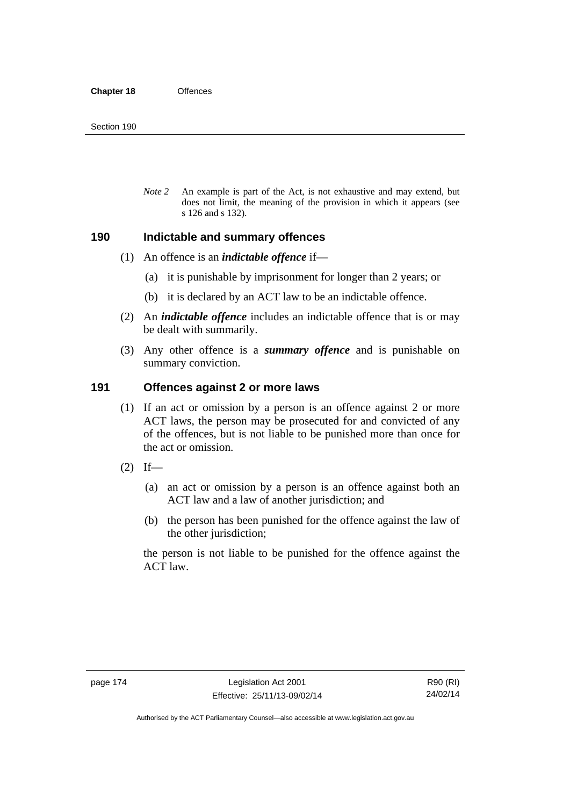*Note 2* An example is part of the Act, is not exhaustive and may extend, but does not limit, the meaning of the provision in which it appears (see s 126 and s 132).

### **190 Indictable and summary offences**

- (1) An offence is an *indictable offence* if—
	- (a) it is punishable by imprisonment for longer than 2 years; or
	- (b) it is declared by an ACT law to be an indictable offence.
- (2) An *indictable offence* includes an indictable offence that is or may be dealt with summarily.
- (3) Any other offence is a *summary offence* and is punishable on summary conviction.

## **191 Offences against 2 or more laws**

- (1) If an act or omission by a person is an offence against 2 or more ACT laws, the person may be prosecuted for and convicted of any of the offences, but is not liable to be punished more than once for the act or omission.
- $(2)$  If—
	- (a) an act or omission by a person is an offence against both an ACT law and a law of another jurisdiction; and
	- (b) the person has been punished for the offence against the law of the other jurisdiction;

the person is not liable to be punished for the offence against the ACT law.

Authorised by the ACT Parliamentary Counsel—also accessible at www.legislation.act.gov.au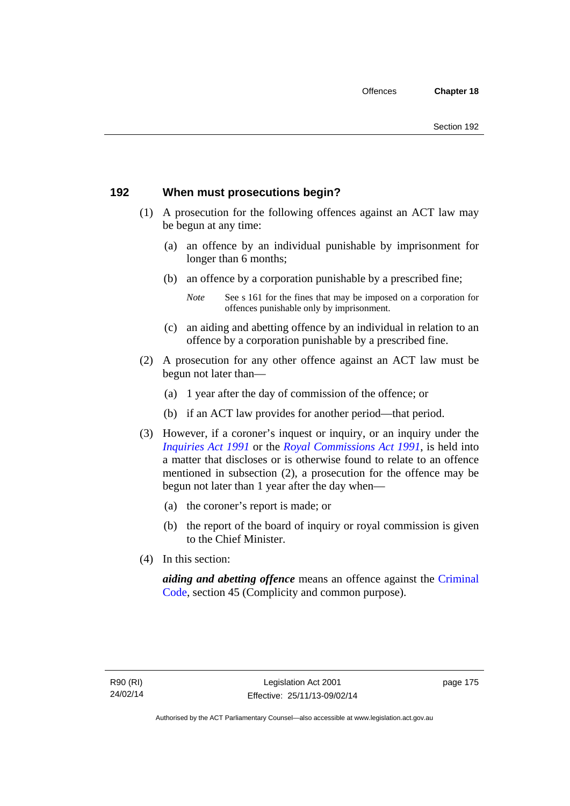## **192 When must prosecutions begin?**

- (1) A prosecution for the following offences against an ACT law may be begun at any time:
	- (a) an offence by an individual punishable by imprisonment for longer than 6 months;
	- (b) an offence by a corporation punishable by a prescribed fine;
		- *Note* See s 161 for the fines that may be imposed on a corporation for offences punishable only by imprisonment.
	- (c) an aiding and abetting offence by an individual in relation to an offence by a corporation punishable by a prescribed fine.
- (2) A prosecution for any other offence against an ACT law must be begun not later than—
	- (a) 1 year after the day of commission of the offence; or
	- (b) if an ACT law provides for another period—that period.
- (3) However, if a coroner's inquest or inquiry, or an inquiry under the *[Inquiries Act 1991](http://www.legislation.act.gov.au/a/1991-2)* or the *[Royal Commissions Act 1991](http://www.legislation.act.gov.au/a/1991-1)*, is held into a matter that discloses or is otherwise found to relate to an offence mentioned in subsection (2), a prosecution for the offence may be begun not later than 1 year after the day when—
	- (a) the coroner's report is made; or
	- (b) the report of the board of inquiry or royal commission is given to the Chief Minister.
- (4) In this section:

*aiding and abetting offence* means an offence against the [Criminal](http://www.legislation.act.gov.au/a/2002-51)  [Code](http://www.legislation.act.gov.au/a/2002-51), section 45 (Complicity and common purpose).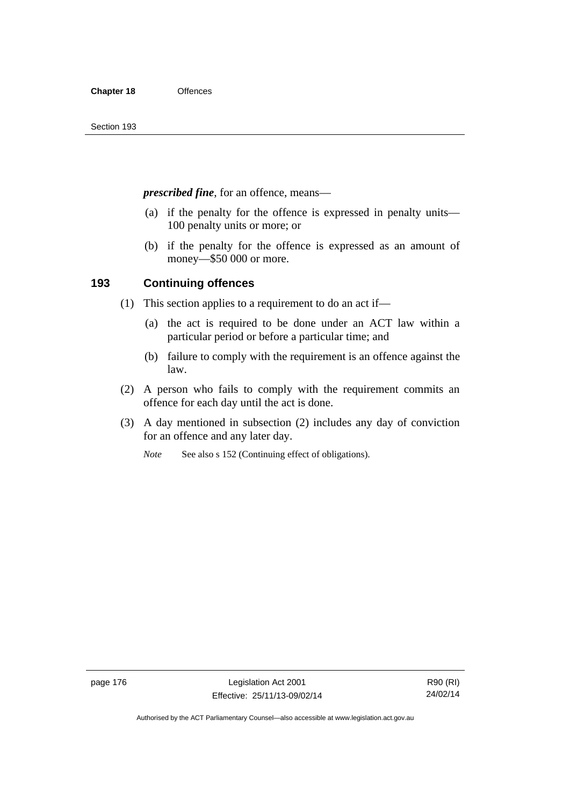*prescribed fine*, for an offence, means—

- (a) if the penalty for the offence is expressed in penalty units— 100 penalty units or more; or
- (b) if the penalty for the offence is expressed as an amount of money—\$50 000 or more.

## **193 Continuing offences**

- (1) This section applies to a requirement to do an act if—
	- (a) the act is required to be done under an ACT law within a particular period or before a particular time; and
	- (b) failure to comply with the requirement is an offence against the law.
- (2) A person who fails to comply with the requirement commits an offence for each day until the act is done.
- (3) A day mentioned in subsection (2) includes any day of conviction for an offence and any later day.

*Note* See also s 152 (Continuing effect of obligations).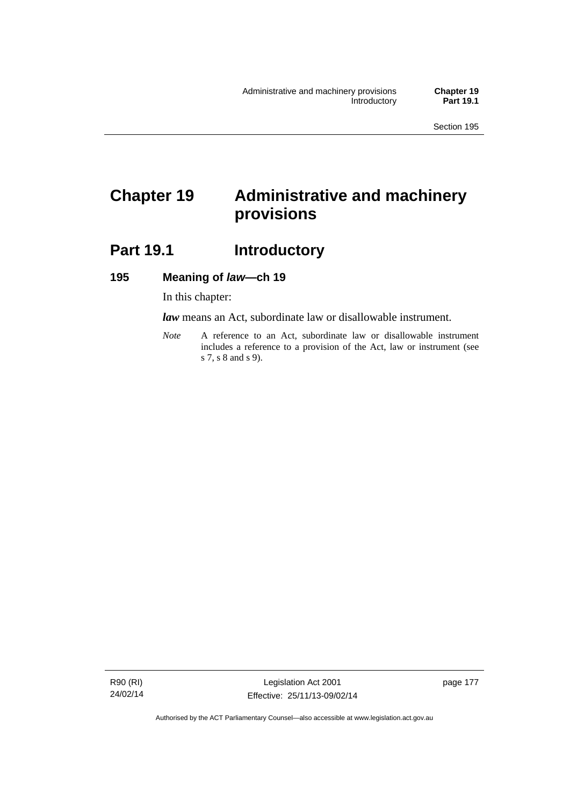# **Chapter 19 Administrative and machinery provisions**

# **Part 19.1 Introductory**

## **195 Meaning of** *law***—ch 19**

In this chapter:

*law* means an Act, subordinate law or disallowable instrument.

*Note* A reference to an Act, subordinate law or disallowable instrument includes a reference to a provision of the Act, law or instrument (see s 7, s 8 and s 9).

R90 (RI) 24/02/14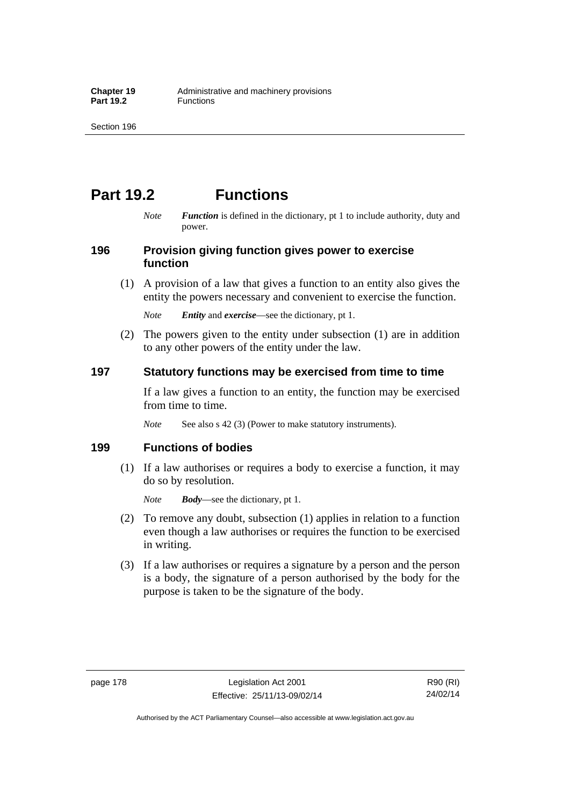# **Part 19.2 Functions**

*Note Function* is defined in the dictionary, pt 1 to include authority, duty and power.

## **196 Provision giving function gives power to exercise function**

 (1) A provision of a law that gives a function to an entity also gives the entity the powers necessary and convenient to exercise the function.

*Note Entity* and *exercise*—see the dictionary, pt 1.

 (2) The powers given to the entity under subsection (1) are in addition to any other powers of the entity under the law.

## **197 Statutory functions may be exercised from time to time**

If a law gives a function to an entity, the function may be exercised from time to time.

*Note* See also s 42 (3) (Power to make statutory instruments).

## **199 Functions of bodies**

 (1) If a law authorises or requires a body to exercise a function, it may do so by resolution.

*Note Body*—see the dictionary, pt 1.

- (2) To remove any doubt, subsection (1) applies in relation to a function even though a law authorises or requires the function to be exercised in writing.
- (3) If a law authorises or requires a signature by a person and the person is a body, the signature of a person authorised by the body for the purpose is taken to be the signature of the body.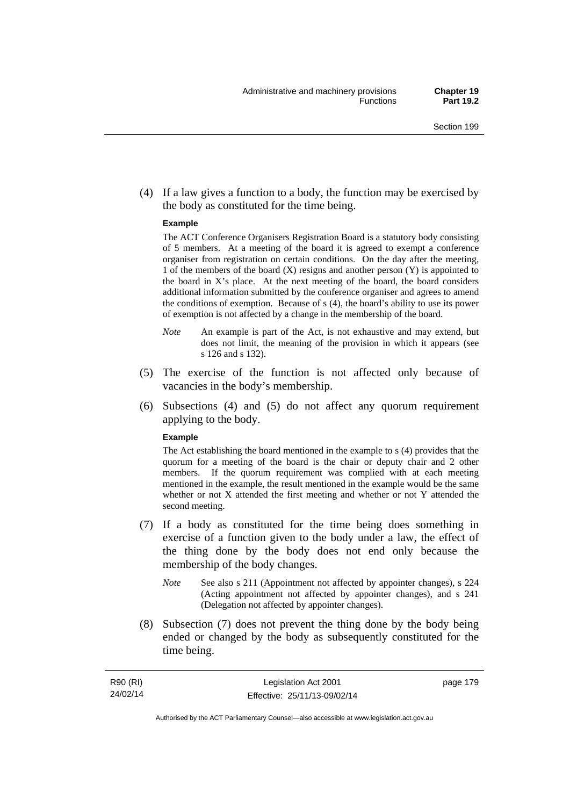(4) If a law gives a function to a body, the function may be exercised by the body as constituted for the time being.

#### **Example**

The ACT Conference Organisers Registration Board is a statutory body consisting of 5 members. At a meeting of the board it is agreed to exempt a conference organiser from registration on certain conditions. On the day after the meeting, 1 of the members of the board (X) resigns and another person (Y) is appointed to the board in  $X$ 's place. At the next meeting of the board, the board considers additional information submitted by the conference organiser and agrees to amend the conditions of exemption. Because of s (4), the board's ability to use its power of exemption is not affected by a change in the membership of the board.

- *Note* An example is part of the Act, is not exhaustive and may extend, but does not limit, the meaning of the provision in which it appears (see s 126 and s 132).
- (5) The exercise of the function is not affected only because of vacancies in the body's membership.
- (6) Subsections (4) and (5) do not affect any quorum requirement applying to the body.

#### **Example**

The Act establishing the board mentioned in the example to s (4) provides that the quorum for a meeting of the board is the chair or deputy chair and 2 other members. If the quorum requirement was complied with at each meeting mentioned in the example, the result mentioned in the example would be the same whether or not X attended the first meeting and whether or not Y attended the second meeting.

- (7) If a body as constituted for the time being does something in exercise of a function given to the body under a law, the effect of the thing done by the body does not end only because the membership of the body changes.
	- *Note* See also s 211 (Appointment not affected by appointer changes), s 224 (Acting appointment not affected by appointer changes), and s 241 (Delegation not affected by appointer changes).
- (8) Subsection (7) does not prevent the thing done by the body being ended or changed by the body as subsequently constituted for the time being.

page 179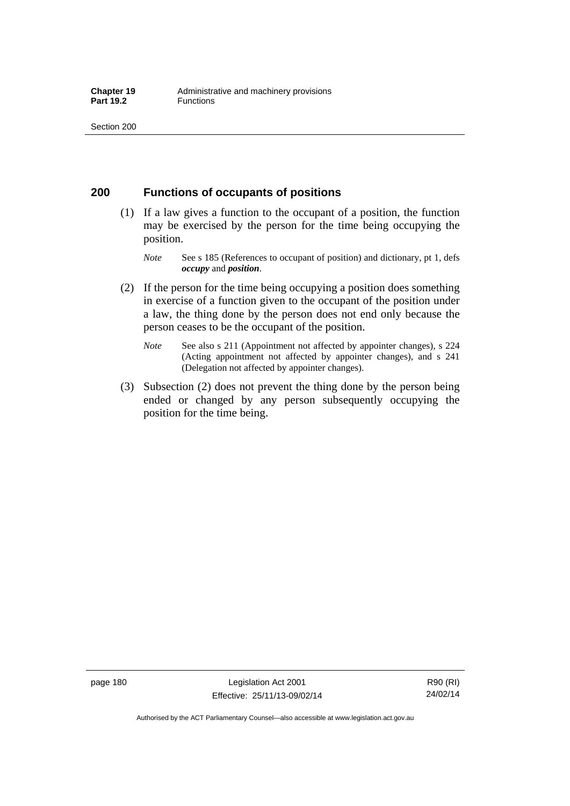## **200 Functions of occupants of positions**

- (1) If a law gives a function to the occupant of a position, the function may be exercised by the person for the time being occupying the position.
	- *Note* See s 185 (References to occupant of position) and dictionary, pt 1, defs *occupy* and *position*.
- (2) If the person for the time being occupying a position does something in exercise of a function given to the occupant of the position under a law, the thing done by the person does not end only because the person ceases to be the occupant of the position.
	- *Note* See also s 211 (Appointment not affected by appointer changes), s 224 (Acting appointment not affected by appointer changes), and s 241 (Delegation not affected by appointer changes).
- (3) Subsection (2) does not prevent the thing done by the person being ended or changed by any person subsequently occupying the position for the time being.

page 180 Legislation Act 2001 Effective: 25/11/13-09/02/14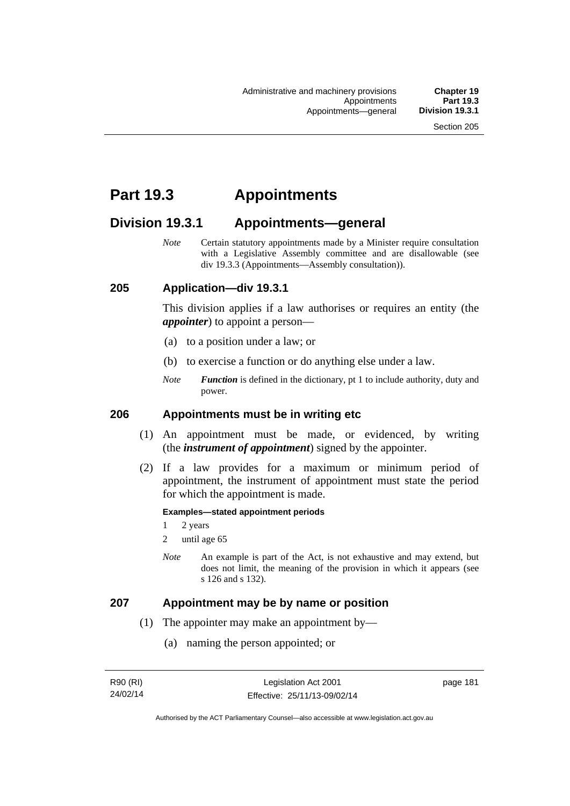# **Part 19.3 Appointments**

# **Division 19.3.1 Appointments—general**

*Note* Certain statutory appointments made by a Minister require consultation with a Legislative Assembly committee and are disallowable (see div 19.3.3 (Appointments—Assembly consultation)).

## **205 Application—div 19.3.1**

This division applies if a law authorises or requires an entity (the *appointer*) to appoint a person—

- (a) to a position under a law; or
- (b) to exercise a function or do anything else under a law.
- *Note Function* is defined in the dictionary, pt 1 to include authority, duty and power.

### **206 Appointments must be in writing etc**

- (1) An appointment must be made, or evidenced, by writing (the *instrument of appointment*) signed by the appointer.
- (2) If a law provides for a maximum or minimum period of appointment, the instrument of appointment must state the period for which the appointment is made.

#### **Examples—stated appointment periods**

- 1 2 years
- 2 until age 65
- *Note* An example is part of the Act, is not exhaustive and may extend, but does not limit, the meaning of the provision in which it appears (see s 126 and s 132).

### **207 Appointment may be by name or position**

- (1) The appointer may make an appointment by—
	- (a) naming the person appointed; or

page 181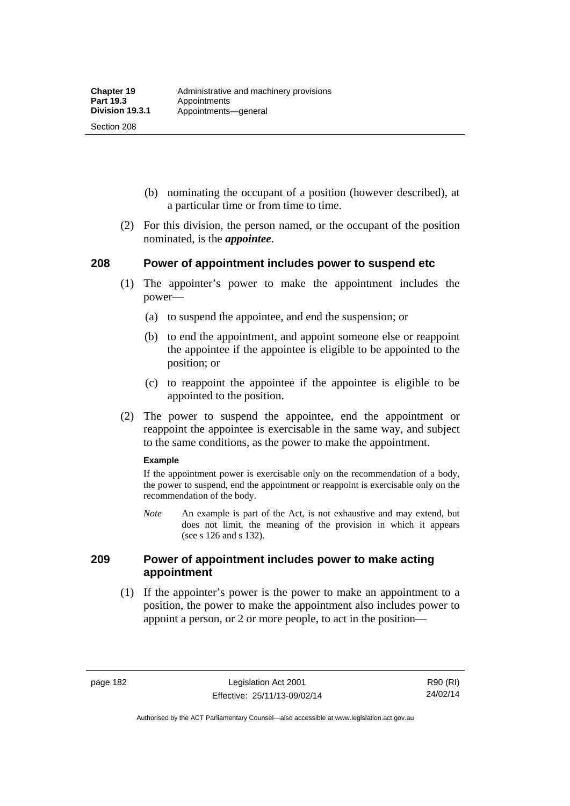Section 208

- (b) nominating the occupant of a position (however described), at a particular time or from time to time.
- (2) For this division, the person named, or the occupant of the position nominated, is the *appointee*.

## **208 Power of appointment includes power to suspend etc**

- (1) The appointer's power to make the appointment includes the power—
	- (a) to suspend the appointee, and end the suspension; or
	- (b) to end the appointment, and appoint someone else or reappoint the appointee if the appointee is eligible to be appointed to the position; or
	- (c) to reappoint the appointee if the appointee is eligible to be appointed to the position.
- (2) The power to suspend the appointee, end the appointment or reappoint the appointee is exercisable in the same way, and subject to the same conditions, as the power to make the appointment.

#### **Example**

If the appointment power is exercisable only on the recommendation of a body, the power to suspend, end the appointment or reappoint is exercisable only on the recommendation of the body.

*Note* An example is part of the Act, is not exhaustive and may extend, but does not limit, the meaning of the provision in which it appears (see s 126 and s 132).

## **209 Power of appointment includes power to make acting appointment**

 (1) If the appointer's power is the power to make an appointment to a position, the power to make the appointment also includes power to appoint a person, or 2 or more people, to act in the position—

page 182 Legislation Act 2001 Effective: 25/11/13-09/02/14

R90 (RI) 24/02/14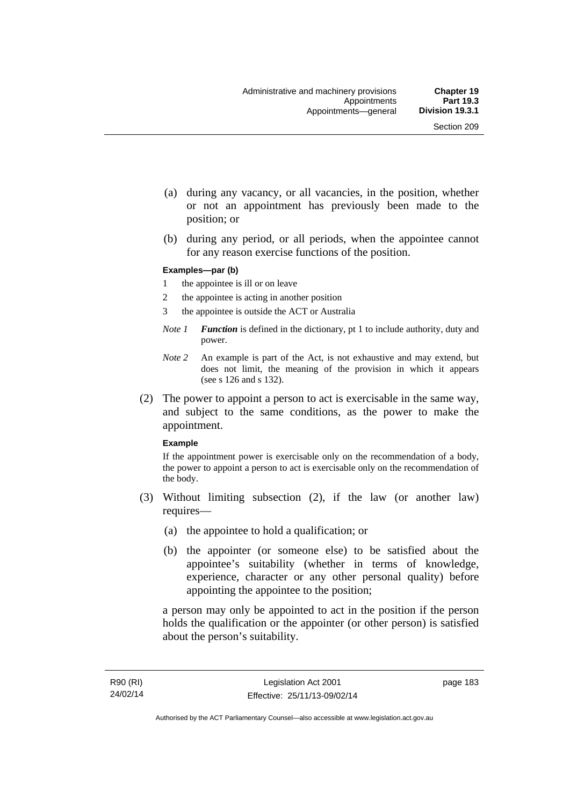- (a) during any vacancy, or all vacancies, in the position, whether or not an appointment has previously been made to the position; or
- (b) during any period, or all periods, when the appointee cannot for any reason exercise functions of the position.

#### **Examples—par (b)**

- 1 the appointee is ill or on leave
- 2 the appointee is acting in another position
- 3 the appointee is outside the ACT or Australia
- *Note 1 Function* is defined in the dictionary, pt 1 to include authority, duty and power.
- *Note 2* An example is part of the Act, is not exhaustive and may extend, but does not limit, the meaning of the provision in which it appears (see s 126 and s 132).
- (2) The power to appoint a person to act is exercisable in the same way, and subject to the same conditions, as the power to make the appointment.

#### **Example**

If the appointment power is exercisable only on the recommendation of a body, the power to appoint a person to act is exercisable only on the recommendation of the body.

- (3) Without limiting subsection (2), if the law (or another law) requires—
	- (a) the appointee to hold a qualification; or
	- (b) the appointer (or someone else) to be satisfied about the appointee's suitability (whether in terms of knowledge, experience, character or any other personal quality) before appointing the appointee to the position;

a person may only be appointed to act in the position if the person holds the qualification or the appointer (or other person) is satisfied about the person's suitability.

page 183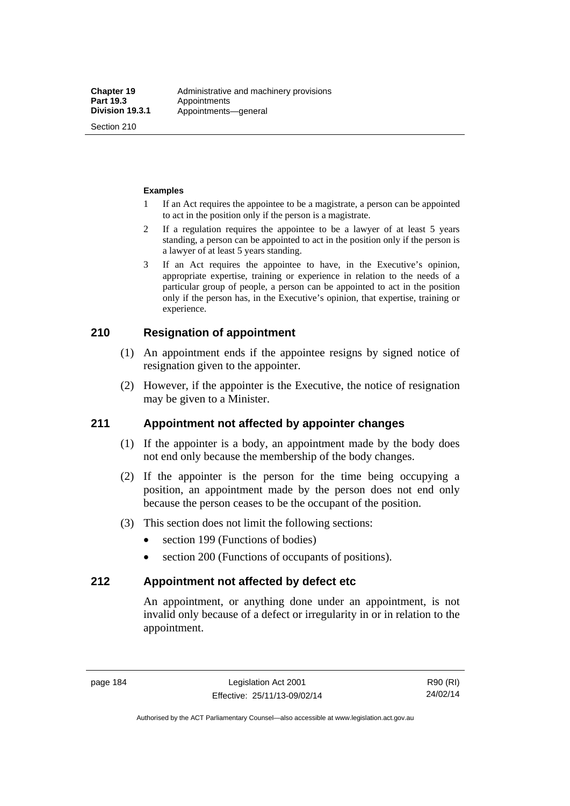Section 210

#### **Examples**

- 1 If an Act requires the appointee to be a magistrate, a person can be appointed to act in the position only if the person is a magistrate.
- 2 If a regulation requires the appointee to be a lawyer of at least 5 years standing, a person can be appointed to act in the position only if the person is a lawyer of at least 5 years standing.
- 3 If an Act requires the appointee to have, in the Executive's opinion, appropriate expertise, training or experience in relation to the needs of a particular group of people, a person can be appointed to act in the position only if the person has, in the Executive's opinion, that expertise, training or experience.

## **210 Resignation of appointment**

- (1) An appointment ends if the appointee resigns by signed notice of resignation given to the appointer.
- (2) However, if the appointer is the Executive, the notice of resignation may be given to a Minister.

## **211 Appointment not affected by appointer changes**

- (1) If the appointer is a body, an appointment made by the body does not end only because the membership of the body changes.
- (2) If the appointer is the person for the time being occupying a position, an appointment made by the person does not end only because the person ceases to be the occupant of the position.
- (3) This section does not limit the following sections:
	- section 199 (Functions of bodies)
	- section 200 (Functions of occupants of positions).

### **212 Appointment not affected by defect etc**

An appointment, or anything done under an appointment, is not invalid only because of a defect or irregularity in or in relation to the appointment.

page 184 Legislation Act 2001 Effective: 25/11/13-09/02/14

R90 (RI) 24/02/14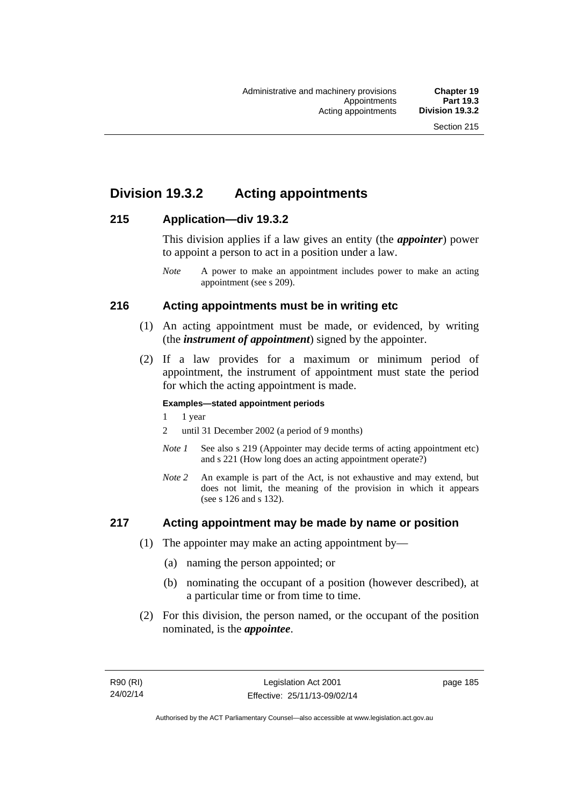# **Division 19.3.2 Acting appointments**

## **215 Application—div 19.3.2**

This division applies if a law gives an entity (the *appointer*) power to appoint a person to act in a position under a law.

## **216 Acting appointments must be in writing etc**

- (1) An acting appointment must be made, or evidenced, by writing (the *instrument of appointment*) signed by the appointer.
- (2) If a law provides for a maximum or minimum period of appointment, the instrument of appointment must state the period for which the acting appointment is made.

#### **Examples—stated appointment periods**

- 1 1 year
- 2 until 31 December 2002 (a period of 9 months)
- *Note 1* See also s 219 (Appointer may decide terms of acting appointment etc) and s 221 (How long does an acting appointment operate?)
- *Note 2* An example is part of the Act, is not exhaustive and may extend, but does not limit, the meaning of the provision in which it appears (see s 126 and s 132).

## **217 Acting appointment may be made by name or position**

- (1) The appointer may make an acting appointment by—
	- (a) naming the person appointed; or
	- (b) nominating the occupant of a position (however described), at a particular time or from time to time.
- (2) For this division, the person named, or the occupant of the position nominated, is the *appointee*.

*Note* A power to make an appointment includes power to make an acting appointment (see s 209).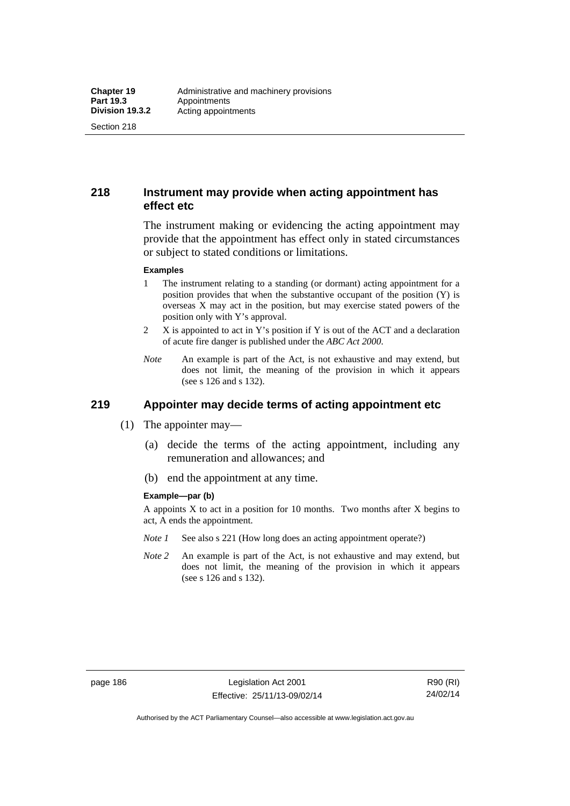Section 218

## **218 Instrument may provide when acting appointment has effect etc**

The instrument making or evidencing the acting appointment may provide that the appointment has effect only in stated circumstances or subject to stated conditions or limitations.

#### **Examples**

- 1 The instrument relating to a standing (or dormant) acting appointment for a position provides that when the substantive occupant of the position (Y) is overseas X may act in the position, but may exercise stated powers of the position only with Y's approval.
- 2 X is appointed to act in Y's position if Y is out of the ACT and a declaration of acute fire danger is published under the *ABC Act 2000*.
- *Note* An example is part of the Act, is not exhaustive and may extend, but does not limit, the meaning of the provision in which it appears (see s 126 and s 132).

# **219 Appointer may decide terms of acting appointment etc**

- (1) The appointer may—
	- (a) decide the terms of the acting appointment, including any remuneration and allowances; and
	- (b) end the appointment at any time.

#### **Example—par (b)**

A appoints  $X$  to act in a position for 10 months. Two months after  $X$  begins to act, A ends the appointment.

- *Note 1* See also s 221 (How long does an acting appointment operate?)
- *Note 2* An example is part of the Act, is not exhaustive and may extend, but does not limit, the meaning of the provision in which it appears (see s 126 and s 132).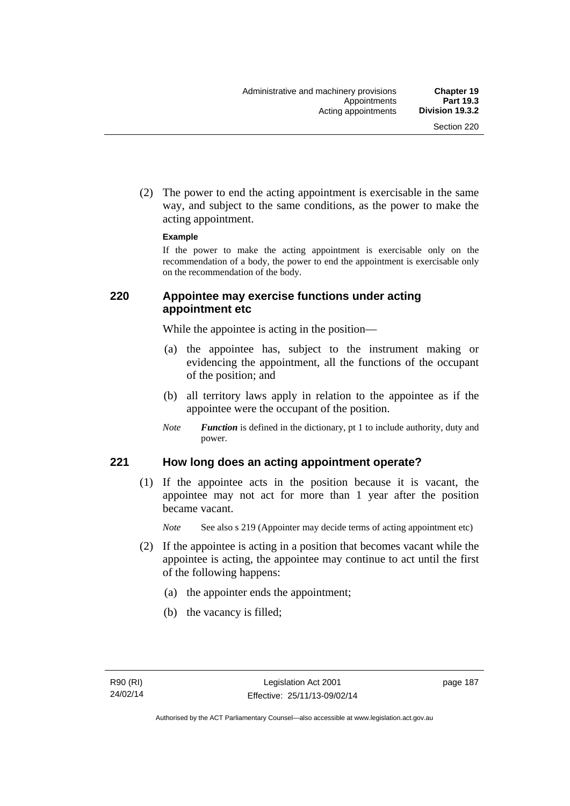(2) The power to end the acting appointment is exercisable in the same way, and subject to the same conditions, as the power to make the acting appointment.

#### **Example**

If the power to make the acting appointment is exercisable only on the recommendation of a body, the power to end the appointment is exercisable only on the recommendation of the body.

## **220 Appointee may exercise functions under acting appointment etc**

While the appointee is acting in the position—

- (a) the appointee has, subject to the instrument making or evidencing the appointment, all the functions of the occupant of the position; and
- (b) all territory laws apply in relation to the appointee as if the appointee were the occupant of the position.
- *Note Function* is defined in the dictionary, pt 1 to include authority, duty and power.

## **221 How long does an acting appointment operate?**

 (1) If the appointee acts in the position because it is vacant, the appointee may not act for more than 1 year after the position became vacant.

*Note* See also s 219 (Appointer may decide terms of acting appointment etc)

- (2) If the appointee is acting in a position that becomes vacant while the appointee is acting, the appointee may continue to act until the first of the following happens:
	- (a) the appointer ends the appointment;
	- (b) the vacancy is filled;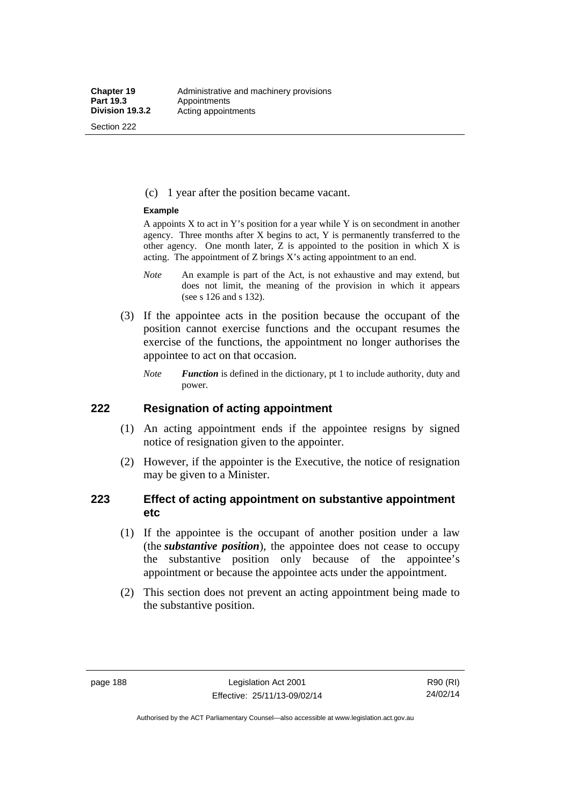Section 222

(c) 1 year after the position became vacant.

#### **Example**

A appoints  $X$  to act in Y's position for a year while Y is on secondment in another agency. Three months after X begins to act, Y is permanently transferred to the other agency. One month later,  $Z$  is appointed to the position in which  $X$  is acting. The appointment of Z brings X's acting appointment to an end.

- *Note* An example is part of the Act, is not exhaustive and may extend, but does not limit, the meaning of the provision in which it appears (see s 126 and s 132).
- (3) If the appointee acts in the position because the occupant of the position cannot exercise functions and the occupant resumes the exercise of the functions, the appointment no longer authorises the appointee to act on that occasion.
	- *Note Function* is defined in the dictionary, pt 1 to include authority, duty and power.

## **222 Resignation of acting appointment**

- (1) An acting appointment ends if the appointee resigns by signed notice of resignation given to the appointer.
- (2) However, if the appointer is the Executive, the notice of resignation may be given to a Minister.

## **223 Effect of acting appointment on substantive appointment etc**

- (1) If the appointee is the occupant of another position under a law (the *substantive position*), the appointee does not cease to occupy the substantive position only because of the appointee's appointment or because the appointee acts under the appointment.
- (2) This section does not prevent an acting appointment being made to the substantive position.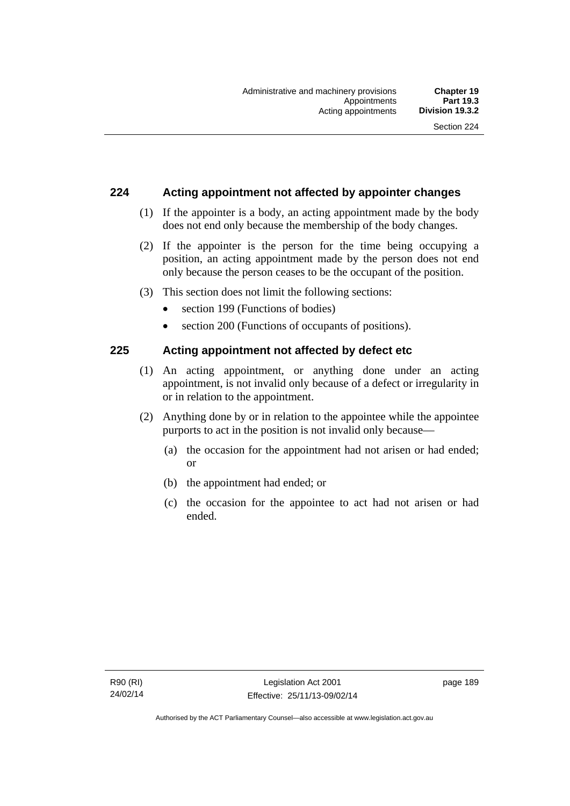## **224 Acting appointment not affected by appointer changes**

- (1) If the appointer is a body, an acting appointment made by the body does not end only because the membership of the body changes.
- (2) If the appointer is the person for the time being occupying a position, an acting appointment made by the person does not end only because the person ceases to be the occupant of the position.
- (3) This section does not limit the following sections:
	- section 199 (Functions of bodies)
	- section 200 (Functions of occupants of positions).

## **225 Acting appointment not affected by defect etc**

- (1) An acting appointment, or anything done under an acting appointment, is not invalid only because of a defect or irregularity in or in relation to the appointment.
- (2) Anything done by or in relation to the appointee while the appointee purports to act in the position is not invalid only because—
	- (a) the occasion for the appointment had not arisen or had ended; or
	- (b) the appointment had ended; or
	- (c) the occasion for the appointee to act had not arisen or had ended.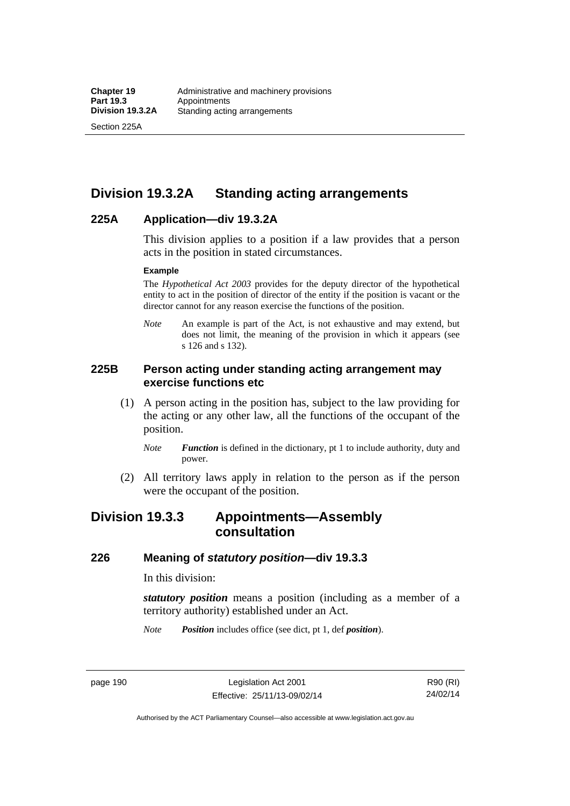Section 225A

# **Division 19.3.2A Standing acting arrangements**

## **225A Application—div 19.3.2A**

This division applies to a position if a law provides that a person acts in the position in stated circumstances.

#### **Example**

The *Hypothetical Act 2003* provides for the deputy director of the hypothetical entity to act in the position of director of the entity if the position is vacant or the director cannot for any reason exercise the functions of the position.

*Note* An example is part of the Act, is not exhaustive and may extend, but does not limit, the meaning of the provision in which it appears (see s 126 and s 132).

## **225B Person acting under standing acting arrangement may exercise functions etc**

- (1) A person acting in the position has, subject to the law providing for the acting or any other law, all the functions of the occupant of the position.
	- *Note Function* is defined in the dictionary, pt 1 to include authority, duty and power.
- (2) All territory laws apply in relation to the person as if the person were the occupant of the position.

# **Division 19.3.3 Appointments—Assembly consultation**

## **226 Meaning of** *statutory position***—div 19.3.3**

In this division:

*statutory position* means a position (including as a member of a territory authority) established under an Act.

*Note Position* includes office (see dict, pt 1, def *position*).

page 190 Legislation Act 2001 Effective: 25/11/13-09/02/14

R90 (RI) 24/02/14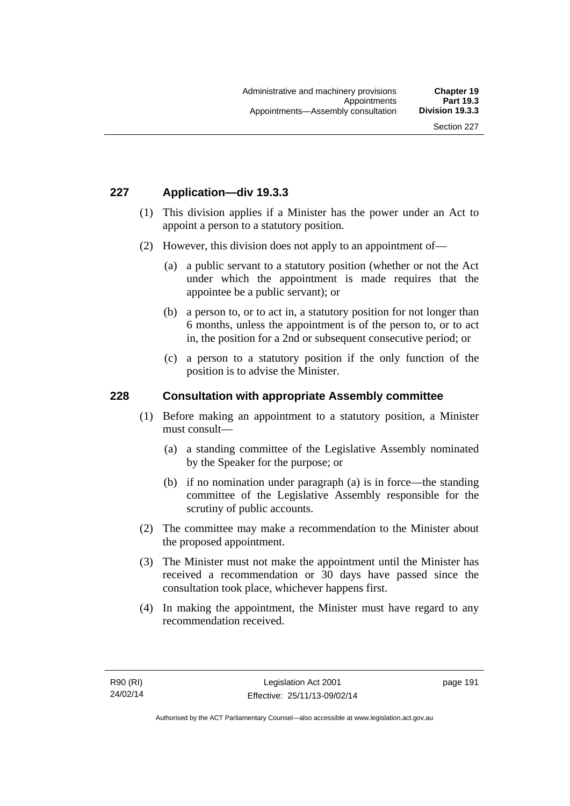## **227 Application—div 19.3.3**

- (1) This division applies if a Minister has the power under an Act to appoint a person to a statutory position.
- (2) However, this division does not apply to an appointment of—
	- (a) a public servant to a statutory position (whether or not the Act under which the appointment is made requires that the appointee be a public servant); or
	- (b) a person to, or to act in, a statutory position for not longer than 6 months, unless the appointment is of the person to, or to act in, the position for a 2nd or subsequent consecutive period; or
	- (c) a person to a statutory position if the only function of the position is to advise the Minister.

### **228 Consultation with appropriate Assembly committee**

- (1) Before making an appointment to a statutory position, a Minister must consult—
	- (a) a standing committee of the Legislative Assembly nominated by the Speaker for the purpose; or
	- (b) if no nomination under paragraph (a) is in force—the standing committee of the Legislative Assembly responsible for the scrutiny of public accounts.
- (2) The committee may make a recommendation to the Minister about the proposed appointment.
- (3) The Minister must not make the appointment until the Minister has received a recommendation or 30 days have passed since the consultation took place, whichever happens first.
- (4) In making the appointment, the Minister must have regard to any recommendation received.

page 191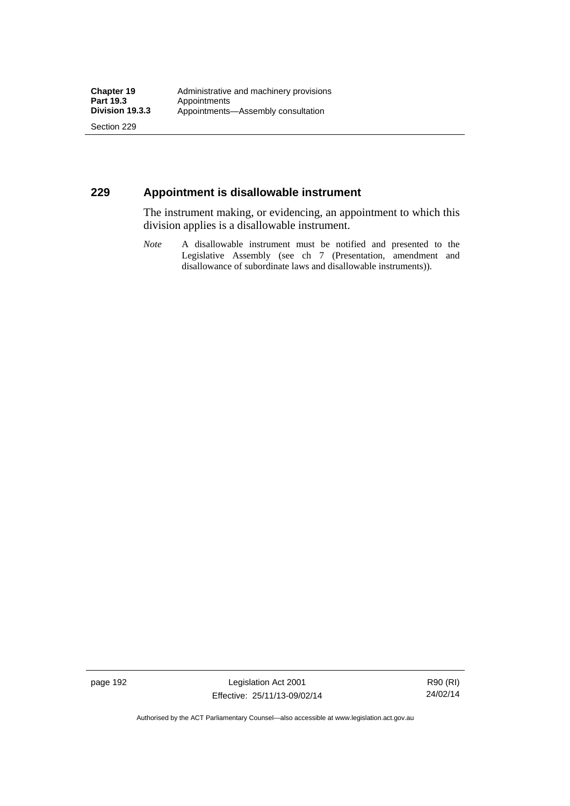Section 229

## **229 Appointment is disallowable instrument**

The instrument making, or evidencing, an appointment to which this division applies is a disallowable instrument.

*Note* A disallowable instrument must be notified and presented to the Legislative Assembly (see ch 7 (Presentation, amendment and disallowance of subordinate laws and disallowable instruments)).

page 192 Legislation Act 2001 Effective: 25/11/13-09/02/14

R90 (RI) 24/02/14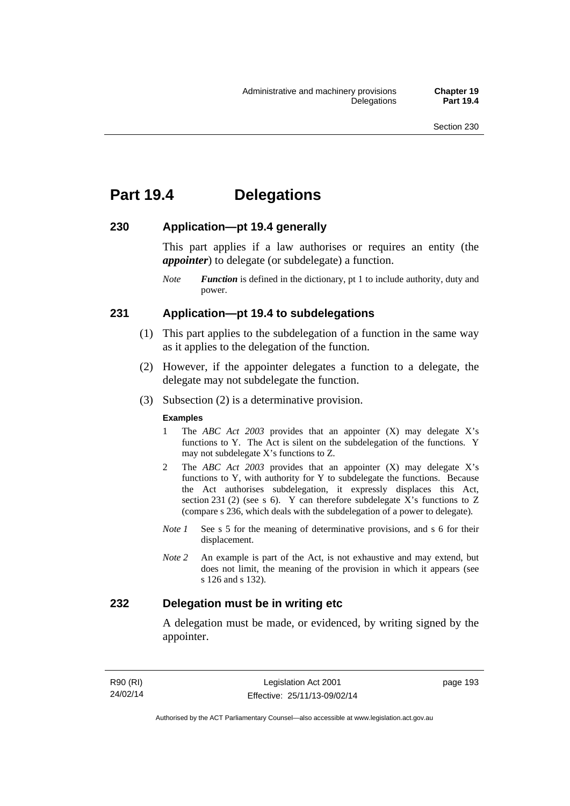# **Part 19.4 Delegations**

## **230 Application—pt 19.4 generally**

This part applies if a law authorises or requires an entity (the *appointer*) to delegate (or subdelegate) a function.

*Note Function* is defined in the dictionary, pt 1 to include authority, duty and power.

### **231 Application—pt 19.4 to subdelegations**

- (1) This part applies to the subdelegation of a function in the same way as it applies to the delegation of the function.
- (2) However, if the appointer delegates a function to a delegate, the delegate may not subdelegate the function.
- (3) Subsection (2) is a determinative provision.

#### **Examples**

- 1 The *ABC Act 2003* provides that an appointer (X) may delegate X's functions to Y. The Act is silent on the subdelegation of the functions. Y may not subdelegate X's functions to Z.
- 2 The *ABC Act 2003* provides that an appointer (X) may delegate X's functions to Y, with authority for Y to subdelegate the functions. Because the Act authorises subdelegation, it expressly displaces this Act, section 231 (2) (see s 6). Y can therefore subdelegate  $\overline{X}$ 's functions to Z (compare s 236, which deals with the subdelegation of a power to delegate)*.*
- *Note 1* See s 5 for the meaning of determinative provisions, and s 6 for their displacement.
- *Note 2* An example is part of the Act, is not exhaustive and may extend, but does not limit, the meaning of the provision in which it appears (see s 126 and s 132).

## **232 Delegation must be in writing etc**

A delegation must be made, or evidenced, by writing signed by the appointer.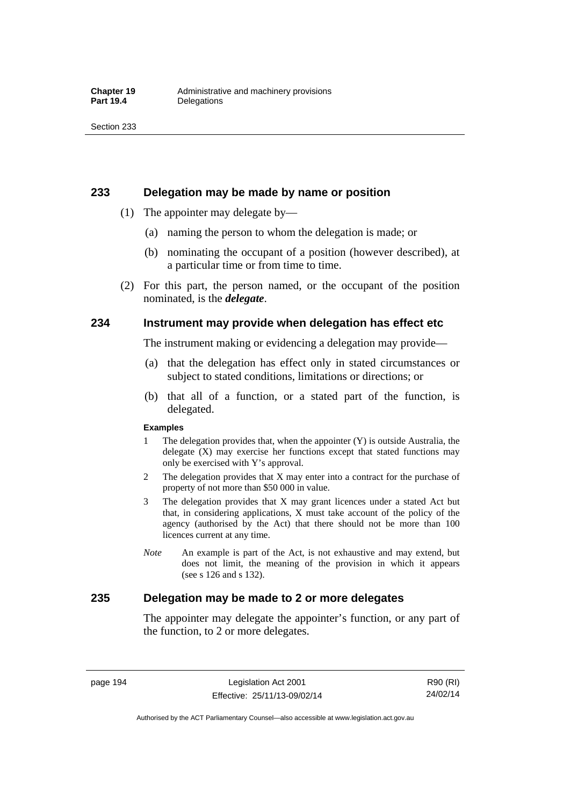### **233 Delegation may be made by name or position**

- (1) The appointer may delegate by—
	- (a) naming the person to whom the delegation is made; or
	- (b) nominating the occupant of a position (however described), at a particular time or from time to time.
- (2) For this part, the person named, or the occupant of the position nominated, is the *delegate*.

## **234 Instrument may provide when delegation has effect etc**

The instrument making or evidencing a delegation may provide—

- (a) that the delegation has effect only in stated circumstances or subject to stated conditions, limitations or directions; or
- (b) that all of a function, or a stated part of the function, is delegated.

#### **Examples**

- 1 The delegation provides that, when the appointer (Y) is outside Australia, the delegate (X) may exercise her functions except that stated functions may only be exercised with Y's approval.
- 2 The delegation provides that X may enter into a contract for the purchase of property of not more than \$50 000 in value.
- 3 The delegation provides that X may grant licences under a stated Act but that, in considering applications, X must take account of the policy of the agency (authorised by the Act) that there should not be more than 100 licences current at any time.
- *Note* An example is part of the Act, is not exhaustive and may extend, but does not limit, the meaning of the provision in which it appears (see s 126 and s 132).

## **235 Delegation may be made to 2 or more delegates**

The appointer may delegate the appointer's function, or any part of the function, to 2 or more delegates.

page 194 Legislation Act 2001 Effective: 25/11/13-09/02/14

R90 (RI) 24/02/14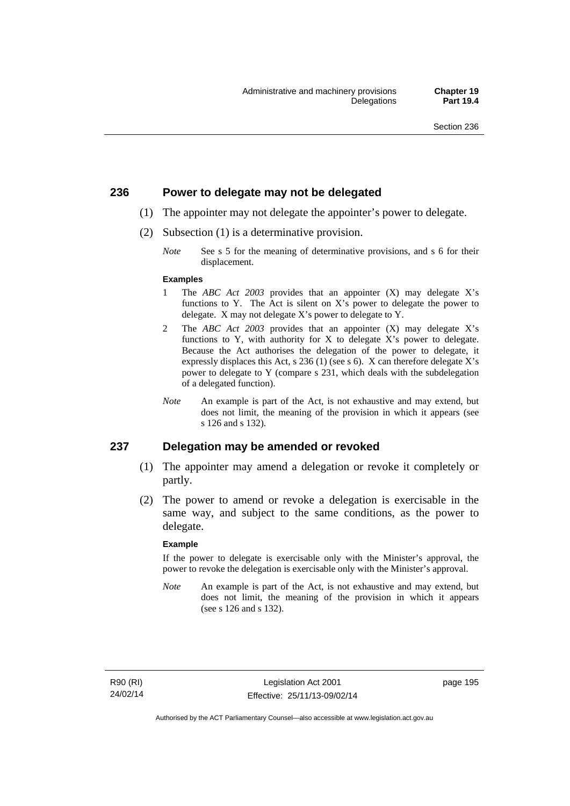## **236 Power to delegate may not be delegated**

- (1) The appointer may not delegate the appointer's power to delegate.
- (2) Subsection (1) is a determinative provision.
	- *Note* See s 5 for the meaning of determinative provisions, and s 6 for their displacement.

#### **Examples**

- 1 The *ABC Act 2003* provides that an appointer (X) may delegate X's functions to Y. The Act is silent on X's power to delegate the power to delegate. X may not delegate X's power to delegate to Y.
- 2 The *ABC Act 2003* provides that an appointer (X) may delegate X's functions to Y, with authority for X to delegate X's power to delegate. Because the Act authorises the delegation of the power to delegate, it expressly displaces this Act, s 236 (1) (see s 6). X can therefore delegate X's power to delegate to Y (compare s 231, which deals with the subdelegation of a delegated function).
- *Note* An example is part of the Act, is not exhaustive and may extend, but does not limit, the meaning of the provision in which it appears (see s 126 and s 132).

### **237 Delegation may be amended or revoked**

- (1) The appointer may amend a delegation or revoke it completely or partly.
- (2) The power to amend or revoke a delegation is exercisable in the same way, and subject to the same conditions, as the power to delegate.

#### **Example**

If the power to delegate is exercisable only with the Minister's approval, the power to revoke the delegation is exercisable only with the Minister's approval.

*Note* An example is part of the Act, is not exhaustive and may extend, but does not limit, the meaning of the provision in which it appears (see s 126 and s 132).

page 195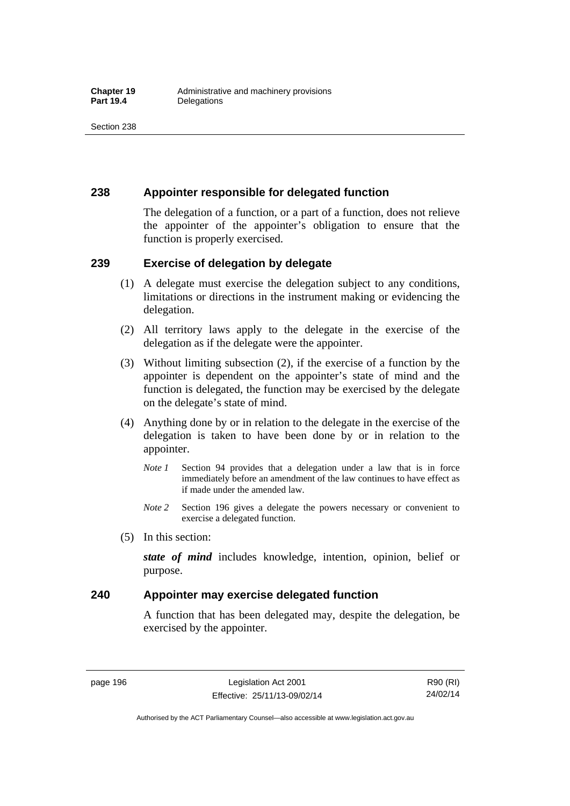## **238 Appointer responsible for delegated function**

The delegation of a function, or a part of a function, does not relieve the appointer of the appointer's obligation to ensure that the function is properly exercised.

## **239 Exercise of delegation by delegate**

- (1) A delegate must exercise the delegation subject to any conditions, limitations or directions in the instrument making or evidencing the delegation.
- (2) All territory laws apply to the delegate in the exercise of the delegation as if the delegate were the appointer.
- (3) Without limiting subsection (2), if the exercise of a function by the appointer is dependent on the appointer's state of mind and the function is delegated, the function may be exercised by the delegate on the delegate's state of mind.
- (4) Anything done by or in relation to the delegate in the exercise of the delegation is taken to have been done by or in relation to the appointer.
	- *Note 1* Section 94 provides that a delegation under a law that is in force immediately before an amendment of the law continues to have effect as if made under the amended law.
	- *Note 2* Section 196 gives a delegate the powers necessary or convenient to exercise a delegated function.
- (5) In this section:

*state of mind* includes knowledge, intention, opinion, belief or purpose.

## **240 Appointer may exercise delegated function**

A function that has been delegated may, despite the delegation, be exercised by the appointer.

page 196 Legislation Act 2001 Effective: 25/11/13-09/02/14

R90 (RI) 24/02/14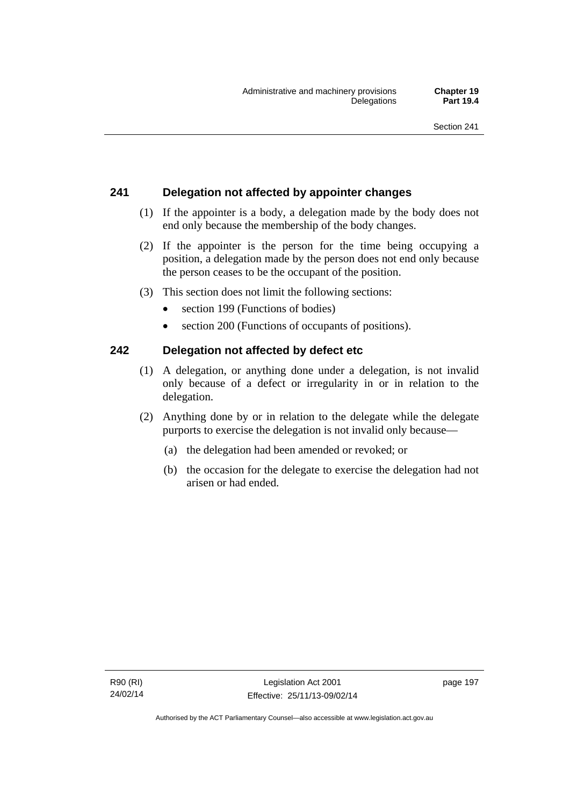# **241 Delegation not affected by appointer changes**

- (1) If the appointer is a body, a delegation made by the body does not end only because the membership of the body changes.
- (2) If the appointer is the person for the time being occupying a position, a delegation made by the person does not end only because the person ceases to be the occupant of the position.
- (3) This section does not limit the following sections:
	- section 199 (Functions of bodies)
	- section 200 (Functions of occupants of positions).

# **242 Delegation not affected by defect etc**

- (1) A delegation, or anything done under a delegation, is not invalid only because of a defect or irregularity in or in relation to the delegation.
- (2) Anything done by or in relation to the delegate while the delegate purports to exercise the delegation is not invalid only because—
	- (a) the delegation had been amended or revoked; or
	- (b) the occasion for the delegate to exercise the delegation had not arisen or had ended.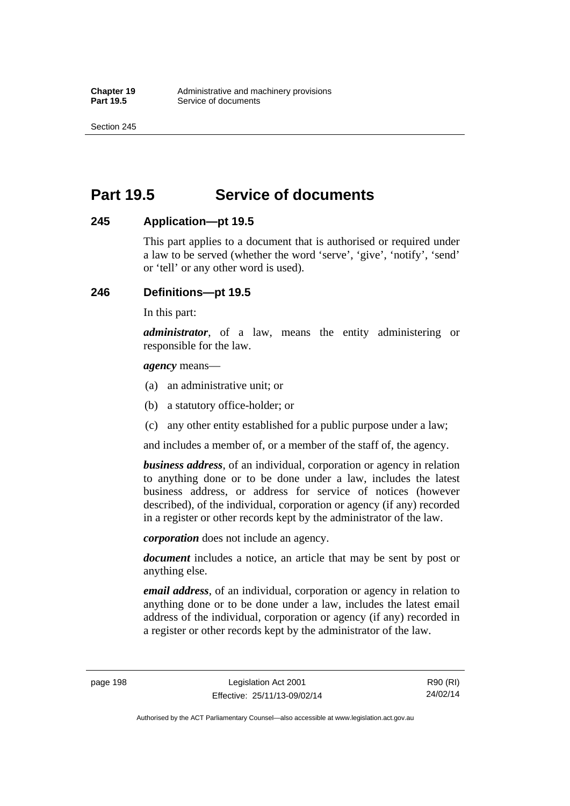Section 245

# **Part 19.5 Service of documents**

## **245 Application—pt 19.5**

This part applies to a document that is authorised or required under a law to be served (whether the word 'serve', 'give', 'notify', 'send' or 'tell' or any other word is used).

## **246 Definitions—pt 19.5**

In this part:

*administrator*, of a law, means the entity administering or responsible for the law.

*agency* means—

- (a) an administrative unit; or
- (b) a statutory office-holder; or
- (c) any other entity established for a public purpose under a law;

and includes a member of, or a member of the staff of, the agency.

*business address*, of an individual, corporation or agency in relation to anything done or to be done under a law, includes the latest business address, or address for service of notices (however described), of the individual, corporation or agency (if any) recorded in a register or other records kept by the administrator of the law.

*corporation* does not include an agency.

*document* includes a notice, an article that may be sent by post or anything else.

*email address*, of an individual, corporation or agency in relation to anything done or to be done under a law, includes the latest email address of the individual, corporation or agency (if any) recorded in a register or other records kept by the administrator of the law.

page 198 Legislation Act 2001 Effective: 25/11/13-09/02/14

R90 (RI) 24/02/14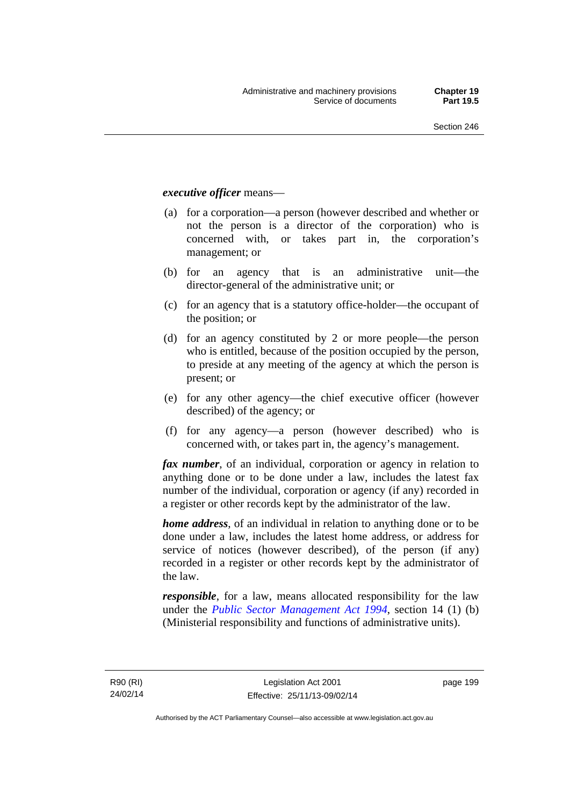### *executive officer* means—

- (a) for a corporation—a person (however described and whether or not the person is a director of the corporation) who is concerned with, or takes part in, the corporation's management; or
- (b) for an agency that is an administrative unit—the director-general of the administrative unit; or
- (c) for an agency that is a statutory office-holder—the occupant of the position; or
- (d) for an agency constituted by 2 or more people—the person who is entitled, because of the position occupied by the person, to preside at any meeting of the agency at which the person is present; or
- (e) for any other agency—the chief executive officer (however described) of the agency; or
- (f) for any agency—a person (however described) who is concerned with, or takes part in, the agency's management.

*fax number*, of an individual, corporation or agency in relation to anything done or to be done under a law, includes the latest fax number of the individual, corporation or agency (if any) recorded in a register or other records kept by the administrator of the law.

*home address*, of an individual in relation to anything done or to be done under a law, includes the latest home address, or address for service of notices (however described), of the person (if any) recorded in a register or other records kept by the administrator of the law.

*responsible*, for a law, means allocated responsibility for the law under the *[Public Sector Management Act 1994](http://www.legislation.act.gov.au/a/1994-37)*, section 14 (1) (b) (Ministerial responsibility and functions of administrative units).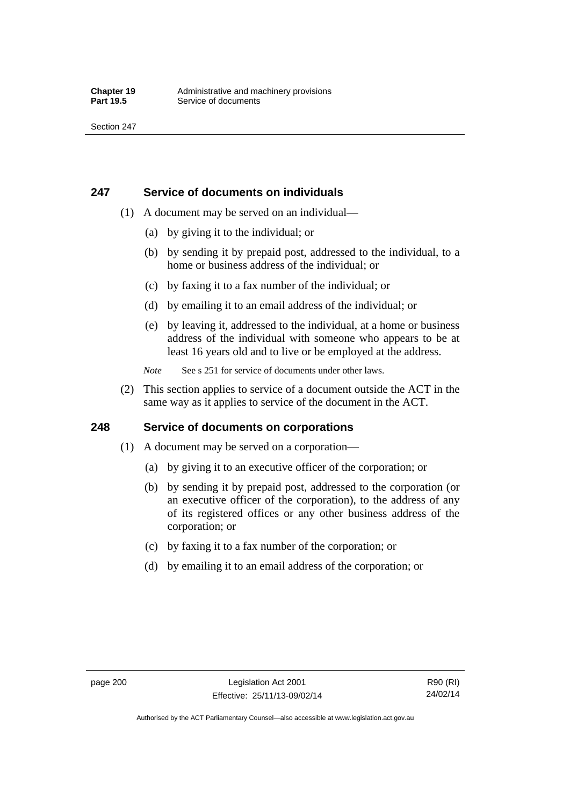## **247 Service of documents on individuals**

- (1) A document may be served on an individual—
	- (a) by giving it to the individual; or
	- (b) by sending it by prepaid post, addressed to the individual, to a home or business address of the individual; or
	- (c) by faxing it to a fax number of the individual; or
	- (d) by emailing it to an email address of the individual; or
	- (e) by leaving it, addressed to the individual, at a home or business address of the individual with someone who appears to be at least 16 years old and to live or be employed at the address.
	- *Note* See s 251 for service of documents under other laws.
- (2) This section applies to service of a document outside the ACT in the same way as it applies to service of the document in the ACT.

## **248 Service of documents on corporations**

- (1) A document may be served on a corporation—
	- (a) by giving it to an executive officer of the corporation; or
	- (b) by sending it by prepaid post, addressed to the corporation (or an executive officer of the corporation), to the address of any of its registered offices or any other business address of the corporation; or
	- (c) by faxing it to a fax number of the corporation; or
	- (d) by emailing it to an email address of the corporation; or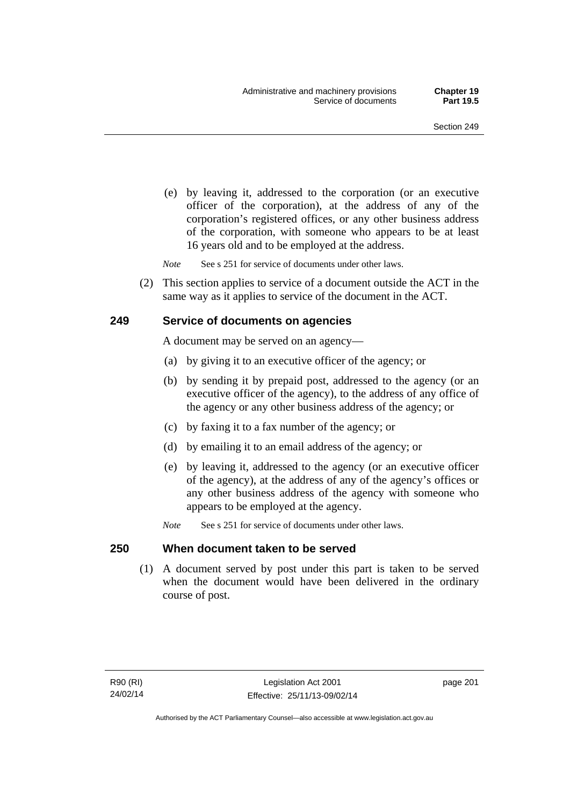(e) by leaving it, addressed to the corporation (or an executive officer of the corporation), at the address of any of the corporation's registered offices, or any other business address of the corporation, with someone who appears to be at least 16 years old and to be employed at the address.

*Note* See s 251 for service of documents under other laws.

 (2) This section applies to service of a document outside the ACT in the same way as it applies to service of the document in the ACT.

### **249 Service of documents on agencies**

A document may be served on an agency—

- (a) by giving it to an executive officer of the agency; or
- (b) by sending it by prepaid post, addressed to the agency (or an executive officer of the agency), to the address of any office of the agency or any other business address of the agency; or
- (c) by faxing it to a fax number of the agency; or
- (d) by emailing it to an email address of the agency; or
- (e) by leaving it, addressed to the agency (or an executive officer of the agency), at the address of any of the agency's offices or any other business address of the agency with someone who appears to be employed at the agency.
- *Note* See s 251 for service of documents under other laws.

### **250 When document taken to be served**

 (1) A document served by post under this part is taken to be served when the document would have been delivered in the ordinary course of post.

page 201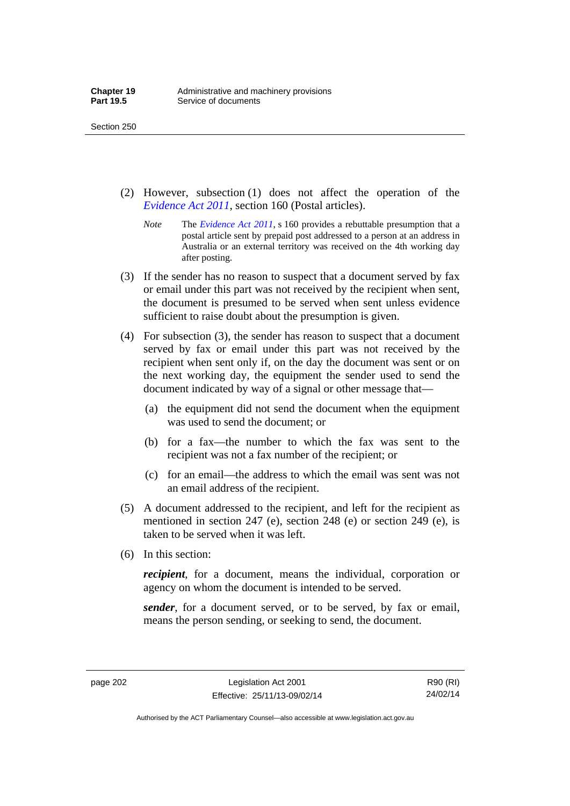- (2) However, subsection (1) does not affect the operation of the *[Evidence Act 2011](http://www.legislation.act.gov.au/a/2011-12)*, section 160 (Postal articles).
	- *Note* The *[Evidence Act 2011](http://www.legislation.act.gov.au/a/2011-12)*, s 160 provides a rebuttable presumption that a postal article sent by prepaid post addressed to a person at an address in Australia or an external territory was received on the 4th working day after posting.
- (3) If the sender has no reason to suspect that a document served by fax or email under this part was not received by the recipient when sent, the document is presumed to be served when sent unless evidence sufficient to raise doubt about the presumption is given.
- (4) For subsection (3), the sender has reason to suspect that a document served by fax or email under this part was not received by the recipient when sent only if, on the day the document was sent or on the next working day, the equipment the sender used to send the document indicated by way of a signal or other message that—
	- (a) the equipment did not send the document when the equipment was used to send the document; or
	- (b) for a fax—the number to which the fax was sent to the recipient was not a fax number of the recipient; or
	- (c) for an email—the address to which the email was sent was not an email address of the recipient.
- (5) A document addressed to the recipient, and left for the recipient as mentioned in section 247 (e), section 248 (e) or section 249 (e), is taken to be served when it was left.
- (6) In this section:

*recipient*, for a document, means the individual, corporation or agency on whom the document is intended to be served.

*sender*, for a document served, or to be served, by fax or email, means the person sending, or seeking to send, the document.

page 202 Legislation Act 2001 Effective: 25/11/13-09/02/14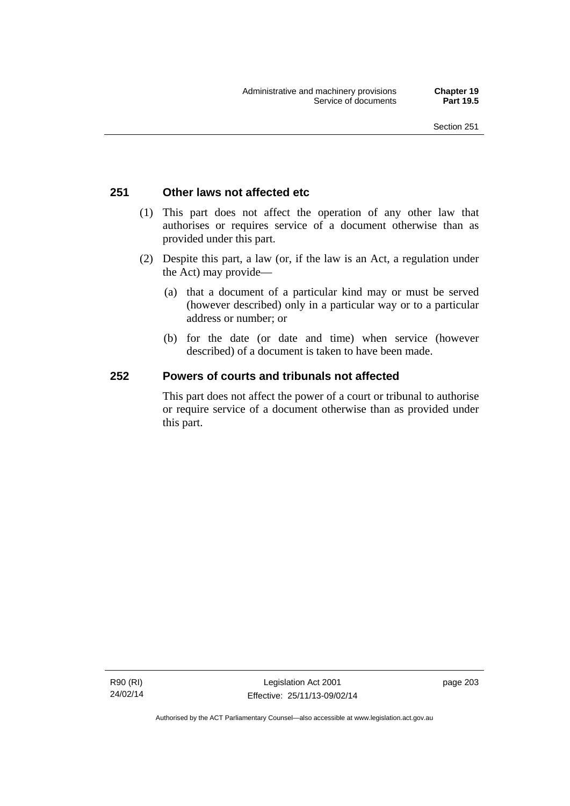### **251 Other laws not affected etc**

- (1) This part does not affect the operation of any other law that authorises or requires service of a document otherwise than as provided under this part.
- (2) Despite this part, a law (or, if the law is an Act, a regulation under the Act) may provide—
	- (a) that a document of a particular kind may or must be served (however described) only in a particular way or to a particular address or number; or
	- (b) for the date (or date and time) when service (however described) of a document is taken to have been made.

### **252 Powers of courts and tribunals not affected**

This part does not affect the power of a court or tribunal to authorise or require service of a document otherwise than as provided under this part.

R90 (RI) 24/02/14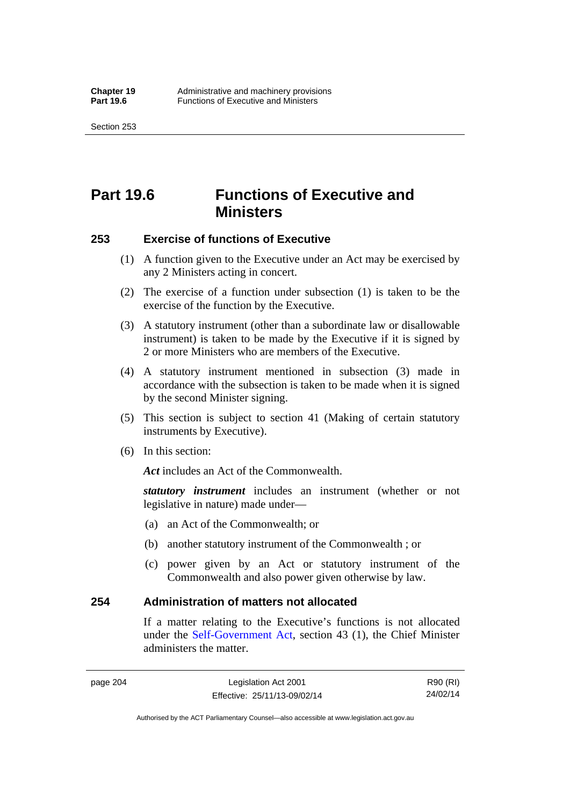Section 253

# **Part 19.6 Functions of Executive and Ministers**

### **253 Exercise of functions of Executive**

- (1) A function given to the Executive under an Act may be exercised by any 2 Ministers acting in concert.
- (2) The exercise of a function under subsection (1) is taken to be the exercise of the function by the Executive.
- (3) A statutory instrument (other than a subordinate law or disallowable instrument) is taken to be made by the Executive if it is signed by 2 or more Ministers who are members of the Executive.
- (4) A statutory instrument mentioned in subsection (3) made in accordance with the subsection is taken to be made when it is signed by the second Minister signing.
- (5) This section is subject to section 41 (Making of certain statutory instruments by Executive).
- (6) In this section:

Act includes an Act of the Commonwealth.

*statutory instrument* includes an instrument (whether or not legislative in nature) made under—

- (a) an Act of the Commonwealth; or
- (b) another statutory instrument of the Commonwealth ; or
- (c) power given by an Act or statutory instrument of the Commonwealth and also power given otherwise by law.

### **254 Administration of matters not allocated**

If a matter relating to the Executive's functions is not allocated under the [Self-Government Act,](http://www.comlaw.gov.au/Series/C2004A03699) section 43 (1), the Chief Minister administers the matter.

page 204 Legislation Act 2001 Effective: 25/11/13-09/02/14

R90 (RI) 24/02/14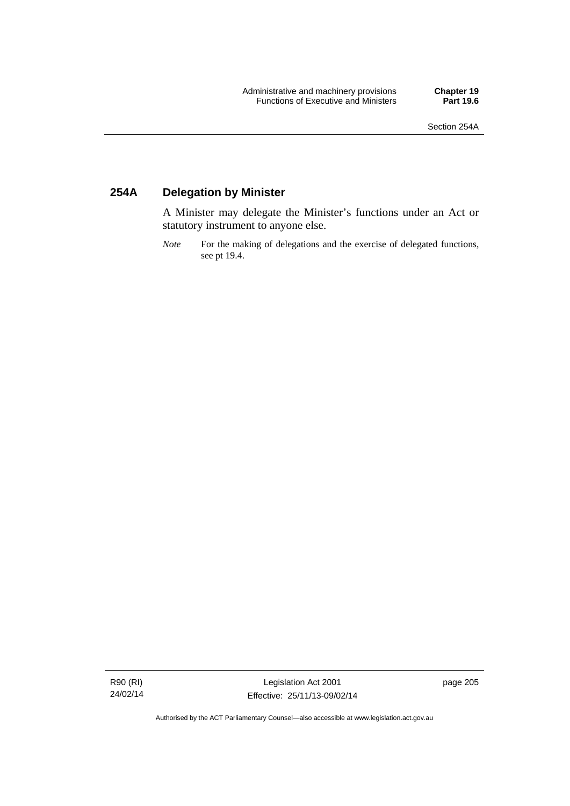### **254A Delegation by Minister**

A Minister may delegate the Minister's functions under an Act or statutory instrument to anyone else.

*Note* For the making of delegations and the exercise of delegated functions, see pt 19.4.

R90 (RI) 24/02/14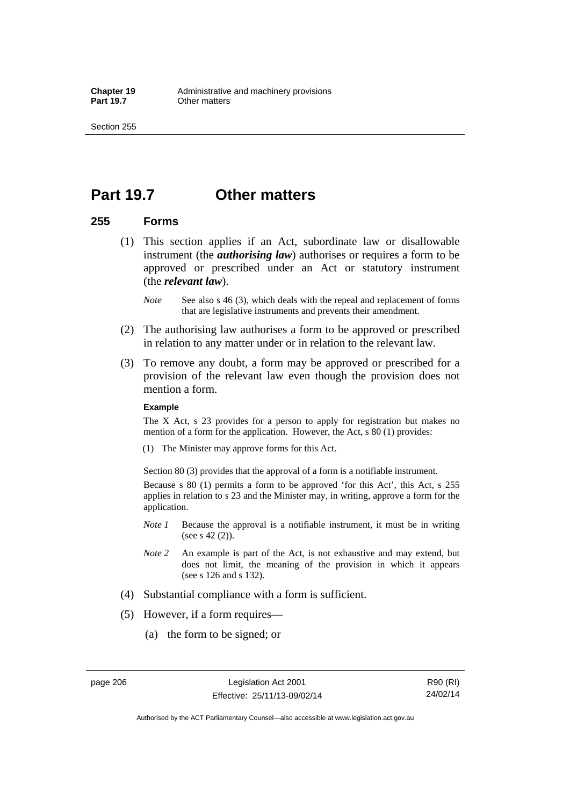Section 255

### **Part 19.7 Other matters**

### **255 Forms**

- (1) This section applies if an Act, subordinate law or disallowable instrument (the *authorising law*) authorises or requires a form to be approved or prescribed under an Act or statutory instrument (the *relevant law*).
	- *Note* See also s 46 (3), which deals with the repeal and replacement of forms that are legislative instruments and prevents their amendment.
- (2) The authorising law authorises a form to be approved or prescribed in relation to any matter under or in relation to the relevant law.
- (3) To remove any doubt, a form may be approved or prescribed for a provision of the relevant law even though the provision does not mention a form.

#### **Example**

The X Act, s 23 provides for a person to apply for registration but makes no mention of a form for the application. However, the Act, s 80 (1) provides:

(1) The Minister may approve forms for this Act.

Section 80 (3) provides that the approval of a form is a notifiable instrument.

Because s 80 (1) permits a form to be approved 'for this Act', this Act, s 255 applies in relation to s 23 and the Minister may, in writing, approve a form for the application.

- *Note 1* Because the approval is a notifiable instrument, it must be in writing (see s 42 (2)).
- *Note 2* An example is part of the Act, is not exhaustive and may extend, but does not limit, the meaning of the provision in which it appears (see s 126 and s 132).
- (4) Substantial compliance with a form is sufficient.
- (5) However, if a form requires—
	- (a) the form to be signed; or

R90 (RI) 24/02/14

Authorised by the ACT Parliamentary Counsel—also accessible at www.legislation.act.gov.au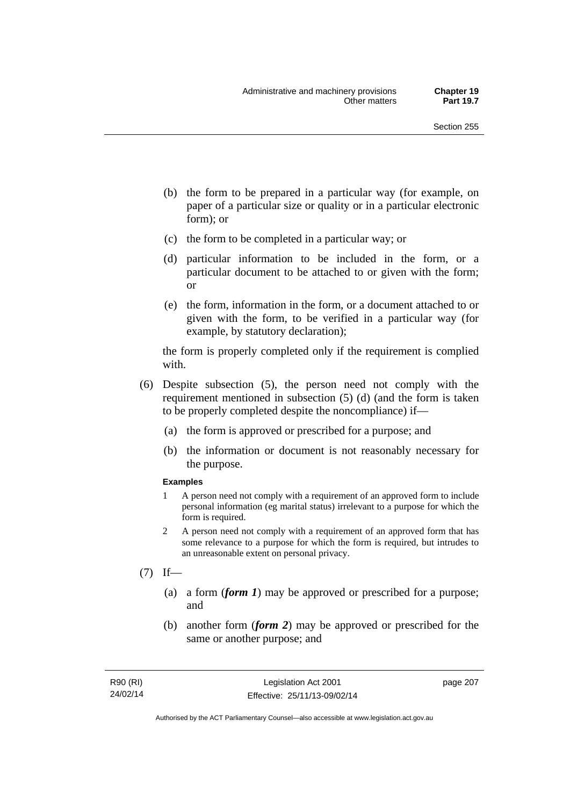- (b) the form to be prepared in a particular way (for example, on paper of a particular size or quality or in a particular electronic form); or
- (c) the form to be completed in a particular way; or
- (d) particular information to be included in the form, or a particular document to be attached to or given with the form; or
- (e) the form, information in the form, or a document attached to or given with the form, to be verified in a particular way (for example, by statutory declaration);

the form is properly completed only if the requirement is complied with.

- (6) Despite subsection (5), the person need not comply with the requirement mentioned in subsection (5) (d) (and the form is taken to be properly completed despite the noncompliance) if—
	- (a) the form is approved or prescribed for a purpose; and
	- (b) the information or document is not reasonably necessary for the purpose.

### **Examples**

- 1 A person need not comply with a requirement of an approved form to include personal information (eg marital status) irrelevant to a purpose for which the form is required.
- 2 A person need not comply with a requirement of an approved form that has some relevance to a purpose for which the form is required, but intrudes to an unreasonable extent on personal privacy.
- $(7)$  If—
	- (a) a form (*form 1*) may be approved or prescribed for a purpose; and
	- (b) another form (*form 2*) may be approved or prescribed for the same or another purpose; and

page 207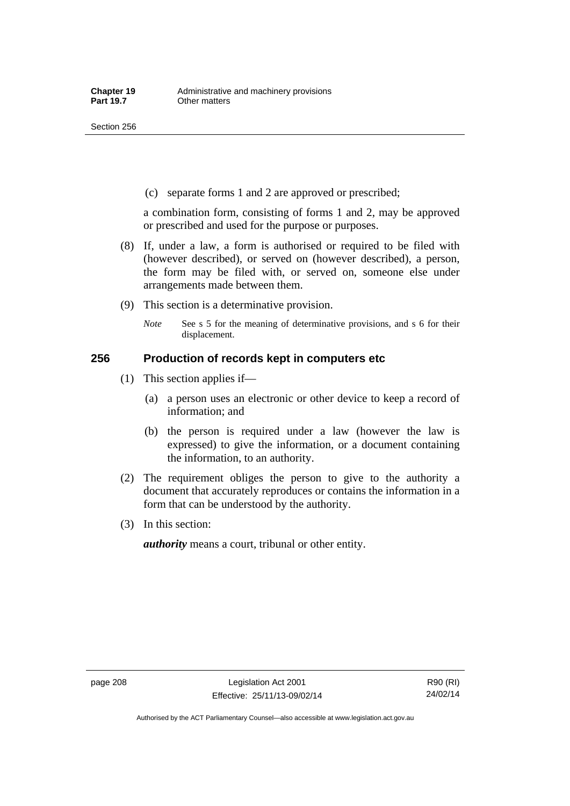(c) separate forms 1 and 2 are approved or prescribed;

a combination form, consisting of forms 1 and 2, may be approved or prescribed and used for the purpose or purposes.

- (8) If, under a law, a form is authorised or required to be filed with (however described), or served on (however described), a person, the form may be filed with, or served on, someone else under arrangements made between them.
- (9) This section is a determinative provision.
	- *Note* See s 5 for the meaning of determinative provisions, and s 6 for their displacement.

### **256 Production of records kept in computers etc**

- (1) This section applies if—
	- (a) a person uses an electronic or other device to keep a record of information; and
	- (b) the person is required under a law (however the law is expressed) to give the information, or a document containing the information, to an authority.
- (2) The requirement obliges the person to give to the authority a document that accurately reproduces or contains the information in a form that can be understood by the authority.
- (3) In this section:

*authority* means a court, tribunal or other entity.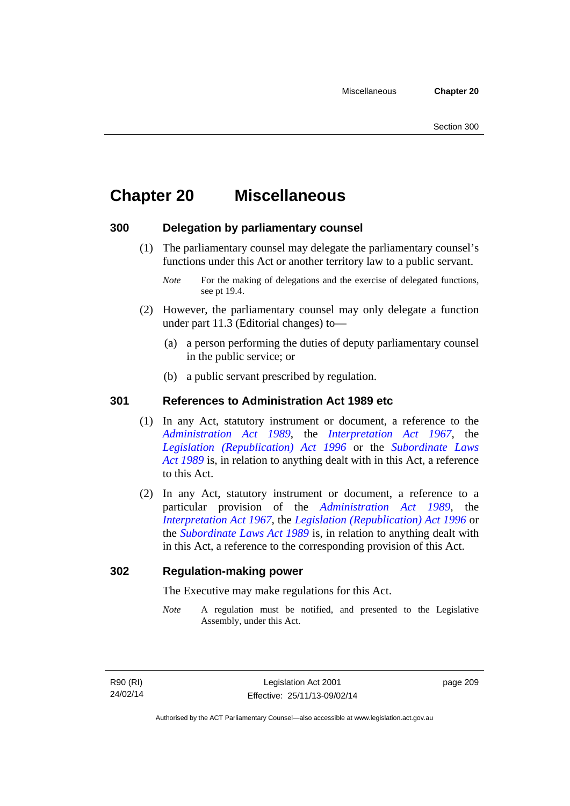# **Chapter 20 Miscellaneous**

### **300 Delegation by parliamentary counsel**

 (1) The parliamentary counsel may delegate the parliamentary counsel's functions under this Act or another territory law to a public servant.

- (2) However, the parliamentary counsel may only delegate a function under part 11.3 (Editorial changes) to—
	- (a) a person performing the duties of deputy parliamentary counsel in the public service; or
	- (b) a public servant prescribed by regulation.

### **301 References to Administration Act 1989 etc**

- (1) In any Act, statutory instrument or document, a reference to the *[Administration Act 1989](http://www.legislation.act.gov.au/a/alt_a1989-41co)*, the *[Interpretation Act 1967](http://www.legislation.act.gov.au/a/1967-48)*, the *[Legislation \(Republication\) Act 1996](http://www.legislation.act.gov.au/a/1996-51)* or the *[Subordinate Laws](http://www.legislation.act.gov.au/a/alt_a1989-24co)  [Act 1989](http://www.legislation.act.gov.au/a/alt_a1989-24co)* is, in relation to anything dealt with in this Act, a reference to this Act.
- (2) In any Act, statutory instrument or document, a reference to a particular provision of the *[Administration Act 1989](http://www.legislation.act.gov.au/a/alt_a1989-41co)*, the *[Interpretation Act 1967](http://www.legislation.act.gov.au/a/1967-48)*, the *[Legislation \(Republication\) Act 1996](http://www.legislation.act.gov.au/a/1996-51)* or the *[Subordinate Laws Act 1989](http://www.legislation.act.gov.au/a/alt_a1989-24co)* is, in relation to anything dealt with in this Act, a reference to the corresponding provision of this Act.

### **302 Regulation-making power**

The Executive may make regulations for this Act.

*Note* A regulation must be notified, and presented to the Legislative Assembly, under this Act.

page 209

*Note* For the making of delegations and the exercise of delegated functions, see pt 19.4.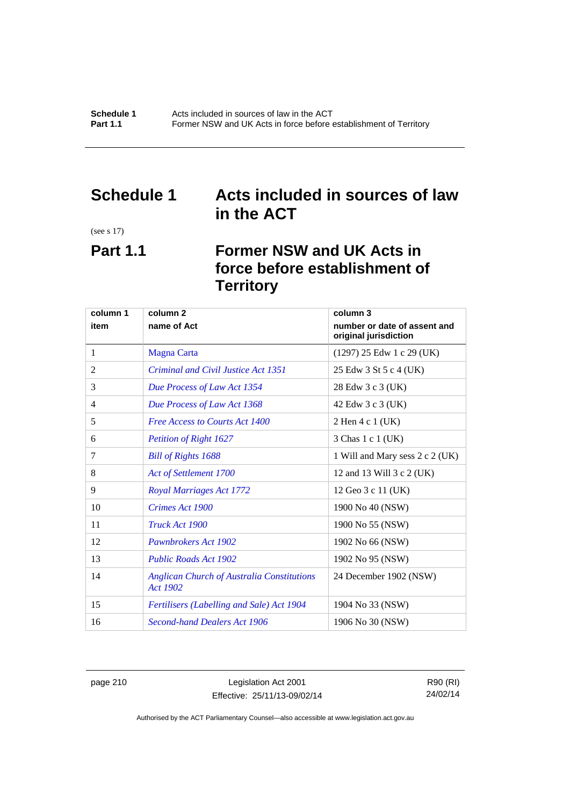### **Schedule 1 Acts included in sources of law in the ACT**

(see s 17)

# **Part 1.1 Former NSW and UK Acts in force before establishment of Territory**

| column 1 | column <sub>2</sub>                                           | column 3                                              |
|----------|---------------------------------------------------------------|-------------------------------------------------------|
| item     | name of Act                                                   | number or date of assent and<br>original jurisdiction |
| 1        | <b>Magna Carta</b>                                            | $(1297)$ 25 Edw 1 c 29 (UK)                           |
| 2        | <b>Criminal and Civil Justice Act 1351</b>                    | 25 Edw 3 St 5 c 4 (UK)                                |
| 3        | Due Process of Law Act 1354                                   | 28 Edw 3 c 3 (UK)                                     |
| 4        | Due Process of Law Act 1368                                   | 42 Edw 3 c 3 (UK)                                     |
| 5        | <b>Free Access to Courts Act 1400</b>                         | 2 Hen 4 c 1 (UK)                                      |
| 6        | <b>Petition of Right 1627</b>                                 | 3 Chas 1 c 1 (UK)                                     |
| 7        | <b>Bill of Rights 1688</b>                                    | 1 Will and Mary sess 2 c 2 (UK)                       |
| 8        | Act of Settlement 1700                                        | 12 and 13 Will 3 c 2 (UK)                             |
| 9        | <b>Royal Marriages Act 1772</b>                               | 12 Geo 3 c 11 (UK)                                    |
| 10       | Crimes Act 1900                                               | 1900 No 40 (NSW)                                      |
| 11       | Truck Act 1900                                                | 1900 No 55 (NSW)                                      |
| 12       | Pawnbrokers Act 1902                                          | 1902 No 66 (NSW)                                      |
| 13       | <b>Public Roads Act 1902</b>                                  | 1902 No 95 (NSW)                                      |
| 14       | <b>Anglican Church of Australia Constitutions</b><br>Act 1902 | 24 December 1902 (NSW)                                |
| 15       | <b>Fertilisers (Labelling and Sale) Act 1904</b>              | 1904 No 33 (NSW)                                      |
| 16       | <b>Second-hand Dealers Act 1906</b>                           | 1906 No 30 (NSW)                                      |

page 210 Legislation Act 2001 Effective: 25/11/13-09/02/14

R90 (RI) 24/02/14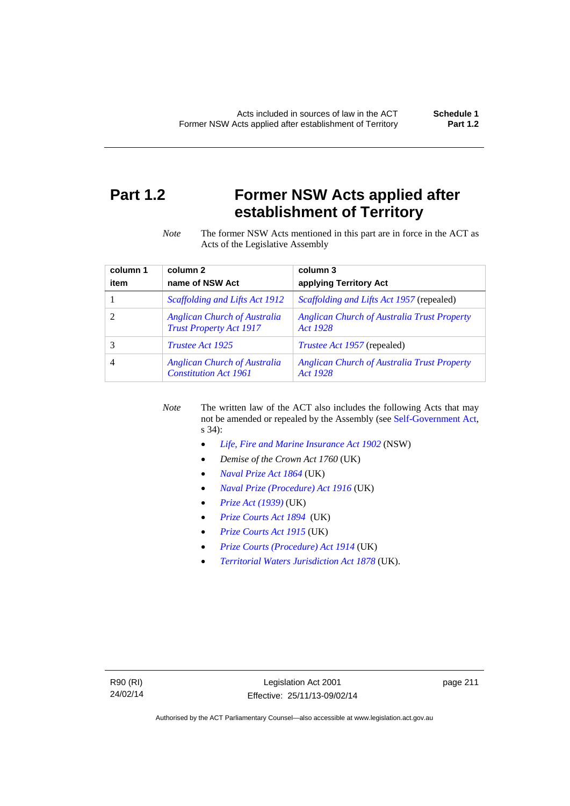# **Part 1.2 Former NSW Acts applied after establishment of Territory**

*Note* The former NSW Acts mentioned in this part are in force in the ACT as Acts of the Legislative Assembly

| column 1 | column <sub>2</sub>                                                   | column 3                                                       |
|----------|-----------------------------------------------------------------------|----------------------------------------------------------------|
| item     | name of NSW Act                                                       | applying Territory Act                                         |
|          | Scaffolding and Lifts Act 1912                                        | <i>Scaffolding and Lifts Act 1957</i> (repealed)               |
|          | <b>Anglican Church of Australia</b><br><b>Trust Property Act 1917</b> | <b>Anglican Church of Australia Trust Property</b><br>Act 1928 |
|          | <i>Trustee Act 1925</i>                                               | <i>Trustee Act 1957</i> (repealed)                             |
| 4        | <b>Anglican Church of Australia</b><br><b>Constitution Act 1961</b>   | <b>Anglican Church of Australia Trust Property</b><br>Act 1928 |

*Note* The written law of the ACT also includes the following Acts that may not be amended or repealed by the Assembly (see [Self-Government Act,](http://www.comlaw.gov.au/Series/C2004A03699) s 34):

- *[Life, Fire and Marine Insurance Act 1902](http://www.legislation.nsw.gov.au/maintop/scanact/sessional/NONE/0)* (NSW)
- *Demise of the Crown Act 1760* (UK)
- *[Naval Prize Act 1864](http://www.legislation.gov.uk/ukpga/Vict/27-28/25/contents)* (UK)
- *[Naval Prize \(Procedure\) Act 1916](http://www.legislation.gov.uk/ukpga/Geo5/6-7/2/contents)* (UK)
- *[Prize Act \(1939\)](http://www.legislation.gov.uk/ukpga/Geo6/2-3/65/contents)* (UK)
- *[Prize Courts Act 1894](http://www.legislation.gov.uk/ukpga/Vict/57-58/39/contents)* (UK)
- *[Prize Courts Act 1915](http://www.legislation.gov.uk/ukpga/Geo5/5-6/57/contents)* (UK)
- *[Prize Courts \(Procedure\) Act 1914](http://www.legislation.gov.uk/ukpga/Geo5/4-5/13/contents)* (UK)
- *[Territorial Waters Jurisdiction Act 1878](http://www.legislation.gov.uk/ukpga/Vict/41-42/73/contents)* (UK).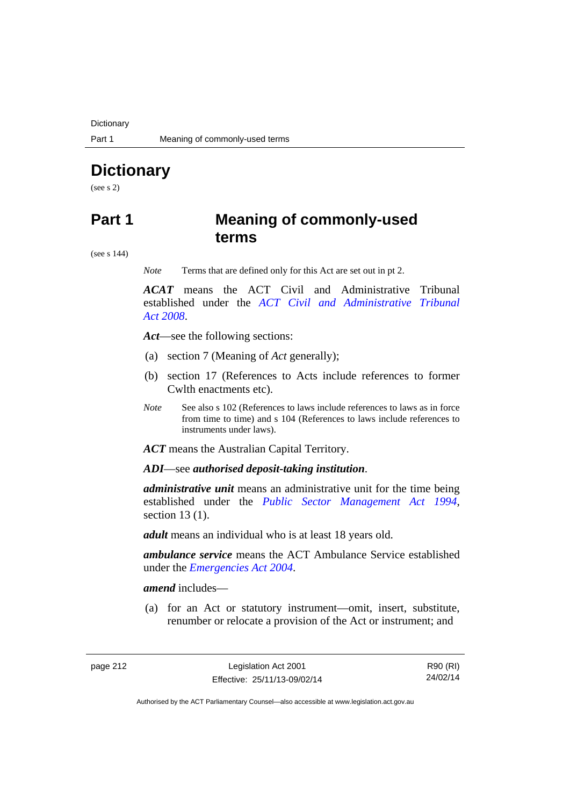**Dictionary** 

# **Dictionary**

(see s 2)

### **Part 1 Meaning of commonly-used terms**

(see s 144)

*Note* Terms that are defined only for this Act are set out in pt 2.

*ACAT* means the ACT Civil and Administrative Tribunal established under the *[ACT Civil and Administrative Tribunal](http://www.legislation.act.gov.au/a/2008-35)  [Act 2008](http://www.legislation.act.gov.au/a/2008-35)*.

*Act*—see the following sections:

- (a) section 7 (Meaning of *Act* generally);
- (b) section 17 (References to Acts include references to former Cwlth enactments etc).
- *Note* See also s 102 (References to laws include references to laws as in force from time to time) and s 104 (References to laws include references to instruments under laws).

*ACT* means the Australian Capital Territory.

*ADI*—see *authorised deposit-taking institution*.

*administrative unit* means an administrative unit for the time being established under the *[Public Sector Management Act 1994](http://www.legislation.act.gov.au/a/1994-37)*, section 13 (1).

*adult* means an individual who is at least 18 years old.

*ambulance service* means the ACT Ambulance Service established under the *[Emergencies Act 2004](http://www.legislation.act.gov.au/a/2004-28)*.

*amend* includes—

(a) for an Act or statutory instrument—omit, insert, substitute, renumber or relocate a provision of the Act or instrument; and

page 212 Legislation Act 2001 Effective: 25/11/13-09/02/14

R90 (RI) 24/02/14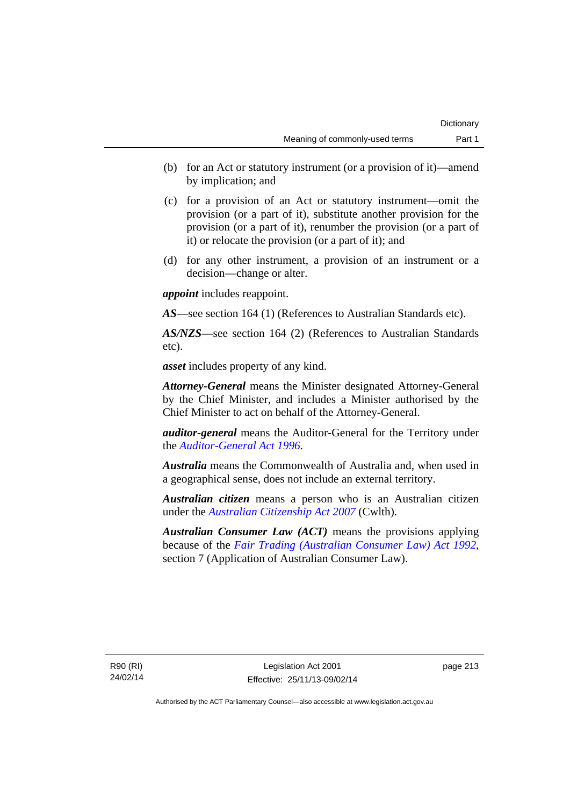- (b) for an Act or statutory instrument (or a provision of it)—amend by implication; and
- (c) for a provision of an Act or statutory instrument—omit the provision (or a part of it), substitute another provision for the provision (or a part of it), renumber the provision (or a part of it) or relocate the provision (or a part of it); and
- (d) for any other instrument, a provision of an instrument or a decision—change or alter.

*appoint* includes reappoint.

*AS*—see section 164 (1) (References to Australian Standards etc).

*AS/NZS*—see section 164 (2) (References to Australian Standards etc).

*asset* includes property of any kind.

*Attorney-General* means the Minister designated Attorney-General by the Chief Minister, and includes a Minister authorised by the Chief Minister to act on behalf of the Attorney-General.

*auditor-general* means the Auditor-General for the Territory under the *[Auditor-General Act 1996](http://www.legislation.act.gov.au/a/1996-23)*.

*Australia* means the Commonwealth of Australia and, when used in a geographical sense, does not include an external territory.

*Australian citizen* means a person who is an Australian citizen under the *[Australian Citizenship Act 2007](http://www.comlaw.gov.au/Series/C2007A00020)* (Cwlth).

*Australian Consumer Law (ACT)* means the provisions applying because of the *[Fair Trading \(Australian Consumer Law\) Act 1992](http://www.legislation.act.gov.au/a/1992-72)*, section 7 (Application of Australian Consumer Law).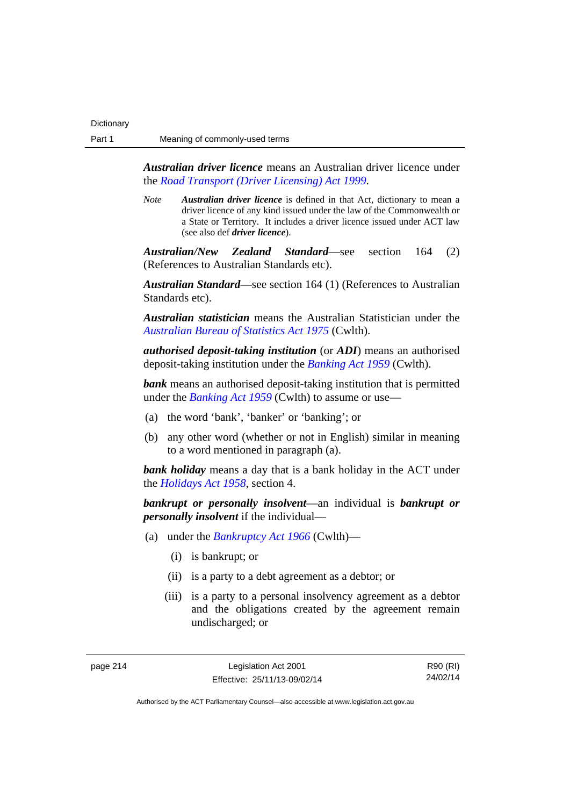*Australian driver licence* means an Australian driver licence under the *[Road Transport \(Driver Licensing\) Act 1999](http://www.legislation.act.gov.au/a/1999-78)*.

*Note Australian driver licence* is defined in that Act, dictionary to mean a driver licence of any kind issued under the law of the Commonwealth or a State or Territory. It includes a driver licence issued under ACT law (see also def *driver licence*).

*Australian/New Zealand Standard*—see section 164 (2) (References to Australian Standards etc).

*Australian Standard*—see section 164 (1) (References to Australian Standards etc).

*Australian statistician* means the Australian Statistician under the *[Australian Bureau of Statistics Act 1975](http://www.comlaw.gov.au/Series/C2004A00282)* (Cwlth).

*authorised deposit-taking institution* (or *ADI*) means an authorised deposit-taking institution under the *[Banking Act 1959](http://www.comlaw.gov.au/Series/C2004A07357)* (Cwlth).

**bank** means an authorised deposit-taking institution that is permitted under the *[Banking Act 1959](http://www.comlaw.gov.au/Series/C2004A07357)* (Cwlth) to assume or use—

- (a) the word 'bank', 'banker' or 'banking'; or
- (b) any other word (whether or not in English) similar in meaning to a word mentioned in paragraph (a).

*bank holiday* means a day that is a bank holiday in the ACT under the *[Holidays Act 1958](http://www.legislation.act.gov.au/a/1958-19)*, section 4.

*bankrupt or personally insolvent*—an individual is *bankrupt or personally insolvent* if the individual—

- (a) under the *[Bankruptcy Act 1966](http://www.comlaw.gov.au/Series/C2004A07422)* (Cwlth)—
	- (i) is bankrupt; or
	- (ii) is a party to a debt agreement as a debtor; or
	- (iii) is a party to a personal insolvency agreement as a debtor and the obligations created by the agreement remain undischarged; or

page 214 Legislation Act 2001 Effective: 25/11/13-09/02/14

R90 (RI) 24/02/14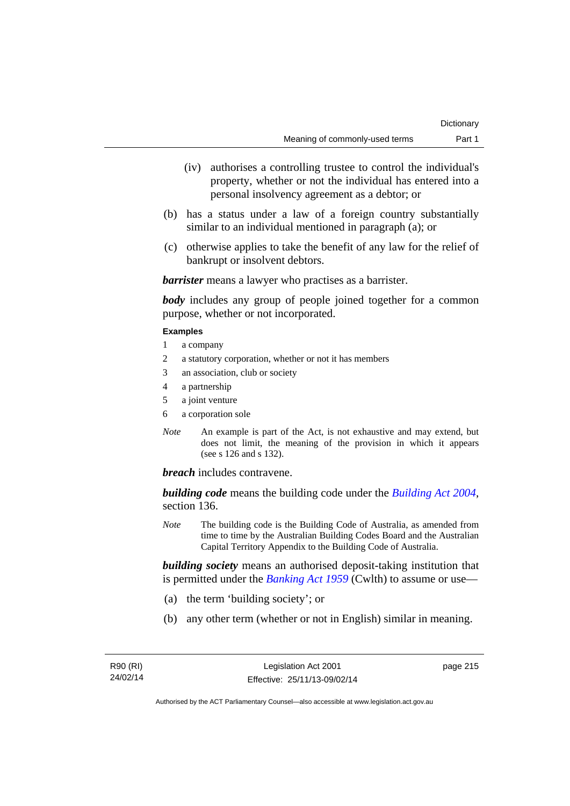- (iv) authorises a controlling trustee to control the individual's property, whether or not the individual has entered into a personal insolvency agreement as a debtor; or
- (b) has a status under a law of a foreign country substantially similar to an individual mentioned in paragraph (a); or
- (c) otherwise applies to take the benefit of any law for the relief of bankrupt or insolvent debtors.

*barrister* means a lawyer who practises as a barrister.

*body* includes any group of people joined together for a common purpose, whether or not incorporated.

### **Examples**

- 1 a company
- 2 a statutory corporation, whether or not it has members
- 3 an association, club or society
- 4 a partnership
- 5 a joint venture
- 6 a corporation sole
- *Note* An example is part of the Act, is not exhaustive and may extend, but does not limit, the meaning of the provision in which it appears (see s 126 and s 132).

*breach* includes contravene.

*building code* means the building code under the *[Building Act 2004](http://www.legislation.act.gov.au/a/2004-11)*, section 136.

*Note* The building code is the Building Code of Australia, as amended from time to time by the Australian Building Codes Board and the Australian Capital Territory Appendix to the Building Code of Australia.

*building society* means an authorised deposit-taking institution that is permitted under the *[Banking Act 1959](http://www.comlaw.gov.au/Series/C2004A07357)* (Cwlth) to assume or use—

- (a) the term 'building society'; or
- (b) any other term (whether or not in English) similar in meaning.

page 215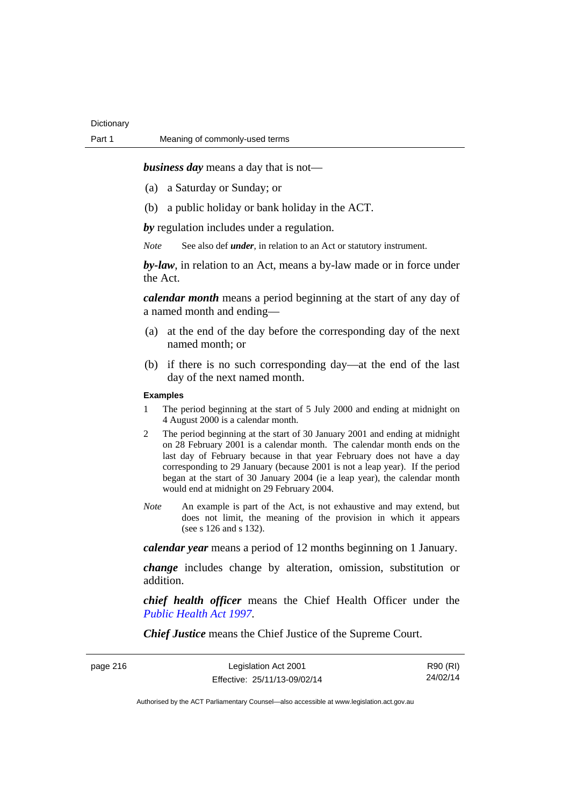*business day* means a day that is not—

- (a) a Saturday or Sunday; or
- (b) a public holiday or bank holiday in the ACT.

*by* regulation includes under a regulation.

*Note* See also def *under*, in relation to an Act or statutory instrument.

*by-law*, in relation to an Act, means a by-law made or in force under the Act.

*calendar month* means a period beginning at the start of any day of a named month and ending—

- (a) at the end of the day before the corresponding day of the next named month; or
- (b) if there is no such corresponding day—at the end of the last day of the next named month.

### **Examples**

- 1 The period beginning at the start of 5 July 2000 and ending at midnight on 4 August 2000 is a calendar month.
- 2 The period beginning at the start of 30 January 2001 and ending at midnight on 28 February 2001 is a calendar month. The calendar month ends on the last day of February because in that year February does not have a day corresponding to 29 January (because 2001 is not a leap year). If the period began at the start of 30 January 2004 (ie a leap year), the calendar month would end at midnight on 29 February 2004.
- *Note* An example is part of the Act, is not exhaustive and may extend, but does not limit, the meaning of the provision in which it appears (see s 126 and s 132).

*calendar year* means a period of 12 months beginning on 1 January.

*change* includes change by alteration, omission, substitution or addition.

*chief health officer* means the Chief Health Officer under the *[Public Health Act 1997](http://www.legislation.act.gov.au/a/1997-69)*.

*Chief Justice* means the Chief Justice of the Supreme Court.

| page 216 |  |
|----------|--|
|----------|--|

R90 (RI) 24/02/14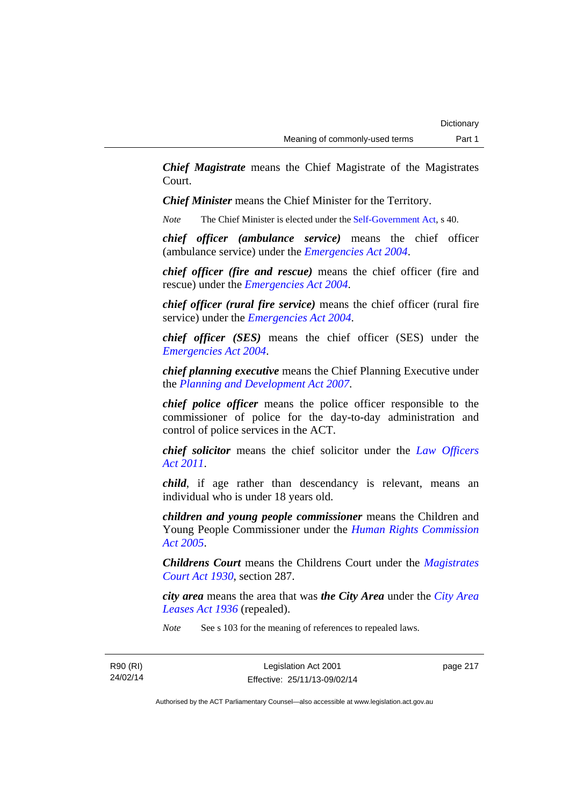*Chief Magistrate* means the Chief Magistrate of the Magistrates Court.

*Chief Minister* means the Chief Minister for the Territory.

*Note* The Chief Minister is elected under the [Self-Government Act](http://www.comlaw.gov.au/Series/C2004A03699), s 40.

*chief officer (ambulance service)* means the chief officer (ambulance service) under the *[Emergencies Act 2004](http://www.legislation.act.gov.au/a/2004-28)*.

*chief officer (fire and rescue)* means the chief officer (fire and rescue) under the *[Emergencies Act 2004](http://www.legislation.act.gov.au/a/2004-28)*.

*chief officer (rural fire service)* means the chief officer (rural fire service) under the *[Emergencies Act 2004](http://www.legislation.act.gov.au/a/2004-28)*.

*chief officer (SES)* means the chief officer (SES) under the *[Emergencies Act 2004](http://www.legislation.act.gov.au/a/2004-28)*.

*chief planning executive* means the Chief Planning Executive under the *[Planning and Development Act 2007](http://www.legislation.act.gov.au/a/2007-24)*.

*chief police officer* means the police officer responsible to the commissioner of police for the day-to-day administration and control of police services in the ACT.

*chief solicitor* means the chief solicitor under the *[Law Officers](http://www.legislation.act.gov.au/a/2011-30)  [Act 2011](http://www.legislation.act.gov.au/a/2011-30)*.

*child*, if age rather than descendancy is relevant, means an individual who is under 18 years old.

*children and young people commissioner* means the Children and Young People Commissioner under the *[Human Rights Commission](http://www.legislation.act.gov.au/a/2005-40)  [Act 2005](http://www.legislation.act.gov.au/a/2005-40)*.

*Childrens Court* means the Childrens Court under the *[Magistrates](http://www.legislation.act.gov.au/a/1930-21)  [Court Act 1930](http://www.legislation.act.gov.au/a/1930-21)*, section 287.

*city area* means the area that was *the City Area* under the *[City Area](http://www.legislation.act.gov.au/a/1936-31)  [Leases Act 1936](http://www.legislation.act.gov.au/a/1936-31)* (repealed).

*Note* See s 103 for the meaning of references to repealed laws.

page 217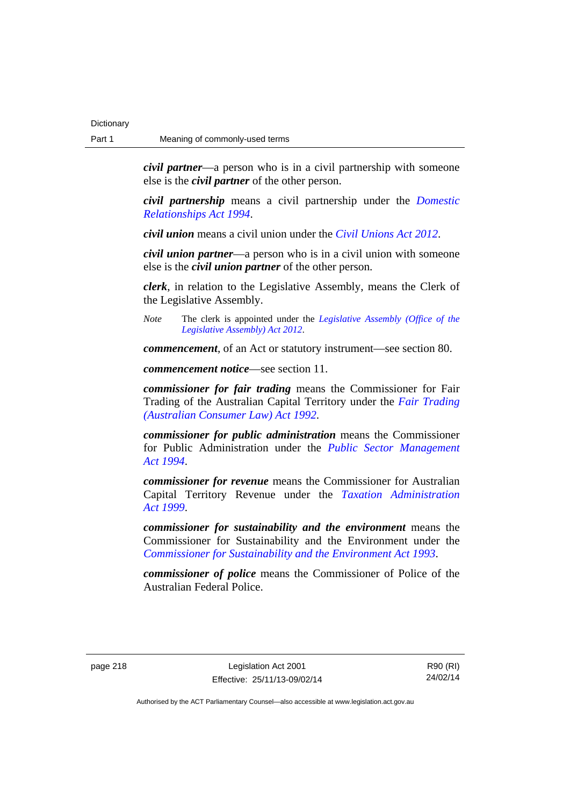*civil partner*—a person who is in a civil partnership with someone else is the *civil partner* of the other person.

*civil partnership* means a civil partnership under the *[Domestic](http://www.legislation.act.gov.au/a/1994-28)  [Relationships Act 1994](http://www.legislation.act.gov.au/a/1994-28)*.

*civil union* means a civil union under the *[Civil Unions Act 2012](http://www.legislation.act.gov.au/a/2012-40)*.

*civil union partner*—a person who is in a civil union with someone else is the *civil union partner* of the other person.

*clerk*, in relation to the Legislative Assembly, means the Clerk of the Legislative Assembly.

*Note* The clerk is appointed under the *[Legislative Assembly \(Office of the](http://www.legislation.act.gov.au/a/2012-26)  [Legislative Assembly\) Act 2012](http://www.legislation.act.gov.au/a/2012-26)*.

*commencement*, of an Act or statutory instrument—see section 80.

*commencement notice*—see section 11.

*commissioner for fair trading* means the Commissioner for Fair Trading of the Australian Capital Territory under the *[Fair Trading](http://www.legislation.act.gov.au/a/1992-72)  [\(Australian Consumer Law\) Act 1992](http://www.legislation.act.gov.au/a/1992-72)*.

*commissioner for public administration* means the Commissioner for Public Administration under the *[Public Sector Management](http://www.legislation.act.gov.au/a/1994-37)  [Act 1994](http://www.legislation.act.gov.au/a/1994-37)*.

*commissioner for revenue* means the Commissioner for Australian Capital Territory Revenue under the *[Taxation Administration](http://www.legislation.act.gov.au/a/1999-4)  [Act 1999](http://www.legislation.act.gov.au/a/1999-4)*.

*commissioner for sustainability and the environment* means the Commissioner for Sustainability and the Environment under the *[Commissioner for Sustainability and the Environment Act 1993](http://www.legislation.act.gov.au/a/1993-37)*.

*commissioner of police* means the Commissioner of Police of the Australian Federal Police.

page 218 Legislation Act 2001 Effective: 25/11/13-09/02/14

R90 (RI) 24/02/14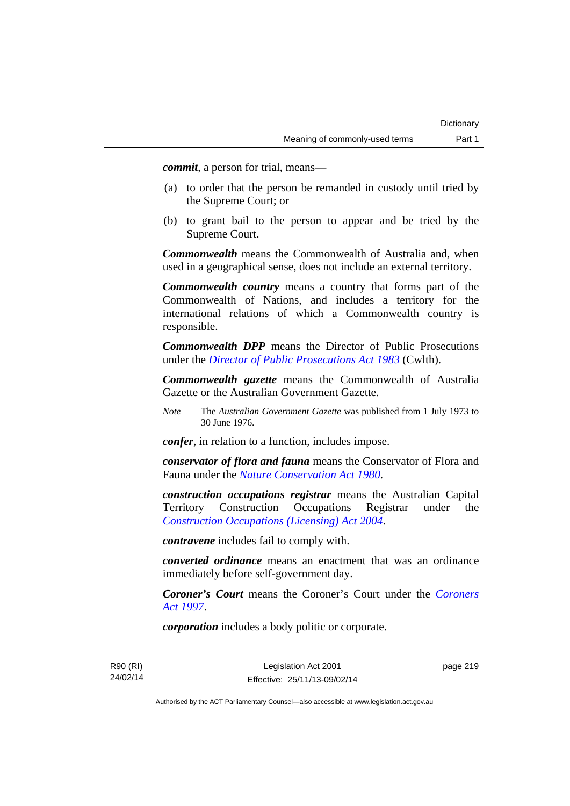*commit*, a person for trial, means—

- (a) to order that the person be remanded in custody until tried by the Supreme Court; or
- (b) to grant bail to the person to appear and be tried by the Supreme Court.

*Commonwealth* means the Commonwealth of Australia and, when used in a geographical sense, does not include an external territory.

*Commonwealth country* means a country that forms part of the Commonwealth of Nations, and includes a territory for the international relations of which a Commonwealth country is responsible.

*Commonwealth DPP* means the Director of Public Prosecutions under the *[Director of Public Prosecutions Act 1983](http://www.comlaw.gov.au/Series/C2004A02830)* (Cwlth).

*Commonwealth gazette* means the Commonwealth of Australia Gazette or the Australian Government Gazette.

*Note* The *Australian Government Gazette* was published from 1 July 1973 to 30 June 1976.

*confer*, in relation to a function, includes impose.

*conservator of flora and fauna* means the Conservator of Flora and Fauna under the *[Nature Conservation Act 1980](http://www.legislation.act.gov.au/a/1980-20)*.

*construction occupations registrar* means the Australian Capital Territory Construction Occupations Registrar under the *[Construction Occupations \(Licensing\) Act 2004](http://www.legislation.act.gov.au/a/2004-12)*.

*contravene* includes fail to comply with.

*converted ordinance* means an enactment that was an ordinance immediately before self-government day.

*Coroner's Court* means the Coroner's Court under the *[Coroners](http://www.legislation.act.gov.au/a/1997-57)  [Act 1997](http://www.legislation.act.gov.au/a/1997-57)*.

*corporation* includes a body politic or corporate.

R90 (RI) 24/02/14 page 219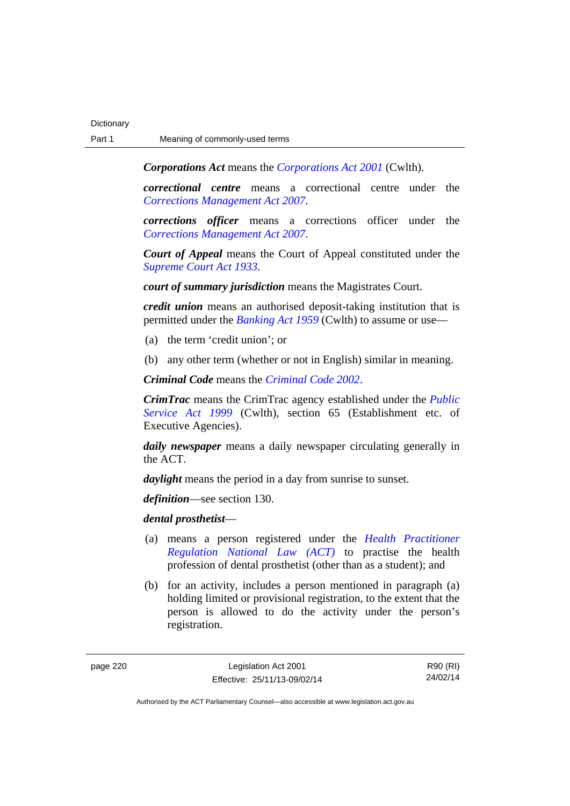*Corporations Act* means the *[Corporations Act 2001](http://www.comlaw.gov.au/Series/C2004A00818)* (Cwlth).

*correctional centre* means a correctional centre under the *[Corrections Management Act 2007](http://www.legislation.act.gov.au/a/2007-15)*.

*corrections officer* means a corrections officer under the *[Corrections Management Act 2007](http://www.legislation.act.gov.au/a/2007-15)*.

*Court of Appeal* means the Court of Appeal constituted under the *[Supreme Court Act 1933](http://www.legislation.act.gov.au/a/1933-34)*.

*court of summary jurisdiction* means the Magistrates Court.

*credit union* means an authorised deposit-taking institution that is permitted under the *[Banking Act 1959](http://www.comlaw.gov.au/Series/C2004A07357)* (Cwlth) to assume or use—

- (a) the term 'credit union'; or
- (b) any other term (whether or not in English) similar in meaning.

*Criminal Code* means the *[Criminal Code 2002](http://www.legislation.act.gov.au/a/2002-51)*.

*CrimTrac* means the CrimTrac agency established under the *[Public](http://www.comlaw.gov.au/Series/C2004A00538)  [Service Act 1999](http://www.comlaw.gov.au/Series/C2004A00538)* (Cwlth), section 65 (Establishment etc. of Executive Agencies).

*daily newspaper* means a daily newspaper circulating generally in the ACT.

*daylight* means the period in a day from sunrise to sunset.

*definition*—see section 130.

*dental prosthetist*—

- (a) means a person registered under the *[Health Practitioner](http://www.legislation.act.gov.au/a/db_39269/default.asp)  [Regulation National Law \(ACT\)](http://www.legislation.act.gov.au/a/db_39269/default.asp)* to practise the health profession of dental prosthetist (other than as a student); and
- (b) for an activity, includes a person mentioned in paragraph (a) holding limited or provisional registration, to the extent that the person is allowed to do the activity under the person's registration.

page 220 Legislation Act 2001 Effective: 25/11/13-09/02/14

R90 (RI) 24/02/14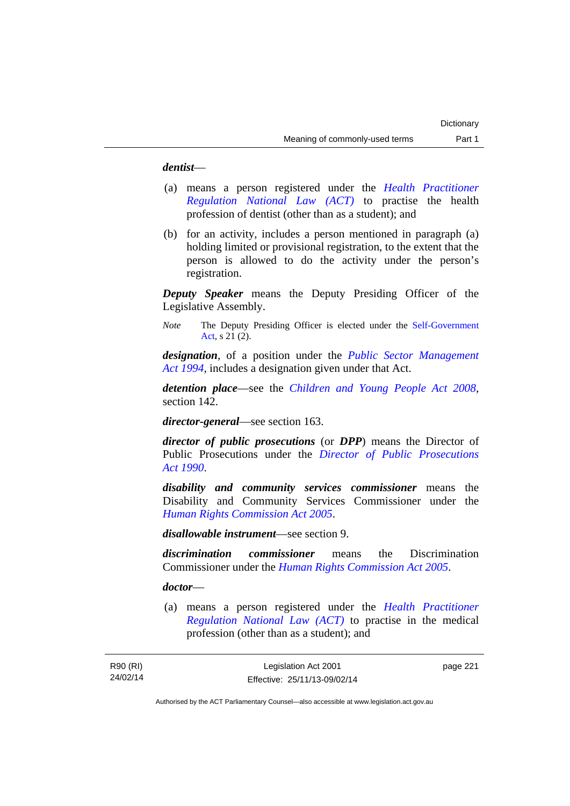### *dentist*—

- (a) means a person registered under the *[Health Practitioner](http://www.legislation.act.gov.au/a/db_39269/default.asp)  [Regulation National Law \(ACT\)](http://www.legislation.act.gov.au/a/db_39269/default.asp)* to practise the health profession of dentist (other than as a student); and
- (b) for an activity, includes a person mentioned in paragraph (a) holding limited or provisional registration, to the extent that the person is allowed to do the activity under the person's registration.

*Deputy Speaker* means the Deputy Presiding Officer of the Legislative Assembly.

*Note* The Deputy Presiding Officer is elected under the [Self-Government](http://www.comlaw.gov.au/Series/C2004A03699)  [Act](http://www.comlaw.gov.au/Series/C2004A03699), s 21 (2).

*designation*, of a position under the *[Public Sector Management](http://www.legislation.act.gov.au/a/1994-37)  [Act 1994](http://www.legislation.act.gov.au/a/1994-37)*, includes a designation given under that Act.

*detention place*—see the *[Children and Young People Act 2008](http://www.legislation.act.gov.au/a/2008-19)*, section 142.

*director-general*—see section 163.

*director of public prosecutions* (or *DPP*) means the Director of Public Prosecutions under the *[Director of Public Prosecutions](http://www.legislation.act.gov.au/a/1990-22)  [Act 1990](http://www.legislation.act.gov.au/a/1990-22)*.

*disability and community services commissioner* means the Disability and Community Services Commissioner under the *[Human Rights Commission Act 2005](http://www.legislation.act.gov.au/a/2005-40)*.

*disallowable instrument*—see section 9.

*discrimination commissioner* means the Discrimination Commissioner under the *[Human Rights Commission Act 2005](http://www.legislation.act.gov.au/a/2005-40)*.

### *doctor*—

(a) means a person registered under the *[Health Practitioner](http://www.legislation.act.gov.au/a/db_39269/default.asp)  [Regulation National Law \(ACT\)](http://www.legislation.act.gov.au/a/db_39269/default.asp)* to practise in the medical profession (other than as a student); and

page 221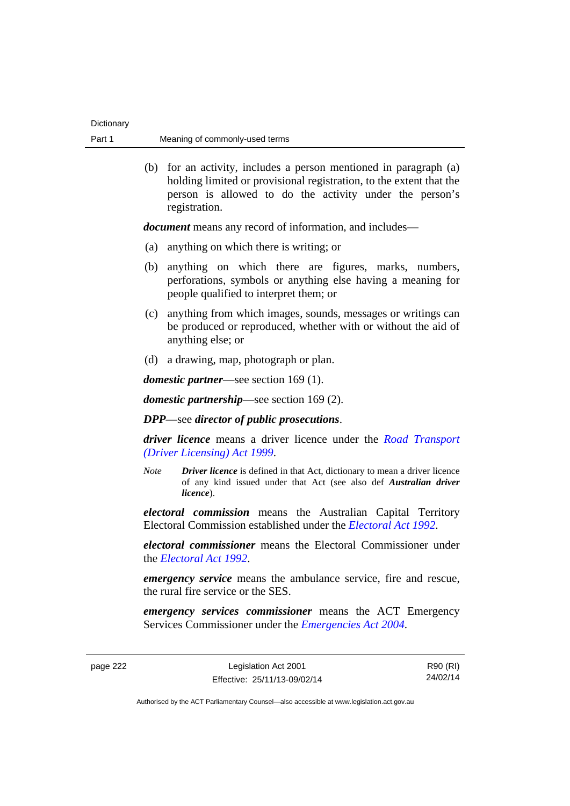| Dictionary |                                |
|------------|--------------------------------|
| Part 1     | Meaning of commonly-used terms |

 (b) for an activity, includes a person mentioned in paragraph (a) holding limited or provisional registration, to the extent that the person is allowed to do the activity under the person's registration.

*document* means any record of information, and includes—

- (a) anything on which there is writing; or
- (b) anything on which there are figures, marks, numbers, perforations, symbols or anything else having a meaning for people qualified to interpret them; or
- (c) anything from which images, sounds, messages or writings can be produced or reproduced, whether with or without the aid of anything else; or
- (d) a drawing, map, photograph or plan.

*domestic partner*—see section 169 (1).

*domestic partnership*—see section 169 (2).

*DPP*—see *director of public prosecutions*.

*driver licence* means a driver licence under the *[Road Transport](http://www.legislation.act.gov.au/a/1999-78)  [\(Driver Licensing\) Act 1999](http://www.legislation.act.gov.au/a/1999-78)*.

*Note Driver licence* is defined in that Act, dictionary to mean a driver licence of any kind issued under that Act (see also def *Australian driver licence*).

*electoral commission* means the Australian Capital Territory Electoral Commission established under the *[Electoral Act 1992](http://www.legislation.act.gov.au/a/1992-71)*.

*electoral commissioner* means the Electoral Commissioner under the *[Electoral Act 1992](http://www.legislation.act.gov.au/a/1992-71)*.

*emergency service* means the ambulance service, fire and rescue, the rural fire service or the SES.

*emergency services commissioner* means the ACT Emergency Services Commissioner under the *[Emergencies Act 2004](http://www.legislation.act.gov.au/a/2004-28)*.

page 222 Legislation Act 2001 Effective: 25/11/13-09/02/14

R90 (RI) 24/02/14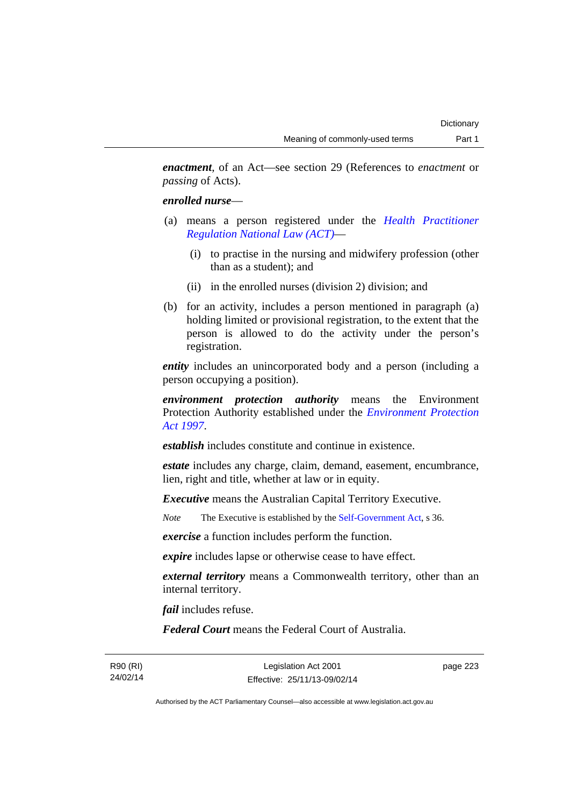*enactment*, of an Act—see section 29 (References to *enactment* or *passing* of Acts).

### *enrolled nurse*—

- (a) means a person registered under the *[Health Practitioner](http://www.legislation.act.gov.au/a/db_39269/default.asp)  [Regulation National Law \(ACT\)](http://www.legislation.act.gov.au/a/db_39269/default.asp)*—
	- (i) to practise in the nursing and midwifery profession (other than as a student); and
	- (ii) in the enrolled nurses (division 2) division; and
- (b) for an activity, includes a person mentioned in paragraph (a) holding limited or provisional registration, to the extent that the person is allowed to do the activity under the person's registration.

*entity* includes an unincorporated body and a person (including a person occupying a position).

*environment protection authority* means the Environment Protection Authority established under the *[Environment Protection](http://www.legislation.act.gov.au/a/1997-92)  [Act 1997](http://www.legislation.act.gov.au/a/1997-92)*.

*establish* includes constitute and continue in existence.

*estate* includes any charge, claim, demand, easement, encumbrance, lien, right and title, whether at law or in equity.

*Executive* means the Australian Capital Territory Executive.

*Note* The Executive is established by the [Self-Government Act](http://www.comlaw.gov.au/Series/C2004A03699), s 36.

*exercise* a function includes perform the function.

*expire* includes lapse or otherwise cease to have effect.

*external territory* means a Commonwealth territory, other than an internal territory.

*fail* includes refuse.

*Federal Court* means the Federal Court of Australia.

R90 (RI) 24/02/14

Legislation Act 2001 Effective: 25/11/13-09/02/14 page 223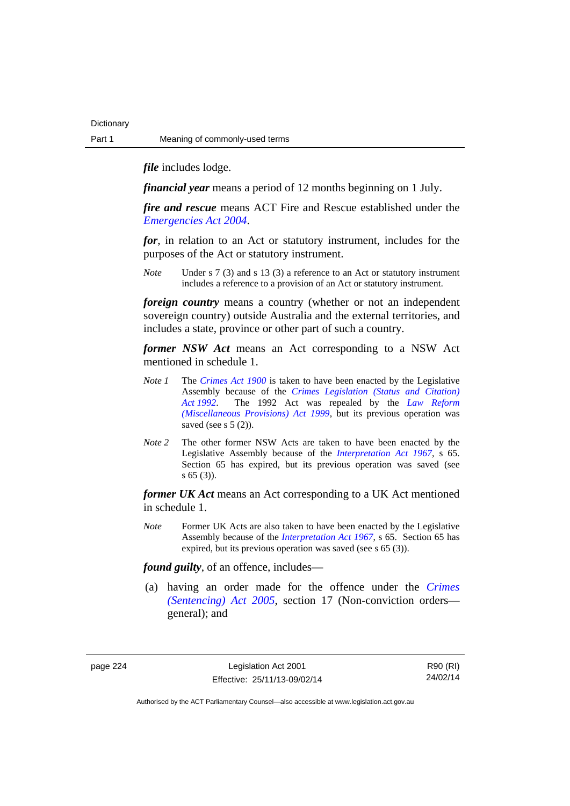*file* includes lodge.

*financial year* means a period of 12 months beginning on 1 July.

*fire and rescue* means ACT Fire and Rescue established under the *[Emergencies Act 2004](http://www.legislation.act.gov.au/a/2004-28)*.

*for*, in relation to an Act or statutory instrument, includes for the purposes of the Act or statutory instrument.

*Note* Under s 7 (3) and s 13 (3) a reference to an Act or statutory instrument includes a reference to a provision of an Act or statutory instrument.

*foreign country* means a country (whether or not an independent sovereign country) outside Australia and the external territories, and includes a state, province or other part of such a country.

*former NSW Act* means an Act corresponding to a NSW Act mentioned in schedule 1.

- *Note 1* The *[Crimes Act 1900](http://www.legislation.act.gov.au/a/1900-40)* is taken to have been enacted by the Legislative Assembly because of the *[Crimes Legislation \(Status and Citation\)](http://www.legislation.act.gov.au/a/1992-6)  [Act 1992](http://www.legislation.act.gov.au/a/1992-6)*. The 1992 Act was repealed by the *[Law Reform](http://www.legislation.act.gov.au/a/1999-66)  [\(Miscellaneous Provisions\) Act 1999](http://www.legislation.act.gov.au/a/1999-66)*, but its previous operation was saved (see s  $5(2)$ ).
- *Note 2* The other former NSW Acts are taken to have been enacted by the Legislative Assembly because of the *[Interpretation Act 1967](http://www.legislation.act.gov.au/a/1967-48)*, s 65. Section 65 has expired, but its previous operation was saved (see s 65 (3)).

*former UK Act* means an Act corresponding to a UK Act mentioned in schedule 1.

*Note* Former UK Acts are also taken to have been enacted by the Legislative Assembly because of the *[Interpretation Act 1967](http://www.legislation.act.gov.au/a/1967-48)*, s 65. Section 65 has expired, but its previous operation was saved (see s 65 (3)).

*found guilty*, of an offence, includes—

 (a) having an order made for the offence under the *[Crimes](http://www.legislation.act.gov.au/a/2005-58)  [\(Sentencing\) Act 2005](http://www.legislation.act.gov.au/a/2005-58)*, section 17 (Non-conviction orders general); and

page 224 Legislation Act 2001 Effective: 25/11/13-09/02/14

R90 (RI) 24/02/14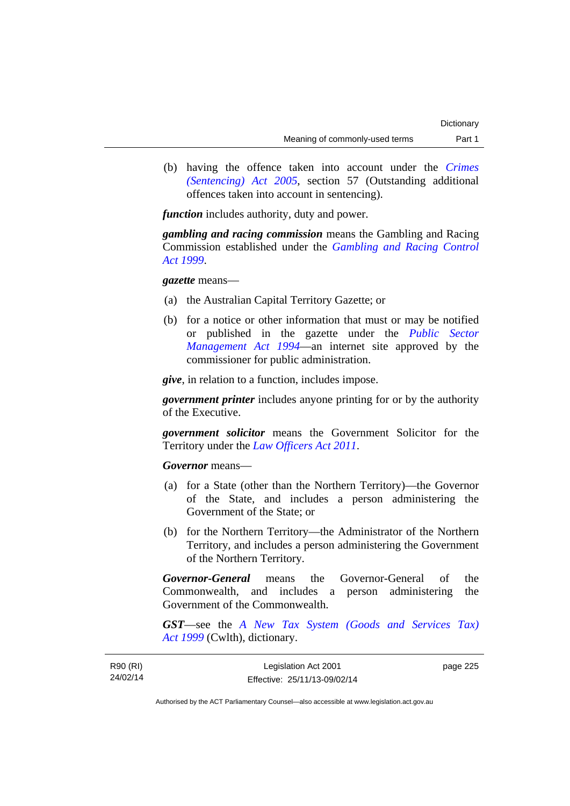(b) having the offence taken into account under the *[Crimes](http://www.legislation.act.gov.au/a/2005-58)  [\(Sentencing\) Act 2005](http://www.legislation.act.gov.au/a/2005-58)*, section 57 (Outstanding additional offences taken into account in sentencing).

*function* includes authority, duty and power.

*gambling and racing commission* means the Gambling and Racing Commission established under the *[Gambling and Racing Control](http://www.legislation.act.gov.au/a/1999-46)  [Act 1999](http://www.legislation.act.gov.au/a/1999-46)*.

### *gazette* means—

- (a) the Australian Capital Territory Gazette; or
- (b) for a notice or other information that must or may be notified or published in the gazette under the *[Public Sector](http://www.legislation.act.gov.au/a/1994-37)  [Management Act 1994](http://www.legislation.act.gov.au/a/1994-37)*—an internet site approved by the commissioner for public administration.

*give*, in relation to a function, includes impose.

*government printer* includes anyone printing for or by the authority of the Executive.

*government solicitor* means the Government Solicitor for the Territory under the *[Law Officers Act 2011](http://www.legislation.act.gov.au/a/2011-30)*.

*Governor* means—

- (a) for a State (other than the Northern Territory)—the Governor of the State, and includes a person administering the Government of the State; or
- (b) for the Northern Territory—the Administrator of the Northern Territory, and includes a person administering the Government of the Northern Territory.

*Governor-General* means the Governor-General of the Commonwealth, and includes a person administering the Government of the Commonwealth.

*GST*—see the *[A New Tax System \(Goods and Services Tax\)](http://www.comlaw.gov.au/Series/C2004A00446)  [Act 1999](http://www.comlaw.gov.au/Series/C2004A00446)* (Cwlth), dictionary.

| R90 (RI) | Legislation Act 2001         | page 225 |
|----------|------------------------------|----------|
| 24/02/14 | Effective: 25/11/13-09/02/14 |          |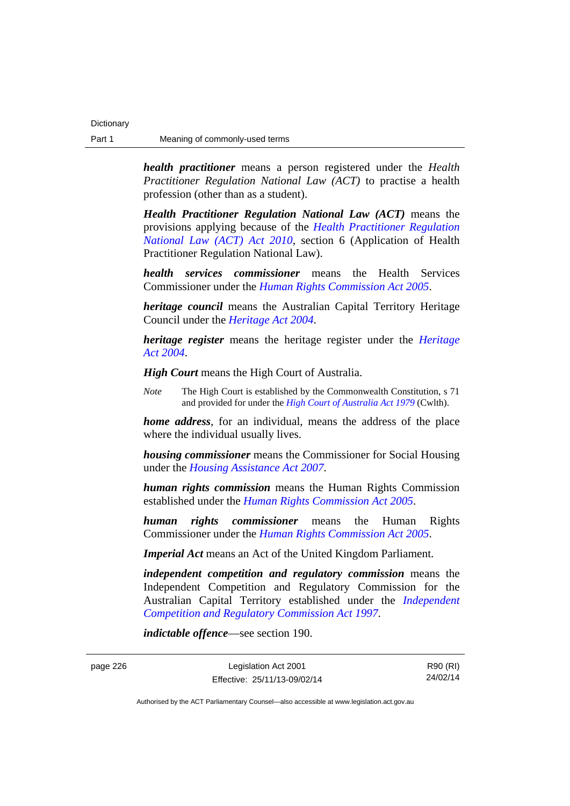*health practitioner* means a person registered under the *Health Practitioner Regulation National Law (ACT)* to practise a health profession (other than as a student).

*Health Practitioner Regulation National Law (ACT)* means the provisions applying because of the *[Health Practitioner Regulation](http://www.legislation.act.gov.au/a/2010-10)  [National Law \(ACT\) Act 2010](http://www.legislation.act.gov.au/a/2010-10)*, section 6 (Application of Health Practitioner Regulation National Law).

*health services commissioner* means the Health Services Commissioner under the *[Human Rights Commission Act 2005](http://www.legislation.act.gov.au/a/2005-40)*.

*heritage council* means the Australian Capital Territory Heritage Council under the *[Heritage Act 2004](http://www.legislation.act.gov.au/a/2004-57)*.

*heritage register* means the heritage register under the *[Heritage](http://www.legislation.act.gov.au/a/2004-57)  [Act 2004](http://www.legislation.act.gov.au/a/2004-57)*.

*High Court* means the High Court of Australia.

*Note* The High Court is established by the Commonwealth Constitution, s 71 and provided for under the *[High Court of Australia Act 1979](http://www.comlaw.gov.au/Series/C2004A02147)* (Cwlth).

*home address*, for an individual, means the address of the place where the individual usually lives.

*housing commissioner* means the Commissioner for Social Housing under the *[Housing Assistance Act 2007](http://www.legislation.act.gov.au/a/2007-8)*.

*human rights commission* means the Human Rights Commission established under the *[Human Rights Commission Act 2005](http://www.legislation.act.gov.au/a/2005-40)*.

*human rights commissioner* means the Human Rights Commissioner under the *[Human Rights Commission Act 2005](http://www.legislation.act.gov.au/a/2005-40)*.

*Imperial Act* means an Act of the United Kingdom Parliament.

*independent competition and regulatory commission* means the Independent Competition and Regulatory Commission for the Australian Capital Territory established under the *[Independent](http://www.legislation.act.gov.au/a/1997-77)  [Competition and Regulatory Commission Act 1997](http://www.legislation.act.gov.au/a/1997-77)*.

*indictable offence*—see section 190.

page 226 Legislation Act 2001 Effective: 25/11/13-09/02/14

R90 (RI) 24/02/14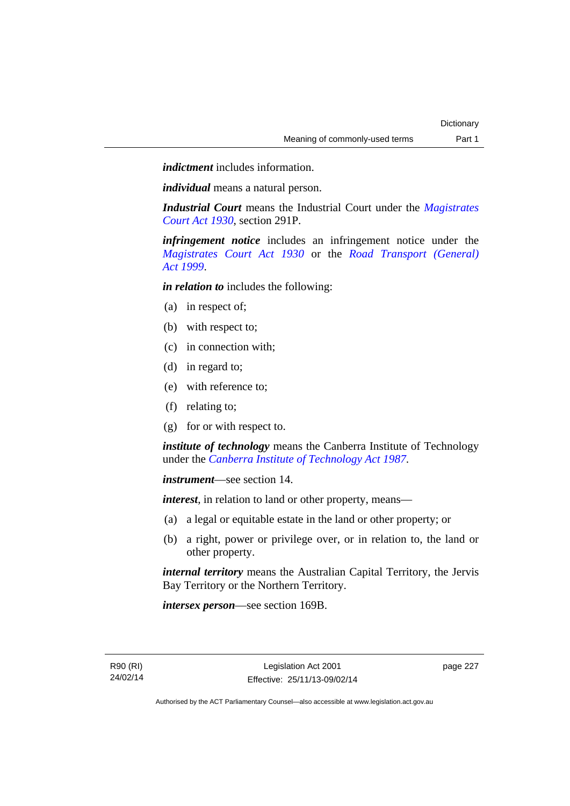*indictment* includes information.

*individual* means a natural person.

*Industrial Court* means the Industrial Court under the *[Magistrates](http://www.legislation.act.gov.au/a/1930-21)  [Court Act 1930](http://www.legislation.act.gov.au/a/1930-21)*, section 291P.

*infringement notice* includes an infringement notice under the *[Magistrates Court Act 1930](http://www.legislation.act.gov.au/a/1930-21)* or the *[Road Transport \(General\)](http://www.legislation.act.gov.au/a/1999-77)  [Act 1999](http://www.legislation.act.gov.au/a/1999-77)*.

*in relation to* includes the following:

- (a) in respect of;
- (b) with respect to;
- (c) in connection with;
- (d) in regard to;
- (e) with reference to;
- (f) relating to;
- (g) for or with respect to.

*institute of technology* means the Canberra Institute of Technology under the *[Canberra Institute of Technology Act 1987](http://www.legislation.act.gov.au/a/1987-71)*.

*instrument*—see section 14.

*interest*, in relation to land or other property, means—

- (a) a legal or equitable estate in the land or other property; or
- (b) a right, power or privilege over, or in relation to, the land or other property.

*internal territory* means the Australian Capital Territory, the Jervis Bay Territory or the Northern Territory.

*intersex person*—see section 169B.

page 227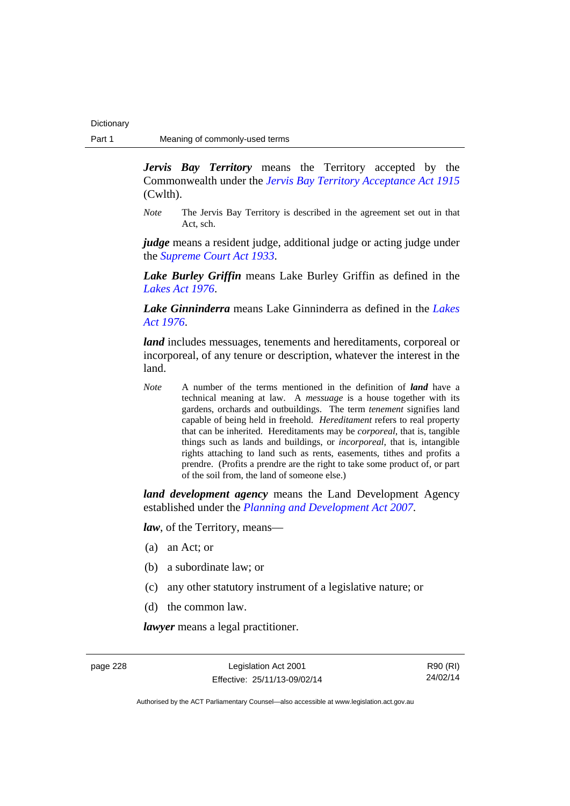*Jervis Bay Territory* means the Territory accepted by the Commonwealth under the *[Jervis Bay Territory Acceptance Act 1915](http://www.comlaw.gov.au/Series/C2004A07489)* (Cwlth).

*Note* The Jervis Bay Territory is described in the agreement set out in that Act, sch.

*judge* means a resident judge, additional judge or acting judge under the *[Supreme Court Act 1933](http://www.legislation.act.gov.au/a/1933-34)*.

*Lake Burley Griffin* means Lake Burley Griffin as defined in the *[Lakes Act 1976](http://www.legislation.act.gov.au/a/1976-65)*.

*Lake Ginninderra* means Lake Ginninderra as defined in the *[Lakes](http://www.legislation.act.gov.au/a/1976-65)  [Act 1976](http://www.legislation.act.gov.au/a/1976-65)*.

*land* includes messuages, tenements and hereditaments, corporeal or incorporeal, of any tenure or description, whatever the interest in the land.

*Note* A number of the terms mentioned in the definition of *land* have a technical meaning at law. A *messuage* is a house together with its gardens, orchards and outbuildings. The term *tenement* signifies land capable of being held in freehold. *Hereditament* refers to real property that can be inherited. Hereditaments may be *corporeal*, that is, tangible things such as lands and buildings, or *incorporeal*, that is, intangible rights attaching to land such as rents, easements, tithes and profits a prendre. (Profits a prendre are the right to take some product of, or part of the soil from, the land of someone else.)

*land development agency* means the Land Development Agency established under the *[Planning and Development Act 2007](http://www.legislation.act.gov.au/a/2007-24)*.

*law*, of the Territory, means—

- (a) an Act; or
- (b) a subordinate law; or
- (c) any other statutory instrument of a legislative nature; or
- (d) the common law.

*lawyer* means a legal practitioner.

page 228 Legislation Act 2001 Effective: 25/11/13-09/02/14

R90 (RI) 24/02/14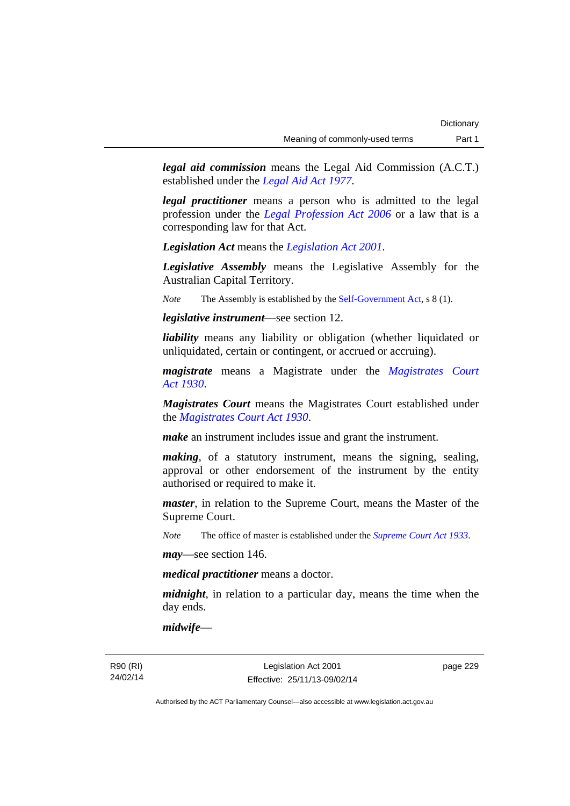*legal aid commission* means the Legal Aid Commission (A.C.T.) established under the *[Legal Aid Act 1977](http://www.legislation.act.gov.au/a/1977-31)*.

*legal practitioner* means a person who is admitted to the legal profession under the *[Legal Profession Act 2006](http://www.legislation.act.gov.au/a/2006-25)* or a law that is a corresponding law for that Act.

*Legislation Act* means the *[Legislation Act 2001](http://www.legislation.act.gov.au/a/2001-14)*.

*Legislative Assembly* means the Legislative Assembly for the Australian Capital Territory.

*Note* The Assembly is established by the [Self-Government Act](http://www.comlaw.gov.au/Series/C2004A03699), s 8 (1).

*legislative instrument*—see section 12.

*liability* means any liability or obligation (whether liquidated or unliquidated, certain or contingent, or accrued or accruing).

*magistrate* means a Magistrate under the *[Magistrates Court](http://www.legislation.act.gov.au/a/1930-21)  [Act 1930](http://www.legislation.act.gov.au/a/1930-21)*.

*Magistrates Court* means the Magistrates Court established under the *[Magistrates Court Act 1930](http://www.legislation.act.gov.au/a/1930-21)*.

*make* an instrument includes issue and grant the instrument.

*making*, of a statutory instrument, means the signing, sealing, approval or other endorsement of the instrument by the entity authorised or required to make it.

*master*, in relation to the Supreme Court, means the Master of the Supreme Court.

*Note* The office of master is established under the *[Supreme Court Act 1933](http://www.legislation.act.gov.au/a/1933-34)*.

*may*—see section 146.

*medical practitioner* means a doctor.

*midnight*, in relation to a particular day, means the time when the day ends.

*midwife*—

R90 (RI) 24/02/14

Legislation Act 2001 Effective: 25/11/13-09/02/14 page 229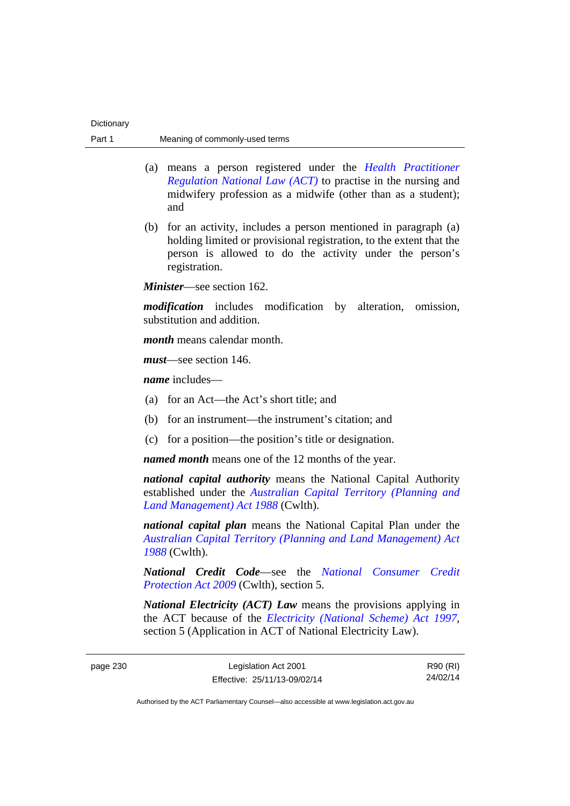- (a) means a person registered under the *[Health Practitioner](http://www.legislation.act.gov.au/a/db_39269/default.asp)  [Regulation National Law \(ACT\)](http://www.legislation.act.gov.au/a/db_39269/default.asp)* to practise in the nursing and midwifery profession as a midwife (other than as a student); and
- (b) for an activity, includes a person mentioned in paragraph (a) holding limited or provisional registration, to the extent that the person is allowed to do the activity under the person's registration.

*Minister*—see section 162.

*modification* includes modification by alteration, omission, substitution and addition.

*month* means calendar month.

*must*—see section 146.

*name* includes—

- (a) for an Act—the Act's short title; and
- (b) for an instrument—the instrument's citation; and
- (c) for a position—the position's title or designation.

*named month* means one of the 12 months of the year.

*national capital authority* means the National Capital Authority established under the *[Australian Capital Territory \(Planning and](http://www.comlaw.gov.au/Series/C2004A03701)  [Land Management\) Act 1988](http://www.comlaw.gov.au/Series/C2004A03701)* (Cwlth).

*national capital plan* means the National Capital Plan under the *[Australian Capital Territory \(Planning and Land Management\) Act](http://www.comlaw.gov.au/Series/C2004A03701)  [1988](http://www.comlaw.gov.au/Series/C2004A03701)* (Cwlth).

*National Credit Code*—see the *[National Consumer Credit](http://www.comlaw.gov.au/Series/C2009A00134)  [Protection Act 2009](http://www.comlaw.gov.au/Series/C2009A00134)* (Cwlth), section 5.

*National Electricity (ACT) Law* means the provisions applying in the ACT because of the *[Electricity \(National Scheme\) Act 1997](http://www.legislation.act.gov.au/a/1997-79)*, section 5 (Application in ACT of National Electricity Law).

R90 (RI) 24/02/14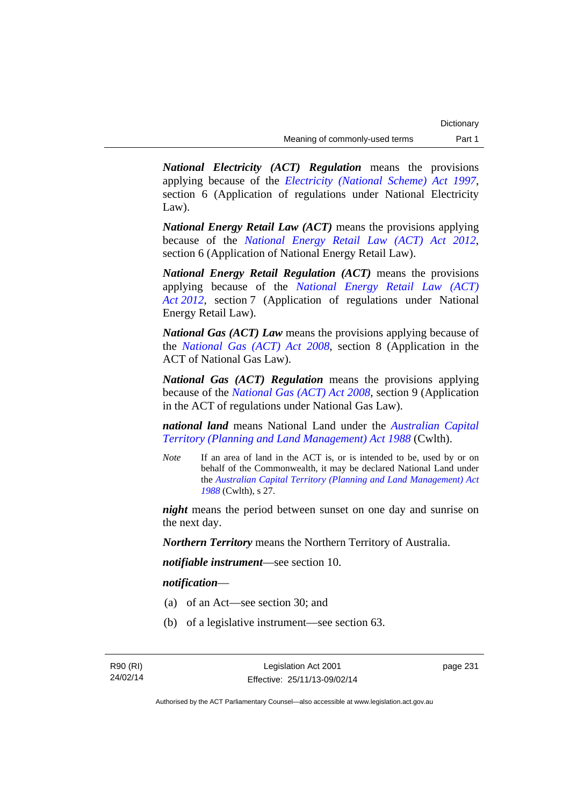*National Electricity (ACT) Regulation* means the provisions applying because of the *[Electricity \(National Scheme\) Act 1997](http://www.legislation.act.gov.au/a/1997-79)*, section 6 (Application of regulations under National Electricity Law).

*National Energy Retail Law (ACT)* means the provisions applying because of the *[National Energy Retail Law \(ACT\) Act 2012](http://www.legislation.act.gov.au/a/2012-31)*, section 6 (Application of National Energy Retail Law).

*National Energy Retail Regulation (ACT)* means the provisions applying because of the *[National Energy Retail Law \(ACT\)](http://www.legislation.act.gov.au/a/2012-31)  [Act 2012](http://www.legislation.act.gov.au/a/2012-31)*, section 7 (Application of regulations under National Energy Retail Law).

*National Gas (ACT) Law* means the provisions applying because of the *[National Gas \(ACT\) Act 2008](http://www.legislation.act.gov.au/a/2008-15)*, section 8 (Application in the ACT of National Gas Law).

*National Gas (ACT) Regulation* means the provisions applying because of the *[National Gas \(ACT\) Act 2008](http://www.legislation.act.gov.au/a/2008-15)*, section 9 (Application in the ACT of regulations under National Gas Law).

*national land* means National Land under the *[Australian Capital](http://www.comlaw.gov.au/Series/C2004A03701)  [Territory \(Planning and Land Management\) Act 1988](http://www.comlaw.gov.au/Series/C2004A03701)* (Cwlth).

*Note* If an area of land in the ACT is, or is intended to be, used by or on behalf of the Commonwealth, it may be declared National Land under the *[Australian Capital Territory \(Planning and Land Management\) Act](http://www.comlaw.gov.au/Series/C2004A03701)  [1988](http://www.comlaw.gov.au/Series/C2004A03701)* (Cwlth), s 27.

*night* means the period between sunset on one day and sunrise on the next day.

*Northern Territory* means the Northern Territory of Australia.

*notifiable instrument*—see section 10.

### *notification*—

- (a) of an Act—see section 30; and
- (b) of a legislative instrument—see section 63.

page 231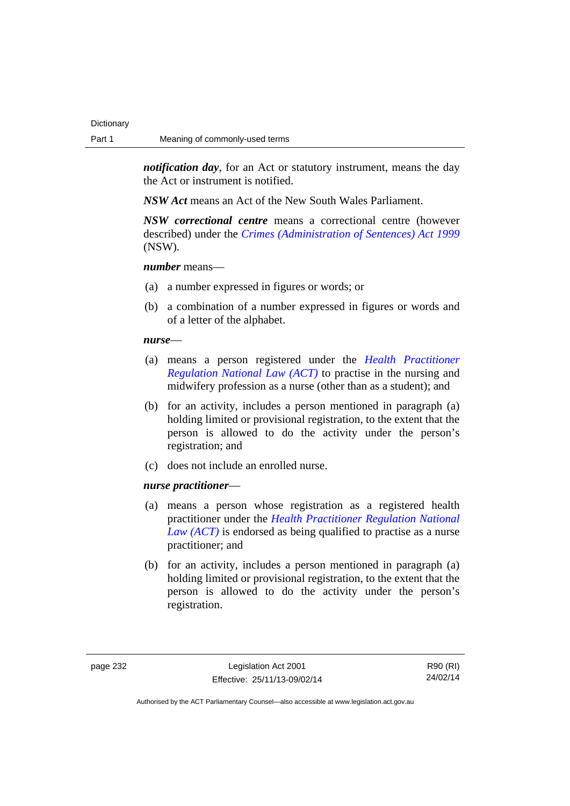*notification day*, for an Act or statutory instrument, means the day the Act or instrument is notified.

*NSW Act* means an Act of the New South Wales Parliament.

*NSW correctional centre* means a correctional centre (however described) under the *[Crimes \(Administration of Sentences\) Act 1999](http://www.legislation.nsw.gov.au/maintop/view/inforce/act+93+1999+cd+0+N)* (NSW).

### *number* means—

- (a) a number expressed in figures or words; or
- (b) a combination of a number expressed in figures or words and of a letter of the alphabet.

#### *nurse*—

- (a) means a person registered under the *[Health Practitioner](http://www.legislation.act.gov.au/a/db_39269/default.asp)  [Regulation National Law \(ACT\)](http://www.legislation.act.gov.au/a/db_39269/default.asp)* to practise in the nursing and midwifery profession as a nurse (other than as a student); and
- (b) for an activity, includes a person mentioned in paragraph (a) holding limited or provisional registration, to the extent that the person is allowed to do the activity under the person's registration; and
- (c) does not include an enrolled nurse.

#### *nurse practitioner*—

- (a) means a person whose registration as a registered health practitioner under the *[Health Practitioner Regulation National](http://www.legislation.act.gov.au/a/db_39269/default.asp)  [Law \(ACT\)](http://www.legislation.act.gov.au/a/db_39269/default.asp)* is endorsed as being qualified to practise as a nurse practitioner; and
- (b) for an activity, includes a person mentioned in paragraph (a) holding limited or provisional registration, to the extent that the person is allowed to do the activity under the person's registration.

page 232 Legislation Act 2001 Effective: 25/11/13-09/02/14

R90 (RI) 24/02/14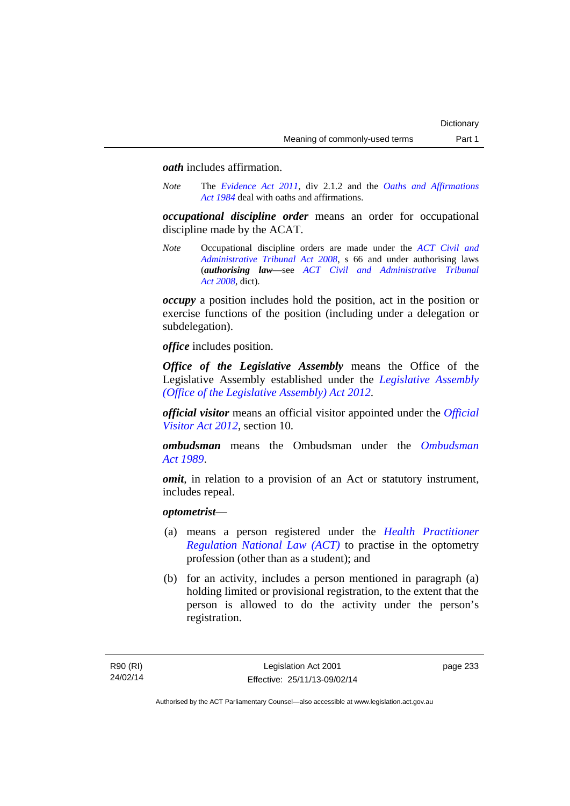### *oath* includes affirmation.

*Note* The *[Evidence Act 2011](http://www.legislation.act.gov.au/a/2011-12)*, div 2.1.2 and the *[Oaths and Affirmations](http://www.legislation.act.gov.au/a/1984-79)  [Act 1984](http://www.legislation.act.gov.au/a/1984-79)* deal with oaths and affirmations.

*occupational discipline order* means an order for occupational discipline made by the ACAT.

*Note* Occupational discipline orders are made under the *[ACT Civil and](http://www.legislation.act.gov.au/a/2008-35)  [Administrative Tribunal Act 2008](http://www.legislation.act.gov.au/a/2008-35)*, s 66 and under authorising laws (*authorising law*—see *[ACT Civil and Administrative Tribunal](http://www.legislation.act.gov.au/a/2008-35)  [Act 2008](http://www.legislation.act.gov.au/a/2008-35)*, dict).

*occupy* a position includes hold the position, act in the position or exercise functions of the position (including under a delegation or subdelegation).

*office* includes position.

*Office of the Legislative Assembly* means the Office of the Legislative Assembly established under the *[Legislative Assembly](http://www.legislation.act.gov.au/a/2012-26)  [\(Office of the Legislative Assembly\) Act 2012](http://www.legislation.act.gov.au/a/2012-26)*.

*official visitor* means an official visitor appointed under the *[Official](http://www.legislation.act.gov.au/a/2012-33)  [Visitor Act 2012](http://www.legislation.act.gov.au/a/2012-33)*, section 10.

*ombudsman* means the Ombudsman under the *[Ombudsman](http://www.legislation.act.gov.au/a/alt_a1989-45co)  [Act 1989](http://www.legislation.act.gov.au/a/alt_a1989-45co)*.

*omit*, in relation to a provision of an Act or statutory instrument, includes repeal.

### *optometrist*—

- (a) means a person registered under the *[Health Practitioner](http://www.legislation.act.gov.au/a/db_39269/default.asp)  [Regulation National Law \(ACT\)](http://www.legislation.act.gov.au/a/db_39269/default.asp)* to practise in the optometry profession (other than as a student); and
- (b) for an activity, includes a person mentioned in paragraph (a) holding limited or provisional registration, to the extent that the person is allowed to do the activity under the person's registration.

page 233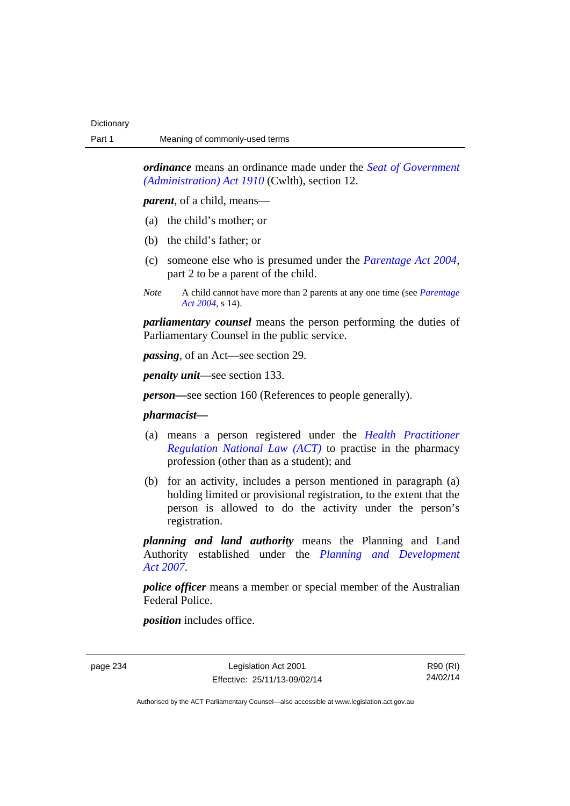*ordinance* means an ordinance made under the *[Seat of Government](http://www.comlaw.gov.au/Series/C2004A07446)  [\(Administration\) Act 1910](http://www.comlaw.gov.au/Series/C2004A07446)* (Cwlth), section 12.

*parent*, of a child, means—

- (a) the child's mother; or
- (b) the child's father; or
- (c) someone else who is presumed under the *[Parentage Act 2004](http://www.legislation.act.gov.au/a/2004-1)*, part 2 to be a parent of the child.
- *Note* A child cannot have more than 2 parents at any one time (see *[Parentage](http://www.legislation.act.gov.au/a/2004-1)  [Act 2004](http://www.legislation.act.gov.au/a/2004-1)*, s 14).

*parliamentary counsel* means the person performing the duties of Parliamentary Counsel in the public service.

*passing*, of an Act—see section 29.

*penalty unit*—see section 133.

*person—*see section 160 (References to people generally).

### *pharmacist***—**

- (a) means a person registered under the *[Health Practitioner](http://www.legislation.act.gov.au/a/db_39269/default.asp)  [Regulation National Law \(ACT\)](http://www.legislation.act.gov.au/a/db_39269/default.asp)* to practise in the pharmacy profession (other than as a student); and
- (b) for an activity, includes a person mentioned in paragraph (a) holding limited or provisional registration, to the extent that the person is allowed to do the activity under the person's registration.

*planning and land authority* means the Planning and Land Authority established under the *[Planning and Development](http://www.legislation.act.gov.au/a/2007-24)  [Act 2007](http://www.legislation.act.gov.au/a/2007-24)*.

*police officer* means a member or special member of the Australian Federal Police.

*position* includes office.

page 234 Legislation Act 2001 Effective: 25/11/13-09/02/14

R90 (RI) 24/02/14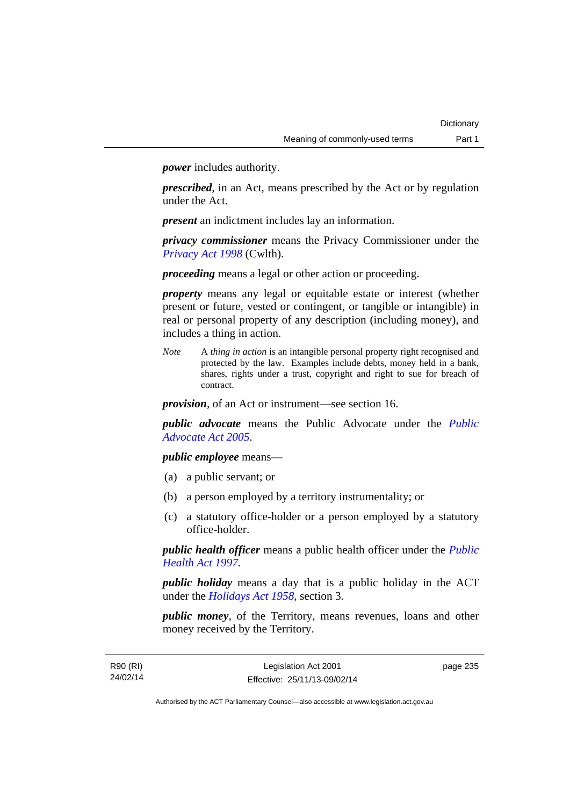*power* includes authority.

*prescribed*, in an Act, means prescribed by the Act or by regulation under the Act.

*present* an indictment includes lay an information.

*privacy commissioner* means the Privacy Commissioner under the *[Privacy Act 1998](http://www.comlaw.gov.au/Series/C2004A03712)* (Cwlth).

*proceeding* means a legal or other action or proceeding.

*property* means any legal or equitable estate or interest (whether present or future, vested or contingent, or tangible or intangible) in real or personal property of any description (including money), and includes a thing in action.

*Note* A *thing in action* is an intangible personal property right recognised and protected by the law. Examples include debts, money held in a bank, shares, rights under a trust, copyright and right to sue for breach of contract.

*provision*, of an Act or instrument—see section 16.

*public advocate* means the Public Advocate under the *[Public](http://www.legislation.act.gov.au/a/2005-47)  [Advocate Act 2005](http://www.legislation.act.gov.au/a/2005-47)*.

*public employee* means—

- (a) a public servant; or
- (b) a person employed by a territory instrumentality; or
- (c) a statutory office-holder or a person employed by a statutory office-holder.

*public health officer* means a public health officer under the *[Public](http://www.legislation.act.gov.au/a/1997-69)  [Health Act 1997.](http://www.legislation.act.gov.au/a/1997-69)*

*public holiday* means a day that is a public holiday in the ACT under the *[Holidays Act 1958](http://www.legislation.act.gov.au/a/1958-19)*, section 3.

*public money*, of the Territory, means revenues, loans and other money received by the Territory.

R90 (RI) 24/02/14 page 235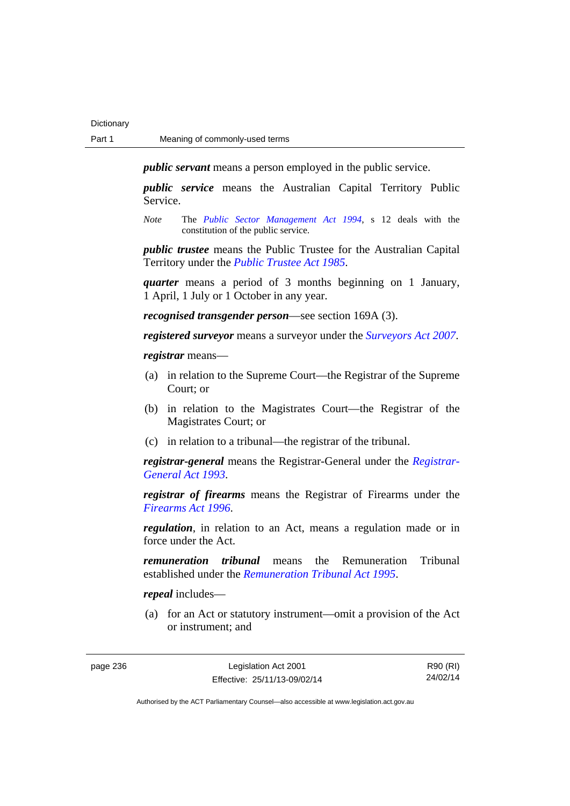*public servant* means a person employed in the public service.

*public service* means the Australian Capital Territory Public Service.

*Note* The *[Public Sector Management Act 1994](http://www.legislation.act.gov.au/a/1994-37)*, s 12 deals with the constitution of the public service.

*public trustee* means the Public Trustee for the Australian Capital Territory under the *[Public Trustee Act 1985](http://www.legislation.act.gov.au/a/1985-8)*.

*quarter* means a period of 3 months beginning on 1 January, 1 April, 1 July or 1 October in any year.

*recognised transgender person*—see section 169A (3).

*registered surveyor* means a surveyor under the *[Surveyors Act 2007](http://www.legislation.act.gov.au/a/2007-33)*.

*registrar* means—

- (a) in relation to the Supreme Court—the Registrar of the Supreme Court; or
- (b) in relation to the Magistrates Court—the Registrar of the Magistrates Court; or
- (c) in relation to a tribunal—the registrar of the tribunal.

*registrar-general* means the Registrar-General under the *[Registrar-](http://www.legislation.act.gov.au/a/1993-63)[General Act 1993](http://www.legislation.act.gov.au/a/1993-63)*.

*registrar of firearms* means the Registrar of Firearms under the *[Firearms Act 1996](http://www.legislation.act.gov.au/a/1996-74)*.

*regulation*, in relation to an Act, means a regulation made or in force under the Act.

*remuneration tribunal* means the Remuneration Tribunal established under the *[Remuneration Tribunal Act 1995](http://www.legislation.act.gov.au/a/1995-55)*.

*repeal* includes—

 (a) for an Act or statutory instrument—omit a provision of the Act or instrument; and

page 236 Legislation Act 2001 Effective: 25/11/13-09/02/14

R90 (RI) 24/02/14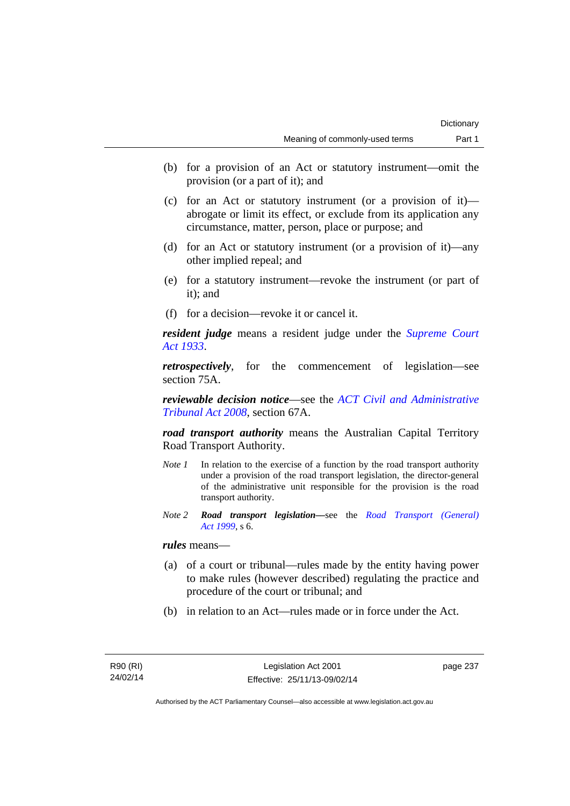- (b) for a provision of an Act or statutory instrument—omit the provision (or a part of it); and
- (c) for an Act or statutory instrument (or a provision of it) abrogate or limit its effect, or exclude from its application any circumstance, matter, person, place or purpose; and
- (d) for an Act or statutory instrument (or a provision of it)—any other implied repeal; and
- (e) for a statutory instrument—revoke the instrument (or part of it); and
- (f) for a decision—revoke it or cancel it.

*resident judge* means a resident judge under the *[Supreme Court](http://www.legislation.act.gov.au/a/1933-34)  [Act 1933](http://www.legislation.act.gov.au/a/1933-34)*.

*retrospectively*, for the commencement of legislation—see section 75A.

*reviewable decision notice*—see the *[ACT Civil and Administrative](http://www.legislation.act.gov.au/a/2008-35)  [Tribunal Act 2008](http://www.legislation.act.gov.au/a/2008-35)*, section 67A.

*road transport authority* means the Australian Capital Territory Road Transport Authority.

- *Note 1* In relation to the exercise of a function by the road transport authority under a provision of the road transport legislation, the director-general of the administrative unit responsible for the provision is the road transport authority.
- *Note 2 Road transport legislation––*see the *[Road Transport \(General\)](http://www.legislation.act.gov.au/a/1999-77)  [Act 1999](http://www.legislation.act.gov.au/a/1999-77)*, s 6.

*rules* means—

- (a) of a court or tribunal—rules made by the entity having power to make rules (however described) regulating the practice and procedure of the court or tribunal; and
- (b) in relation to an Act—rules made or in force under the Act.

page 237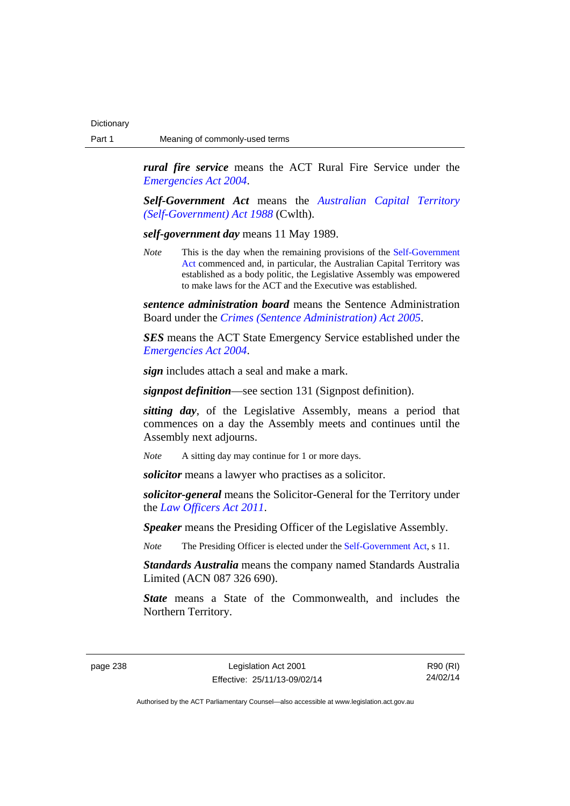*rural fire service* means the ACT Rural Fire Service under the *[Emergencies Act 2004](http://www.legislation.act.gov.au/a/2004-28)*.

*Self-Government Act* means the *[Australian Capital Territory](http://www.comlaw.gov.au/Series/C2004A03699)  [\(Self-Government\) Act 1988](http://www.comlaw.gov.au/Series/C2004A03699)* (Cwlth).

*self-government day* means 11 May 1989.

*Note* This is the day when the remaining provisions of the Self-Government [Act](http://www.comlaw.gov.au/Series/C2004A03699) commenced and, in particular, the Australian Capital Territory was established as a body politic, the Legislative Assembly was empowered to make laws for the ACT and the Executive was established.

*sentence administration board* means the Sentence Administration Board under the *[Crimes \(Sentence Administration\) Act 2005](http://www.legislation.act.gov.au/a/2005-59)*.

*SES* means the ACT State Emergency Service established under the *[Emergencies Act 2004](http://www.legislation.act.gov.au/a/2004-28)*.

*sign* includes attach a seal and make a mark.

*signpost definition*—see section 131 (Signpost definition).

*sitting day*, of the Legislative Assembly, means a period that commences on a day the Assembly meets and continues until the Assembly next adjourns.

*Note* A sitting day may continue for 1 or more days.

*solicitor* means a lawyer who practises as a solicitor.

*solicitor-general* means the Solicitor-General for the Territory under the *[Law Officers Act 2011](http://www.legislation.act.gov.au/a/2011-30)*.

*Speaker* means the Presiding Officer of the Legislative Assembly.

*Note* The Presiding Officer is elected under the [Self-Government Act,](http://www.comlaw.gov.au/Series/C2004A03699) s 11.

*Standards Australia* means the company named Standards Australia Limited (ACN 087 326 690).

*State* means a State of the Commonwealth, and includes the Northern Territory.

page 238 Legislation Act 2001 Effective: 25/11/13-09/02/14

R90 (RI) 24/02/14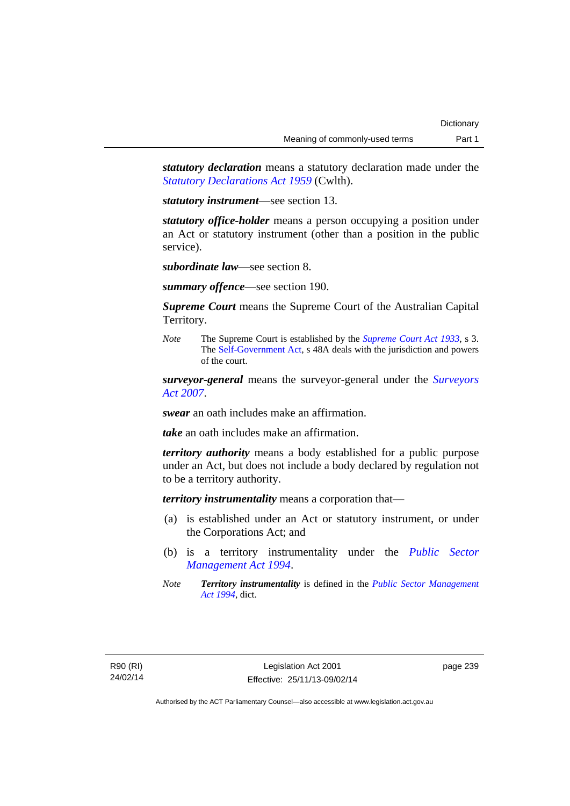*statutory declaration* means a statutory declaration made under the *[Statutory Declarations Act 1959](http://www.comlaw.gov.au/Series/C2004A07365)* (Cwlth).

*statutory instrument*—see section 13.

*statutory office-holder* means a person occupying a position under an Act or statutory instrument (other than a position in the public service).

*subordinate law*—see section 8.

*summary offence*—see section 190.

*Supreme Court* means the Supreme Court of the Australian Capital Territory.

*Note* The Supreme Court is established by the *[Supreme Court Act 1933](http://www.legislation.act.gov.au/a/1933-34)*, s 3. The [Self-Government Act](http://www.comlaw.gov.au/Series/C2004A03699), s 48A deals with the jurisdiction and powers of the court.

*surveyor-general* means the surveyor-general under the *[Surveyors](http://www.legislation.act.gov.au/a/2007-33)  [Act 2007](http://www.legislation.act.gov.au/a/2007-33)*.

*swear* an oath includes make an affirmation.

*take* an oath includes make an affirmation.

*territory authority* means a body established for a public purpose under an Act, but does not include a body declared by regulation not to be a territory authority.

*territory instrumentality* means a corporation that—

- (a) is established under an Act or statutory instrument, or under the Corporations Act; and
- (b) is a territory instrumentality under the *[Public Sector](http://www.legislation.act.gov.au/a/1994-37)  [Management Act 1994](http://www.legislation.act.gov.au/a/1994-37)*.
- *Note Territory instrumentality* is defined in the *[Public Sector Management](http://www.legislation.act.gov.au/a/1994-37)  [Act 1994](http://www.legislation.act.gov.au/a/1994-37)*, dict.

page 239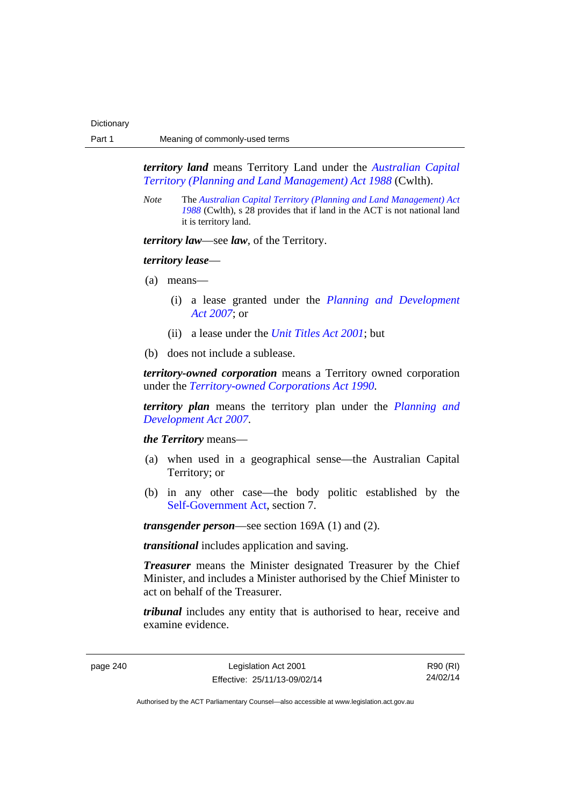*territory land* means Territory Land under the *[Australian Capital](http://www.comlaw.gov.au/Series/C2004A03701)  [Territory \(Planning and Land Management\) Act 1988](http://www.comlaw.gov.au/Series/C2004A03701)* (Cwlth).

*Note* The *[Australian Capital Territory \(Planning and Land Management\) Act](http://www.comlaw.gov.au/Series/C2004A03701)  [1988](http://www.comlaw.gov.au/Series/C2004A03701)* (Cwlth), s 28 provides that if land in the ACT is not national land it is territory land.

*territory law*—see *law*, of the Territory.

### *territory lease*—

- (a) means—
	- (i) a lease granted under the *[Planning and Development](http://www.legislation.act.gov.au/a/2007-24)  [Act 2007](http://www.legislation.act.gov.au/a/2007-24)*; or
	- (ii) a lease under the *[Unit Titles Act 2001](http://www.legislation.act.gov.au/a/2001-16)*; but
- (b) does not include a sublease.

*territory-owned corporation* means a Territory owned corporation under the *[Territory-owned Corporations Act 1990](http://www.legislation.act.gov.au/a/1990-53)*.

*territory plan* means the territory plan under the *[Planning and](http://www.legislation.act.gov.au/a/2007-24)  [Development Act 2007](http://www.legislation.act.gov.au/a/2007-24)*.

*the Territory* means—

- (a) when used in a geographical sense—the Australian Capital Territory; or
- (b) in any other case—the body politic established by the [Self-Government Act,](http://www.comlaw.gov.au/Series/C2004A03699) section 7.

*transgender person*—see section 169A (1) and (2).

*transitional* includes application and saving.

*Treasurer* means the Minister designated Treasurer by the Chief Minister, and includes a Minister authorised by the Chief Minister to act on behalf of the Treasurer.

*tribunal* includes any entity that is authorised to hear, receive and examine evidence.

page 240 Legislation Act 2001 Effective: 25/11/13-09/02/14

R90 (RI) 24/02/14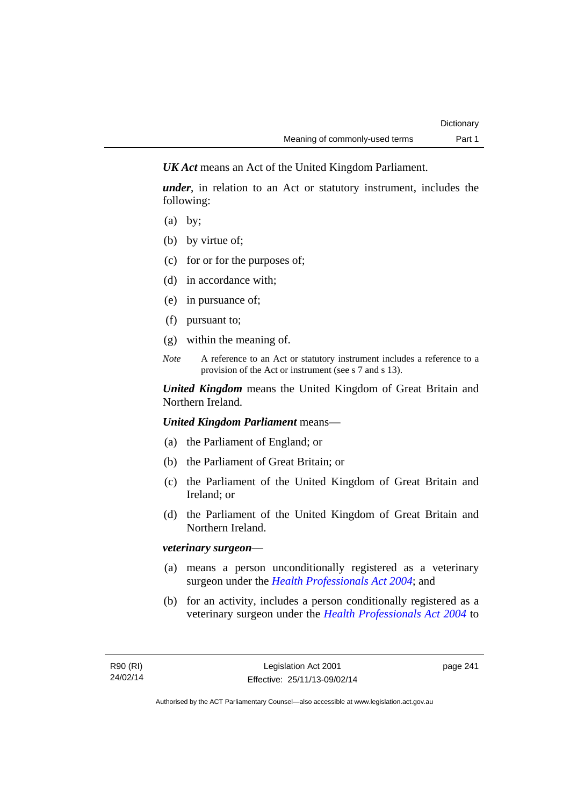*UK Act* means an Act of the United Kingdom Parliament.

*under*, in relation to an Act or statutory instrument, includes the following:

- (a) by;
- (b) by virtue of;
- (c) for or for the purposes of;
- (d) in accordance with;
- (e) in pursuance of;
- (f) pursuant to;
- (g) within the meaning of.
- *Note* A reference to an Act or statutory instrument includes a reference to a provision of the Act or instrument (see s 7 and s 13).

*United Kingdom* means the United Kingdom of Great Britain and Northern Ireland.

*United Kingdom Parliament* means—

- (a) the Parliament of England; or
- (b) the Parliament of Great Britain; or
- (c) the Parliament of the United Kingdom of Great Britain and Ireland; or
- (d) the Parliament of the United Kingdom of Great Britain and Northern Ireland.

### *veterinary surgeon*—

- (a) means a person unconditionally registered as a veterinary surgeon under the *[Health Professionals Act 2004](http://www.legislation.act.gov.au/a/2004-38)*; and
- (b) for an activity, includes a person conditionally registered as a veterinary surgeon under the *[Health Professionals Act 2004](http://www.legislation.act.gov.au/a/2004-38)* to

page 241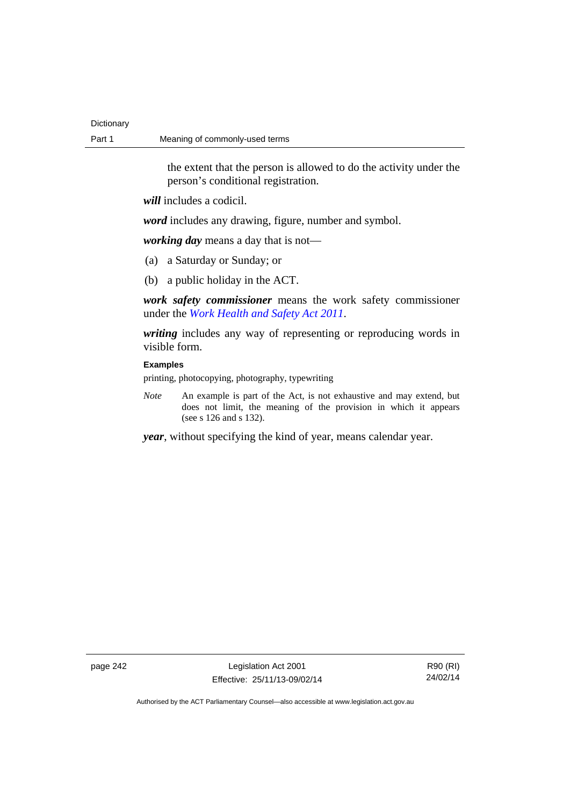| Dictionary |                                |
|------------|--------------------------------|
| Part 1     | Meaning of commonly-used terms |

the extent that the person is allowed to do the activity under the person's conditional registration.

*will* includes a codicil.

*word* includes any drawing, figure, number and symbol.

*working day* means a day that is not—

- (a) a Saturday or Sunday; or
- (b) a public holiday in the ACT.

*work safety commissioner* means the work safety commissioner under the *[Work Health and Safety Act 2011](http://www.legislation.act.gov.au/a/2011-35)*.

*writing* includes any way of representing or reproducing words in visible form.

### **Examples**

printing, photocopying, photography, typewriting

*Note* An example is part of the Act, is not exhaustive and may extend, but does not limit, the meaning of the provision in which it appears (see s 126 and s 132).

*year*, without specifying the kind of year, means calendar year.

page 242 Legislation Act 2001 Effective: 25/11/13-09/02/14

R90 (RI) 24/02/14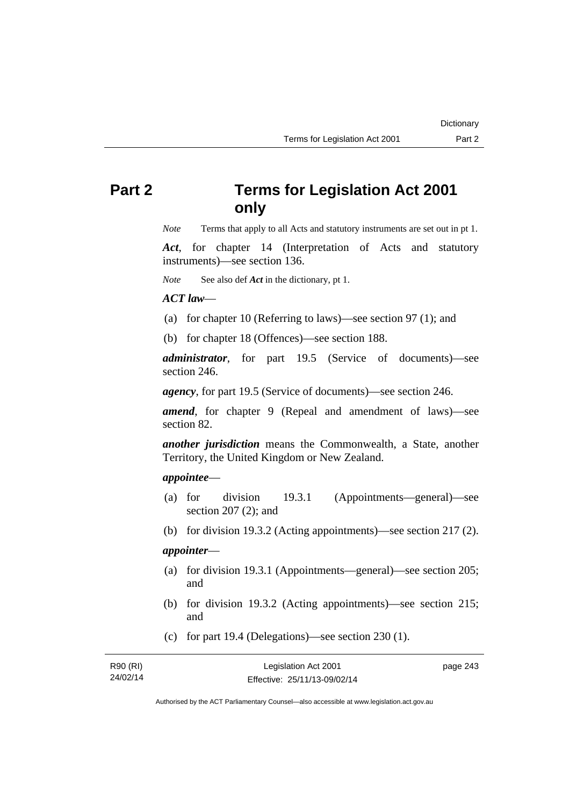# **Part 2 Terms for Legislation Act 2001 only**

*Note* Terms that apply to all Acts and statutory instruments are set out in pt 1.

*Act*, for chapter 14 (Interpretation of Acts and statutory instruments)—see section 136.

*Note* See also def *Act* in the dictionary, pt 1.

### *ACT law*—

- (a) for chapter 10 (Referring to laws)—see section 97 (1); and
- (b) for chapter 18 (Offences)—see section 188.

*administrator*, for part 19.5 (Service of documents)—see section 246.

*agency*, for part 19.5 (Service of documents)—see section 246.

*amend*, for chapter 9 (Repeal and amendment of laws)—see section 82.

*another jurisdiction* means the Commonwealth, a State, another Territory, the United Kingdom or New Zealand.

### *appointee*—

- (a) for division 19.3.1 (Appointments—general)—see section 207 (2); and
- (b) for division 19.3.2 (Acting appointments)—see section 217 (2).

# *appointer*—

- (a) for division 19.3.1 (Appointments—general)—see section 205; and
- (b) for division 19.3.2 (Acting appointments)—see section 215; and
- (c) for part 19.4 (Delegations)—see section 230 (1).

| R90 (RI) | Legislation Act 2001         | page 243 |
|----------|------------------------------|----------|
| 24/02/14 | Effective: 25/11/13-09/02/14 |          |

Authorised by the ACT Parliamentary Counsel—also accessible at www.legislation.act.gov.au

**Dictionary**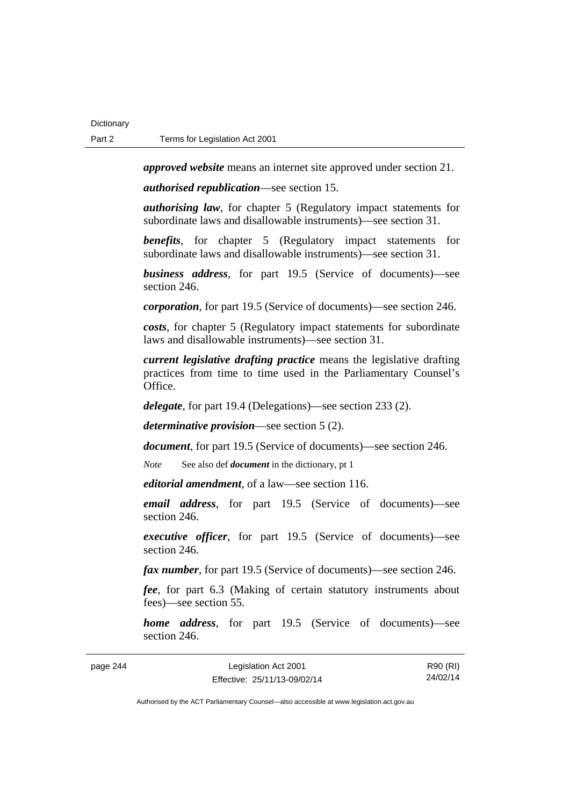*approved website* means an internet site approved under section 21.

*authorised republication*—see section 15.

*authorising law*, for chapter 5 (Regulatory impact statements for subordinate laws and disallowable instruments)—see section 31.

*benefits*, for chapter 5 (Regulatory impact statements for subordinate laws and disallowable instruments)—see section 31.

*business address*, for part 19.5 (Service of documents)—see section 246.

*corporation*, for part 19.5 (Service of documents)—see section 246.

*costs*, for chapter 5 (Regulatory impact statements for subordinate laws and disallowable instruments)—see section 31.

*current legislative drafting practice* means the legislative drafting practices from time to time used in the Parliamentary Counsel's Office.

*delegate*, for part 19.4 (Delegations)—see section 233 (2).

*determinative provision*—see section 5 (2).

*document*, for part 19.5 (Service of documents)—see section 246.

*Note* See also def *document* in the dictionary, pt 1

*editorial amendment*, of a law—see section 116.

*email address*, for part 19.5 (Service of documents)—see section 246.

*executive officer*, for part 19.5 (Service of documents)—see section 246.

*fax number*, for part 19.5 (Service of documents)—see section 246.

*fee*, for part 6.3 (Making of certain statutory instruments about fees)—see section 55.

*home address*, for part 19.5 (Service of documents)—see section 246.

| page 244 | Legislation Act 2001         | R90 (RI) |
|----------|------------------------------|----------|
|          | Effective: 25/11/13-09/02/14 | 24/02/14 |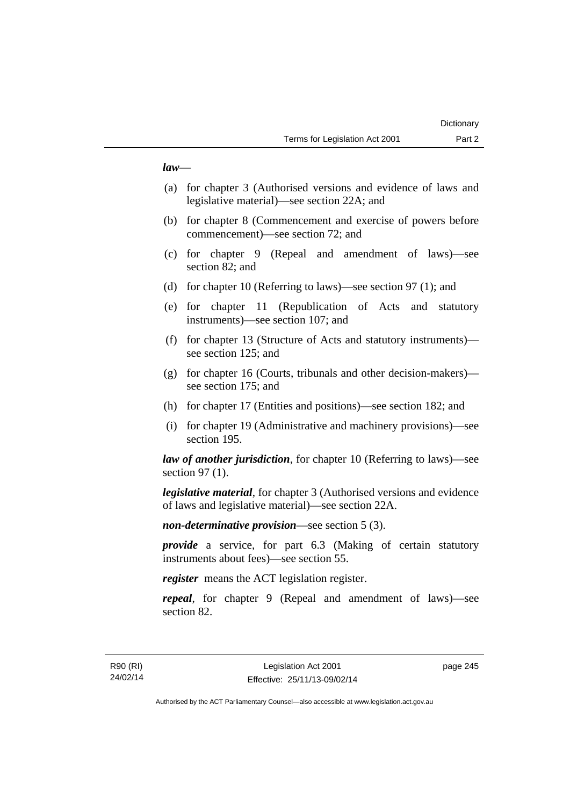### *law*—

- (a) for chapter 3 (Authorised versions and evidence of laws and legislative material)—see section 22A; and
- (b) for chapter 8 (Commencement and exercise of powers before commencement)—see section 72; and
- (c) for chapter 9 (Repeal and amendment of laws)—see section 82; and
- (d) for chapter 10 (Referring to laws)—see section 97 (1); and
- (e) for chapter 11 (Republication of Acts and statutory instruments)—see section 107; and
- (f) for chapter 13 (Structure of Acts and statutory instruments) see section 125; and
- (g) for chapter 16 (Courts, tribunals and other decision-makers) see section 175; and
- (h) for chapter 17 (Entities and positions)—see section 182; and
- (i) for chapter 19 (Administrative and machinery provisions)—see section 195.

*law of another jurisdiction*, for chapter 10 (Referring to laws)—see section 97 (1).

*legislative material*, for chapter 3 (Authorised versions and evidence of laws and legislative material)—see section 22A.

*non-determinative provision*—see section 5 (3).

*provide* a service, for part 6.3 (Making of certain statutory instruments about fees)—see section 55.

*register* means the ACT legislation register.

*repeal*, for chapter 9 (Repeal and amendment of laws)—see section 82.

page 245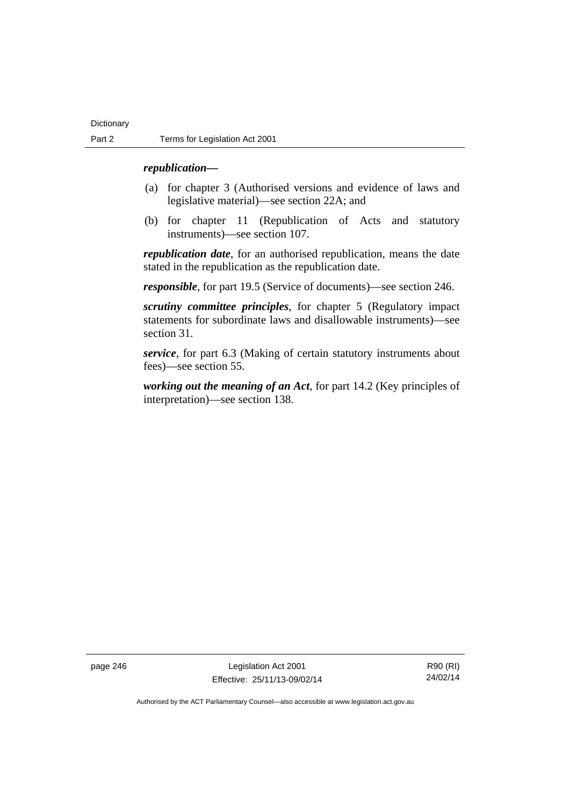### *republication—*

- (a) for chapter 3 (Authorised versions and evidence of laws and legislative material)—see section 22A; and
- (b) for chapter 11 (Republication of Acts and statutory instruments)—see section 107.

*republication date*, for an authorised republication, means the date stated in the republication as the republication date.

*responsible*, for part 19.5 (Service of documents)—see section 246.

*scrutiny committee principles*, for chapter 5 (Regulatory impact statements for subordinate laws and disallowable instruments)—see section 31.

*service*, for part 6.3 (Making of certain statutory instruments about fees)—see section 55.

*working out the meaning of an Act*, for part 14.2 (Key principles of interpretation)—see section 138.

page 246 Legislation Act 2001 Effective: 25/11/13-09/02/14

R90 (RI) 24/02/14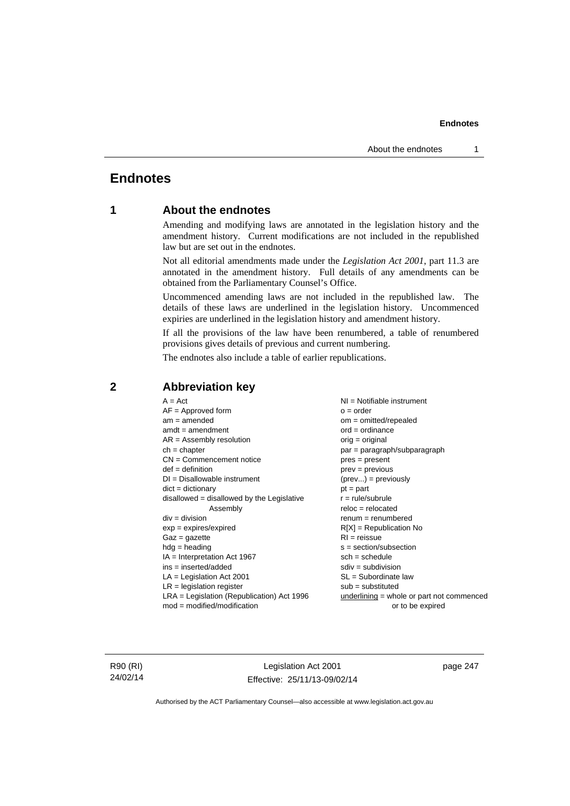# **Endnotes**

# **1 About the endnotes**

Amending and modifying laws are annotated in the legislation history and the amendment history. Current modifications are not included in the republished law but are set out in the endnotes.

Not all editorial amendments made under the *Legislation Act 2001*, part 11.3 are annotated in the amendment history. Full details of any amendments can be obtained from the Parliamentary Counsel's Office.

Uncommenced amending laws are not included in the republished law. The details of these laws are underlined in the legislation history. Uncommenced expiries are underlined in the legislation history and amendment history.

If all the provisions of the law have been renumbered, a table of renumbered provisions gives details of previous and current numbering.

The endnotes also include a table of earlier republications.

| $A = Act$                                    | NI = Notifiable instrument                  |
|----------------------------------------------|---------------------------------------------|
| $AF =$ Approved form                         | $o = order$                                 |
| $am = amended$                               | $om = omitted/repealed$                     |
| $amdt = amendment$                           | $ord = ordinance$                           |
| $AR = Assembly resolution$                   | $orig = original$                           |
| $ch = chapter$                               | par = paragraph/subparagraph                |
| $CN =$ Commencement notice                   | $pres = present$                            |
| $def = definition$                           | $prev = previous$                           |
| $DI = Disallowable instrument$               | $(\text{prev}) = \text{previously}$         |
| $dict = dictionary$                          | $pt = part$                                 |
| $disallowed = disallowed by the Legislative$ | $r = rule/subrule$                          |
| Assembly                                     | $reloc = relocated$                         |
| $div = division$                             | $renum = renumbered$                        |
| $exp = expires/expired$                      | $R[X]$ = Republication No                   |
| $Gaz = gazette$                              | $RI = reissue$                              |
| $hdg = heading$                              | $s = section/subsection$                    |
| $IA = Interpretation Act 1967$               | $sch = schedule$                            |
| $ins = inserted/added$                       | $sdiv = subdivision$                        |
| $LA =$ Legislation Act 2001                  | $SL = Subordinate$ law                      |
| $LR =$ legislation register                  | $sub =$ substituted                         |
| LRA = Legislation (Republication) Act 1996   | $underlining = whole or part not commenced$ |
| $mod = modified/modification$                | or to be expired                            |
|                                              |                                             |

# **2 Abbreviation key**

R90 (RI) 24/02/14

Legislation Act 2001 Effective: 25/11/13-09/02/14 page 247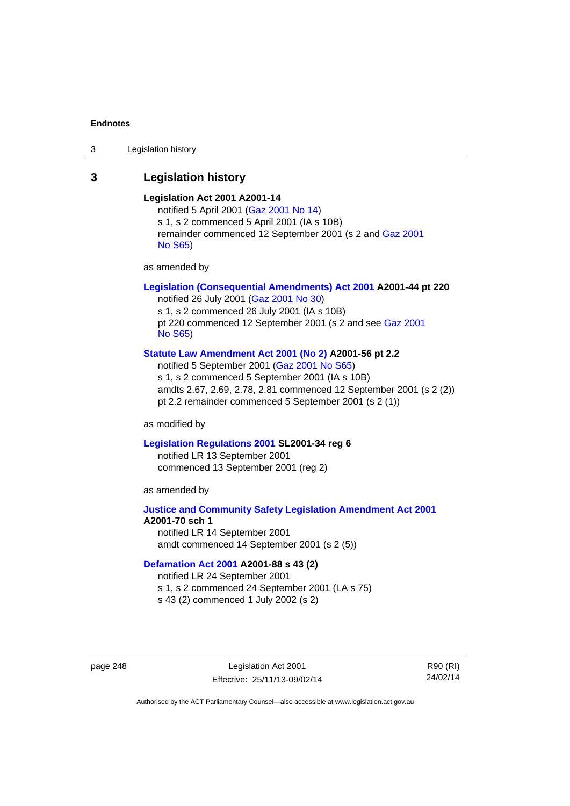3 Legislation history

# **3 Legislation history**

### **Legislation Act 2001 A2001-14**

notified 5 April 2001 ([Gaz 2001 No 14](http://www.legislation.act.gov.au/gaz/2001-14/default.asp)) s 1, s 2 commenced 5 April 2001 (IA s 10B) remainder commenced 12 September 2001 (s 2 and [Gaz 2001](http://www.legislation.act.gov.au/gaz/2001-S65/default.asp)  [No S65](http://www.legislation.act.gov.au/gaz/2001-S65/default.asp))

as amended by

### **[Legislation \(Consequential Amendments\) Act 2001](http://www.legislation.act.gov.au/a/2001-44) A2001-44 pt 220**

notified 26 July 2001 ([Gaz 2001 No 30\)](http://www.legislation.act.gov.au/gaz/2001-30/default.asp) s 1, s 2 commenced 26 July 2001 (IA s 10B) pt 220 commenced 12 September 2001 (s 2 and see [Gaz 2001](http://www.legislation.act.gov.au/gaz/2001-S65/default.asp)  [No S65](http://www.legislation.act.gov.au/gaz/2001-S65/default.asp))

### **[Statute Law Amendment Act 2001 \(No 2\)](http://www.legislation.act.gov.au/a/2001-56) A2001-56 pt 2.2**

notified 5 September 2001 [\(Gaz 2001 No S65\)](http://www.legislation.act.gov.au/gaz/2001-S65/default.asp) s 1, s 2 commenced 5 September 2001 (IA s 10B) amdts 2.67, 2.69, 2.78, 2.81 commenced 12 September 2001 (s 2 (2)) pt 2.2 remainder commenced 5 September 2001 (s 2 (1))

as modified by

#### **[Legislation Regulations 2001](http://www.legislation.act.gov.au/sl/2001-34) SL2001-34 reg 6**

notified LR 13 September 2001 commenced 13 September 2001 (reg 2)

as amended by

### **[Justice and Community Safety Legislation Amendment Act 2001](http://www.legislation.act.gov.au/a/2001-70) A2001-70 sch 1**  notified LR 14 September 2001

amdt commenced 14 September 2001 (s 2 (5))

### **[Defamation Act 2001](http://www.legislation.act.gov.au/a/2001-88) A2001-88 s 43 (2)**

notified LR 24 September 2001

s 1, s 2 commenced 24 September 2001 (LA s 75)

s 43 (2) commenced 1 July 2002 (s 2)

page 248 Legislation Act 2001 Effective: 25/11/13-09/02/14

R90 (RI) 24/02/14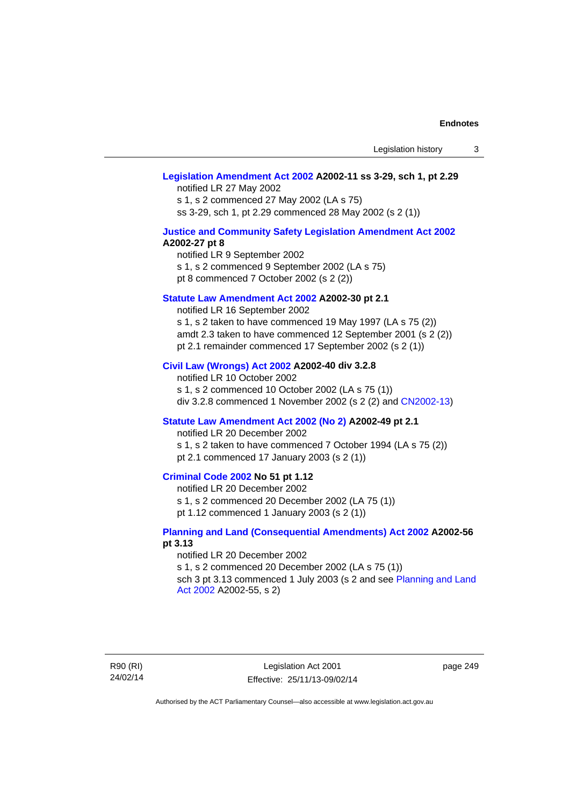### **[Legislation Amendment Act 2002](http://www.legislation.act.gov.au/a/2002-11) A2002-11 ss 3-29, sch 1, pt 2.29**

notified LR 27 May 2002 s 1, s 2 commenced 27 May 2002 (LA s 75) ss 3-29, sch 1, pt 2.29 commenced 28 May 2002 (s 2 (1))

### **[Justice and Community Safety Legislation Amendment Act 2002](http://www.legislation.act.gov.au/a/2002-27) A2002-27 pt 8**

notified LR 9 September 2002 s 1, s 2 commenced 9 September 2002 (LA s 75) pt 8 commenced 7 October 2002 (s 2 (2))

#### **[Statute Law Amendment Act 2002](http://www.legislation.act.gov.au/a/2002-30) A2002-30 pt 2.1**

notified LR 16 September 2002 s 1, s 2 taken to have commenced 19 May 1997 (LA s 75 (2)) amdt 2.3 taken to have commenced 12 September 2001 (s 2 (2)) pt 2.1 remainder commenced 17 September 2002 (s 2 (1))

### **[Civil Law \(Wrongs\) Act 2002](http://www.legislation.act.gov.au/a/2002-40) A2002-40 div 3.2.8**

notified LR 10 October 2002 s 1, s 2 commenced 10 October 2002 (LA s 75 (1)) div 3.2.8 commenced 1 November 2002 (s 2 (2) and [CN2002-13](http://www.legislation.act.gov.au/cn/2002-13/default.asp))

### **[Statute Law Amendment Act 2002 \(No 2\)](http://www.legislation.act.gov.au/a/2002-49) A2002-49 pt 2.1**

notified LR 20 December 2002

s 1, s 2 taken to have commenced 7 October 1994 (LA s 75 (2)) pt 2.1 commenced 17 January 2003 (s 2 (1))

### **[Criminal Code 2002](http://www.legislation.act.gov.au/a/2002-51) No 51 pt 1.12**

notified LR 20 December 2002

s 1, s 2 commenced 20 December 2002 (LA 75 (1))

pt 1.12 commenced 1 January 2003 (s 2 (1))

### **[Planning and Land \(Consequential Amendments\) Act 2002](http://www.legislation.act.gov.au/a/2002-56) A2002-56 pt 3.13**

#### notified LR 20 December 2002

s 1, s 2 commenced 20 December 2002 (LA s 75 (1)) sch 3 pt 3.13 commenced 1 July 2003 (s 2 and see [Planning and Land](http://www.legislation.act.gov.au/a/2002-55)  [Act 2002](http://www.legislation.act.gov.au/a/2002-55) A2002-55, s 2)

R90 (RI) 24/02/14

Legislation Act 2001 Effective: 25/11/13-09/02/14 page 249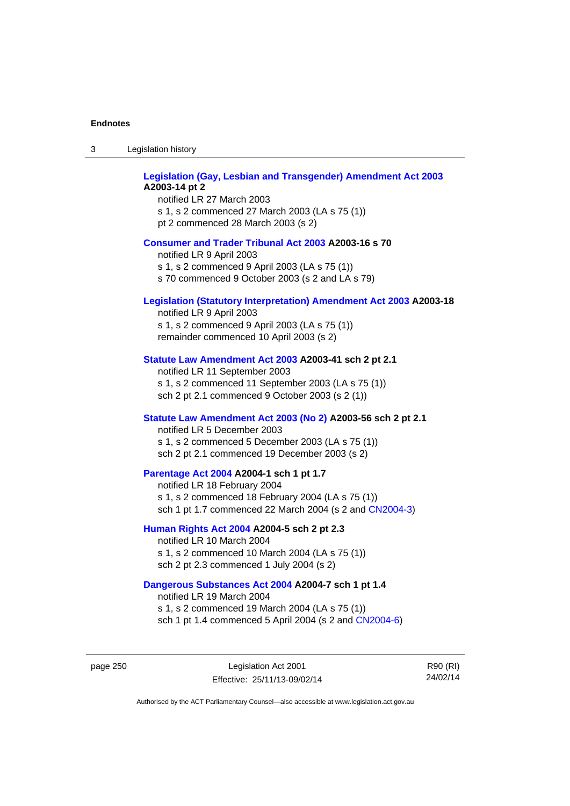| Legislation history<br>-3 |
|---------------------------|
|---------------------------|

| <b>Legislation (Gay, Lesbian and Transgender) Amendment Act 2003</b><br>A2003-14 pt 2<br>notified LR 27 March 2003<br>s 1, s 2 commenced 27 March 2003 (LA s 75 (1))<br>pt 2 commenced 28 March 2003 (s 2) |  |
|------------------------------------------------------------------------------------------------------------------------------------------------------------------------------------------------------------|--|
| <b>Consumer and Trader Tribunal Act 2003 A2003-16 s 70</b><br>notified LR 9 April 2003<br>s 1, s 2 commenced 9 April 2003 (LA s 75 (1))<br>s 70 commenced 9 October 2003 (s 2 and LA s 79)                 |  |
| <b>Legislation (Statutory Interpretation) Amendment Act 2003 A2003-18</b><br>notified LR 9 April 2003<br>s 1, s 2 commenced 9 April 2003 (LA s 75 (1))<br>remainder commenced 10 April 2003 (s 2)          |  |
| Statute Law Amendment Act 2003 A2003-41 sch 2 pt 2.1<br>notified LR 11 September 2003<br>s 1, s 2 commenced 11 September 2003 (LA s 75 (1))<br>sch 2 pt 2.1 commenced 9 October 2003 (s 2 (1))             |  |
| Statute Law Amendment Act 2003 (No 2) A2003-56 sch 2 pt 2.1<br>notified LR 5 December 2003<br>s 1, s 2 commenced 5 December 2003 (LA s 75 (1))<br>sch 2 pt 2.1 commenced 19 December 2003 (s 2)            |  |
| Parentage Act 2004 A2004-1 sch 1 pt 1.7<br>notified LR 18 February 2004<br>s 1, s 2 commenced 18 February 2004 (LA s 75 (1))<br>sch 1 pt 1.7 commenced 22 March 2004 (s 2 and CN2004-3)                    |  |
| Human Rights Act 2004 A2004-5 sch 2 pt 2.3<br>notified LR 10 March 2004<br>s 1, s 2 commenced 10 March 2004 (LA s 75 (1))<br>sch 2 pt 2.3 commenced 1 July 2004 (s 2)                                      |  |
| Dangerous Substances Act 2004 A2004-7 sch 1 pt 1.4<br>notified LR 19 March 2004                                                                                                                            |  |

s 1, s 2 commenced 19 March 2004 (LA s 75 (1)) sch 1 pt 1.4 commenced 5 April 2004 (s 2 and [CN2004-6](http://www.legislation.act.gov.au/cn/2004-6/default.asp))

page 250 Legislation Act 2001 Effective: 25/11/13-09/02/14

R90 (RI) 24/02/14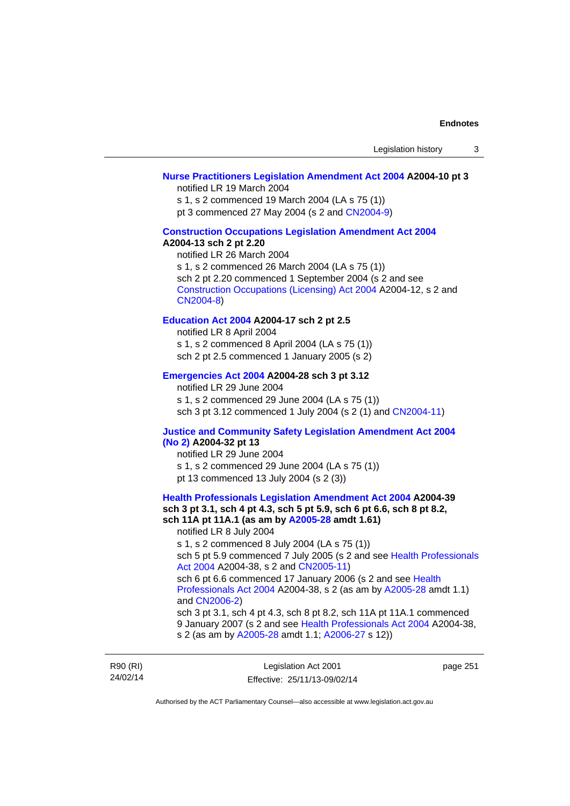### **[Nurse Practitioners Legislation Amendment Act 2004](http://www.legislation.act.gov.au/a/2004-10) A2004-10 pt 3**

notified LR 19 March 2004

s 1, s 2 commenced 19 March 2004 (LA s 75 (1))

pt 3 commenced 27 May 2004 (s 2 and [CN2004-9\)](http://www.legislation.act.gov.au/cn/2004-9/default.asp)

# **[Construction Occupations Legislation Amendment Act 2004](http://www.legislation.act.gov.au/a/2004-13)**

# **A2004-13 sch 2 pt 2.20**

notified LR 26 March 2004 s 1, s 2 commenced 26 March 2004 (LA s 75 (1)) sch 2 pt 2.20 commenced 1 September 2004 (s 2 and see [Construction Occupations \(Licensing\) Act 2004](http://www.legislation.act.gov.au/a/2004-12) A2004-12, s 2 and [CN2004-8\)](http://www.legislation.act.gov.au/cn/2004-8/default.asp)

### **[Education Act 2004](http://www.legislation.act.gov.au/a/2004-17) A2004-17 sch 2 pt 2.5**

notified LR 8 April 2004 s 1, s 2 commenced 8 April 2004 (LA s 75 (1)) sch 2 pt 2.5 commenced 1 January 2005 (s 2)

### **[Emergencies Act 2004](http://www.legislation.act.gov.au/a/2004-28) A2004-28 sch 3 pt 3.12**

notified LR 29 June 2004 s 1, s 2 commenced 29 June 2004 (LA s 75 (1)) sch 3 pt 3.12 commenced 1 July 2004 (s 2 (1) and [CN2004-11](http://www.legislation.act.gov.au/cn/2004-11/default.asp))

#### **[Justice and Community Safety Legislation Amendment Act 2004](http://www.legislation.act.gov.au/a/2004-32)  [\(No 2\)](http://www.legislation.act.gov.au/a/2004-32) A2004-32 pt 13**

notified LR 29 June 2004 s 1, s 2 commenced 29 June 2004 (LA s 75 (1)) pt 13 commenced 13 July 2004 (s 2 (3))

**[Health Professionals Legislation Amendment Act 2004](http://www.legislation.act.gov.au/a/2004-39) A2004-39 sch 3 pt 3.1, sch 4 pt 4.3, sch 5 pt 5.9, sch 6 pt 6.6, sch 8 pt 8.2, sch 11A pt 11A.1 (as am by [A2005-28](http://www.legislation.act.gov.au/a/2005-28) amdt 1.61)**  notified LR 8 July 2004 s 1, s 2 commenced 8 July 2004 (LA s 75 (1)) sch 5 pt 5.9 commenced 7 July 2005 (s 2 and see [Health Professionals](http://www.legislation.act.gov.au/a/2004-38)  [Act 2004](http://www.legislation.act.gov.au/a/2004-38) A2004-38, s 2 and [CN2005-11\)](http://www.legislation.act.gov.au/cn/2005-11/default.asp) sch 6 pt 6.6 commenced 17 January 2006 (s 2 and see [Health](http://www.legislation.act.gov.au/a/2004-38)  [Professionals Act 2004](http://www.legislation.act.gov.au/a/2004-38) A2004-38, s 2 (as am by [A2005-28](http://www.legislation.act.gov.au/a/2005-28) amdt 1.1) and [CN2006-2](http://www.legislation.act.gov.au/cn/2006-2/default.asp)) sch 3 pt 3.1, sch 4 pt 4.3, sch 8 pt 8.2, sch 11A pt 11A.1 commenced 9 January 2007 (s 2 and see [Health Professionals Act 2004](http://www.legislation.act.gov.au/a/2004-38) A2004-38, s 2 (as am by [A2005-28](http://www.legislation.act.gov.au/a/2005-28) amdt 1.1; [A2006-27](http://www.legislation.act.gov.au/a/2006-27) s 12))

R90 (RI) 24/02/14

Legislation Act 2001 Effective: 25/11/13-09/02/14

page 251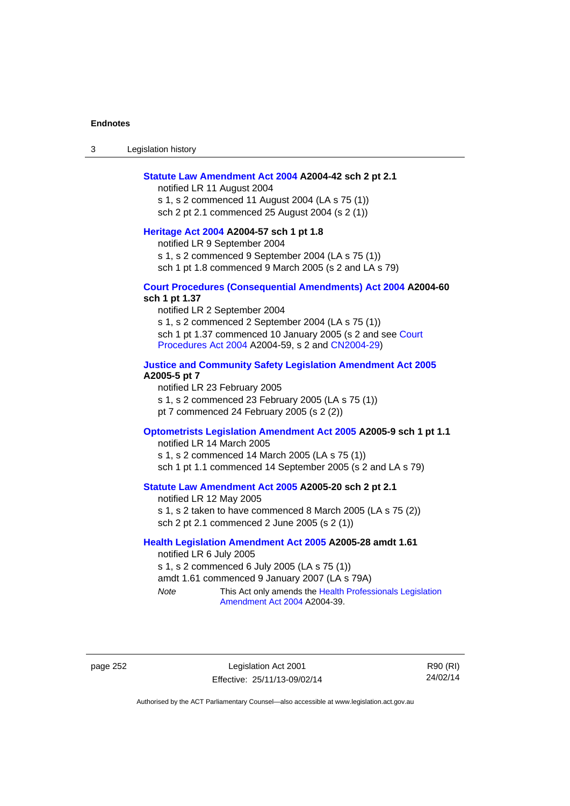3 Legislation history

#### **[Statute Law Amendment Act 2004](http://www.legislation.act.gov.au/a/2004-42) A2004-42 sch 2 pt 2.1**

notified LR 11 August 2004 s 1, s 2 commenced 11 August 2004 (LA s 75 (1)) sch 2 pt 2.1 commenced 25 August 2004 (s 2 (1))

# **[Heritage Act 2004](http://www.legislation.act.gov.au/a/2004-57) A2004-57 sch 1 pt 1.8**

notified LR 9 September 2004

s 1, s 2 commenced 9 September 2004 (LA s 75 (1))

sch 1 pt 1.8 commenced 9 March 2005 (s 2 and LA s 79)

### **[Court Procedures \(Consequential Amendments\) Act 2004](http://www.legislation.act.gov.au/a/2004-60) A2004-60 sch 1 pt 1.37**

notified LR 2 September 2004 s 1, s 2 commenced 2 September 2004 (LA s 75 (1)) sch 1 pt 1.37 commenced 10 January 2005 (s 2 and see Court [Procedures Act 2004](http://www.legislation.act.gov.au/a/2004-59) A2004-59, s 2 and [CN2004-29\)](http://www.legislation.act.gov.au/cn/2004-29/default.asp)

### **[Justice and Community Safety Legislation Amendment Act 2005](http://www.legislation.act.gov.au/a/2005-5) A2005-5 pt 7**

notified LR 23 February 2005 s 1, s 2 commenced 23 February 2005 (LA s 75 (1)) pt 7 commenced 24 February 2005 (s 2 (2))

### **[Optometrists Legislation Amendment Act 2005](http://www.legislation.act.gov.au/a/2005-9) A2005-9 sch 1 pt 1.1**

notified LR 14 March 2005 s 1, s 2 commenced 14 March 2005 (LA s 75 (1)) sch 1 pt 1.1 commenced 14 September 2005 (s 2 and LA s 79)

### **[Statute Law Amendment Act 2005](http://www.legislation.act.gov.au/a/2005-20) A2005-20 sch 2 pt 2.1**

notified LR 12 May 2005 s 1, s 2 taken to have commenced 8 March 2005 (LA s 75 (2)) sch 2 pt 2.1 commenced 2 June 2005 (s 2 (1))

### **[Health Legislation Amendment Act 2005](http://www.legislation.act.gov.au/a/2005-28) A2005-28 amdt 1.61**

notified LR 6 July 2005 s 1, s 2 commenced 6 July 2005 (LA s 75 (1)) amdt 1.61 commenced 9 January 2007 (LA s 79A) *Note* This Act only amends the [Health Professionals Legislation](http://www.legislation.act.gov.au/a/2004-39) 

[Amendment Act 2004](http://www.legislation.act.gov.au/a/2004-39) A2004-39.

page 252 Legislation Act 2001 Effective: 25/11/13-09/02/14

R90 (RI) 24/02/14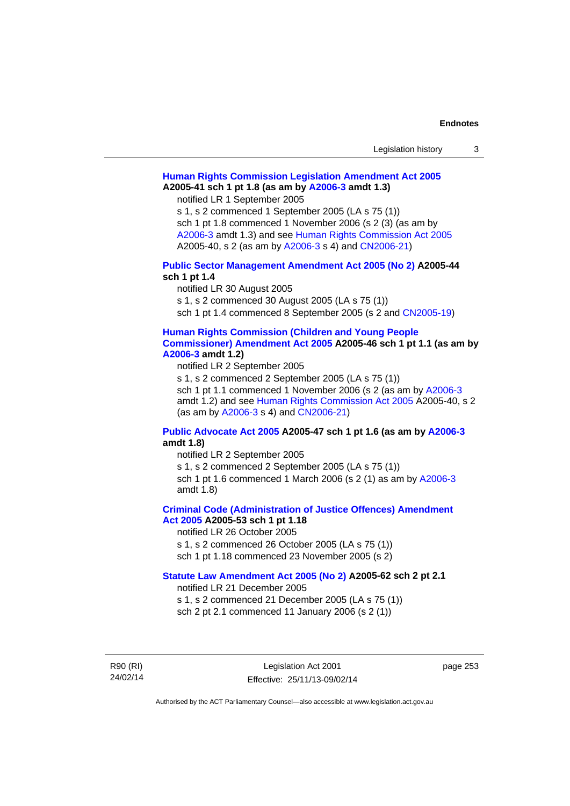| Legislation history |  |
|---------------------|--|
|---------------------|--|

# **[Human Rights Commission Legislation Amendment Act 2005](http://www.legislation.act.gov.au/a/2005-41) A2005-41 sch 1 pt 1.8 (as am by [A2006-3](http://www.legislation.act.gov.au/a/2006-3) amdt 1.3)**

notified LR 1 September 2005

s 1, s 2 commenced 1 September 2005 (LA s 75 (1)) sch 1 pt 1.8 commenced 1 November 2006 (s 2 (3) (as am by [A2006-3](http://www.legislation.act.gov.au/a/2006-3) amdt 1.3) and see [Human Rights Commission Act 2005](http://www.legislation.act.gov.au/a/2005-40) A2005-40, s 2 (as am by [A2006-3](http://www.legislation.act.gov.au/a/2006-3) s 4) and [CN2006-21](http://www.legislation.act.gov.au/cn/2006-21/default.asp))

### **[Public Sector Management Amendment Act 2005 \(No 2\)](http://www.legislation.act.gov.au/a/2005-44) A2005-44 sch 1 pt 1.4**

notified LR 30 August 2005

s 1, s 2 commenced 30 August 2005 (LA s 75 (1))

sch 1 pt 1.4 commenced 8 September 2005 (s 2 and [CN2005-19\)](http://www.legislation.act.gov.au/cn/2005-19/default.asp)

#### **[Human Rights Commission \(Children and Young People](http://www.legislation.act.gov.au/a/2005-46)  [Commissioner\) Amendment Act 2005](http://www.legislation.act.gov.au/a/2005-46) A2005-46 sch 1 pt 1.1 (as am by [A2006-3](http://www.legislation.act.gov.au/a/2006-3) amdt 1.2)**

notified LR 2 September 2005

s 1, s 2 commenced 2 September 2005 (LA s 75 (1)) sch 1 pt 1.1 commenced 1 November 2006 (s 2 (as am by [A2006-3](http://www.legislation.act.gov.au/a/2006-3) amdt 1.2) and see [Human Rights Commission Act 2005](http://www.legislation.act.gov.au/a/2005-40) A2005-40, s 2 (as am by [A2006-3](http://www.legislation.act.gov.au/a/2006-3) s 4) and [CN2006-21](http://www.legislation.act.gov.au/cn/2006-21/default.asp))

### **[Public Advocate Act 2005](http://www.legislation.act.gov.au/a/2005-47) A2005-47 sch 1 pt 1.6 (as am by [A2006-3](http://www.legislation.act.gov.au/a/2006-3) amdt 1.8)**

notified LR 2 September 2005

s 1, s 2 commenced 2 September 2005 (LA s 75 (1)) sch 1 pt 1.6 commenced 1 March 2006 (s 2 (1) as am by [A2006-3](http://www.legislation.act.gov.au/a/2006-3) amdt 1.8)

# **[Criminal Code \(Administration of Justice Offences\) Amendment](http://www.legislation.act.gov.au/a/2005-53)**

**[Act 2005](http://www.legislation.act.gov.au/a/2005-53) A2005-53 sch 1 pt 1.18** 

notified LR 26 October 2005

s 1, s 2 commenced 26 October 2005 (LA s 75 (1)) sch 1 pt 1.18 commenced 23 November 2005 (s 2)

### **[Statute Law Amendment Act 2005 \(No 2\)](http://www.legislation.act.gov.au/a/2005-62) A2005-62 sch 2 pt 2.1**

notified LR 21 December 2005

s 1, s 2 commenced 21 December 2005 (LA s 75 (1)) sch 2 pt 2.1 commenced 11 January 2006 (s 2 (1))

R90 (RI) 24/02/14 page 253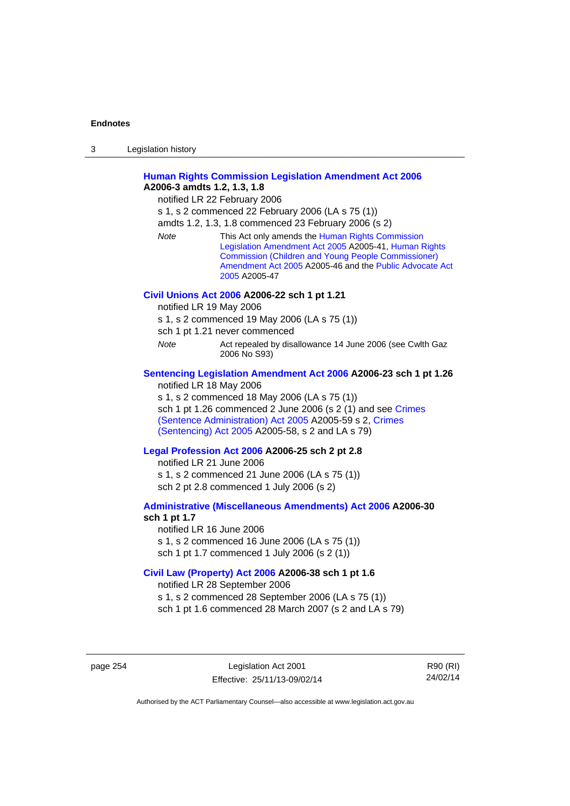| 3 | Legislation history |  |
|---|---------------------|--|
|   |                     |  |

### **[Human Rights Commission Legislation Amendment Act 2006](http://www.legislation.act.gov.au/a/2006-3) A2006-3 amdts 1.2, 1.3, 1.8**

notified LR 22 February 2006

s 1, s 2 commenced 22 February 2006 (LA s 75 (1))

amdts 1.2, 1.3, 1.8 commenced 23 February 2006 (s 2)

*Note* This Act only amends the [Human Rights Commission](http://www.legislation.act.gov.au/a/2005-41)  [Legislation Amendment Act 2005](http://www.legislation.act.gov.au/a/2005-41) A2005-41, [Human Rights](http://www.legislation.act.gov.au/a/2005-46)  [Commission \(Children and Young People Commissioner\)](http://www.legislation.act.gov.au/a/2005-46)  [Amendment Act 2005](http://www.legislation.act.gov.au/a/2005-46) A2005-46 and the [Public Advocate Act](http://www.legislation.act.gov.au/a/2005-47)  [2005](http://www.legislation.act.gov.au/a/2005-47) A2005-47

### **[Civil Unions Act 2006](http://www.legislation.act.gov.au/a/2006-22) A2006-22 sch 1 pt 1.21**

notified LR 19 May 2006

s 1, s 2 commenced 19 May 2006 (LA s 75 (1))

sch 1 pt 1.21 never commenced

*Note* **Act repealed by disallowance 14 June 2006 (see Cwlth Gaz** 2006 No S93)

### **[Sentencing Legislation Amendment Act 2006](http://www.legislation.act.gov.au/a/2006-23) A2006-23 sch 1 pt 1.26**

notified LR 18 May 2006

s 1, s 2 commenced 18 May 2006 (LA s 75 (1)) sch 1 pt 1.26 commenced 2 June 2006 (s 2 (1) and see [Crimes](http://www.legislation.act.gov.au/a/2005-59)  [\(Sentence Administration\) Act 2005](http://www.legislation.act.gov.au/a/2005-59) A2005-59 s 2, [Crimes](http://www.legislation.act.gov.au/a/2005-58)  [\(Sentencing\) Act 2005](http://www.legislation.act.gov.au/a/2005-58) A2005-58, s 2 and LA s 79)

#### **[Legal Profession Act 2006](http://www.legislation.act.gov.au/a/2006-25) A2006-25 sch 2 pt 2.8**

notified LR 21 June 2006 s 1, s 2 commenced 21 June 2006 (LA s 75 (1)) sch 2 pt 2.8 commenced 1 July 2006 (s 2)

#### **[Administrative \(Miscellaneous Amendments\) Act 2006](http://www.legislation.act.gov.au/a/2006-30) A2006-30 sch 1 pt 1.7**

notified LR 16 June 2006 s 1, s 2 commenced 16 June 2006 (LA s 75 (1)) sch 1 pt 1.7 commenced 1 July 2006 (s 2 (1))

### **[Civil Law \(Property\) Act 2006](http://www.legislation.act.gov.au/a/2006-38) A2006-38 sch 1 pt 1.6**

notified LR 28 September 2006

s 1, s 2 commenced 28 September 2006 (LA s 75 (1))

sch 1 pt 1.6 commenced 28 March 2007 (s 2 and LA s 79)

page 254 Legislation Act 2001 Effective: 25/11/13-09/02/14

R90 (RI) 24/02/14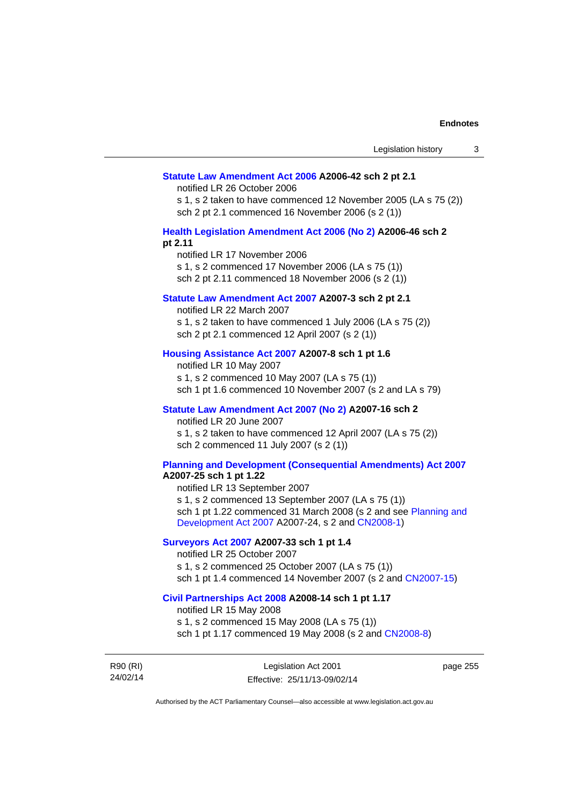#### **[Statute Law Amendment Act 2006](http://www.legislation.act.gov.au/a/2006-42) A2006-42 sch 2 pt 2.1**

notified LR 26 October 2006

s 1, s 2 taken to have commenced 12 November 2005 (LA s 75 (2)) sch 2 pt 2.1 commenced 16 November 2006 (s 2 (1))

### **[Health Legislation Amendment Act 2006 \(No 2\)](http://www.legislation.act.gov.au/a/2006-46) A2006-46 sch 2 pt 2.11**

notified LR 17 November 2006 s 1, s 2 commenced 17 November 2006 (LA s 75 (1)) sch 2 pt 2.11 commenced 18 November 2006 (s 2 (1))

### **[Statute Law Amendment Act 2007](http://www.legislation.act.gov.au/a/2007-3) A2007-3 sch 2 pt 2.1**

notified LR 22 March 2007 s 1, s 2 taken to have commenced 1 July 2006 (LA s 75 (2)) sch 2 pt 2.1 commenced 12 April 2007 (s 2 (1))

### **[Housing Assistance Act 2007](http://www.legislation.act.gov.au/a/2007-8) A2007-8 sch 1 pt 1.6**

notified LR 10 May 2007 s 1, s 2 commenced 10 May 2007 (LA s 75 (1)) sch 1 pt 1.6 commenced 10 November 2007 (s 2 and LA s 79)

### **[Statute Law Amendment Act 2007 \(No 2\)](http://www.legislation.act.gov.au/a/2007-16) A2007-16 sch 2**

notified LR 20 June 2007 s 1, s 2 taken to have commenced 12 April 2007 (LA s 75 (2)) sch 2 commenced 11 July 2007 (s 2 (1))

### **[Planning and Development \(Consequential Amendments\) Act 2007](http://www.legislation.act.gov.au/a/2007-25)**

**A2007-25 sch 1 pt 1.22** 

notified LR 13 September 2007 s 1, s 2 commenced 13 September 2007 (LA s 75 (1)) sch 1 pt 1.22 commenced 31 March 2008 (s 2 and see [Planning and](http://www.legislation.act.gov.au/a/2007-24)  [Development Act 2007](http://www.legislation.act.gov.au/a/2007-24) A2007-24, s 2 and [CN2008-1](http://www.legislation.act.gov.au/cn/2008-1/default.asp))

### **[Surveyors Act 2007](http://www.legislation.act.gov.au/a/2007-33) A2007-33 sch 1 pt 1.4**

notified LR 25 October 2007 s 1, s 2 commenced 25 October 2007 (LA s 75 (1)) sch 1 pt 1.4 commenced 14 November 2007 (s 2 and [CN2007-15\)](http://www.legislation.act.gov.au/cn/2007-15/default.asp)

#### **[Civil Partnerships Act 2008](http://www.legislation.act.gov.au/a/2008-14) A2008-14 sch 1 pt 1.17**

notified LR 15 May 2008

s 1, s 2 commenced 15 May 2008 (LA s 75 (1)) sch 1 pt 1.17 commenced 19 May 2008 (s 2 and [CN2008-8](http://www.legislation.act.gov.au/cn/2008-8/default.asp))

R90 (RI) 24/02/14

Legislation Act 2001 Effective: 25/11/13-09/02/14

page 255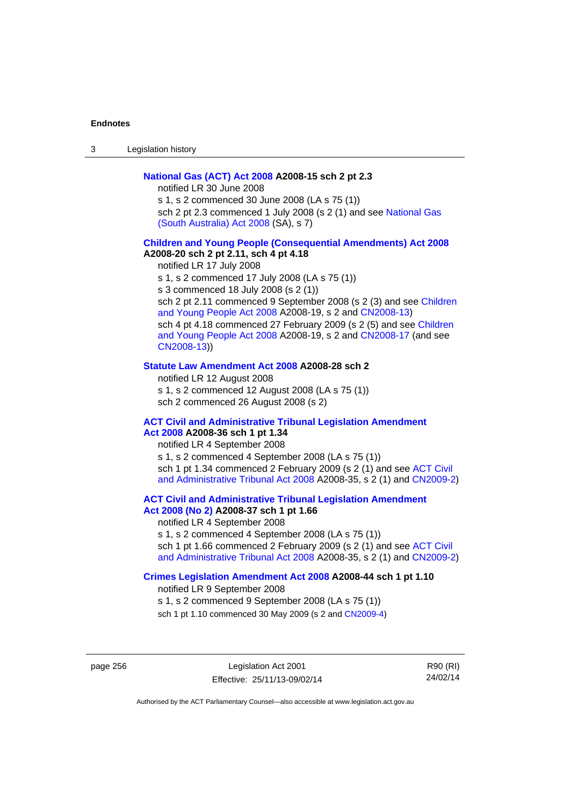3 Legislation history

### **[National Gas \(ACT\) Act 2008](http://www.legislation.act.gov.au/a/2008-15) A2008-15 sch 2 pt 2.3**

notified LR 30 June 2008

s 1, s 2 commenced 30 June 2008 (LA s 75 (1)) sch 2 pt 2.3 commenced 1 July 2008 (s 2 (1) and see National Gas [\(South Australia\) Act 2008](http://www.legislation.sa.gov.au/LZ/C/A/NATIONAL GAS (SOUTH AUSTRALIA) ACT 2008.aspx) (SA), s 7)

### **[Children and Young People \(Consequential Amendments\) Act 2008](http://www.legislation.act.gov.au/a/2008-20) A2008-20 sch 2 pt 2.11, sch 4 pt 4.18**

notified LR 17 July 2008 s 1, s 2 commenced 17 July 2008 (LA s 75 (1)) s 3 commenced 18 July 2008 (s 2 (1)) sch 2 pt 2.11 commenced 9 September 2008 (s 2 (3) and see Children [and Young People Act 2008](http://www.legislation.act.gov.au/a/2008-19) A2008-19, s 2 and [CN2008-13\)](http://www.legislation.act.gov.au/cn/2008-13/default.asp) sch 4 pt 4.18 commenced 27 February 2009 (s 2 (5) and see [Children](http://www.legislation.act.gov.au/a/2008-19)  [and Young People Act 2008](http://www.legislation.act.gov.au/a/2008-19) A2008-19, s 2 and [CN2008-17 \(](http://www.legislation.act.gov.au/cn/2008-17/default.asp)and see [CN2008-13](http://www.legislation.act.gov.au/cn/2008-13/default.asp)))

#### **[Statute Law Amendment Act 2008](http://www.legislation.act.gov.au/a/2008-28) A2008-28 sch 2**

notified LR 12 August 2008 s 1, s 2 commenced 12 August 2008 (LA s 75 (1)) sch 2 commenced 26 August 2008 (s 2)

### **[ACT Civil and Administrative Tribunal Legislation Amendment](http://www.legislation.act.gov.au/a/2008-36)**

# **[Act 2008](http://www.legislation.act.gov.au/a/2008-36) A2008-36 sch 1 pt 1.34**

notified LR 4 September 2008 s 1, s 2 commenced 4 September 2008 (LA s 75 (1)) sch 1 pt 1.34 commenced 2 February 2009 (s 2 (1) and see [ACT Civil](http://www.legislation.act.gov.au/a/2008-35)  [and Administrative Tribunal Act 2008](http://www.legislation.act.gov.au/a/2008-35) A2008-35, s 2 (1) and [CN2009-2](http://www.legislation.act.gov.au/cn/2009-2/default.asp))

**[ACT Civil and Administrative Tribunal Legislation Amendment](http://www.legislation.act.gov.au/a/2008-37)** 

# **[Act 2008 \(No 2\)](http://www.legislation.act.gov.au/a/2008-37) A2008-37 sch 1 pt 1.66**

notified LR 4 September 2008

s 1, s 2 commenced 4 September 2008 (LA s 75 (1))

sch 1 pt 1.66 commenced 2 February 2009 (s 2 (1) and see [ACT Civil](http://www.legislation.act.gov.au/a/2008-35)  [and Administrative Tribunal Act 2008](http://www.legislation.act.gov.au/a/2008-35) A2008-35, s 2 (1) and [CN2009-2](http://www.legislation.act.gov.au/cn/2009-2/default.asp))

#### **[Crimes Legislation Amendment Act 2008](http://www.legislation.act.gov.au/a/2008-44) A2008-44 sch 1 pt 1.10**

notified LR 9 September 2008

s 1, s 2 commenced 9 September 2008 (LA s 75 (1))

sch 1 pt 1.10 commenced 30 May 2009 (s 2 and [CN2009-4](http://www.legislation.act.gov.au/cn/2009-4/default.asp))

page 256 Legislation Act 2001 Effective: 25/11/13-09/02/14

R90 (RI) 24/02/14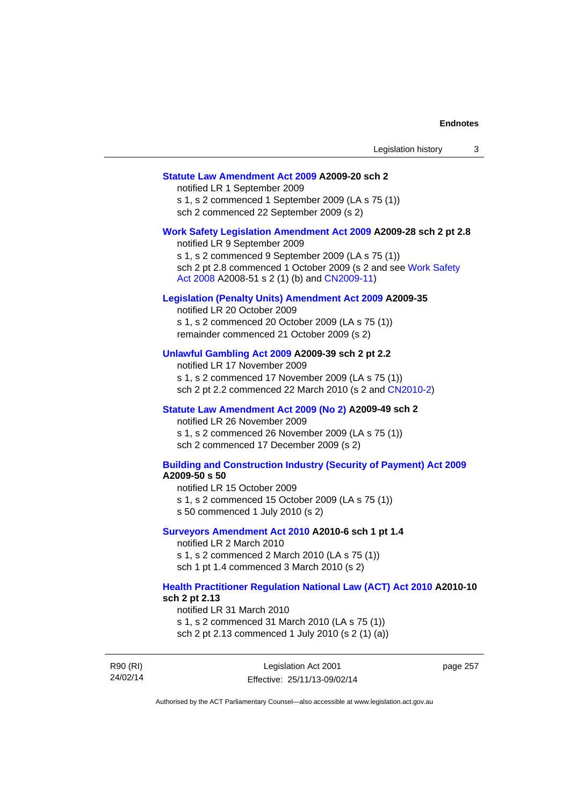### **[Statute Law Amendment Act 2009](http://www.legislation.act.gov.au/a/2009-20) A2009-20 sch 2**

notified LR 1 September 2009 s 1, s 2 commenced 1 September 2009 (LA s 75 (1)) sch 2 commenced 22 September 2009 (s 2)

#### **[Work Safety Legislation Amendment Act 2009](http://www.legislation.act.gov.au/a/2009-28) A2009-28 sch 2 pt 2.8**

notified LR 9 September 2009 s 1, s 2 commenced 9 September 2009 (LA s 75 (1)) sch 2 pt 2.8 commenced 1 October 2009 (s 2 and see [Work Safety](http://www.legislation.act.gov.au/a/2008-51)  [Act 2008](http://www.legislation.act.gov.au/a/2008-51) A2008-51 s 2 (1) (b) and [CN2009-11](http://www.legislation.act.gov.au/cn/2009-11/default.asp))

### **[Legislation \(Penalty Units\) Amendment Act 2009](http://www.legislation.act.gov.au/a/2009-35) A2009-35**

notified LR 20 October 2009 s 1, s 2 commenced 20 October 2009 (LA s 75 (1)) remainder commenced 21 October 2009 (s 2)

### **[Unlawful Gambling Act 2009](http://www.legislation.act.gov.au/a/2009-39) A2009-39 sch 2 pt 2.2**

notified LR 17 November 2009 s 1, s 2 commenced 17 November 2009 (LA s 75 (1)) sch 2 pt 2.2 commenced 22 March 2010 (s 2 and [CN2010-2\)](http://www.legislation.act.gov.au/cn/2010-2/default.asp)

#### **[Statute Law Amendment Act 2009 \(No 2\)](http://www.legislation.act.gov.au/a/2009-49) A2009-49 sch 2**

notified LR 26 November 2009 s 1, s 2 commenced 26 November 2009 (LA s 75 (1)) sch 2 commenced 17 December 2009 (s 2)

#### **[Building and Construction Industry \(Security of Payment\) Act 2009](http://www.legislation.act.gov.au/a/2009-50) A2009-50 s 50**

notified LR 15 October 2009

- s 1, s 2 commenced 15 October 2009 (LA s 75 (1))
- s 50 commenced 1 July 2010 (s 2)

#### **[Surveyors Amendment Act 2010](http://www.legislation.act.gov.au/a/2010-6) A2010-6 sch 1 pt 1.4**

notified LR 2 March 2010 s 1, s 2 commenced 2 March 2010 (LA s 75 (1)) sch 1 pt 1.4 commenced 3 March 2010 (s 2)

#### **[Health Practitioner Regulation National Law \(ACT\) Act 2010](http://www.legislation.act.gov.au/a/2010-10) A2010-10 sch 2 pt 2.13**

notified LR 31 March 2010

s 1, s 2 commenced 31 March 2010 (LA s 75 (1)) sch 2 pt 2.13 commenced 1 July 2010 (s 2 (1) (a))

R90 (RI) 24/02/14 Legislation Act 2001 Effective: 25/11/13-09/02/14 page 257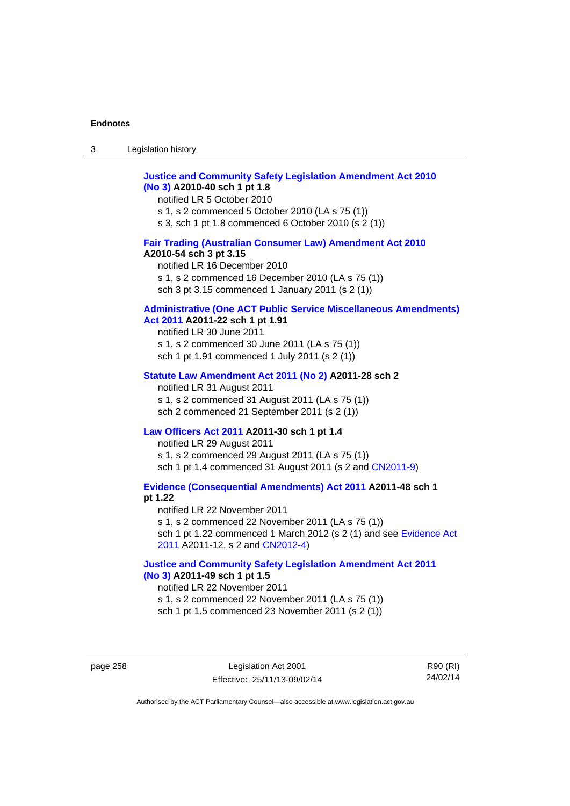### **[Justice and Community Safety Legislation Amendment Act 2010](http://www.legislation.act.gov.au/a/2010-40)  [\(No 3\)](http://www.legislation.act.gov.au/a/2010-40) A2010-40 sch 1 pt 1.8**

notified LR 5 October 2010 s 1, s 2 commenced 5 October 2010 (LA s 75 (1)) s 3, sch 1 pt 1.8 commenced 6 October 2010 (s 2 (1))

### **[Fair Trading \(Australian Consumer Law\) Amendment Act 2010](http://www.legislation.act.gov.au/a/2010-54) A2010-54 sch 3 pt 3.15**

notified LR 16 December 2010 s 1, s 2 commenced 16 December 2010 (LA s 75 (1)) sch 3 pt 3.15 commenced 1 January 2011 (s 2 (1))

# **[Administrative \(One ACT Public Service Miscellaneous Amendments\)](http://www.legislation.act.gov.au/a/2011-22)**

# **[Act 2011](http://www.legislation.act.gov.au/a/2011-22) A2011-22 sch 1 pt 1.91**

notified LR 30 June 2011 s 1, s 2 commenced 30 June 2011 (LA s 75 (1)) sch 1 pt 1.91 commenced 1 July 2011 (s 2 (1))

#### **[Statute Law Amendment Act 2011 \(No 2\)](http://www.legislation.act.gov.au/a/2011-28) A2011-28 sch 2**

notified LR 31 August 2011 s 1, s 2 commenced 31 August 2011 (LA s 75 (1)) sch 2 commenced 21 September 2011 (s 2 (1))

### **[Law Officers Act 2011](http://www.legislation.act.gov.au/a/2011-30) A2011-30 sch 1 pt 1.4**

notified LR 29 August 2011 s 1, s 2 commenced 29 August 2011 (LA s 75 (1)) sch 1 pt 1.4 commenced 31 August 2011 (s 2 and [CN2011-9](http://www.legislation.act.gov.au/cn/2011-9/default.asp))

**[Evidence \(Consequential Amendments\) Act 2011](http://www.legislation.act.gov.au/a/2011-48) A2011-48 sch 1 pt 1.22** 

notified LR 22 November 2011 s 1, s 2 commenced 22 November 2011 (LA s 75 (1)) sch 1 pt 1.22 commenced 1 March 2012 (s 2 (1) and see [Evidence Act](http://www.legislation.act.gov.au/a/2011-12)  [2011](http://www.legislation.act.gov.au/a/2011-12) A2011-12, s 2 and [CN2012-4](http://www.legislation.act.gov.au/cn/2012-4/default.asp))

### **[Justice and Community Safety Legislation Amendment Act 2011](http://www.legislation.act.gov.au/a/2011-49)  [\(No 3\)](http://www.legislation.act.gov.au/a/2011-49) A2011-49 sch 1 pt 1.5**

notified LR 22 November 2011 s 1, s 2 commenced 22 November 2011 (LA s 75 (1)) sch 1 pt 1.5 commenced 23 November 2011 (s 2 (1))

page 258 Legislation Act 2001 Effective: 25/11/13-09/02/14

R90 (RI) 24/02/14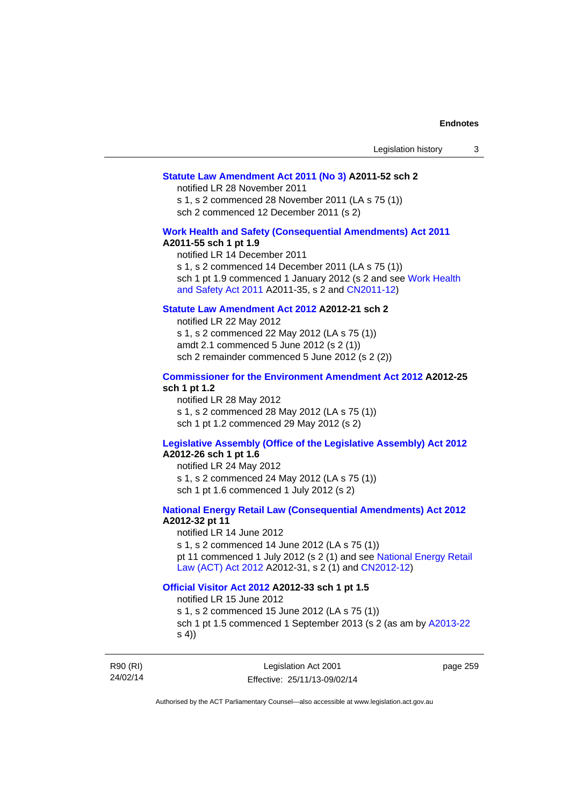### **[Statute Law Amendment Act 2011 \(No 3\)](http://www.legislation.act.gov.au/a/2011-52) A2011-52 sch 2**

notified LR 28 November 2011

s 1, s 2 commenced 28 November 2011 (LA s 75 (1)) sch 2 commenced 12 December 2011 (s 2)

### **[Work Health and Safety \(Consequential Amendments\) Act 2011](http://www.legislation.act.gov.au/a/2011-55)**

#### **A2011-55 sch 1 pt 1.9**

notified LR 14 December 2011 s 1, s 2 commenced 14 December 2011 (LA s 75 (1)) sch 1 pt 1.9 commenced 1 January 2012 (s 2 and see Work Health [and Safety Act 2011](http://www.legislation.act.gov.au/a/2011-35) A2011-35, s 2 and [CN2011-12\)](http://www.legislation.act.gov.au/cn/2011-12/default.asp)

### **[Statute Law Amendment Act 2012](http://www.legislation.act.gov.au/a/2012-21) A2012-21 sch 2**

notified LR 22 May 2012 s 1, s 2 commenced 22 May 2012 (LA s 75 (1)) amdt 2.1 commenced 5 June 2012 (s 2 (1)) sch 2 remainder commenced 5 June 2012 (s 2 (2))

#### **[Commissioner for the Environment Amendment Act 2012](http://www.legislation.act.gov.au/a/2012-25) A2012-25 sch 1 pt 1.2**

notified LR 28 May 2012 s 1, s 2 commenced 28 May 2012 (LA s 75 (1)) sch 1 pt 1.2 commenced 29 May 2012 (s 2)

# **[Legislative Assembly \(Office of the Legislative Assembly\) Act 2012](http://www.legislation.act.gov.au/a/2012-26)**

# **A2012-26 sch 1 pt 1.6**

notified LR 24 May 2012 s 1, s 2 commenced 24 May 2012 (LA s 75 (1)) sch 1 pt 1.6 commenced 1 July 2012 (s 2)

### **[National Energy Retail Law \(Consequential Amendments\) Act 2012](http://www.legislation.act.gov.au/a/2012-32) A2012-32 pt 11**

notified LR 14 June 2012 s 1, s 2 commenced 14 June 2012 (LA s 75 (1)) pt 11 commenced 1 July 2012 (s 2 (1) and see [National Energy Retail](http://www.legislation.act.gov.au/a/2012-31)  [Law \(ACT\) Act 2012](http://www.legislation.act.gov.au/a/2012-31) A2012-31, s 2 (1) and [CN2012-12\)](http://www.legislation.act.gov.au/cn/2012-12/default.asp)

# **[Official Visitor Act 2012](http://www.legislation.act.gov.au/a/2012-33) A2012-33 sch 1 pt 1.5**

notified LR 15 June 2012

s 1, s 2 commenced 15 June 2012 (LA s 75 (1)) sch 1 pt 1.5 commenced 1 September 2013 (s 2 (as am by [A2013-22](http://www.legislation.act.gov.au/a/2013-22) s 4))

R90 (RI) 24/02/14 page 259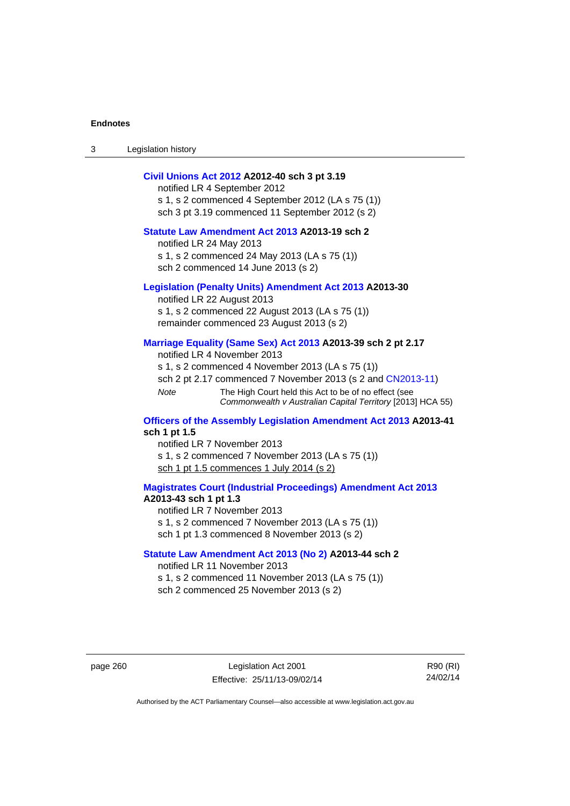3 Legislation history

### **[Civil Unions Act 2012](http://www.legislation.act.gov.au/a/2012-40) A2012-40 sch 3 pt 3.19**

notified LR 4 September 2012 s 1, s 2 commenced 4 September 2012 (LA s 75 (1)) sch 3 pt 3.19 commenced 11 September 2012 (s 2)

### **[Statute Law Amendment Act 2013](http://www.legislation.act.gov.au/a/2013-19) A2013-19 sch 2**

notified LR 24 May 2013 s 1, s 2 commenced 24 May 2013 (LA s 75 (1)) sch 2 commenced 14 June 2013 (s 2)

#### **[Legislation \(Penalty Units\) Amendment Act 2013](http://www.legislation.act.gov.au/a/2013-30) A2013-30**

notified LR 22 August 2013 s 1, s 2 commenced 22 August 2013 (LA s 75 (1)) remainder commenced 23 August 2013 (s 2)

### **[Marriage Equality \(Same Sex\) Act 2013](http://www.legislation.act.gov.au/a/2013-39) A2013-39 sch 2 pt 2.17**

notified LR 4 November 2013 s 1, s 2 commenced 4 November 2013 (LA s 75 (1)) sch 2 pt 2.17 commenced 7 November 2013 (s 2 and [CN2013-11\)](http://www.legislation.act.gov.au/cn/2013-11) *Note* The High Court held this Act to be of no effect (see *Commonwealth v Australian Capital Territory* [2013] HCA 55)

#### **[Officers of the Assembly Legislation Amendment Act 2013](http://www.legislation.act.gov.au/a/2013-41) A2013-41 sch 1 pt 1.5**

notified LR 7 November 2013 s 1, s 2 commenced 7 November 2013 (LA s 75 (1)) sch 1 pt 1.5 commences 1 July 2014 (s 2)

**[Magistrates Court \(Industrial Proceedings\) Amendment Act 2013](http://www.legislation.act.gov.au/a/2013-43) A2013-43 sch 1 pt 1.3**  notified LR 7 November 2013

s 1, s 2 commenced 7 November 2013 (LA s 75 (1))

sch 1 pt 1.3 commenced 8 November 2013 (s 2)

#### **[Statute Law Amendment Act 2013 \(No 2\)](http://www.legislation.act.gov.au/a/2013-44) A2013-44 sch 2**  notified LR 11 November 2013

s 1, s 2 commenced 11 November 2013 (LA s 75 (1)) sch 2 commenced 25 November 2013 (s 2)

page 260 Legislation Act 2001 Effective: 25/11/13-09/02/14

R90 (RI) 24/02/14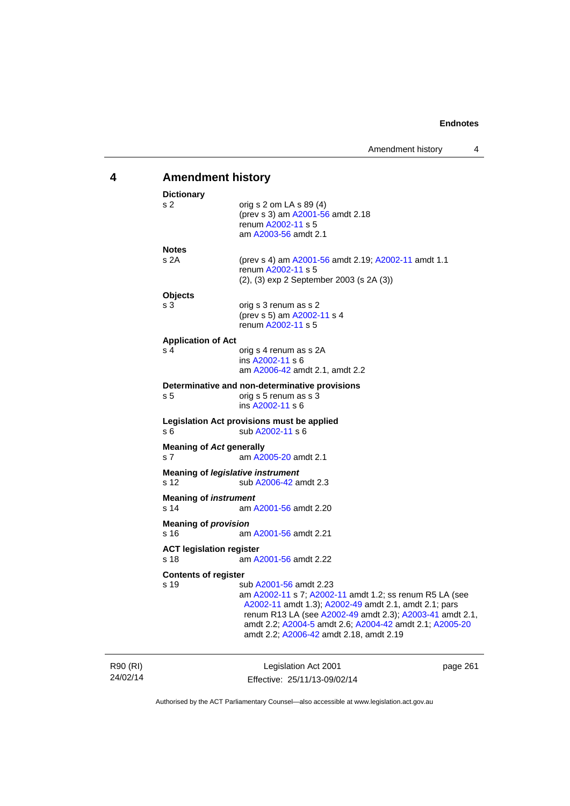# **4 Amendment history**

| <b>Dictionary</b><br>s <sub>2</sub>              | orig s $2$ om LA s $89(4)$                                                                                                                                                                                                                                                                                   |          |
|--------------------------------------------------|--------------------------------------------------------------------------------------------------------------------------------------------------------------------------------------------------------------------------------------------------------------------------------------------------------------|----------|
|                                                  | (prev s 3) am A2001-56 amdt 2.18<br>renum A2002-11 s 5<br>am A2003-56 amdt 2.1                                                                                                                                                                                                                               |          |
| <b>Notes</b>                                     |                                                                                                                                                                                                                                                                                                              |          |
| s2A                                              | (prev s 4) am A2001-56 amdt 2.19; A2002-11 amdt 1.1<br>renum A2002-11 s 5<br>(2), (3) exp 2 September 2003 (s 2A (3))                                                                                                                                                                                        |          |
| <b>Objects</b>                                   |                                                                                                                                                                                                                                                                                                              |          |
| s 3                                              | orig s 3 renum as s 2<br>(prev s 5) am A2002-11 s 4<br>renum A2002-11 s 5                                                                                                                                                                                                                                    |          |
| <b>Application of Act</b>                        |                                                                                                                                                                                                                                                                                                              |          |
| s 4                                              | orig s 4 renum as s 2A<br>ins A2002-11 s 6<br>am A2006-42 amdt 2.1, amdt 2.2                                                                                                                                                                                                                                 |          |
|                                                  | Determinative and non-determinative provisions                                                                                                                                                                                                                                                               |          |
| s <sub>5</sub>                                   | orig s 5 renum as s 3<br>ins A2002-11 s 6                                                                                                                                                                                                                                                                    |          |
| s 6                                              | Legislation Act provisions must be applied<br>sub A2002-11 s 6                                                                                                                                                                                                                                               |          |
| <b>Meaning of Act generally</b><br>s 7           | am A2005-20 amdt 2.1                                                                                                                                                                                                                                                                                         |          |
| <b>Meaning of legislative instrument</b><br>s 12 | sub A2006-42 amdt 2.3                                                                                                                                                                                                                                                                                        |          |
| <b>Meaning of instrument</b><br>s 14             | am A2001-56 amdt 2.20                                                                                                                                                                                                                                                                                        |          |
| <b>Meaning of provision</b><br>s 16              | am A2001-56 amdt 2.21                                                                                                                                                                                                                                                                                        |          |
| <b>ACT legislation register</b>                  |                                                                                                                                                                                                                                                                                                              |          |
| s 18                                             | am A2001-56 amdt 2.22                                                                                                                                                                                                                                                                                        |          |
| <b>Contents of register</b>                      |                                                                                                                                                                                                                                                                                                              |          |
| s 19                                             | sub A2001-56 amdt 2.23<br>am A2002-11 s 7; A2002-11 amdt 1.2; ss renum R5 LA (see<br>A2002-11 amdt 1.3); A2002-49 amdt 2.1, amdt 2.1; pars<br>renum R13 LA (see A2002-49 amdt 2.3); A2003-41 amdt 2.1,<br>amdt 2.2; A2004-5 amdt 2.6; A2004-42 amdt 2.1; A2005-20<br>amdt 2.2; A2006-42 amdt 2.18, amdt 2.19 |          |
|                                                  | Lagislation Act 2001                                                                                                                                                                                                                                                                                         | nage 261 |

R90 (RI) 24/02/14

Legislation Act 2001 Effective: 25/11/13-09/02/14

page 261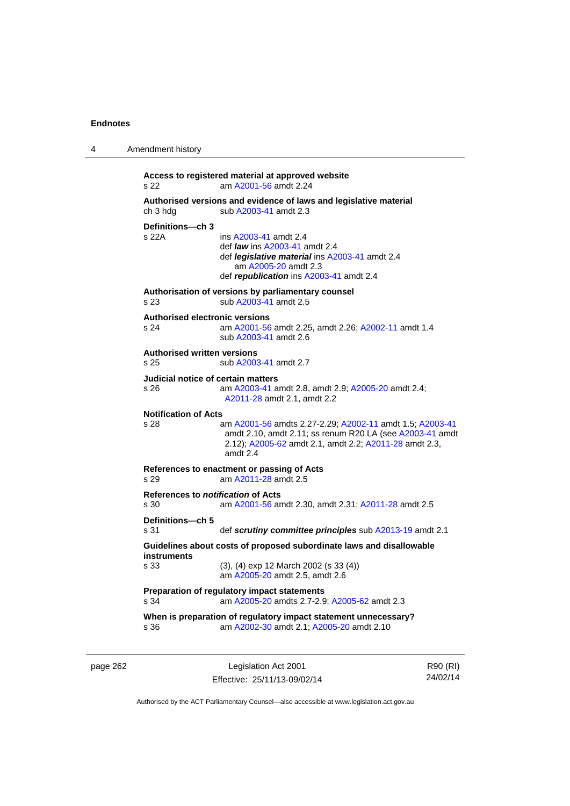4 Amendment history

| s 22                                          | Access to registered material at approved website<br>am A2001-56 amdt 2.24                                                                                                                 |
|-----------------------------------------------|--------------------------------------------------------------------------------------------------------------------------------------------------------------------------------------------|
| ch 3 hdg                                      | Authorised versions and evidence of laws and legislative material<br>sub A2003-41 amdt 2.3                                                                                                 |
| Definitions-ch 3<br>s 22A                     | ins A2003-41 amdt 2.4<br>def <i>law</i> ins A2003-41 amdt 2.4<br>def <i>legislative material</i> ins A2003-41 amdt 2.4<br>am A2005-20 amdt 2.3<br>def republication ins A2003-41 amdt 2.4  |
| s 23                                          | Authorisation of versions by parliamentary counsel<br>sub A2003-41 amdt 2.5                                                                                                                |
| <b>Authorised electronic versions</b><br>s 24 | am A2001-56 amdt 2.25, amdt 2.26; A2002-11 amdt 1.4<br>sub A2003-41 amdt 2.6                                                                                                               |
| <b>Authorised written versions</b><br>s 25    | sub A2003-41 amdt 2.7                                                                                                                                                                      |
| Judicial notice of certain matters<br>s 26    | am A2003-41 amdt 2.8, amdt 2.9; A2005-20 amdt 2.4;<br>A2011-28 amdt 2.1, amdt 2.2                                                                                                          |
| <b>Notification of Acts</b><br>s 28           | am A2001-56 amdts 2.27-2.29; A2002-11 amdt 1.5; A2003-41<br>amdt 2.10, amdt 2.11; ss renum R20 LA (see A2003-41 amdt<br>2.12); A2005-62 amdt 2.1, amdt 2.2; A2011-28 amdt 2.3,<br>amdt 2.4 |
| s 29                                          | References to enactment or passing of Acts<br>am A2011-28 amdt 2.5                                                                                                                         |
| References to notification of Acts<br>s 30    | am A2001-56 amdt 2.30, amdt 2.31; A2011-28 amdt 2.5                                                                                                                                        |
| Definitions-ch 5<br>s 31                      | def scrutiny committee principles sub A2013-19 amdt 2.1                                                                                                                                    |
| instruments                                   | Guidelines about costs of proposed subordinate laws and disallowable                                                                                                                       |
| s 33                                          | (3), (4) exp 12 March 2002 (s 33 (4))<br>am A2005-20 amdt 2.5, amdt 2.6                                                                                                                    |
| s 34                                          | Preparation of regulatory impact statements<br>am A2005-20 amdts 2.7-2.9; A2005-62 amdt 2.3                                                                                                |
| s 36                                          | When is preparation of regulatory impact statement unnecessary?<br>am A2002-30 amdt 2.1; A2005-20 amdt 2.10                                                                                |

page 262 Legislation Act 2001 Effective: 25/11/13-09/02/14

R90 (RI) 24/02/14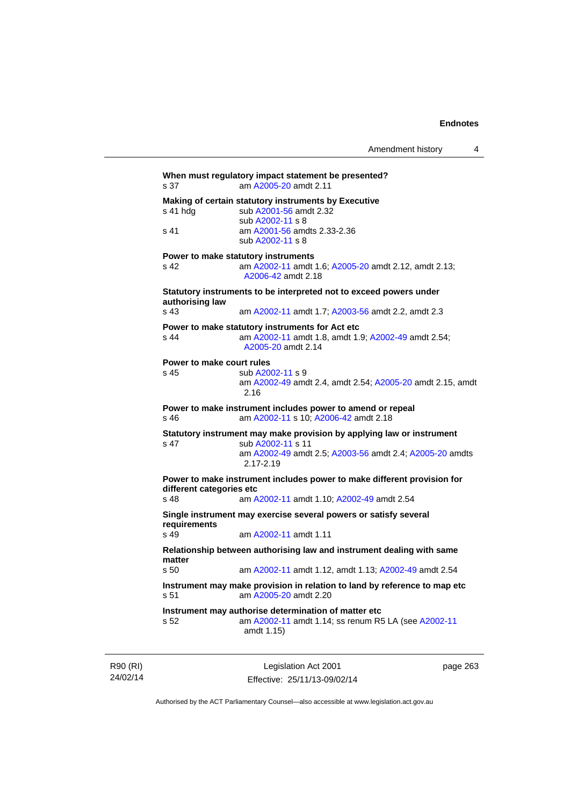| s 37                                        | When must regulatory impact statement be presented?<br>am A2005-20 amdt 2.11                                                                                       |
|---------------------------------------------|--------------------------------------------------------------------------------------------------------------------------------------------------------------------|
| s 41 hdg<br>s 41                            | Making of certain statutory instruments by Executive<br>sub A2001-56 amdt 2.32<br>sub A2002-11 s 8<br>am A2001-56 amdts 2.33-2.36<br>sub A2002-11 s 8              |
| s <sub>42</sub>                             | Power to make statutory instruments<br>am A2002-11 amdt 1.6; A2005-20 amdt 2.12, amdt 2.13;<br>A2006-42 amdt 2.18                                                  |
| authorising law<br>s 43                     | Statutory instruments to be interpreted not to exceed powers under<br>am A2002-11 amdt 1.7; A2003-56 amdt 2.2, amdt 2.3                                            |
| $s$ 44                                      | Power to make statutory instruments for Act etc<br>am A2002-11 amdt 1.8, amdt 1.9; A2002-49 amdt 2.54;<br>A2005-20 amdt 2.14                                       |
| Power to make court rules<br>s 45           | sub A2002-11 s 9<br>am A2002-49 amdt 2.4, amdt 2.54; A2005-20 amdt 2.15, amdt<br>2.16                                                                              |
| s 46                                        | Power to make instrument includes power to amend or repeal<br>am A2002-11 s 10; A2006-42 amdt 2.18                                                                 |
| s 47                                        | Statutory instrument may make provision by applying law or instrument<br>sub A2002-11 s 11<br>am A2002-49 amdt 2.5; A2003-56 amdt 2.4; A2005-20 amdts<br>2.17-2.19 |
| different categories etc<br>s <sub>48</sub> | Power to make instrument includes power to make different provision for<br>am A2002-11 amdt 1.10; A2002-49 amdt 2.54                                               |
| requirements                                | Single instrument may exercise several powers or satisfy several                                                                                                   |
| s <sub>49</sub>                             | am A2002-11 amdt 1.11                                                                                                                                              |
| matter                                      | Relationship between authorising law and instrument dealing with same                                                                                              |
| s <sub>50</sub>                             | am A2002-11 amdt 1.12, amdt 1.13; A2002-49 amdt 2.54                                                                                                               |
| s 51                                        | Instrument may make provision in relation to land by reference to map etc<br>am A2005-20 amdt 2.20                                                                 |
| s 52                                        | Instrument may authorise determination of matter etc<br>am A2002-11 amdt 1.14; ss renum R5 LA (see A2002-11<br>amdt 1.15)                                          |

R90 (RI) 24/02/14

Legislation Act 2001 Effective: 25/11/13-09/02/14 page 263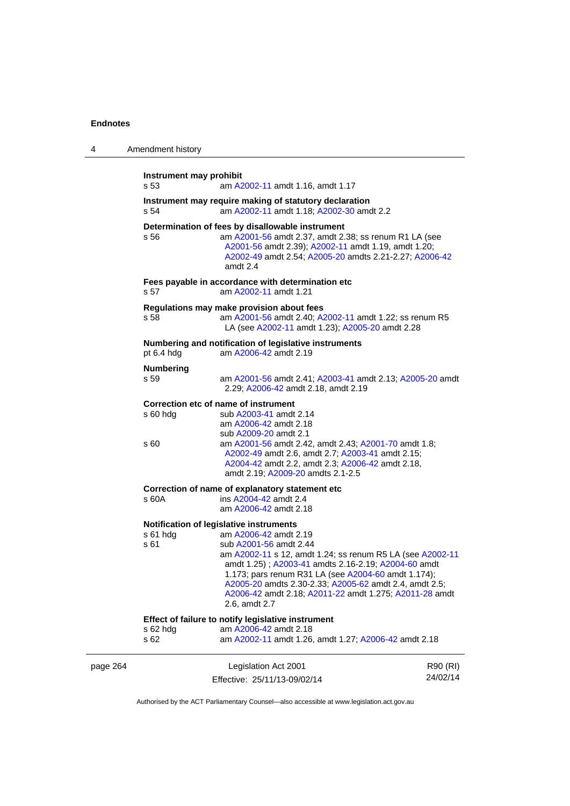| 4        | Amendment history               |                                                                                                                                                                                                                                                                                                                                                                                                            |                      |
|----------|---------------------------------|------------------------------------------------------------------------------------------------------------------------------------------------------------------------------------------------------------------------------------------------------------------------------------------------------------------------------------------------------------------------------------------------------------|----------------------|
|          | Instrument may prohibit<br>s 53 | am A2002-11 amdt 1.16, amdt 1.17                                                                                                                                                                                                                                                                                                                                                                           |                      |
|          | s 54                            | Instrument may require making of statutory declaration<br>am A2002-11 amdt 1.18; A2002-30 amdt 2.2                                                                                                                                                                                                                                                                                                         |                      |
|          | s 56                            | Determination of fees by disallowable instrument<br>am A2001-56 amdt 2.37, amdt 2.38; ss renum R1 LA (see<br>A2001-56 amdt 2.39); A2002-11 amdt 1.19, amdt 1.20;<br>A2002-49 amdt 2.54; A2005-20 amdts 2.21-2.27; A2006-42<br>amdt 2.4                                                                                                                                                                     |                      |
|          | s 57                            | Fees payable in accordance with determination etc<br>am A2002-11 amdt 1.21                                                                                                                                                                                                                                                                                                                                 |                      |
|          | s 58                            | Regulations may make provision about fees<br>am A2001-56 amdt 2.40; A2002-11 amdt 1.22; ss renum R5<br>LA (see A2002-11 amdt 1.23); A2005-20 amdt 2.28                                                                                                                                                                                                                                                     |                      |
|          | pt 6.4 hdg                      | Numbering and notification of legislative instruments<br>am A2006-42 amdt 2.19                                                                                                                                                                                                                                                                                                                             |                      |
|          | <b>Numbering</b><br>s 59        | am A2001-56 amdt 2.41; A2003-41 amdt 2.13; A2005-20 amdt<br>2.29; A2006-42 amdt 2.18, amdt 2.19                                                                                                                                                                                                                                                                                                            |                      |
|          | $s60h$ dg<br>s 60               | Correction etc of name of instrument<br>sub A2003-41 amdt 2.14<br>am A2006-42 amdt 2.18<br>sub A2009-20 amdt 2.1<br>am A2001-56 amdt 2.42, amdt 2.43; A2001-70 amdt 1.8;<br>A2002-49 amdt 2.6, amdt 2.7; A2003-41 amdt 2.15;<br>A2004-42 amdt 2.2, amdt 2.3; A2006-42 amdt 2.18,                                                                                                                           |                      |
|          | s 60A                           | amdt 2.19; A2009-20 amdts 2.1-2.5<br>Correction of name of explanatory statement etc<br>ins A2004-42 amdt 2.4<br>am A2006-42 amdt 2.18                                                                                                                                                                                                                                                                     |                      |
|          | s 61 hdg<br>s 61                | Notification of legislative instruments<br>am A2006-42 amdt 2.19<br>sub A2001-56 amdt 2.44<br>am A2002-11 s 12, amdt 1.24; ss renum R5 LA (see A2002-11<br>amdt 1.25); A2003-41 amdts 2.16-2.19; A2004-60 amdt<br>1.173; pars renum R31 LA (see A2004-60 amdt 1.174);<br>A2005-20 amdts 2.30-2.33; A2005-62 amdt 2.4, amdt 2.5;<br>A2006-42 amdt 2.18; A2011-22 amdt 1.275; A2011-28 amdt<br>2.6, amdt 2.7 |                      |
|          | s 62 hdg<br>s 62                | Effect of failure to notify legislative instrument<br>am A2006-42 amdt 2.18<br>am A2002-11 amdt 1.26, amdt 1.27; A2006-42 amdt 2.18                                                                                                                                                                                                                                                                        |                      |
| page 264 |                                 | Legislation Act 2001<br>Effective: 25/11/13-09/02/14                                                                                                                                                                                                                                                                                                                                                       | R90 (RI)<br>24/02/14 |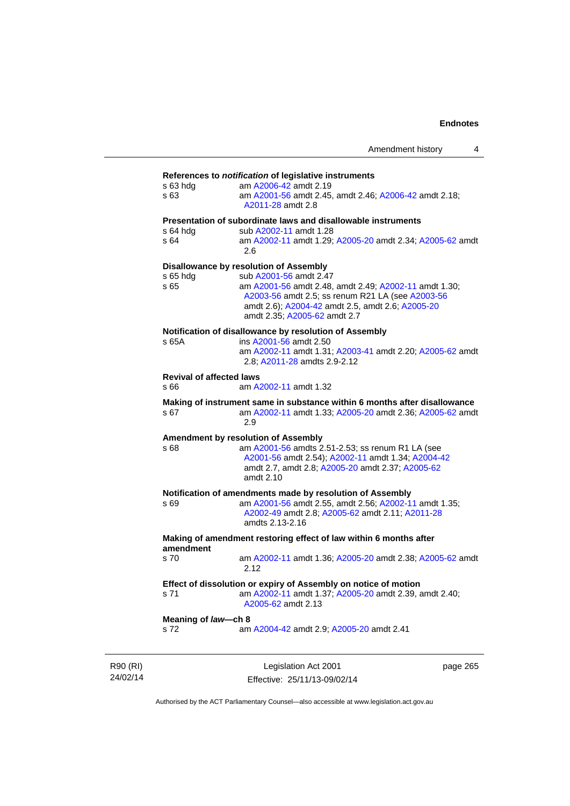### **References to** *notification* **of legislative instruments**

| s 63 hdg<br>s 63                                                | am A2006-42 amdt 2.19<br>am A2001-56 amdt 2.45, amdt 2.46; A2006-42 amdt 2.18;<br>A2011-28 amdt 2.8       |  |  |
|-----------------------------------------------------------------|-----------------------------------------------------------------------------------------------------------|--|--|
|                                                                 | Presentation of subordinate laws and disallowable instruments                                             |  |  |
| s 64 hdg                                                        | sub A2002-11 amdt 1.28                                                                                    |  |  |
| s 64                                                            | am A2002-11 amdt 1.29; A2005-20 amdt 2.34; A2005-62 amdt<br>2.6                                           |  |  |
|                                                                 | <b>Disallowance by resolution of Assembly</b>                                                             |  |  |
| s 65 hdg                                                        | sub A2001-56 amdt 2.47                                                                                    |  |  |
| s 65                                                            | am A2001-56 amdt 2.48, amdt 2.49; A2002-11 amdt 1.30;<br>A2003-56 amdt 2.5; ss renum R21 LA (see A2003-56 |  |  |
|                                                                 | amdt 2.6); A2004-42 amdt 2.5, amdt 2.6; A2005-20<br>amdt 2.35; A2005-62 amdt 2.7                          |  |  |
|                                                                 | Notification of disallowance by resolution of Assembly                                                    |  |  |
| s 65A                                                           | ins A2001-56 amdt 2.50                                                                                    |  |  |
|                                                                 | am A2002-11 amdt 1.31; A2003-41 amdt 2.20; A2005-62 amdt<br>2.8; A2011-28 amdts 2.9-2.12                  |  |  |
| <b>Revival of affected laws</b>                                 |                                                                                                           |  |  |
| s 66                                                            | am A2002-11 amdt 1.32                                                                                     |  |  |
|                                                                 | Making of instrument same in substance within 6 months after disallowance                                 |  |  |
| s 67                                                            | am A2002-11 amdt 1.33; A2005-20 amdt 2.36; A2005-62 amdt<br>2.9                                           |  |  |
|                                                                 | Amendment by resolution of Assembly                                                                       |  |  |
| s 68                                                            | am A2001-56 amdts 2.51-2.53; ss renum R1 LA (see                                                          |  |  |
|                                                                 | A2001-56 amdt 2.54); A2002-11 amdt 1.34; A2004-42                                                         |  |  |
|                                                                 | amdt 2.7, amdt 2.8; A2005-20 amdt 2.37; A2005-62<br>amdt 2.10                                             |  |  |
|                                                                 |                                                                                                           |  |  |
|                                                                 | Notification of amendments made by resolution of Assembly                                                 |  |  |
| s 69                                                            | am A2001-56 amdt 2.55, amdt 2.56; A2002-11 amdt 1.35;                                                     |  |  |
|                                                                 | A2002-49 amdt 2.8; A2005-62 amdt 2.11; A2011-28<br>amdts 2.13-2.16                                        |  |  |
|                                                                 |                                                                                                           |  |  |
| amendment                                                       | Making of amendment restoring effect of law within 6 months after                                         |  |  |
| s 70                                                            | am A2002-11 amdt 1.36; A2005-20 amdt 2.38; A2005-62 amdt<br>2.12                                          |  |  |
| Effect of dissolution or expiry of Assembly on notice of motion |                                                                                                           |  |  |
| s 71                                                            | am A2002-11 amdt 1.37; A2005-20 amdt 2.39, amdt 2.40;<br>A2005-62 amdt 2.13                               |  |  |
| Meaning of law-ch 8                                             |                                                                                                           |  |  |
| s 72                                                            | am A2004-42 amdt 2.9; A2005-20 amdt 2.41                                                                  |  |  |
|                                                                 |                                                                                                           |  |  |
|                                                                 |                                                                                                           |  |  |

R90 (RI) 24/02/14

Legislation Act 2001 Effective: 25/11/13-09/02/14 page 265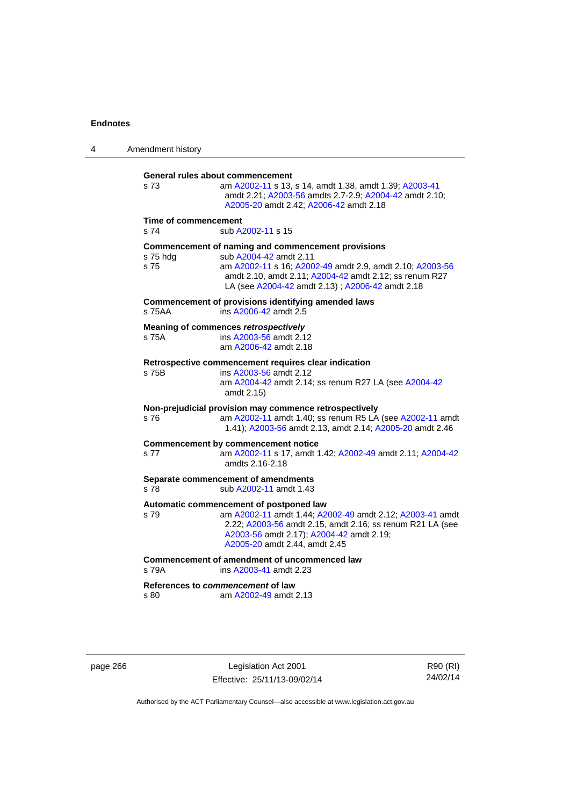| 4 | Amendment history                                                                                                                                                                                                                                                         |  |
|---|---------------------------------------------------------------------------------------------------------------------------------------------------------------------------------------------------------------------------------------------------------------------------|--|
|   | General rules about commencement<br>s 73<br>am A2002-11 s 13, s 14, amdt 1.38, amdt 1.39; A2003-41<br>amdt 2.21; A2003-56 amdts 2.7-2.9; A2004-42 amdt 2.10;<br>A2005-20 amdt 2.42; A2006-42 amdt 2.18                                                                    |  |
|   | <b>Time of commencement</b><br>s <sub>74</sub><br>sub A2002-11 s 15                                                                                                                                                                                                       |  |
|   | Commencement of naming and commencement provisions<br>sub A2004-42 amdt 2.11<br>s 75 hda<br>s 75<br>am A2002-11 s 16; A2002-49 amdt 2.9, amdt 2.10; A2003-56<br>amdt 2.10, amdt 2.11; A2004-42 amdt 2.12; ss renum R27<br>LA (see A2004-42 amdt 2.13); A2006-42 amdt 2.18 |  |
|   | Commencement of provisions identifying amended laws<br>ins A2006-42 amdt 2.5<br>s 75AA                                                                                                                                                                                    |  |
|   | Meaning of commences retrospectively<br>ins A2003-56 amdt 2.12<br>s 75A<br>am A2006-42 amdt 2.18                                                                                                                                                                          |  |
|   | Retrospective commencement requires clear indication<br>s 75B<br>ins A2003-56 amdt 2.12<br>am A2004-42 amdt 2.14; ss renum R27 LA (see A2004-42<br>amdt 2.15)                                                                                                             |  |
|   | Non-prejudicial provision may commence retrospectively<br>am A2002-11 amdt 1.40; ss renum R5 LA (see A2002-11 amdt<br>s 76<br>1.41); A2003-56 amdt 2.13, amdt 2.14; A2005-20 amdt 2.46                                                                                    |  |
|   | <b>Commencement by commencement notice</b><br>am A2002-11 s 17, amdt 1.42; A2002-49 amdt 2.11; A2004-42<br>s 77<br>amdts 2.16-2.18                                                                                                                                        |  |
|   | Separate commencement of amendments<br>sub A2002-11 amdt 1.43<br>s 78                                                                                                                                                                                                     |  |
|   | Automatic commencement of postponed law<br>s 79<br>am A2002-11 amdt 1.44; A2002-49 amdt 2.12; A2003-41 amdt<br>2.22; A2003-56 amdt 2.15, amdt 2.16; ss renum R21 LA (see<br>A2003-56 amdt 2.17); A2004-42 amdt 2.19;<br>A2005-20 amdt 2.44, amdt 2.45                     |  |
|   | Commencement of amendment of uncommenced law<br>s 79A<br>ins A2003-41 amdt 2.23                                                                                                                                                                                           |  |
|   | References to commencement of law<br>am A2002-49 amdt 2.13<br>s 80                                                                                                                                                                                                        |  |

page 266 Legislation Act 2001 Effective: 25/11/13-09/02/14

R90 (RI) 24/02/14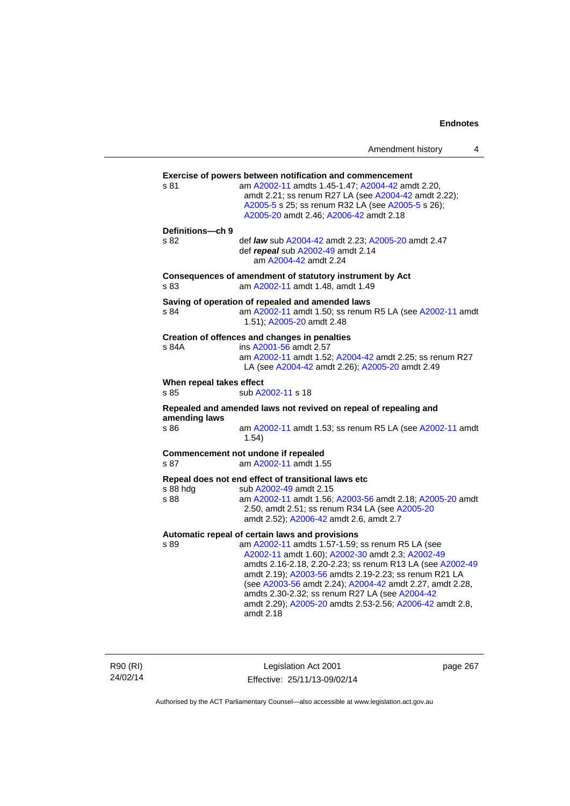Amendment history 4

| s 81                             | Exercise of powers between notification and commencement<br>am A2002-11 amdts 1.45-1.47; A2004-42 amdt 2.20,<br>amdt 2.21; ss renum R27 LA (see A2004-42 amdt 2.22);<br>A2005-5 s 25; ss renum R32 LA (see A2005-5 s 26);<br>A2005-20 amdt 2.46; A2006-42 amdt 2.18                                                                                                                                                                                                  |
|----------------------------------|----------------------------------------------------------------------------------------------------------------------------------------------------------------------------------------------------------------------------------------------------------------------------------------------------------------------------------------------------------------------------------------------------------------------------------------------------------------------|
| Definitions-ch 9<br>s 82         | def law sub A2004-42 amdt 2.23; A2005-20 amdt 2.47<br>def repeal sub A2002-49 amdt 2.14<br>am A2004-42 amdt 2.24                                                                                                                                                                                                                                                                                                                                                     |
| s 83                             | Consequences of amendment of statutory instrument by Act<br>am A2002-11 amdt 1.48, amdt 1.49                                                                                                                                                                                                                                                                                                                                                                         |
| s 84                             | Saving of operation of repealed and amended laws<br>am A2002-11 amdt 1.50; ss renum R5 LA (see A2002-11 amdt<br>1.51); A2005-20 amdt 2.48                                                                                                                                                                                                                                                                                                                            |
| s 84A                            | Creation of offences and changes in penalties<br>ins A2001-56 amdt 2.57<br>am A2002-11 amdt 1.52; A2004-42 amdt 2.25; ss renum R27<br>LA (see A2004-42 amdt 2.26); A2005-20 amdt 2.49                                                                                                                                                                                                                                                                                |
| When repeal takes effect<br>s 85 | sub A2002-11 s 18                                                                                                                                                                                                                                                                                                                                                                                                                                                    |
|                                  | Repealed and amended laws not revived on repeal of repealing and                                                                                                                                                                                                                                                                                                                                                                                                     |
| amending laws<br>s 86            | am A2002-11 amdt 1.53; ss renum R5 LA (see A2002-11 amdt<br>1.54)                                                                                                                                                                                                                                                                                                                                                                                                    |
| s 87                             | Commencement not undone if repealed<br>am A2002-11 amdt 1.55                                                                                                                                                                                                                                                                                                                                                                                                         |
| s 88 hdg<br>s 88                 | Repeal does not end effect of transitional laws etc<br>sub A2002-49 amdt 2.15<br>am A2002-11 amdt 1.56; A2003-56 amdt 2.18; A2005-20 amdt<br>2.50, amdt 2.51; ss renum R34 LA (see A2005-20<br>amdt 2.52); A2006-42 amdt 2.6, amdt 2.7                                                                                                                                                                                                                               |
| s 89                             | Automatic repeal of certain laws and provisions<br>am A2002-11 amdts 1.57-1.59; ss renum R5 LA (see<br>A2002-11 amdt 1.60); A2002-30 amdt 2.3; A2002-49<br>amdts 2.16-2.18, 2.20-2.23; ss renum R13 LA (see A2002-49<br>amdt 2.19); A2003-56 amdts 2.19-2.23; ss renum R21 LA<br>(see A2003-56 amdt 2.24); A2004-42 amdt 2.27, amdt 2.28,<br>amdts 2.30-2.32; ss renum R27 LA (see A2004-42<br>amdt 2.29); A2005-20 amdts 2.53-2.56; A2006-42 amdt 2.8,<br>amdt 2.18 |

R90 (RI) 24/02/14

Legislation Act 2001 Effective: 25/11/13-09/02/14 page 267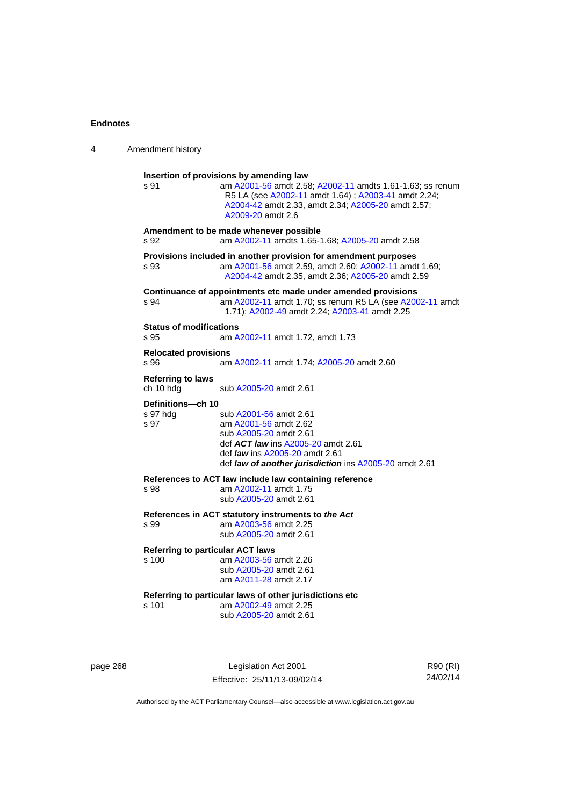| 4 | Amendment history                                |                                                                                                                                                                                                                                        |
|---|--------------------------------------------------|----------------------------------------------------------------------------------------------------------------------------------------------------------------------------------------------------------------------------------------|
|   | s 91                                             | Insertion of provisions by amending law<br>am A2001-56 amdt 2.58; A2002-11 amdts 1.61-1.63; ss renum<br>R5 LA (see A2002-11 amdt 1.64); A2003-41 amdt 2.24;<br>A2004-42 amdt 2.33, amdt 2.34; A2005-20 amdt 2.57;<br>A2009-20 amdt 2.6 |
|   | s 92                                             | Amendment to be made whenever possible<br>am A2002-11 amdts 1.65-1.68; A2005-20 amdt 2.58                                                                                                                                              |
|   | s 93                                             | Provisions included in another provision for amendment purposes<br>am A2001-56 amdt 2.59, amdt 2.60; A2002-11 amdt 1.69;<br>A2004-42 amdt 2.35, amdt 2.36; A2005-20 amdt 2.59                                                          |
|   | s 94                                             | Continuance of appointments etc made under amended provisions<br>am A2002-11 amdt 1.70; ss renum R5 LA (see A2002-11 amdt<br>1.71); A2002-49 amdt 2.24; A2003-41 amdt 2.25                                                             |
|   | <b>Status of modifications</b><br>s 95           | am A2002-11 amdt 1.72, amdt 1.73                                                                                                                                                                                                       |
|   | <b>Relocated provisions</b><br>s 96              | am A2002-11 amdt 1.74; A2005-20 amdt 2.60                                                                                                                                                                                              |
|   | <b>Referring to laws</b><br>ch 10 hdg            | sub A2005-20 amdt 2.61                                                                                                                                                                                                                 |
|   | Definitions-ch 10<br>s 97 hdg<br>s 97            | sub A2001-56 amdt 2.61<br>am A2001-56 amdt 2.62<br>sub A2005-20 amdt 2.61<br>def <b>ACT law</b> ins A2005-20 amdt 2.61<br>def law ins A2005-20 amdt 2.61<br>def <b>law of another jurisdiction</b> ins A2005-20 amdt 2.61              |
|   | s 98                                             | References to ACT law include law containing reference<br>am A2002-11 amdt 1.75<br>sub A2005-20 amdt 2.61                                                                                                                              |
|   | s 99                                             | References in ACT statutory instruments to the Act<br>am A2003-56 amdt 2.25<br>sub A2005-20 amdt 2.61                                                                                                                                  |
|   | <b>Referring to particular ACT laws</b><br>s 100 | am A2003-56 amdt 2.26<br>sub A2005-20 amdt 2.61<br>am A2011-28 amdt 2.17                                                                                                                                                               |
|   | s 101                                            | Referring to particular laws of other jurisdictions etc.<br>am A2002-49 amdt 2.25<br>sub A2005-20 amdt 2.61                                                                                                                            |

page 268 Legislation Act 2001 Effective: 25/11/13-09/02/14

R90 (RI) 24/02/14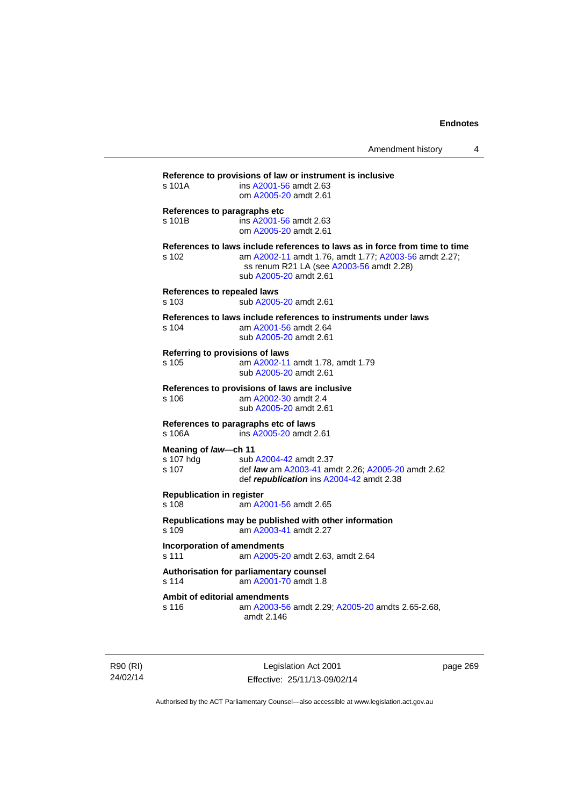| $s$ 101 $A$                                 | ins A2001-56 amdt 2.63<br>om A2005-20 amdt 2.61                                                                                                                                                            |
|---------------------------------------------|------------------------------------------------------------------------------------------------------------------------------------------------------------------------------------------------------------|
| s 101B                                      | References to paragraphs etc<br>ins A2001-56 amdt 2.63<br>om A2005-20 amdt 2.61                                                                                                                            |
| s 102                                       | References to laws include references to laws as in force from time to time<br>am A2002-11 amdt 1.76, amdt 1.77; A2003-56 amdt 2.27;<br>ss renum R21 LA (see A2003-56 amdt 2.28)<br>sub A2005-20 amdt 2.61 |
| <b>References to repealed laws</b><br>s 103 | sub A2005-20 amdt 2.61                                                                                                                                                                                     |
| s 104                                       | References to laws include references to instruments under laws<br>am A2001-56 amdt 2.64<br>sub A2005-20 amdt 2.61                                                                                         |
| s 105                                       | Referring to provisions of laws<br>am A2002-11 amdt 1.78, amdt 1.79<br>sub A2005-20 amdt 2.61                                                                                                              |
| s 106                                       | References to provisions of laws are inclusive<br>am A2002-30 amdt 2.4<br>sub A2005-20 amdt 2.61                                                                                                           |
| $s$ 106A                                    | References to paragraphs etc of laws<br>ins A2005-20 amdt 2.61                                                                                                                                             |
| Meaning of law-ch 11<br>s 107 hdg<br>s 107  | sub A2004-42 amdt 2.37<br>def law am A2003-41 amdt 2.26; A2005-20 amdt 2.62<br>def republication ins A2004-42 amdt 2.38                                                                                    |
| <b>Republication in register</b><br>s 108   | am A2001-56 amdt 2.65                                                                                                                                                                                      |
| s.109                                       | Republications may be published with other information<br>am A2003-41 amdt 2.27                                                                                                                            |
| s 111                                       | <b>Incorporation of amendments</b><br>am A2005-20 amdt 2.63, amdt 2.64                                                                                                                                     |
| s 114                                       | Authorisation for parliamentary counsel<br>am A2001-70 amdt 1.8                                                                                                                                            |
| s 116                                       | Ambit of editorial amendments<br>am A2003-56 amdt 2.29; A2005-20 amdts 2.65-2.68,<br>amdt 2.146                                                                                                            |

R90 (RI) 24/02/14

Legislation Act 2001 Effective: 25/11/13-09/02/14 page 269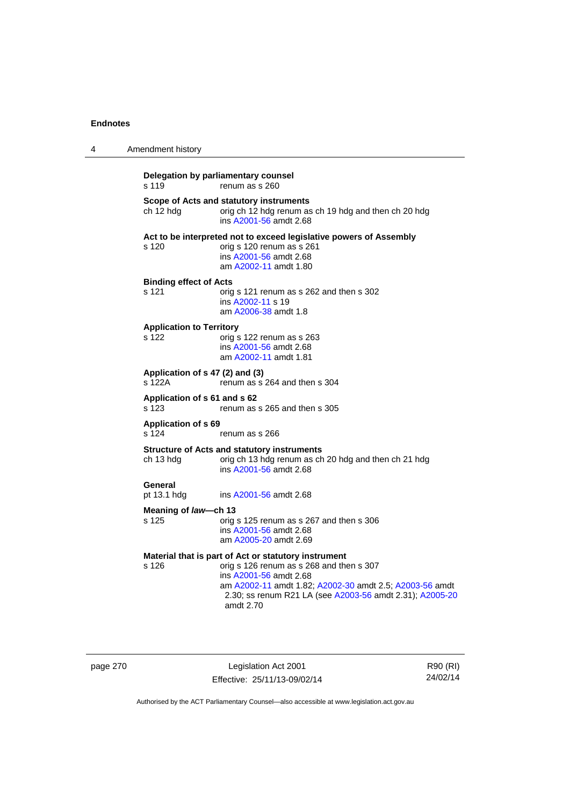| 4 | Amendment history                         |                                                                                                                                                                                                                                                                |
|---|-------------------------------------------|----------------------------------------------------------------------------------------------------------------------------------------------------------------------------------------------------------------------------------------------------------------|
|   | s 119                                     | Delegation by parliamentary counsel<br>renum as s 260                                                                                                                                                                                                          |
|   | ch 12 hdg                                 | Scope of Acts and statutory instruments<br>orig ch 12 hdg renum as ch 19 hdg and then ch 20 hdg<br>ins A2001-56 amdt 2.68                                                                                                                                      |
|   | s 120                                     | Act to be interpreted not to exceed legislative powers of Assembly<br>orig s 120 renum as s 261<br>ins A2001-56 amdt 2.68<br>am A2002-11 amdt 1.80                                                                                                             |
|   | <b>Binding effect of Acts</b><br>s 121    | orig s 121 renum as s 262 and then s 302<br>ins A2002-11 s 19<br>am A2006-38 amdt 1.8                                                                                                                                                                          |
|   | <b>Application to Territory</b><br>s 122  | orig s 122 renum as s 263<br>ins A2001-56 amdt 2.68<br>am A2002-11 amdt 1.81                                                                                                                                                                                   |
|   | Application of s 47 (2) and (3)<br>s 122A | renum as s 264 and then s 304                                                                                                                                                                                                                                  |
|   | Application of s 61 and s 62<br>s 123     | renum as s 265 and then s 305                                                                                                                                                                                                                                  |
|   | <b>Application of s 69</b><br>s 124       | renum as s 266                                                                                                                                                                                                                                                 |
|   | ch 13 hdg                                 | <b>Structure of Acts and statutory instruments</b><br>orig ch 13 hdg renum as ch 20 hdg and then ch 21 hdg<br>ins A2001-56 amdt 2.68                                                                                                                           |
|   | General<br>pt 13.1 hdg                    | ins A2001-56 amdt 2.68                                                                                                                                                                                                                                         |
|   | Meaning of law—ch 13<br>s 125             | orig s 125 renum as s 267 and then s 306<br>ins A2001-56 amdt 2.68<br>am A2005-20 amdt 2.69                                                                                                                                                                    |
|   | s 126                                     | Material that is part of Act or statutory instrument<br>orig s 126 renum as s 268 and then s 307<br>ins A2001-56 amdt 2.68<br>am A2002-11 amdt 1.82; A2002-30 amdt 2.5; A2003-56 amdt<br>2.30; ss renum R21 LA (see A2003-56 amdt 2.31); A2005-20<br>amdt 2.70 |

page 270 Legislation Act 2001 Effective: 25/11/13-09/02/14

R90 (RI) 24/02/14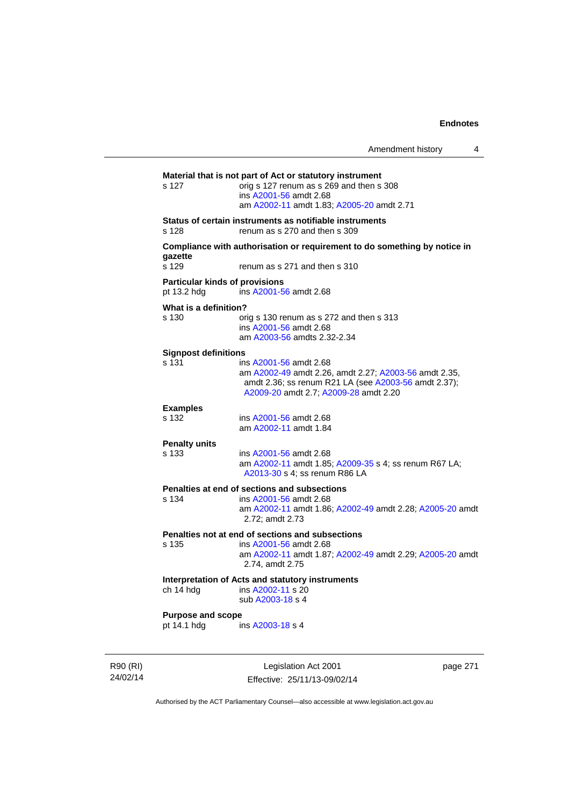|          |                                         |                                                                                                                                                                                  | Amendment history | 4        |
|----------|-----------------------------------------|----------------------------------------------------------------------------------------------------------------------------------------------------------------------------------|-------------------|----------|
|          | s 127                                   | Material that is not part of Act or statutory instrument<br>orig s 127 renum as s 269 and then s 308<br>ins A2001-56 amdt 2.68<br>am A2002-11 amdt 1.83; A2005-20 amdt 2.71      |                   |          |
|          | s 128                                   | Status of certain instruments as notifiable instruments<br>renum as s 270 and then s 309                                                                                         |                   |          |
|          | gazette<br>s 129                        | Compliance with authorisation or requirement to do something by notice in<br>renum as s 271 and then s 310                                                                       |                   |          |
|          | pt 13.2 hdg                             | <b>Particular kinds of provisions</b><br>ins A2001-56 amdt 2.68                                                                                                                  |                   |          |
|          | What is a definition?<br>s 130          | orig s 130 renum as s 272 and then s 313<br>ins A2001-56 amdt 2.68<br>am A2003-56 amdts 2.32-2.34                                                                                |                   |          |
|          | <b>Signpost definitions</b><br>s 131    | ins A2001-56 amdt 2.68<br>am A2002-49 amdt 2.26, amdt 2.27; A2003-56 amdt 2.35,<br>amdt 2.36; ss renum R21 LA (see A2003-56 amdt 2.37);<br>A2009-20 amdt 2.7; A2009-28 amdt 2.20 |                   |          |
|          | <b>Examples</b><br>s 132                | ins A2001-56 amdt 2.68<br>am A2002-11 amdt 1.84                                                                                                                                  |                   |          |
|          | <b>Penalty units</b><br>s 133           | ins A2001-56 amdt 2.68<br>am A2002-11 amdt 1.85; A2009-35 s 4; ss renum R67 LA;<br>A2013-30 s 4; ss renum R86 LA                                                                 |                   |          |
|          | s 134                                   | Penalties at end of sections and subsections<br>ins A2001-56 amdt 2.68<br>am A2002-11 amdt 1.86; A2002-49 amdt 2.28; A2005-20 amdt<br>2.72; amdt 2.73                            |                   |          |
|          | s 135                                   | Penalties not at end of sections and subsections<br>ins A2001-56 amdt 2.68<br>am A2002-11 amdt 1.87; A2002-49 amdt 2.29; A2005-20 amdt<br>2.74, amdt 2.75                        |                   |          |
|          | ch 14 hdg                               | Interpretation of Acts and statutory instruments<br>ins A2002-11 s 20<br>sub A2003-18 s 4                                                                                        |                   |          |
|          | <b>Purpose and scope</b><br>pt 14.1 hdg | ins A2003-18 s 4                                                                                                                                                                 |                   |          |
| R90 (RI) |                                         | Legislation Act 2001                                                                                                                                                             |                   | page 271 |

Authorised by the ACT Parliamentary Counsel—also accessible at www.legislation.act.gov.au

Effective: 25/11/13-09/02/14

24/02/14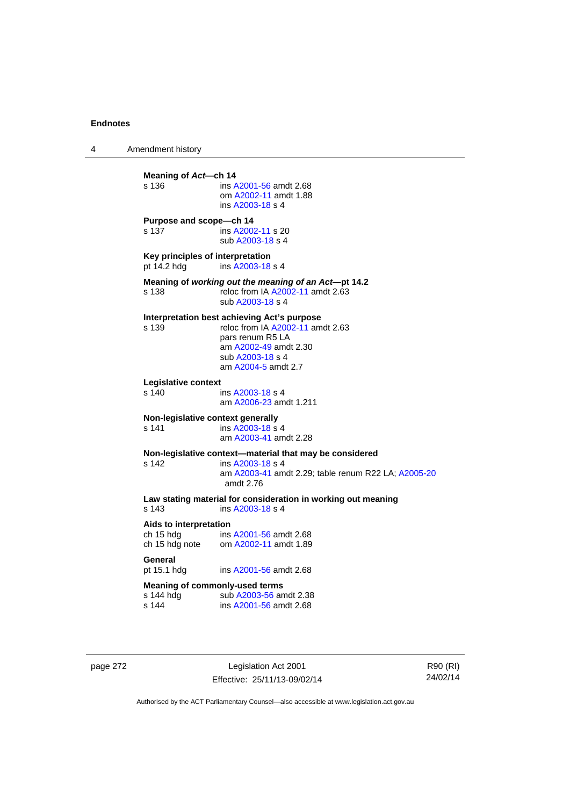4 Amendment history **Meaning of Act—ch 14**<br>s 136 **ins A** s 136 ins [A2001-56](http://www.legislation.act.gov.au/a/2001-56) amdt 2.68 om [A2002-11](http://www.legislation.act.gov.au/a/2002-11) amdt 1.88 ins [A2003-18](http://www.legislation.act.gov.au/a/2003-18) s 4 **Purpose and scope—ch 14**  s 137 ins [A2002-11](http://www.legislation.act.gov.au/a/2002-11) s 20 sub [A2003-18](http://www.legislation.act.gov.au/a/2003-18) s 4 **Key principles of interpretation**<br>pt 14.2 hdg ins A2003-18 ins [A2003-18](http://www.legislation.act.gov.au/a/2003-18) s 4 **Meaning of** *working out the meaning of an Act***—pt 14.2**  s 138 reloc from IA [A2002-11](http://www.legislation.act.gov.au/a/2002-11) amdt 2.63 sub [A2003-18](http://www.legislation.act.gov.au/a/2003-18) s 4 **Interpretation best achieving Act's purpose**  s 139 reloc from IA [A2002-11](http://www.legislation.act.gov.au/a/2002-11) amdt 2.63 pars renum R5 LA am [A2002-49](http://www.legislation.act.gov.au/a/2002-49) amdt 2.30 sub [A2003-18](http://www.legislation.act.gov.au/a/2003-18) s 4 am [A2004-5](http://www.legislation.act.gov.au/a/2004-5) amdt 2.7 **Legislative context**  ins [A2003-18](http://www.legislation.act.gov.au/a/2003-18) s 4 am [A2006-23](http://www.legislation.act.gov.au/a/2006-23) amdt 1.211 **Non-legislative context generally**  s 141 **ins [A2003-18](http://www.legislation.act.gov.au/a/2003-18) s** 4 am [A2003-41](http://www.legislation.act.gov.au/a/2003-41) amdt 2.28 **Non-legislative context—material that may be considered**  s 142 ins [A2003-18](http://www.legislation.act.gov.au/a/2003-18) s 4 am [A2003-41](http://www.legislation.act.gov.au/a/2003-41) amdt 2.29; table renum R22 LA; [A2005-20](http://www.legislation.act.gov.au/a/2005-20) amdt 2.76 **Law stating material for consideration in working out meaning**  ins [A2003-18](http://www.legislation.act.gov.au/a/2003-18) s 4 **Aids to interpretation**  ch 15 hdg ins [A2001-56](http://www.legislation.act.gov.au/a/2001-56) amdt 2.68 ch 15 hdg note om [A2002-11](http://www.legislation.act.gov.au/a/2002-11) amdt 1.89 General<br>pt 15.1 hdg ins [A2001-56](http://www.legislation.act.gov.au/a/2001-56) amdt 2.68 **Meaning of commonly-used terms**  s 144 hdg sub [A2003-56](http://www.legislation.act.gov.au/a/2003-56) amdt 2.38<br>s 144 ins A2001-56 amdt 2.68 ins [A2001-56](http://www.legislation.act.gov.au/a/2001-56) amdt 2.68

page 272 Legislation Act 2001 Effective: 25/11/13-09/02/14

R90 (RI) 24/02/14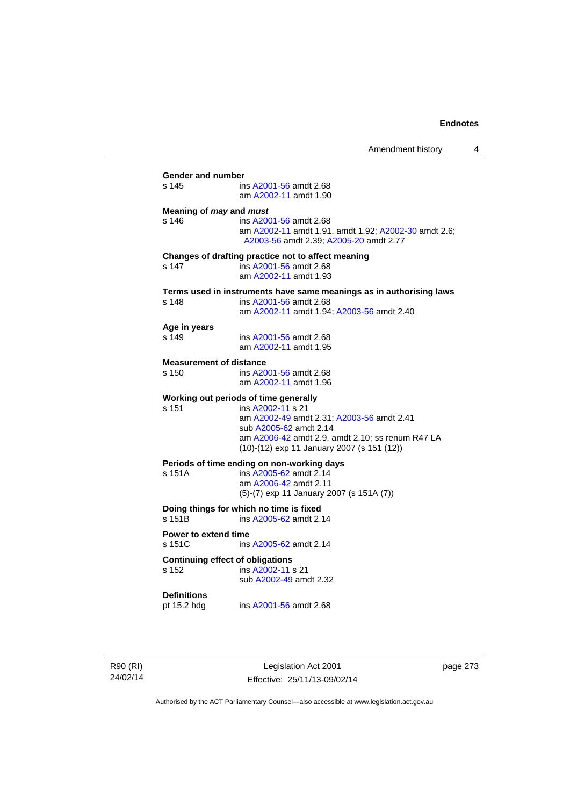| $s$ 145<br>Meaning of may and must      | ins A2001-56 amdt 2.68<br>am A2002-11 amdt 1.90                                                                          |
|-----------------------------------------|--------------------------------------------------------------------------------------------------------------------------|
|                                         |                                                                                                                          |
|                                         |                                                                                                                          |
| $s$ 146                                 | ins A2001-56 amdt 2.68<br>am A2002-11 amdt 1.91, amdt 1.92; A2002-30 amdt 2.6;<br>A2003-56 amdt 2.39; A2005-20 amdt 2.77 |
|                                         | Changes of drafting practice not to affect meaning                                                                       |
| s 147                                   | ins A2001-56 amdt 2.68<br>am A2002-11 amdt 1.93                                                                          |
|                                         | Terms used in instruments have same meanings as in authorising laws                                                      |
| s 148                                   | ins A2001-56 amdt 2.68<br>am A2002-11 amdt 1.94; A2003-56 amdt 2.40                                                      |
| Age in years                            |                                                                                                                          |
| s 149                                   | ins A2001-56 amdt 2.68<br>am A2002-11 amdt 1.95                                                                          |
| <b>Measurement of distance</b>          |                                                                                                                          |
| s 150                                   | ins A2001-56 amdt 2.68<br>am A2002-11 amdt 1.96                                                                          |
|                                         | Working out periods of time generally                                                                                    |
| s 151                                   | ins A2002-11 s 21                                                                                                        |
|                                         | am A2002-49 amdt 2.31; A2003-56 amdt 2.41<br>sub A2005-62 amdt 2.14                                                      |
|                                         | am A2006-42 amdt 2.9, amdt 2.10; ss renum R47 LA<br>(10)-(12) exp 11 January 2007 (s 151 (12))                           |
|                                         | Periods of time ending on non-working days                                                                               |
| s 151A                                  | ins A2005-62 amdt 2.14<br>am A2006-42 amdt 2.11                                                                          |
|                                         | (5)-(7) exp 11 January 2007 (s 151A (7))                                                                                 |
| s 151B                                  | Doing things for which no time is fixed<br>ins A2005-62 amdt 2.14                                                        |
| Power to extend time                    |                                                                                                                          |
| s 151C                                  | ins A2005-62 amdt 2.14                                                                                                   |
| <b>Continuing effect of obligations</b> |                                                                                                                          |
| s 152                                   | ins A2002-11 s 21<br>sub A2002-49 amdt 2.32                                                                              |
|                                         |                                                                                                                          |

R90 (RI) 24/02/14

Legislation Act 2001 Effective: 25/11/13-09/02/14 page 273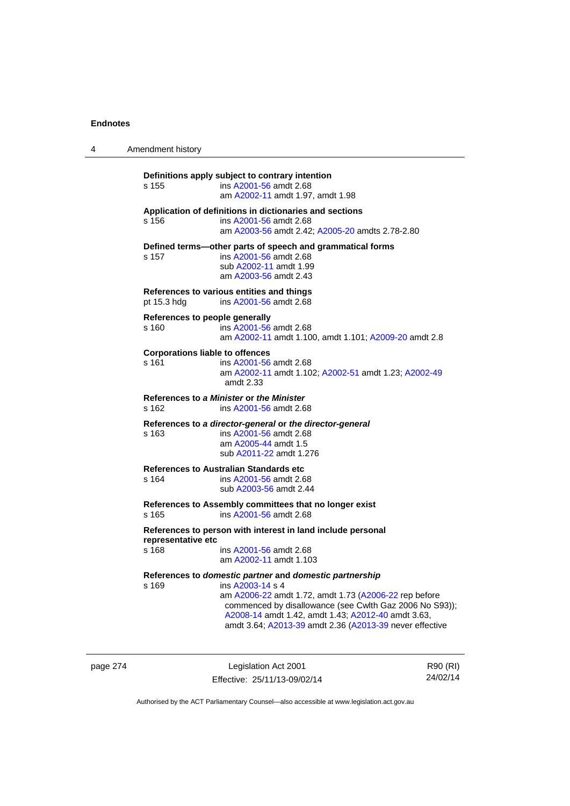| 4 | Amendment history                                      |                                                                                                                                                                                                                                                                                                                  |
|---|--------------------------------------------------------|------------------------------------------------------------------------------------------------------------------------------------------------------------------------------------------------------------------------------------------------------------------------------------------------------------------|
|   | s 155                                                  | Definitions apply subject to contrary intention<br>ins A2001-56 amdt 2.68<br>am A2002-11 amdt 1.97, amdt 1.98                                                                                                                                                                                                    |
|   | s 156                                                  | Application of definitions in dictionaries and sections<br>ins A2001-56 amdt 2.68<br>am A2003-56 amdt 2.42; A2005-20 amdts 2.78-2.80                                                                                                                                                                             |
|   | s 157                                                  | Defined terms—other parts of speech and grammatical forms<br>ins A2001-56 amdt 2.68<br>sub A2002-11 amdt 1.99<br>am A2003-56 amdt 2.43                                                                                                                                                                           |
|   | pt 15.3 hdg                                            | References to various entities and things<br>ins A2001-56 amdt 2.68                                                                                                                                                                                                                                              |
|   | References to people generally<br>s 160                | ins A2001-56 amdt 2.68<br>am A2002-11 amdt 1.100, amdt 1.101; A2009-20 amdt 2.8                                                                                                                                                                                                                                  |
|   | <b>Corporations liable to offences</b><br>s 161        | ins A2001-56 amdt 2.68<br>am A2002-11 amdt 1.102; A2002-51 amdt 1.23; A2002-49<br>amdt $2.33$                                                                                                                                                                                                                    |
|   | s 162                                                  | References to a Minister or the Minister<br>ins A2001-56 amdt 2.68                                                                                                                                                                                                                                               |
|   | s 163                                                  | References to a director-general or the director-general<br>ins A2001-56 amdt 2.68<br>am A2005-44 amdt 1.5<br>sub A2011-22 amdt 1.276                                                                                                                                                                            |
|   | <b>References to Australian Standards etc</b><br>s 164 | ins A2001-56 amdt 2.68<br>sub A2003-56 amdt 2.44                                                                                                                                                                                                                                                                 |
|   | s 165                                                  | References to Assembly committees that no longer exist<br>ins A2001-56 amdt 2.68                                                                                                                                                                                                                                 |
|   | representative etc<br>s 168                            | References to person with interest in land include personal<br>ins A2001-56 amdt 2.68<br>am A2002-11 amdt 1.103                                                                                                                                                                                                  |
|   | s 169                                                  | References to domestic partner and domestic partnership<br>ins A2003-14 s 4<br>am A2006-22 amdt 1.72, amdt 1.73 (A2006-22 rep before<br>commenced by disallowance (see Cwlth Gaz 2006 No S93));<br>A2008-14 amdt 1.42, amdt 1.43; A2012-40 amdt 3.63,<br>amdt 3.64; A2013-39 amdt 2.36 (A2013-39 never effective |

page 274 **Legislation Act 2001** Effective: 25/11/13-09/02/14

R90 (RI) 24/02/14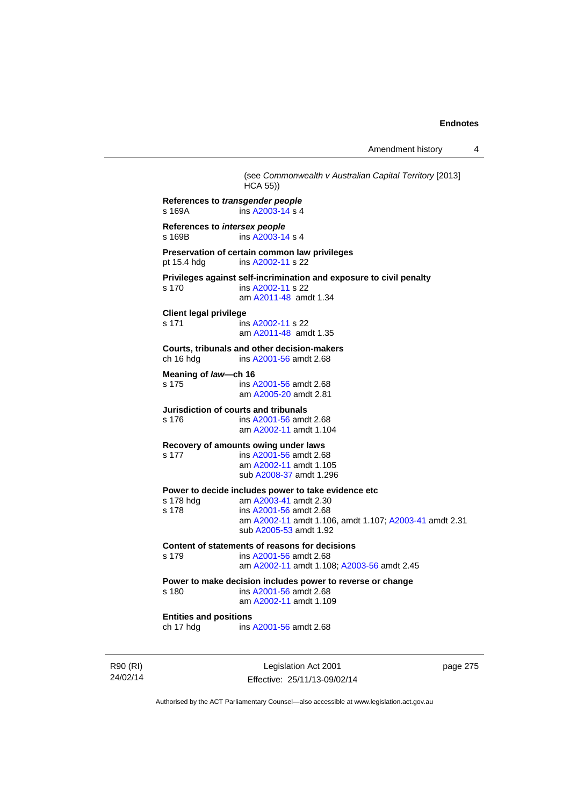Amendment history 4

Legislation Act 2001 Effective: 25/11/13-09/02/14 page 275 (see *Commonwealth v Australian Capital Territory* [2013]  $HCA$  55) **References to** *transgender people*  s 169A ins [A2003-14](http://www.legislation.act.gov.au/a/2003-14) s 4 **References to** *intersex people*  s 169B ins [A2003-14](http://www.legislation.act.gov.au/a/2003-14) s 4 **Preservation of certain common law privileges**  pt 15.4 hdg ins [A2002-11](http://www.legislation.act.gov.au/a/2002-11) s 22 **Privileges against self-incrimination and exposure to civil penalty**  s 170 **ins [A2002-11](http://www.legislation.act.gov.au/a/2002-11) s 22**  am [A2011-48](http://www.legislation.act.gov.au/a/2011-48) amdt 1.34 **Client legal privilege**  s 171 ins [A2002-11](http://www.legislation.act.gov.au/a/2002-11) s 22 am [A2011-48](http://www.legislation.act.gov.au/a/2011-48) amdt 1.35 **Courts, tribunals and other decision-makers**  ch 16 hdg ins [A2001-56](http://www.legislation.act.gov.au/a/2001-56) amdt 2.68 **Meaning of** *law***—ch 16**  s 175 ins [A2001-56](http://www.legislation.act.gov.au/a/2001-56) amdt 2.68 am [A2005-20](http://www.legislation.act.gov.au/a/2005-20) amdt 2.81 **Jurisdiction of courts and tribunals**  s 176 ins [A2001-56](http://www.legislation.act.gov.au/a/2001-56) amdt 2.68 am [A2002-11](http://www.legislation.act.gov.au/a/2002-11) amdt 1.104 **Recovery of amounts owing under laws**  s 177 ins [A2001-56](http://www.legislation.act.gov.au/a/2001-56) amdt 2.68 am [A2002-11](http://www.legislation.act.gov.au/a/2002-11) amdt 1.105 sub [A2008-37](http://www.legislation.act.gov.au/a/2008-37) amdt 1.296 **Power to decide includes power to take evidence etc** s 178 hdg am A2003-41 amdt 2.30 s 178 hdg am [A2003-41](http://www.legislation.act.gov.au/a/2003-41) amdt 2.30<br>s 178 ins A2001-56 amdt 2.68 ins [A2001-56](http://www.legislation.act.gov.au/a/2001-56) amdt 2.68 am [A2002-11](http://www.legislation.act.gov.au/a/2002-11) amdt 1.106, amdt 1.107; [A2003-41](http://www.legislation.act.gov.au/a/2003-41) amdt 2.31 sub [A2005-53](http://www.legislation.act.gov.au/a/2005-53) amdt 1.92 **Content of statements of reasons for decisions**  s 179 ins [A2001-56](http://www.legislation.act.gov.au/a/2001-56) amdt 2.68 am [A2002-11](http://www.legislation.act.gov.au/a/2002-11) amdt 1.108; [A2003-56](http://www.legislation.act.gov.au/a/2003-56) amdt 2.45 **Power to make decision includes power to reverse or change**  s 180 ins [A2001-56](http://www.legislation.act.gov.au/a/2001-56) amdt 2.68 am [A2002-11](http://www.legislation.act.gov.au/a/2002-11) amdt 1.109 **Entities and positions**  ch 17 hdg ins [A2001-56](http://www.legislation.act.gov.au/a/2001-56) amdt 2.68

Authorised by the ACT Parliamentary Counsel—also accessible at www.legislation.act.gov.au

R90 (RI) 24/02/14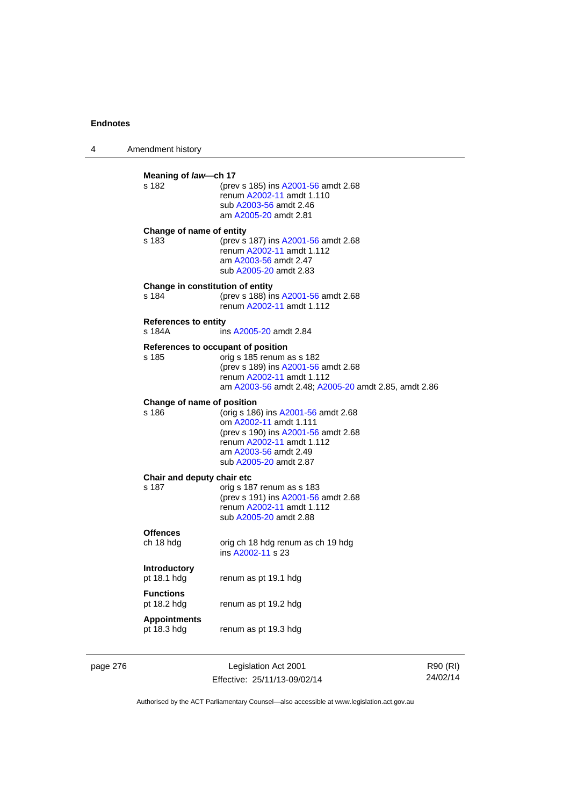| 4 | Amendment history                         |                                                                                                                                                                                             |
|---|-------------------------------------------|---------------------------------------------------------------------------------------------------------------------------------------------------------------------------------------------|
|   | Meaning of law-ch 17<br>s 182             | (prev s 185) ins A2001-56 amdt 2.68<br>renum A2002-11 amdt 1.110<br>sub A2003-56 amdt 2.46<br>am A2005-20 amdt 2.81                                                                         |
|   | Change of name of entity<br>s 183         | (prev s 187) ins A2001-56 amdt 2.68<br>renum A2002-11 amdt 1.112<br>am A2003-56 amdt 2.47<br>sub A2005-20 amdt 2.83                                                                         |
|   | Change in constitution of entity<br>s 184 | (prev s 188) ins A2001-56 amdt 2.68<br>renum A2002-11 amdt 1.112                                                                                                                            |
|   | <b>References to entity</b><br>s 184A     | ins A2005-20 amdt 2.84                                                                                                                                                                      |
|   | s 185                                     | References to occupant of position<br>orig s 185 renum as s 182<br>(prev s 189) ins A2001-56 amdt 2.68<br>renum A2002-11 amdt 1.112<br>am A2003-56 amdt 2.48; A2005-20 amdt 2.85, amdt 2.86 |
|   | Change of name of position<br>s 186       | (orig s 186) ins A2001-56 amdt 2.68<br>om A2002-11 amdt 1.111<br>(prev s 190) ins A2001-56 amdt 2.68<br>renum A2002-11 amdt 1.112<br>am A2003-56 amdt 2.49<br>sub A2005-20 amdt 2.87        |
|   | Chair and deputy chair etc<br>s 187       | orig s 187 renum as s 183<br>(prev s 191) ins A2001-56 amdt 2.68<br>renum A2002-11 amdt 1.112<br>sub A2005-20 amdt 2.88                                                                     |
|   | <b>Offences</b><br>ch 18 hdg              | orig ch 18 hdg renum as ch 19 hdg<br>ins A2002-11 s 23                                                                                                                                      |
|   | <b>Introductory</b><br>pt 18.1 hdg        | renum as pt 19.1 hdg                                                                                                                                                                        |
|   | <b>Functions</b><br>pt 18.2 hdg           | renum as pt 19.2 hdg                                                                                                                                                                        |
|   | <b>Appointments</b><br>pt 18.3 hdg        | renum as pt 19.3 hdg                                                                                                                                                                        |

page 276 Legislation Act 2001 Effective: 25/11/13-09/02/14

R90 (RI) 24/02/14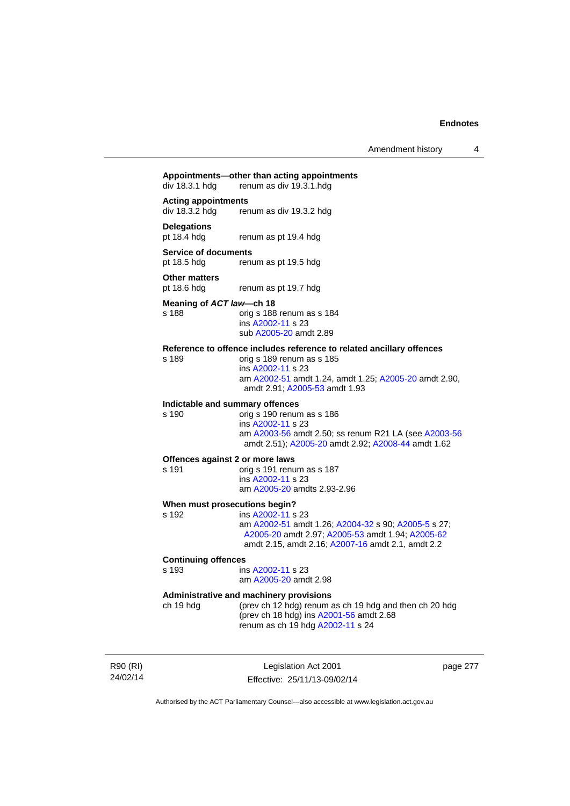Amendment history 4

## **Appointments—other than acting appointments**  renum as div 19.3.1 hdg **Acting appointments**  div 18.3.2 hdg renum as div 19.3.2 hdg **Delegations**  renum as pt 19.4 hdg **Service of documents**  pt 18.5 hdg renum as pt 19.5 hdg **Other matters**<br>pt 18.6 hdg renum as pt 19.7 hdg **Meaning of** *ACT law***—ch 18**  s 188 orig s 188 renum as s 184 ins [A2002-11](http://www.legislation.act.gov.au/a/2002-11) s 23 sub [A2005-20](http://www.legislation.act.gov.au/a/2005-20) amdt 2.89 **Reference to offence includes reference to related ancillary offences**  s 189 orig s 189 renum as s 185 ins [A2002-11](http://www.legislation.act.gov.au/a/2002-11) s 23 am [A2002-51](http://www.legislation.act.gov.au/a/2002-51) amdt 1.24, amdt 1.25; [A2005-20](http://www.legislation.act.gov.au/a/2005-20) amdt 2.90, amdt 2.91; [A2005-53](http://www.legislation.act.gov.au/a/2005-53) amdt 1.93 **Indictable and summary offences**  orig s 190 renum as s 186 ins [A2002-11](http://www.legislation.act.gov.au/a/2002-11) s 23 am [A2003-56](http://www.legislation.act.gov.au/a/2003-56) amdt 2.50; ss renum R21 LA (see [A2003-56](http://www.legislation.act.gov.au/a/2003-56) amdt 2.51); [A2005-20](http://www.legislation.act.gov.au/a/2005-20) amdt 2.92; [A2008-44](http://www.legislation.act.gov.au/a/2008-44) amdt 1.62 **Offences against 2 or more laws**  s 191 orig s 191 renum as s 187 ins [A2002-11](http://www.legislation.act.gov.au/a/2002-11) s 23 am [A2005-20](http://www.legislation.act.gov.au/a/2005-20) amdts 2.93-2.96 **When must prosecutions begin?**  s 192 ins [A2002-11](http://www.legislation.act.gov.au/a/2002-11) s 23 am [A2002-51](http://www.legislation.act.gov.au/a/2002-51) amdt 1.26; [A2004-32](http://www.legislation.act.gov.au/a/2004-32) s 90; [A2005-5](http://www.legislation.act.gov.au/a/2005-5) s 27; [A2005-20](http://www.legislation.act.gov.au/a/2005-20) amdt 2.97; [A2005-53](http://www.legislation.act.gov.au/a/2005-53) amdt 1.94; [A2005-62](http://www.legislation.act.gov.au/a/2005-62) amdt 2.15, amdt 2.16; [A2007-16](http://www.legislation.act.gov.au/a/2007-16) amdt 2.1, amdt 2.2 **Continuing offences**  ins [A2002-11](http://www.legislation.act.gov.au/a/2002-11) s 23 am [A2005-20](http://www.legislation.act.gov.au/a/2005-20) amdt 2.98 **Administrative and machinery provisions**  ch 19 hdg (prev ch 12 hdg) renum as ch 19 hdg and then ch 20 hdg (prev ch 18 hdg) ins [A2001-56](http://www.legislation.act.gov.au/a/2001-56) amdt 2.68 renum as ch 19 hdg [A2002-11](http://www.legislation.act.gov.au/a/2002-11) s 24

R90 (RI) 24/02/14

Legislation Act 2001 Effective: 25/11/13-09/02/14 page 277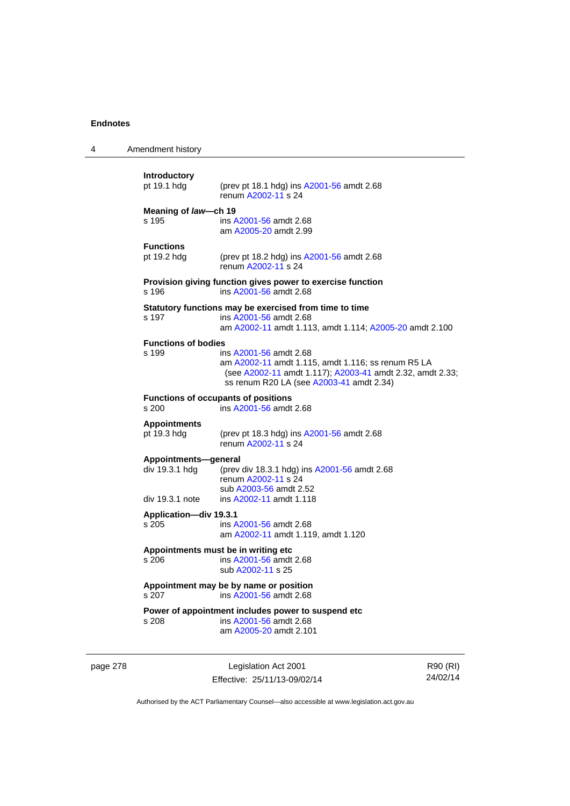| 4                                                                             | Amendment history                      |                                                                                                                                                                                       |                      |
|-------------------------------------------------------------------------------|----------------------------------------|---------------------------------------------------------------------------------------------------------------------------------------------------------------------------------------|----------------------|
|                                                                               | Introductory<br>pt 19.1 hdg            | (prev pt 18.1 hdg) ins A2001-56 amdt 2.68<br>renum A2002-11 s 24                                                                                                                      |                      |
|                                                                               | Meaning of law-ch 19<br>s 195          | ins A2001-56 amdt 2.68<br>am A2005-20 amdt 2.99                                                                                                                                       |                      |
|                                                                               | <b>Functions</b><br>pt 19.2 hdg        | (prev pt 18.2 hdg) ins A2001-56 amdt 2.68<br>renum A2002-11 s 24                                                                                                                      |                      |
|                                                                               | s 196                                  | Provision giving function gives power to exercise function<br>ins A2001-56 amdt 2.68                                                                                                  |                      |
|                                                                               | s 197                                  | Statutory functions may be exercised from time to time<br>ins A2001-56 amdt 2.68<br>am A2002-11 amdt 1.113, amdt 1.114; A2005-20 amdt 2.100                                           |                      |
|                                                                               | <b>Functions of bodies</b><br>s 199    | ins A2001-56 amdt 2.68<br>am A2002-11 amdt 1.115, amdt 1.116; ss renum R5 LA<br>(see A2002-11 amdt 1.117); A2003-41 amdt 2.32, amdt 2.33;<br>ss renum R20 LA (see A2003-41 amdt 2.34) |                      |
| <b>Functions of occupants of positions</b><br>s 200<br>ins A2001-56 amdt 2.68 |                                        |                                                                                                                                                                                       |                      |
|                                                                               | <b>Appointments</b><br>pt 19.3 hdg     | (prev pt 18.3 hdg) ins A2001-56 amdt 2.68<br>renum A2002-11 s 24                                                                                                                      |                      |
|                                                                               | Appointments-general<br>div 19.3.1 hdg | (prev div 18.3.1 hdg) ins A2001-56 amdt 2.68<br>renum A2002-11 s 24<br>sub A2003-56 amdt 2.52                                                                                         |                      |
|                                                                               | div 19.3.1 note                        | ins A2002-11 amdt 1.118                                                                                                                                                               |                      |
|                                                                               | Application-div 19.3.1<br>s 205        | ins A2001-56 amdt 2.68<br>am A2002-11 amdt 1.119, amdt 1.120                                                                                                                          |                      |
|                                                                               | s 206                                  | Appointments must be in writing etc<br>ins A2001-56 amdt 2.68<br>sub A2002-11 s 25                                                                                                    |                      |
|                                                                               | s 207                                  | Appointment may be by name or position<br>ins A2001-56 amdt 2.68                                                                                                                      |                      |
|                                                                               | s 208                                  | Power of appointment includes power to suspend etc<br>ins A2001-56 amdt 2.68<br>am A2005-20 amdt 2.101                                                                                |                      |
| page 278                                                                      |                                        | Legislation Act 2001<br>Effective: 25/11/13-09/02/14                                                                                                                                  | R90 (RI)<br>24/02/14 |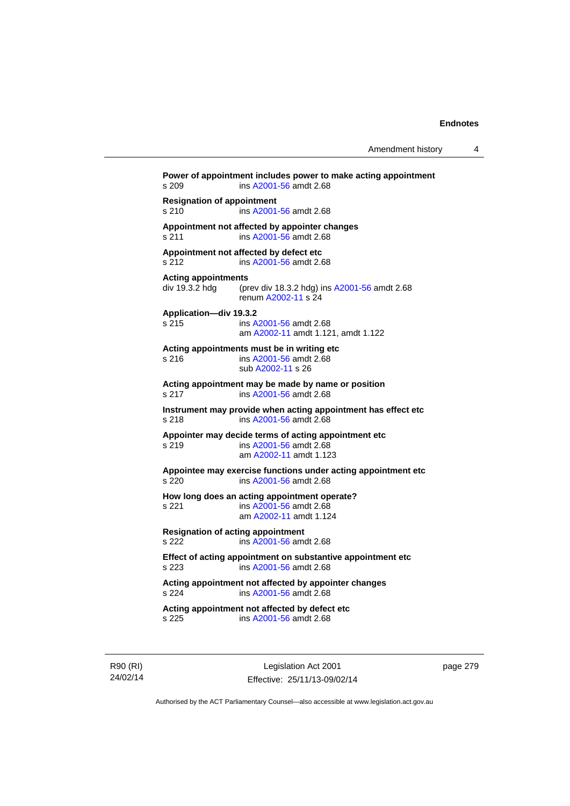**Power of appointment includes power to make acting appointment**  s 209 ins [A2001-56](http://www.legislation.act.gov.au/a/2001-56) amdt 2.68 **Resignation of appointment**  s 210 ins [A2001-56](http://www.legislation.act.gov.au/a/2001-56) amdt 2.68 **Appointment not affected by appointer changes**  s 211 ins [A2001-56](http://www.legislation.act.gov.au/a/2001-56) amdt 2.68 **Appointment not affected by defect etc**  s 212 ins [A2001-56](http://www.legislation.act.gov.au/a/2001-56) amdt 2.68 **Acting appointments**  (prev div 18.3.2 hdg) ins [A2001-56](http://www.legislation.act.gov.au/a/2001-56) amdt 2.68 renum [A2002-11](http://www.legislation.act.gov.au/a/2002-11) s 24 **Application—div 19.3.2**  ins [A2001-56](http://www.legislation.act.gov.au/a/2001-56) amdt 2.68 am [A2002-11](http://www.legislation.act.gov.au/a/2002-11) amdt 1.121, amdt 1.122 **Acting appointments must be in writing etc**  s 216 ins [A2001-56](http://www.legislation.act.gov.au/a/2001-56) amdt 2.68 sub [A2002-11](http://www.legislation.act.gov.au/a/2002-11) s 26 **Acting appointment may be made by name or position**  s 217 ins [A2001-56](http://www.legislation.act.gov.au/a/2001-56) amdt 2.68 **Instrument may provide when acting appointment has effect etc**  s 218 ins [A2001-56](http://www.legislation.act.gov.au/a/2001-56) amdt 2.68 **Appointer may decide terms of acting appointment etc**  s 219 ins [A2001-56](http://www.legislation.act.gov.au/a/2001-56) amdt 2.68 am [A2002-11](http://www.legislation.act.gov.au/a/2002-11) amdt 1.123 **Appointee may exercise functions under acting appointment etc**  s 220 ins [A2001-56](http://www.legislation.act.gov.au/a/2001-56) amdt 2.68 **How long does an acting appointment operate?**  s 221 ins [A2001-56](http://www.legislation.act.gov.au/a/2001-56) amdt 2.68 am [A2002-11](http://www.legislation.act.gov.au/a/2002-11) amdt 1.124 **Resignation of acting appointment**  s 222 ins [A2001-56](http://www.legislation.act.gov.au/a/2001-56) amdt 2.68 **Effect of acting appointment on substantive appointment etc**  s 223 ins [A2001-56](http://www.legislation.act.gov.au/a/2001-56) amdt 2.68 **Acting appointment not affected by appointer changes**  s 224 ins [A2001-56](http://www.legislation.act.gov.au/a/2001-56) amdt 2.68 **Acting appointment not affected by defect etc**  s 225 ins [A2001-56](http://www.legislation.act.gov.au/a/2001-56) amdt 2.68

R90 (RI) 24/02/14

Legislation Act 2001 Effective: 25/11/13-09/02/14 page 279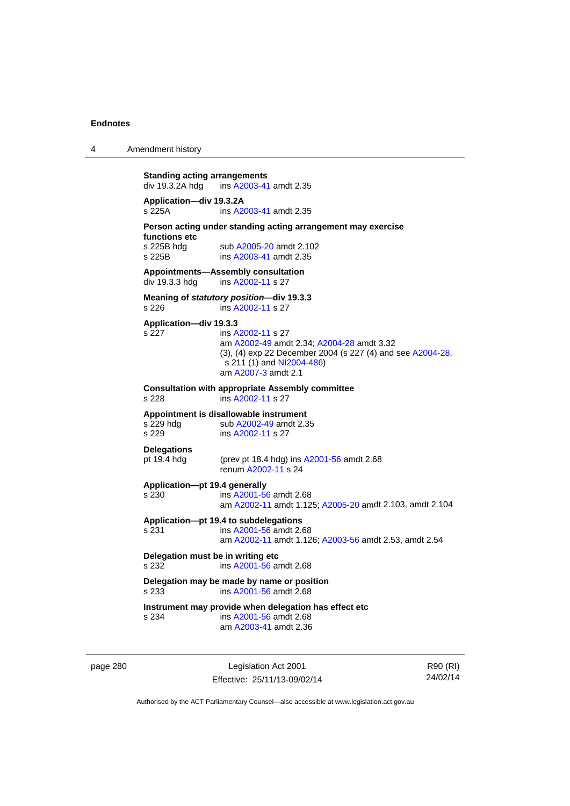4 Amendment history

```
Standing acting arrangements<br>div 19.3.2A hdg ins A2003-41
                 A2003-41 amdt 2.35
Application—div 19.3.2A 
s 225A ins A2003-41 amdt 2.35 
Person acting under standing acting arrangement may exercise 
functions etc 
A2005-20 amdt 2.102<br>s 225B ins A2003-41 amdt 2.35
                 A2003-41 amdt 2.35
Appointments—Assembly consultation 
A2002-11 s 27
Meaning of statutory position—div 19.3.3 
                 A2002-11 s 27
Application—div 19.3.3 
s 227 ins A2002-11 s 27 
                  am A2002-49 amdt 2.34; A2004-28 amdt 3.32 
                 (3), (4) exp 22 December 2004 (s 227 (4) and see A2004-28, 
                  NI2004-486)
                  am A2007-3 amdt 2.1 
Consultation with appropriate Assembly committee 
s 228 ins A2002-11 s 27 
Appointment is disallowable instrument 
A2002-49 amdt 2.35<br>s 229 sub A2002-11 s 27
                 A2002-11 s 27
Delegations 
pt 19.4 hdg (prev pt 18.4 hdg) ins A2001-56 amdt 2.68 
                  renum A2002-11 s 24 
Application—pt 19.4 generally 
s 230 ins A2001-56 amdt 2.68 
                  am A2002-11 amdt 1.125; A2005-20 amdt 2.103, amdt 2.104 
Application—pt 19.4 to subdelegations 
s 231 ins A2001-56 amdt 2.68 
                  am A2002-11 amdt 1.126; A2003-56 amdt 2.53, amdt 2.54 
Delegation must be in writing etc 
s 232 ins A2001-56 amdt 2.68 
Delegation may be made by name or position 
s 233 ins A2001-56 amdt 2.68 
Instrument may provide when delegation has effect etc 
s 234 ins A2001-56 amdt 2.68 
                  am A2003-41 amdt 2.36
```
page 280 Legislation Act 2001 Effective: 25/11/13-09/02/14

R90 (RI) 24/02/14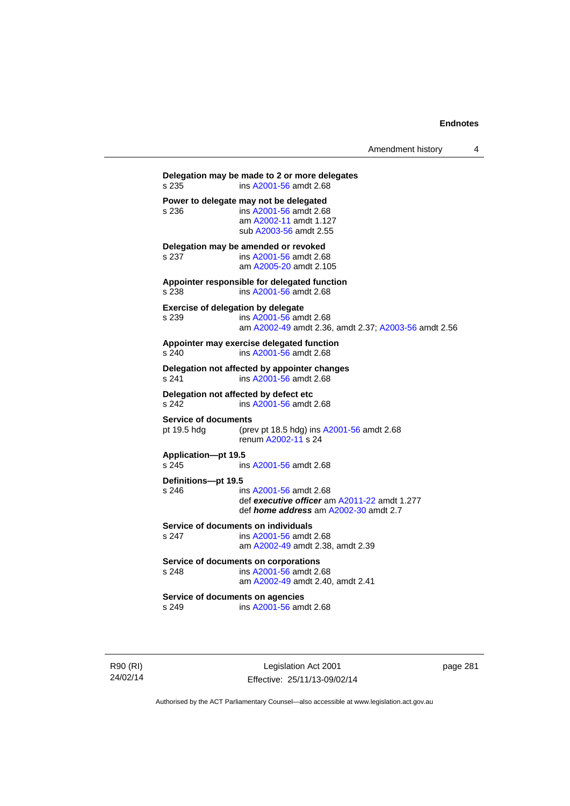| Amendment history |  |
|-------------------|--|
|-------------------|--|

**Delegation may be made to 2 or more delegates**  s 235 ins [A2001-56](http://www.legislation.act.gov.au/a/2001-56) amdt 2.68 **Power to delegate may not be delegated**<br>s 236 **ins A2001-56** amdt 2.68 s 236 ins [A2001-56](http://www.legislation.act.gov.au/a/2001-56) amdt 2.68 am [A2002-11](http://www.legislation.act.gov.au/a/2002-11) amdt 1.127 sub [A2003-56](http://www.legislation.act.gov.au/a/2003-56) amdt 2.55 **Delegation may be amended or revoked**  s 237 ins [A2001-56](http://www.legislation.act.gov.au/a/2001-56) amdt 2.68 am [A2005-20](http://www.legislation.act.gov.au/a/2005-20) amdt 2.105 **Appointer responsible for delegated function**  s 238 ins [A2001-56](http://www.legislation.act.gov.au/a/2001-56) amdt 2.68 **Exercise of delegation by delegate**  s 239 ins [A2001-56](http://www.legislation.act.gov.au/a/2001-56) amdt 2.68 am [A2002-49](http://www.legislation.act.gov.au/a/2002-49) amdt 2.36, amdt 2.37; [A2003-56](http://www.legislation.act.gov.au/a/2003-56) amdt 2.56 **Appointer may exercise delegated function**  s 240 ins [A2001-56](http://www.legislation.act.gov.au/a/2001-56) amdt 2.68 **Delegation not affected by appointer changes**  s 241 ins [A2001-56](http://www.legislation.act.gov.au/a/2001-56) amdt 2.68 **Delegation not affected by defect etc**<br>s 242 **ins A2001-56 amdt** s 242 ins [A2001-56](http://www.legislation.act.gov.au/a/2001-56) amdt 2.68 **Service of documents**  pt 19.5 hdg (prev pt 18.5 hdg) ins [A2001-56](http://www.legislation.act.gov.au/a/2001-56) amdt 2.68 renum [A2002-11](http://www.legislation.act.gov.au/a/2002-11) s 24 **Application—pt 19.5**  ins [A2001-56](http://www.legislation.act.gov.au/a/2001-56) amdt 2.68 **Definitions—pt 19.5**  s 246 ins [A2001-56](http://www.legislation.act.gov.au/a/2001-56) amdt 2.68 def *executive officer* am [A2011-22](http://www.legislation.act.gov.au/a/2011-22) amdt 1.277 def *home address* am [A2002-30](http://www.legislation.act.gov.au/a/2002-30) amdt 2.7 **Service of documents on individuals**  s 247 ins [A2001-56](http://www.legislation.act.gov.au/a/2001-56) amdt 2.68 am [A2002-49](http://www.legislation.act.gov.au/a/2002-49) amdt 2.38, amdt 2.39 **Service of documents on corporations**  s 248 ins [A2001-56](http://www.legislation.act.gov.au/a/2001-56) amdt 2.68 am [A2002-49](http://www.legislation.act.gov.au/a/2002-49) amdt 2.40, amdt 2.41 **Service of documents on agencies**  s 249 ins [A2001-56](http://www.legislation.act.gov.au/a/2001-56) amdt 2.68

R90 (RI) 24/02/14

Legislation Act 2001 Effective: 25/11/13-09/02/14 page 281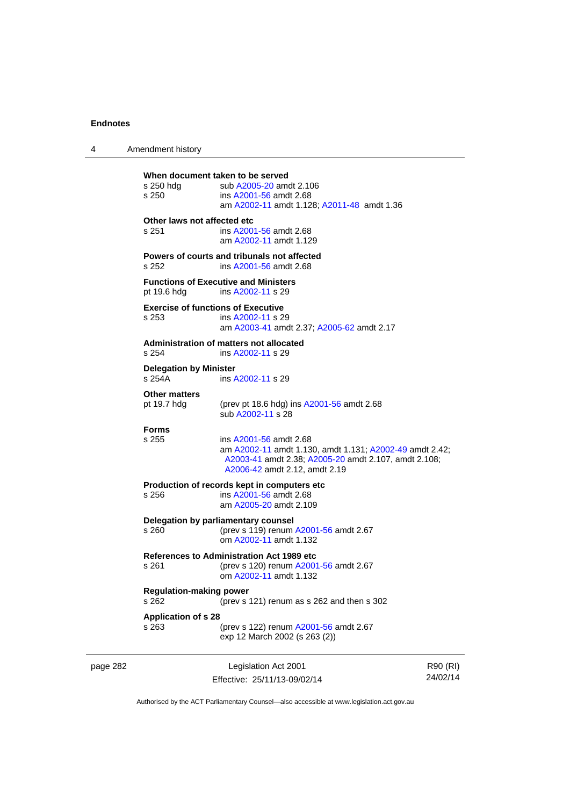| 4        | Amendment history                                  |                                                                                                                                                                            |                      |
|----------|----------------------------------------------------|----------------------------------------------------------------------------------------------------------------------------------------------------------------------------|----------------------|
|          | s 250 hdg<br>s 250                                 | When document taken to be served<br>sub A2005-20 amdt 2.106<br>ins A2001-56 amdt 2.68<br>am A2002-11 amdt 1.128; A2011-48 amdt 1.36                                        |                      |
|          | Other laws not affected etc<br>s 251               | ins A2001-56 amdt 2.68<br>am A2002-11 amdt 1.129                                                                                                                           |                      |
|          | s 252                                              | Powers of courts and tribunals not affected<br>ins A2001-56 amdt 2.68                                                                                                      |                      |
|          | pt 19.6 hdg                                        | <b>Functions of Executive and Ministers</b><br>ins A2002-11 s 29                                                                                                           |                      |
|          | <b>Exercise of functions of Executive</b><br>s 253 | ins A2002-11 s 29<br>am A2003-41 amdt 2.37; A2005-62 amdt 2.17                                                                                                             |                      |
|          | s.254                                              | Administration of matters not allocated<br>ins A2002-11 s 29                                                                                                               |                      |
|          | <b>Delegation by Minister</b><br>s 254A            | ins A2002-11 s 29                                                                                                                                                          |                      |
|          | <b>Other matters</b><br>pt 19.7 hdg                | (prev pt 18.6 hdg) ins A2001-56 amdt 2.68<br>sub A2002-11 s 28                                                                                                             |                      |
|          | <b>Forms</b><br>s 255                              | ins A2001-56 amdt 2.68<br>am A2002-11 amdt 1.130, amdt 1.131; A2002-49 amdt 2.42;<br>A2003-41 amdt 2.38; A2005-20 amdt 2.107, amdt 2.108;<br>A2006-42 amdt 2.12, amdt 2.19 |                      |
|          | s 256                                              | Production of records kept in computers etc<br>ins A2001-56 amdt 2.68<br>am A2005-20 amdt 2.109                                                                            |                      |
|          | s 260                                              | Delegation by parliamentary counsel<br>(prev s 119) renum A2001-56 amdt 2.67<br>om A2002-11 amdt 1.132                                                                     |                      |
|          | s 261                                              | <b>References to Administration Act 1989 etc</b><br>(prev s 120) renum A2001-56 amdt 2.67<br>om A2002-11 amdt 1.132                                                        |                      |
|          | <b>Regulation-making power</b><br>s 262            | (prev s 121) renum as s 262 and then s 302                                                                                                                                 |                      |
|          | <b>Application of s 28</b><br>s 263                | (prev s 122) renum A2001-56 amdt 2.67<br>exp 12 March 2002 (s 263 (2))                                                                                                     |                      |
| page 282 |                                                    | Legislation Act 2001<br>Effective: 25/11/13-09/02/14                                                                                                                       | R90 (RI)<br>24/02/14 |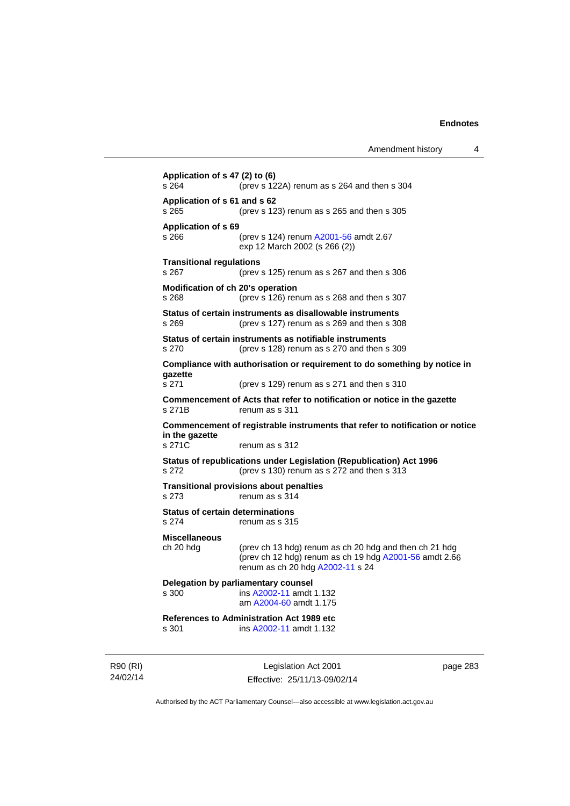| Application of s 47 (2) to (6)<br>s 264                                      | (prev s 122A) renum as s 264 and then s 304                                                                                                          |
|------------------------------------------------------------------------------|------------------------------------------------------------------------------------------------------------------------------------------------------|
| Application of s 61 and s 62<br>s 265                                        | (prev s 123) renum as s 265 and then s 305                                                                                                           |
| <b>Application of s 69</b><br>s 266                                          | (prev s 124) renum A2001-56 amdt 2.67<br>exp 12 March 2002 (s 266 (2))                                                                               |
| <b>Transitional regulations</b><br>s 267                                     | (prev s 125) renum as s 267 and then s 306                                                                                                           |
| Modification of ch 20's operation<br>s 268                                   | (prev s 126) renum as s 268 and then s 307                                                                                                           |
| s 269                                                                        | Status of certain instruments as disallowable instruments<br>(prev s 127) renum as s 269 and then s 308                                              |
| s 270                                                                        | Status of certain instruments as notifiable instruments<br>(prev s 128) renum as s 270 and then s 309                                                |
|                                                                              | Compliance with authorisation or requirement to do something by notice in                                                                            |
| gazette<br>s 271                                                             | (prev s 129) renum as s 271 and then s 310                                                                                                           |
| s 271B                                                                       | Commencement of Acts that refer to notification or notice in the gazette<br>renum as s 311                                                           |
| Commencement of registrable instruments that refer to notification or notice |                                                                                                                                                      |
| in the gazette<br>s 271C                                                     | renum as s 312                                                                                                                                       |
| s 272                                                                        | Status of republications under Legislation (Republication) Act 1996<br>(prev s 130) renum as s 272 and then s 313                                    |
| s 273                                                                        | <b>Transitional provisions about penalties</b><br>renum as s 314                                                                                     |
| <b>Status of certain determinations</b><br>s 274                             | renum as s 315                                                                                                                                       |
| <b>Miscellaneous</b>                                                         |                                                                                                                                                      |
| ch 20 hdg                                                                    | (prev ch 13 hdg) renum as ch 20 hdg and then ch 21 hdg<br>(prev ch 12 hdg) renum as ch 19 hdg A2001-56 amdt 2.66<br>renum as ch 20 hdg A2002-11 s 24 |
| s 300                                                                        | Delegation by parliamentary counsel<br>ins A2002-11 amdt 1.132<br>am A2004-60 amdt 1.175                                                             |
| s 301                                                                        | <b>References to Administration Act 1989 etc</b><br>ins A2002-11 amdt 1.132                                                                          |
|                                                                              |                                                                                                                                                      |

R90 (RI) 24/02/14

Legislation Act 2001 Effective: 25/11/13-09/02/14 page 283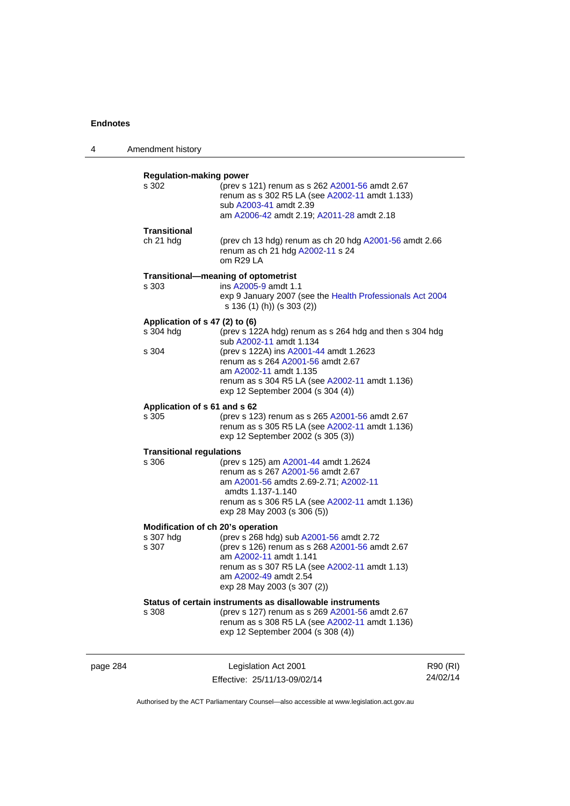| 4        | Amendment history                                    |                                                                                                                                                                                                                                                                                    |                      |
|----------|------------------------------------------------------|------------------------------------------------------------------------------------------------------------------------------------------------------------------------------------------------------------------------------------------------------------------------------------|----------------------|
|          | <b>Regulation-making power</b><br>s 302              | (prev s 121) renum as s 262 A2001-56 amdt 2.67<br>renum as s 302 R5 LA (see A2002-11 amdt 1.133)<br>sub A2003-41 amdt 2.39<br>am A2006-42 amdt 2.19; A2011-28 amdt 2.18                                                                                                            |                      |
|          | <b>Transitional</b><br>ch 21 hdg                     | (prev ch 13 hdg) renum as ch 20 hdg A2001-56 amdt 2.66<br>renum as ch 21 hdg A2002-11 s 24<br>om R29 LA                                                                                                                                                                            |                      |
|          | s 303                                                | Transitional-meaning of optometrist<br>ins A2005-9 amdt 1.1<br>exp 9 January 2007 (see the Health Professionals Act 2004<br>s 136 (1) (h)) (s 303 (2))                                                                                                                             |                      |
|          | Application of s 47 (2) to (6)<br>s 304 hdg<br>s 304 | (prev s 122A hdg) renum as s 264 hdg and then s 304 hdg<br>sub A2002-11 amdt 1.134<br>(prev s 122A) ins A2001-44 amdt 1.2623<br>renum as s 264 A2001-56 amdt 2.67<br>am A2002-11 amdt 1.135<br>renum as s 304 R5 LA (see A2002-11 amdt 1.136)<br>exp 12 September 2004 (s 304 (4)) |                      |
|          | Application of s 61 and s 62<br>s 305                | (prev s 123) renum as s 265 A2001-56 amdt 2.67<br>renum as s 305 R5 LA (see A2002-11 amdt 1.136)<br>exp 12 September 2002 (s 305 (3))                                                                                                                                              |                      |
|          | <b>Transitional regulations</b><br>s 306             | (prev s 125) am A2001-44 amdt 1.2624<br>renum as s 267 A2001-56 amdt 2.67<br>am A2001-56 amdts 2.69-2.71; A2002-11<br>amdts 1.137-1.140<br>renum as s 306 R5 LA (see A2002-11 amdt 1.136)<br>exp 28 May 2003 (s 306 (5))                                                           |                      |
|          | s 307 hdg<br>s 307                                   | Modification of ch 20's operation<br>(prev s 268 hdg) sub A2001-56 amdt 2.72<br>(prev s 126) renum as s 268 A2001-56 amdt 2.67<br>am A2002-11 amdt 1.141<br>renum as s 307 R5 LA (see A2002-11 amdt 1.13)<br>am A2002-49 amdt 2.54<br>exp 28 May 2003 (s 307 (2))                  |                      |
|          | s 308                                                | Status of certain instruments as disallowable instruments<br>(prev s 127) renum as s 269 A2001-56 amdt 2.67<br>renum as s 308 R5 LA (see A2002-11 amdt 1.136)<br>exp 12 September 2004 (s 308 (4))                                                                                 |                      |
| page 284 |                                                      | Legislation Act 2001<br>Effective: 25/11/13-09/02/14                                                                                                                                                                                                                               | R90 (RI)<br>24/02/14 |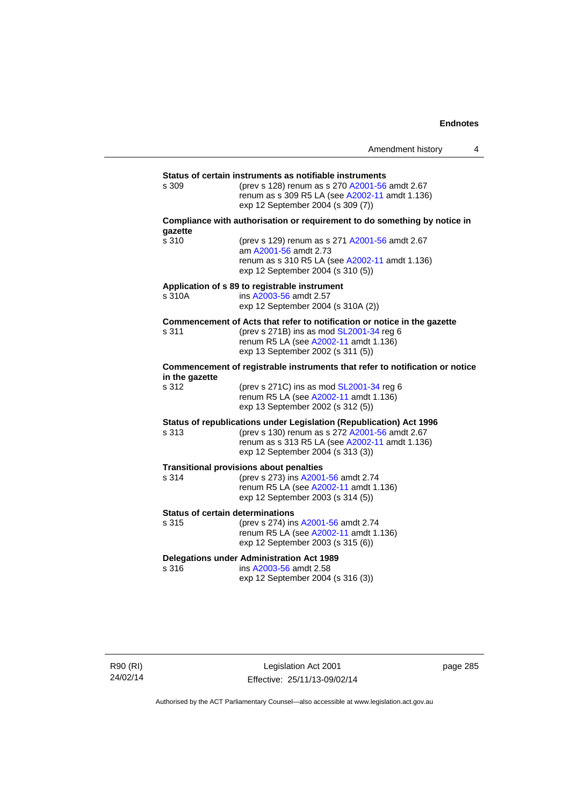|                                                         |                                                                                                                                                                                                              | Amendment history | 4 |  |
|---------------------------------------------------------|--------------------------------------------------------------------------------------------------------------------------------------------------------------------------------------------------------------|-------------------|---|--|
| Status of certain instruments as notifiable instruments |                                                                                                                                                                                                              |                   |   |  |
| s 309                                                   | (prev s 128) renum as s 270 A2001-56 amdt 2.67<br>renum as s 309 R5 LA (see A2002-11 amdt 1.136)<br>exp 12 September 2004 (s 309 (7))                                                                        |                   |   |  |
| gazette                                                 | Compliance with authorisation or requirement to do something by notice in                                                                                                                                    |                   |   |  |
| s 310                                                   | (prev s 129) renum as s 271 A2001-56 amdt 2.67<br>am A2001-56 amdt 2.73<br>renum as s 310 R5 LA (see A2002-11 amdt 1.136)<br>exp 12 September 2004 (s 310 (5))                                               |                   |   |  |
| s 310A                                                  | Application of s 89 to registrable instrument<br>ins A2003-56 amdt 2.57<br>exp 12 September 2004 (s 310A (2))                                                                                                |                   |   |  |
| s 311                                                   | Commencement of Acts that refer to notification or notice in the gazette<br>(prev s 271B) ins as mod SL2001-34 reg 6<br>renum R5 LA (see A2002-11 amdt 1.136)<br>exp 13 September 2002 (s 311 (5))           |                   |   |  |
| in the gazette                                          | Commencement of registrable instruments that refer to notification or notice                                                                                                                                 |                   |   |  |
| s 312                                                   | (prev s 271C) ins as mod SL2001-34 reg 6<br>renum R5 LA (see A2002-11 amdt 1.136)<br>exp 13 September 2002 (s 312 (5))                                                                                       |                   |   |  |
| s 313                                                   | Status of republications under Legislation (Republication) Act 1996<br>(prev s 130) renum as s 272 A2001-56 amdt 2.67<br>renum as s 313 R5 LA (see A2002-11 amdt 1.136)<br>exp 12 September 2004 (s 313 (3)) |                   |   |  |
| s 314                                                   | <b>Transitional provisions about penalties</b><br>(prev s 273) ins A2001-56 amdt 2.74<br>renum R5 LA (see A2002-11 amdt 1.136)<br>exp 12 September 2003 (s 314 (5))                                          |                   |   |  |
| <b>Status of certain determinations</b><br>s 315        | (prev s 274) ins A2001-56 amdt 2.74<br>renum R5 LA (see A2002-11 amdt 1.136)<br>exp 12 September 2003 (s 315 (6))                                                                                            |                   |   |  |
| s 316                                                   | <b>Delegations under Administration Act 1989</b><br>ins A2003-56 amdt 2.58<br>exp 12 September 2004 (s 316 (3))                                                                                              |                   |   |  |

R90 (RI) 24/02/14

Legislation Act 2001 Effective: 25/11/13-09/02/14 page 285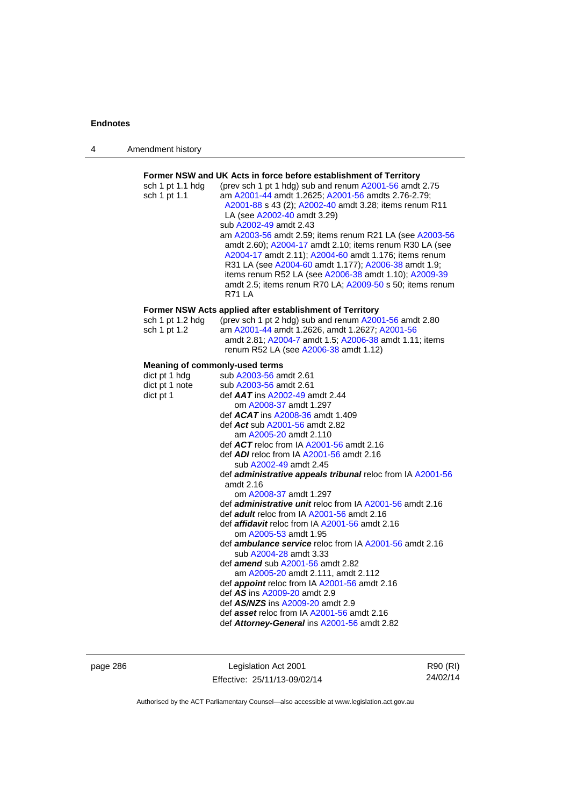| 4 | Amendment history |
|---|-------------------|
|---|-------------------|

| sch 1 pt 1.1 hdg<br>sch 1 pt 1.1                       | Former NSW and UK Acts in force before establishment of Territory<br>(prev sch 1 pt 1 hdg) sub and renum A2001-56 amdt 2.75<br>am A2001-44 amdt 1.2625; A2001-56 amdts 2.76-2.79;<br>A2001-88 s 43 (2); A2002-40 amdt 3.28; items renum R11<br>LA (see A2002-40 amdt 3.29)<br>sub A2002-49 amdt 2.43<br>am A2003-56 amdt 2.59; items renum R21 LA (see A2003-56<br>amdt 2.60); A2004-17 amdt 2.10; items renum R30 LA (see<br>A2004-17 amdt 2.11); A2004-60 amdt 1.176; items renum<br>R31 LA (see A2004-60 amdt 1.177); A2006-38 amdt 1.9;<br>items renum R52 LA (see A2006-38 amdt 1.10); A2009-39<br>amdt 2.5; items renum R70 LA; A2009-50 s 50; items renum<br><b>R71 LA</b> |
|--------------------------------------------------------|-----------------------------------------------------------------------------------------------------------------------------------------------------------------------------------------------------------------------------------------------------------------------------------------------------------------------------------------------------------------------------------------------------------------------------------------------------------------------------------------------------------------------------------------------------------------------------------------------------------------------------------------------------------------------------------|
|                                                        |                                                                                                                                                                                                                                                                                                                                                                                                                                                                                                                                                                                                                                                                                   |
| sch 1 pt 1.2 hdg<br>sch 1 pt 1.2                       | Former NSW Acts applied after establishment of Territory<br>(prev sch 1 pt 2 hdg) sub and renum A2001-56 amdt 2.80<br>am A2001-44 amdt 1.2626, amdt 1.2627; A2001-56<br>amdt 2.81; A2004-7 amdt 1.5; A2006-38 amdt 1.11; items<br>renum R52 LA (see A2006-38 amdt 1.12)                                                                                                                                                                                                                                                                                                                                                                                                           |
|                                                        |                                                                                                                                                                                                                                                                                                                                                                                                                                                                                                                                                                                                                                                                                   |
| <b>Meaning of commonly-used terms</b><br>dict pt 1 hdg | sub A2003-56 amdt 2.61                                                                                                                                                                                                                                                                                                                                                                                                                                                                                                                                                                                                                                                            |
| dict pt 1 note                                         | sub A2003-56 amdt 2.61                                                                                                                                                                                                                                                                                                                                                                                                                                                                                                                                                                                                                                                            |
| dict pt 1                                              | def $AAT$ ins $A2002-49$ amdt 2.44                                                                                                                                                                                                                                                                                                                                                                                                                                                                                                                                                                                                                                                |
|                                                        | om A2008-37 amdt 1.297                                                                                                                                                                                                                                                                                                                                                                                                                                                                                                                                                                                                                                                            |
|                                                        | def <b>ACAT</b> ins A2008-36 amdt 1.409                                                                                                                                                                                                                                                                                                                                                                                                                                                                                                                                                                                                                                           |
|                                                        |                                                                                                                                                                                                                                                                                                                                                                                                                                                                                                                                                                                                                                                                                   |
|                                                        | def Act sub A2001-56 amdt 2.82                                                                                                                                                                                                                                                                                                                                                                                                                                                                                                                                                                                                                                                    |
|                                                        | am A2005-20 amdt 2.110                                                                                                                                                                                                                                                                                                                                                                                                                                                                                                                                                                                                                                                            |
|                                                        | def $ACT$ reloc from IA $A2001-56$ amdt 2.16                                                                                                                                                                                                                                                                                                                                                                                                                                                                                                                                                                                                                                      |
|                                                        | def $ADI$ reloc from IA $A2001-56$ amdt 2.16                                                                                                                                                                                                                                                                                                                                                                                                                                                                                                                                                                                                                                      |
|                                                        | sub A2002-49 amdt 2.45                                                                                                                                                                                                                                                                                                                                                                                                                                                                                                                                                                                                                                                            |
|                                                        | def administrative appeals tribunal reloc from IA A2001-56                                                                                                                                                                                                                                                                                                                                                                                                                                                                                                                                                                                                                        |
|                                                        | amdt 2.16                                                                                                                                                                                                                                                                                                                                                                                                                                                                                                                                                                                                                                                                         |
|                                                        | om A2008-37 amdt 1.297                                                                                                                                                                                                                                                                                                                                                                                                                                                                                                                                                                                                                                                            |
|                                                        | def <b>administrative unit</b> reloc from IA A2001-56 amdt 2.16<br>def <b>adult</b> reloc from IA A2001-56 amdt 2.16                                                                                                                                                                                                                                                                                                                                                                                                                                                                                                                                                              |
|                                                        |                                                                                                                                                                                                                                                                                                                                                                                                                                                                                                                                                                                                                                                                                   |
|                                                        | def <b>affidavit</b> reloc from IA A2001-56 amdt 2.16<br>om A2005-53 amdt 1.95                                                                                                                                                                                                                                                                                                                                                                                                                                                                                                                                                                                                    |
|                                                        |                                                                                                                                                                                                                                                                                                                                                                                                                                                                                                                                                                                                                                                                                   |
|                                                        | def <b>ambulance service</b> reloc from IA A2001-56 amdt 2.16                                                                                                                                                                                                                                                                                                                                                                                                                                                                                                                                                                                                                     |
|                                                        | sub A2004-28 amdt 3.33                                                                                                                                                                                                                                                                                                                                                                                                                                                                                                                                                                                                                                                            |
|                                                        | def <b>amend</b> sub A2001-56 amdt 2.82                                                                                                                                                                                                                                                                                                                                                                                                                                                                                                                                                                                                                                           |
|                                                        | am A2005-20 amdt 2.111, amdt 2.112<br>def appoint reloc from IA A2001-56 amdt 2.16                                                                                                                                                                                                                                                                                                                                                                                                                                                                                                                                                                                                |
|                                                        | def AS ins A2009-20 amdt 2.9                                                                                                                                                                                                                                                                                                                                                                                                                                                                                                                                                                                                                                                      |
|                                                        | def AS/NZS ins A2009-20 amdt 2.9                                                                                                                                                                                                                                                                                                                                                                                                                                                                                                                                                                                                                                                  |
|                                                        | def asset reloc from IA A2001-56 amdt 2.16                                                                                                                                                                                                                                                                                                                                                                                                                                                                                                                                                                                                                                        |
|                                                        |                                                                                                                                                                                                                                                                                                                                                                                                                                                                                                                                                                                                                                                                                   |
|                                                        | def Attorney-General ins A2001-56 amdt 2.82                                                                                                                                                                                                                                                                                                                                                                                                                                                                                                                                                                                                                                       |

page 286 **Legislation Act 2001** Effective: 25/11/13-09/02/14

R90 (RI) 24/02/14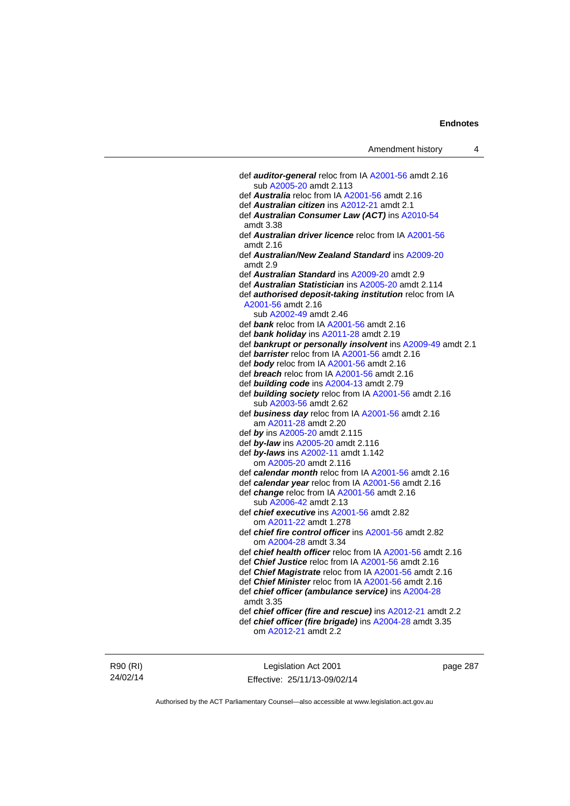def *auditor-general* reloc from IA [A2001-56](http://www.legislation.act.gov.au/a/2001-56) amdt 2.16 sub [A2005-20](http://www.legislation.act.gov.au/a/2005-20) amdt 2.113 def *Australia* reloc from IA [A2001-56](http://www.legislation.act.gov.au/a/2001-56) amdt 2.16 def *Australian citizen* ins [A2012-21](http://www.legislation.act.gov.au/a/2012-21) amdt 2.1 def *Australian Consumer Law (ACT)* ins [A2010-54](http://www.legislation.act.gov.au/a/2010-54) amdt 3.38 def *Australian driver licence* reloc from IA [A2001-56](http://www.legislation.act.gov.au/a/2001-56) amdt 2.16 def *Australian/New Zealand Standard* ins [A2009-20](http://www.legislation.act.gov.au/a/2009-20) amdt 2.9 def *Australian Standard* ins [A2009-20](http://www.legislation.act.gov.au/a/2009-20) amdt 2.9 def *Australian Statistician* ins [A2005-20](http://www.legislation.act.gov.au/a/2005-20) amdt 2.114 def *authorised deposit-taking institution* reloc from IA [A2001-56](http://www.legislation.act.gov.au/a/2001-56) amdt 2.16 sub [A2002-49](http://www.legislation.act.gov.au/a/2002-49) amdt 2.46 def *bank* reloc from IA [A2001-56](http://www.legislation.act.gov.au/a/2001-56) amdt 2.16 def *bank holiday* ins [A2011-28](http://www.legislation.act.gov.au/a/2011-28) amdt 2.19 def *bankrupt or personally insolvent* ins [A2009-49](http://www.legislation.act.gov.au/a/2009-49) amdt 2.1 def *barrister* reloc from IA [A2001-56](http://www.legislation.act.gov.au/a/2001-56) amdt 2.16 def *body* reloc from IA [A2001-56](http://www.legislation.act.gov.au/a/2001-56) amdt 2.16 def *breach* reloc from IA [A2001-56](http://www.legislation.act.gov.au/a/2001-56) amdt 2.16 def *building code* ins [A2004-13](http://www.legislation.act.gov.au/a/2004-13) amdt 2.79 def *building society* reloc from IA [A2001-56](http://www.legislation.act.gov.au/a/2001-56) amdt 2.16 sub [A2003-56](http://www.legislation.act.gov.au/a/2003-56) amdt 2.62 def *business day* reloc from IA [A2001-56](http://www.legislation.act.gov.au/a/2001-56) amdt 2.16 am [A2011-28](http://www.legislation.act.gov.au/a/2011-28) amdt 2.20 def *by* ins [A2005-20](http://www.legislation.act.gov.au/a/2005-20) amdt 2.115 def *by-law* ins [A2005-20](http://www.legislation.act.gov.au/a/2005-20) amdt 2.116 def *by-laws* ins [A2002-11](http://www.legislation.act.gov.au/a/2002-11) amdt 1.142 om [A2005-20](http://www.legislation.act.gov.au/a/2005-20) amdt 2.116 def *calendar month* reloc from IA [A2001-56](http://www.legislation.act.gov.au/a/2001-56) amdt 2.16 def *calendar year* reloc from IA [A2001-56](http://www.legislation.act.gov.au/a/2001-56) amdt 2.16 def *change* reloc from IA [A2001-56](http://www.legislation.act.gov.au/a/2001-56) amdt 2.16 sub [A2006-42](http://www.legislation.act.gov.au/a/2006-42) amdt 2.13 def *chief executive* ins [A2001-56](http://www.legislation.act.gov.au/a/2001-56) amdt 2.82 om [A2011-22](http://www.legislation.act.gov.au/a/2011-22) amdt 1.278 def *chief fire control officer* ins [A2001-56](http://www.legislation.act.gov.au/a/2001-56) amdt 2.82 om [A2004-28](http://www.legislation.act.gov.au/a/2004-28) amdt 3.34 def *chief health officer* reloc from IA [A2001-56](http://www.legislation.act.gov.au/a/2001-56) amdt 2.16 def *Chief Justice* reloc from IA [A2001-56](http://www.legislation.act.gov.au/a/2001-56) amdt 2.16 def *Chief Magistrate* reloc from IA [A2001-56](http://www.legislation.act.gov.au/a/2001-56) amdt 2.16 def *Chief Minister* reloc from IA [A2001-56](http://www.legislation.act.gov.au/a/2001-56) amdt 2.16 def *chief officer (ambulance service)* ins [A2004-28](http://www.legislation.act.gov.au/a/2004-28) amdt 3.35 def *chief officer (fire and rescue)* ins [A2012-21](http://www.legislation.act.gov.au/a/2012-21) amdt 2.2 def *chief officer (fire brigade)* ins [A2004-28](http://www.legislation.act.gov.au/a/2004-28) amdt 3.35 om [A2012-21](http://www.legislation.act.gov.au/a/2012-21) amdt 2.2

R90 (RI) 24/02/14

Legislation Act 2001 Effective: 25/11/13-09/02/14 page 287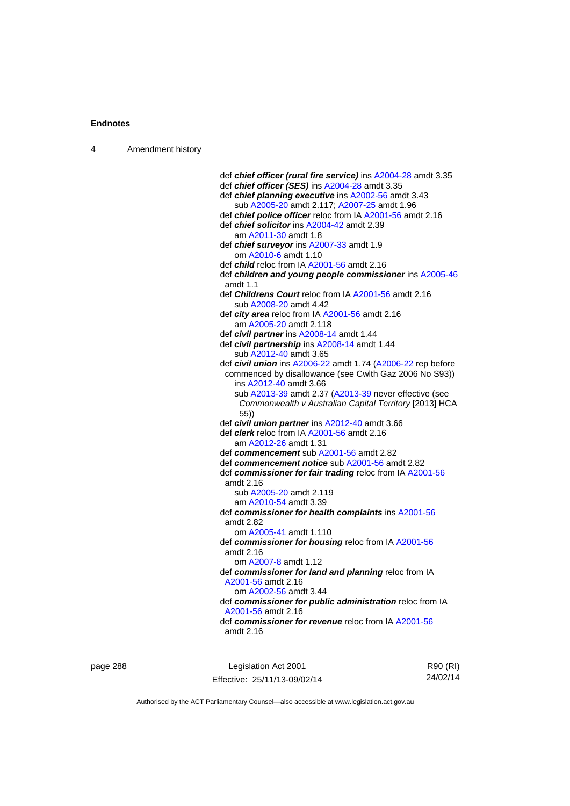| 4 | Amendment history |                                                                     |
|---|-------------------|---------------------------------------------------------------------|
|   |                   |                                                                     |
|   |                   | def chief officer (rural fire service) ins A2004-28 amdt 3.35       |
|   |                   | def chief officer (SES) ins A2004-28 amdt 3.35                      |
|   |                   | def chief planning executive ins A2002-56 amdt 3.43                 |
|   |                   | sub A2005-20 amdt 2.117; A2007-25 amdt 1.96                         |
|   |                   | def <i>chief police officer</i> reloc from IA A2001-56 amdt 2.16    |
|   |                   | def <i>chief solicitor</i> ins A2004-42 amdt 2.39                   |
|   |                   | am A2011-30 amdt 1.8                                                |
|   |                   | def <i>chief surveyor</i> ins A2007-33 amdt 1.9                     |
|   |                   | om A2010-6 amdt 1.10                                                |
|   |                   | def child reloc from IA A2001-56 amdt 2.16                          |
|   |                   | def children and young people commissioner ins A2005-46<br>amdt 1.1 |
|   |                   | def Childrens Court reloc from IA A2001-56 amdt 2.16                |
|   |                   | sub A2008-20 amdt 4.42                                              |
|   |                   | def city area reloc from IA A2001-56 amdt 2.16                      |
|   |                   | am A2005-20 amdt 2.118                                              |
|   |                   | def civil partner ins A2008-14 amdt 1.44                            |
|   |                   | def civil partnership ins A2008-14 amdt 1.44                        |
|   |                   | sub A2012-40 amdt 3.65                                              |
|   |                   | def civil union ins A2006-22 amdt 1.74 (A2006-22 rep before         |
|   |                   | commenced by disallowance (see Cwlth Gaz 2006 No S93))              |
|   |                   | ins A2012-40 amdt 3.66                                              |
|   |                   | sub A2013-39 amdt 2.37 (A2013-39 never effective (see               |
|   |                   | Commonwealth v Australian Capital Territory [2013] HCA<br>(55)      |
|   |                   | def civil union partner ins A2012-40 amdt 3.66                      |
|   |                   | def <i>clerk</i> reloc from IA A2001-56 amdt 2.16                   |
|   |                   | am A2012-26 amdt 1.31                                               |
|   |                   | def commencement sub A2001-56 amdt 2.82                             |
|   |                   | def commencement notice sub A2001-56 amdt 2.82                      |
|   |                   | def commissioner for fair trading reloc from IA A2001-56            |
|   |                   | amdt 2.16                                                           |
|   |                   | sub A2005-20 amdt 2.119                                             |
|   |                   | am A2010-54 amdt 3.39                                               |
|   |                   | def commissioner for health complaints ins A2001-56                 |
|   |                   | amdt 2.82                                                           |
|   |                   | om A2005-41 amdt 1.110                                              |
|   |                   | def commissioner for housing reloc from IA A2001-56                 |
|   |                   | amdt 2.16                                                           |
|   |                   | om A2007-8 amdt 1.12                                                |
|   |                   | def commissioner for land and planning reloc from IA                |
|   |                   | A2001-56 amdt 2.16                                                  |
|   |                   | om A2002-56 amdt 3.44                                               |
|   |                   | def commissioner for public administration reloc from IA            |
|   |                   | A2001-56 amdt 2.16                                                  |
|   |                   | def commissioner for revenue reloc from IA A2001-56                 |
|   |                   | amdt 2.16                                                           |
|   |                   |                                                                     |

page 288 Legislation Act 2001 Effective: 25/11/13-09/02/14

R90 (RI) 24/02/14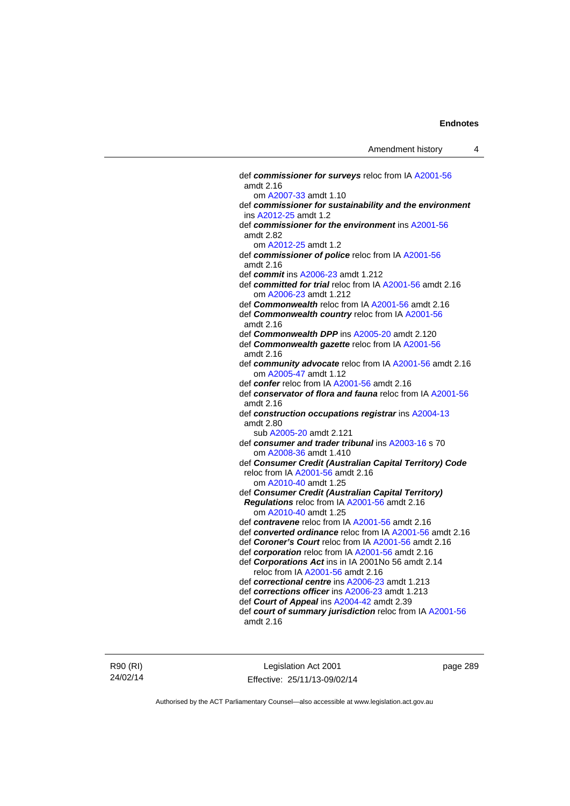def *commissioner for surveys* reloc from IA [A2001-56](http://www.legislation.act.gov.au/a/2001-56) amdt 2.16 om [A2007-33](http://www.legislation.act.gov.au/a/2007-33) amdt 1.10 def *commissioner for sustainability and the environment* ins [A2012-25](http://www.legislation.act.gov.au/a/2012-25) amdt 1.2 def *commissioner for the environment* ins [A2001-56](http://www.legislation.act.gov.au/a/2001-56) amdt 2.82 om [A2012-25](http://www.legislation.act.gov.au/a/2012-25) amdt 1.2 def *commissioner of police* reloc from IA [A2001-56](http://www.legislation.act.gov.au/a/2001-56) amdt 2.16 def *commit* ins [A2006-23](http://www.legislation.act.gov.au/a/2006-23) amdt 1.212 def *committed for trial* reloc from IA [A2001-56](http://www.legislation.act.gov.au/a/2001-56) amdt 2.16 om [A2006-23](http://www.legislation.act.gov.au/a/2006-23) amdt 1.212 def *Commonwealth* reloc from IA [A2001-56](http://www.legislation.act.gov.au/a/2001-56) amdt 2.16 def *Commonwealth country* reloc from IA [A2001-56](http://www.legislation.act.gov.au/a/2001-56) amdt 2.16 def *Commonwealth DPP* ins [A2005-20](http://www.legislation.act.gov.au/a/2005-20) amdt 2.120 def *Commonwealth gazette* reloc from IA [A2001-56](http://www.legislation.act.gov.au/a/2001-56) amdt 2.16 def *community advocate* reloc from IA [A2001-56](http://www.legislation.act.gov.au/a/2001-56) amdt 2.16 om [A2005-47](http://www.legislation.act.gov.au/a/2005-47) amdt 1.12 def *confer* reloc from IA [A2001-56](http://www.legislation.act.gov.au/a/2001-56) amdt 2.16 def *conservator of flora and fauna* reloc from IA [A2001-56](http://www.legislation.act.gov.au/a/2001-56) amdt 2.16 def *construction occupations registrar* ins [A2004-13](http://www.legislation.act.gov.au/a/2004-13) amdt 2.80 sub [A2005-20](http://www.legislation.act.gov.au/a/2005-20) amdt 2.121 def *consumer and trader tribunal* ins [A2003-16](http://www.legislation.act.gov.au/a/2003-16) s 70 om [A2008-36](http://www.legislation.act.gov.au/a/2008-36) amdt 1.410 def *Consumer Credit (Australian Capital Territory) Code* reloc from IA [A2001-56](http://www.legislation.act.gov.au/a/2001-56) amdt 2.16 om [A2010-40](http://www.legislation.act.gov.au/a/2010-40) amdt 1.25 def *Consumer Credit (Australian Capital Territory) Regulations* reloc from IA [A2001-56](http://www.legislation.act.gov.au/a/2001-56) amdt 2.16 om [A2010-40](http://www.legislation.act.gov.au/a/2010-40) amdt 1.25 def *contravene* reloc from IA [A2001-56](http://www.legislation.act.gov.au/a/2001-56) amdt 2.16 def *converted ordinance* reloc from IA [A2001-56](http://www.legislation.act.gov.au/a/2001-56) amdt 2.16 def *Coroner's Court* reloc from IA [A2001-56](http://www.legislation.act.gov.au/a/2001-56) amdt 2.16 def *corporation* reloc from IA [A2001-56](http://www.legislation.act.gov.au/a/2001-56) amdt 2.16 def *Corporations Act* ins in IA 2001No 56 amdt 2.14 reloc from IA [A2001-56](http://www.legislation.act.gov.au/a/2001-56) amdt 2.16 def *correctional centre* ins [A2006-23](http://www.legislation.act.gov.au/a/2006-23) amdt 1.213 def *corrections officer* ins [A2006-23](http://www.legislation.act.gov.au/a/2006-23) amdt 1.213 def *Court of Appeal* ins [A2004-42](http://www.legislation.act.gov.au/a/2004-42) amdt 2.39 def *court of summary jurisdiction* reloc from IA [A2001-56](http://www.legislation.act.gov.au/a/2001-56) amdt 2.16

R90 (RI) 24/02/14

Legislation Act 2001 Effective: 25/11/13-09/02/14 page 289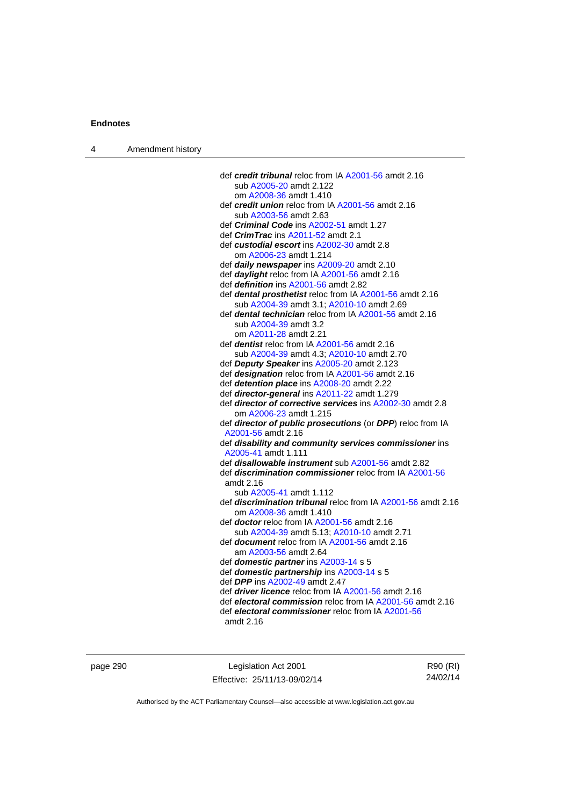| 4 | Amendment history |                                                                     |
|---|-------------------|---------------------------------------------------------------------|
|   |                   |                                                                     |
|   |                   | def credit tribunal reloc from IA A2001-56 amdt 2.16                |
|   |                   | sub A2005-20 amdt 2.122                                             |
|   |                   | om A2008-36 amdt 1.410                                              |
|   |                   | def credit union reloc from IA A2001-56 amdt 2.16                   |
|   |                   | sub A2003-56 amdt 2.63                                              |
|   |                   | def <i>Criminal Code</i> ins A2002-51 amdt 1.27                     |
|   |                   | def <i>CrimTrac</i> ins A2011-52 amdt 2.1                           |
|   |                   | def custodial escort ins A2002-30 amdt 2.8                          |
|   |                   | om A2006-23 amdt 1.214                                              |
|   |                   | def daily newspaper ins A2009-20 amdt 2.10                          |
|   |                   | def <i>daylight</i> reloc from IA A2001-56 amdt 2.16                |
|   |                   | def <i>definition</i> ins A2001-56 amdt 2.82                        |
|   |                   | def dental prosthetist reloc from IA A2001-56 amdt 2.16             |
|   |                   | sub A2004-39 amdt 3.1; A2010-10 amdt 2.69                           |
|   |                   | def dental technician reloc from IA A2001-56 amdt 2.16              |
|   |                   | sub A2004-39 amdt 3.2                                               |
|   |                   | om A2011-28 amdt 2.21                                               |
|   |                   | def <i>dentist</i> reloc from IA A2001-56 amdt 2.16                 |
|   |                   | sub A2004-39 amdt 4.3; A2010-10 amdt 2.70                           |
|   |                   | def Deputy Speaker ins A2005-20 amdt 2.123                          |
|   |                   | def designation reloc from IA A2001-56 amdt 2.16                    |
|   |                   | def detention place ins A2008-20 amdt 2.22                          |
|   |                   | def director-general ins A2011-22 amdt 1.279                        |
|   |                   | def director of corrective services ins A2002-30 amdt 2.8           |
|   |                   | om A2006-23 amdt 1.215                                              |
|   |                   | def director of public prosecutions (or DPP) reloc from IA          |
|   |                   | A2001-56 amdt 2.16                                                  |
|   |                   | def disability and community services commissioner ins              |
|   |                   | A2005-41 amdt 1.111                                                 |
|   |                   | def <i>disallowable instrument</i> sub A2001-56 amdt 2.82           |
|   |                   | def discrimination commissioner reloc from IA A2001-56              |
|   |                   | amdt 2.16                                                           |
|   |                   | sub A2005-41 amdt 1.112                                             |
|   |                   | def <i>discrimination tribunal</i> reloc from IA A2001-56 amdt 2.16 |
|   |                   | om A2008-36 amdt 1.410                                              |
|   |                   | def <b>doctor</b> reloc from IA A2001-56 amdt 2.16                  |
|   |                   | sub A2004-39 amdt 5.13; A2010-10 amdt 2.71                          |
|   |                   | def <b>document</b> reloc from IA A2001-56 amdt 2.16                |
|   |                   | am A2003-56 amdt 2.64                                               |
|   |                   | def domestic partner ins A2003-14 s 5                               |
|   |                   | def domestic partnership ins A2003-14 s 5                           |
|   |                   | def DPP ins A2002-49 amdt 2.47                                      |
|   |                   | def <i>driver licence</i> reloc from IA A2001-56 amdt 2.16          |
|   |                   | def electoral commission reloc from IA A2001-56 amdt 2.16           |
|   |                   | def electoral commissioner reloc from IA A2001-56                   |
|   |                   | amdt 2.16                                                           |
|   |                   |                                                                     |

page 290 **Legislation Act 2001** Effective: 25/11/13-09/02/14

R90 (RI) 24/02/14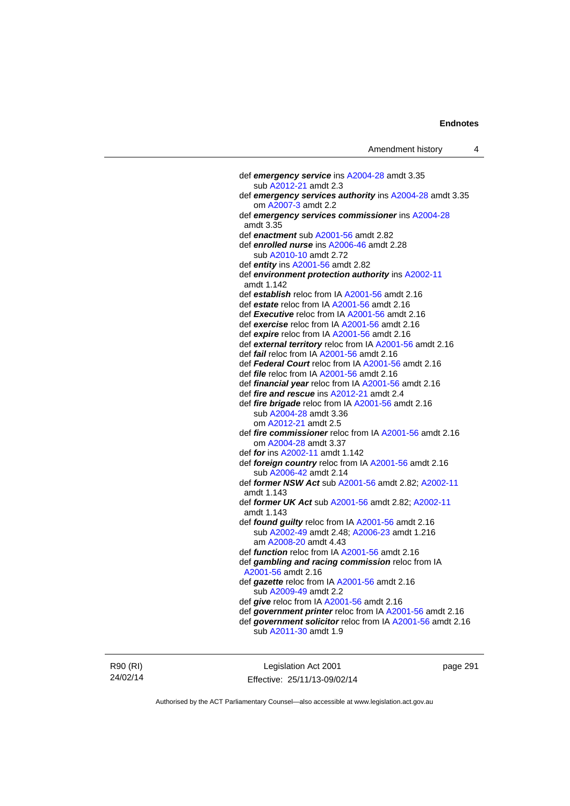def *emergency service* ins [A2004-28](http://www.legislation.act.gov.au/a/2004-28) amdt 3.35 sub [A2012-21](http://www.legislation.act.gov.au/a/2012-21) amdt 2.3 def *emergency services authority* ins [A2004-28](http://www.legislation.act.gov.au/a/2004-28) amdt 3.35 om [A2007-3](http://www.legislation.act.gov.au/a/2007-3) amdt 2.2 def *emergency services commissioner* ins [A2004-28](http://www.legislation.act.gov.au/a/2004-28) amdt 3.35 def *enactment* sub [A2001-56](http://www.legislation.act.gov.au/a/2001-56) amdt 2.82 def *enrolled nurse* ins [A2006-46](http://www.legislation.act.gov.au/a/2006-46) amdt 2.28 sub [A2010-10](http://www.legislation.act.gov.au/a/2010-10) amdt 2.72 def *entity* ins [A2001-56](http://www.legislation.act.gov.au/a/2001-56) amdt 2.82 def *environment protection authority* ins [A2002-11](http://www.legislation.act.gov.au/a/2002-11) amdt 1.142 def *establish* reloc from IA [A2001-56](http://www.legislation.act.gov.au/a/2001-56) amdt 2.16 def *estate* reloc from IA [A2001-56](http://www.legislation.act.gov.au/a/2001-56) amdt 2.16 def *Executive* reloc from IA [A2001-56](http://www.legislation.act.gov.au/a/2001-56) amdt 2.16 def *exercise* reloc from IA [A2001-56](http://www.legislation.act.gov.au/a/2001-56) amdt 2.16 def *expire* reloc from IA [A2001-56](http://www.legislation.act.gov.au/a/2001-56) amdt 2.16 def *external territory* reloc from IA [A2001-56](http://www.legislation.act.gov.au/a/2001-56) amdt 2.16 def *fail* reloc from IA [A2001-56](http://www.legislation.act.gov.au/a/2001-56) amdt 2.16 def *Federal Court* reloc from IA [A2001-56](http://www.legislation.act.gov.au/a/2001-56) amdt 2.16 def *file* reloc from IA [A2001-56](http://www.legislation.act.gov.au/a/2001-56) amdt 2.16 def *financial year* reloc from IA [A2001-56](http://www.legislation.act.gov.au/a/2001-56) amdt 2.16 def *fire and rescue* ins [A2012-21](http://www.legislation.act.gov.au/a/2012-21) amdt 2.4 def *fire brigade* reloc from IA [A2001-56](http://www.legislation.act.gov.au/a/2001-56) amdt 2.16 sub [A2004-28](http://www.legislation.act.gov.au/a/2004-28) amdt 3.36 om [A2012-21](http://www.legislation.act.gov.au/a/2012-21) amdt 2.5 def *fire commissioner* reloc from IA [A2001-56](http://www.legislation.act.gov.au/a/2001-56) amdt 2.16 om [A2004-28](http://www.legislation.act.gov.au/a/2004-28) amdt 3.37 def *for* ins [A2002-11](http://www.legislation.act.gov.au/a/2002-11) amdt 1.142 def *foreign country* reloc from IA [A2001-56](http://www.legislation.act.gov.au/a/2001-56) amdt 2.16 sub [A2006-42](http://www.legislation.act.gov.au/a/2006-42) amdt 2.14 def *former NSW Act* sub [A2001-56](http://www.legislation.act.gov.au/a/2001-56) amdt 2.82; [A2002-11](http://www.legislation.act.gov.au/a/2002-11) amdt 1.143 def *former UK Act* sub [A2001-56](http://www.legislation.act.gov.au/a/2001-56) amdt 2.82; [A2002-11](http://www.legislation.act.gov.au/a/2002-11) amdt 1.143 def *found guilty* reloc from IA [A2001-56](http://www.legislation.act.gov.au/a/2001-56) amdt 2.16 sub [A2002-49](http://www.legislation.act.gov.au/a/2002-49) amdt 2.48; [A2006-23](http://www.legislation.act.gov.au/a/2006-23) amdt 1.216 am [A2008-20](http://www.legislation.act.gov.au/a/2008-20) amdt 4.43 def *function* reloc from IA [A2001-56](http://www.legislation.act.gov.au/a/2001-56) amdt 2.16 def *gambling and racing commission* reloc from IA [A2001-56](http://www.legislation.act.gov.au/a/2001-56) amdt 2.16 def *gazette* reloc from IA [A2001-56](http://www.legislation.act.gov.au/a/2001-56) amdt 2.16 sub [A2009-49](http://www.legislation.act.gov.au/a/2009-49) amdt 2.2 def *give* reloc from IA [A2001-56](http://www.legislation.act.gov.au/a/2001-56) amdt 2.16 def *government printer* reloc from IA [A2001-56](http://www.legislation.act.gov.au/a/2001-56) amdt 2.16 def *government solicitor* reloc from IA [A2001-56](http://www.legislation.act.gov.au/a/2001-56) amdt 2.16 sub [A2011-30](http://www.legislation.act.gov.au/a/2011-30) amdt 1.9

R90 (RI) 24/02/14

Legislation Act 2001 Effective: 25/11/13-09/02/14 page 291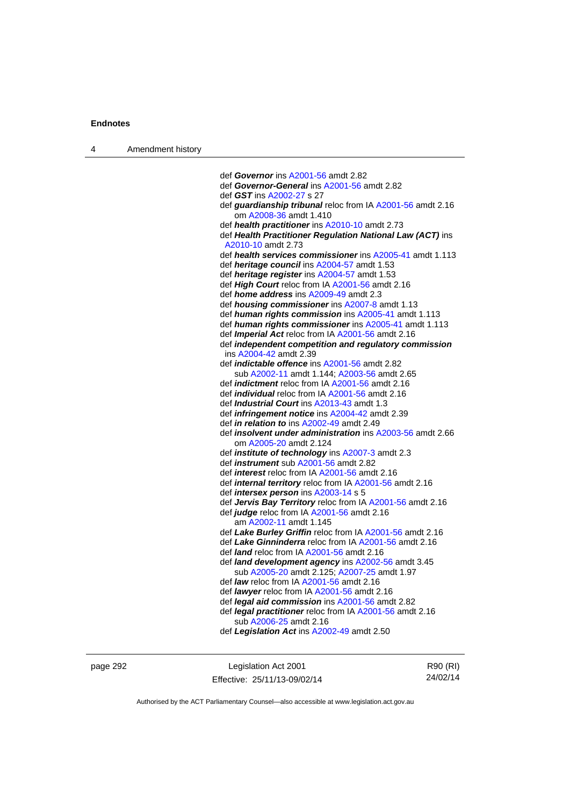| Amendment history<br>$\overline{4}$ |  |
|-------------------------------------|--|
|-------------------------------------|--|

 def *Governor* ins [A2001-56](http://www.legislation.act.gov.au/a/2001-56) amdt 2.82 def *Governor-General* ins [A2001-56](http://www.legislation.act.gov.au/a/2001-56) amdt 2.82 def *GST* ins [A2002-27](http://www.legislation.act.gov.au/a/2002-27) s 27 def *guardianship tribunal* reloc from IA [A2001-56](http://www.legislation.act.gov.au/a/2001-56) amdt 2.16 om [A2008-36](http://www.legislation.act.gov.au/a/2008-36) amdt 1.410 def *health practitioner* ins [A2010-10](http://www.legislation.act.gov.au/a/2010-10) amdt 2.73 def *Health Practitioner Regulation National Law (ACT)* ins [A2010-10](http://www.legislation.act.gov.au/a/2010-10) amdt 2.73 def *health services commissioner* ins [A2005-41](http://www.legislation.act.gov.au/a/2005-41) amdt 1.113 def *heritage council* ins [A2004-57](http://www.legislation.act.gov.au/a/2004-57) amdt 1.53 def *heritage register* ins [A2004-57](http://www.legislation.act.gov.au/a/2004-57) amdt 1.53 def *High Court* reloc from IA [A2001-56](http://www.legislation.act.gov.au/a/2001-56) amdt 2.16 def *home address* ins [A2009-49](http://www.legislation.act.gov.au/a/2009-49) amdt 2.3 def *housing commissioner* ins [A2007-8](http://www.legislation.act.gov.au/a/2007-8) amdt 1.13 def *human rights commission* ins [A2005-41](http://www.legislation.act.gov.au/a/2005-41) amdt 1.113 def *human rights commissioner* ins [A2005-41](http://www.legislation.act.gov.au/a/2005-41) amdt 1.113 def *Imperial Act* reloc from IA [A2001-56](http://www.legislation.act.gov.au/a/2001-56) amdt 2.16 def *independent competition and regulatory commission* ins [A2004-42](http://www.legislation.act.gov.au/a/2004-42) amdt 2.39 def *indictable offence* ins [A2001-56](http://www.legislation.act.gov.au/a/2001-56) amdt 2.82 sub [A2002-11](http://www.legislation.act.gov.au/a/2002-11) amdt 1.144; [A2003-56](http://www.legislation.act.gov.au/a/2003-56) amdt 2.65 def *indictment* reloc from IA [A2001-56](http://www.legislation.act.gov.au/a/2001-56) amdt 2.16 def *individual* reloc from IA [A2001-56](http://www.legislation.act.gov.au/a/2001-56) amdt 2.16 def *Industrial Court* ins [A2013-43](http://www.legislation.act.gov.au/a/2013-43) amdt 1.3 def *infringement notice* ins [A2004-42](http://www.legislation.act.gov.au/a/2004-42) amdt 2.39 def *in relation to* ins [A2002-49](http://www.legislation.act.gov.au/a/2002-49) amdt 2.49 def *insolvent under administration* ins [A2003-56](http://www.legislation.act.gov.au/a/2003-56) amdt 2.66 om [A2005-20](http://www.legislation.act.gov.au/a/2005-20) amdt 2.124 def *institute of technology* ins [A2007-3](http://www.legislation.act.gov.au/a/2007-3) amdt 2.3 def *instrument* sub [A2001-56](http://www.legislation.act.gov.au/a/2001-56) amdt 2.82 def *interest* reloc from IA [A2001-56](http://www.legislation.act.gov.au/a/2001-56) amdt 2.16 def *internal territory* reloc from IA [A2001-56](http://www.legislation.act.gov.au/a/2001-56) amdt 2.16 def *intersex person* ins [A2003-14](http://www.legislation.act.gov.au/a/2003-14) s 5 def *Jervis Bay Territory* reloc from IA [A2001-56](http://www.legislation.act.gov.au/a/2001-56) amdt 2.16 def *judge* reloc from IA [A2001-56](http://www.legislation.act.gov.au/a/2001-56) amdt 2.16 am [A2002-11](http://www.legislation.act.gov.au/a/2002-11) amdt 1.145 def *Lake Burley Griffin* reloc from IA [A2001-56](http://www.legislation.act.gov.au/a/2001-56) amdt 2.16 def *Lake Ginninderra* reloc from IA [A2001-56](http://www.legislation.act.gov.au/a/2001-56) amdt 2.16 def *land* reloc from IA [A2001-56](http://www.legislation.act.gov.au/a/2001-56) amdt 2.16 def *land development agency* ins [A2002-56](http://www.legislation.act.gov.au/a/2002-56) amdt 3.45 sub [A2005-20](http://www.legislation.act.gov.au/a/2005-20) amdt 2.125; [A2007-25](http://www.legislation.act.gov.au/a/2007-25) amdt 1.97 def *law* reloc from IA [A2001-56](http://www.legislation.act.gov.au/a/2001-56) amdt 2.16 def *lawyer* reloc from IA [A2001-56](http://www.legislation.act.gov.au/a/2001-56) amdt 2.16 def *legal aid commission* ins [A2001-56](http://www.legislation.act.gov.au/a/2001-56) amdt 2.82 def *legal practitioner* reloc from IA [A2001-56](http://www.legislation.act.gov.au/a/2001-56) amdt 2.16 sub [A2006-25](http://www.legislation.act.gov.au/a/2006-25) amdt 2.16 def *Legislation Act* ins [A2002-49](http://www.legislation.act.gov.au/a/2002-49) amdt 2.50

page 292 Legislation Act 2001 Effective: 25/11/13-09/02/14

R90 (RI) 24/02/14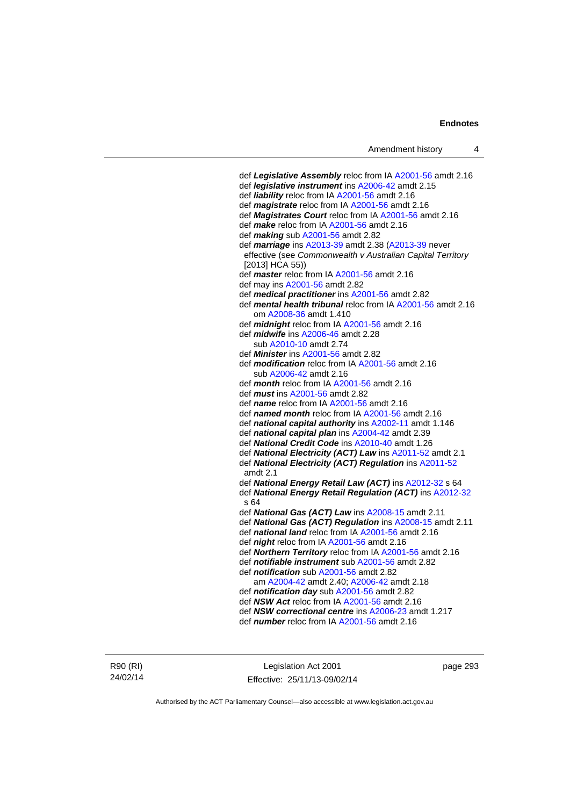def *Legislative Assembly* reloc from IA [A2001-56](http://www.legislation.act.gov.au/a/2001-56) amdt 2.16 def *legislative instrument* ins [A2006-42](http://www.legislation.act.gov.au/a/2006-42) amdt 2.15 def *liability* reloc from IA [A2001-56](http://www.legislation.act.gov.au/a/2001-56) amdt 2.16 def *magistrate* reloc from IA [A2001-56](http://www.legislation.act.gov.au/a/2001-56) amdt 2.16 def *Magistrates Court* reloc from IA [A2001-56](http://www.legislation.act.gov.au/a/2001-56) amdt 2.16 def *make* reloc from IA [A2001-56](http://www.legislation.act.gov.au/a/2001-56) amdt 2.16 def *making* sub [A2001-56](http://www.legislation.act.gov.au/a/2001-56) amdt 2.82 def *marriage* ins [A2013-39](http://www.legislation.act.gov.au/a/2013-39) amdt 2.38 ([A2013-39](http://www.legislation.act.gov.au/a/2013-39) never effective (see *Commonwealth v Australian Capital Territory* [2013] HCA 55)) def *master* reloc from IA [A2001-56](http://www.legislation.act.gov.au/a/2001-56) amdt 2.16 def may ins [A2001-56](http://www.legislation.act.gov.au/a/2001-56) amdt 2.82 def *medical practitioner* ins [A2001-56](http://www.legislation.act.gov.au/a/2001-56) amdt 2.82 def *mental health tribunal* reloc from IA [A2001-56](http://www.legislation.act.gov.au/a/2001-56) amdt 2.16 om [A2008-36](http://www.legislation.act.gov.au/a/2008-36) amdt 1.410 def *midnight* reloc from IA [A2001-56](http://www.legislation.act.gov.au/a/2001-56) amdt 2.16 def *midwife* ins [A2006-46](http://www.legislation.act.gov.au/a/2006-46) amdt 2.28 sub [A2010-10](http://www.legislation.act.gov.au/a/2010-10) amdt 2.74 def *Minister* ins [A2001-56](http://www.legislation.act.gov.au/a/2001-56) amdt 2.82 def *modification* reloc from IA [A2001-56](http://www.legislation.act.gov.au/a/2001-56) amdt 2.16 sub [A2006-42](http://www.legislation.act.gov.au/a/2006-42) amdt 2.16 def *month* reloc from IA [A2001-56](http://www.legislation.act.gov.au/a/2001-56) amdt 2.16 def *must* ins [A2001-56](http://www.legislation.act.gov.au/a/2001-56) amdt 2.82 def *name* reloc from IA [A2001-56](http://www.legislation.act.gov.au/a/2001-56) amdt 2.16 def *named month* reloc from IA [A2001-56](http://www.legislation.act.gov.au/a/2001-56) amdt 2.16 def *national capital authority* ins [A2002-11](http://www.legislation.act.gov.au/a/2002-11) amdt 1.146 def *national capital plan* ins [A2004-42](http://www.legislation.act.gov.au/a/2004-42) amdt 2.39 def *National Credit Code* ins [A2010-40](http://www.legislation.act.gov.au/a/2010-40) amdt 1.26 def *National Electricity (ACT) Law* ins [A2011-52](http://www.legislation.act.gov.au/a/2011-52) amdt 2.1 def *National Electricity (ACT) Regulation* ins [A2011-52](http://www.legislation.act.gov.au/a/2011-52) amdt 2.1 def *National Energy Retail Law (ACT)* ins [A2012-32](http://www.legislation.act.gov.au/a/2012-32) s 64 def *National Energy Retail Regulation (ACT)* ins [A2012-32](http://www.legislation.act.gov.au/a/2012-32)  $s$  64 def *National Gas (ACT) Law* ins [A2008-15](http://www.legislation.act.gov.au/a/2008-15) amdt 2.11 def *National Gas (ACT) Regulation* ins [A2008-15](http://www.legislation.act.gov.au/a/2008-15) amdt 2.11 def *national land* reloc from IA [A2001-56](http://www.legislation.act.gov.au/a/2001-56) amdt 2.16 def *night* reloc from IA [A2001-56](http://www.legislation.act.gov.au/a/2001-56) amdt 2.16 def *Northern Territory* reloc from IA [A2001-56](http://www.legislation.act.gov.au/a/2001-56) amdt 2.16 def *notifiable instrument* sub [A2001-56](http://www.legislation.act.gov.au/a/2001-56) amdt 2.82 def *notification* sub [A2001-56](http://www.legislation.act.gov.au/a/2001-56) amdt 2.82 am [A2004-42](http://www.legislation.act.gov.au/a/2004-42) amdt 2.40; [A2006-42](http://www.legislation.act.gov.au/a/2006-42) amdt 2.18 def *notification day* sub [A2001-56](http://www.legislation.act.gov.au/a/2001-56) amdt 2.82 def *NSW Act* reloc from IA [A2001-56](http://www.legislation.act.gov.au/a/2001-56) amdt 2.16 def *NSW correctional centre* ins [A2006-23](http://www.legislation.act.gov.au/a/2006-23) amdt 1.217 def *number* reloc from IA [A2001-56](http://www.legislation.act.gov.au/a/2001-56) amdt 2.16

R90 (RI) 24/02/14

Legislation Act 2001 Effective: 25/11/13-09/02/14 page 293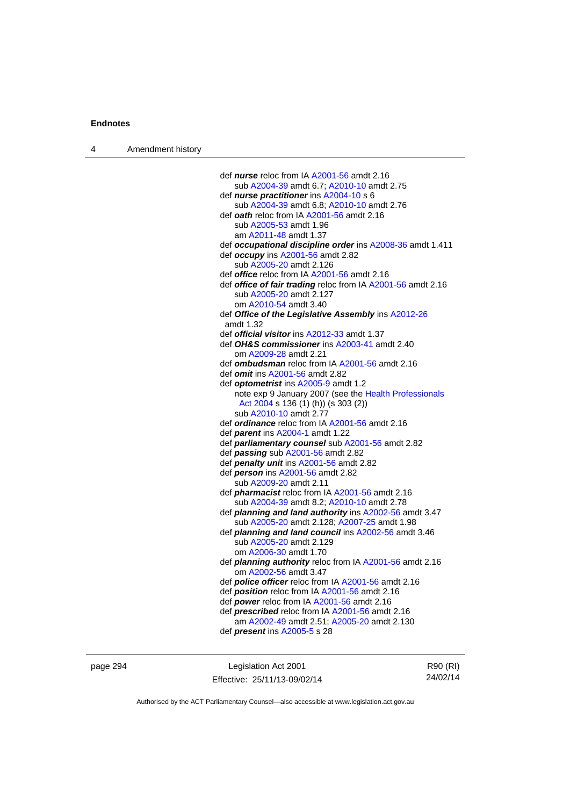| $\boldsymbol{\Lambda}$ | Amendment history |
|------------------------|-------------------|
|------------------------|-------------------|

| def <i>nurse</i> reloc from IA A2001-56 amdt 2.16                                       |
|-----------------------------------------------------------------------------------------|
| sub A2004-39 amdt 6.7; A2010-10 amdt 2.75                                               |
| def nurse practitioner ins A2004-10 s 6                                                 |
| sub A2004-39 amdt 6.8; A2010-10 amdt 2.76                                               |
| def oath reloc from IA A2001-56 amdt 2.16                                               |
| sub A2005-53 amdt 1.96                                                                  |
| am A2011-48 amdt 1.37                                                                   |
| def occupational discipline order ins A2008-36 amdt 1.411                               |
| def occupy ins A2001-56 amdt 2.82                                                       |
| sub A2005-20 amdt 2.126                                                                 |
| def <b>office</b> reloc from IA A2001-56 amdt 2.16                                      |
| def office of fair trading reloc from IA A2001-56 amdt 2.16                             |
| sub A2005-20 amdt 2.127                                                                 |
| om A2010-54 amdt 3.40                                                                   |
| def Office of the Legislative Assembly ins A2012-26                                     |
| amdt 1.32                                                                               |
| def <b>official visitor</b> ins A2012-33 amdt 1.37                                      |
| def OH&S commissioner ins A2003-41 amdt 2.40                                            |
| om A2009-28 amdt 2.21                                                                   |
| def <b>ombudsman</b> reloc from IA A2001-56 amdt 2.16                                   |
| def <i>omit</i> ins A2001-56 amdt 2.82                                                  |
| def optometrist ins A2005-9 amdt 1.2                                                    |
| note exp 9 January 2007 (see the Health Professionals                                   |
| Act 2004 s 136 (1) (h)) (s 303 (2))                                                     |
| sub A2010-10 amdt 2.77                                                                  |
| def <i>ordinance</i> reloc from IA A2001-56 amdt 2.16                                   |
| def parent ins A2004-1 amdt 1.22                                                        |
| def parliamentary counsel sub A2001-56 amdt 2.82                                        |
| def passing sub A2001-56 amdt 2.82                                                      |
| def penalty unit ins A2001-56 amdt 2.82                                                 |
| def person ins A2001-56 amdt 2.82                                                       |
| sub A2009-20 amdt 2.11                                                                  |
| def <i>pharmacist</i> reloc from IA A2001-56 amdt 2.16                                  |
| sub A2004-39 amdt 8.2; A2010-10 amdt 2.78                                               |
| def planning and land authority ins A2002-56 amdt 3.47                                  |
| sub A2005-20 amdt 2.128; A2007-25 amdt 1.98                                             |
| def planning and land council ins A2002-56 amdt 3.46<br>sub A2005-20 amdt 2.129         |
|                                                                                         |
| om A2006-30 amdt 1.70                                                                   |
| def <i>planning authority</i> reloc from IA A2001-56 amdt 2.16<br>om A2002-56 amdt 3.47 |
| def police officer reloc from IA A2001-56 amdt 2.16                                     |
| def <i>position</i> reloc from IA A2001-56 amdt 2.16                                    |
| def power reloc from IA A2001-56 amdt 2.16                                              |
| def prescribed reloc from IA A2001-56 amdt 2.16                                         |
| am A2002-49 amdt 2.51; A2005-20 amdt 2.130                                              |
| def <i>present</i> ins A2005-5 s 28                                                     |
|                                                                                         |
|                                                                                         |

page 294 **Legislation Act 2001** Effective: 25/11/13-09/02/14

R90 (RI) 24/02/14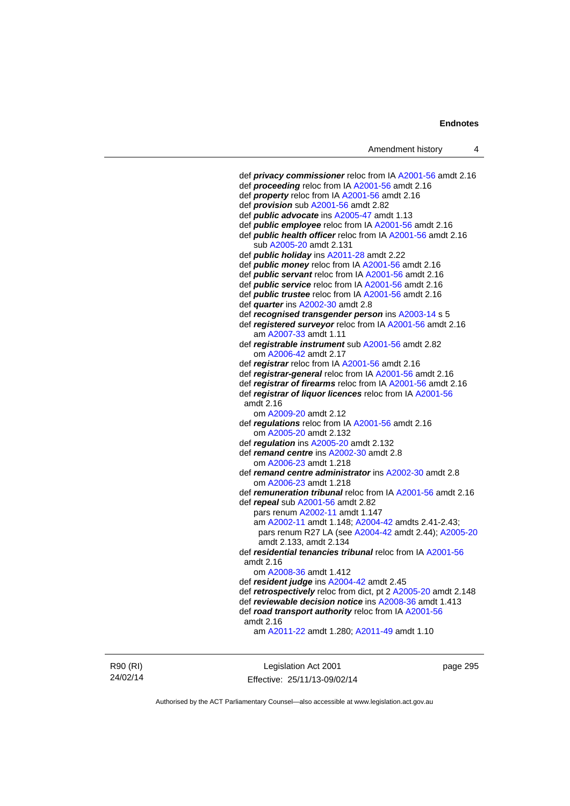```
 def privacy commissioner reloc from IA A2001-56 amdt 2.16 
 def proceeding reloc from IA A2001-56 amdt 2.16
 def property reloc from IA A2001-56 amdt 2.16 
 def provision sub A2001-56 amdt 2.82 
 def public advocate ins A2005-47 amdt 1.13 
 def public employee reloc from IA A2001-56 amdt 2.16
 def public health officer reloc from IA A2001-56 amdt 2.16 
    sub A2005-20 amdt 2.131 
 def public holiday ins A2011-28 amdt 2.22 
 def public money reloc from IA A2001-56 amdt 2.16 
 def public servant reloc from IA A2001-56 amdt 2.16 
 def public service reloc from IA A2001-56 amdt 2.16 
 def public trustee reloc from IA A2001-56 amdt 2.16 
 def quarter ins A2002-30 amdt 2.8 
 def recognised transgender person ins A2003-14 s 5 
 def registered surveyor reloc from IA A2001-56 amdt 2.16 
    am A2007-33 amdt 1.11
 def registrable instrument sub A2001-56 amdt 2.82 
    om A2006-42 amdt 2.17
 def registrar reloc from IA A2001-56 amdt 2.16 
 def registrar-general reloc from IA A2001-56 amdt 2.16
 def registrar of firearms reloc from IA A2001-56 amdt 2.16 
 def registrar of liquor licences reloc from IA A2001-56
 amdt 2.16
    om A2009-20 amdt 2.12
 def regulations reloc from IA A2001-56 amdt 2.16 
    om A2005-20 amdt 2.132
 def regulation ins A2005-20 amdt 2.132 
 def remand centre ins A2002-30 amdt 2.8
    om A2006-23 amdt 1.218
 def remand centre administrator ins A2002-30 amdt 2.8
    om A2006-23 amdt 1.218
 def remuneration tribunal reloc from IA A2001-56 amdt 2.16 
 def repeal sub A2001-56 amdt 2.82 
    pars renum A2002-11 amdt 1.147 
    am A2002-11 amdt 1.148; A2004-42 amdts 2.41-2.43; 
    pars renum R27 LA (see A2004-42 amdt 2.44); A2005-20
    amdt 2.133, amdt 2.134 
 def residential tenancies tribunal reloc from IA A2001-56
 amdt 2.16
    om A2008-36 amdt 1.412
 def resident judge ins A2004-42 amdt 2.45 
 def retrospectively reloc from dict, pt 2 A2005-20 amdt 2.148 
 def reviewable decision notice ins A2008-36 amdt 1.413 
 def road transport authority reloc from IA A2001-56
 amdt 2.16
    am A2011-22 amdt 1.280; A2011-49 amdt 1.10
```
R90 (RI) 24/02/14

Legislation Act 2001 Effective: 25/11/13-09/02/14 page 295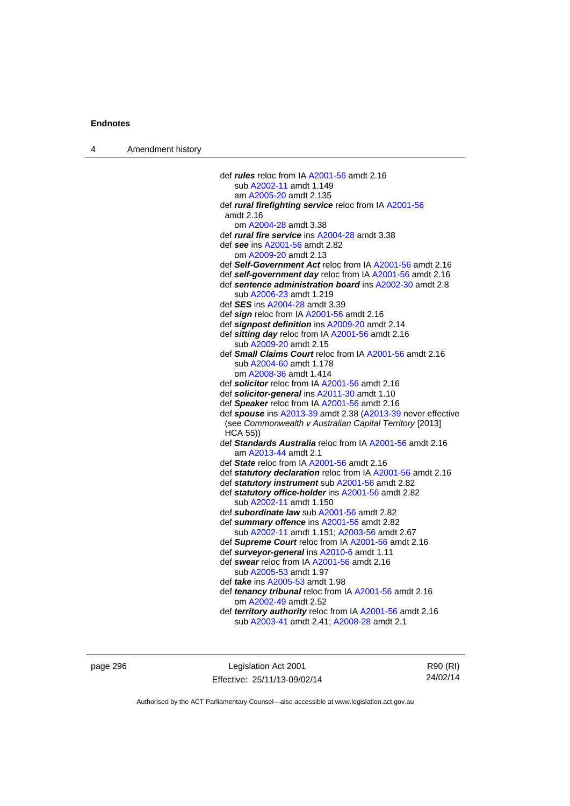| Amendment history |
|-------------------|
|                   |

| def <i>rules</i> reloc from IA A2001-56 amdt 2.16                                                                      |
|------------------------------------------------------------------------------------------------------------------------|
| sub A2002-11 amdt 1.149                                                                                                |
| am A2005-20 amdt 2.135                                                                                                 |
| def rural firefighting service reloc from IA A2001-56                                                                  |
| amdt 2.16                                                                                                              |
| om A2004-28 amdt 3.38                                                                                                  |
| def rural fire service ins A2004-28 amdt 3.38                                                                          |
| def see ins A2001-56 amdt 2.82                                                                                         |
| om A2009-20 amdt 2.13                                                                                                  |
| def Self-Government Act reloc from IA A2001-56 amdt 2.16                                                               |
| def self-government day reloc from IA A2001-56 amdt 2.16                                                               |
| def sentence administration board ins A2002-30 amdt 2.8                                                                |
| sub A2006-23 amdt 1.219                                                                                                |
| def <b>SES</b> ins A2004-28 amdt 3.39                                                                                  |
| def sign reloc from IA A2001-56 amdt 2.16                                                                              |
| def signpost definition ins A2009-20 amdt 2.14                                                                         |
| def sitting day reloc from IA A2001-56 amdt 2.16                                                                       |
| sub A2009-20 amdt 2.15                                                                                                 |
| def Small Claims Court reloc from IA A2001-56 amdt 2.16                                                                |
| sub A2004-60 amdt 1.178                                                                                                |
| om A2008-36 amdt 1.414                                                                                                 |
| def solicitor reloc from IA A2001-56 amdt 2.16                                                                         |
| def solicitor-general ins A2011-30 amdt 1.10                                                                           |
| def Speaker reloc from IA A2001-56 amdt 2.16                                                                           |
| def spouse ins A2013-39 amdt 2.38 (A2013-39 never effective<br>(see Commonwealth v Australian Capital Territory [2013] |
| <b>HCA 55))</b>                                                                                                        |
| def Standards Australia reloc from IA A2001-56 amdt 2.16                                                               |
| am A2013-44 amdt 2.1                                                                                                   |
| def State reloc from IA A2001-56 amdt 2.16                                                                             |
| def statutory declaration reloc from IA A2001-56 amdt 2.16                                                             |
| def statutory instrument sub A2001-56 amdt 2.82                                                                        |
| def statutory office-holder ins A2001-56 amdt 2.82                                                                     |
| sub A2002-11 amdt 1.150                                                                                                |
| def subordinate law sub A2001-56 amdt 2.82                                                                             |
| def summary offence ins A2001-56 amdt 2.82                                                                             |
| sub A2002-11 amdt 1.151; A2003-56 amdt 2.67                                                                            |
| def Supreme Court reloc from IA A2001-56 amdt 2.16                                                                     |
| def surveyor-general ins A2010-6 amdt 1.11                                                                             |
| def swear reloc from IA A2001-56 amdt 2.16                                                                             |
| sub A2005-53 amdt 1.97                                                                                                 |
| def take ins A2005-53 amdt 1.98                                                                                        |
| def tenancy tribunal reloc from IA A2001-56 amdt 2.16                                                                  |
| om A2002-49 amdt 2.52                                                                                                  |
| def territory authority reloc from IA A2001-56 amdt 2.16                                                               |
| sub A2003-41 amdt 2.41; A2008-28 amdt 2.1                                                                              |
|                                                                                                                        |
|                                                                                                                        |

page 296 **Legislation Act 2001** Effective: 25/11/13-09/02/14

R90 (RI) 24/02/14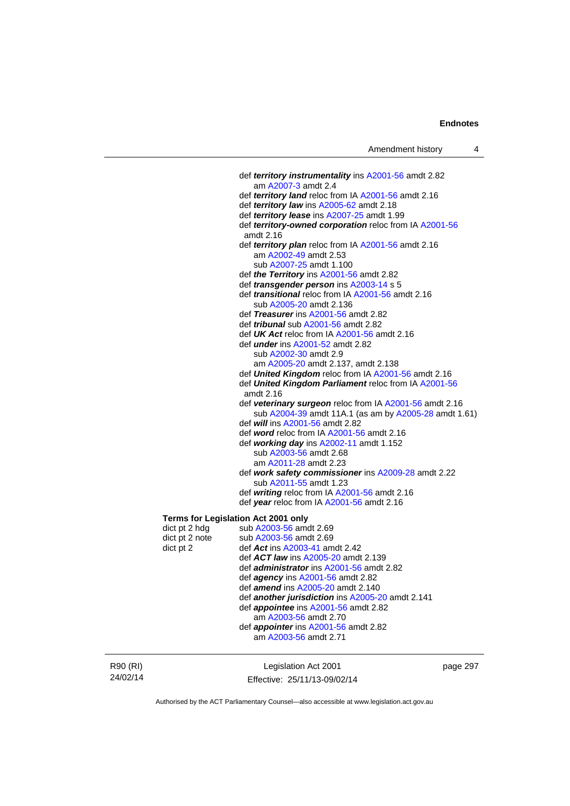def *territory instrumentality* ins [A2001-56](http://www.legislation.act.gov.au/a/2001-56) amdt 2.82 am [A2007-3](http://www.legislation.act.gov.au/a/2007-3) amdt 2.4 def *territory land* reloc from IA [A2001-56](http://www.legislation.act.gov.au/a/2001-56) amdt 2.16 def *territory law* ins [A2005-62](http://www.legislation.act.gov.au/a/2005-62) amdt 2.18 def *territory lease* ins [A2007-25](http://www.legislation.act.gov.au/a/2007-25) amdt 1.99 def *territory-owned corporation* reloc from IA [A2001-56](http://www.legislation.act.gov.au/a/2001-56) amdt 2.16 def *territory plan* reloc from IA [A2001-56](http://www.legislation.act.gov.au/a/2001-56) amdt 2.16 am [A2002-49](http://www.legislation.act.gov.au/a/2002-49) amdt 2.53 sub [A2007-25](http://www.legislation.act.gov.au/a/2007-25) amdt 1.100 def *the Territory* ins [A2001-56](http://www.legislation.act.gov.au/a/2001-56) amdt 2.82 def *transgender person* ins [A2003-14](http://www.legislation.act.gov.au/a/2003-14) s 5 def *transitional* reloc from IA [A2001-56](http://www.legislation.act.gov.au/a/2001-56) amdt 2.16 sub [A2005-20](http://www.legislation.act.gov.au/a/2005-20) amdt 2.136 def *Treasurer* ins [A2001-56](http://www.legislation.act.gov.au/a/2001-56) amdt 2.82 def *tribunal* sub [A2001-56](http://www.legislation.act.gov.au/a/2001-56) amdt 2.82 def *UK Act* reloc from IA [A2001-56](http://www.legislation.act.gov.au/a/2001-56) amdt 2.16 def *under* ins [A2001-52](http://www.legislation.act.gov.au/a/2001-52) amdt 2.82 sub [A2002-30](http://www.legislation.act.gov.au/a/2002-30) amdt 2.9 am [A2005-20](http://www.legislation.act.gov.au/a/2005-20) amdt 2.137, amdt 2.138 def *United Kingdom* reloc from IA [A2001-56](http://www.legislation.act.gov.au/a/2001-56) amdt 2.16 def *United Kingdom Parliament* reloc from IA [A2001-56](http://www.legislation.act.gov.au/a/2001-56) amdt 2.16 def *veterinary surgeon* reloc from IA [A2001-56](http://www.legislation.act.gov.au/a/2001-56) amdt 2.16 sub [A2004-39](http://www.legislation.act.gov.au/a/2004-39) amdt 11A.1 (as am by [A2005-28](http://www.legislation.act.gov.au/a/2005-28) amdt 1.61) def *will* ins [A2001-56](http://www.legislation.act.gov.au/a/2001-56) amdt 2.82 def *word* reloc from IA [A2001-56](http://www.legislation.act.gov.au/a/2001-56) amdt 2.16 def *working day* ins [A2002-11](http://www.legislation.act.gov.au/a/2002-11) amdt 1.152 sub [A2003-56](http://www.legislation.act.gov.au/a/2003-56) amdt 2.68 am [A2011-28](http://www.legislation.act.gov.au/a/2011-28) amdt 2.23 def *work safety commissioner* ins [A2009-28](http://www.legislation.act.gov.au/a/2009-28) amdt 2.22 sub [A2011-55](http://www.legislation.act.gov.au/a/2011-55) amdt 1.23 def *writing* reloc from IA [A2001-56](http://www.legislation.act.gov.au/a/2001-56) amdt 2.16 def *year* reloc from IA [A2001-56](http://www.legislation.act.gov.au/a/2001-56) amdt 2.16 **Terms for Legislation Act 2001 only**  dict pt 2 hdg sub [A2003-56](http://www.legislation.act.gov.au/a/2003-56) amdt 2.69<br>dict pt 2 note sub A2003-56 amdt 2.69 sub [A2003-56](http://www.legislation.act.gov.au/a/2003-56) amdt 2.69 dict pt 2 def *Act* ins [A2003-41](http://www.legislation.act.gov.au/a/2003-41) amdt 2.42 def *ACT law* ins [A2005-20](http://www.legislation.act.gov.au/a/2005-20) amdt 2.139 def *administrator* ins [A2001-56](http://www.legislation.act.gov.au/a/2001-56) amdt 2.82 def *agency* ins [A2001-56](http://www.legislation.act.gov.au/a/2001-56) amdt 2.82 def *amend* ins [A2005-20](http://www.legislation.act.gov.au/a/2005-20) amdt 2.140 def *another jurisdiction* ins [A2005-20](http://www.legislation.act.gov.au/a/2005-20) amdt 2.141 def *appointee* ins [A2001-56](http://www.legislation.act.gov.au/a/2001-56) amdt 2.82 am [A2003-56](http://www.legislation.act.gov.au/a/2003-56) amdt 2.70 def *appointer* ins [A2001-56](http://www.legislation.act.gov.au/a/2001-56) amdt 2.82 am [A2003-56](http://www.legislation.act.gov.au/a/2003-56) amdt 2.71

R90 (RI) 24/02/14

Legislation Act 2001 Effective: 25/11/13-09/02/14 page 297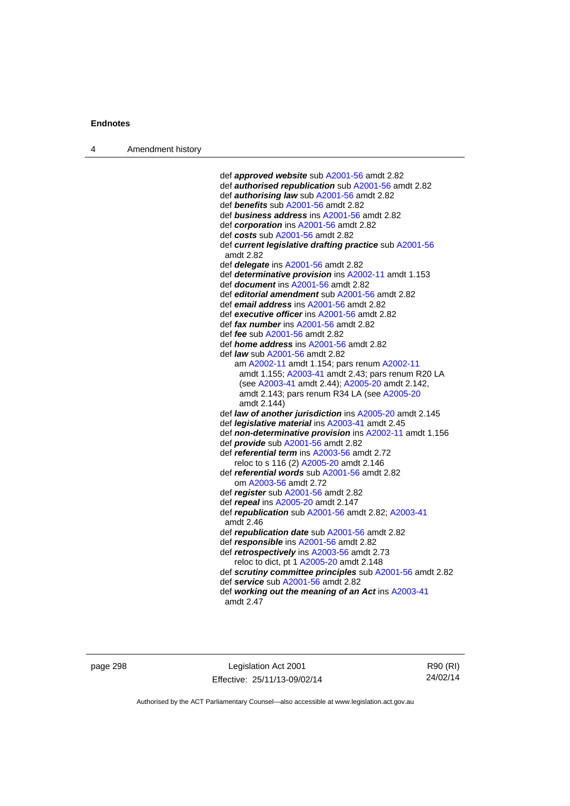4 Amendment history

 def *approved website* sub [A2001-56](http://www.legislation.act.gov.au/a/2001-56) amdt 2.82 def *authorised republication* sub [A2001-56](http://www.legislation.act.gov.au/a/2001-56) amdt 2.82 def *authorising law* sub [A2001-56](http://www.legislation.act.gov.au/a/2001-56) amdt 2.82 def *benefits* sub [A2001-56](http://www.legislation.act.gov.au/a/2001-56) amdt 2.82 def *business address* ins [A2001-56](http://www.legislation.act.gov.au/a/2001-56) amdt 2.82 def *corporation* ins [A2001-56](http://www.legislation.act.gov.au/a/2001-56) amdt 2.82 def *costs* sub [A2001-56](http://www.legislation.act.gov.au/a/2001-56) amdt 2.82 def *current legislative drafting practice* sub [A2001-56](http://www.legislation.act.gov.au/a/2001-56) amdt 2.82 def *delegate* ins [A2001-56](http://www.legislation.act.gov.au/a/2001-56) amdt 2.82 def *determinative provision* ins [A2002-11](http://www.legislation.act.gov.au/a/2002-11) amdt 1.153 def *document* ins [A2001-56](http://www.legislation.act.gov.au/a/2001-56) amdt 2.82 def *editorial amendment* sub [A2001-56](http://www.legislation.act.gov.au/a/2001-56) amdt 2.82 def *email address* ins [A2001-56](http://www.legislation.act.gov.au/a/2001-56) amdt 2.82 def *executive officer* ins [A2001-56](http://www.legislation.act.gov.au/a/2001-56) amdt 2.82 def *fax number* ins [A2001-56](http://www.legislation.act.gov.au/a/2001-56) amdt 2.82 def *fee* sub [A2001-56](http://www.legislation.act.gov.au/a/2001-56) amdt 2.82 def *home address* ins [A2001-56](http://www.legislation.act.gov.au/a/2001-56) amdt 2.82 def *law* sub [A2001-56](http://www.legislation.act.gov.au/a/2001-56) amdt 2.82 am [A2002-11](http://www.legislation.act.gov.au/a/2002-11) amdt 1.154; pars renum [A2002-11](http://www.legislation.act.gov.au/a/2002-11) amdt 1.155; [A2003-41](http://www.legislation.act.gov.au/a/2003-41) amdt 2.43; pars renum R20 LA (see [A2003-41](http://www.legislation.act.gov.au/a/2003-41) amdt 2.44); [A2005-20](http://www.legislation.act.gov.au/a/2005-20) amdt 2.142, amdt 2.143; pars renum R34 LA (see [A2005-20](http://www.legislation.act.gov.au/a/2005-20) amdt 2.144) def *law of another jurisdiction* ins [A2005-20](http://www.legislation.act.gov.au/a/2005-20) amdt 2.145 def *legislative material* ins [A2003-41](http://www.legislation.act.gov.au/a/2003-41) amdt 2.45 def *non-determinative provision* ins [A2002-11](http://www.legislation.act.gov.au/a/2002-11) amdt 1.156 def *provide* sub [A2001-56](http://www.legislation.act.gov.au/a/2001-56) amdt 2.82 def *referential term* ins [A2003-56](http://www.legislation.act.gov.au/a/2003-56) amdt 2.72 reloc to s 116 (2) [A2005-20](http://www.legislation.act.gov.au/a/2005-20) amdt 2.146 def *referential words* sub [A2001-56](http://www.legislation.act.gov.au/a/2001-56) amdt 2.82 om [A2003-56](http://www.legislation.act.gov.au/a/2003-56) amdt 2.72 def *register* sub [A2001-56](http://www.legislation.act.gov.au/a/2001-56) amdt 2.82 def *repeal* ins [A2005-20](http://www.legislation.act.gov.au/a/2005-20) amdt 2.147 def *republication* sub [A2001-56](http://www.legislation.act.gov.au/a/2001-56) amdt 2.82; [A2003-41](http://www.legislation.act.gov.au/a/2003-41) amdt 2.46 def *republication date* sub [A2001-56](http://www.legislation.act.gov.au/a/2001-56) amdt 2.82 def *responsible* ins [A2001-56](http://www.legislation.act.gov.au/a/2001-56) amdt 2.82 def *retrospectively* ins [A2003-56](http://www.legislation.act.gov.au/a/2003-56) amdt 2.73 reloc to dict, pt 1 [A2005-20](http://www.legislation.act.gov.au/a/2005-20) amdt 2.148 def *scrutiny committee principles* sub [A2001-56](http://www.legislation.act.gov.au/a/2001-56) amdt 2.82 def *service* sub [A2001-56](http://www.legislation.act.gov.au/a/2001-56) amdt 2.82 def *working out the meaning of an Act* ins [A2003-41](http://www.legislation.act.gov.au/a/2003-41) amdt 2.47

page 298 Legislation Act 2001 Effective: 25/11/13-09/02/14

R90 (RI) 24/02/14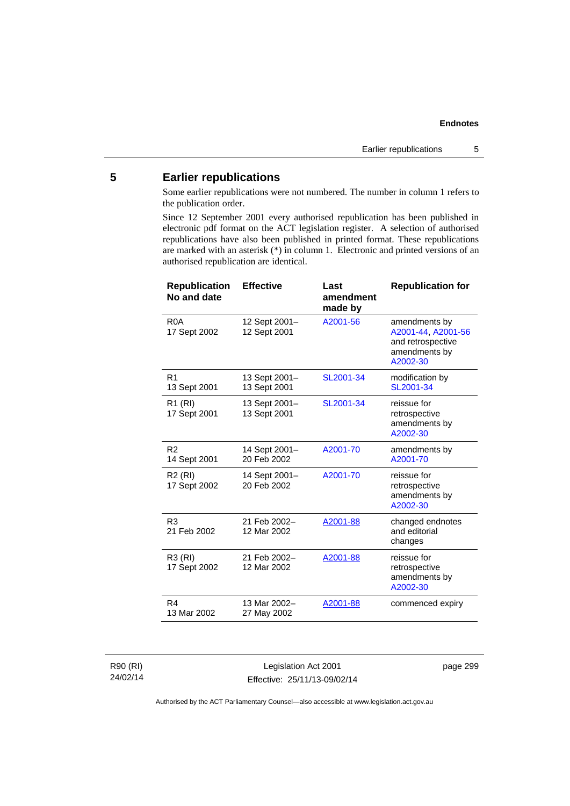# **5 Earlier republications**

Some earlier republications were not numbered. The number in column 1 refers to the publication order.

Since 12 September 2001 every authorised republication has been published in electronic pdf format on the ACT legislation register. A selection of authorised republications have also been published in printed format. These republications are marked with an asterisk (\*) in column 1. Electronic and printed versions of an authorised republication are identical.

| <b>Republication</b><br>No and date | <b>Effective</b>              | Last<br>amendment<br>made by | <b>Republication for</b>                                                              |
|-------------------------------------|-------------------------------|------------------------------|---------------------------------------------------------------------------------------|
| R <sub>0</sub> A<br>17 Sept 2002    | 12 Sept 2001-<br>12 Sept 2001 | A2001-56                     | amendments by<br>A2001-44, A2001-56<br>and retrospective<br>amendments by<br>A2002-30 |
| R <sub>1</sub><br>13 Sept 2001      | 13 Sept 2001-<br>13 Sept 2001 | SL2001-34                    | modification by<br>SL2001-34                                                          |
| R1 (RI)<br>17 Sept 2001             | 13 Sept 2001-<br>13 Sept 2001 | SL2001-34                    | reissue for<br>retrospective<br>amendments by<br>A2002-30                             |
| R <sub>2</sub><br>14 Sept 2001      | 14 Sept 2001-<br>20 Feb 2002  | A2001-70                     | amendments by<br>A2001-70                                                             |
| R <sub>2</sub> (RI)<br>17 Sept 2002 | 14 Sept 2001-<br>20 Feb 2002  | A2001-70                     | reissue for<br>retrospective<br>amendments by<br>A2002-30                             |
| R <sub>3</sub><br>21 Feb 2002       | 21 Feb 2002-<br>12 Mar 2002   | A2001-88                     | changed endnotes<br>and editorial<br>changes                                          |
| R3 (RI)<br>17 Sept 2002             | 21 Feb 2002-<br>12 Mar 2002   | A2001-88                     | reissue for<br>retrospective<br>amendments by<br>A2002-30                             |
| R <sub>4</sub><br>13 Mar 2002       | 13 Mar 2002-<br>27 May 2002   | A2001-88                     | commenced expiry                                                                      |

R90 (RI) 24/02/14

Legislation Act 2001 Effective: 25/11/13-09/02/14 page 299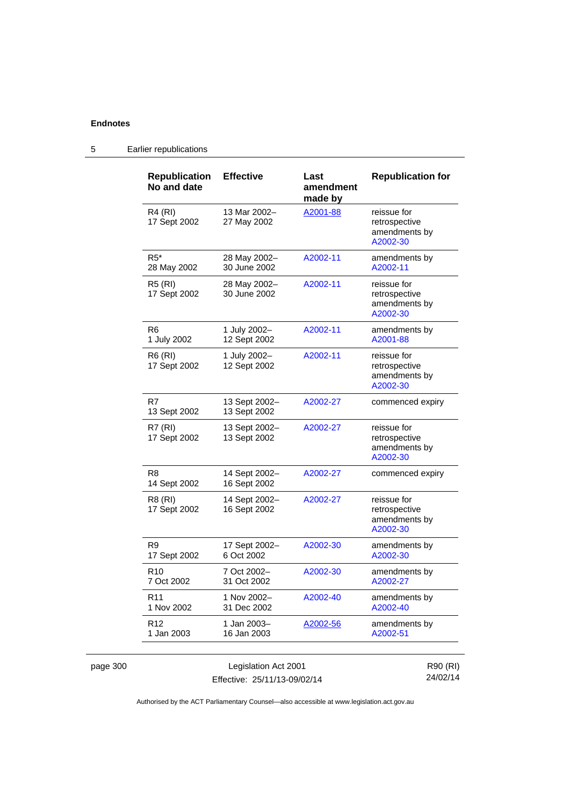5 Earlier republications

| <b>Republication</b><br>No and date | <b>Effective</b>              | Last<br>amendment<br>made by | <b>Republication for</b>                                  |
|-------------------------------------|-------------------------------|------------------------------|-----------------------------------------------------------|
| R4 (RI)<br>17 Sept 2002             | 13 Mar 2002-<br>27 May 2002   | A2001-88                     | reissue for<br>retrospective<br>amendments by<br>A2002-30 |
| $R5*$<br>28 May 2002                | 28 May 2002-<br>30 June 2002  | A2002-11                     | amendments by<br>A2002-11                                 |
| <b>R5 (RI)</b><br>17 Sept 2002      | 28 May 2002-<br>30 June 2002  | A2002-11                     | reissue for<br>retrospective<br>amendments by<br>A2002-30 |
| R <sub>6</sub><br>1 July 2002       | 1 July 2002-<br>12 Sept 2002  | A2002-11                     | amendments by<br>A2001-88                                 |
| R6 (RI)<br>17 Sept 2002             | 1 July 2002-<br>12 Sept 2002  | A2002-11                     | reissue for<br>retrospective<br>amendments by<br>A2002-30 |
| R7<br>13 Sept 2002                  | 13 Sept 2002-<br>13 Sept 2002 | A2002-27                     | commenced expiry                                          |
| R7 (RI)<br>17 Sept 2002             | 13 Sept 2002-<br>13 Sept 2002 | A2002-27                     | reissue for<br>retrospective<br>amendments by<br>A2002-30 |
| R8<br>14 Sept 2002                  | 14 Sept 2002-<br>16 Sept 2002 | A2002-27                     | commenced expiry                                          |
| R8 (RI)<br>17 Sept 2002             | 14 Sept 2002-<br>16 Sept 2002 | A2002-27                     | reissue for<br>retrospective<br>amendments by<br>A2002-30 |
| R9<br>17 Sept 2002                  | 17 Sept 2002-<br>6 Oct 2002   | A2002-30                     | amendments by<br>A2002-30                                 |
| R <sub>10</sub><br>7 Oct 2002       | 7 Oct 2002-<br>31 Oct 2002    | A2002-30                     | amendments by<br>A2002-27                                 |
| R <sub>11</sub><br>1 Nov 2002       | 1 Nov 2002-<br>31 Dec 2002    | A2002-40                     | amendments by<br>A2002-40                                 |
| R <sub>12</sub><br>1 Jan 2003       | 1 Jan 2003-<br>16 Jan 2003    | A2002-56                     | amendments by<br>A2002-51                                 |

Authorised by the ACT Parliamentary Counsel—also accessible at www.legislation.act.gov.au

Effective: 25/11/13-09/02/14

24/02/14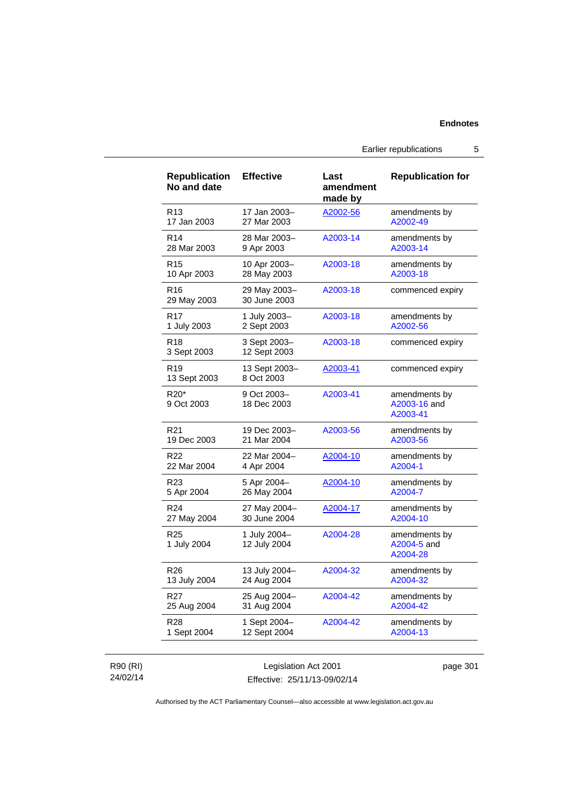Earlier republications 5

| <b>Republication</b><br>No and date | <b>Effective</b>             | Last<br>amendment<br>made by | <b>Republication for</b>                  |
|-------------------------------------|------------------------------|------------------------------|-------------------------------------------|
| R13                                 | 17 Jan 2003-                 | A2002-56                     | amendments by                             |
| 17 Jan 2003                         | 27 Mar 2003                  |                              | A2002-49                                  |
| R <sub>14</sub>                     | 28 Mar 2003-                 | A2003-14                     | amendments by                             |
| 28 Mar 2003                         | 9 Apr 2003                   |                              | A2003-14                                  |
| R15                                 | 10 Apr 2003-                 | A2003-18                     | amendments by                             |
| 10 Apr 2003                         | 28 May 2003                  |                              | A2003-18                                  |
| R16<br>29 May 2003                  | 29 May 2003-<br>30 June 2003 | A2003-18                     | commenced expiry                          |
| R17                                 | 1 July 2003-                 | A2003-18                     | amendments by                             |
| 1 July 2003                         | 2 Sept 2003                  |                              | A2002-56                                  |
| R18<br>3 Sept 2003                  | 3 Sept 2003-<br>12 Sept 2003 | A2003-18                     | commenced expiry                          |
| R19<br>13 Sept 2003                 | 13 Sept 2003-<br>8 Oct 2003  | A2003-41                     | commenced expiry                          |
| R20*<br>9 Oct 2003                  | 9 Oct 2003-<br>18 Dec 2003   | A2003-41                     | amendments by<br>A2003-16 and<br>A2003-41 |
| R21                                 | 19 Dec 2003-                 | A2003-56                     | amendments by                             |
| 19 Dec 2003                         | 21 Mar 2004                  |                              | A2003-56                                  |
| R22                                 | 22 Mar 2004-                 | A2004-10                     | amendments by                             |
| 22 Mar 2004                         | 4 Apr 2004                   |                              | A2004-1                                   |
| R23                                 | 5 Apr 2004-                  | A2004-10                     | amendments by                             |
| 5 Apr 2004                          | 26 May 2004                  |                              | A2004-7                                   |
| R <sub>24</sub>                     | 27 May 2004-                 | A2004-17                     | amendments by                             |
| 27 May 2004                         | 30 June 2004                 |                              | A2004-10                                  |
| R <sub>25</sub><br>1 July 2004      | 1 July 2004-<br>12 July 2004 | A2004-28                     | amendments by<br>A2004-5 and<br>A2004-28  |
| R26                                 | 13 July 2004-                | A2004-32                     | amendments by                             |
| 13 July 2004                        | 24 Aug 2004                  |                              | A2004-32                                  |
| R27                                 | 25 Aug 2004-                 | A2004-42                     | amendments by                             |
| 25 Aug 2004                         | 31 Aug 2004                  |                              | A2004-42                                  |
| R28                                 | 1 Sept 2004-                 | A2004-42                     | amendments by                             |
| 1 Sept 2004                         | 12 Sept 2004                 |                              | A2004-13                                  |

## R90 (RI) 24/02/14

Legislation Act 2001 Effective: 25/11/13-09/02/14 page 301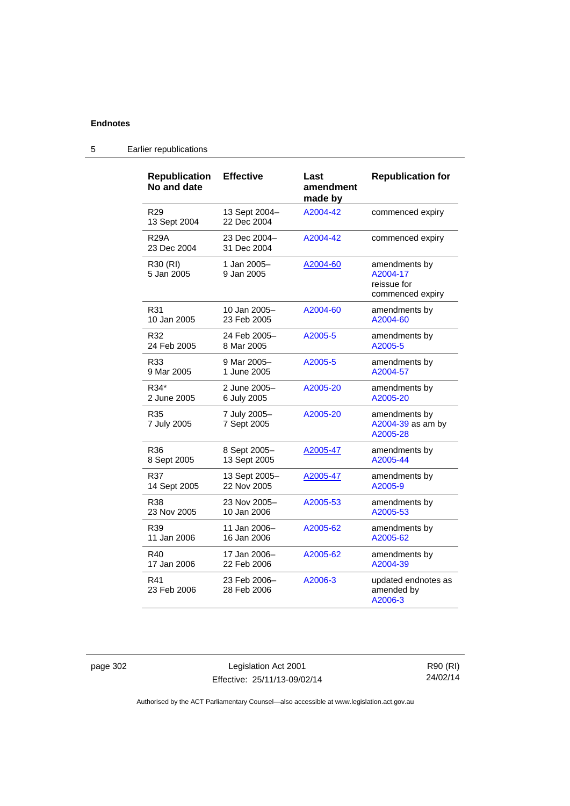5 Earlier republications

| <b>Republication</b><br>No and date | <b>Effective</b>             | Last<br>amendment<br>made by | <b>Republication for</b>                                     |
|-------------------------------------|------------------------------|------------------------------|--------------------------------------------------------------|
| R <sub>29</sub><br>13 Sept 2004     | 13 Sept 2004-<br>22 Dec 2004 | A2004-42                     | commenced expiry                                             |
| <b>R29A</b><br>23 Dec 2004          | 23 Dec 2004-<br>31 Dec 2004  | A2004-42                     | commenced expiry                                             |
| R30 (RI)<br>5 Jan 2005              | 1 Jan 2005-<br>9 Jan 2005    | A2004-60                     | amendments by<br>A2004-17<br>reissue for<br>commenced expiry |
| R31                                 | 10 Jan 2005–                 | A2004-60                     | amendments by                                                |
| 10 Jan 2005                         | 23 Feb 2005                  |                              | A2004-60                                                     |
| R32                                 | 24 Feb 2005-                 | A2005-5                      | amendments by                                                |
| 24 Feb 2005                         | 8 Mar 2005                   |                              | A2005-5                                                      |
| R33                                 | 9 Mar 2005-                  | A2005-5                      | amendments by                                                |
| 9 Mar 2005                          | 1 June 2005                  |                              | A2004-57                                                     |
| R34*                                | 2 June 2005-                 | A2005-20                     | amendments by                                                |
| 2 June 2005                         | 6 July 2005                  |                              | A2005-20                                                     |
| R35<br>7 July 2005                  | 7 July 2005-<br>7 Sept 2005  | A2005-20                     | amendments by<br>A2004-39 as am by<br>A2005-28               |
| R36                                 | 8 Sept 2005-                 | A2005-47                     | amendments by                                                |
| 8 Sept 2005                         | 13 Sept 2005                 |                              | A2005-44                                                     |
| R37                                 | 13 Sept 2005-                | <u>A2005-47</u>              | amendments by                                                |
| 14 Sept 2005                        | 22 Nov 2005                  |                              | A2005-9                                                      |
| R38                                 | 23 Nov 2005-                 | A2005-53                     | amendments by                                                |
| 23 Nov 2005                         | 10 Jan 2006                  |                              | A2005-53                                                     |
| R39                                 | 11 Jan 2006–                 | A2005-62                     | amendments by                                                |
| 11 Jan 2006                         | 16 Jan 2006                  |                              | A2005-62                                                     |
| R40                                 | 17 Jan 2006–                 | A2005-62                     | amendments by                                                |
| 17 Jan 2006                         | 22 Feb 2006                  |                              | A2004-39                                                     |
| R41<br>23 Feb 2006                  | 23 Feb 2006-<br>28 Feb 2006  | A2006-3                      | updated endnotes as<br>amended by<br>A2006-3                 |

page 302 Legislation Act 2001 Effective: 25/11/13-09/02/14

R90 (RI) 24/02/14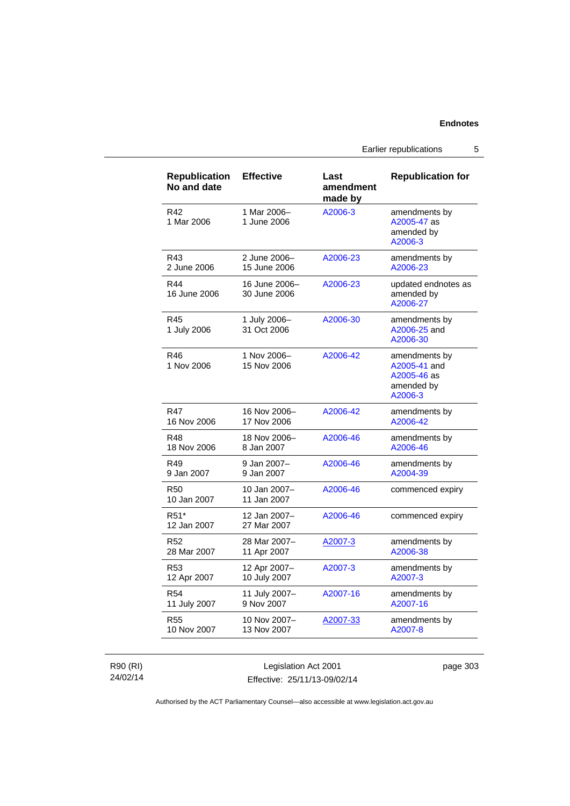Earlier republications 5

| <b>Republication</b><br>No and date | <b>Effective</b>              | Last<br>amendment<br>made by | <b>Republication for</b>                                              |
|-------------------------------------|-------------------------------|------------------------------|-----------------------------------------------------------------------|
| R42<br>1 Mar 2006                   | 1 Mar 2006-<br>1 June 2006    | A2006-3                      | amendments by<br>A2005-47 as<br>amended by<br>A2006-3                 |
| R43                                 | 2 June 2006-                  | A2006-23                     | amendments by                                                         |
| 2 June 2006                         | 15 June 2006                  |                              | A2006-23                                                              |
| R44<br>16 June 2006                 | 16 June 2006-<br>30 June 2006 | A2006-23                     | updated endnotes as<br>amended by<br>A2006-27                         |
| R45<br>1 July 2006                  | 1 July 2006-<br>31 Oct 2006   | A2006-30                     | amendments by<br>A2006-25 and<br>A2006-30                             |
| R46<br>1 Nov 2006                   | 1 Nov 2006-<br>15 Nov 2006    | A2006-42                     | amendments by<br>A2005-41 and<br>A2005-46 as<br>amended by<br>A2006-3 |
| <b>R47</b>                          | 16 Nov 2006-                  | A2006-42                     | amendments by                                                         |
| 16 Nov 2006                         | 17 Nov 2006                   |                              | A2006-42                                                              |
| R48                                 | 18 Nov 2006-                  | A2006-46                     | amendments by                                                         |
| 18 Nov 2006                         | 8 Jan 2007                    |                              | A2006-46                                                              |
| R49                                 | 9 Jan 2007-                   | A2006-46                     | amendments by                                                         |
| 9 Jan 2007                          | 9 Jan 2007                    |                              | A2004-39                                                              |
| <b>R50</b><br>10 Jan 2007           | 10 Jan 2007-<br>11 Jan 2007   | A2006-46                     | commenced expiry                                                      |
| R <sub>51</sub> *<br>12 Jan 2007    | 12 Jan 2007-<br>27 Mar 2007   | A2006-46                     | commenced expiry                                                      |
| R <sub>52</sub>                     | 28 Mar 2007-                  | A2007-3                      | amendments by                                                         |
| 28 Mar 2007                         | 11 Apr 2007                   |                              | A2006-38                                                              |
| R53                                 | 12 Apr 2007-                  | A2007-3                      | amendments by                                                         |
| 12 Apr 2007                         | 10 July 2007                  |                              | A2007-3                                                               |
| R54                                 | 11 July 2007-                 | A2007-16                     | amendments by                                                         |
| 11 July 2007                        | 9 Nov 2007                    |                              | A2007-16                                                              |
| <b>R55</b>                          | 10 Nov 2007-                  | A2007-33                     | amendments by                                                         |
| 10 Nov 2007                         | 13 Nov 2007                   |                              | A2007-8                                                               |

R90 (RI) 24/02/14

Legislation Act 2001 Effective: 25/11/13-09/02/14 page 303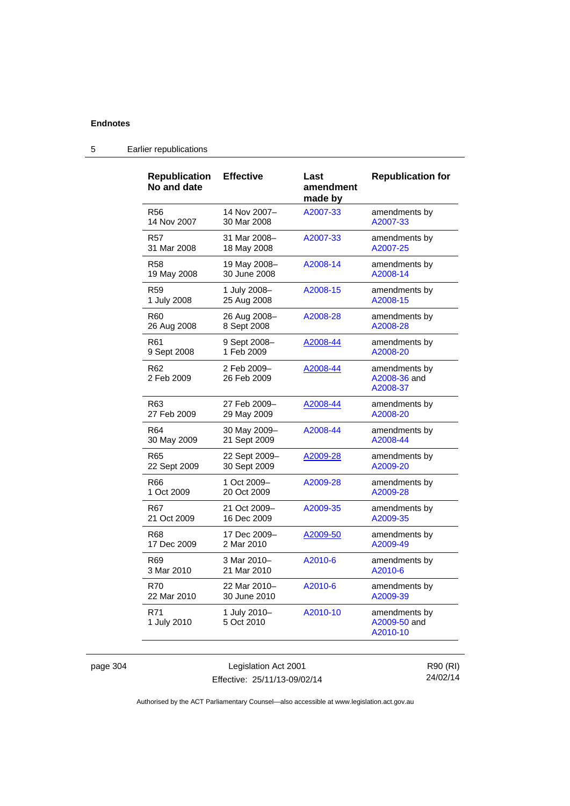| <b>Republication</b><br>No and date | <b>Effective</b>           | Last<br>amendment<br>made by | <b>Republication for</b>                  |
|-------------------------------------|----------------------------|------------------------------|-------------------------------------------|
| R <sub>56</sub>                     | 14 Nov 2007-               | A2007-33                     | amendments by                             |
| 14 Nov 2007                         | 30 Mar 2008                |                              | A2007-33                                  |
| <b>R57</b>                          | 31 Mar 2008-               | A2007-33                     | amendments by                             |
| 31 Mar 2008                         | 18 May 2008                |                              | A2007-25                                  |
| R58                                 | 19 May 2008-               | A2008-14                     | amendments by                             |
| 19 May 2008                         | 30 June 2008               |                              | A2008-14                                  |
| R59                                 | 1 July 2008-               | A2008-15                     | amendments by                             |
| 1 July 2008                         | 25 Aug 2008                |                              | A2008-15                                  |
| R60                                 | 26 Aug 2008-               | A2008-28                     | amendments by                             |
| 26 Aug 2008                         | 8 Sept 2008                |                              | A2008-28                                  |
| R61                                 | 9 Sept 2008-               | A2008-44                     | amendments by                             |
| 9 Sept 2008                         | 1 Feb 2009                 |                              | A2008-20                                  |
| R62<br>2 Feb 2009                   | 2 Feb 2009-<br>26 Feb 2009 | A2008-44                     | amendments by<br>A2008-36 and<br>A2008-37 |
| R63                                 | 27 Feb 2009-               | A2008-44                     | amendments by                             |
| 27 Feb 2009                         | 29 May 2009                |                              | A2008-20                                  |
| R64                                 | 30 May 2009-               | A2008-44                     | amendments by                             |
| 30 May 2009                         | 21 Sept 2009               |                              | A2008-44                                  |
| R65                                 | 22 Sept 2009-              | A2009-28                     | amendments by                             |
| 22 Sept 2009                        | 30 Sept 2009               |                              | A2009-20                                  |
| R66                                 | 1 Oct 2009-                | A2009-28                     | amendments by                             |
| 1 Oct 2009                          | 20 Oct 2009                |                              | A2009-28                                  |
| R67                                 | 21 Oct 2009-               | A2009-35                     | amendments by                             |
| 21 Oct 2009                         | 16 Dec 2009                |                              | A2009-35                                  |
| R68                                 | 17 Dec 2009-               | A2009-50                     | amendments by                             |
| 17 Dec 2009                         | 2 Mar 2010                 |                              | A2009-49                                  |
| R69                                 | 3 Mar 2010-                | A2010-6                      | amendments by                             |
| 3 Mar 2010                          | 21 Mar 2010                |                              | A2010-6                                   |
| <b>R70</b>                          | 22 Mar 2010-               | A2010-6                      | amendments by                             |
| 22 Mar 2010                         | 30 June 2010               |                              | A2009-39                                  |
| R71<br>1 July 2010                  | 1 July 2010-<br>5 Oct 2010 | A2010-10                     | amendments by<br>A2009-50 and<br>A2010-10 |

## 5 Earlier republications

page 304 Legislation Act 2001 Effective: 25/11/13-09/02/14

R90 (RI) 24/02/14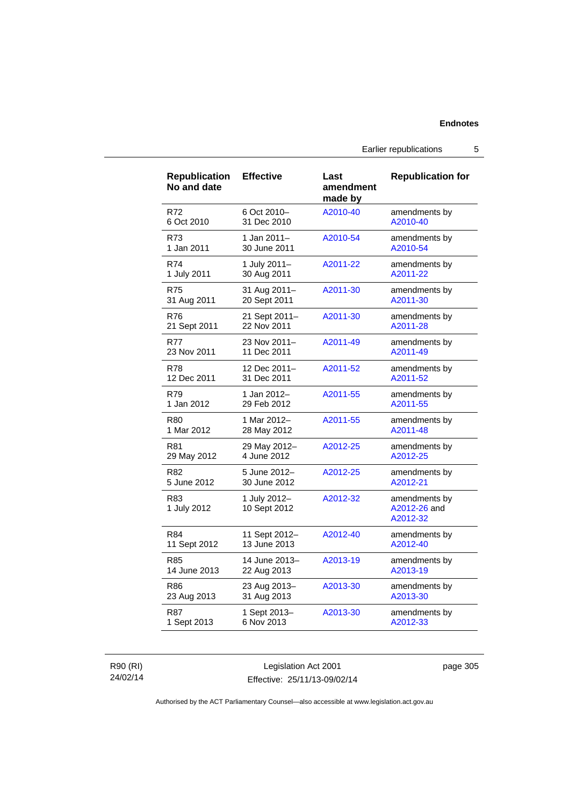Earlier republications 5

| <b>Republication</b><br>No and date | <b>Effective</b>             | Last<br>amendment<br>made by | <b>Republication for</b>                  |
|-------------------------------------|------------------------------|------------------------------|-------------------------------------------|
| R72                                 | 6 Oct 2010-                  | A2010-40                     | amendments by                             |
| 6 Oct 2010                          | 31 Dec 2010                  |                              | A2010-40                                  |
| R73                                 | 1 Jan 2011-                  | A2010-54                     | amendments by                             |
| 1 Jan 2011                          | 30 June 2011                 |                              | A2010-54                                  |
| R74                                 | 1 July 2011-                 | A2011-22                     | amendments by                             |
| 1 July 2011                         | 30 Aug 2011                  |                              | A2011-22                                  |
| <b>R75</b>                          | 31 Aug 2011-                 | A2011-30                     | amendments by                             |
| 31 Aug 2011                         | 20 Sept 2011                 |                              | A2011-30                                  |
| R76                                 | 21 Sept 2011-                | A2011-30                     | amendments by                             |
| 21 Sept 2011                        | 22 Nov 2011                  |                              | A2011-28                                  |
| <b>R77</b>                          | 23 Nov 2011-                 | A2011-49                     | amendments by                             |
| 23 Nov 2011                         | 11 Dec 2011                  |                              | A2011-49                                  |
| R78                                 | 12 Dec 2011-                 | A2011-52                     | amendments by                             |
| 12 Dec 2011                         | 31 Dec 2011                  |                              | A2011-52                                  |
| R79                                 | 1 Jan 2012–                  | A2011-55                     | amendments by                             |
| 1 Jan 2012                          | 29 Feb 2012                  |                              | A2011-55                                  |
| R80                                 | 1 Mar 2012-                  | A2011-55                     | amendments by                             |
| 1 Mar 2012                          | 28 May 2012                  |                              | A2011-48                                  |
| R81                                 | 29 May 2012-                 | A2012-25                     | amendments by                             |
| 29 May 2012                         | 4 June 2012                  |                              | A2012-25                                  |
| R82                                 | 5 June 2012-                 | A2012-25                     | amendments by                             |
| 5 June 2012                         | 30 June 2012                 |                              | A2012-21                                  |
| R83<br>1 July 2012                  | 1 July 2012-<br>10 Sept 2012 | A2012-32                     | amendments by<br>A2012-26 and<br>A2012-32 |
| R84                                 | 11 Sept 2012-                | A2012-40                     | amendments by                             |
| 11 Sept 2012                        | 13 June 2013                 |                              | A2012-40                                  |
| R85                                 | 14 June 2013-                | A2013-19                     | amendments by                             |
| 14 June 2013                        | 22 Aug 2013                  |                              | A2013-19                                  |
| R86                                 | 23 Aug 2013-                 | A2013-30                     | amendments by                             |
| 23 Aug 2013                         | 31 Aug 2013                  |                              | A2013-30                                  |
| <b>R87</b>                          | 1 Sept 2013-                 | A2013-30                     | amendments by                             |
| 1 Sept 2013                         | 6 Nov 2013                   |                              | A2012-33                                  |

R90 (RI) 24/02/14

Legislation Act 2001 Effective: 25/11/13-09/02/14 page 305